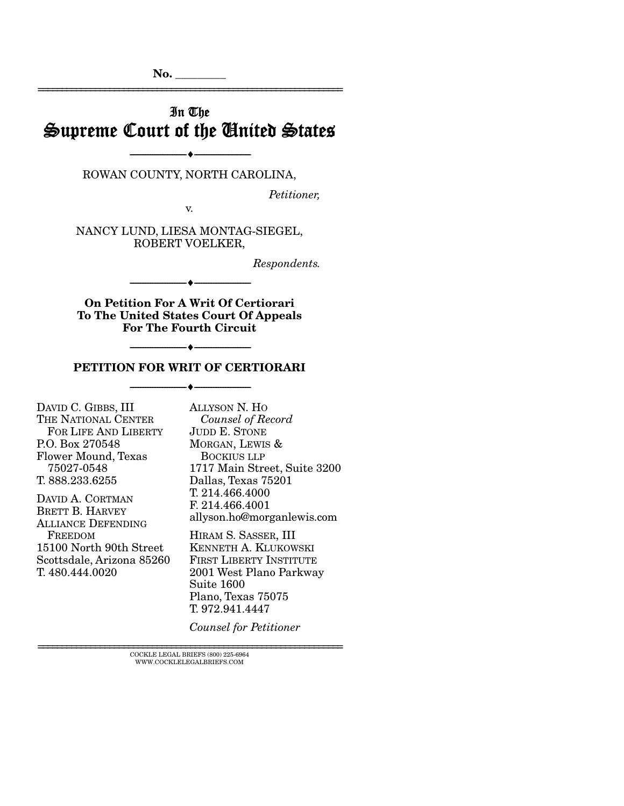$\mathbf{No.}$ 

# In The Supreme Court of the United States

================================================================

ROWAN COUNTY, NORTH CAROLINA,

--------------------------------- ---------------------------------

*Petitioner,* 

v.

NANCY LUND, LIESA MONTAG-SIEGEL, ROBERT VOELKER,

*Respondents.* 

On Petition For A Writ Of Certiorari To The United States Court Of Appeals For The Fourth Circuit

--------------------------------- ---------------------------------

### PETITION FOR WRIT OF CERTIORARI --------------------------------- ---------------------------------

--------------------------------- ---------------------------------

DAVID C. GIBBS, III THE NATIONAL CENTER FOR LIFE AND LIBERTY P.O. Box 270548 Flower Mound, Texas 75027-0548 T. 888.233.6255

DAVID A. CORTMAN BRETT B. HARVEY ALLIANCE DEFENDING FREEDOM 15100 North 90th Street Scottsdale, Arizona 85260 T. 480.444.0020

ALLYSON N. HO  *Counsel of Record*  JUDD E. STONE MORGAN, LEWIS & BOCKIUS LLP 1717 Main Street, Suite 3200 Dallas, Texas 75201 T. 214.466.4000 F. 214.466.4001 allyson.ho@morganlewis.com

HIRAM S. SASSER, III KENNETH A. KLUKOWSKI FIRST LIBERTY INSTITUTE 2001 West Plano Parkway Suite 1600 Plano, Texas 75075 T. 972.941.4447

*Counsel for Petitioner*

 ${\rm COCKLE\;LEGAL\; BRIEFS\; (800)\;225-6964}\\ {\rm WWW. COCKLELEGALBRIEFS. COM}$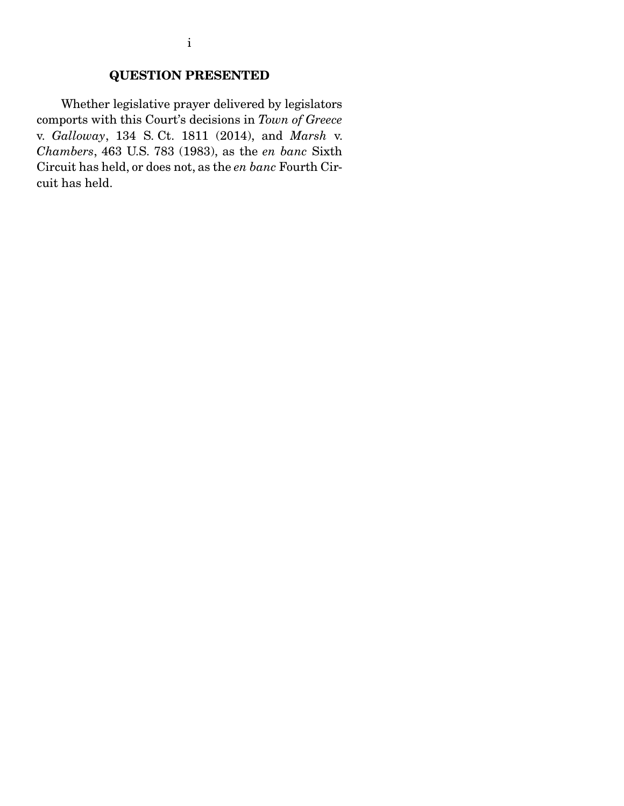## QUESTION PRESENTED

 Whether legislative prayer delivered by legislators comports with this Court's decisions in *Town of Greece* v. *Galloway*, 134 S. Ct. 1811 (2014), and *Marsh* v. *Chambers*, 463 U.S. 783 (1983), as the *en banc* Sixth Circuit has held, or does not, as the *en banc* Fourth Circuit has held.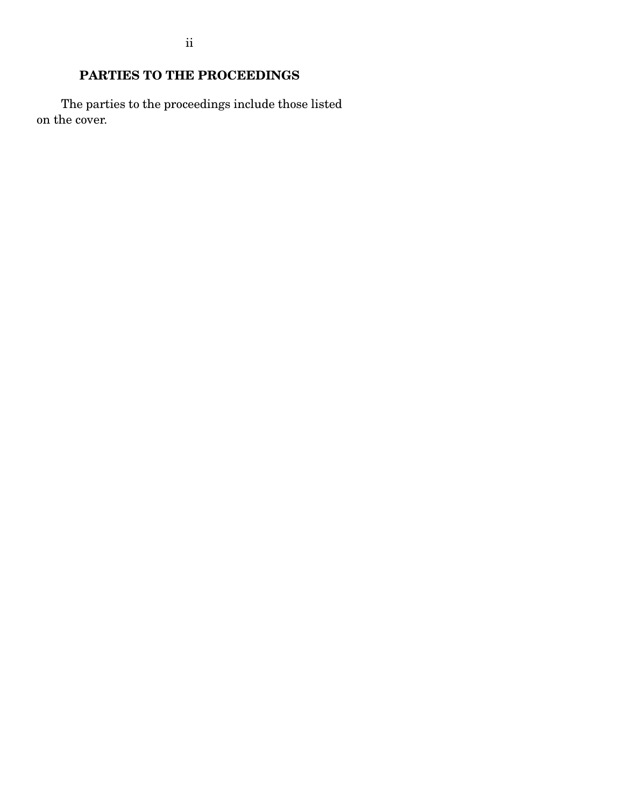## PARTIES TO THE PROCEEDINGS

 The parties to the proceedings include those listed on the cover.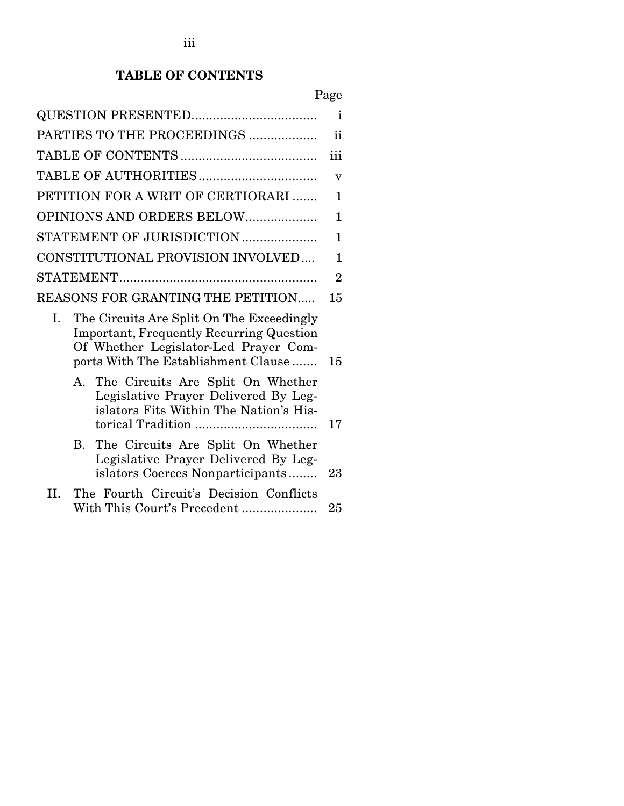## TABLE OF CONTENTS

# Page

|    |    |                                                                                                                                                                              | $\mathbf{i}$   |
|----|----|------------------------------------------------------------------------------------------------------------------------------------------------------------------------------|----------------|
|    |    | PARTIES TO THE PROCEEDINGS                                                                                                                                                   | $\mathbf{ii}$  |
|    |    |                                                                                                                                                                              | iii            |
|    |    |                                                                                                                                                                              | v              |
|    |    | PETITION FOR A WRIT OF CERTIORARI                                                                                                                                            | 1              |
|    |    | OPINIONS AND ORDERS BELOW                                                                                                                                                    | 1              |
|    |    | STATEMENT OF JURISDICTION                                                                                                                                                    | 1              |
|    |    | CONSTITUTIONAL PROVISION INVOLVED                                                                                                                                            | 1              |
|    |    |                                                                                                                                                                              | $\overline{2}$ |
|    |    | REASONS FOR GRANTING THE PETITION                                                                                                                                            | 15             |
| I. |    | The Circuits Are Split On The Exceedingly<br><b>Important, Frequently Recurring Question</b><br>Of Whether Legislator-Led Prayer Com-<br>ports With The Establishment Clause | 15             |
|    |    | A. The Circuits Are Split On Whether<br>Legislative Prayer Delivered By Leg-<br>islators Fits Within The Nation's His-                                                       | 17             |
|    | В. | The Circuits Are Split On Whether<br>Legislative Prayer Delivered By Leg-<br>islators Coerces Nonparticipants                                                                | 23             |
| H. |    | The Fourth Circuit's Decision Conflicts<br>With This Court's Precedent                                                                                                       | 25             |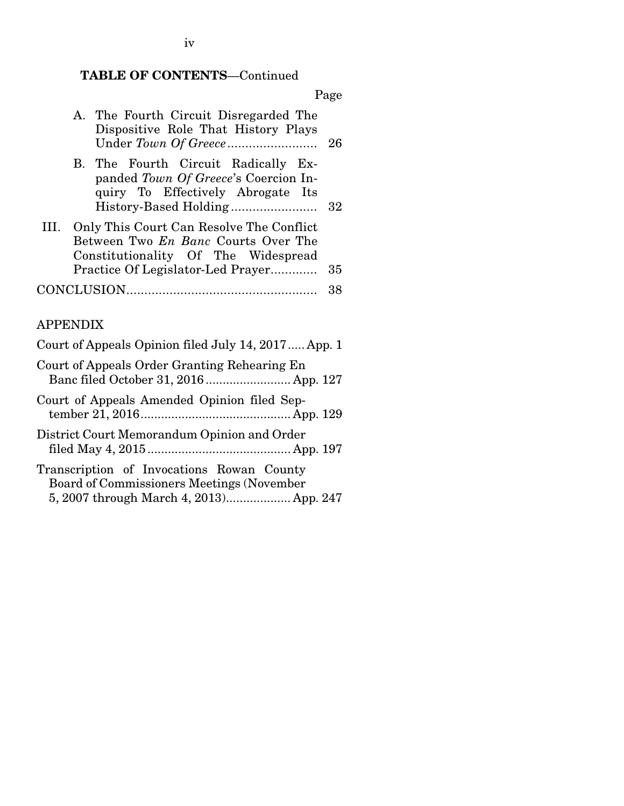## TABLE OF CONTENTS—Continued

|    |                                                                                                                                                                    | Page |
|----|--------------------------------------------------------------------------------------------------------------------------------------------------------------------|------|
|    | A. The Fourth Circuit Disregarded The<br>Dispositive Role That History Plays                                                                                       | 26   |
|    | B. The Fourth Circuit Radically Ex-<br>panded Town Of Greece's Coercion In-<br>quiry To Effectively Abrogate Its<br>History-Based Holding                          | 32   |
| Ш. | Only This Court Can Resolve The Conflict<br>Between Two <i>En Banc</i> Courts Over The<br>Constitutionality Of The Widespread<br>Practice Of Legislator-Led Prayer | 35   |
|    |                                                                                                                                                                    | 38   |

## APPENDIX

| Court of Appeals Opinion filed July 14, 2017 App. 1                                    |
|----------------------------------------------------------------------------------------|
| Court of Appeals Order Granting Rehearing En<br>Banc filed October 31, 2016 App. 127   |
| Court of Appeals Amended Opinion filed Sep-                                            |
| District Court Memorandum Opinion and Order                                            |
| Transcription of Invocations Rowan County<br>Board of Commissioners Meetings (November |

|  | 5, 2007 through March 4, 2013 App. 247 |  |
|--|----------------------------------------|--|

iv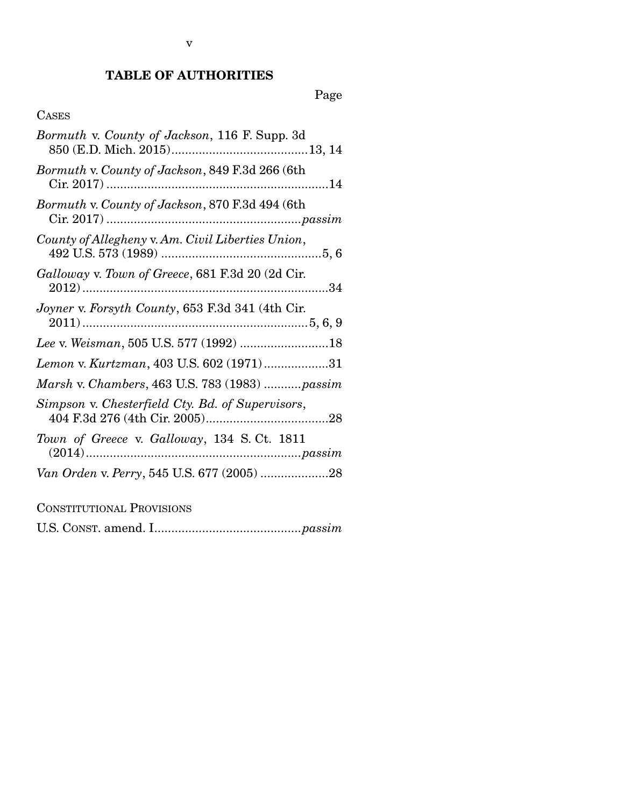## TABLE OF AUTHORITIES

Page

### CASES

| Bormuth v. County of Jackson, 116 F. Supp. 3d     |
|---------------------------------------------------|
| Bormuth v. County of Jackson, 849 F.3d 266 (6th   |
| Bormuth v. County of Jackson, 870 F.3d 494 (6th   |
| County of Allegheny v. Am. Civil Liberties Union, |
| Galloway v. Town of Greece, 681 F.3d 20 (2d Cir.  |
| Joyner v. Forsyth County, 653 F.3d 341 (4th Cir.  |
|                                                   |
| Lemon v. Kurtzman, 403 U.S. 602 (1971)31          |
| Marsh v. Chambers, 463 U.S. 783 (1983)  passim    |
| Simpson v. Chesterfield Cty. Bd. of Supervisors,  |
| Town of Greece v. Galloway, 134 S.Ct. 1811        |
|                                                   |

CONSTITUTIONAL PROVISIONS

U.S. CONST. amend. I ........................................... *passim*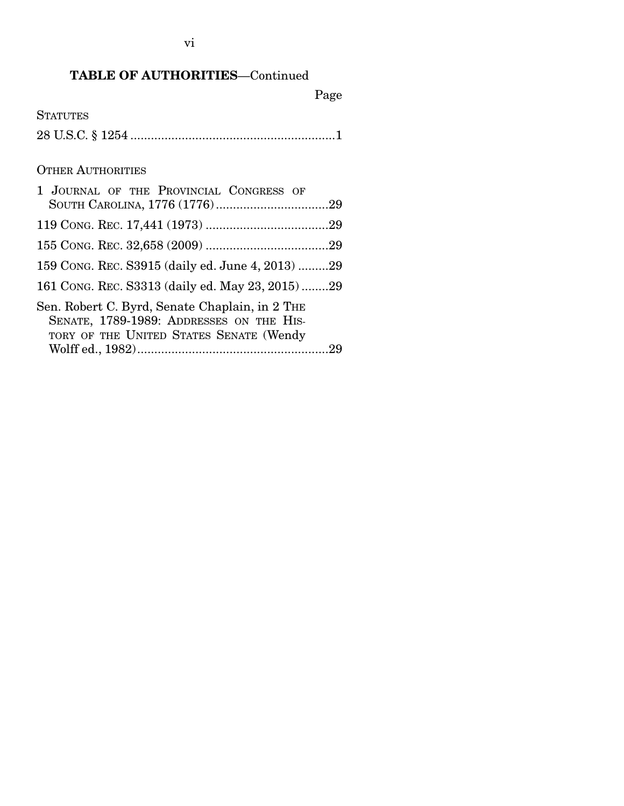## TABLE OF AUTHORITIES—Continued

Page

**STATUTES** 28 U.S.C. § 1254 ............................................................ 1

### OTHER AUTHORITIES

| 1 JOURNAL OF THE PROVINCIAL CONGRESS OF                                                                                               |
|---------------------------------------------------------------------------------------------------------------------------------------|
|                                                                                                                                       |
|                                                                                                                                       |
| 159 CONG. REC. S3915 (daily ed. June 4, 2013) 29                                                                                      |
| 161 CONG. REC. S3313 (daily ed. May 23, 2015)29                                                                                       |
| Sen. Robert C. Byrd, Senate Chaplain, in 2 THE<br>SENATE, 1789-1989: ADDRESSES ON THE HIS-<br>TORY OF THE UNITED STATES SENATE (Wendy |
|                                                                                                                                       |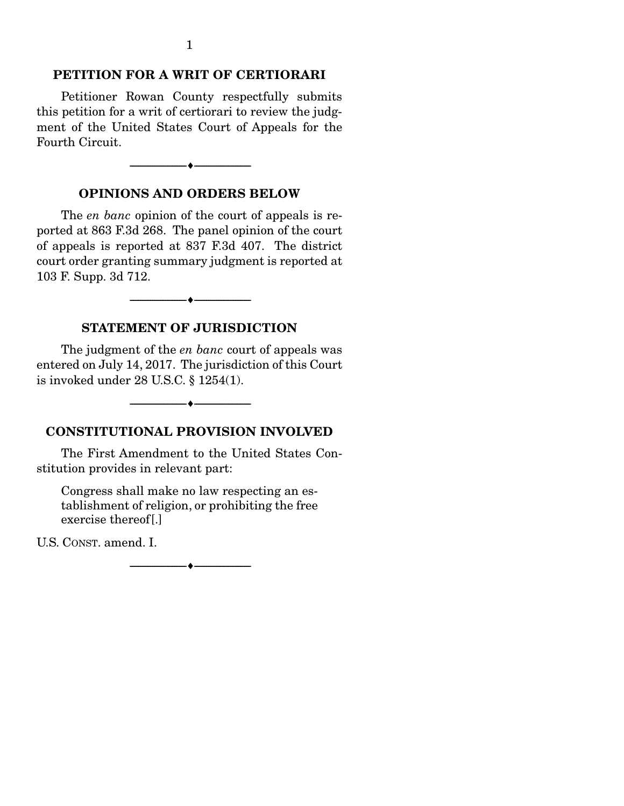#### PETITION FOR A WRIT OF CERTIORARI

 Petitioner Rowan County respectfully submits this petition for a writ of certiorari to review the judgment of the United States Court of Appeals for the Fourth Circuit.

# OPINIONS AND ORDERS BELOW

 $\bullet$   $-$ 

 The *en banc* opinion of the court of appeals is reported at 863 F.3d 268. The panel opinion of the court of appeals is reported at 837 F.3d 407. The district court order granting summary judgment is reported at 103 F. Supp. 3d 712.

 $-\bullet$   $-$ 

#### STATEMENT OF JURISDICTION

 The judgment of the *en banc* court of appeals was entered on July 14, 2017. The jurisdiction of this Court is invoked under 28 U.S.C. § 1254(1).

#### CONSTITUTIONAL PROVISION INVOLVED

--------------------------------- ---------------------------------

 The First Amendment to the United States Constitution provides in relevant part:

Congress shall make no law respecting an establishment of religion, or prohibiting the free exercise thereof[.]

U.S. CONST. amend. I.

--------------------------------- ---------------------------------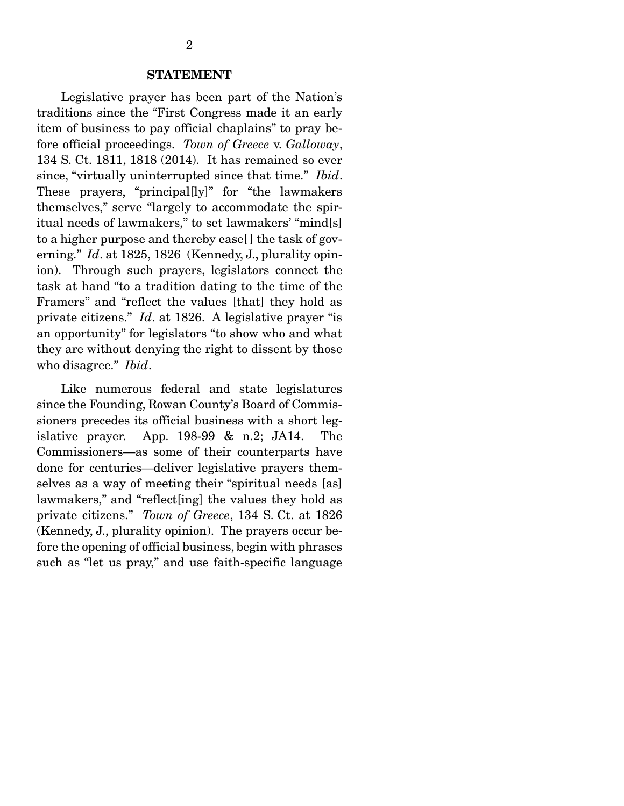#### STATEMENT

 Legislative prayer has been part of the Nation's traditions since the "First Congress made it an early item of business to pay official chaplains" to pray before official proceedings. *Town of Greece* v. *Galloway*, 134 S. Ct. 1811, 1818 (2014). It has remained so ever since, "virtually uninterrupted since that time." *Ibid*. These prayers, "principal[ly]" for "the lawmakers themselves," serve "largely to accommodate the spiritual needs of lawmakers," to set lawmakers' "mind[s] to a higher purpose and thereby ease[ ] the task of governing." *Id*. at 1825, 1826 (Kennedy, J., plurality opinion). Through such prayers, legislators connect the task at hand "to a tradition dating to the time of the Framers" and "reflect the values [that] they hold as private citizens." *Id*. at 1826. A legislative prayer "is an opportunity" for legislators "to show who and what they are without denying the right to dissent by those who disagree." *Ibid*.

 Like numerous federal and state legislatures since the Founding, Rowan County's Board of Commissioners precedes its official business with a short legislative prayer. App. 198-99 & n.2; JA14. The Commissioners—as some of their counterparts have done for centuries—deliver legislative prayers themselves as a way of meeting their "spiritual needs [as] lawmakers," and "reflect[ing] the values they hold as private citizens." *Town of Greece*, 134 S. Ct. at 1826 (Kennedy, J., plurality opinion). The prayers occur before the opening of official business, begin with phrases such as "let us pray," and use faith-specific language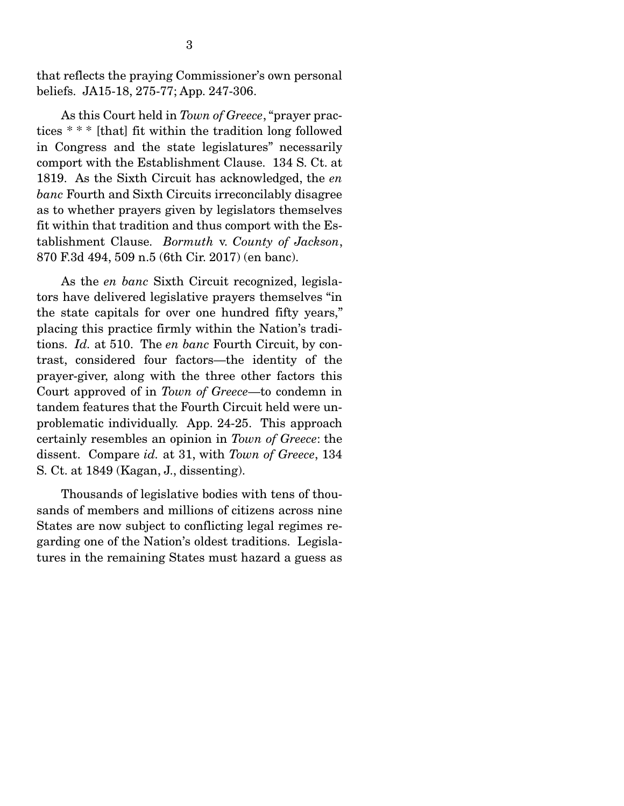that reflects the praying Commissioner's own personal beliefs. JA15-18, 275-77; App. 247-306.

 As this Court held in *Town of Greece*, "prayer practices \* \* \* [that] fit within the tradition long followed in Congress and the state legislatures" necessarily comport with the Establishment Clause. 134 S. Ct. at 1819. As the Sixth Circuit has acknowledged, the *en banc* Fourth and Sixth Circuits irreconcilably disagree as to whether prayers given by legislators themselves fit within that tradition and thus comport with the Establishment Clause. *Bormuth* v. *County of Jackson*, 870 F.3d 494, 509 n.5 (6th Cir. 2017) (en banc).

 As the *en banc* Sixth Circuit recognized, legislators have delivered legislative prayers themselves "in the state capitals for over one hundred fifty years," placing this practice firmly within the Nation's traditions. *Id.* at 510. The *en banc* Fourth Circuit, by contrast, considered four factors—the identity of the prayer-giver, along with the three other factors this Court approved of in *Town of Greece*—to condemn in tandem features that the Fourth Circuit held were unproblematic individually. App. 24-25. This approach certainly resembles an opinion in *Town of Greece*: the dissent. Compare *id.* at 31, with *Town of Greece*, 134 S. Ct. at 1849 (Kagan, J., dissenting).

 Thousands of legislative bodies with tens of thousands of members and millions of citizens across nine States are now subject to conflicting legal regimes regarding one of the Nation's oldest traditions. Legislatures in the remaining States must hazard a guess as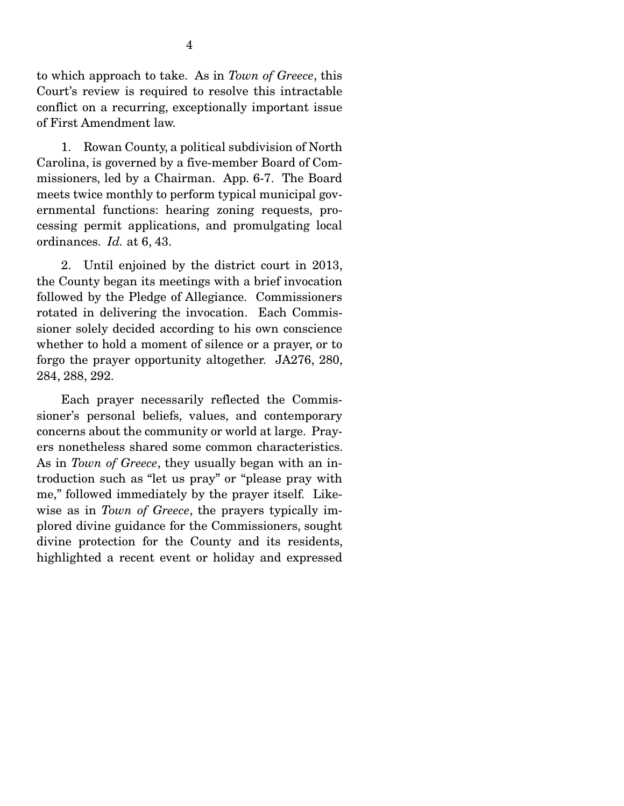to which approach to take. As in *Town of Greece*, this Court's review is required to resolve this intractable conflict on a recurring, exceptionally important issue of First Amendment law.

 1. Rowan County, a political subdivision of North Carolina, is governed by a five-member Board of Commissioners, led by a Chairman. App. 6-7. The Board meets twice monthly to perform typical municipal governmental functions: hearing zoning requests, processing permit applications, and promulgating local ordinances. *Id.* at 6, 43.

 2. Until enjoined by the district court in 2013, the County began its meetings with a brief invocation followed by the Pledge of Allegiance. Commissioners rotated in delivering the invocation. Each Commissioner solely decided according to his own conscience whether to hold a moment of silence or a prayer, or to forgo the prayer opportunity altogether. JA276, 280, 284, 288, 292.

 Each prayer necessarily reflected the Commissioner's personal beliefs, values, and contemporary concerns about the community or world at large. Prayers nonetheless shared some common characteristics. As in *Town of Greece*, they usually began with an introduction such as "let us pray" or "please pray with me," followed immediately by the prayer itself. Likewise as in *Town of Greece*, the prayers typically implored divine guidance for the Commissioners, sought divine protection for the County and its residents, highlighted a recent event or holiday and expressed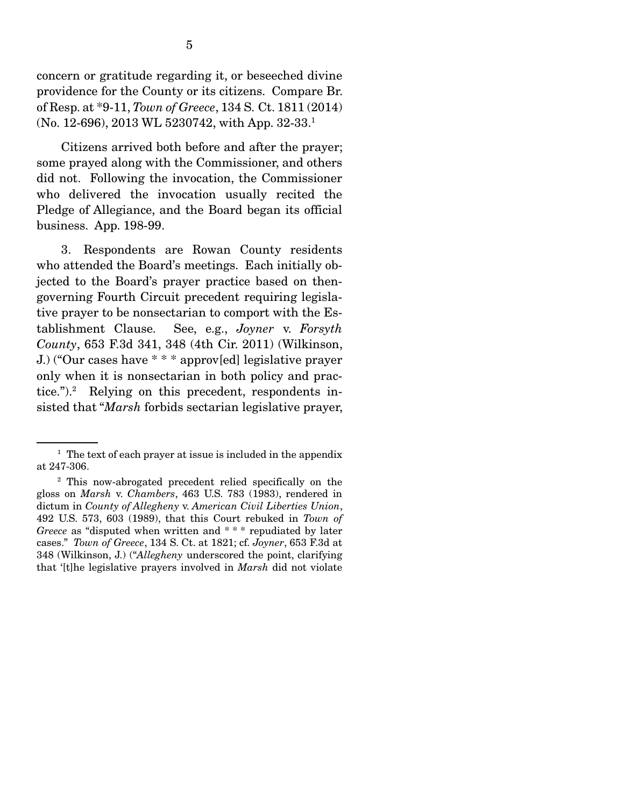concern or gratitude regarding it, or beseeched divine providence for the County or its citizens. Compare Br. of Resp. at \*9-11, *Town of Greece*, 134 S. Ct. 1811 (2014) (No. 12-696), 2013 WL 5230742, with App. 32-33.1

 Citizens arrived both before and after the prayer; some prayed along with the Commissioner, and others did not. Following the invocation, the Commissioner who delivered the invocation usually recited the Pledge of Allegiance, and the Board began its official business. App. 198-99.

 3. Respondents are Rowan County residents who attended the Board's meetings. Each initially objected to the Board's prayer practice based on thengoverning Fourth Circuit precedent requiring legislative prayer to be nonsectarian to comport with the Establishment Clause. See, e.g., *Joyner* v. *Forsyth County*, 653 F.3d 341, 348 (4th Cir. 2011) (Wilkinson, J.) ("Our cases have \* \* \* approv[ed] legislative prayer only when it is nonsectarian in both policy and practice.").<sup>2</sup> Relying on this precedent, respondents insisted that "*Marsh* forbids sectarian legislative prayer,

<sup>&</sup>lt;sup>1</sup> The text of each prayer at issue is included in the appendix at 247-306.

<sup>2</sup> This now-abrogated precedent relied specifically on the gloss on *Marsh* v. *Chambers*, 463 U.S. 783 (1983), rendered in dictum in *County of Allegheny* v. *American Civil Liberties Union*, 492 U.S. 573, 603 (1989), that this Court rebuked in *Town of Greece* as "disputed when written and \* \* \* repudiated by later cases." *Town of Greece*, 134 S. Ct. at 1821; cf. *Joyner*, 653 F.3d at 348 (Wilkinson, J.) ("*Allegheny* underscored the point, clarifying that '[t]he legislative prayers involved in *Marsh* did not violate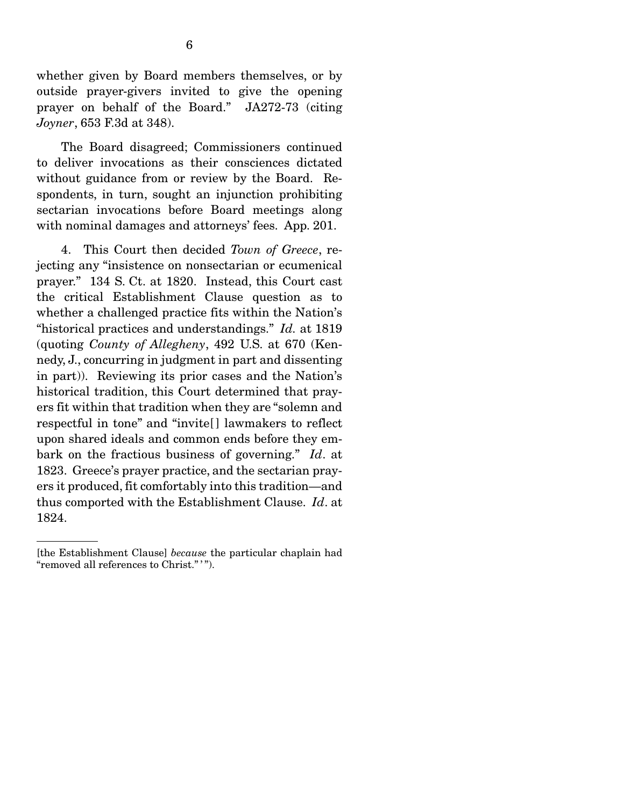whether given by Board members themselves, or by outside prayer-givers invited to give the opening prayer on behalf of the Board." JA272-73 (citing *Joyner*, 653 F.3d at 348).

 The Board disagreed; Commissioners continued to deliver invocations as their consciences dictated without guidance from or review by the Board. Respondents, in turn, sought an injunction prohibiting sectarian invocations before Board meetings along with nominal damages and attorneys' fees. App. 201.

 4. This Court then decided *Town of Greece*, rejecting any "insistence on nonsectarian or ecumenical prayer." 134 S. Ct. at 1820. Instead, this Court cast the critical Establishment Clause question as to whether a challenged practice fits within the Nation's "historical practices and understandings." *Id.* at 1819 (quoting *County of Allegheny*, 492 U.S. at 670 (Kennedy, J., concurring in judgment in part and dissenting in part)). Reviewing its prior cases and the Nation's historical tradition, this Court determined that prayers fit within that tradition when they are "solemn and respectful in tone" and "invite[ ] lawmakers to reflect upon shared ideals and common ends before they embark on the fractious business of governing." *Id*. at 1823. Greece's prayer practice, and the sectarian prayers it produced, fit comfortably into this tradition—and thus comported with the Establishment Clause. *Id*. at 1824.

<sup>[</sup>the Establishment Clause] *because* the particular chaplain had "removed all references to Christ.""".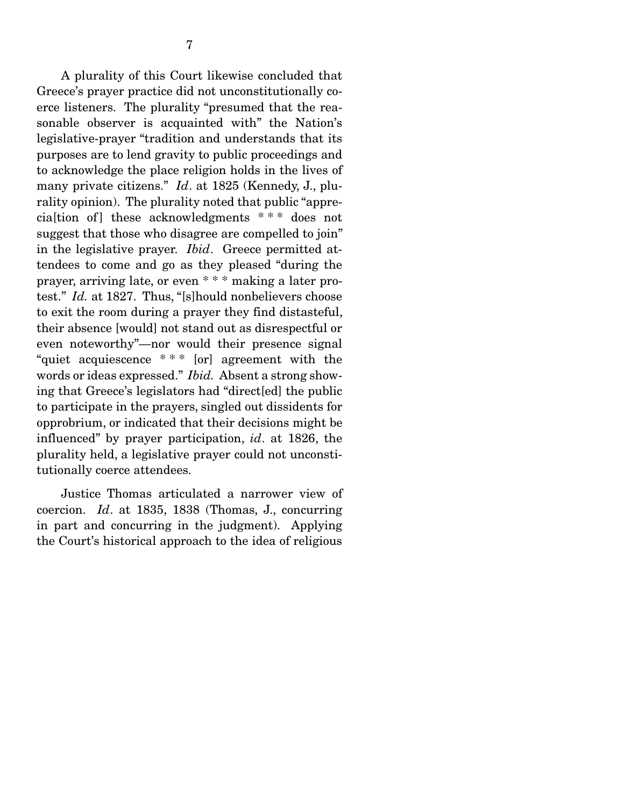A plurality of this Court likewise concluded that Greece's prayer practice did not unconstitutionally coerce listeners. The plurality "presumed that the reasonable observer is acquainted with" the Nation's legislative-prayer "tradition and understands that its purposes are to lend gravity to public proceedings and to acknowledge the place religion holds in the lives of many private citizens." *Id*. at 1825 (Kennedy, J., plurality opinion). The plurality noted that public "apprecialtion of ] these acknowledgments \*\*\* does not suggest that those who disagree are compelled to join" in the legislative prayer. *Ibid*. Greece permitted attendees to come and go as they pleased "during the prayer, arriving late, or even \* \* \* making a later protest." *Id.* at 1827. Thus, "[s]hould nonbelievers choose to exit the room during a prayer they find distasteful, their absence [would] not stand out as disrespectful or even noteworthy"—nor would their presence signal "quiet acquiescence \* \* \* [or] agreement with the words or ideas expressed." *Ibid.* Absent a strong showing that Greece's legislators had "direct[ed] the public to participate in the prayers, singled out dissidents for opprobrium, or indicated that their decisions might be influenced" by prayer participation, *id*. at 1826, the plurality held, a legislative prayer could not unconstitutionally coerce attendees.

 Justice Thomas articulated a narrower view of coercion. *Id*. at 1835, 1838 (Thomas, J., concurring in part and concurring in the judgment). Applying the Court's historical approach to the idea of religious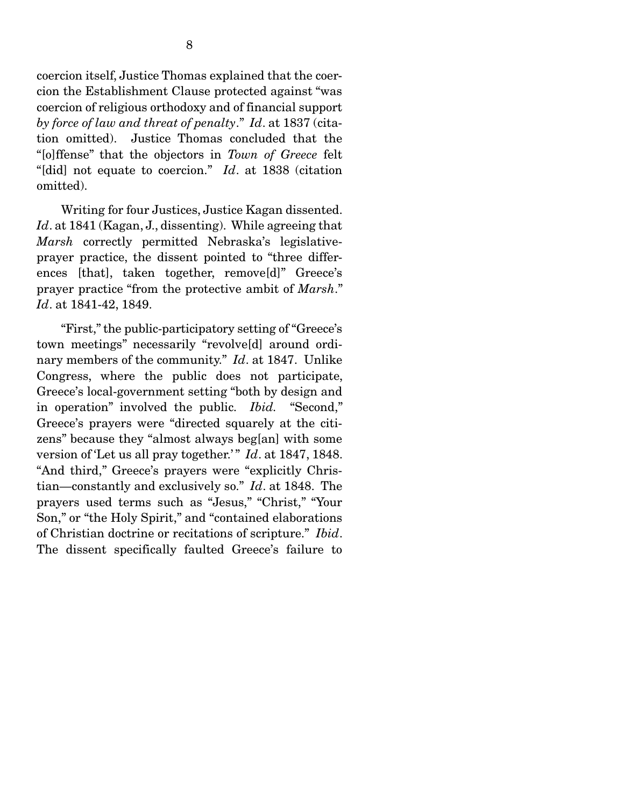coercion itself, Justice Thomas explained that the coercion the Establishment Clause protected against "was coercion of religious orthodoxy and of financial support *by force of law and threat of penalty*." *Id*. at 1837 (citation omitted). Justice Thomas concluded that the "[o]ffense" that the objectors in *Town of Greece* felt "[did] not equate to coercion." *Id*. at 1838 (citation omitted).

 Writing for four Justices, Justice Kagan dissented. *Id*. at 1841 (Kagan, J., dissenting). While agreeing that *Marsh* correctly permitted Nebraska's legislativeprayer practice, the dissent pointed to "three differences [that], taken together, remove[d]" Greece's prayer practice "from the protective ambit of *Marsh*." *Id*. at 1841-42, 1849.

 "First," the public-participatory setting of "Greece's town meetings" necessarily "revolve[d] around ordinary members of the community." *Id*. at 1847. Unlike Congress, where the public does not participate, Greece's local-government setting "both by design and in operation" involved the public. *Ibid.* "Second," Greece's prayers were "directed squarely at the citizens" because they "almost always beg[an] with some version of 'Let us all pray together.'" *Id.* at 1847, 1848. "And third," Greece's prayers were "explicitly Christian—constantly and exclusively so." *Id*. at 1848. The prayers used terms such as "Jesus," "Christ," "Your Son," or "the Holy Spirit," and "contained elaborations of Christian doctrine or recitations of scripture." *Ibid*. The dissent specifically faulted Greece's failure to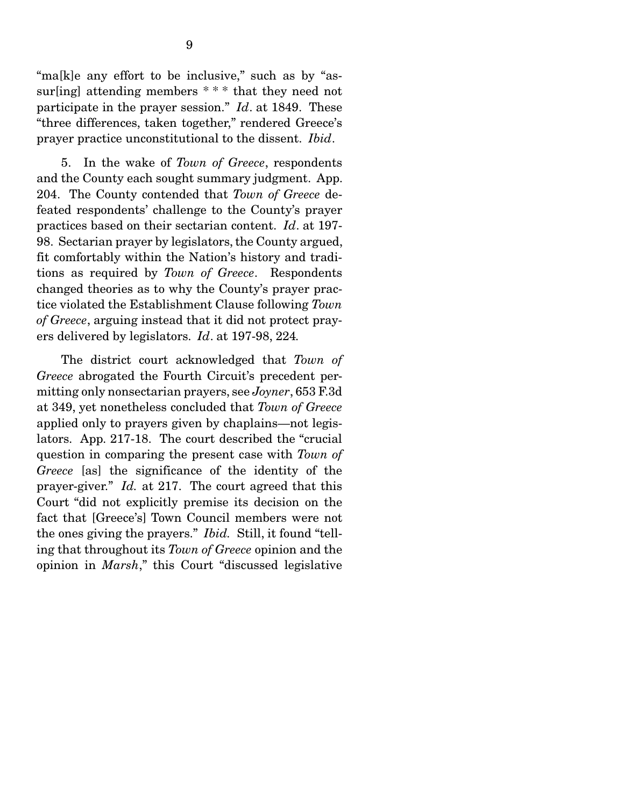"ma[k]e any effort to be inclusive," such as by "assur[ing] attending members  $***$  that they need not participate in the prayer session." *Id*. at 1849. These "three differences, taken together," rendered Greece's prayer practice unconstitutional to the dissent. *Ibid*.

 5. In the wake of *Town of Greece*, respondents and the County each sought summary judgment. App. 204. The County contended that *Town of Greece* defeated respondents' challenge to the County's prayer practices based on their sectarian content. *Id*. at 197- 98. Sectarian prayer by legislators, the County argued, fit comfortably within the Nation's history and traditions as required by *Town of Greece*. Respondents changed theories as to why the County's prayer practice violated the Establishment Clause following *Town of Greece*, arguing instead that it did not protect prayers delivered by legislators. *Id*. at 197-98, 224*.*

 The district court acknowledged that *Town of Greece* abrogated the Fourth Circuit's precedent permitting only nonsectarian prayers, see *Joyner*, 653 F.3d at 349, yet nonetheless concluded that *Town of Greece* applied only to prayers given by chaplains—not legislators. App. 217-18. The court described the "crucial question in comparing the present case with *Town of Greece* [as] the significance of the identity of the prayer-giver." *Id.* at 217. The court agreed that this Court "did not explicitly premise its decision on the fact that [Greece's] Town Council members were not the ones giving the prayers." *Ibid.* Still, it found "telling that throughout its *Town of Greece* opinion and the opinion in *Marsh*," this Court "discussed legislative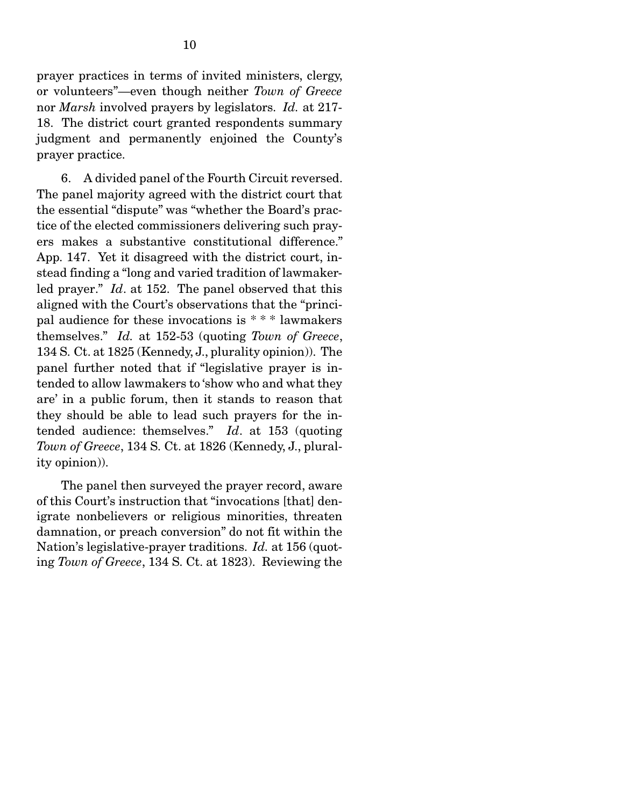prayer practices in terms of invited ministers, clergy, or volunteers"—even though neither *Town of Greece* nor *Marsh* involved prayers by legislators. *Id.* at 217- 18. The district court granted respondents summary judgment and permanently enjoined the County's prayer practice.

 6. A divided panel of the Fourth Circuit reversed. The panel majority agreed with the district court that the essential "dispute" was "whether the Board's practice of the elected commissioners delivering such prayers makes a substantive constitutional difference." App. 147. Yet it disagreed with the district court, instead finding a "long and varied tradition of lawmakerled prayer." *Id*. at 152. The panel observed that this aligned with the Court's observations that the "principal audience for these invocations is \* \* \* lawmakers themselves." *Id.* at 152-53 (quoting *Town of Greece*, 134 S. Ct. at 1825 (Kennedy, J., plurality opinion)). The panel further noted that if "legislative prayer is intended to allow lawmakers to 'show who and what they are' in a public forum, then it stands to reason that they should be able to lead such prayers for the intended audience: themselves." *Id*. at 153 (quoting *Town of Greece*, 134 S. Ct. at 1826 (Kennedy, J., plurality opinion)).

 The panel then surveyed the prayer record, aware of this Court's instruction that "invocations [that] denigrate nonbelievers or religious minorities, threaten damnation, or preach conversion" do not fit within the Nation's legislative-prayer traditions. *Id.* at 156 (quoting *Town of Greece*, 134 S. Ct. at 1823). Reviewing the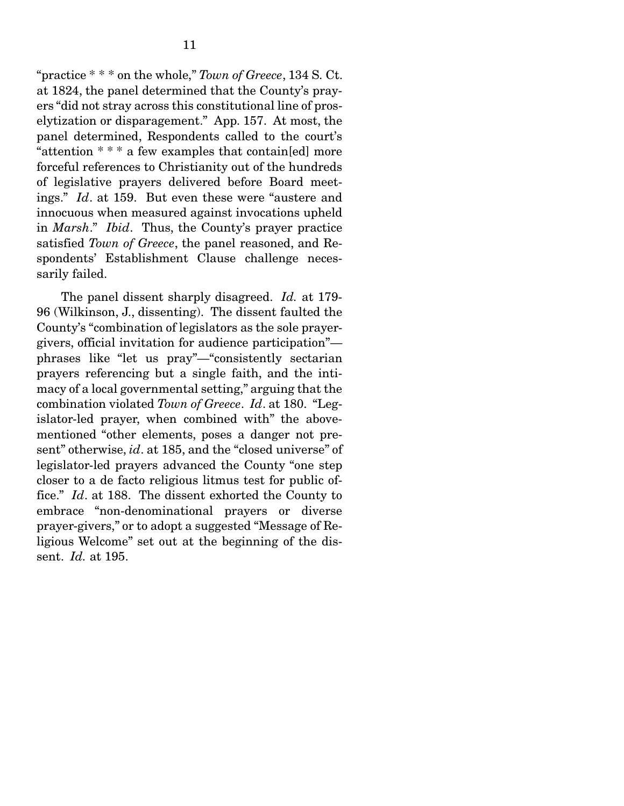"practice \* \* \* on the whole," *Town of Greece*, 134 S. Ct. at 1824, the panel determined that the County's prayers "did not stray across this constitutional line of proselytization or disparagement." App. 157. At most, the panel determined, Respondents called to the court's "attention \* \* \* a few examples that contain[ed] more forceful references to Christianity out of the hundreds of legislative prayers delivered before Board meetings." *Id*. at 159. But even these were "austere and innocuous when measured against invocations upheld in *Marsh*." *Ibid*. Thus, the County's prayer practice satisfied *Town of Greece*, the panel reasoned, and Respondents' Establishment Clause challenge necessarily failed.

 The panel dissent sharply disagreed. *Id.* at 179- 96 (Wilkinson, J., dissenting). The dissent faulted the County's "combination of legislators as the sole prayergivers, official invitation for audience participation" phrases like "let us pray"—"consistently sectarian prayers referencing but a single faith, and the intimacy of a local governmental setting," arguing that the combination violated *Town of Greece*. *Id*. at 180. "Legislator-led prayer, when combined with" the abovementioned "other elements, poses a danger not present" otherwise, *id*. at 185, and the "closed universe" of legislator-led prayers advanced the County "one step closer to a de facto religious litmus test for public office." *Id*. at 188. The dissent exhorted the County to embrace "non-denominational prayers or diverse prayer-givers," or to adopt a suggested "Message of Religious Welcome" set out at the beginning of the dissent. *Id.* at 195.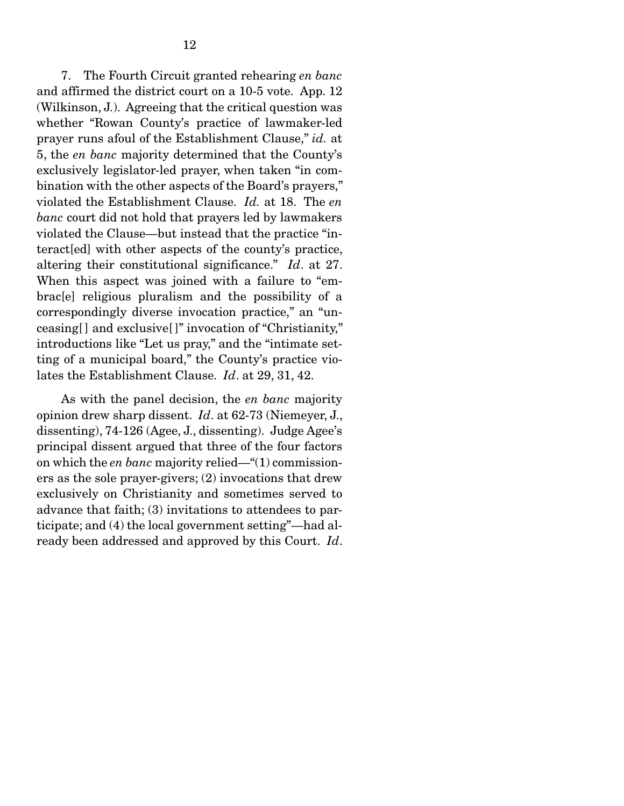7. The Fourth Circuit granted rehearing *en banc* and affirmed the district court on a 10-5 vote. App. 12 (Wilkinson, J.). Agreeing that the critical question was whether "Rowan County's practice of lawmaker-led prayer runs afoul of the Establishment Clause," *id.* at 5, the *en banc* majority determined that the County's exclusively legislator-led prayer, when taken "in combination with the other aspects of the Board's prayers," violated the Establishment Clause. *Id.* at 18. The *en banc* court did not hold that prayers led by lawmakers violated the Clause—but instead that the practice "interact[ed] with other aspects of the county's practice, altering their constitutional significance." *Id*. at 27. When this aspect was joined with a failure to "embrac[e] religious pluralism and the possibility of a correspondingly diverse invocation practice," an "unceasing[] and exclusive[]" invocation of "Christianity," introductions like "Let us pray," and the "intimate setting of a municipal board," the County's practice violates the Establishment Clause. *Id*. at 29, 31, 42.

 As with the panel decision, the *en banc* majority opinion drew sharp dissent. *Id*. at 62-73 (Niemeyer, J., dissenting), 74-126 (Agee, J., dissenting). Judge Agee's principal dissent argued that three of the four factors on which the *en banc* majority relied—"(1) commissioners as the sole prayer-givers; (2) invocations that drew exclusively on Christianity and sometimes served to advance that faith; (3) invitations to attendees to participate; and (4) the local government setting"—had already been addressed and approved by this Court. *Id*.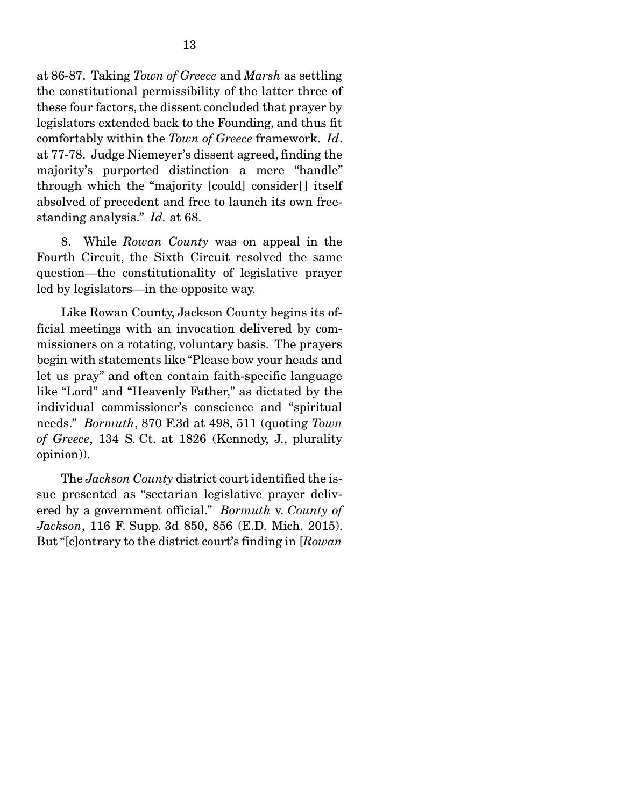at 86-87. Taking *Town of Greece* and *Marsh* as settling the constitutional permissibility of the latter three of these four factors, the dissent concluded that prayer by legislators extended back to the Founding, and thus fit comfortably within the *Town of Greece* framework. *Id*. at 77-78. Judge Niemeyer's dissent agreed, finding the majority's purported distinction a mere "handle" through which the "majority [could] consider[ ] itself absolved of precedent and free to launch its own freestanding analysis." *Id.* at 68.

 8. While *Rowan County* was on appeal in the Fourth Circuit, the Sixth Circuit resolved the same question—the constitutionality of legislative prayer led by legislators—in the opposite way.

 Like Rowan County, Jackson County begins its official meetings with an invocation delivered by commissioners on a rotating, voluntary basis. The prayers begin with statements like "Please bow your heads and let us pray" and often contain faith-specific language like "Lord" and "Heavenly Father," as dictated by the individual commissioner's conscience and "spiritual needs." *Bormuth*, 870 F.3d at 498, 511 (quoting *Town of Greece*, 134 S. Ct. at 1826 (Kennedy, J., plurality opinion)).

 The *Jackson County* district court identified the issue presented as "sectarian legislative prayer delivered by a government official." *Bormuth* v. *County of Jackson*, 116 F. Supp. 3d 850, 856 (E.D. Mich. 2015). But "[c]ontrary to the district court's finding in [*Rowan*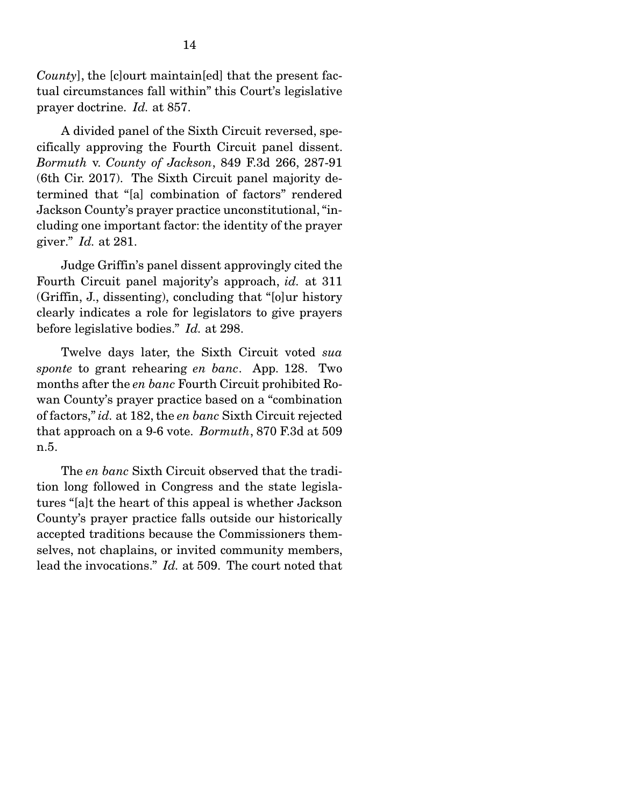*County*], the [c]ourt maintain[ed] that the present factual circumstances fall within" this Court's legislative prayer doctrine. *Id.* at 857.

 A divided panel of the Sixth Circuit reversed, specifically approving the Fourth Circuit panel dissent. *Bormuth* v. *County of Jackson*, 849 F.3d 266, 287-91 (6th Cir. 2017). The Sixth Circuit panel majority determined that "[a] combination of factors" rendered Jackson County's prayer practice unconstitutional, "including one important factor: the identity of the prayer giver." *Id.* at 281.

 Judge Griffin's panel dissent approvingly cited the Fourth Circuit panel majority's approach, *id.* at 311 (Griffin, J., dissenting), concluding that "[o]ur history clearly indicates a role for legislators to give prayers before legislative bodies." *Id.* at 298.

 Twelve days later, the Sixth Circuit voted *sua sponte* to grant rehearing *en banc*. App. 128. Two months after the *en banc* Fourth Circuit prohibited Rowan County's prayer practice based on a "combination of factors," *id.* at 182, the *en banc* Sixth Circuit rejected that approach on a 9-6 vote. *Bormuth*, 870 F.3d at 509 n.5.

 The *en banc* Sixth Circuit observed that the tradition long followed in Congress and the state legislatures "[a]t the heart of this appeal is whether Jackson County's prayer practice falls outside our historically accepted traditions because the Commissioners themselves, not chaplains, or invited community members, lead the invocations." *Id.* at 509. The court noted that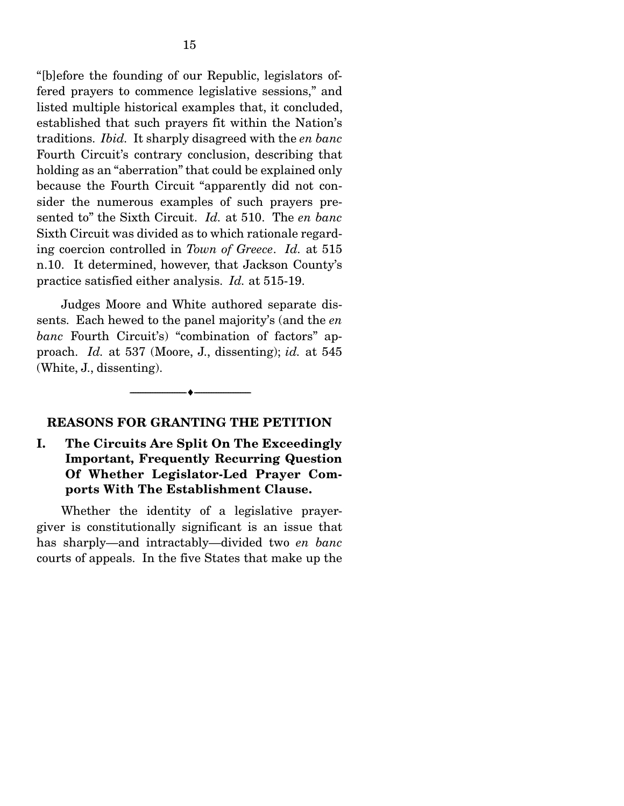"[b]efore the founding of our Republic, legislators offered prayers to commence legislative sessions," and listed multiple historical examples that, it concluded, established that such prayers fit within the Nation's traditions. *Ibid.* It sharply disagreed with the *en banc* Fourth Circuit's contrary conclusion, describing that holding as an "aberration" that could be explained only because the Fourth Circuit "apparently did not consider the numerous examples of such prayers presented to" the Sixth Circuit. *Id.* at 510. The *en banc* Sixth Circuit was divided as to which rationale regarding coercion controlled in *Town of Greece*. *Id.* at 515 n.10. It determined, however, that Jackson County's practice satisfied either analysis. *Id.* at 515-19.

 Judges Moore and White authored separate dissents. Each hewed to the panel majority's (and the *en banc* Fourth Circuit's) "combination of factors" approach. *Id.* at 537 (Moore, J., dissenting); *id.* at 545 (White, J., dissenting).

--------------------------------- ---------------------------------

#### REASONS FOR GRANTING THE PETITION

I. The Circuits Are Split On The Exceedingly Important, Frequently Recurring Question Of Whether Legislator-Led Prayer Comports With The Establishment Clause.

 Whether the identity of a legislative prayergiver is constitutionally significant is an issue that has sharply—and intractably—divided two *en banc* courts of appeals. In the five States that make up the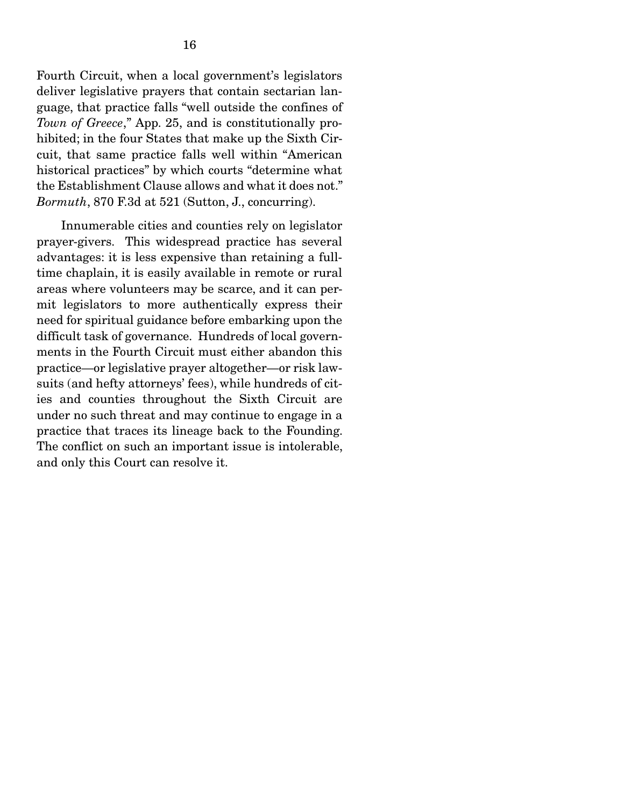Fourth Circuit, when a local government's legislators deliver legislative prayers that contain sectarian language, that practice falls "well outside the confines of *Town of Greece*," App. 25, and is constitutionally prohibited; in the four States that make up the Sixth Circuit, that same practice falls well within "American historical practices" by which courts "determine what the Establishment Clause allows and what it does not." *Bormuth*, 870 F.3d at 521 (Sutton, J., concurring).

 Innumerable cities and counties rely on legislator prayer-givers. This widespread practice has several advantages: it is less expensive than retaining a fulltime chaplain, it is easily available in remote or rural areas where volunteers may be scarce, and it can permit legislators to more authentically express their need for spiritual guidance before embarking upon the difficult task of governance. Hundreds of local governments in the Fourth Circuit must either abandon this practice—or legislative prayer altogether—or risk lawsuits (and hefty attorneys' fees), while hundreds of cities and counties throughout the Sixth Circuit are under no such threat and may continue to engage in a practice that traces its lineage back to the Founding. The conflict on such an important issue is intolerable, and only this Court can resolve it.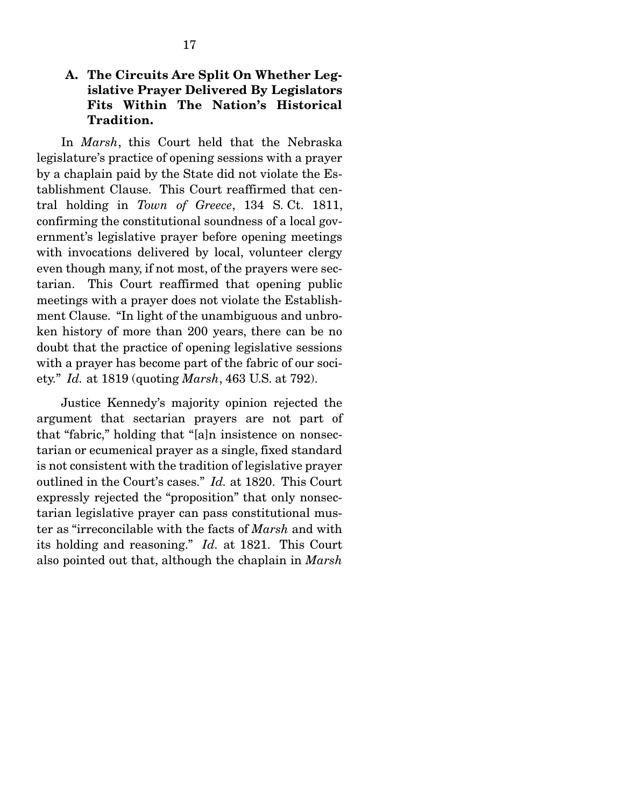### A. The Circuits Are Split On Whether Legislative Prayer Delivered By Legislators Fits Within The Nation's Historical Tradition.

 In *Marsh*, this Court held that the Nebraska legislature's practice of opening sessions with a prayer by a chaplain paid by the State did not violate the Establishment Clause. This Court reaffirmed that central holding in *Town of Greece*, 134 S. Ct. 1811, confirming the constitutional soundness of a local government's legislative prayer before opening meetings with invocations delivered by local, volunteer clergy even though many, if not most, of the prayers were sectarian. This Court reaffirmed that opening public meetings with a prayer does not violate the Establishment Clause. "In light of the unambiguous and unbroken history of more than 200 years, there can be no doubt that the practice of opening legislative sessions with a prayer has become part of the fabric of our society." *Id.* at 1819 (quoting *Marsh*, 463 U.S. at 792).

 Justice Kennedy's majority opinion rejected the argument that sectarian prayers are not part of that "fabric," holding that "[a]n insistence on nonsectarian or ecumenical prayer as a single, fixed standard is not consistent with the tradition of legislative prayer outlined in the Court's cases." *Id.* at 1820. This Court expressly rejected the "proposition" that only nonsectarian legislative prayer can pass constitutional muster as "irreconcilable with the facts of *Marsh* and with its holding and reasoning." *Id.* at 1821. This Court also pointed out that, although the chaplain in *Marsh*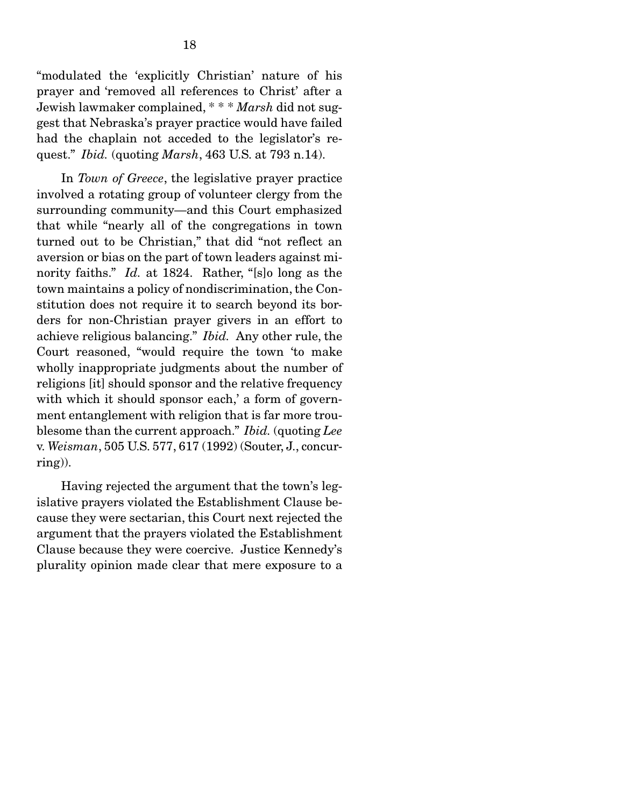"modulated the 'explicitly Christian' nature of his prayer and 'removed all references to Christ' after a Jewish lawmaker complained, \* \* \* *Marsh* did not suggest that Nebraska's prayer practice would have failed had the chaplain not acceded to the legislator's request." *Ibid.* (quoting *Marsh*, 463 U.S. at 793 n.14).

 In *Town of Greece*, the legislative prayer practice involved a rotating group of volunteer clergy from the surrounding community—and this Court emphasized that while "nearly all of the congregations in town turned out to be Christian," that did "not reflect an aversion or bias on the part of town leaders against minority faiths." *Id.* at 1824. Rather, "[s]o long as the town maintains a policy of nondiscrimination, the Constitution does not require it to search beyond its borders for non-Christian prayer givers in an effort to achieve religious balancing." *Ibid.* Any other rule, the Court reasoned, "would require the town 'to make wholly inappropriate judgments about the number of religions [it] should sponsor and the relative frequency with which it should sponsor each,' a form of government entanglement with religion that is far more troublesome than the current approach." *Ibid.* (quoting *Lee*  v. *Weisman*, 505 U.S. 577, 617 (1992) (Souter, J., concurring)).

 Having rejected the argument that the town's legislative prayers violated the Establishment Clause because they were sectarian, this Court next rejected the argument that the prayers violated the Establishment Clause because they were coercive. Justice Kennedy's plurality opinion made clear that mere exposure to a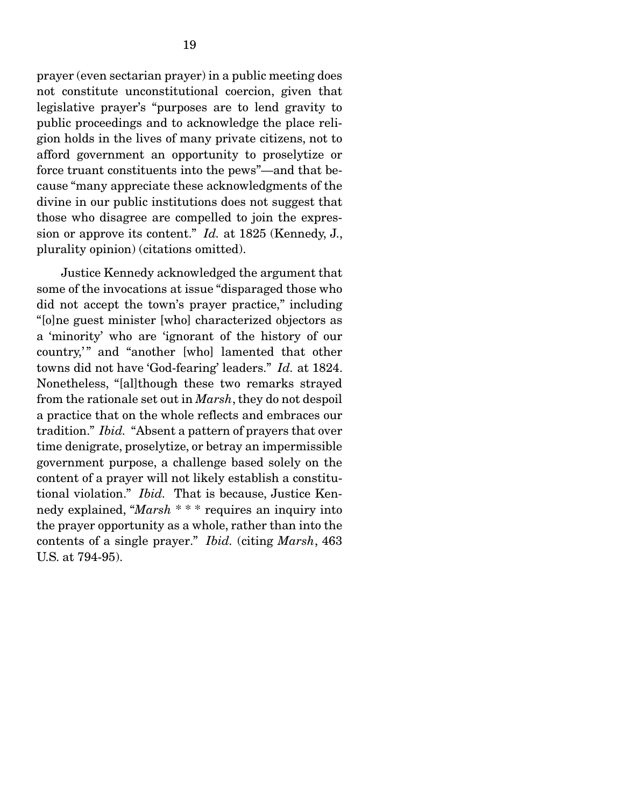prayer (even sectarian prayer) in a public meeting does not constitute unconstitutional coercion, given that legislative prayer's "purposes are to lend gravity to public proceedings and to acknowledge the place religion holds in the lives of many private citizens, not to afford government an opportunity to proselytize or force truant constituents into the pews"—and that because "many appreciate these acknowledgments of the divine in our public institutions does not suggest that those who disagree are compelled to join the expression or approve its content." *Id.* at 1825 (Kennedy, J., plurality opinion) (citations omitted).

 Justice Kennedy acknowledged the argument that some of the invocations at issue "disparaged those who did not accept the town's prayer practice," including "[o]ne guest minister [who] characterized objectors as a 'minority' who are 'ignorant of the history of our country," and "another [who] lamented that other towns did not have 'God-fearing' leaders." *Id.* at 1824. Nonetheless, "[al]though these two remarks strayed from the rationale set out in *Marsh*, they do not despoil a practice that on the whole reflects and embraces our tradition." *Ibid.* "Absent a pattern of prayers that over time denigrate, proselytize, or betray an impermissible government purpose, a challenge based solely on the content of a prayer will not likely establish a constitutional violation." *Ibid.* That is because, Justice Kennedy explained, "*Marsh* \* \* \* requires an inquiry into the prayer opportunity as a whole, rather than into the contents of a single prayer." *Ibid.* (citing *Marsh*, 463 U.S. at 794-95).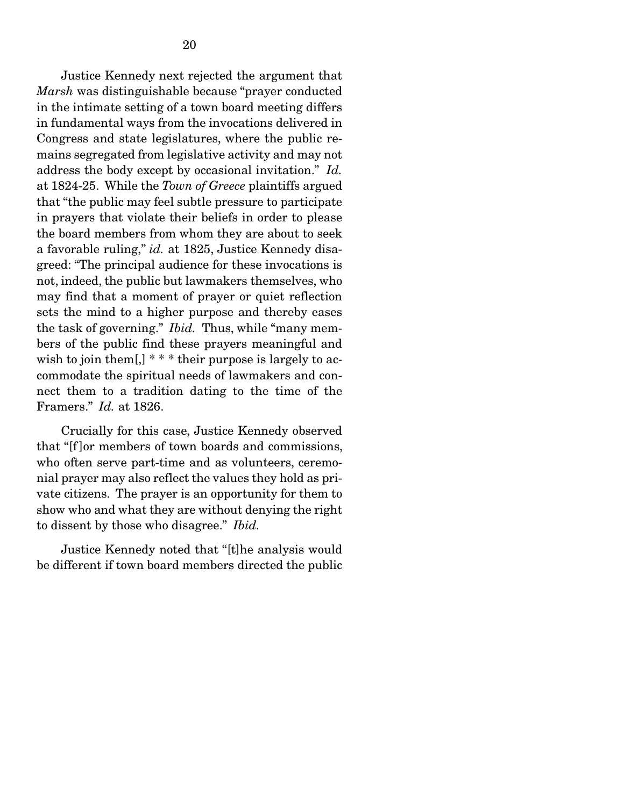Justice Kennedy next rejected the argument that *Marsh* was distinguishable because "prayer conducted in the intimate setting of a town board meeting differs in fundamental ways from the invocations delivered in Congress and state legislatures, where the public remains segregated from legislative activity and may not address the body except by occasional invitation." *Id.* at 1824-25. While the *Town of Greece* plaintiffs argued that "the public may feel subtle pressure to participate in prayers that violate their beliefs in order to please the board members from whom they are about to seek a favorable ruling," *id.* at 1825, Justice Kennedy disagreed: "The principal audience for these invocations is not, indeed, the public but lawmakers themselves, who may find that a moment of prayer or quiet reflection sets the mind to a higher purpose and thereby eases the task of governing." *Ibid.* Thus, while "many members of the public find these prayers meaningful and wish to join them[,]  $***$  their purpose is largely to accommodate the spiritual needs of lawmakers and connect them to a tradition dating to the time of the Framers." *Id.* at 1826.

 Crucially for this case, Justice Kennedy observed that "[f ]or members of town boards and commissions, who often serve part-time and as volunteers, ceremonial prayer may also reflect the values they hold as private citizens. The prayer is an opportunity for them to show who and what they are without denying the right to dissent by those who disagree." *Ibid.*

 Justice Kennedy noted that "[t]he analysis would be different if town board members directed the public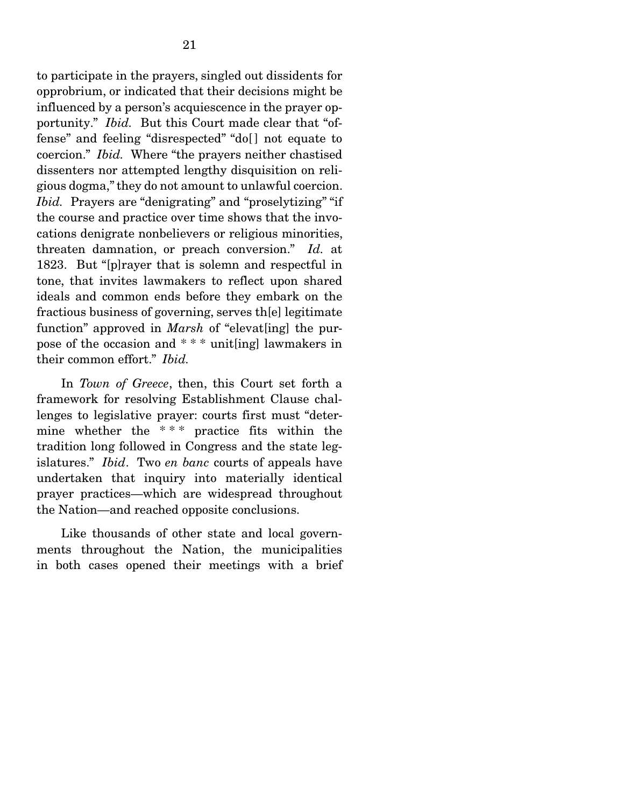to participate in the prayers, singled out dissidents for opprobrium, or indicated that their decisions might be influenced by a person's acquiescence in the prayer opportunity." *Ibid.* But this Court made clear that "offense" and feeling "disrespected" "do[ ] not equate to coercion." *Ibid.* Where "the prayers neither chastised dissenters nor attempted lengthy disquisition on religious dogma," they do not amount to unlawful coercion. *Ibid.* Prayers are "denigrating" and "proselytizing" "if the course and practice over time shows that the invocations denigrate nonbelievers or religious minorities, threaten damnation, or preach conversion." *Id.* at 1823. But "[p]rayer that is solemn and respectful in tone, that invites lawmakers to reflect upon shared ideals and common ends before they embark on the fractious business of governing, serves th[e] legitimate function" approved in *Marsh* of "elevat[ing] the purpose of the occasion and \* \* \* unit[ing] lawmakers in their common effort." *Ibid.*

 In *Town of Greece*, then, this Court set forth a framework for resolving Establishment Clause challenges to legislative prayer: courts first must "determine whether the \* \* \* practice fits within the tradition long followed in Congress and the state legislatures." *Ibid*. Two *en banc* courts of appeals have undertaken that inquiry into materially identical prayer practices—which are widespread throughout the Nation—and reached opposite conclusions.

 Like thousands of other state and local governments throughout the Nation, the municipalities in both cases opened their meetings with a brief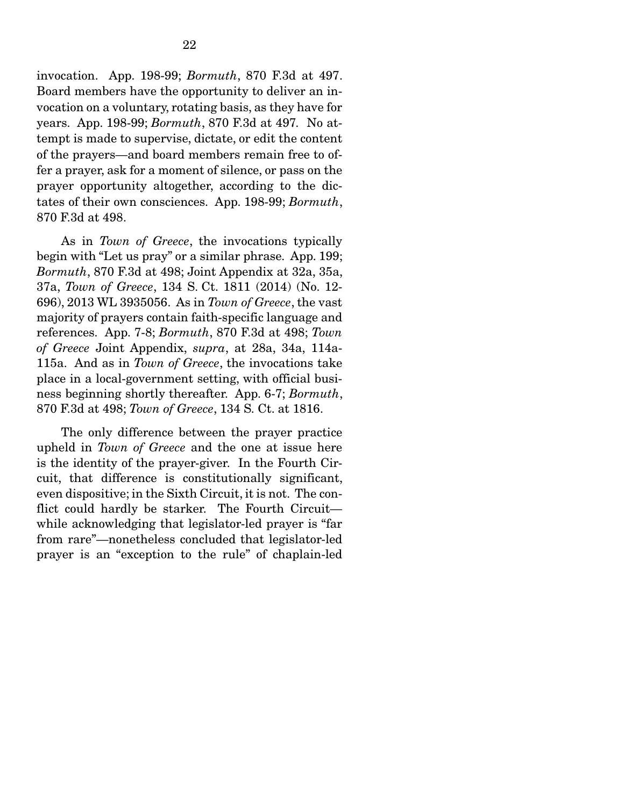invocation. App. 198-99; *Bormuth*, 870 F.3d at 497. Board members have the opportunity to deliver an invocation on a voluntary, rotating basis, as they have for years. App. 198-99; *Bormuth*, 870 F.3d at 497*.* No attempt is made to supervise, dictate, or edit the content of the prayers—and board members remain free to offer a prayer, ask for a moment of silence, or pass on the prayer opportunity altogether, according to the dictates of their own consciences. App. 198-99; *Bormuth*, 870 F.3d at 498.

 As in *Town of Greece*, the invocations typically begin with "Let us pray" or a similar phrase. App. 199; *Bormuth*, 870 F.3d at 498; Joint Appendix at 32a, 35a, 37a, *Town of Greece*, 134 S. Ct. 1811 (2014) (No. 12- 696), 2013 WL 3935056. As in *Town of Greece*, the vast majority of prayers contain faith-specific language and references. App. 7-8; *Bormuth*, 870 F.3d at 498; *Town of Greece* Joint Appendix, *supra*, at 28a, 34a, 114a-115a. And as in *Town of Greece*, the invocations take place in a local-government setting, with official business beginning shortly thereafter. App. 6-7; *Bormuth*, 870 F.3d at 498; *Town of Greece*, 134 S. Ct. at 1816.

 The only difference between the prayer practice upheld in *Town of Greece* and the one at issue here is the identity of the prayer-giver. In the Fourth Circuit, that difference is constitutionally significant, even dispositive; in the Sixth Circuit, it is not. The conflict could hardly be starker. The Fourth Circuit while acknowledging that legislator-led prayer is "far from rare"—nonetheless concluded that legislator-led prayer is an "exception to the rule" of chaplain-led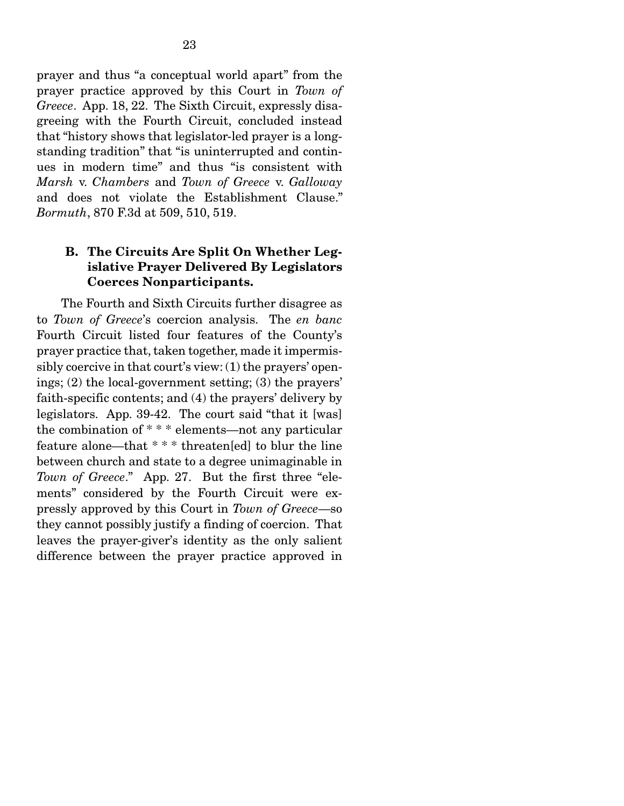prayer and thus "a conceptual world apart" from the prayer practice approved by this Court in *Town of Greece*. App. 18, 22. The Sixth Circuit, expressly disagreeing with the Fourth Circuit, concluded instead that "history shows that legislator-led prayer is a longstanding tradition" that "is uninterrupted and continues in modern time" and thus "is consistent with *Marsh* v. *Chambers* and *Town of Greece* v. *Galloway* and does not violate the Establishment Clause." *Bormuth*, 870 F.3d at 509, 510, 519.

### B. The Circuits Are Split On Whether Legislative Prayer Delivered By Legislators Coerces Nonparticipants.

 The Fourth and Sixth Circuits further disagree as to *Town of Greece*'s coercion analysis. The *en banc* Fourth Circuit listed four features of the County's prayer practice that, taken together, made it impermissibly coercive in that court's view: (1) the prayers' openings; (2) the local-government setting; (3) the prayers' faith-specific contents; and (4) the prayers' delivery by legislators. App. 39-42. The court said "that it [was] the combination of \* \* \* elements—not any particular feature alone—that \* \* \* threaten[ed] to blur the line between church and state to a degree unimaginable in *Town of Greece*." App. 27. But the first three "elements" considered by the Fourth Circuit were expressly approved by this Court in *Town of Greece*—so they cannot possibly justify a finding of coercion. That leaves the prayer-giver's identity as the only salient difference between the prayer practice approved in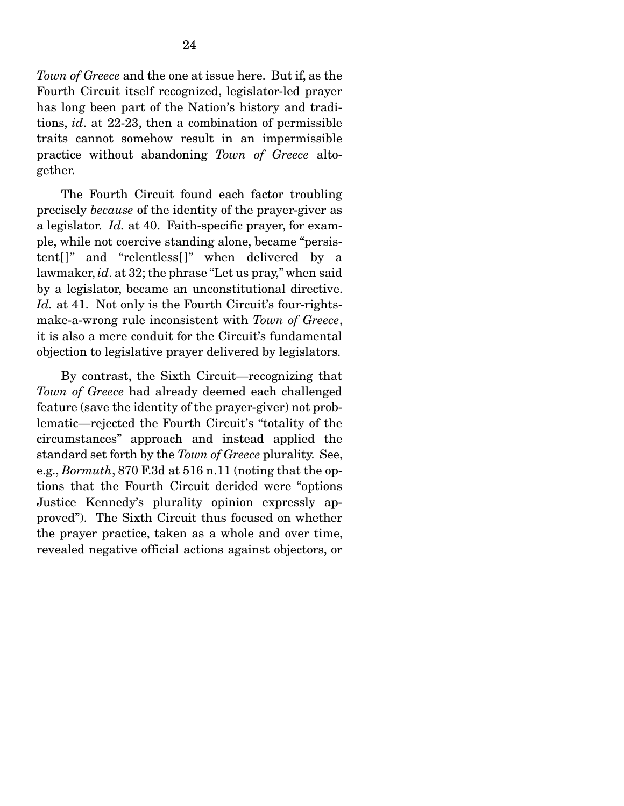*Town of Greece* and the one at issue here. But if, as the Fourth Circuit itself recognized, legislator-led prayer has long been part of the Nation's history and traditions, *id*. at 22-23, then a combination of permissible traits cannot somehow result in an impermissible practice without abandoning *Town of Greece* altogether.

 The Fourth Circuit found each factor troubling precisely *because* of the identity of the prayer-giver as a legislator. *Id.* at 40. Faith-specific prayer, for example, while not coercive standing alone, became "persistent[]" and "relentless[]" when delivered by a lawmaker, *id*. at 32; the phrase "Let us pray," when said by a legislator, became an unconstitutional directive. Id. at 41. Not only is the Fourth Circuit's four-rightsmake-a-wrong rule inconsistent with *Town of Greece*, it is also a mere conduit for the Circuit's fundamental objection to legislative prayer delivered by legislators.

 By contrast, the Sixth Circuit—recognizing that *Town of Greece* had already deemed each challenged feature (save the identity of the prayer-giver) not problematic—rejected the Fourth Circuit's "totality of the circumstances" approach and instead applied the standard set forth by the *Town of Greece* plurality. See, e.g., *Bormuth*, 870 F.3d at 516 n.11 (noting that the options that the Fourth Circuit derided were "options Justice Kennedy's plurality opinion expressly approved"). The Sixth Circuit thus focused on whether the prayer practice, taken as a whole and over time, revealed negative official actions against objectors, or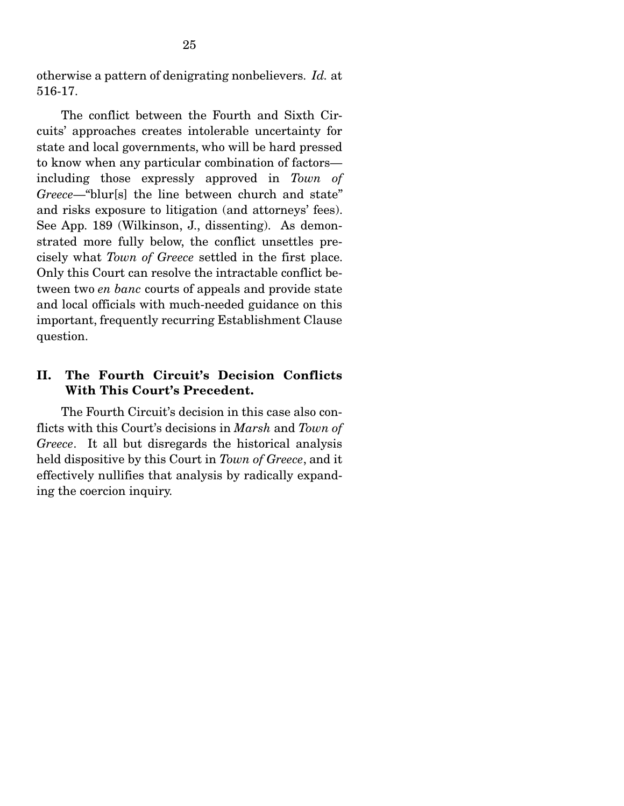otherwise a pattern of denigrating nonbelievers. *Id.* at 516-17.

 The conflict between the Fourth and Sixth Circuits' approaches creates intolerable uncertainty for state and local governments, who will be hard pressed to know when any particular combination of factors including those expressly approved in *Town of Greece*—"blur[s] the line between church and state" and risks exposure to litigation (and attorneys' fees). See App. 189 (Wilkinson, J., dissenting). As demonstrated more fully below, the conflict unsettles precisely what *Town of Greece* settled in the first place. Only this Court can resolve the intractable conflict between two *en banc* courts of appeals and provide state and local officials with much-needed guidance on this important, frequently recurring Establishment Clause question.

### II. The Fourth Circuit's Decision Conflicts With This Court's Precedent.

 The Fourth Circuit's decision in this case also conflicts with this Court's decisions in *Marsh* and *Town of Greece*. It all but disregards the historical analysis held dispositive by this Court in *Town of Greece*, and it effectively nullifies that analysis by radically expanding the coercion inquiry.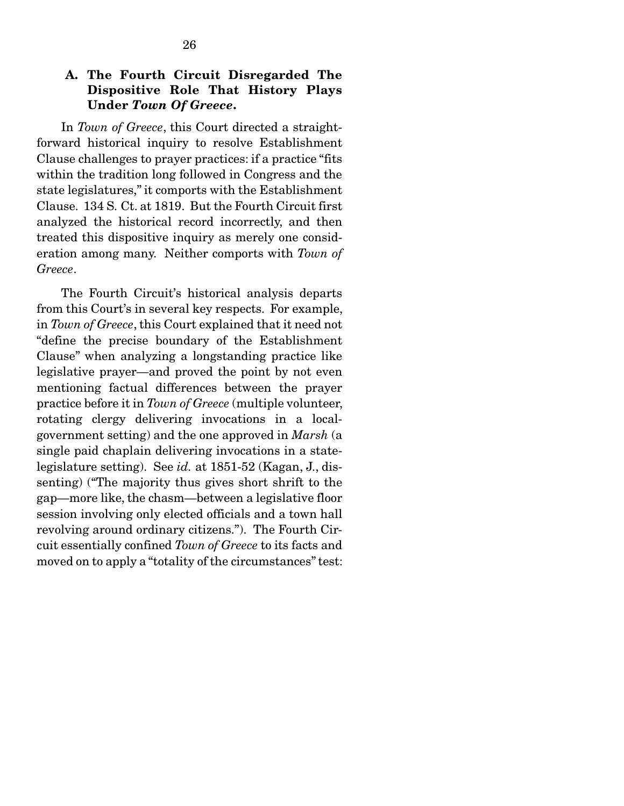### A. The Fourth Circuit Disregarded The Dispositive Role That History Plays Under *Town Of Greece*.

 In *Town of Greece*, this Court directed a straightforward historical inquiry to resolve Establishment Clause challenges to prayer practices: if a practice "fits within the tradition long followed in Congress and the state legislatures," it comports with the Establishment Clause. 134 S. Ct. at 1819. But the Fourth Circuit first analyzed the historical record incorrectly, and then treated this dispositive inquiry as merely one consideration among many. Neither comports with *Town of Greece*.

 The Fourth Circuit's historical analysis departs from this Court's in several key respects. For example, in *Town of Greece*, this Court explained that it need not "define the precise boundary of the Establishment Clause" when analyzing a longstanding practice like legislative prayer—and proved the point by not even mentioning factual differences between the prayer practice before it in *Town of Greece* (multiple volunteer, rotating clergy delivering invocations in a localgovernment setting) and the one approved in *Marsh* (a single paid chaplain delivering invocations in a statelegislature setting). See *id.* at 1851-52 (Kagan, J., dissenting) ("The majority thus gives short shrift to the gap—more like, the chasm—between a legislative floor session involving only elected officials and a town hall revolving around ordinary citizens."). The Fourth Circuit essentially confined *Town of Greece* to its facts and moved on to apply a "totality of the circumstances" test: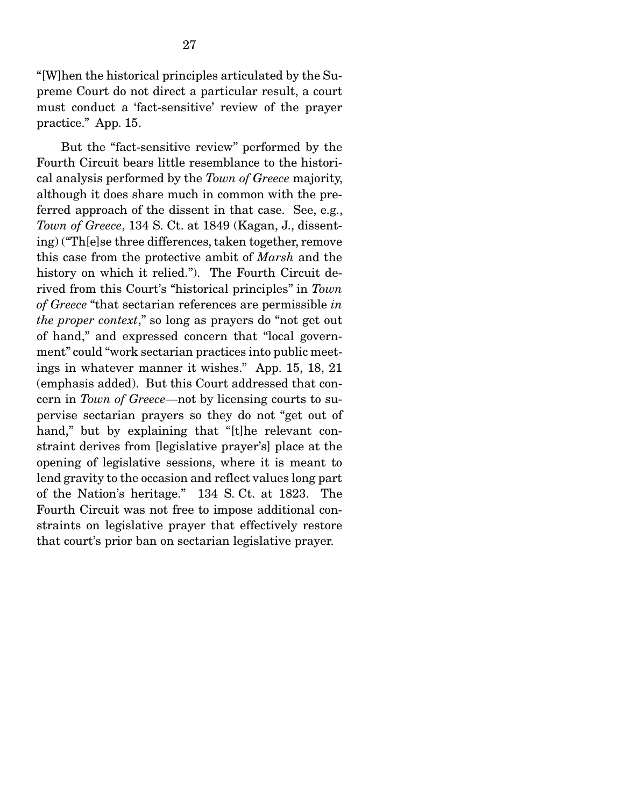"[W]hen the historical principles articulated by the Supreme Court do not direct a particular result, a court must conduct a 'fact-sensitive' review of the prayer practice." App. 15.

 But the "fact-sensitive review" performed by the Fourth Circuit bears little resemblance to the historical analysis performed by the *Town of Greece* majority, although it does share much in common with the preferred approach of the dissent in that case. See, e.g., *Town of Greece*, 134 S. Ct. at 1849 (Kagan, J., dissenting) ("Th[e]se three differences, taken together, remove this case from the protective ambit of *Marsh* and the history on which it relied."). The Fourth Circuit derived from this Court's "historical principles" in *Town of Greece* "that sectarian references are permissible *in the proper context*," so long as prayers do "not get out of hand," and expressed concern that "local government" could "work sectarian practices into public meetings in whatever manner it wishes." App. 15, 18, 21 (emphasis added). But this Court addressed that concern in *Town of Greece*—not by licensing courts to supervise sectarian prayers so they do not "get out of hand," but by explaining that "[t]he relevant constraint derives from [legislative prayer's] place at the opening of legislative sessions, where it is meant to lend gravity to the occasion and reflect values long part of the Nation's heritage." 134 S. Ct. at 1823. The Fourth Circuit was not free to impose additional constraints on legislative prayer that effectively restore that court's prior ban on sectarian legislative prayer.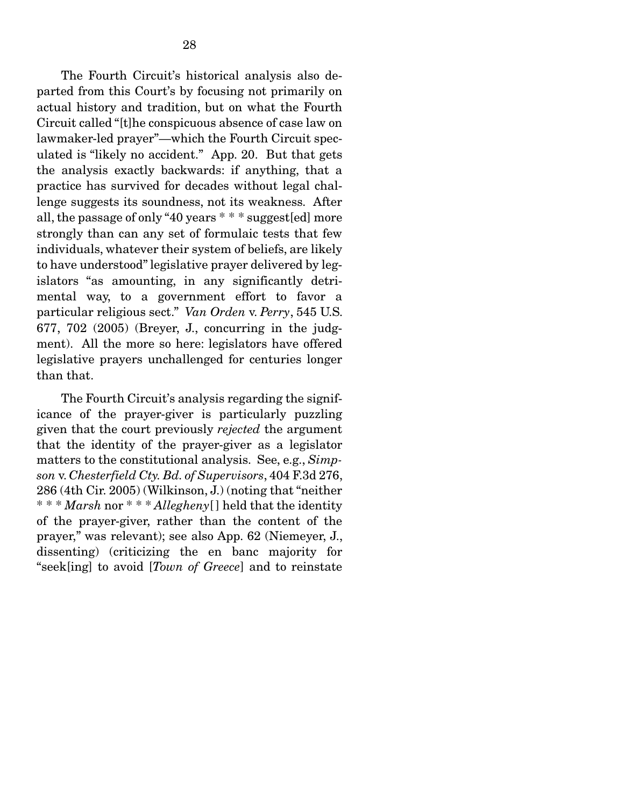The Fourth Circuit's historical analysis also departed from this Court's by focusing not primarily on actual history and tradition, but on what the Fourth Circuit called "[t]he conspicuous absence of case law on lawmaker-led prayer"—which the Fourth Circuit speculated is "likely no accident." App. 20. But that gets the analysis exactly backwards: if anything, that a practice has survived for decades without legal challenge suggests its soundness, not its weakness. After all, the passage of only "40 years \* \* \* suggest[ed] more strongly than can any set of formulaic tests that few individuals, whatever their system of beliefs, are likely to have understood" legislative prayer delivered by legislators "as amounting, in any significantly detrimental way, to a government effort to favor a particular religious sect." *Van Orden* v. *Perry*, 545 U.S. 677, 702 (2005) (Breyer, J., concurring in the judgment). All the more so here: legislators have offered legislative prayers unchallenged for centuries longer than that.

 The Fourth Circuit's analysis regarding the significance of the prayer-giver is particularly puzzling given that the court previously *rejected* the argument that the identity of the prayer-giver as a legislator matters to the constitutional analysis. See, e.g., *Simpson* v. *Chesterfield Cty. Bd. of Supervisors*, 404 F.3d 276, 286 (4th Cir. 2005) (Wilkinson, J.) (noting that "neither \* \* \* *Marsh* nor \* \* \* *Allegheny*[ ] held that the identity of the prayer-giver, rather than the content of the prayer," was relevant); see also App. 62 (Niemeyer, J., dissenting) (criticizing the en banc majority for "seek[ing] to avoid [*Town of Greece*] and to reinstate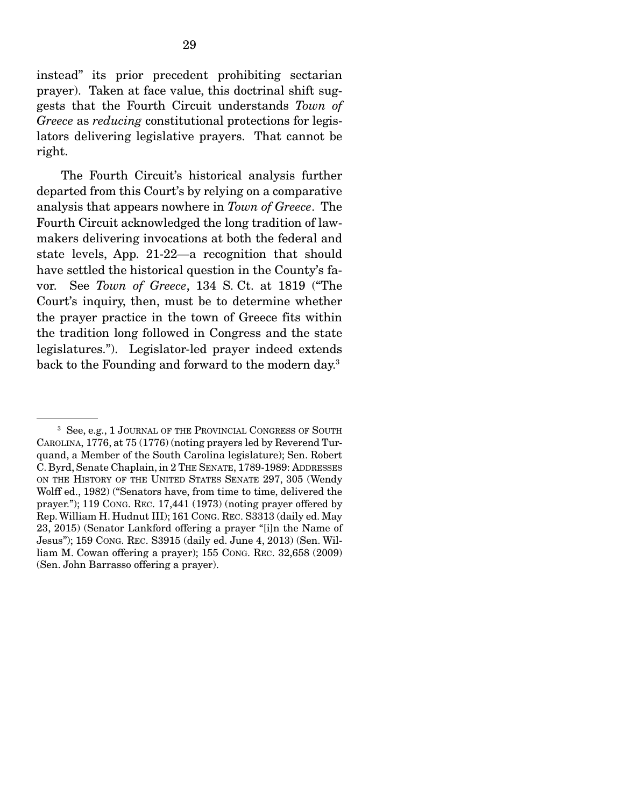instead" its prior precedent prohibiting sectarian prayer). Taken at face value, this doctrinal shift suggests that the Fourth Circuit understands *Town of Greece* as *reducing* constitutional protections for legislators delivering legislative prayers. That cannot be right.

 The Fourth Circuit's historical analysis further departed from this Court's by relying on a comparative analysis that appears nowhere in *Town of Greece*. The Fourth Circuit acknowledged the long tradition of lawmakers delivering invocations at both the federal and state levels, App. 21-22—a recognition that should have settled the historical question in the County's favor. See *Town of Greece*, 134 S. Ct. at 1819 ("The Court's inquiry, then, must be to determine whether the prayer practice in the town of Greece fits within the tradition long followed in Congress and the state legislatures."). Legislator-led prayer indeed extends back to the Founding and forward to the modern day.3

<sup>3</sup> See, e.g., 1 JOURNAL OF THE PROVINCIAL CONGRESS OF SOUTH CAROLINA, 1776, at 75 (1776) (noting prayers led by Reverend Turquand, a Member of the South Carolina legislature); Sen. Robert C. Byrd, Senate Chaplain, in 2 THE SENATE, 1789-1989: ADDRESSES ON THE HISTORY OF THE UNITED STATES SENATE 297, 305 (Wendy Wolff ed., 1982) ("Senators have, from time to time, delivered the prayer."); 119 CONG. REC. 17,441 (1973) (noting prayer offered by Rep. William H. Hudnut III); 161 CONG. REC. S3313 (daily ed. May 23, 2015) (Senator Lankford offering a prayer "[i]n the Name of Jesus"); 159 CONG. REC. S3915 (daily ed. June 4, 2013) (Sen. William M. Cowan offering a prayer); 155 CONG. REC. 32,658 (2009) (Sen. John Barrasso offering a prayer).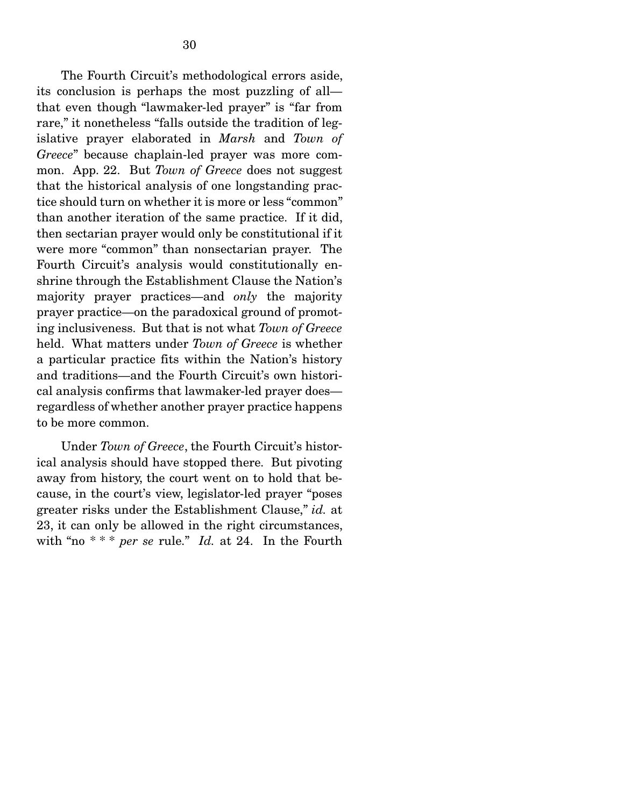The Fourth Circuit's methodological errors aside, its conclusion is perhaps the most puzzling of all that even though "lawmaker-led prayer" is "far from rare," it nonetheless "falls outside the tradition of legislative prayer elaborated in *Marsh* and *Town of Greece*" because chaplain-led prayer was more common. App. 22. But *Town of Greece* does not suggest that the historical analysis of one longstanding practice should turn on whether it is more or less "common" than another iteration of the same practice. If it did, then sectarian prayer would only be constitutional if it were more "common" than nonsectarian prayer. The Fourth Circuit's analysis would constitutionally enshrine through the Establishment Clause the Nation's majority prayer practices—and *only* the majority prayer practice—on the paradoxical ground of promoting inclusiveness. But that is not what *Town of Greece*  held. What matters under *Town of Greece* is whether a particular practice fits within the Nation's history and traditions—and the Fourth Circuit's own historical analysis confirms that lawmaker-led prayer does regardless of whether another prayer practice happens to be more common.

 Under *Town of Greece*, the Fourth Circuit's historical analysis should have stopped there. But pivoting away from history, the court went on to hold that because, in the court's view, legislator-led prayer "poses greater risks under the Establishment Clause," *id.* at 23, it can only be allowed in the right circumstances, with "no \* \* \* *per se* rule." *Id.* at 24. In the Fourth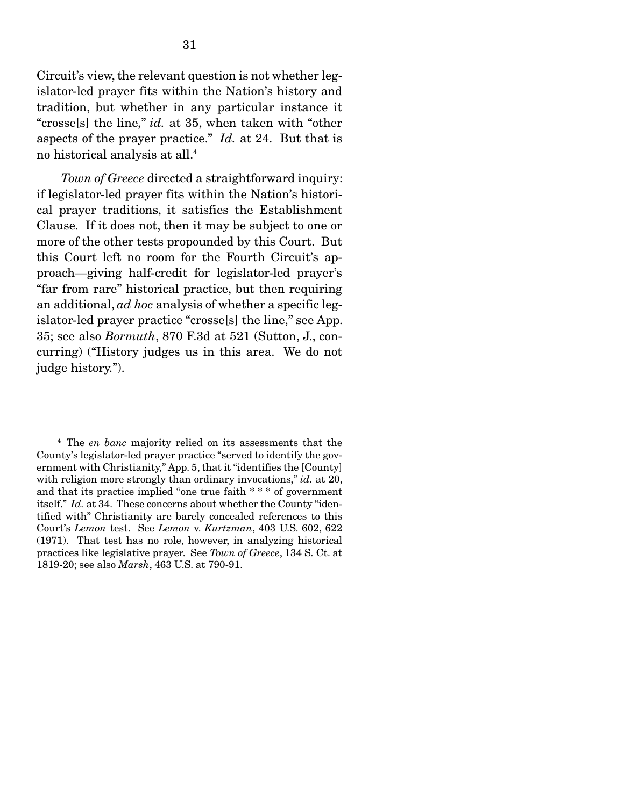Circuit's view, the relevant question is not whether legislator-led prayer fits within the Nation's history and tradition, but whether in any particular instance it "crosse[s] the line," *id.* at 35, when taken with "other aspects of the prayer practice." *Id.* at 24. But that is no historical analysis at all.4

*Town of Greece* directed a straightforward inquiry: if legislator-led prayer fits within the Nation's historical prayer traditions, it satisfies the Establishment Clause. If it does not, then it may be subject to one or more of the other tests propounded by this Court. But this Court left no room for the Fourth Circuit's approach—giving half-credit for legislator-led prayer's "far from rare" historical practice, but then requiring an additional, *ad hoc* analysis of whether a specific legislator-led prayer practice "crosse[s] the line," see App. 35; see also *Bormuth*, 870 F.3d at 521 (Sutton, J., concurring) ("History judges us in this area. We do not judge history.").

<sup>4</sup> The *en banc* majority relied on its assessments that the County's legislator-led prayer practice "served to identify the government with Christianity," App. 5, that it "identifies the [County] with religion more strongly than ordinary invocations," *id.* at 20, and that its practice implied "one true faith \* \* \* of government itself." *Id.* at 34. These concerns about whether the County "identified with" Christianity are barely concealed references to this Court's *Lemon* test. See *Lemon* v. *Kurtzman*, 403 U.S. 602, 622 (1971). That test has no role, however, in analyzing historical practices like legislative prayer. See *Town of Greece*, 134 S. Ct. at 1819-20; see also *Marsh*, 463 U.S. at 790-91.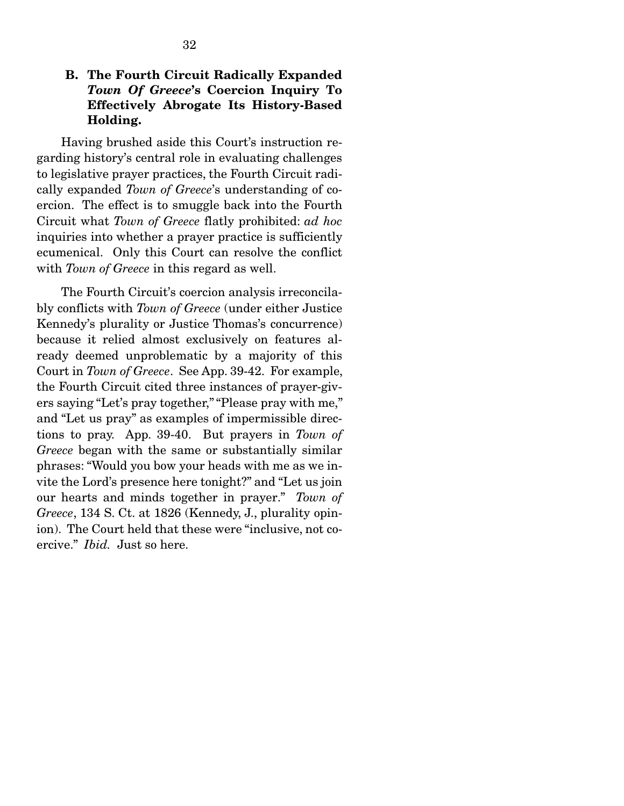# B. The Fourth Circuit Radically Expanded *Town Of Greece*'s Coercion Inquiry To Effectively Abrogate Its History-Based Holding.

 Having brushed aside this Court's instruction regarding history's central role in evaluating challenges to legislative prayer practices, the Fourth Circuit radically expanded *Town of Greece*'s understanding of coercion. The effect is to smuggle back into the Fourth Circuit what *Town of Greece* flatly prohibited: *ad hoc* inquiries into whether a prayer practice is sufficiently ecumenical. Only this Court can resolve the conflict with *Town of Greece* in this regard as well.

 The Fourth Circuit's coercion analysis irreconcilably conflicts with *Town of Greece* (under either Justice Kennedy's plurality or Justice Thomas's concurrence) because it relied almost exclusively on features already deemed unproblematic by a majority of this Court in *Town of Greece*. See App. 39-42. For example, the Fourth Circuit cited three instances of prayer-givers saying "Let's pray together," "Please pray with me," and "Let us pray" as examples of impermissible directions to pray. App. 39-40. But prayers in *Town of Greece* began with the same or substantially similar phrases: "Would you bow your heads with me as we invite the Lord's presence here tonight?" and "Let us join our hearts and minds together in prayer." *Town of Greece*, 134 S. Ct. at 1826 (Kennedy, J., plurality opinion). The Court held that these were "inclusive, not coercive." *Ibid.* Just so here.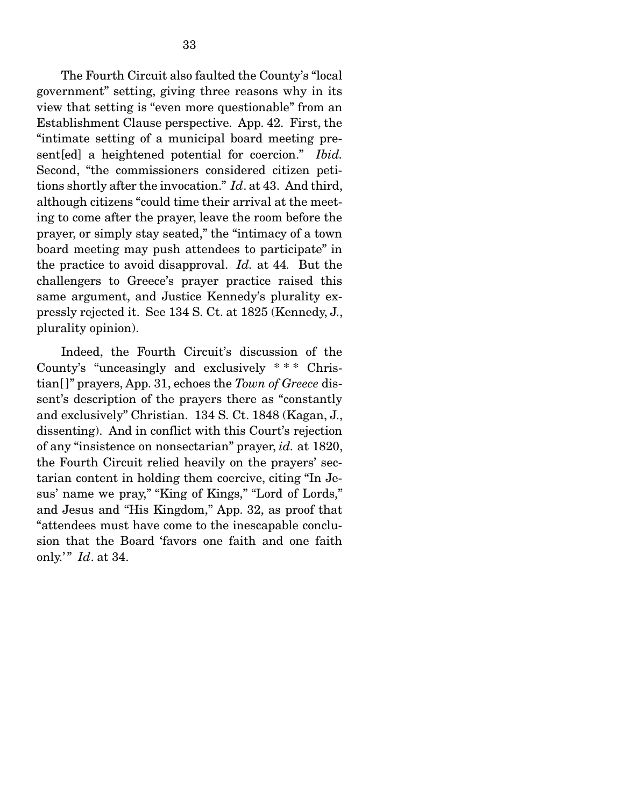The Fourth Circuit also faulted the County's "local government" setting, giving three reasons why in its view that setting is "even more questionable" from an Establishment Clause perspective. App. 42. First, the "intimate setting of a municipal board meeting present[ed] a heightened potential for coercion." *Ibid.*  Second, "the commissioners considered citizen petitions shortly after the invocation." *Id*. at 43.And third, although citizens "could time their arrival at the meeting to come after the prayer, leave the room before the prayer, or simply stay seated," the "intimacy of a town board meeting may push attendees to participate" in the practice to avoid disapproval. *Id.* at 44*.* But the challengers to Greece's prayer practice raised this same argument, and Justice Kennedy's plurality expressly rejected it. See 134 S. Ct. at 1825 (Kennedy, J., plurality opinion).

 Indeed, the Fourth Circuit's discussion of the County's "unceasingly and exclusively \* \* \* Christian[ ]" prayers, App. 31, echoes the *Town of Greece* dissent's description of the prayers there as "constantly and exclusively" Christian. 134 S. Ct. 1848 (Kagan, J., dissenting). And in conflict with this Court's rejection of any "insistence on nonsectarian" prayer, *id.* at 1820, the Fourth Circuit relied heavily on the prayers' sectarian content in holding them coercive, citing "In Jesus' name we pray," "King of Kings," "Lord of Lords," and Jesus and "His Kingdom," App. 32, as proof that "attendees must have come to the inescapable conclusion that the Board 'favors one faith and one faith only.'" *Id.* at 34.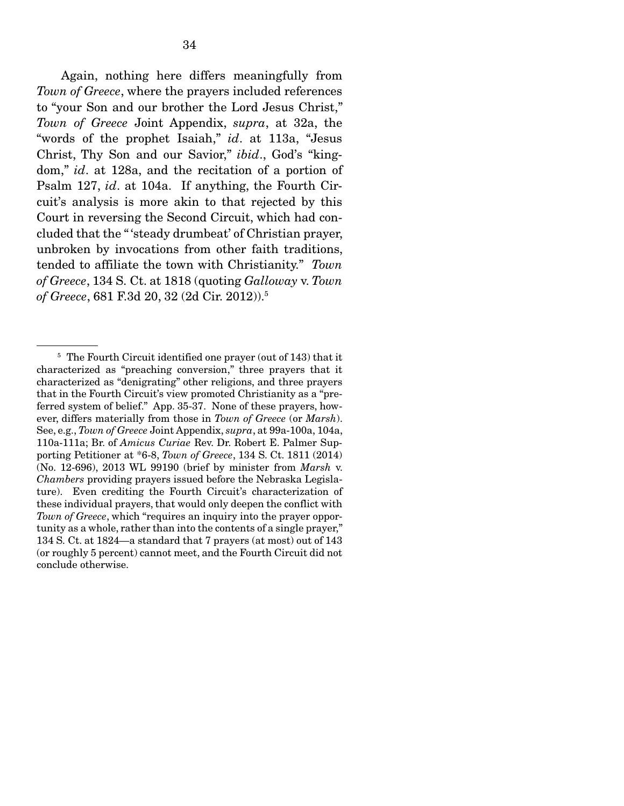Again, nothing here differs meaningfully from *Town of Greece*, where the prayers included references to "your Son and our brother the Lord Jesus Christ," *Town of Greece* Joint Appendix, *supra*, at 32a, the "words of the prophet Isaiah," *id*. at 113a, "Jesus Christ, Thy Son and our Savior," *ibid*., God's "kingdom," *id*. at 128a, and the recitation of a portion of Psalm 127, *id*. at 104a. If anything, the Fourth Circuit's analysis is more akin to that rejected by this Court in reversing the Second Circuit, which had concluded that the " 'steady drumbeat' of Christian prayer, unbroken by invocations from other faith traditions, tended to affiliate the town with Christianity." *Town of Greece*, 134 S. Ct. at 1818 (quoting *Galloway* v. *Town of Greece*, 681 F.3d 20, 32 (2d Cir. 2012)).5

<sup>&</sup>lt;sup>5</sup> The Fourth Circuit identified one prayer (out of 143) that it characterized as "preaching conversion," three prayers that it characterized as "denigrating" other religions, and three prayers that in the Fourth Circuit's view promoted Christianity as a "preferred system of belief." App. 35-37. None of these prayers, however, differs materially from those in *Town of Greece* (or *Marsh*). See, e.g., *Town of Greece* Joint Appendix, *supra*, at 99a-100a, 104a, 110a-111a; Br. of *Amicus Curiae* Rev. Dr. Robert E. Palmer Supporting Petitioner at \*6-8, *Town of Greece*, 134 S. Ct. 1811 (2014) (No. 12-696), 2013 WL 99190 (brief by minister from *Marsh* v. *Chambers* providing prayers issued before the Nebraska Legislature). Even crediting the Fourth Circuit's characterization of these individual prayers, that would only deepen the conflict with *Town of Greece*, which "requires an inquiry into the prayer opportunity as a whole, rather than into the contents of a single prayer," 134 S. Ct. at 1824—a standard that 7 prayers (at most) out of 143 (or roughly 5 percent) cannot meet, and the Fourth Circuit did not conclude otherwise.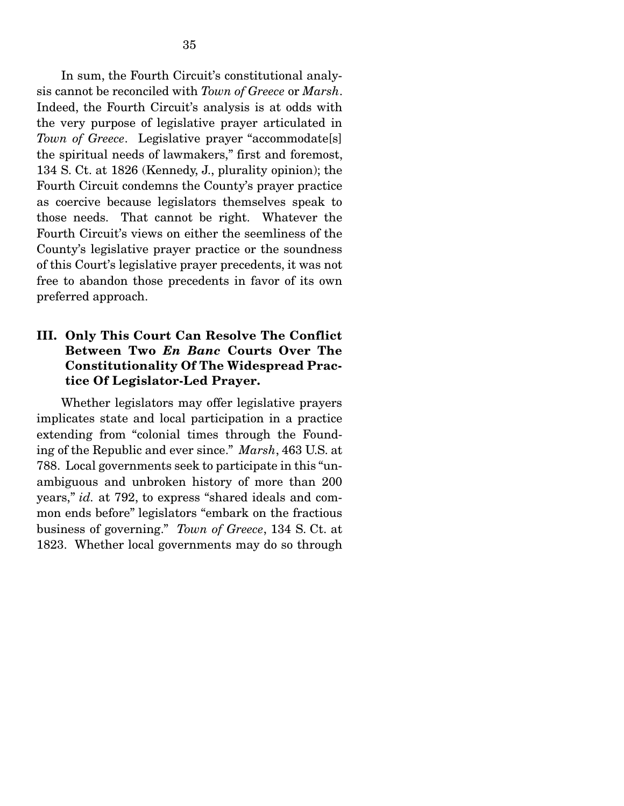In sum, the Fourth Circuit's constitutional analysis cannot be reconciled with *Town of Greece* or *Marsh*. Indeed, the Fourth Circuit's analysis is at odds with the very purpose of legislative prayer articulated in *Town of Greece*. Legislative prayer "accommodate[s] the spiritual needs of lawmakers," first and foremost, 134 S. Ct. at 1826 (Kennedy, J., plurality opinion); the Fourth Circuit condemns the County's prayer practice as coercive because legislators themselves speak to those needs. That cannot be right. Whatever the Fourth Circuit's views on either the seemliness of the County's legislative prayer practice or the soundness of this Court's legislative prayer precedents, it was not free to abandon those precedents in favor of its own preferred approach.

# III. Only This Court Can Resolve The Conflict Between Two *En Banc* Courts Over The Constitutionality Of The Widespread Practice Of Legislator-Led Prayer.

 Whether legislators may offer legislative prayers implicates state and local participation in a practice extending from "colonial times through the Founding of the Republic and ever since." *Marsh*, 463 U.S. at 788. Local governments seek to participate in this "unambiguous and unbroken history of more than 200 years," *id.* at 792, to express "shared ideals and common ends before" legislators "embark on the fractious business of governing." *Town of Greece*, 134 S. Ct. at 1823. Whether local governments may do so through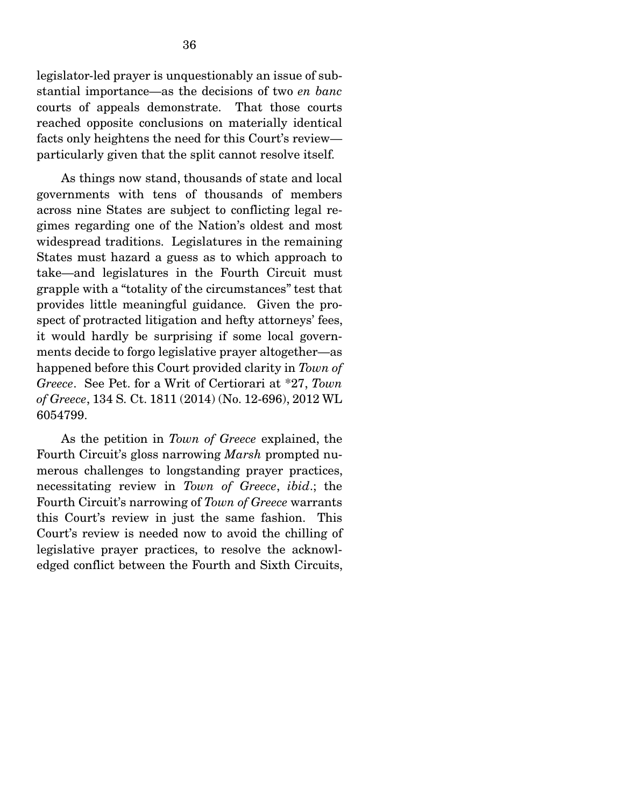legislator-led prayer is unquestionably an issue of substantial importance—as the decisions of two *en banc* courts of appeals demonstrate. That those courts reached opposite conclusions on materially identical facts only heightens the need for this Court's review particularly given that the split cannot resolve itself.

 As things now stand, thousands of state and local governments with tens of thousands of members across nine States are subject to conflicting legal regimes regarding one of the Nation's oldest and most widespread traditions. Legislatures in the remaining States must hazard a guess as to which approach to take—and legislatures in the Fourth Circuit must grapple with a "totality of the circumstances" test that provides little meaningful guidance. Given the prospect of protracted litigation and hefty attorneys' fees, it would hardly be surprising if some local governments decide to forgo legislative prayer altogether—as happened before this Court provided clarity in *Town of Greece*. See Pet. for a Writ of Certiorari at \*27, *Town of Greece*, 134 S. Ct. 1811 (2014) (No. 12-696), 2012 WL 6054799.

 As the petition in *Town of Greece* explained, the Fourth Circuit's gloss narrowing *Marsh* prompted numerous challenges to longstanding prayer practices, necessitating review in *Town of Greece*, *ibid*.; the Fourth Circuit's narrowing of *Town of Greece* warrants this Court's review in just the same fashion. This Court's review is needed now to avoid the chilling of legislative prayer practices, to resolve the acknowledged conflict between the Fourth and Sixth Circuits,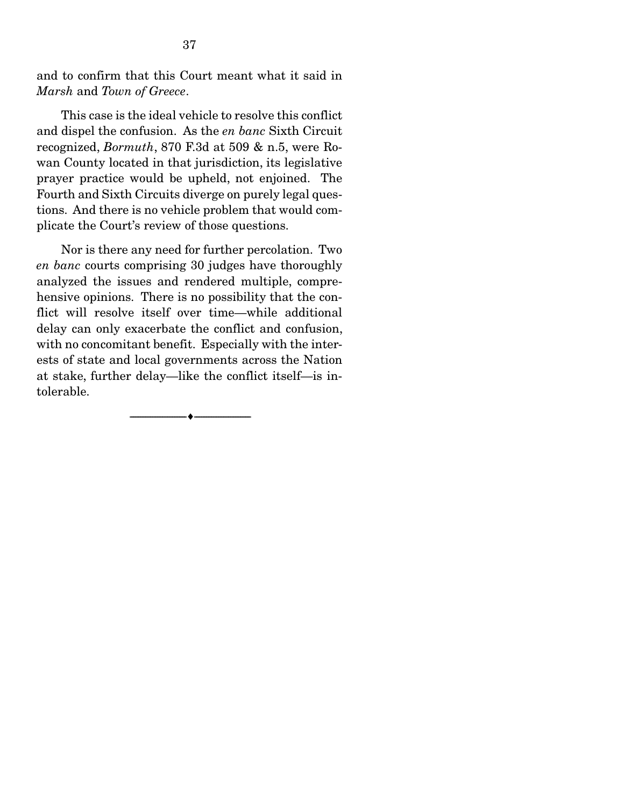and to confirm that this Court meant what it said in *Marsh* and *Town of Greece*.

 This case is the ideal vehicle to resolve this conflict and dispel the confusion. As the *en banc* Sixth Circuit recognized, *Bormuth*, 870 F.3d at 509 & n.5, were Rowan County located in that jurisdiction, its legislative prayer practice would be upheld, not enjoined. The Fourth and Sixth Circuits diverge on purely legal questions. And there is no vehicle problem that would complicate the Court's review of those questions.

 Nor is there any need for further percolation. Two *en banc* courts comprising 30 judges have thoroughly analyzed the issues and rendered multiple, comprehensive opinions. There is no possibility that the conflict will resolve itself over time—while additional delay can only exacerbate the conflict and confusion, with no concomitant benefit. Especially with the interests of state and local governments across the Nation at stake, further delay—like the conflict itself—is intolerable.

--------------------------------- ---------------------------------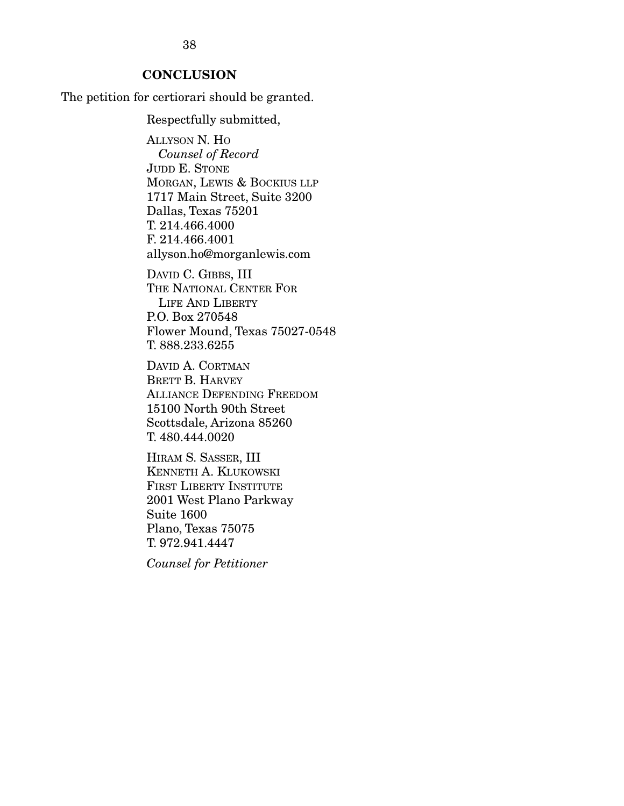38

### **CONCLUSION**

The petition for certiorari should be granted.

Respectfully submitted,

ALLYSON N. HO *Counsel of Record*  JUDD E. STONE MORGAN, LEWIS & BOCKIUS LLP 1717 Main Street, Suite 3200 Dallas, Texas 75201 T. 214.466.4000 F. 214.466.4001 allyson.ho@morganlewis.com

DAVID C. GIBBS, III THE NATIONAL CENTER FOR LIFE AND LIBERTY P.O. Box 270548 Flower Mound, Texas 75027-0548 T. 888.233.6255

DAVID A. CORTMAN BRETT B. HARVEY ALLIANCE DEFENDING FREEDOM 15100 North 90th Street Scottsdale, Arizona 85260 T. 480.444.0020

HIRAM S. SASSER, III KENNETH A. KLUKOWSKI FIRST LIBERTY INSTITUTE 2001 West Plano Parkway Suite 1600 Plano, Texas 75075 T. 972.941.4447

*Counsel for Petitioner*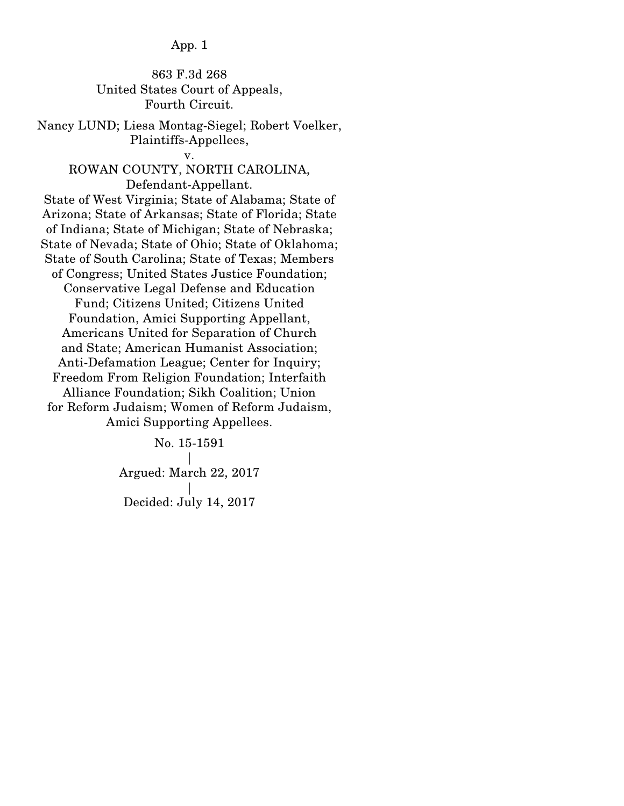## 863 F.3d 268 United States Court of Appeals, Fourth Circuit.

Nancy LUND; Liesa Montag-Siegel; Robert Voelker, Plaintiffs-Appellees,

#### v.

### ROWAN COUNTY, NORTH CAROLINA, Defendant-Appellant.

State of West Virginia; State of Alabama; State of Arizona; State of Arkansas; State of Florida; State of Indiana; State of Michigan; State of Nebraska; State of Nevada; State of Ohio; State of Oklahoma; State of South Carolina; State of Texas; Members of Congress; United States Justice Foundation; Conservative Legal Defense and Education Fund; Citizens United; Citizens United Foundation, Amici Supporting Appellant, Americans United for Separation of Church and State; American Humanist Association; Anti-Defamation League; Center for Inquiry; Freedom From Religion Foundation; Interfaith Alliance Foundation; Sikh Coalition; Union for Reform Judaism; Women of Reform Judaism, Amici Supporting Appellees.

> No. 15-1591 | Argued: March 22, 2017 | Decided: July 14, 2017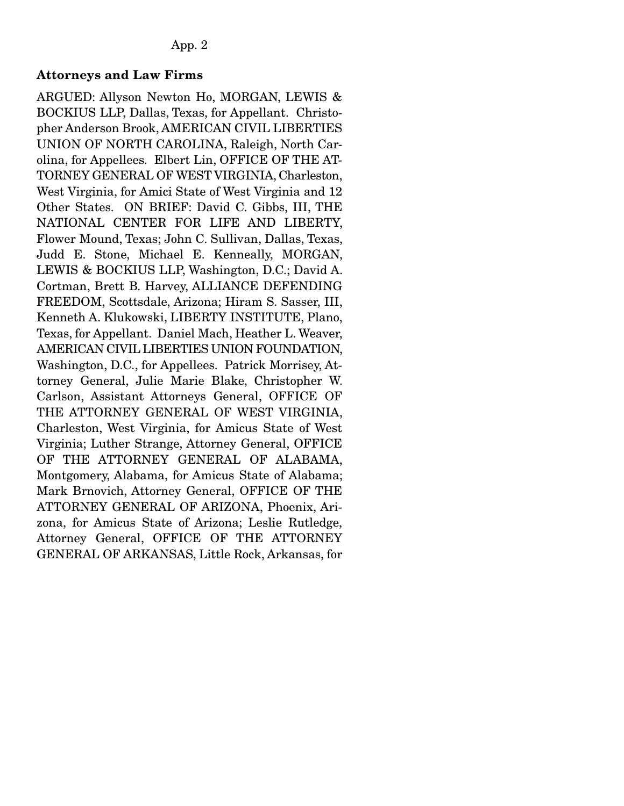# Attorneys and Law Firms

ARGUED: Allyson Newton Ho, MORGAN, LEWIS & BOCKIUS LLP, Dallas, Texas, for Appellant. Christopher Anderson Brook, AMERICAN CIVIL LIBERTIES UNION OF NORTH CAROLINA, Raleigh, North Carolina, for Appellees. Elbert Lin, OFFICE OF THE AT-TORNEY GENERAL OF WEST VIRGINIA, Charleston, West Virginia, for Amici State of West Virginia and 12 Other States. ON BRIEF: David C. Gibbs, III, THE NATIONAL CENTER FOR LIFE AND LIBERTY, Flower Mound, Texas; John C. Sullivan, Dallas, Texas, Judd E. Stone, Michael E. Kenneally, MORGAN, LEWIS & BOCKIUS LLP, Washington, D.C.; David A. Cortman, Brett B. Harvey, ALLIANCE DEFENDING FREEDOM, Scottsdale, Arizona; Hiram S. Sasser, III, Kenneth A. Klukowski, LIBERTY INSTITUTE, Plano, Texas, for Appellant. Daniel Mach, Heather L. Weaver, AMERICAN CIVIL LIBERTIES UNION FOUNDATION, Washington, D.C., for Appellees. Patrick Morrisey, Attorney General, Julie Marie Blake, Christopher W. Carlson, Assistant Attorneys General, OFFICE OF THE ATTORNEY GENERAL OF WEST VIRGINIA, Charleston, West Virginia, for Amicus State of West Virginia; Luther Strange, Attorney General, OFFICE OF THE ATTORNEY GENERAL OF ALABAMA, Montgomery, Alabama, for Amicus State of Alabama; Mark Brnovich, Attorney General, OFFICE OF THE ATTORNEY GENERAL OF ARIZONA, Phoenix, Arizona, for Amicus State of Arizona; Leslie Rutledge, Attorney General, OFFICE OF THE ATTORNEY GENERAL OF ARKANSAS, Little Rock, Arkansas, for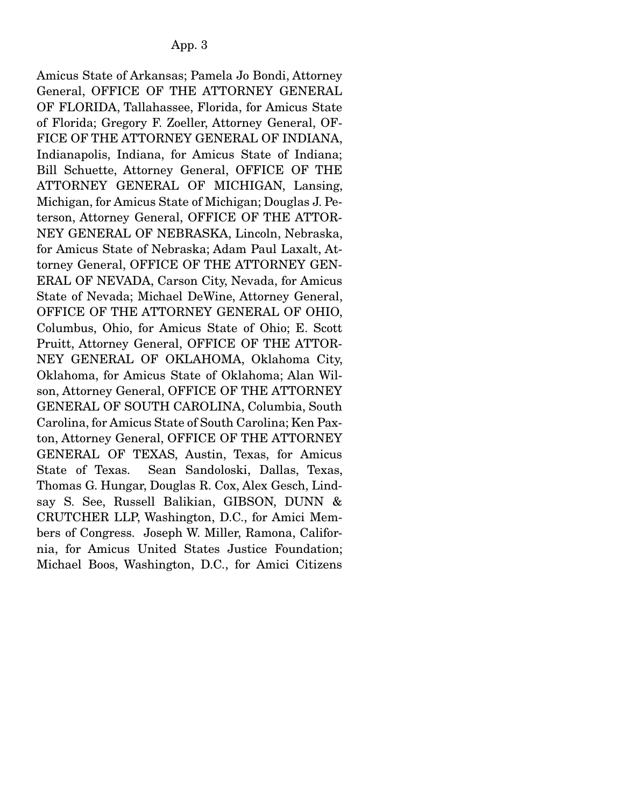Amicus State of Arkansas; Pamela Jo Bondi, Attorney General, OFFICE OF THE ATTORNEY GENERAL OF FLORIDA, Tallahassee, Florida, for Amicus State of Florida; Gregory F. Zoeller, Attorney General, OF-FICE OF THE ATTORNEY GENERAL OF INDIANA, Indianapolis, Indiana, for Amicus State of Indiana; Bill Schuette, Attorney General, OFFICE OF THE ATTORNEY GENERAL OF MICHIGAN, Lansing, Michigan, for Amicus State of Michigan; Douglas J. Peterson, Attorney General, OFFICE OF THE ATTOR-NEY GENERAL OF NEBRASKA, Lincoln, Nebraska, for Amicus State of Nebraska; Adam Paul Laxalt, Attorney General, OFFICE OF THE ATTORNEY GEN-ERAL OF NEVADA, Carson City, Nevada, for Amicus State of Nevada; Michael DeWine, Attorney General, OFFICE OF THE ATTORNEY GENERAL OF OHIO, Columbus, Ohio, for Amicus State of Ohio; E. Scott Pruitt, Attorney General, OFFICE OF THE ATTOR-NEY GENERAL OF OKLAHOMA, Oklahoma City, Oklahoma, for Amicus State of Oklahoma; Alan Wilson, Attorney General, OFFICE OF THE ATTORNEY GENERAL OF SOUTH CAROLINA, Columbia, South Carolina, for Amicus State of South Carolina; Ken Paxton, Attorney General, OFFICE OF THE ATTORNEY GENERAL OF TEXAS, Austin, Texas, for Amicus State of Texas. Sean Sandoloski, Dallas, Texas, Thomas G. Hungar, Douglas R. Cox, Alex Gesch, Lindsay S. See, Russell Balikian, GIBSON, DUNN & CRUTCHER LLP, Washington, D.C., for Amici Members of Congress. Joseph W. Miller, Ramona, California, for Amicus United States Justice Foundation; Michael Boos, Washington, D.C., for Amici Citizens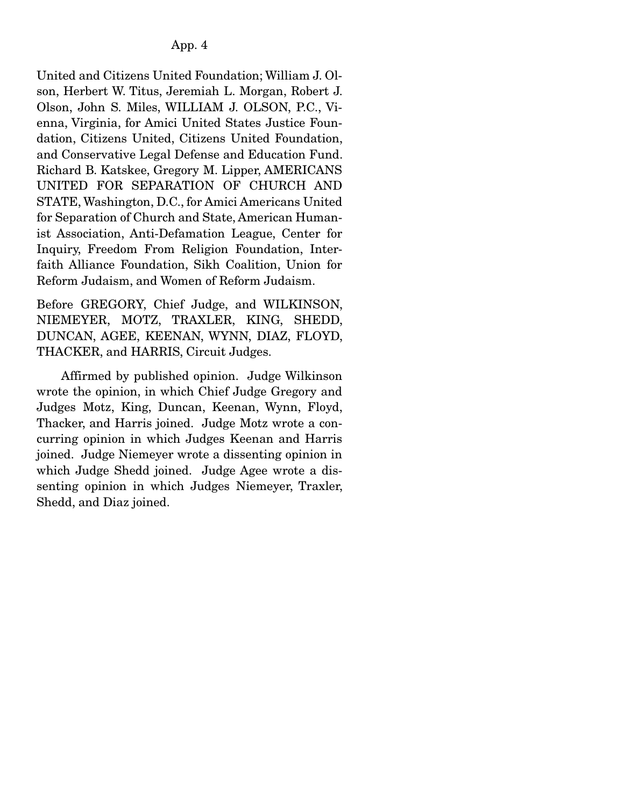United and Citizens United Foundation; William J. Olson, Herbert W. Titus, Jeremiah L. Morgan, Robert J. Olson, John S. Miles, WILLIAM J. OLSON, P.C., Vienna, Virginia, for Amici United States Justice Foundation, Citizens United, Citizens United Foundation, and Conservative Legal Defense and Education Fund. Richard B. Katskee, Gregory M. Lipper, AMERICANS UNITED FOR SEPARATION OF CHURCH AND STATE, Washington, D.C., for Amici Americans United for Separation of Church and State, American Humanist Association, Anti-Defamation League, Center for Inquiry, Freedom From Religion Foundation, Interfaith Alliance Foundation, Sikh Coalition, Union for Reform Judaism, and Women of Reform Judaism.

Before GREGORY, Chief Judge, and WILKINSON, NIEMEYER, MOTZ, TRAXLER, KING, SHEDD, DUNCAN, AGEE, KEENAN, WYNN, DIAZ, FLOYD, THACKER, and HARRIS, Circuit Judges.

 Affirmed by published opinion. Judge Wilkinson wrote the opinion, in which Chief Judge Gregory and Judges Motz, King, Duncan, Keenan, Wynn, Floyd, Thacker, and Harris joined. Judge Motz wrote a concurring opinion in which Judges Keenan and Harris joined. Judge Niemeyer wrote a dissenting opinion in which Judge Shedd joined. Judge Agee wrote a dissenting opinion in which Judges Niemeyer, Traxler, Shedd, and Diaz joined.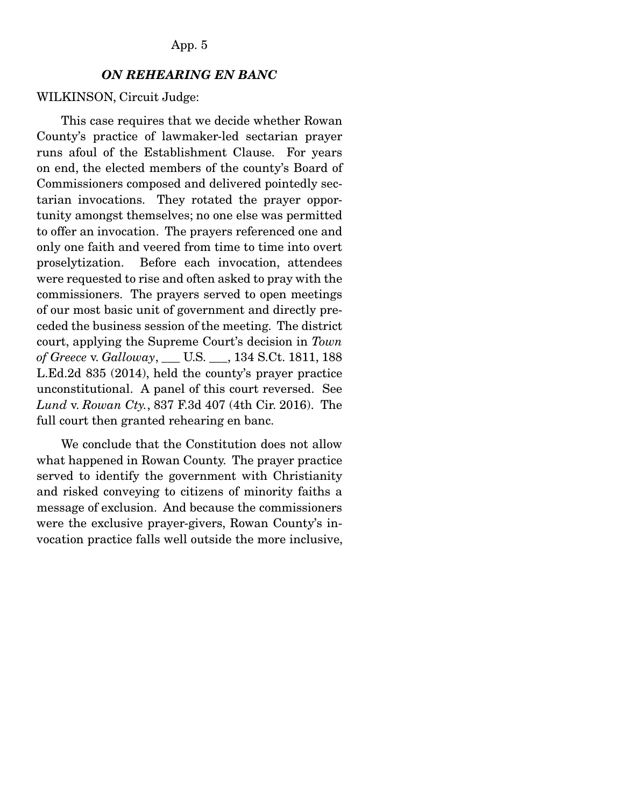#### *ON REHEARING EN BANC*

#### WILKINSON, Circuit Judge:

 This case requires that we decide whether Rowan County's practice of lawmaker-led sectarian prayer runs afoul of the Establishment Clause. For years on end, the elected members of the county's Board of Commissioners composed and delivered pointedly sectarian invocations. They rotated the prayer opportunity amongst themselves; no one else was permitted to offer an invocation. The prayers referenced one and only one faith and veered from time to time into overt proselytization. Before each invocation, attendees were requested to rise and often asked to pray with the commissioners. The prayers served to open meetings of our most basic unit of government and directly preceded the business session of the meeting. The district court, applying the Supreme Court's decision in *Town of Greece* v. *Galloway*, \_\_\_ U.S. \_\_\_, 134 S.Ct. 1811, 188 L.Ed.2d 835 (2014), held the county's prayer practice unconstitutional. A panel of this court reversed. See *Lund* v. *Rowan Cty.*, 837 F.3d 407 (4th Cir. 2016). The full court then granted rehearing en banc.

 We conclude that the Constitution does not allow what happened in Rowan County. The prayer practice served to identify the government with Christianity and risked conveying to citizens of minority faiths a message of exclusion. And because the commissioners were the exclusive prayer-givers, Rowan County's invocation practice falls well outside the more inclusive,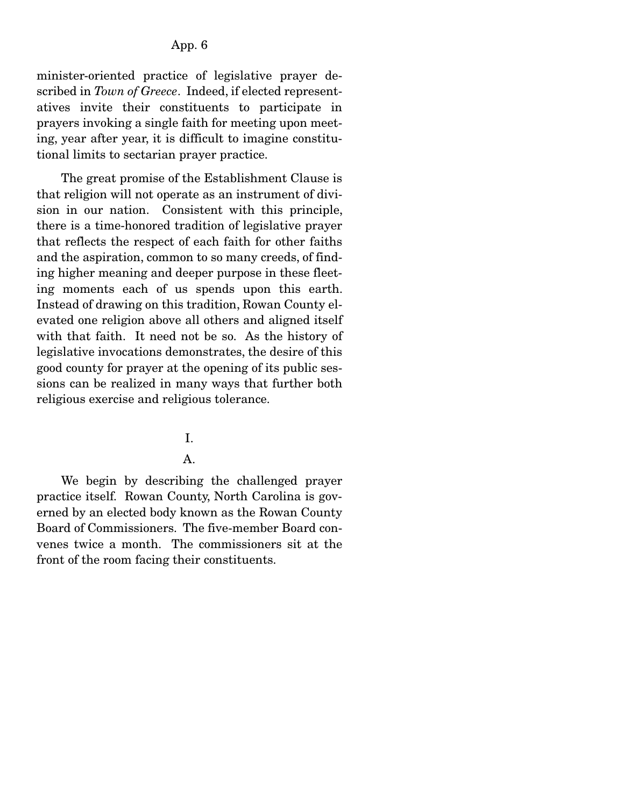minister-oriented practice of legislative prayer described in *Town of Greece*. Indeed, if elected representatives invite their constituents to participate in prayers invoking a single faith for meeting upon meeting, year after year, it is difficult to imagine constitutional limits to sectarian prayer practice.

 The great promise of the Establishment Clause is that religion will not operate as an instrument of division in our nation. Consistent with this principle, there is a time-honored tradition of legislative prayer that reflects the respect of each faith for other faiths and the aspiration, common to so many creeds, of finding higher meaning and deeper purpose in these fleeting moments each of us spends upon this earth. Instead of drawing on this tradition, Rowan County elevated one religion above all others and aligned itself with that faith. It need not be so. As the history of legislative invocations demonstrates, the desire of this good county for prayer at the opening of its public sessions can be realized in many ways that further both religious exercise and religious tolerance.

#### I.

### A.

 We begin by describing the challenged prayer practice itself. Rowan County, North Carolina is governed by an elected body known as the Rowan County Board of Commissioners. The five-member Board convenes twice a month. The commissioners sit at the front of the room facing their constituents.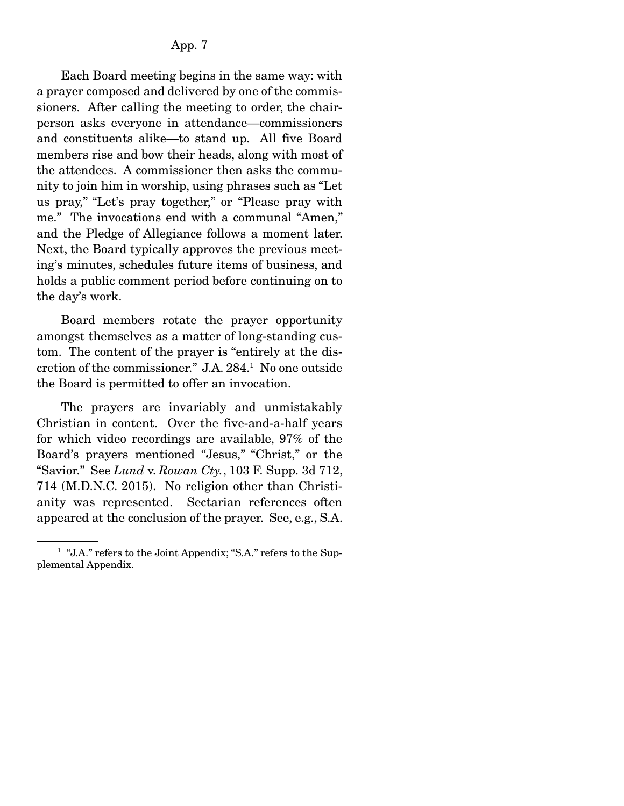Each Board meeting begins in the same way: with a prayer composed and delivered by one of the commissioners. After calling the meeting to order, the chairperson asks everyone in attendance—commissioners and constituents alike—to stand up. All five Board members rise and bow their heads, along with most of the attendees. A commissioner then asks the community to join him in worship, using phrases such as "Let us pray," "Let's pray together," or "Please pray with me." The invocations end with a communal "Amen," and the Pledge of Allegiance follows a moment later. Next, the Board typically approves the previous meeting's minutes, schedules future items of business, and holds a public comment period before continuing on to the day's work.

 Board members rotate the prayer opportunity amongst themselves as a matter of long-standing custom. The content of the prayer is "entirely at the discretion of the commissioner." J.A. 284.1 No one outside the Board is permitted to offer an invocation.

 The prayers are invariably and unmistakably Christian in content. Over the five-and-a-half years for which video recordings are available, 97% of the Board's prayers mentioned "Jesus," "Christ," or the "Savior." See *Lund* v. *Rowan Cty.*, 103 F. Supp. 3d 712, 714 (M.D.N.C. 2015). No religion other than Christianity was represented. Sectarian references often appeared at the conclusion of the prayer. See, e.g., S.A.

<sup>&</sup>lt;sup>1</sup> "J.A." refers to the Joint Appendix; "S.A." refers to the Supplemental Appendix.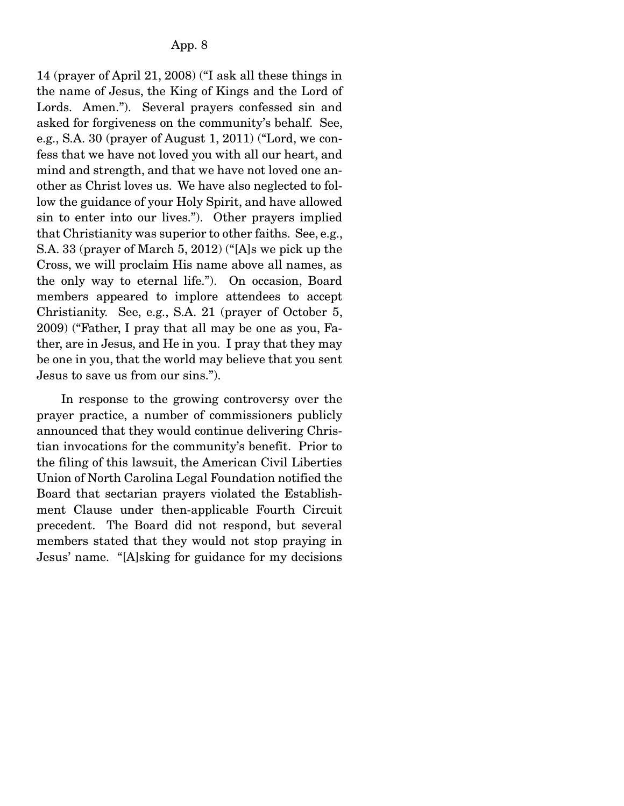14 (prayer of April 21, 2008) ("I ask all these things in the name of Jesus, the King of Kings and the Lord of Lords. Amen."). Several prayers confessed sin and asked for forgiveness on the community's behalf. See, e.g., S.A. 30 (prayer of August 1, 2011) ("Lord, we confess that we have not loved you with all our heart, and mind and strength, and that we have not loved one another as Christ loves us. We have also neglected to follow the guidance of your Holy Spirit, and have allowed sin to enter into our lives."). Other prayers implied that Christianity was superior to other faiths. See, e.g., S.A. 33 (prayer of March 5, 2012) ("[A]s we pick up the Cross, we will proclaim His name above all names, as the only way to eternal life."). On occasion, Board members appeared to implore attendees to accept Christianity. See, e.g., S.A. 21 (prayer of October 5, 2009) ("Father, I pray that all may be one as you, Father, are in Jesus, and He in you. I pray that they may be one in you, that the world may believe that you sent Jesus to save us from our sins.").

 In response to the growing controversy over the prayer practice, a number of commissioners publicly announced that they would continue delivering Christian invocations for the community's benefit. Prior to the filing of this lawsuit, the American Civil Liberties Union of North Carolina Legal Foundation notified the Board that sectarian prayers violated the Establishment Clause under then-applicable Fourth Circuit precedent. The Board did not respond, but several members stated that they would not stop praying in Jesus' name. "[A]sking for guidance for my decisions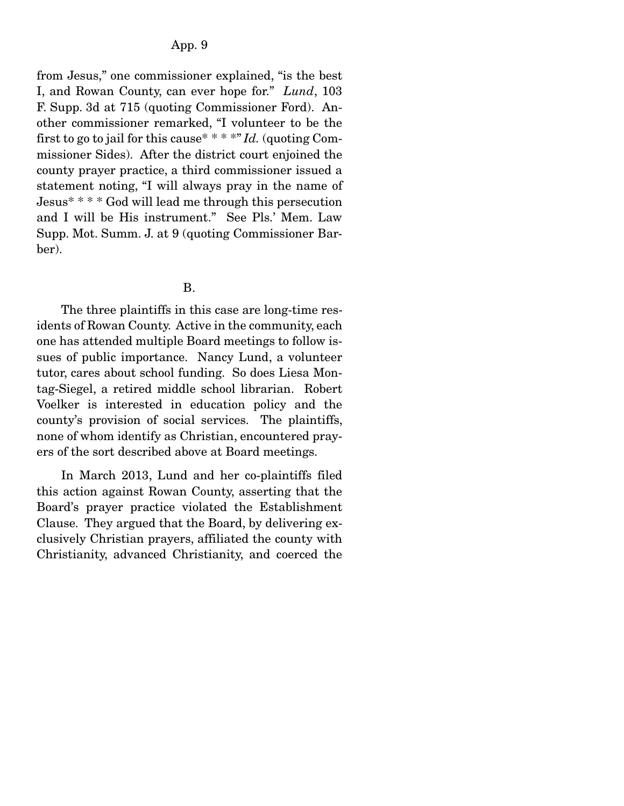from Jesus," one commissioner explained, "is the best I, and Rowan County, can ever hope for." *Lund*, 103 F. Supp. 3d at 715 (quoting Commissioner Ford). Another commissioner remarked, "I volunteer to be the first to go to jail for this cause\* \* \* \*" *Id.* (quoting Commissioner Sides). After the district court enjoined the county prayer practice, a third commissioner issued a statement noting, "I will always pray in the name of Jesus\* \* \* \* God will lead me through this persecution and I will be His instrument." See Pls.' Mem. Law Supp. Mot. Summ. J. at 9 (quoting Commissioner Barber).

#### B.

 The three plaintiffs in this case are long-time residents of Rowan County. Active in the community, each one has attended multiple Board meetings to follow issues of public importance. Nancy Lund, a volunteer tutor, cares about school funding. So does Liesa Montag-Siegel, a retired middle school librarian. Robert Voelker is interested in education policy and the county's provision of social services. The plaintiffs, none of whom identify as Christian, encountered prayers of the sort described above at Board meetings.

 In March 2013, Lund and her co-plaintiffs filed this action against Rowan County, asserting that the Board's prayer practice violated the Establishment Clause. They argued that the Board, by delivering exclusively Christian prayers, affiliated the county with Christianity, advanced Christianity, and coerced the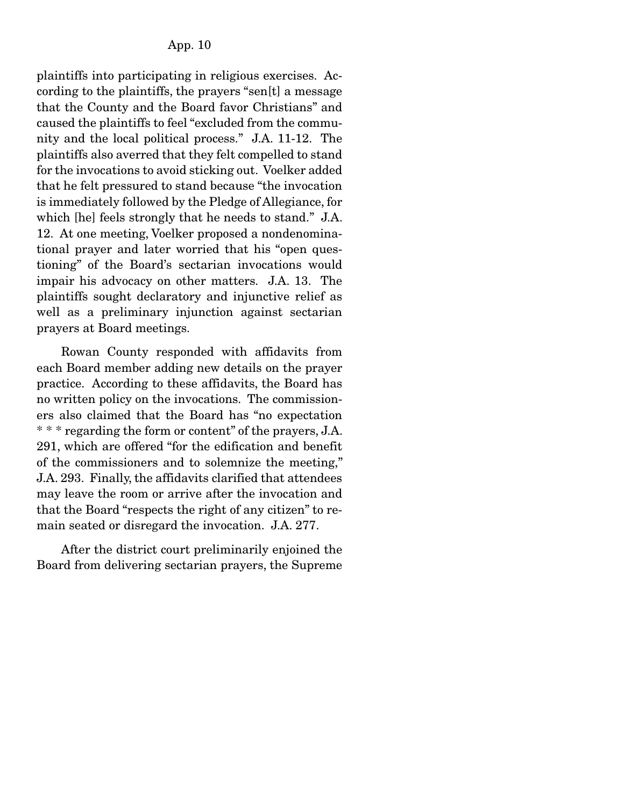plaintiffs into participating in religious exercises. According to the plaintiffs, the prayers "sen[t] a message that the County and the Board favor Christians" and caused the plaintiffs to feel "excluded from the community and the local political process." J.A. 11-12. The plaintiffs also averred that they felt compelled to stand for the invocations to avoid sticking out. Voelker added that he felt pressured to stand because "the invocation is immediately followed by the Pledge of Allegiance, for which [he] feels strongly that he needs to stand." J.A. 12. At one meeting, Voelker proposed a nondenominational prayer and later worried that his "open questioning" of the Board's sectarian invocations would impair his advocacy on other matters. J.A. 13. The plaintiffs sought declaratory and injunctive relief as well as a preliminary injunction against sectarian prayers at Board meetings.

 Rowan County responded with affidavits from each Board member adding new details on the prayer practice. According to these affidavits, the Board has no written policy on the invocations. The commissioners also claimed that the Board has "no expectation \* \* \* regarding the form or content" of the prayers, J.A. 291, which are offered "for the edification and benefit of the commissioners and to solemnize the meeting," J.A. 293. Finally, the affidavits clarified that attendees may leave the room or arrive after the invocation and that the Board "respects the right of any citizen" to remain seated or disregard the invocation. J.A. 277.

 After the district court preliminarily enjoined the Board from delivering sectarian prayers, the Supreme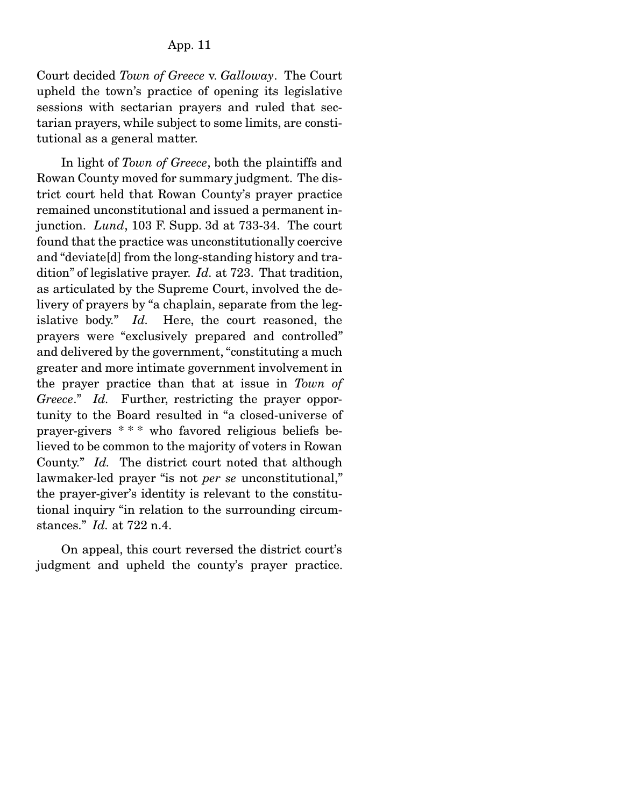Court decided *Town of Greece* v. *Galloway*. The Court upheld the town's practice of opening its legislative sessions with sectarian prayers and ruled that sectarian prayers, while subject to some limits, are constitutional as a general matter.

 In light of *Town of Greece*, both the plaintiffs and Rowan County moved for summary judgment. The district court held that Rowan County's prayer practice remained unconstitutional and issued a permanent injunction. *Lund*, 103 F. Supp. 3d at 733-34. The court found that the practice was unconstitutionally coercive and "deviate[d] from the long-standing history and tradition" of legislative prayer. *Id.* at 723. That tradition, as articulated by the Supreme Court, involved the delivery of prayers by "a chaplain, separate from the legislative body." *Id.* Here, the court reasoned, the prayers were "exclusively prepared and controlled" and delivered by the government, "constituting a much greater and more intimate government involvement in the prayer practice than that at issue in *Town of Greece*." *Id.* Further, restricting the prayer opportunity to the Board resulted in "a closed-universe of prayer-givers \* \* \* who favored religious beliefs believed to be common to the majority of voters in Rowan County." *Id.* The district court noted that although lawmaker-led prayer "is not *per se* unconstitutional," the prayer-giver's identity is relevant to the constitutional inquiry "in relation to the surrounding circumstances." *Id.* at 722 n.4.

 On appeal, this court reversed the district court's judgment and upheld the county's prayer practice.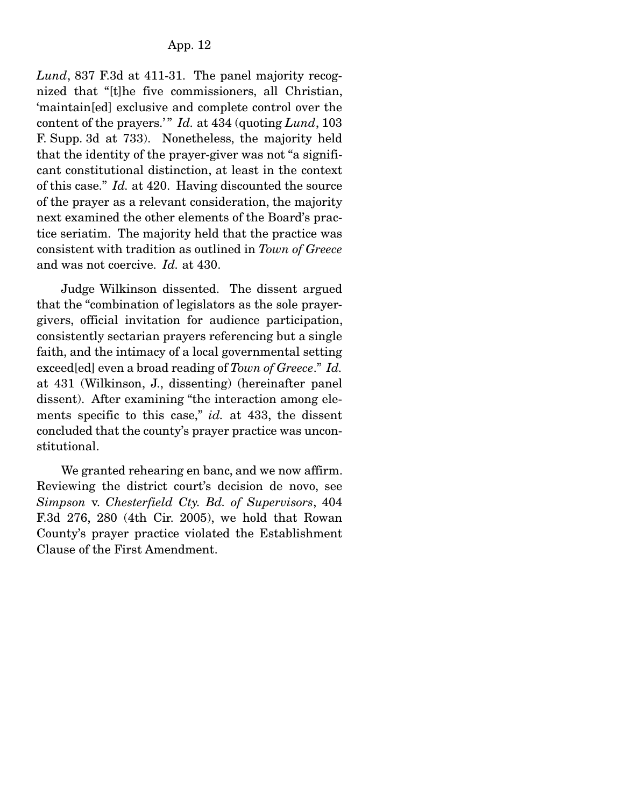*Lund*, 837 F.3d at 411-31. The panel majority recognized that "[t]he five commissioners, all Christian, 'maintain[ed] exclusive and complete control over the content of the prayers.'" *Id.* at 434 (quoting *Lund*, 103) F. Supp. 3d at 733). Nonetheless, the majority held that the identity of the prayer-giver was not "a significant constitutional distinction, at least in the context of this case." *Id.* at 420. Having discounted the source of the prayer as a relevant consideration, the majority next examined the other elements of the Board's practice seriatim. The majority held that the practice was consistent with tradition as outlined in *Town of Greece* and was not coercive. *Id.* at 430.

 Judge Wilkinson dissented. The dissent argued that the "combination of legislators as the sole prayergivers, official invitation for audience participation, consistently sectarian prayers referencing but a single faith, and the intimacy of a local governmental setting exceed[ed] even a broad reading of *Town of Greece*." *Id.* at 431 (Wilkinson, J., dissenting) (hereinafter panel dissent). After examining "the interaction among elements specific to this case," *id.* at 433, the dissent concluded that the county's prayer practice was unconstitutional.

 We granted rehearing en banc, and we now affirm. Reviewing the district court's decision de novo, see *Simpson* v. *Chesterfield Cty. Bd. of Supervisors*, 404 F.3d 276, 280 (4th Cir. 2005), we hold that Rowan County's prayer practice violated the Establishment Clause of the First Amendment.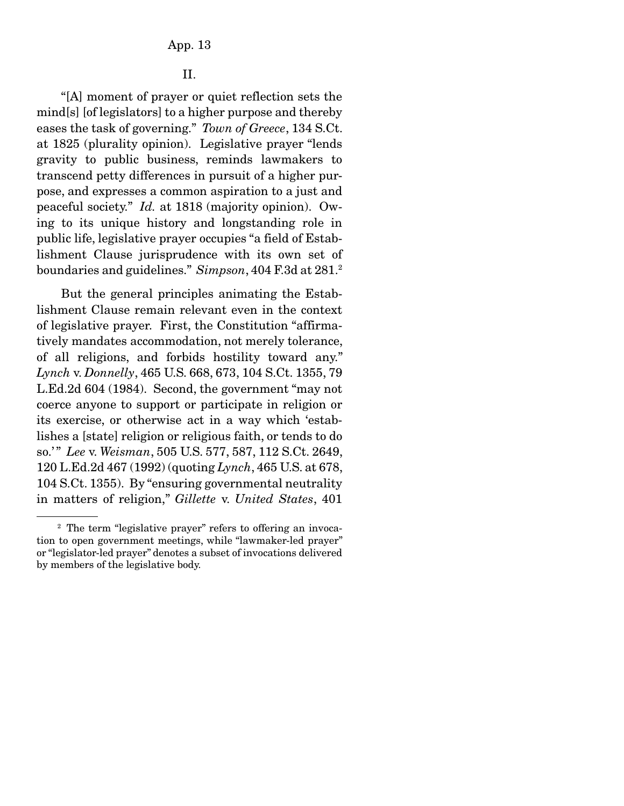## II.

 "[A] moment of prayer or quiet reflection sets the mind[s] [of legislators] to a higher purpose and thereby eases the task of governing." *Town of Greece*, 134 S.Ct. at 1825 (plurality opinion). Legislative prayer "lends gravity to public business, reminds lawmakers to transcend petty differences in pursuit of a higher purpose, and expresses a common aspiration to a just and peaceful society." *Id.* at 1818 (majority opinion). Owing to its unique history and longstanding role in public life, legislative prayer occupies "a field of Establishment Clause jurisprudence with its own set of boundaries and guidelines." *Simpson*, 404 F.3d at 281.2

 But the general principles animating the Establishment Clause remain relevant even in the context of legislative prayer. First, the Constitution "affirmatively mandates accommodation, not merely tolerance, of all religions, and forbids hostility toward any." *Lynch* v. *Donnelly*, 465 U.S. 668, 673, 104 S.Ct. 1355, 79 L.Ed.2d 604 (1984). Second, the government "may not coerce anyone to support or participate in religion or its exercise, or otherwise act in a way which 'establishes a [state] religion or religious faith, or tends to do so.' " *Lee* v. *Weisman*, 505 U.S. 577, 587, 112 S.Ct. 2649, 120 L.Ed.2d 467 (1992) (quoting *Lynch*, 465 U.S. at 678, 104 S.Ct. 1355). By "ensuring governmental neutrality in matters of religion," *Gillette* v. *United States*, 401

<sup>&</sup>lt;sup>2</sup> The term "legislative prayer" refers to offering an invocation to open government meetings, while "lawmaker-led prayer" or "legislator-led prayer" denotes a subset of invocations delivered by members of the legislative body.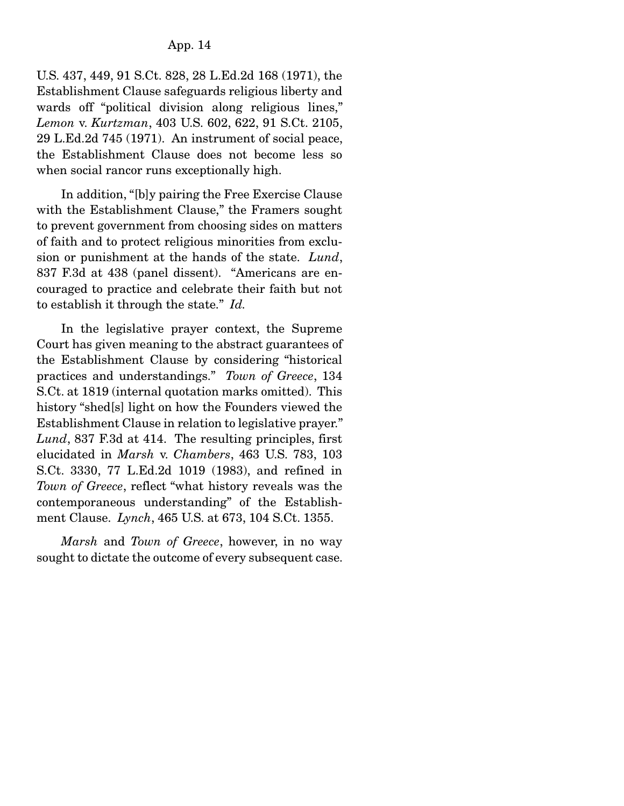U.S. 437, 449, 91 S.Ct. 828, 28 L.Ed.2d 168 (1971), the Establishment Clause safeguards religious liberty and wards off "political division along religious lines," *Lemon* v. *Kurtzman*, 403 U.S. 602, 622, 91 S.Ct. 2105, 29 L.Ed.2d 745 (1971). An instrument of social peace, the Establishment Clause does not become less so when social rancor runs exceptionally high.

 In addition, "[b]y pairing the Free Exercise Clause with the Establishment Clause," the Framers sought to prevent government from choosing sides on matters of faith and to protect religious minorities from exclusion or punishment at the hands of the state. *Lund*, 837 F.3d at 438 (panel dissent). "Americans are encouraged to practice and celebrate their faith but not to establish it through the state." *Id.*

 In the legislative prayer context, the Supreme Court has given meaning to the abstract guarantees of the Establishment Clause by considering "historical practices and understandings." *Town of Greece*, 134 S.Ct. at 1819 (internal quotation marks omitted). This history "shed[s] light on how the Founders viewed the Establishment Clause in relation to legislative prayer." *Lund*, 837 F.3d at 414. The resulting principles, first elucidated in *Marsh* v. *Chambers*, 463 U.S. 783, 103 S.Ct. 3330, 77 L.Ed.2d 1019 (1983), and refined in *Town of Greece*, reflect "what history reveals was the contemporaneous understanding" of the Establishment Clause. *Lynch*, 465 U.S. at 673, 104 S.Ct. 1355.

*Marsh* and *Town of Greece*, however, in no way sought to dictate the outcome of every subsequent case.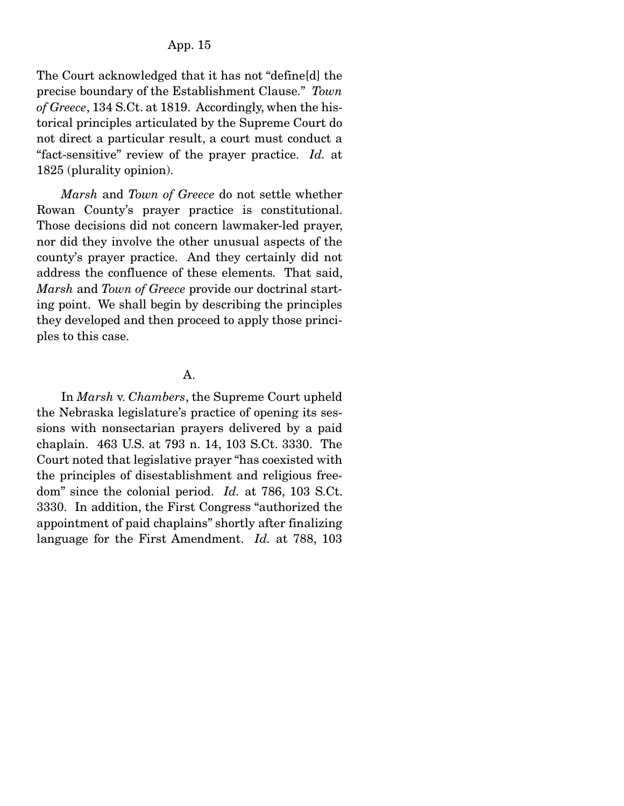The Court acknowledged that it has not "define[d] the precise boundary of the Establishment Clause." *Town of Greece*, 134 S.Ct. at 1819. Accordingly, when the historical principles articulated by the Supreme Court do not direct a particular result, a court must conduct a "fact-sensitive" review of the prayer practice. *Id.* at 1825 (plurality opinion).

*Marsh* and *Town of Greece* do not settle whether Rowan County's prayer practice is constitutional. Those decisions did not concern lawmaker-led prayer, nor did they involve the other unusual aspects of the county's prayer practice. And they certainly did not address the confluence of these elements. That said, *Marsh* and *Town of Greece* provide our doctrinal starting point. We shall begin by describing the principles they developed and then proceed to apply those principles to this case.

### A.

 In *Marsh* v. *Chambers*, the Supreme Court upheld the Nebraska legislature's practice of opening its sessions with nonsectarian prayers delivered by a paid chaplain. 463 U.S. at 793 n. 14, 103 S.Ct. 3330. The Court noted that legislative prayer "has coexisted with the principles of disestablishment and religious freedom" since the colonial period. *Id.* at 786, 103 S.Ct. 3330. In addition, the First Congress "authorized the appointment of paid chaplains" shortly after finalizing language for the First Amendment. *Id.* at 788, 103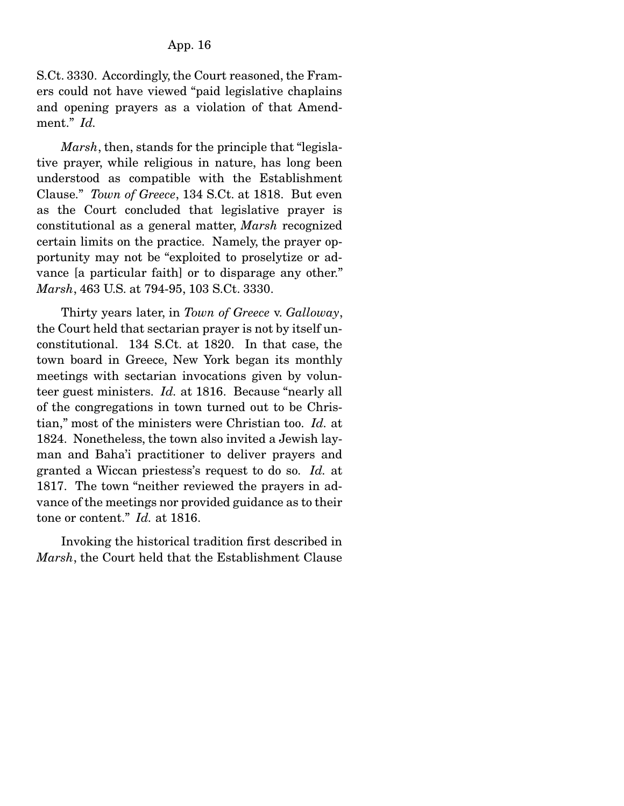S.Ct. 3330. Accordingly, the Court reasoned, the Framers could not have viewed "paid legislative chaplains and opening prayers as a violation of that Amendment." *Id.*

*Marsh*, then, stands for the principle that "legislative prayer, while religious in nature, has long been understood as compatible with the Establishment Clause." *Town of Greece*, 134 S.Ct. at 1818. But even as the Court concluded that legislative prayer is constitutional as a general matter, *Marsh* recognized certain limits on the practice. Namely, the prayer opportunity may not be "exploited to proselytize or advance [a particular faith] or to disparage any other." *Marsh*, 463 U.S. at 794-95, 103 S.Ct. 3330.

 Thirty years later, in *Town of Greece* v. *Galloway*, the Court held that sectarian prayer is not by itself unconstitutional. 134 S.Ct. at 1820. In that case, the town board in Greece, New York began its monthly meetings with sectarian invocations given by volunteer guest ministers. *Id.* at 1816. Because "nearly all of the congregations in town turned out to be Christian," most of the ministers were Christian too. *Id.* at 1824. Nonetheless, the town also invited a Jewish layman and Baha'i practitioner to deliver prayers and granted a Wiccan priestess's request to do so. *Id.* at 1817. The town "neither reviewed the prayers in advance of the meetings nor provided guidance as to their tone or content." *Id.* at 1816.

 Invoking the historical tradition first described in *Marsh*, the Court held that the Establishment Clause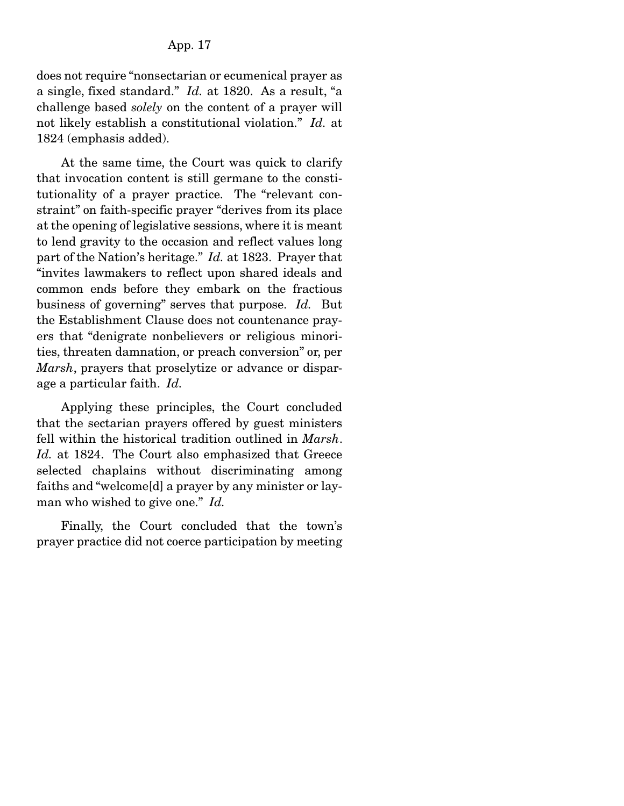does not require "nonsectarian or ecumenical prayer as a single, fixed standard." *Id.* at 1820. As a result, "a challenge based *solely* on the content of a prayer will not likely establish a constitutional violation." *Id.* at 1824 (emphasis added).

 At the same time, the Court was quick to clarify that invocation content is still germane to the constitutionality of a prayer practice. The "relevant constraint" on faith-specific prayer "derives from its place at the opening of legislative sessions, where it is meant to lend gravity to the occasion and reflect values long part of the Nation's heritage." *Id.* at 1823. Prayer that "invites lawmakers to reflect upon shared ideals and common ends before they embark on the fractious business of governing" serves that purpose. *Id.* But the Establishment Clause does not countenance prayers that "denigrate nonbelievers or religious minorities, threaten damnation, or preach conversion" or, per *Marsh*, prayers that proselytize or advance or disparage a particular faith. *Id.*

 Applying these principles, the Court concluded that the sectarian prayers offered by guest ministers fell within the historical tradition outlined in *Marsh*. *Id.* at 1824. The Court also emphasized that Greece selected chaplains without discriminating among faiths and "welcome[d] a prayer by any minister or layman who wished to give one." *Id.*

 Finally, the Court concluded that the town's prayer practice did not coerce participation by meeting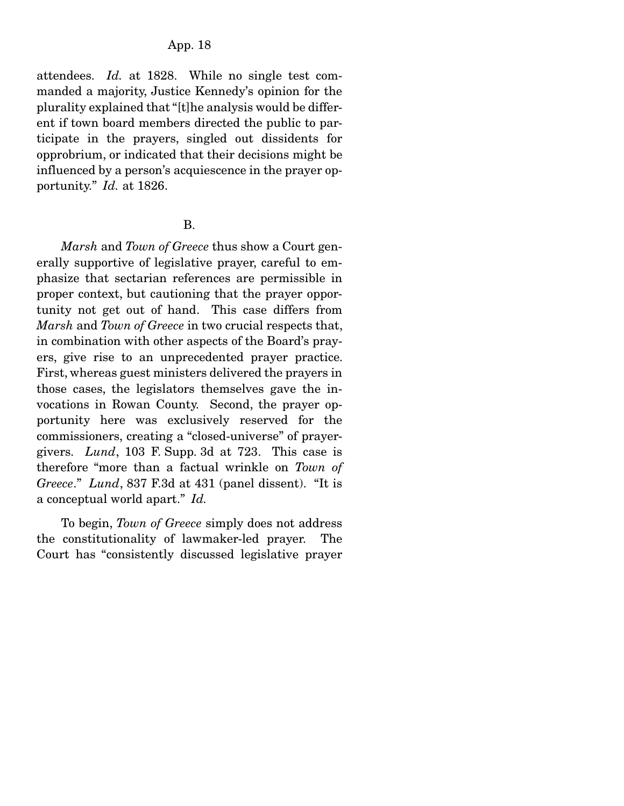attendees. *Id.* at 1828. While no single test commanded a majority, Justice Kennedy's opinion for the plurality explained that "[t]he analysis would be different if town board members directed the public to participate in the prayers, singled out dissidents for opprobrium, or indicated that their decisions might be influenced by a person's acquiescence in the prayer opportunity." *Id.* at 1826.

#### B.

*Marsh* and *Town of Greece* thus show a Court generally supportive of legislative prayer, careful to emphasize that sectarian references are permissible in proper context, but cautioning that the prayer opportunity not get out of hand. This case differs from *Marsh* and *Town of Greece* in two crucial respects that, in combination with other aspects of the Board's prayers, give rise to an unprecedented prayer practice. First, whereas guest ministers delivered the prayers in those cases, the legislators themselves gave the invocations in Rowan County. Second, the prayer opportunity here was exclusively reserved for the commissioners, creating a "closed-universe" of prayergivers. *Lund*, 103 F. Supp. 3d at 723. This case is therefore "more than a factual wrinkle on *Town of Greece*." *Lund*, 837 F.3d at 431 (panel dissent). "It is a conceptual world apart." *Id.*

 To begin, *Town of Greece* simply does not address the constitutionality of lawmaker-led prayer. The Court has "consistently discussed legislative prayer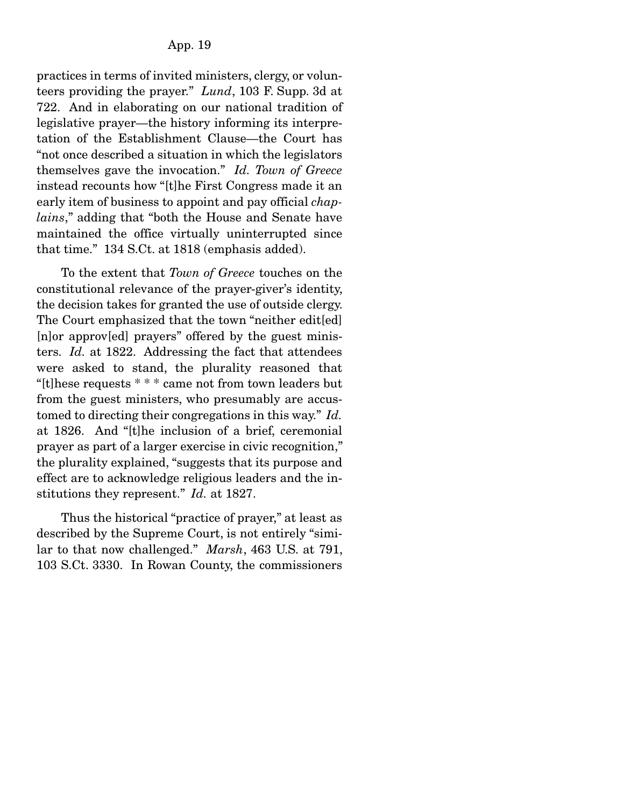practices in terms of invited ministers, clergy, or volunteers providing the prayer." *Lund*, 103 F. Supp. 3d at 722. And in elaborating on our national tradition of legislative prayer—the history informing its interpretation of the Establishment Clause—the Court has "not once described a situation in which the legislators themselves gave the invocation." *Id. Town of Greece* instead recounts how "[t]he First Congress made it an early item of business to appoint and pay official *chaplains*," adding that "both the House and Senate have maintained the office virtually uninterrupted since that time." 134 S.Ct. at 1818 (emphasis added).

 To the extent that *Town of Greece* touches on the constitutional relevance of the prayer-giver's identity, the decision takes for granted the use of outside clergy. The Court emphasized that the town "neither edit[ed] [n]or approv[ed] prayers" offered by the guest ministers. *Id.* at 1822. Addressing the fact that attendees were asked to stand, the plurality reasoned that "[t]hese requests \* \* \* came not from town leaders but from the guest ministers, who presumably are accustomed to directing their congregations in this way." *Id.* at 1826. And "[t]he inclusion of a brief, ceremonial prayer as part of a larger exercise in civic recognition," the plurality explained, "suggests that its purpose and effect are to acknowledge religious leaders and the institutions they represent." *Id.* at 1827.

 Thus the historical "practice of prayer," at least as described by the Supreme Court, is not entirely "similar to that now challenged." *Marsh*, 463 U.S. at 791, 103 S.Ct. 3330. In Rowan County, the commissioners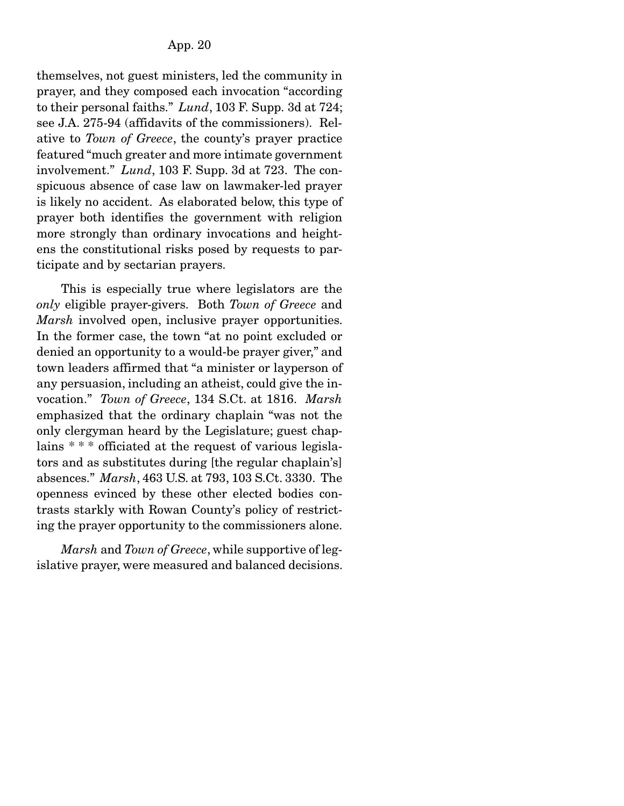themselves, not guest ministers, led the community in prayer, and they composed each invocation "according to their personal faiths." *Lund*, 103 F. Supp. 3d at 724; see J.A. 275-94 (affidavits of the commissioners). Relative to *Town of Greece*, the county's prayer practice featured "much greater and more intimate government involvement." *Lund*, 103 F. Supp. 3d at 723. The conspicuous absence of case law on lawmaker-led prayer is likely no accident. As elaborated below, this type of prayer both identifies the government with religion more strongly than ordinary invocations and heightens the constitutional risks posed by requests to participate and by sectarian prayers.

 This is especially true where legislators are the *only* eligible prayer-givers. Both *Town of Greece* and *Marsh* involved open, inclusive prayer opportunities. In the former case, the town "at no point excluded or denied an opportunity to a would-be prayer giver," and town leaders affirmed that "a minister or layperson of any persuasion, including an atheist, could give the invocation." *Town of Greece*, 134 S.Ct. at 1816. *Marsh* emphasized that the ordinary chaplain "was not the only clergyman heard by the Legislature; guest chaplains \* \* \* officiated at the request of various legislators and as substitutes during [the regular chaplain's] absences." *Marsh*, 463 U.S. at 793, 103 S.Ct. 3330. The openness evinced by these other elected bodies contrasts starkly with Rowan County's policy of restricting the prayer opportunity to the commissioners alone.

*Marsh* and *Town of Greece*, while supportive of legislative prayer, were measured and balanced decisions.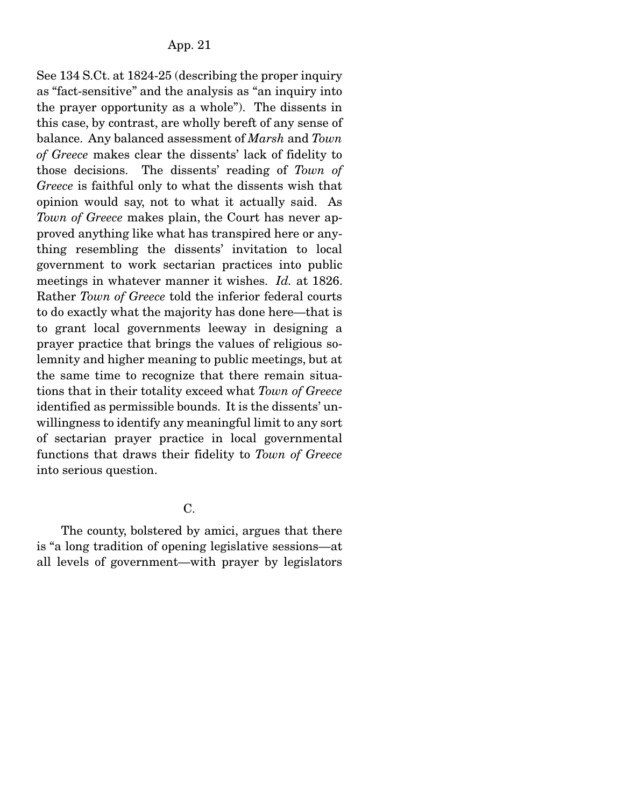See 134 S.Ct. at 1824-25 (describing the proper inquiry as "fact-sensitive" and the analysis as "an inquiry into the prayer opportunity as a whole"). The dissents in this case, by contrast, are wholly bereft of any sense of balance. Any balanced assessment of *Marsh* and *Town of Greece* makes clear the dissents' lack of fidelity to those decisions. The dissents' reading of *Town of Greece* is faithful only to what the dissents wish that opinion would say, not to what it actually said. As *Town of Greece* makes plain, the Court has never approved anything like what has transpired here or anything resembling the dissents' invitation to local government to work sectarian practices into public meetings in whatever manner it wishes. *Id.* at 1826. Rather *Town of Greece* told the inferior federal courts to do exactly what the majority has done here—that is to grant local governments leeway in designing a prayer practice that brings the values of religious solemnity and higher meaning to public meetings, but at the same time to recognize that there remain situations that in their totality exceed what *Town of Greece* identified as permissible bounds. It is the dissents' unwillingness to identify any meaningful limit to any sort of sectarian prayer practice in local governmental functions that draws their fidelity to *Town of Greece* into serious question.

 $C_{\cdot}$ 

 The county, bolstered by amici, argues that there is "a long tradition of opening legislative sessions—at all levels of government—with prayer by legislators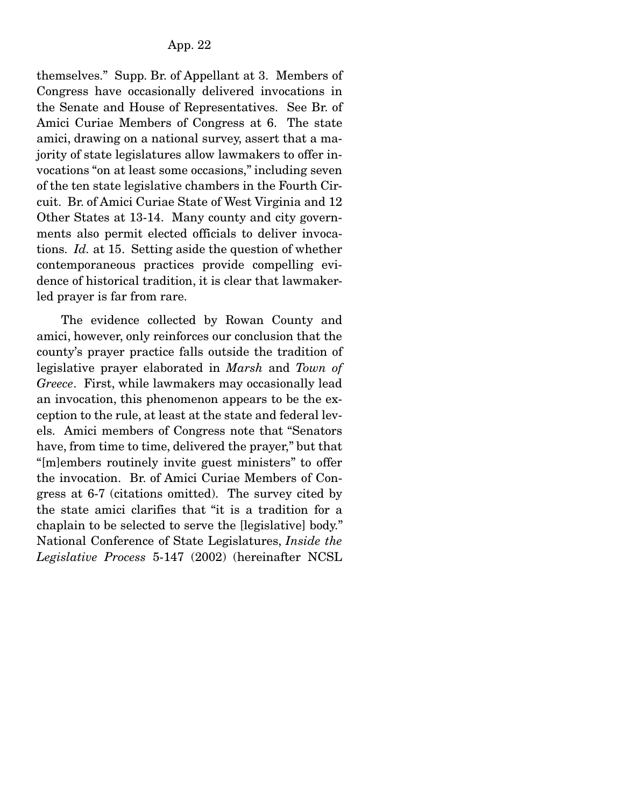themselves." Supp. Br. of Appellant at 3. Members of Congress have occasionally delivered invocations in the Senate and House of Representatives. See Br. of Amici Curiae Members of Congress at 6. The state amici, drawing on a national survey, assert that a majority of state legislatures allow lawmakers to offer invocations "on at least some occasions," including seven of the ten state legislative chambers in the Fourth Circuit. Br. of Amici Curiae State of West Virginia and 12 Other States at 13-14. Many county and city governments also permit elected officials to deliver invocations. *Id.* at 15. Setting aside the question of whether contemporaneous practices provide compelling evidence of historical tradition, it is clear that lawmakerled prayer is far from rare.

 The evidence collected by Rowan County and amici, however, only reinforces our conclusion that the county's prayer practice falls outside the tradition of legislative prayer elaborated in *Marsh* and *Town of Greece*. First, while lawmakers may occasionally lead an invocation, this phenomenon appears to be the exception to the rule, at least at the state and federal levels. Amici members of Congress note that "Senators have, from time to time, delivered the prayer," but that "[m]embers routinely invite guest ministers" to offer the invocation. Br. of Amici Curiae Members of Congress at 6-7 (citations omitted). The survey cited by the state amici clarifies that "it is a tradition for a chaplain to be selected to serve the [legislative] body." National Conference of State Legislatures, *Inside the Legislative Process* 5-147 (2002) (hereinafter NCSL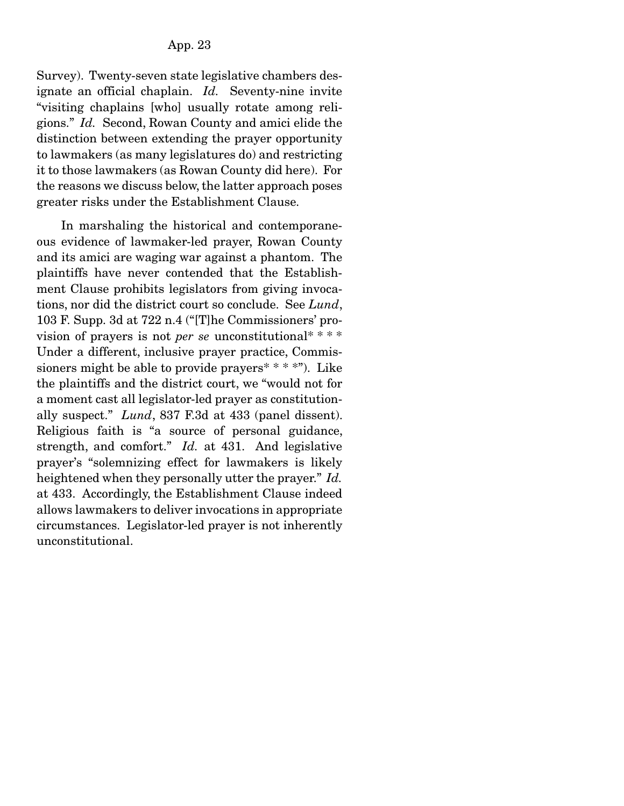Survey). Twenty-seven state legislative chambers designate an official chaplain. *Id.* Seventy-nine invite "visiting chaplains [who] usually rotate among religions." *Id.* Second, Rowan County and amici elide the distinction between extending the prayer opportunity to lawmakers (as many legislatures do) and restricting it to those lawmakers (as Rowan County did here). For the reasons we discuss below, the latter approach poses greater risks under the Establishment Clause.

 In marshaling the historical and contemporaneous evidence of lawmaker-led prayer, Rowan County and its amici are waging war against a phantom. The plaintiffs have never contended that the Establishment Clause prohibits legislators from giving invocations, nor did the district court so conclude. See *Lund*, 103 F. Supp. 3d at 722 n.4 ("[T]he Commissioners' provision of prayers is not *per se* unconstitutional\* \* \* \* Under a different, inclusive prayer practice, Commissioners might be able to provide prayers  $* * * *$ "). Like the plaintiffs and the district court, we "would not for a moment cast all legislator-led prayer as constitutionally suspect." *Lund*, 837 F.3d at 433 (panel dissent). Religious faith is "a source of personal guidance, strength, and comfort." *Id.* at 431. And legislative prayer's "solemnizing effect for lawmakers is likely heightened when they personally utter the prayer." *Id.* at 433. Accordingly, the Establishment Clause indeed allows lawmakers to deliver invocations in appropriate circumstances. Legislator-led prayer is not inherently unconstitutional.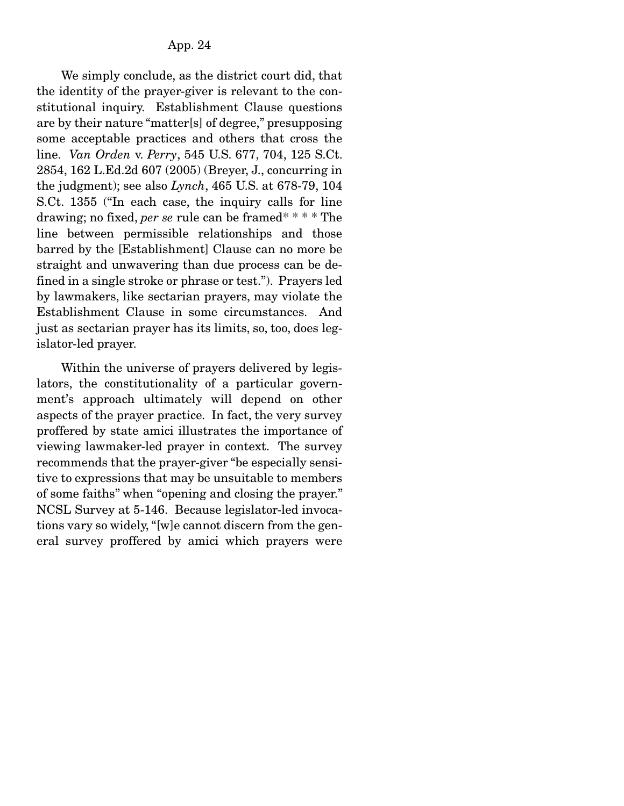We simply conclude, as the district court did, that the identity of the prayer-giver is relevant to the constitutional inquiry. Establishment Clause questions are by their nature "matter[s] of degree," presupposing some acceptable practices and others that cross the line. *Van Orden* v. *Perry*, 545 U.S. 677, 704, 125 S.Ct. 2854, 162 L.Ed.2d 607 (2005) (Breyer, J., concurring in the judgment); see also *Lynch*, 465 U.S. at 678-79, 104 S.Ct. 1355 ("In each case, the inquiry calls for line drawing; no fixed, *per se* rule can be framed\* \* \* \* The line between permissible relationships and those barred by the [Establishment] Clause can no more be straight and unwavering than due process can be defined in a single stroke or phrase or test."). Prayers led by lawmakers, like sectarian prayers, may violate the Establishment Clause in some circumstances. And just as sectarian prayer has its limits, so, too, does legislator-led prayer.

 Within the universe of prayers delivered by legislators, the constitutionality of a particular government's approach ultimately will depend on other aspects of the prayer practice. In fact, the very survey proffered by state amici illustrates the importance of viewing lawmaker-led prayer in context. The survey recommends that the prayer-giver "be especially sensitive to expressions that may be unsuitable to members of some faiths" when "opening and closing the prayer." NCSL Survey at 5-146. Because legislator-led invocations vary so widely, "[w]e cannot discern from the general survey proffered by amici which prayers were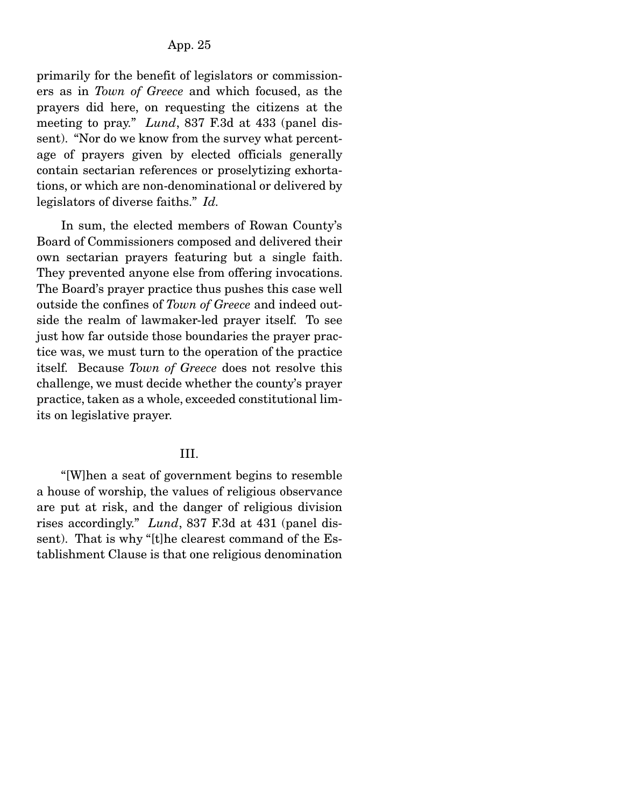primarily for the benefit of legislators or commissioners as in *Town of Greece* and which focused, as the prayers did here, on requesting the citizens at the meeting to pray." *Lund*, 837 F.3d at 433 (panel dissent). "Nor do we know from the survey what percentage of prayers given by elected officials generally contain sectarian references or proselytizing exhortations, or which are non-denominational or delivered by legislators of diverse faiths." *Id.*

 In sum, the elected members of Rowan County's Board of Commissioners composed and delivered their own sectarian prayers featuring but a single faith. They prevented anyone else from offering invocations. The Board's prayer practice thus pushes this case well outside the confines of *Town of Greece* and indeed outside the realm of lawmaker-led prayer itself. To see just how far outside those boundaries the prayer practice was, we must turn to the operation of the practice itself. Because *Town of Greece* does not resolve this challenge, we must decide whether the county's prayer practice, taken as a whole, exceeded constitutional limits on legislative prayer.

#### III.

 "[W]hen a seat of government begins to resemble a house of worship, the values of religious observance are put at risk, and the danger of religious division rises accordingly." *Lund*, 837 F.3d at 431 (panel dissent). That is why "[t]he clearest command of the Establishment Clause is that one religious denomination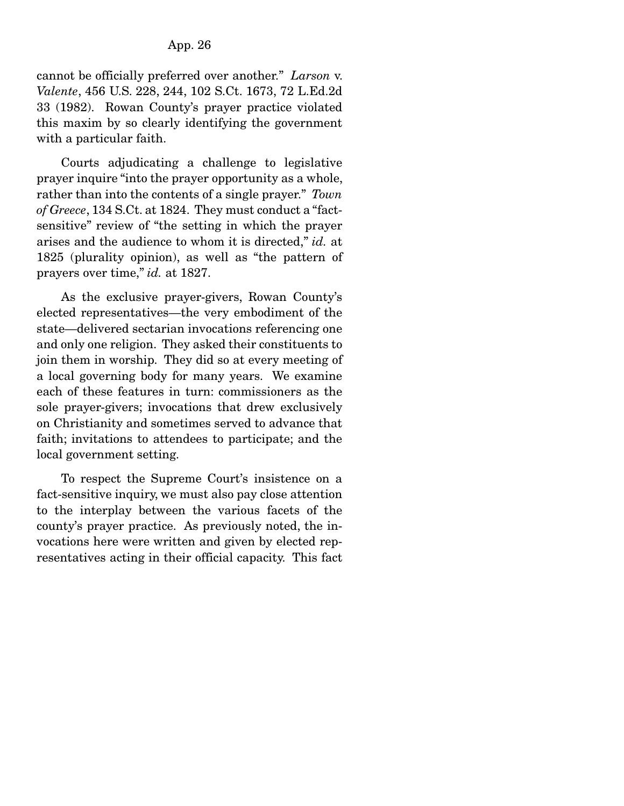cannot be officially preferred over another." *Larson* v. *Valente*, 456 U.S. 228, 244, 102 S.Ct. 1673, 72 L.Ed.2d 33 (1982). Rowan County's prayer practice violated this maxim by so clearly identifying the government with a particular faith.

 Courts adjudicating a challenge to legislative prayer inquire "into the prayer opportunity as a whole, rather than into the contents of a single prayer." *Town of Greece*, 134 S.Ct. at 1824. They must conduct a "factsensitive" review of "the setting in which the prayer arises and the audience to whom it is directed," *id.* at 1825 (plurality opinion), as well as "the pattern of prayers over time," *id.* at 1827.

 As the exclusive prayer-givers, Rowan County's elected representatives—the very embodiment of the state—delivered sectarian invocations referencing one and only one religion. They asked their constituents to join them in worship. They did so at every meeting of a local governing body for many years. We examine each of these features in turn: commissioners as the sole prayer-givers; invocations that drew exclusively on Christianity and sometimes served to advance that faith; invitations to attendees to participate; and the local government setting.

 To respect the Supreme Court's insistence on a fact-sensitive inquiry, we must also pay close attention to the interplay between the various facets of the county's prayer practice. As previously noted, the invocations here were written and given by elected representatives acting in their official capacity. This fact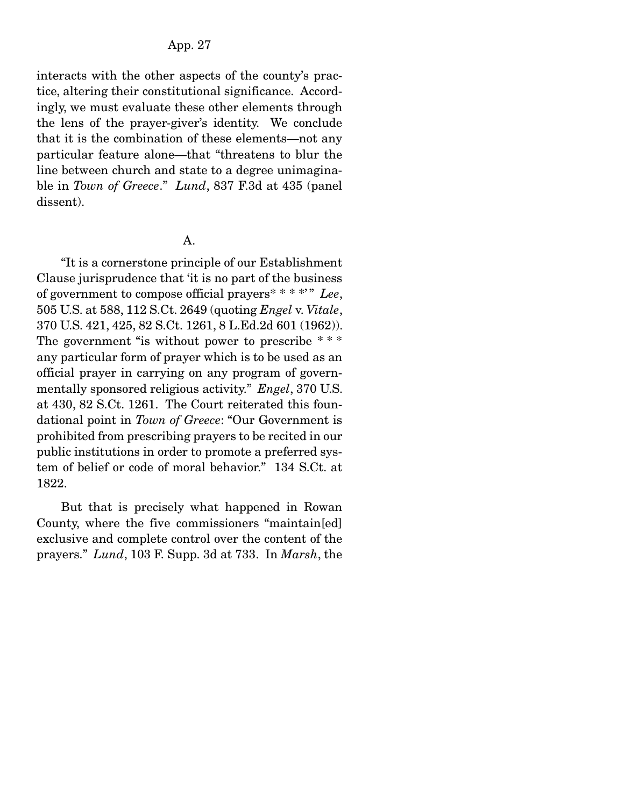interacts with the other aspects of the county's practice, altering their constitutional significance. Accordingly, we must evaluate these other elements through the lens of the prayer-giver's identity. We conclude that it is the combination of these elements—not any particular feature alone—that "threatens to blur the line between church and state to a degree unimaginable in *Town of Greece*." *Lund*, 837 F.3d at 435 (panel dissent).

### A.

 "It is a cornerstone principle of our Establishment Clause jurisprudence that 'it is no part of the business of government to compose official prayers\* \* \* \*' " *Lee*, 505 U.S. at 588, 112 S.Ct. 2649 (quoting *Engel* v. *Vitale*, 370 U.S. 421, 425, 82 S.Ct. 1261, 8 L.Ed.2d 601 (1962)). The government "is without power to prescribe \*\*\* any particular form of prayer which is to be used as an official prayer in carrying on any program of governmentally sponsored religious activity." *Engel*, 370 U.S. at 430, 82 S.Ct. 1261. The Court reiterated this foundational point in *Town of Greece*: "Our Government is prohibited from prescribing prayers to be recited in our public institutions in order to promote a preferred system of belief or code of moral behavior." 134 S.Ct. at 1822.

 But that is precisely what happened in Rowan County, where the five commissioners "maintain[ed] exclusive and complete control over the content of the prayers." *Lund*, 103 F. Supp. 3d at 733. In *Marsh*, the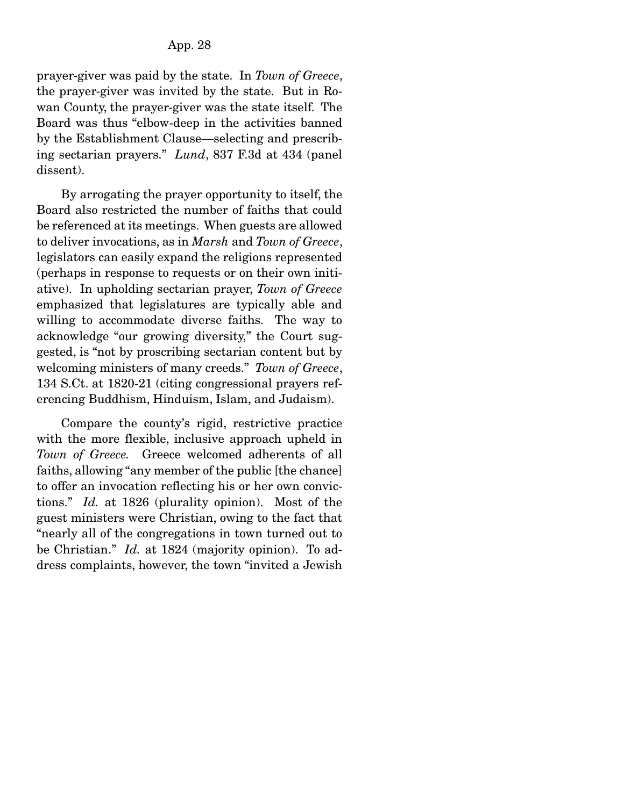prayer-giver was paid by the state. In *Town of Greece*, the prayer-giver was invited by the state. But in Rowan County, the prayer-giver was the state itself. The Board was thus "elbow-deep in the activities banned by the Establishment Clause—selecting and prescribing sectarian prayers." *Lund*, 837 F.3d at 434 (panel dissent).

 By arrogating the prayer opportunity to itself, the Board also restricted the number of faiths that could be referenced at its meetings. When guests are allowed to deliver invocations, as in *Marsh* and *Town of Greece*, legislators can easily expand the religions represented (perhaps in response to requests or on their own initiative). In upholding sectarian prayer, *Town of Greece* emphasized that legislatures are typically able and willing to accommodate diverse faiths. The way to acknowledge "our growing diversity," the Court suggested, is "not by proscribing sectarian content but by welcoming ministers of many creeds." *Town of Greece*, 134 S.Ct. at 1820-21 (citing congressional prayers referencing Buddhism, Hinduism, Islam, and Judaism).

 Compare the county's rigid, restrictive practice with the more flexible, inclusive approach upheld in *Town of Greece.* Greece welcomed adherents of all faiths, allowing "any member of the public [the chance] to offer an invocation reflecting his or her own convictions." *Id.* at 1826 (plurality opinion). Most of the guest ministers were Christian, owing to the fact that "nearly all of the congregations in town turned out to be Christian." *Id.* at 1824 (majority opinion). To address complaints, however, the town "invited a Jewish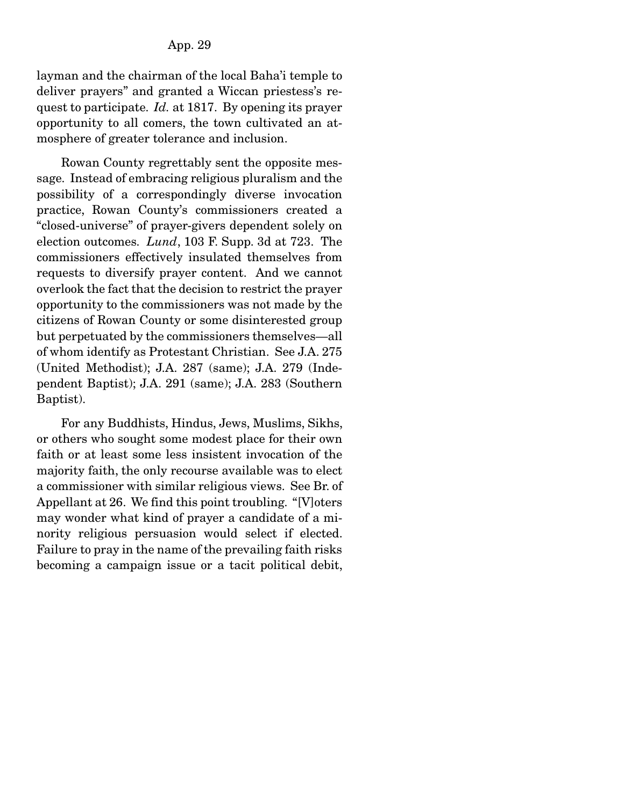layman and the chairman of the local Baha'i temple to deliver prayers" and granted a Wiccan priestess's request to participate. *Id.* at 1817. By opening its prayer opportunity to all comers, the town cultivated an atmosphere of greater tolerance and inclusion.

 Rowan County regrettably sent the opposite message. Instead of embracing religious pluralism and the possibility of a correspondingly diverse invocation practice, Rowan County's commissioners created a "closed-universe" of prayer-givers dependent solely on election outcomes. *Lund*, 103 F. Supp. 3d at 723. The commissioners effectively insulated themselves from requests to diversify prayer content. And we cannot overlook the fact that the decision to restrict the prayer opportunity to the commissioners was not made by the citizens of Rowan County or some disinterested group but perpetuated by the commissioners themselves—all of whom identify as Protestant Christian. See J.A. 275 (United Methodist); J.A. 287 (same); J.A. 279 (Independent Baptist); J.A. 291 (same); J.A. 283 (Southern Baptist).

 For any Buddhists, Hindus, Jews, Muslims, Sikhs, or others who sought some modest place for their own faith or at least some less insistent invocation of the majority faith, the only recourse available was to elect a commissioner with similar religious views. See Br. of Appellant at 26. We find this point troubling. "[V]oters may wonder what kind of prayer a candidate of a minority religious persuasion would select if elected. Failure to pray in the name of the prevailing faith risks becoming a campaign issue or a tacit political debit,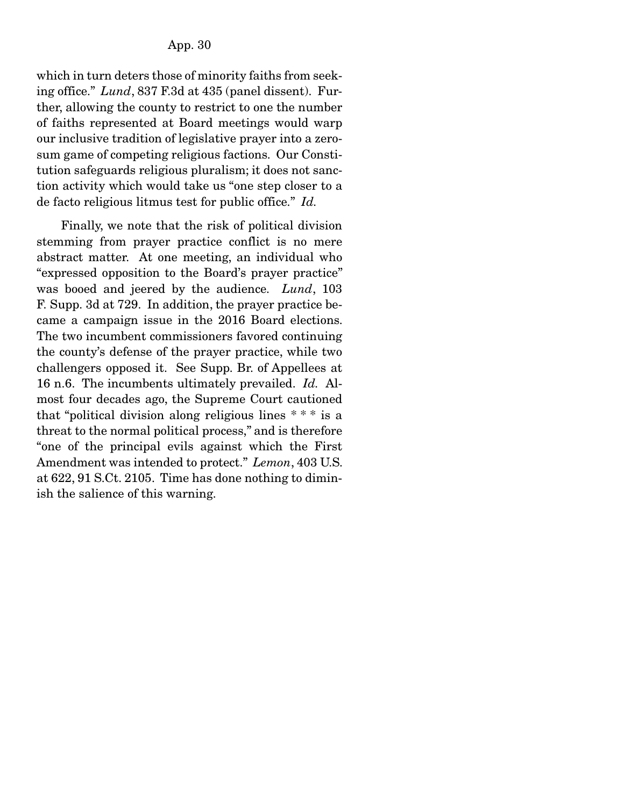which in turn deters those of minority faiths from seeking office." *Lund*, 837 F.3d at 435 (panel dissent). Further, allowing the county to restrict to one the number of faiths represented at Board meetings would warp our inclusive tradition of legislative prayer into a zerosum game of competing religious factions. Our Constitution safeguards religious pluralism; it does not sanction activity which would take us "one step closer to a de facto religious litmus test for public office." *Id.*

 Finally, we note that the risk of political division stemming from prayer practice conflict is no mere abstract matter. At one meeting, an individual who "expressed opposition to the Board's prayer practice" was booed and jeered by the audience. *Lund*, 103 F. Supp. 3d at 729. In addition, the prayer practice became a campaign issue in the 2016 Board elections. The two incumbent commissioners favored continuing the county's defense of the prayer practice, while two challengers opposed it. See Supp. Br. of Appellees at 16 n.6. The incumbents ultimately prevailed. *Id.* Almost four decades ago, the Supreme Court cautioned that "political division along religious lines  $***$  is a threat to the normal political process," and is therefore "one of the principal evils against which the First Amendment was intended to protect." *Lemon*, 403 U.S. at 622, 91 S.Ct. 2105. Time has done nothing to diminish the salience of this warning.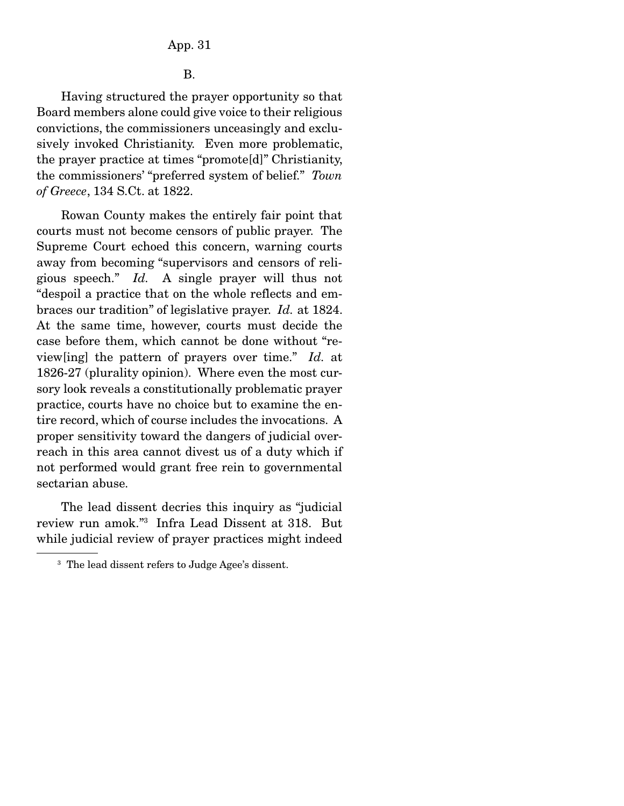B.

 Having structured the prayer opportunity so that Board members alone could give voice to their religious convictions, the commissioners unceasingly and exclusively invoked Christianity. Even more problematic, the prayer practice at times "promote[d]" Christianity, the commissioners' "preferred system of belief." *Town of Greece*, 134 S.Ct. at 1822.

 Rowan County makes the entirely fair point that courts must not become censors of public prayer. The Supreme Court echoed this concern, warning courts away from becoming "supervisors and censors of religious speech." *Id.* A single prayer will thus not "despoil a practice that on the whole reflects and embraces our tradition" of legislative prayer. *Id.* at 1824. At the same time, however, courts must decide the case before them, which cannot be done without "review[ing] the pattern of prayers over time." *Id.* at 1826-27 (plurality opinion). Where even the most cursory look reveals a constitutionally problematic prayer practice, courts have no choice but to examine the entire record, which of course includes the invocations. A proper sensitivity toward the dangers of judicial overreach in this area cannot divest us of a duty which if not performed would grant free rein to governmental sectarian abuse.

 The lead dissent decries this inquiry as "judicial review run amok."3 Infra Lead Dissent at 318. But while judicial review of prayer practices might indeed

<sup>&</sup>lt;sup>3</sup> The lead dissent refers to Judge Agee's dissent.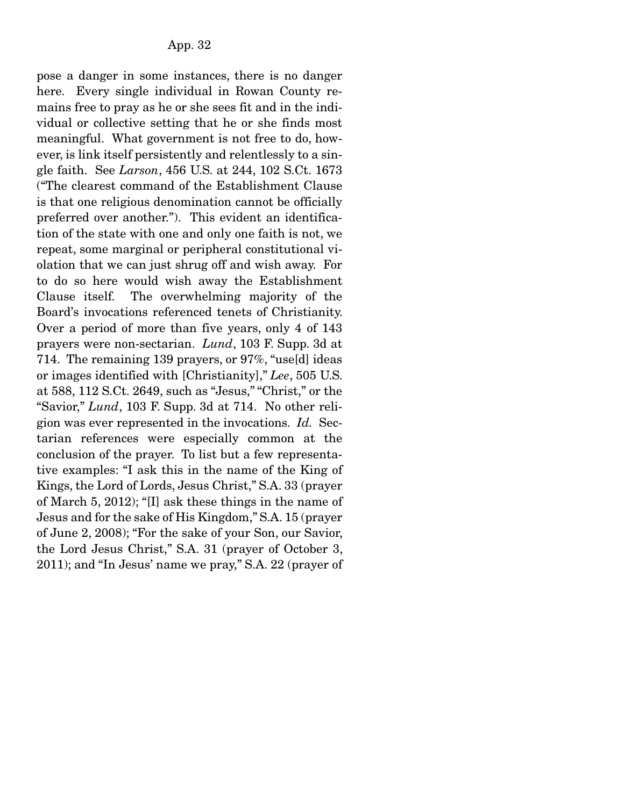pose a danger in some instances, there is no danger here. Every single individual in Rowan County remains free to pray as he or she sees fit and in the individual or collective setting that he or she finds most meaningful. What government is not free to do, however, is link itself persistently and relentlessly to a single faith. See *Larson*, 456 U.S. at 244, 102 S.Ct. 1673 ("The clearest command of the Establishment Clause is that one religious denomination cannot be officially preferred over another."). This evident an identification of the state with one and only one faith is not, we repeat, some marginal or peripheral constitutional violation that we can just shrug off and wish away. For to do so here would wish away the Establishment Clause itself. The overwhelming majority of the Board's invocations referenced tenets of Christianity. Over a period of more than five years, only 4 of 143 prayers were non-sectarian. *Lund*, 103 F. Supp. 3d at 714. The remaining 139 prayers, or 97%, "use[d] ideas or images identified with [Christianity]," *Lee*, 505 U.S. at 588, 112 S.Ct. 2649, such as "Jesus," "Christ," or the "Savior," *Lund*, 103 F. Supp. 3d at 714. No other religion was ever represented in the invocations. *Id.* Sectarian references were especially common at the conclusion of the prayer. To list but a few representative examples: "I ask this in the name of the King of Kings, the Lord of Lords, Jesus Christ," S.A. 33 (prayer of March 5, 2012); "[I] ask these things in the name of Jesus and for the sake of His Kingdom," S.A. 15 (prayer of June 2, 2008); "For the sake of your Son, our Savior, the Lord Jesus Christ," S.A. 31 (prayer of October 3, 2011); and "In Jesus' name we pray," S.A. 22 (prayer of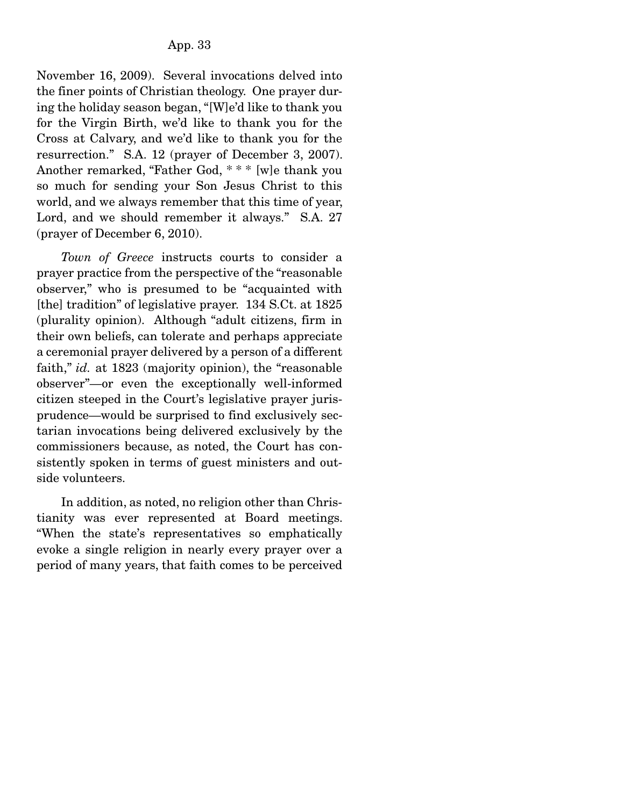November 16, 2009). Several invocations delved into the finer points of Christian theology. One prayer during the holiday season began, "[W]e'd like to thank you for the Virgin Birth, we'd like to thank you for the Cross at Calvary, and we'd like to thank you for the resurrection." S.A. 12 (prayer of December 3, 2007). Another remarked, "Father God, \* \* \* [w]e thank you so much for sending your Son Jesus Christ to this world, and we always remember that this time of year, Lord, and we should remember it always." S.A. 27 (prayer of December 6, 2010).

*Town of Greece* instructs courts to consider a prayer practice from the perspective of the "reasonable observer," who is presumed to be "acquainted with [the] tradition" of legislative prayer. 134 S.Ct. at 1825 (plurality opinion). Although "adult citizens, firm in their own beliefs, can tolerate and perhaps appreciate a ceremonial prayer delivered by a person of a different faith," *id.* at 1823 (majority opinion), the "reasonable observer"—or even the exceptionally well-informed citizen steeped in the Court's legislative prayer jurisprudence—would be surprised to find exclusively sectarian invocations being delivered exclusively by the commissioners because, as noted, the Court has consistently spoken in terms of guest ministers and outside volunteers.

 In addition, as noted, no religion other than Christianity was ever represented at Board meetings. "When the state's representatives so emphatically evoke a single religion in nearly every prayer over a period of many years, that faith comes to be perceived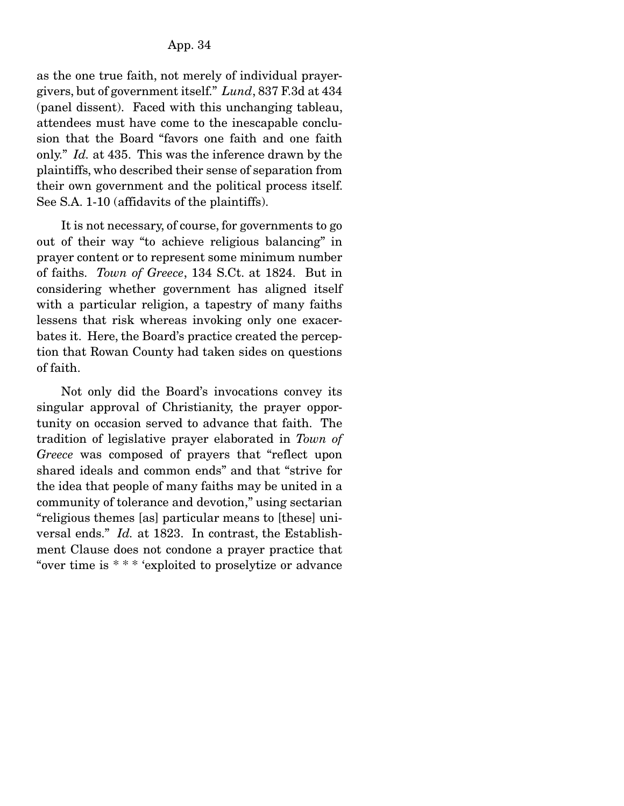as the one true faith, not merely of individual prayergivers, but of government itself." *Lund*, 837 F.3d at 434 (panel dissent). Faced with this unchanging tableau, attendees must have come to the inescapable conclusion that the Board "favors one faith and one faith only." *Id.* at 435. This was the inference drawn by the plaintiffs, who described their sense of separation from their own government and the political process itself. See S.A. 1-10 (affidavits of the plaintiffs).

 It is not necessary, of course, for governments to go out of their way "to achieve religious balancing" in prayer content or to represent some minimum number of faiths. *Town of Greece*, 134 S.Ct. at 1824. But in considering whether government has aligned itself with a particular religion, a tapestry of many faiths lessens that risk whereas invoking only one exacerbates it. Here, the Board's practice created the perception that Rowan County had taken sides on questions of faith.

 Not only did the Board's invocations convey its singular approval of Christianity, the prayer opportunity on occasion served to advance that faith. The tradition of legislative prayer elaborated in *Town of Greece* was composed of prayers that "reflect upon shared ideals and common ends" and that "strive for the idea that people of many faiths may be united in a community of tolerance and devotion," using sectarian "religious themes [as] particular means to [these] universal ends." *Id.* at 1823. In contrast, the Establishment Clause does not condone a prayer practice that "over time is \* \* \* 'exploited to proselytize or advance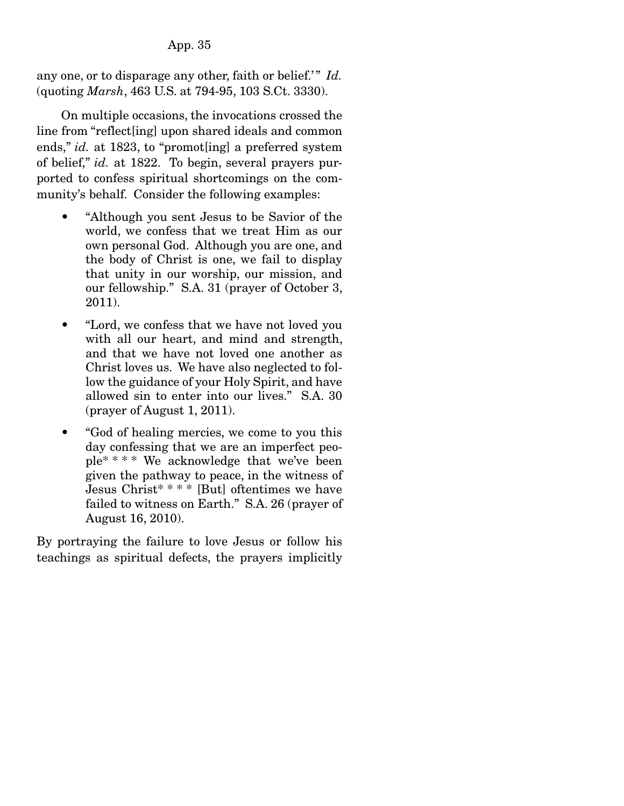# App. 35

any one, or to disparage any other, faith or belief.'" *Id.* (quoting *Marsh*, 463 U.S. at 794-95, 103 S.Ct. 3330).

 On multiple occasions, the invocations crossed the line from "reflect[ing] upon shared ideals and common ends," *id.* at 1823, to "promot [ing] a preferred system of belief," *id.* at 1822. To begin, several prayers purported to confess spiritual shortcomings on the community's behalf. Consider the following examples:

- "Although you sent Jesus to be Savior of the world, we confess that we treat Him as our own personal God. Although you are one, and the body of Christ is one, we fail to display that unity in our worship, our mission, and our fellowship." S.A. 31 (prayer of October 3, 2011).
- "Lord, we confess that we have not loved you with all our heart, and mind and strength, and that we have not loved one another as Christ loves us. We have also neglected to follow the guidance of your Holy Spirit, and have allowed sin to enter into our lives." S.A. 30 (prayer of August 1, 2011).
- "God of healing mercies, we come to you this day confessing that we are an imperfect people\* \* \* \* We acknowledge that we've been given the pathway to peace, in the witness of Jesus Christ\* \* \* \* [But] oftentimes we have failed to witness on Earth." S.A. 26 (prayer of August 16, 2010).

By portraying the failure to love Jesus or follow his teachings as spiritual defects, the prayers implicitly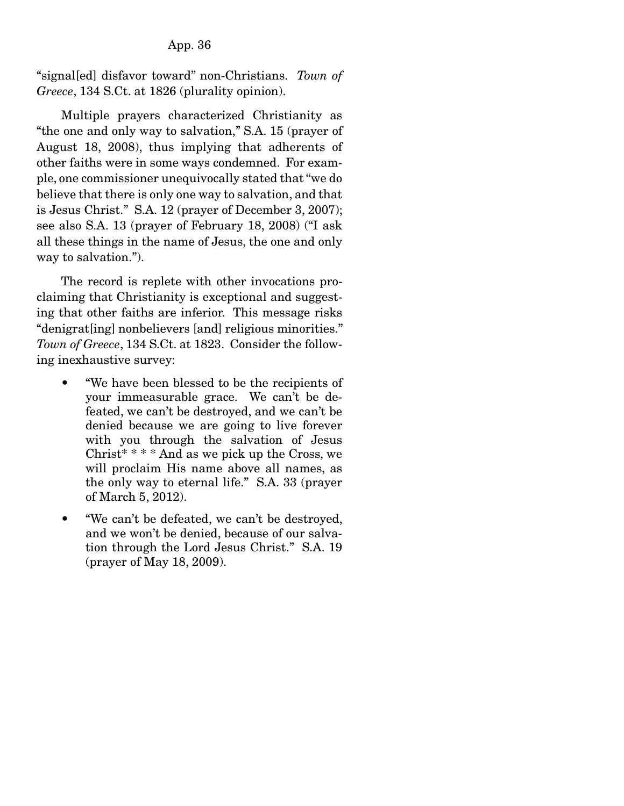### App. 36

"signal[ed] disfavor toward" non-Christians. *Town of Greece*, 134 S.Ct. at 1826 (plurality opinion).

 Multiple prayers characterized Christianity as "the one and only way to salvation," S.A. 15 (prayer of August 18, 2008), thus implying that adherents of other faiths were in some ways condemned. For example, one commissioner unequivocally stated that "we do believe that there is only one way to salvation, and that is Jesus Christ." S.A. 12 (prayer of December 3, 2007); see also S.A. 13 (prayer of February 18, 2008) ("I ask all these things in the name of Jesus, the one and only way to salvation.").

 The record is replete with other invocations proclaiming that Christianity is exceptional and suggesting that other faiths are inferior. This message risks "denigrat[ing] nonbelievers [and] religious minorities." *Town of Greece*, 134 S.Ct. at 1823. Consider the following inexhaustive survey:

- "We have been blessed to be the recipients of your immeasurable grace. We can't be defeated, we can't be destroyed, and we can't be denied because we are going to live forever with you through the salvation of Jesus Christ\* \* \* \* And as we pick up the Cross, we will proclaim His name above all names, as the only way to eternal life." S.A. 33 (prayer of March 5, 2012).
- "We can't be defeated, we can't be destroyed, and we won't be denied, because of our salvation through the Lord Jesus Christ." S.A. 19 (prayer of May 18, 2009).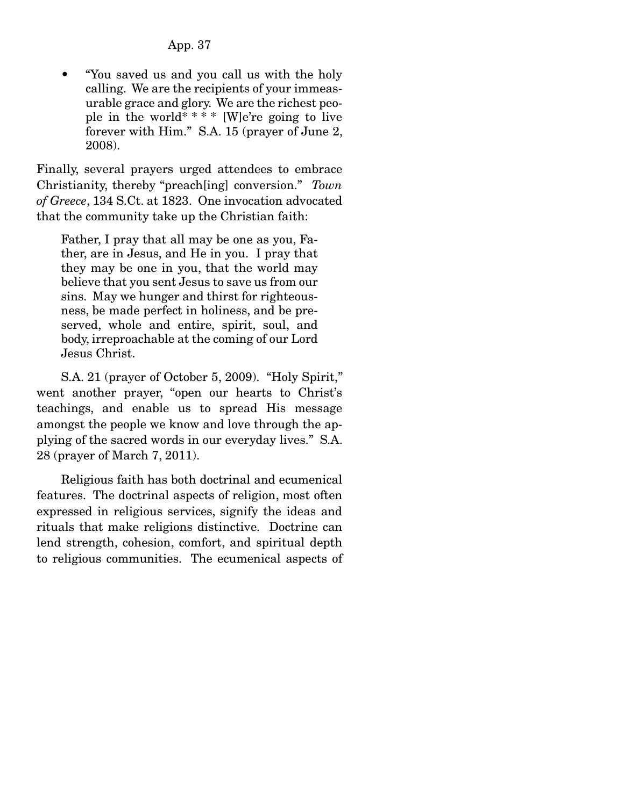• "You saved us and you call us with the holy calling. We are the recipients of your immeasurable grace and glory. We are the richest people in the world\* \* \* \* [W]e're going to live forever with Him." S.A. 15 (prayer of June 2, 2008).

Finally, several prayers urged attendees to embrace Christianity, thereby "preach[ing] conversion." *Town of Greece*, 134 S.Ct. at 1823. One invocation advocated that the community take up the Christian faith:

Father, I pray that all may be one as you, Father, are in Jesus, and He in you. I pray that they may be one in you, that the world may believe that you sent Jesus to save us from our sins. May we hunger and thirst for righteousness, be made perfect in holiness, and be preserved, whole and entire, spirit, soul, and body, irreproachable at the coming of our Lord Jesus Christ.

 S.A. 21 (prayer of October 5, 2009). "Holy Spirit," went another prayer, "open our hearts to Christ's teachings, and enable us to spread His message amongst the people we know and love through the applying of the sacred words in our everyday lives." S.A. 28 (prayer of March 7, 2011).

 Religious faith has both doctrinal and ecumenical features. The doctrinal aspects of religion, most often expressed in religious services, signify the ideas and rituals that make religions distinctive. Doctrine can lend strength, cohesion, comfort, and spiritual depth to religious communities. The ecumenical aspects of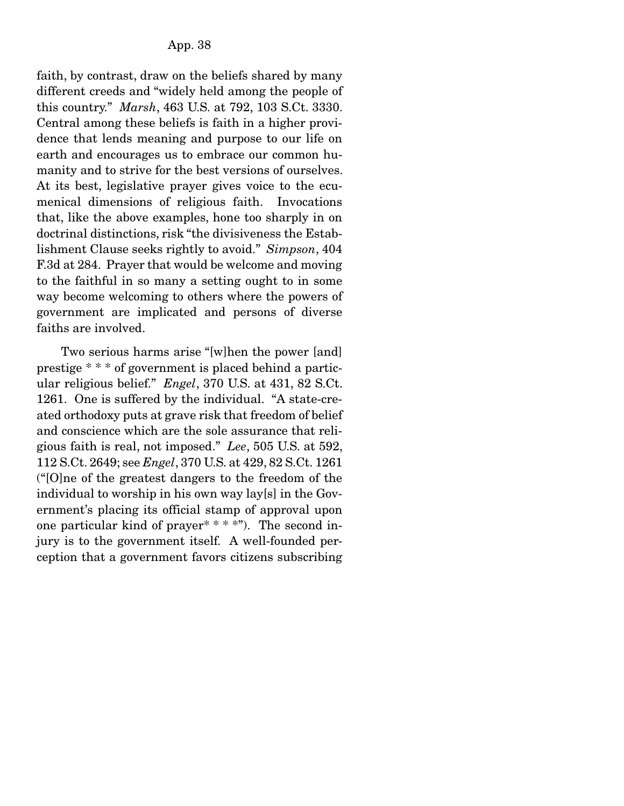faith, by contrast, draw on the beliefs shared by many different creeds and "widely held among the people of this country." *Marsh*, 463 U.S. at 792, 103 S.Ct. 3330. Central among these beliefs is faith in a higher providence that lends meaning and purpose to our life on earth and encourages us to embrace our common humanity and to strive for the best versions of ourselves. At its best, legislative prayer gives voice to the ecumenical dimensions of religious faith. Invocations that, like the above examples, hone too sharply in on doctrinal distinctions, risk "the divisiveness the Establishment Clause seeks rightly to avoid." *Simpson*, 404 F.3d at 284. Prayer that would be welcome and moving to the faithful in so many a setting ought to in some way become welcoming to others where the powers of government are implicated and persons of diverse faiths are involved.

 Two serious harms arise "[w]hen the power [and] prestige \* \* \* of government is placed behind a particular religious belief." *Engel*, 370 U.S. at 431, 82 S.Ct. 1261. One is suffered by the individual. "A state-created orthodoxy puts at grave risk that freedom of belief and conscience which are the sole assurance that religious faith is real, not imposed." *Lee*, 505 U.S. at 592, 112 S.Ct. 2649; see *Engel*, 370 U.S. at 429, 82 S.Ct. 1261 ("[O]ne of the greatest dangers to the freedom of the individual to worship in his own way lay[s] in the Government's placing its official stamp of approval upon one particular kind of prayer<sup>\*</sup>  $*$   $*$   $*$ "). The second injury is to the government itself. A well-founded perception that a government favors citizens subscribing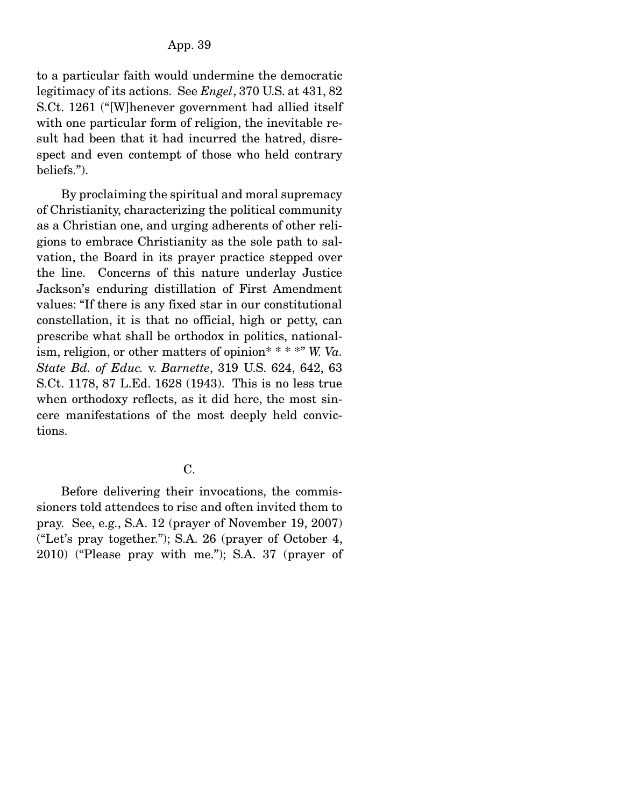to a particular faith would undermine the democratic legitimacy of its actions. See *Engel*, 370 U.S. at 431, 82 S.Ct. 1261 ("[W]henever government had allied itself with one particular form of religion, the inevitable result had been that it had incurred the hatred, disrespect and even contempt of those who held contrary beliefs.").

 By proclaiming the spiritual and moral supremacy of Christianity, characterizing the political community as a Christian one, and urging adherents of other religions to embrace Christianity as the sole path to salvation, the Board in its prayer practice stepped over the line. Concerns of this nature underlay Justice Jackson's enduring distillation of First Amendment values: "If there is any fixed star in our constitutional constellation, it is that no official, high or petty, can prescribe what shall be orthodox in politics, nationalism, religion, or other matters of opinion\* \* \* \*" *W. Va. State Bd. of Educ.* v. *Barnette*, 319 U.S. 624, 642, 63 S.Ct. 1178, 87 L.Ed. 1628 (1943). This is no less true when orthodoxy reflects, as it did here, the most sincere manifestations of the most deeply held convictions.

## C.

 Before delivering their invocations, the commissioners told attendees to rise and often invited them to pray. See, e.g., S.A. 12 (prayer of November 19, 2007) ("Let's pray together."); S.A. 26 (prayer of October 4, 2010) ("Please pray with me."); S.A. 37 (prayer of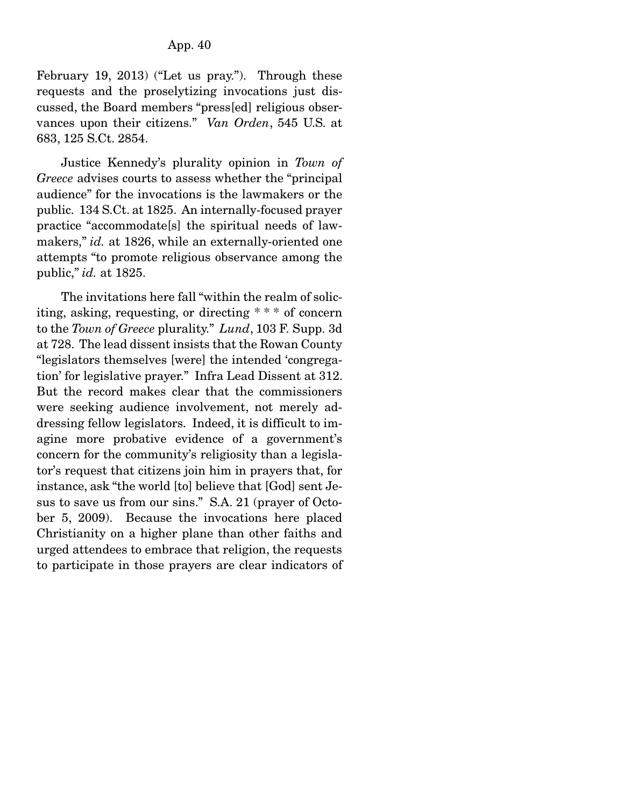February 19, 2013) ("Let us pray."). Through these requests and the proselytizing invocations just discussed, the Board members "press[ed] religious observances upon their citizens." *Van Orden*, 545 U.S. at 683, 125 S.Ct. 2854.

 Justice Kennedy's plurality opinion in *Town of Greece* advises courts to assess whether the "principal audience" for the invocations is the lawmakers or the public. 134 S.Ct. at 1825. An internally-focused prayer practice "accommodate[s] the spiritual needs of lawmakers," *id.* at 1826, while an externally-oriented one attempts "to promote religious observance among the public," *id.* at 1825.

 The invitations here fall "within the realm of soliciting, asking, requesting, or directing \* \* \* of concern to the *Town of Greece* plurality." *Lund*, 103 F. Supp. 3d at 728. The lead dissent insists that the Rowan County "legislators themselves [were] the intended 'congregation' for legislative prayer." Infra Lead Dissent at 312. But the record makes clear that the commissioners were seeking audience involvement, not merely addressing fellow legislators. Indeed, it is difficult to imagine more probative evidence of a government's concern for the community's religiosity than a legislator's request that citizens join him in prayers that, for instance, ask "the world [to] believe that [God] sent Jesus to save us from our sins." S.A. 21 (prayer of October 5, 2009). Because the invocations here placed Christianity on a higher plane than other faiths and urged attendees to embrace that religion, the requests to participate in those prayers are clear indicators of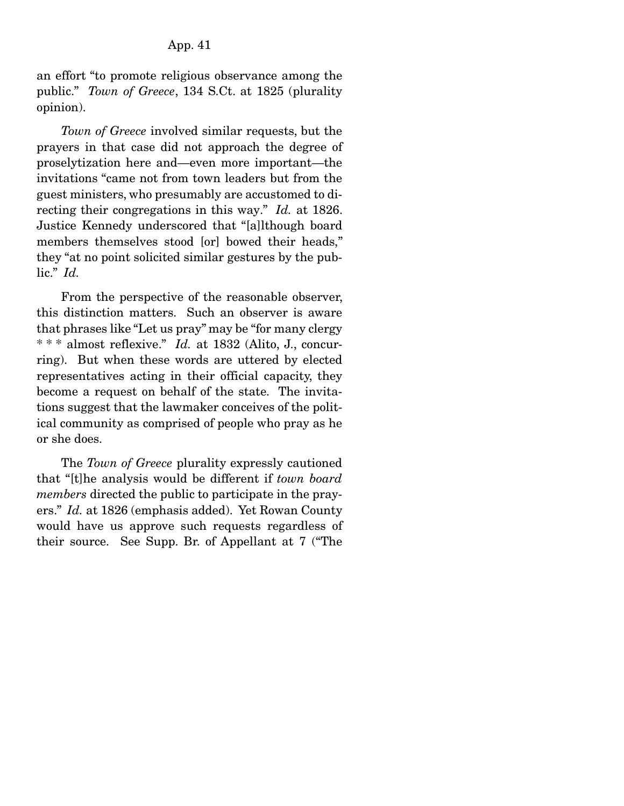an effort "to promote religious observance among the public." *Town of Greece*, 134 S.Ct. at 1825 (plurality opinion).

*Town of Greece* involved similar requests, but the prayers in that case did not approach the degree of proselytization here and—even more important—the invitations "came not from town leaders but from the guest ministers, who presumably are accustomed to directing their congregations in this way." *Id.* at 1826. Justice Kennedy underscored that "[a]lthough board members themselves stood [or] bowed their heads." they "at no point solicited similar gestures by the public." *Id.*

 From the perspective of the reasonable observer, this distinction matters. Such an observer is aware that phrases like "Let us pray" may be "for many clergy \* \* \* almost reflexive." *Id.* at 1832 (Alito, J., concurring). But when these words are uttered by elected representatives acting in their official capacity, they become a request on behalf of the state. The invitations suggest that the lawmaker conceives of the political community as comprised of people who pray as he or she does.

 The *Town of Greece* plurality expressly cautioned that "[t]he analysis would be different if *town board members* directed the public to participate in the prayers." *Id.* at 1826 (emphasis added). Yet Rowan County would have us approve such requests regardless of their source. See Supp. Br. of Appellant at 7 ("The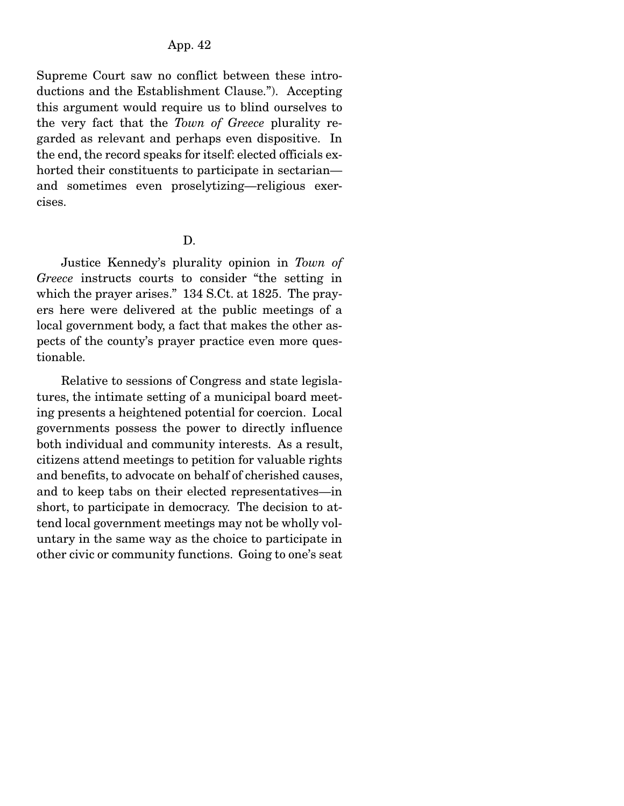Supreme Court saw no conflict between these introductions and the Establishment Clause."). Accepting this argument would require us to blind ourselves to the very fact that the *Town of Greece* plurality regarded as relevant and perhaps even dispositive. In the end, the record speaks for itself: elected officials exhorted their constituents to participate in sectarian and sometimes even proselytizing—religious exercises.

D.

 Justice Kennedy's plurality opinion in *Town of Greece* instructs courts to consider "the setting in which the prayer arises." 134 S.Ct. at 1825. The prayers here were delivered at the public meetings of a local government body, a fact that makes the other aspects of the county's prayer practice even more questionable.

 Relative to sessions of Congress and state legislatures, the intimate setting of a municipal board meeting presents a heightened potential for coercion. Local governments possess the power to directly influence both individual and community interests. As a result, citizens attend meetings to petition for valuable rights and benefits, to advocate on behalf of cherished causes, and to keep tabs on their elected representatives—in short, to participate in democracy. The decision to attend local government meetings may not be wholly voluntary in the same way as the choice to participate in other civic or community functions. Going to one's seat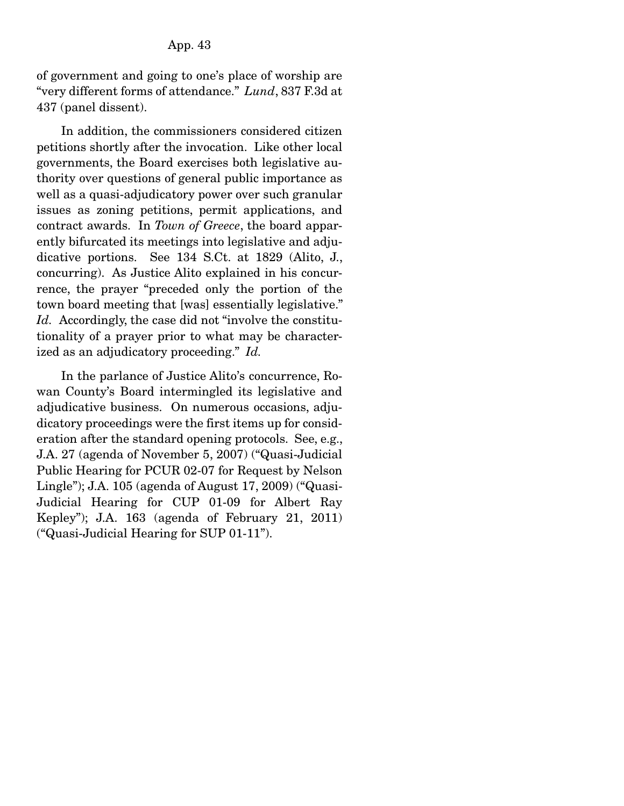of government and going to one's place of worship are "very different forms of attendance." *Lund*, 837 F.3d at 437 (panel dissent).

 In addition, the commissioners considered citizen petitions shortly after the invocation. Like other local governments, the Board exercises both legislative authority over questions of general public importance as well as a quasi-adjudicatory power over such granular issues as zoning petitions, permit applications, and contract awards. In *Town of Greece*, the board apparently bifurcated its meetings into legislative and adjudicative portions. See 134 S.Ct. at 1829 (Alito, J., concurring). As Justice Alito explained in his concurrence, the prayer "preceded only the portion of the town board meeting that [was] essentially legislative." *Id.* Accordingly, the case did not "involve the constitutionality of a prayer prior to what may be characterized as an adjudicatory proceeding." *Id.*

 In the parlance of Justice Alito's concurrence, Rowan County's Board intermingled its legislative and adjudicative business. On numerous occasions, adjudicatory proceedings were the first items up for consideration after the standard opening protocols. See, e.g., J.A. 27 (agenda of November 5, 2007) ("Quasi-Judicial Public Hearing for PCUR 02-07 for Request by Nelson Lingle"); J.A. 105 (agenda of August 17, 2009) ("Quasi-Judicial Hearing for CUP 01-09 for Albert Ray Kepley"); J.A. 163 (agenda of February 21, 2011) ("Quasi-Judicial Hearing for SUP 01-11").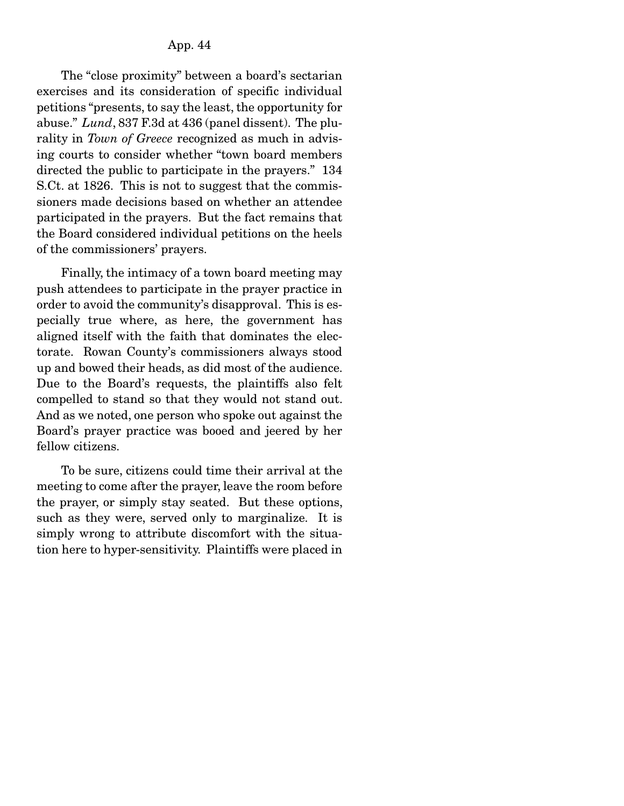The "close proximity" between a board's sectarian exercises and its consideration of specific individual petitions "presents, to say the least, the opportunity for abuse." *Lund*, 837 F.3d at 436 (panel dissent). The plurality in *Town of Greece* recognized as much in advising courts to consider whether "town board members directed the public to participate in the prayers." 134 S.Ct. at 1826. This is not to suggest that the commissioners made decisions based on whether an attendee participated in the prayers. But the fact remains that the Board considered individual petitions on the heels of the commissioners' prayers.

 Finally, the intimacy of a town board meeting may push attendees to participate in the prayer practice in order to avoid the community's disapproval. This is especially true where, as here, the government has aligned itself with the faith that dominates the electorate. Rowan County's commissioners always stood up and bowed their heads, as did most of the audience. Due to the Board's requests, the plaintiffs also felt compelled to stand so that they would not stand out. And as we noted, one person who spoke out against the Board's prayer practice was booed and jeered by her fellow citizens.

 To be sure, citizens could time their arrival at the meeting to come after the prayer, leave the room before the prayer, or simply stay seated. But these options, such as they were, served only to marginalize. It is simply wrong to attribute discomfort with the situation here to hyper-sensitivity. Plaintiffs were placed in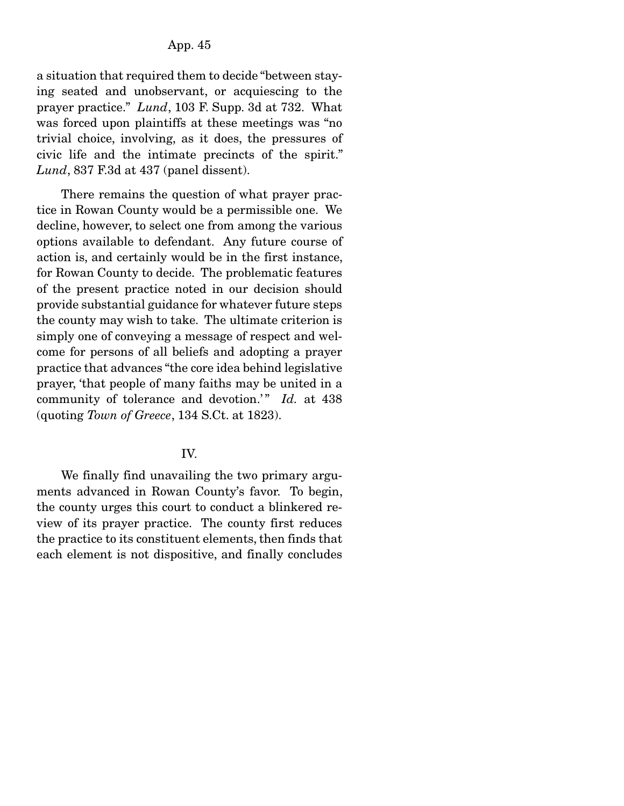a situation that required them to decide "between staying seated and unobservant, or acquiescing to the prayer practice." *Lund*, 103 F. Supp. 3d at 732. What was forced upon plaintiffs at these meetings was "no trivial choice, involving, as it does, the pressures of civic life and the intimate precincts of the spirit." *Lund*, 837 F.3d at 437 (panel dissent).

 There remains the question of what prayer practice in Rowan County would be a permissible one. We decline, however, to select one from among the various options available to defendant. Any future course of action is, and certainly would be in the first instance, for Rowan County to decide. The problematic features of the present practice noted in our decision should provide substantial guidance for whatever future steps the county may wish to take. The ultimate criterion is simply one of conveying a message of respect and welcome for persons of all beliefs and adopting a prayer practice that advances "the core idea behind legislative prayer, 'that people of many faiths may be united in a community of tolerance and devotion.'" *Id.* at 438 (quoting *Town of Greece*, 134 S.Ct. at 1823).

## IV.

 We finally find unavailing the two primary arguments advanced in Rowan County's favor. To begin, the county urges this court to conduct a blinkered review of its prayer practice. The county first reduces the practice to its constituent elements, then finds that each element is not dispositive, and finally concludes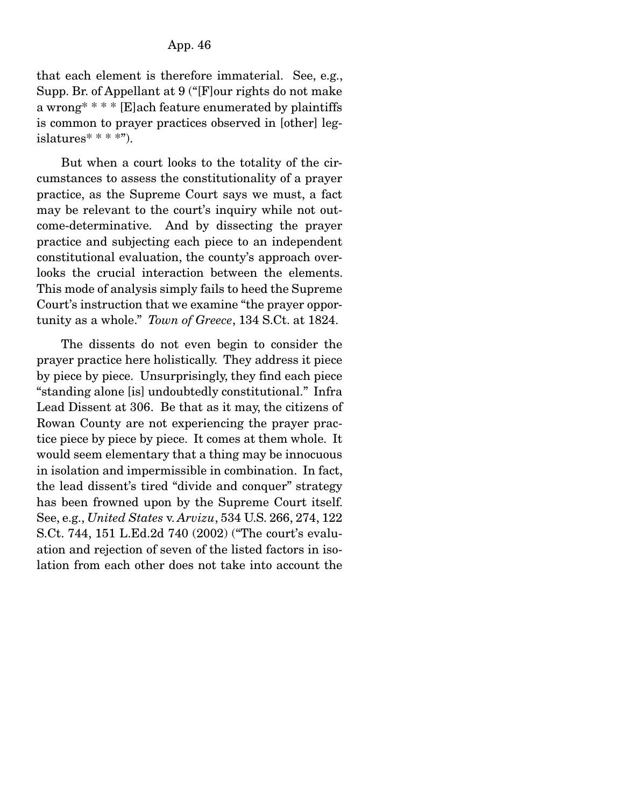that each element is therefore immaterial. See, e.g., Supp. Br. of Appellant at 9 ("[F]our rights do not make a wrong\* \* \* \* [E]ach feature enumerated by plaintiffs is common to prayer practices observed in [other] legislatures $* * * *$ ").

 But when a court looks to the totality of the circumstances to assess the constitutionality of a prayer practice, as the Supreme Court says we must, a fact may be relevant to the court's inquiry while not outcome-determinative. And by dissecting the prayer practice and subjecting each piece to an independent constitutional evaluation, the county's approach overlooks the crucial interaction between the elements. This mode of analysis simply fails to heed the Supreme Court's instruction that we examine "the prayer opportunity as a whole." *Town of Greece*, 134 S.Ct. at 1824.

 The dissents do not even begin to consider the prayer practice here holistically. They address it piece by piece by piece. Unsurprisingly, they find each piece "standing alone [is] undoubtedly constitutional." Infra Lead Dissent at 306. Be that as it may, the citizens of Rowan County are not experiencing the prayer practice piece by piece by piece. It comes at them whole. It would seem elementary that a thing may be innocuous in isolation and impermissible in combination. In fact, the lead dissent's tired "divide and conquer" strategy has been frowned upon by the Supreme Court itself. See, e.g., *United States* v. *Arvizu*, 534 U.S. 266, 274, 122 S.Ct. 744, 151 L.Ed.2d 740 (2002) ("The court's evaluation and rejection of seven of the listed factors in isolation from each other does not take into account the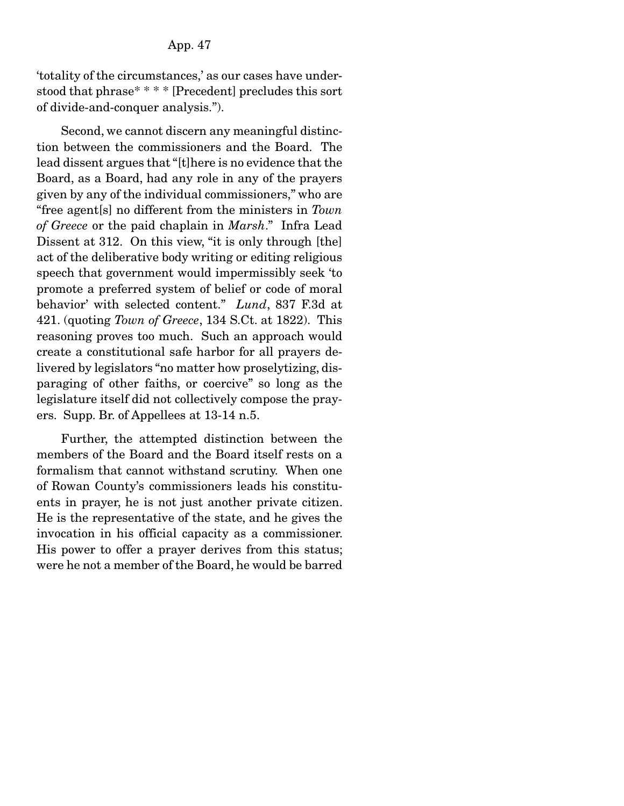'totality of the circumstances,' as our cases have understood that phrase\* \* \* \* [Precedent] precludes this sort of divide-and-conquer analysis.").

 Second, we cannot discern any meaningful distinction between the commissioners and the Board. The lead dissent argues that "[t]here is no evidence that the Board, as a Board, had any role in any of the prayers given by any of the individual commissioners," who are "free agent[s] no different from the ministers in *Town of Greece* or the paid chaplain in *Marsh*." Infra Lead Dissent at 312. On this view, "it is only through [the] act of the deliberative body writing or editing religious speech that government would impermissibly seek 'to promote a preferred system of belief or code of moral behavior' with selected content." *Lund*, 837 F.3d at 421. (quoting *Town of Greece*, 134 S.Ct. at 1822). This reasoning proves too much. Such an approach would create a constitutional safe harbor for all prayers delivered by legislators "no matter how proselytizing, disparaging of other faiths, or coercive" so long as the legislature itself did not collectively compose the prayers. Supp. Br. of Appellees at 13-14 n.5.

 Further, the attempted distinction between the members of the Board and the Board itself rests on a formalism that cannot withstand scrutiny. When one of Rowan County's commissioners leads his constituents in prayer, he is not just another private citizen. He is the representative of the state, and he gives the invocation in his official capacity as a commissioner. His power to offer a prayer derives from this status; were he not a member of the Board, he would be barred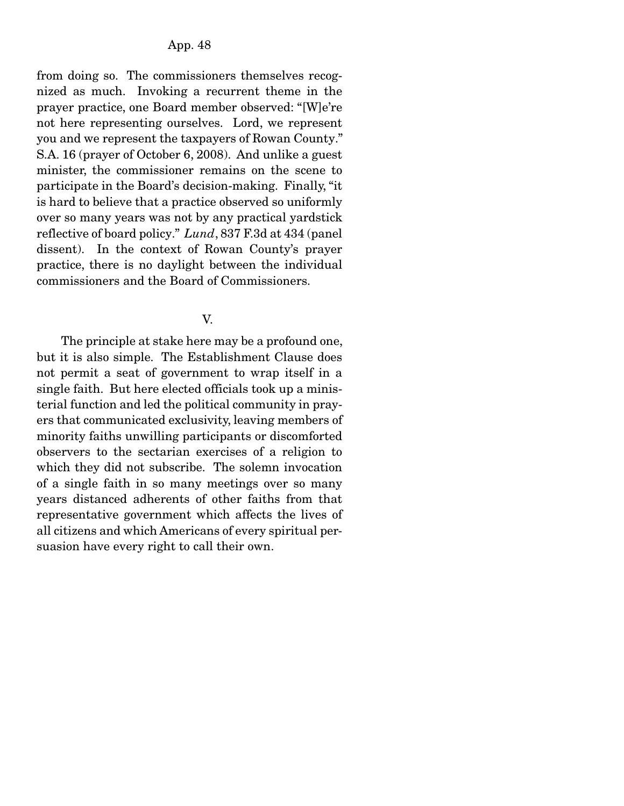from doing so. The commissioners themselves recognized as much. Invoking a recurrent theme in the prayer practice, one Board member observed: "[W]e're not here representing ourselves. Lord, we represent you and we represent the taxpayers of Rowan County." S.A. 16 (prayer of October 6, 2008). And unlike a guest minister, the commissioner remains on the scene to participate in the Board's decision-making. Finally, "it is hard to believe that a practice observed so uniformly over so many years was not by any practical yardstick reflective of board policy." *Lund*, 837 F.3d at 434 (panel dissent). In the context of Rowan County's prayer practice, there is no daylight between the individual commissioners and the Board of Commissioners.

#### V.

 The principle at stake here may be a profound one, but it is also simple. The Establishment Clause does not permit a seat of government to wrap itself in a single faith. But here elected officials took up a ministerial function and led the political community in prayers that communicated exclusivity, leaving members of minority faiths unwilling participants or discomforted observers to the sectarian exercises of a religion to which they did not subscribe. The solemn invocation of a single faith in so many meetings over so many years distanced adherents of other faiths from that representative government which affects the lives of all citizens and which Americans of every spiritual persuasion have every right to call their own.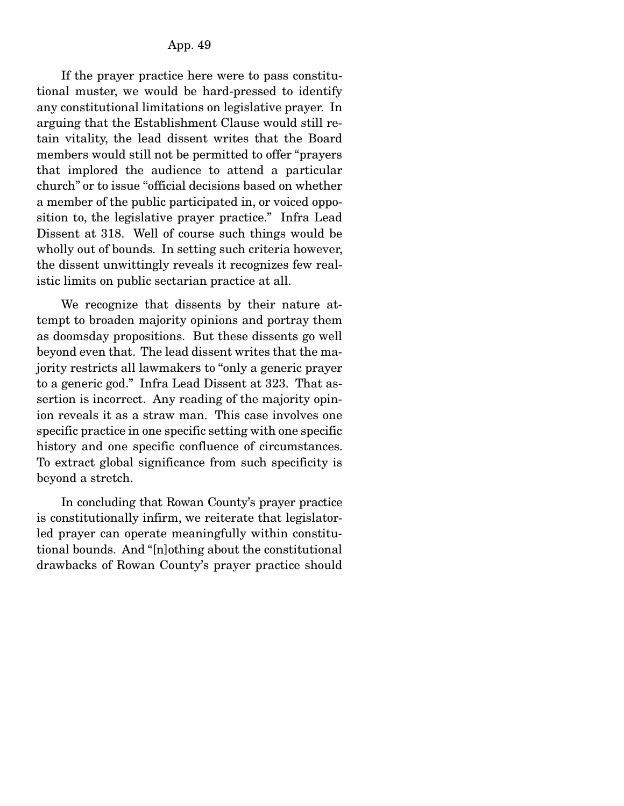If the prayer practice here were to pass constitutional muster, we would be hard-pressed to identify any constitutional limitations on legislative prayer. In arguing that the Establishment Clause would still retain vitality, the lead dissent writes that the Board members would still not be permitted to offer "prayers that implored the audience to attend a particular church" or to issue "official decisions based on whether a member of the public participated in, or voiced opposition to, the legislative prayer practice." Infra Lead Dissent at 318. Well of course such things would be wholly out of bounds. In setting such criteria however, the dissent unwittingly reveals it recognizes few realistic limits on public sectarian practice at all.

 We recognize that dissents by their nature attempt to broaden majority opinions and portray them as doomsday propositions. But these dissents go well beyond even that. The lead dissent writes that the majority restricts all lawmakers to "only a generic prayer to a generic god." Infra Lead Dissent at 323. That assertion is incorrect. Any reading of the majority opinion reveals it as a straw man. This case involves one specific practice in one specific setting with one specific history and one specific confluence of circumstances. To extract global significance from such specificity is beyond a stretch.

 In concluding that Rowan County's prayer practice is constitutionally infirm, we reiterate that legislatorled prayer can operate meaningfully within constitutional bounds. And "[n]othing about the constitutional drawbacks of Rowan County's prayer practice should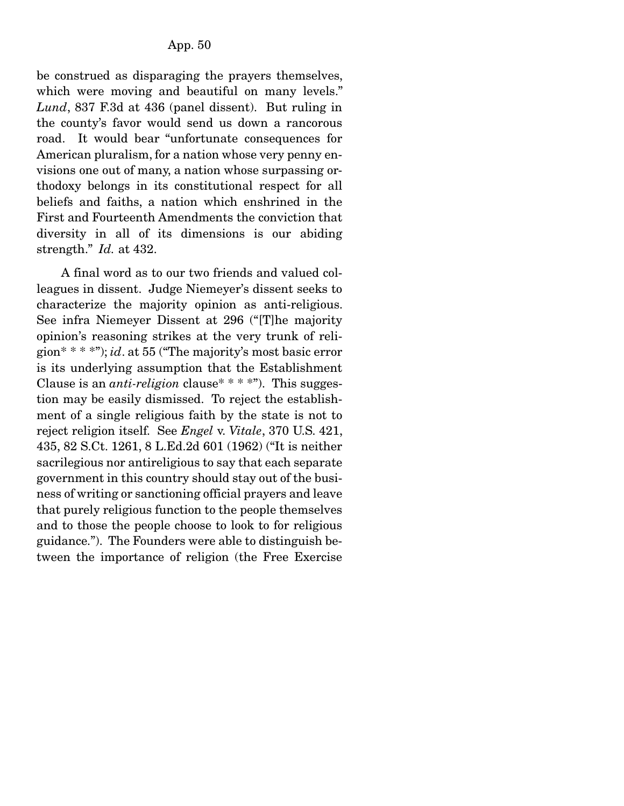be construed as disparaging the prayers themselves, which were moving and beautiful on many levels." *Lund*, 837 F.3d at 436 (panel dissent). But ruling in the county's favor would send us down a rancorous road. It would bear "unfortunate consequences for American pluralism, for a nation whose very penny envisions one out of many, a nation whose surpassing orthodoxy belongs in its constitutional respect for all beliefs and faiths, a nation which enshrined in the First and Fourteenth Amendments the conviction that diversity in all of its dimensions is our abiding strength." *Id.* at 432.

 A final word as to our two friends and valued colleagues in dissent. Judge Niemeyer's dissent seeks to characterize the majority opinion as anti-religious. See infra Niemeyer Dissent at 296 ("[T]he majority opinion's reasoning strikes at the very trunk of religion\* \* \* \*"); *id*. at 55 ("The majority's most basic error is its underlying assumption that the Establishment Clause is an *anti-religion* clause\* \* \* \*"). This suggestion may be easily dismissed. To reject the establishment of a single religious faith by the state is not to reject religion itself. See *Engel* v. *Vitale*, 370 U.S. 421, 435, 82 S.Ct. 1261, 8 L.Ed.2d 601 (1962) ("It is neither sacrilegious nor antireligious to say that each separate government in this country should stay out of the business of writing or sanctioning official prayers and leave that purely religious function to the people themselves and to those the people choose to look to for religious guidance."). The Founders were able to distinguish between the importance of religion (the Free Exercise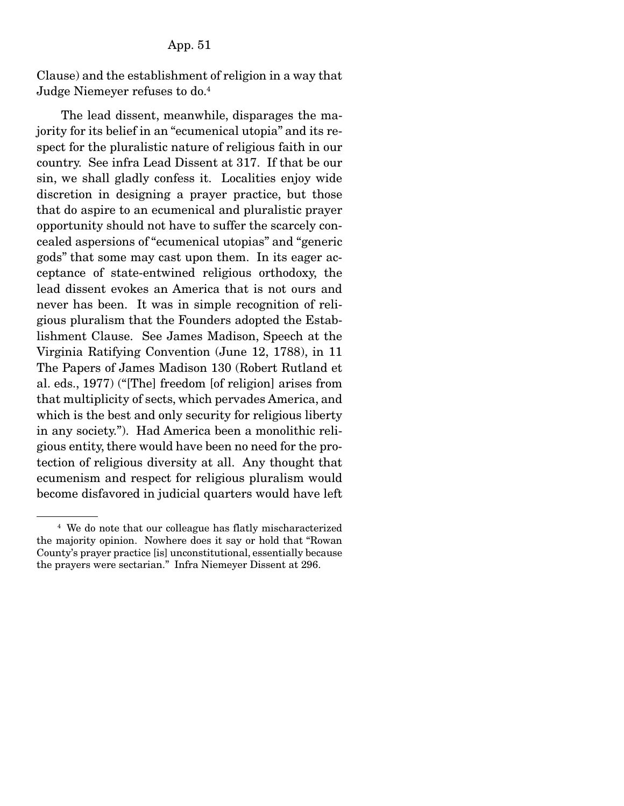Clause) and the establishment of religion in a way that Judge Niemeyer refuses to do.4

 The lead dissent, meanwhile, disparages the majority for its belief in an "ecumenical utopia" and its respect for the pluralistic nature of religious faith in our country. See infra Lead Dissent at 317. If that be our sin, we shall gladly confess it. Localities enjoy wide discretion in designing a prayer practice, but those that do aspire to an ecumenical and pluralistic prayer opportunity should not have to suffer the scarcely concealed aspersions of "ecumenical utopias" and "generic gods" that some may cast upon them. In its eager acceptance of state-entwined religious orthodoxy, the lead dissent evokes an America that is not ours and never has been. It was in simple recognition of religious pluralism that the Founders adopted the Establishment Clause. See James Madison, Speech at the Virginia Ratifying Convention (June 12, 1788), in 11 The Papers of James Madison 130 (Robert Rutland et al. eds., 1977) ("[The] freedom [of religion] arises from that multiplicity of sects, which pervades America, and which is the best and only security for religious liberty in any society."). Had America been a monolithic religious entity, there would have been no need for the protection of religious diversity at all. Any thought that ecumenism and respect for religious pluralism would become disfavored in judicial quarters would have left

<sup>4</sup> We do note that our colleague has flatly mischaracterized the majority opinion. Nowhere does it say or hold that "Rowan County's prayer practice [is] unconstitutional, essentially because the prayers were sectarian." Infra Niemeyer Dissent at 296.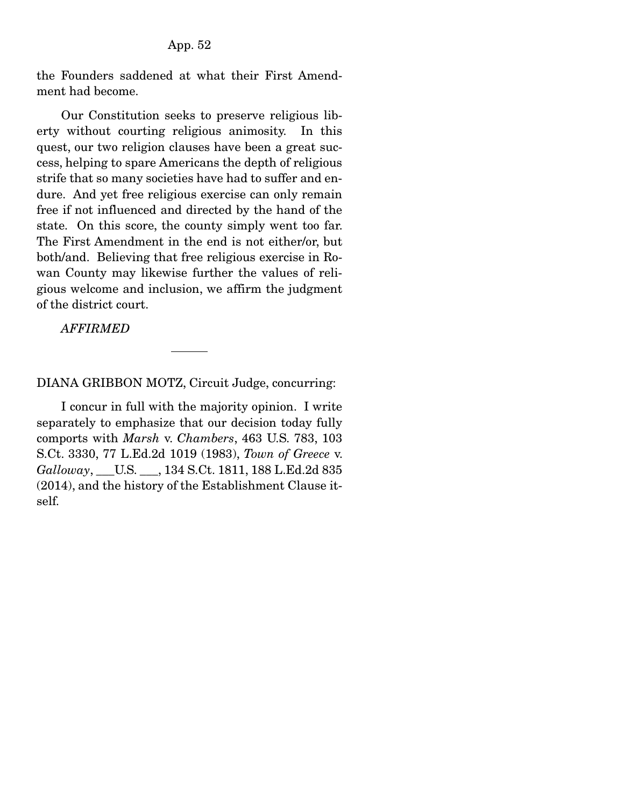the Founders saddened at what their First Amendment had become.

 Our Constitution seeks to preserve religious liberty without courting religious animosity. In this quest, our two religion clauses have been a great success, helping to spare Americans the depth of religious strife that so many societies have had to suffer and endure. And yet free religious exercise can only remain free if not influenced and directed by the hand of the state. On this score, the county simply went too far. The First Amendment in the end is not either/or, but both/and. Believing that free religious exercise in Rowan County may likewise further the values of religious welcome and inclusion, we affirm the judgment of the district court.

*AFFIRMED* 

DIANA GRIBBON MOTZ, Circuit Judge, concurring:

 I concur in full with the majority opinion. I write separately to emphasize that our decision today fully comports with *Marsh* v. *Chambers*, 463 U.S. 783, 103 S.Ct. 3330, 77 L.Ed.2d 1019 (1983), *Town of Greece* v. *Galloway*, \_\_\_U.S. \_\_\_, 134 S.Ct. 1811, 188 L.Ed.2d 835 (2014), and the history of the Establishment Clause itself.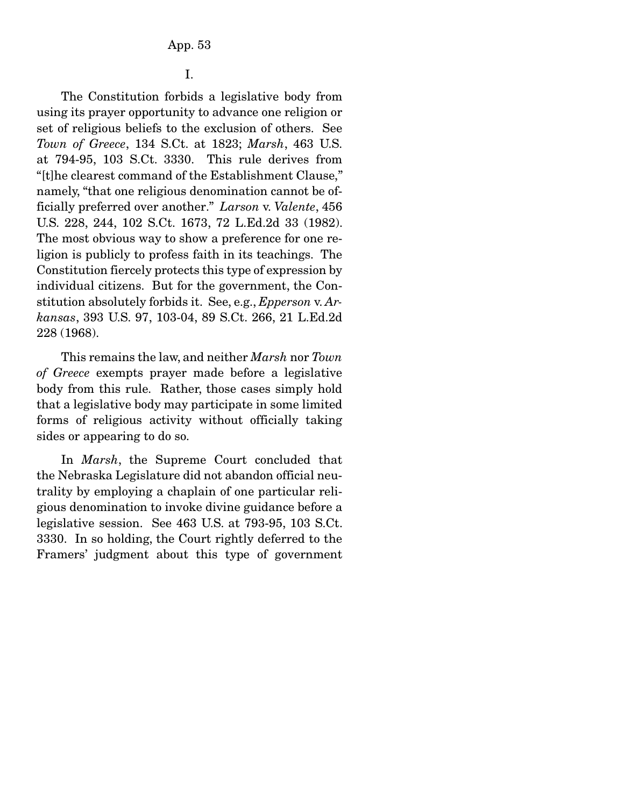I.

 The Constitution forbids a legislative body from using its prayer opportunity to advance one religion or set of religious beliefs to the exclusion of others. See *Town of Greece*, 134 S.Ct. at 1823; *Marsh*, 463 U.S. at 794-95, 103 S.Ct. 3330. This rule derives from "[t]he clearest command of the Establishment Clause," namely, "that one religious denomination cannot be officially preferred over another." *Larson* v. *Valente*, 456 U.S. 228, 244, 102 S.Ct. 1673, 72 L.Ed.2d 33 (1982). The most obvious way to show a preference for one religion is publicly to profess faith in its teachings. The Constitution fiercely protects this type of expression by individual citizens. But for the government, the Constitution absolutely forbids it. See, e.g., *Epperson* v. *Arkansas*, 393 U.S. 97, 103-04, 89 S.Ct. 266, 21 L.Ed.2d 228 (1968).

 This remains the law, and neither *Marsh* nor *Town of Greece* exempts prayer made before a legislative body from this rule. Rather, those cases simply hold that a legislative body may participate in some limited forms of religious activity without officially taking sides or appearing to do so.

 In *Marsh*, the Supreme Court concluded that the Nebraska Legislature did not abandon official neutrality by employing a chaplain of one particular religious denomination to invoke divine guidance before a legislative session. See 463 U.S. at 793-95, 103 S.Ct. 3330. In so holding, the Court rightly deferred to the Framers' judgment about this type of government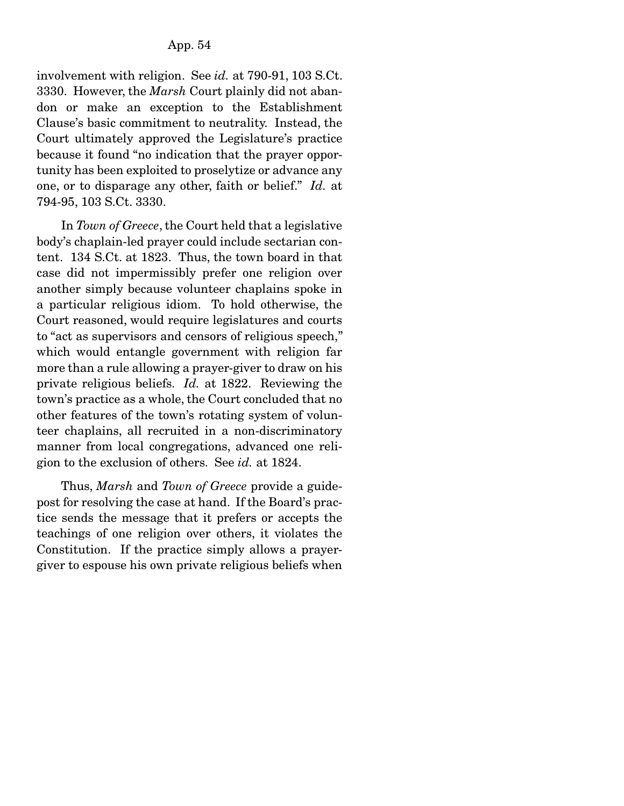involvement with religion. See *id.* at 790-91, 103 S.Ct. 3330. However, the *Marsh* Court plainly did not abandon or make an exception to the Establishment Clause's basic commitment to neutrality. Instead, the Court ultimately approved the Legislature's practice because it found "no indication that the prayer opportunity has been exploited to proselytize or advance any one, or to disparage any other, faith or belief." *Id.* at 794-95, 103 S.Ct. 3330.

 In *Town of Greece*, the Court held that a legislative body's chaplain-led prayer could include sectarian content. 134 S.Ct. at 1823. Thus, the town board in that case did not impermissibly prefer one religion over another simply because volunteer chaplains spoke in a particular religious idiom. To hold otherwise, the Court reasoned, would require legislatures and courts to "act as supervisors and censors of religious speech," which would entangle government with religion far more than a rule allowing a prayer-giver to draw on his private religious beliefs. *Id.* at 1822. Reviewing the town's practice as a whole, the Court concluded that no other features of the town's rotating system of volunteer chaplains, all recruited in a non-discriminatory manner from local congregations, advanced one religion to the exclusion of others. See *id.* at 1824.

 Thus, *Marsh* and *Town of Greece* provide a guidepost for resolving the case at hand. If the Board's practice sends the message that it prefers or accepts the teachings of one religion over others, it violates the Constitution. If the practice simply allows a prayergiver to espouse his own private religious beliefs when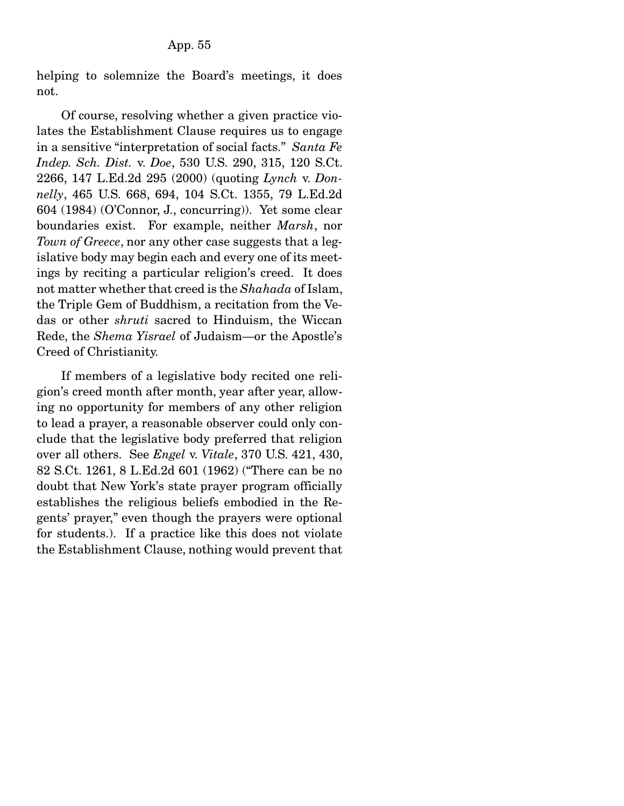helping to solemnize the Board's meetings, it does not.

 Of course, resolving whether a given practice violates the Establishment Clause requires us to engage in a sensitive "interpretation of social facts." *Santa Fe Indep. Sch. Dist.* v. *Doe*, 530 U.S. 290, 315, 120 S.Ct. 2266, 147 L.Ed.2d 295 (2000) (quoting *Lynch* v. *Donnelly*, 465 U.S. 668, 694, 104 S.Ct. 1355, 79 L.Ed.2d 604 (1984) (O'Connor, J., concurring)). Yet some clear boundaries exist. For example, neither *Marsh*, nor *Town of Greece*, nor any other case suggests that a legislative body may begin each and every one of its meetings by reciting a particular religion's creed. It does not matter whether that creed is the *Shahada* of Islam, the Triple Gem of Buddhism, a recitation from the Vedas or other *shruti* sacred to Hinduism, the Wiccan Rede, the *Shema Yisrael* of Judaism—or the Apostle's Creed of Christianity.

 If members of a legislative body recited one religion's creed month after month, year after year, allowing no opportunity for members of any other religion to lead a prayer, a reasonable observer could only conclude that the legislative body preferred that religion over all others. See *Engel* v. *Vitale*, 370 U.S. 421, 430, 82 S.Ct. 1261, 8 L.Ed.2d 601 (1962) ("There can be no doubt that New York's state prayer program officially establishes the religious beliefs embodied in the Regents' prayer," even though the prayers were optional for students.). If a practice like this does not violate the Establishment Clause, nothing would prevent that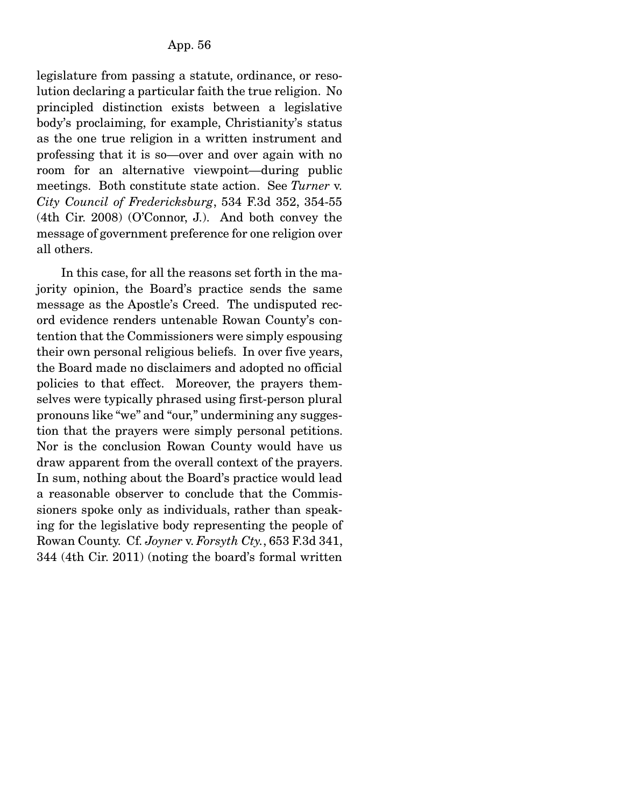legislature from passing a statute, ordinance, or resolution declaring a particular faith the true religion. No principled distinction exists between a legislative body's proclaiming, for example, Christianity's status as the one true religion in a written instrument and professing that it is so—over and over again with no room for an alternative viewpoint—during public meetings. Both constitute state action. See *Turner* v. *City Council of Fredericksburg*, 534 F.3d 352, 354-55 (4th Cir. 2008) (O'Connor, J.). And both convey the message of government preference for one religion over all others.

 In this case, for all the reasons set forth in the majority opinion, the Board's practice sends the same message as the Apostle's Creed. The undisputed record evidence renders untenable Rowan County's contention that the Commissioners were simply espousing their own personal religious beliefs. In over five years, the Board made no disclaimers and adopted no official policies to that effect. Moreover, the prayers themselves were typically phrased using first-person plural pronouns like "we" and "our," undermining any suggestion that the prayers were simply personal petitions. Nor is the conclusion Rowan County would have us draw apparent from the overall context of the prayers. In sum, nothing about the Board's practice would lead a reasonable observer to conclude that the Commissioners spoke only as individuals, rather than speaking for the legislative body representing the people of Rowan County. Cf. *Joyner* v. *Forsyth Cty.*, 653 F.3d 341, 344 (4th Cir. 2011) (noting the board's formal written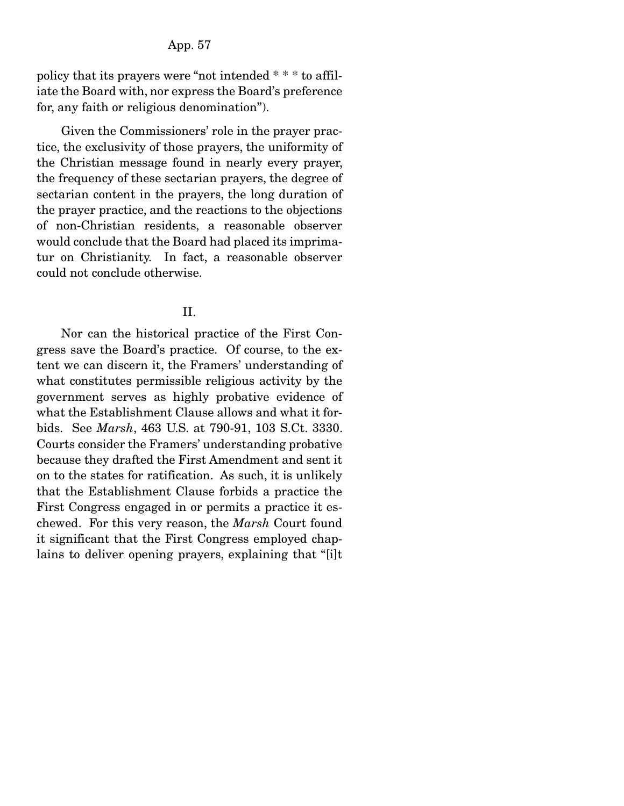#### App. 57

policy that its prayers were "not intended \* \* \* to affiliate the Board with, nor express the Board's preference for, any faith or religious denomination").

 Given the Commissioners' role in the prayer practice, the exclusivity of those prayers, the uniformity of the Christian message found in nearly every prayer, the frequency of these sectarian prayers, the degree of sectarian content in the prayers, the long duration of the prayer practice, and the reactions to the objections of non-Christian residents, a reasonable observer would conclude that the Board had placed its imprimatur on Christianity. In fact, a reasonable observer could not conclude otherwise.

#### II.

 Nor can the historical practice of the First Congress save the Board's practice. Of course, to the extent we can discern it, the Framers' understanding of what constitutes permissible religious activity by the government serves as highly probative evidence of what the Establishment Clause allows and what it forbids. See *Marsh*, 463 U.S. at 790-91, 103 S.Ct. 3330. Courts consider the Framers' understanding probative because they drafted the First Amendment and sent it on to the states for ratification. As such, it is unlikely that the Establishment Clause forbids a practice the First Congress engaged in or permits a practice it eschewed. For this very reason, the *Marsh* Court found it significant that the First Congress employed chaplains to deliver opening prayers, explaining that "[i]t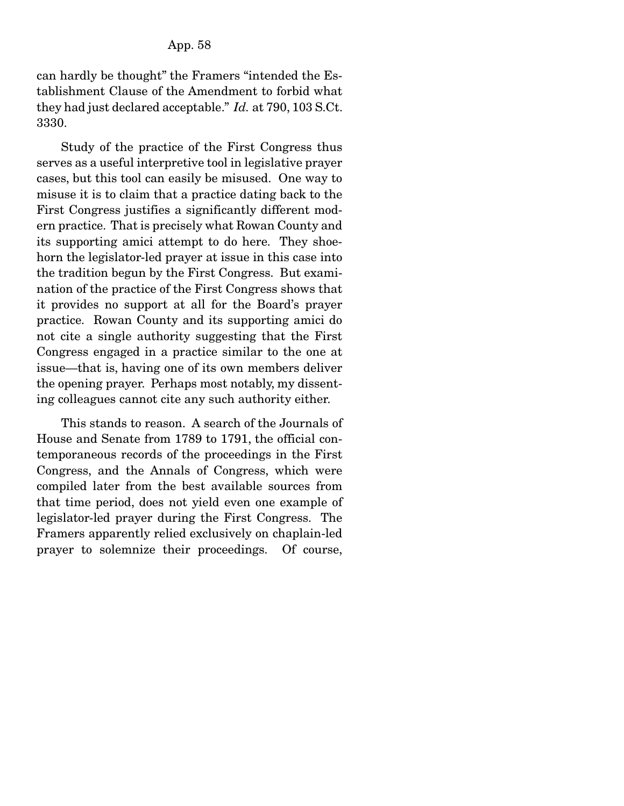can hardly be thought" the Framers "intended the Establishment Clause of the Amendment to forbid what they had just declared acceptable." *Id.* at 790, 103 S.Ct. 3330.

 Study of the practice of the First Congress thus serves as a useful interpretive tool in legislative prayer cases, but this tool can easily be misused. One way to misuse it is to claim that a practice dating back to the First Congress justifies a significantly different modern practice. That is precisely what Rowan County and its supporting amici attempt to do here. They shoehorn the legislator-led prayer at issue in this case into the tradition begun by the First Congress. But examination of the practice of the First Congress shows that it provides no support at all for the Board's prayer practice. Rowan County and its supporting amici do not cite a single authority suggesting that the First Congress engaged in a practice similar to the one at issue—that is, having one of its own members deliver the opening prayer. Perhaps most notably, my dissenting colleagues cannot cite any such authority either.

 This stands to reason. A search of the Journals of House and Senate from 1789 to 1791, the official contemporaneous records of the proceedings in the First Congress, and the Annals of Congress, which were compiled later from the best available sources from that time period, does not yield even one example of legislator-led prayer during the First Congress. The Framers apparently relied exclusively on chaplain-led prayer to solemnize their proceedings. Of course,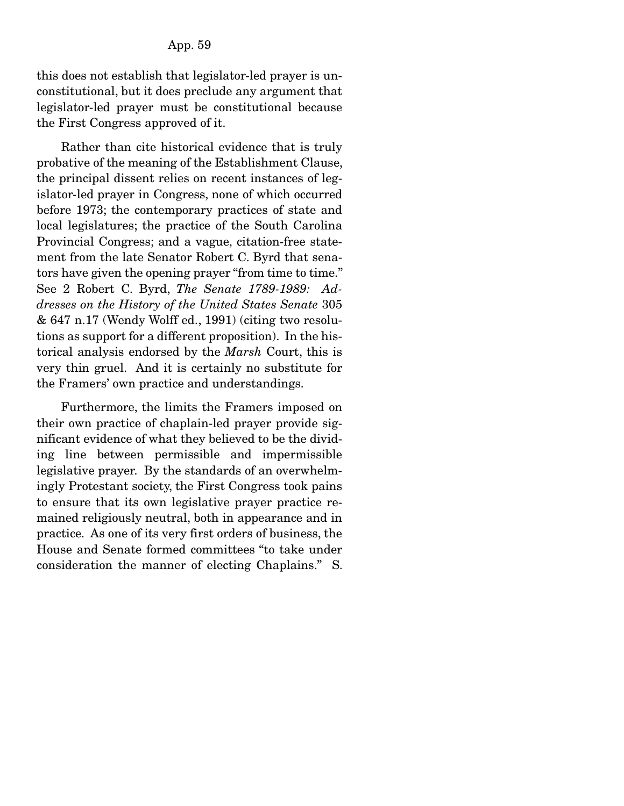this does not establish that legislator-led prayer is unconstitutional, but it does preclude any argument that legislator-led prayer must be constitutional because the First Congress approved of it.

 Rather than cite historical evidence that is truly probative of the meaning of the Establishment Clause, the principal dissent relies on recent instances of legislator-led prayer in Congress, none of which occurred before 1973; the contemporary practices of state and local legislatures; the practice of the South Carolina Provincial Congress; and a vague, citation-free statement from the late Senator Robert C. Byrd that senators have given the opening prayer "from time to time." See 2 Robert C. Byrd, *The Senate 1789-1989: Addresses on the History of the United States Senate* 305 & 647 n.17 (Wendy Wolff ed., 1991) (citing two resolutions as support for a different proposition). In the historical analysis endorsed by the *Marsh* Court, this is very thin gruel. And it is certainly no substitute for the Framers' own practice and understandings.

 Furthermore, the limits the Framers imposed on their own practice of chaplain-led prayer provide significant evidence of what they believed to be the dividing line between permissible and impermissible legislative prayer. By the standards of an overwhelmingly Protestant society, the First Congress took pains to ensure that its own legislative prayer practice remained religiously neutral, both in appearance and in practice. As one of its very first orders of business, the House and Senate formed committees "to take under consideration the manner of electing Chaplains." S.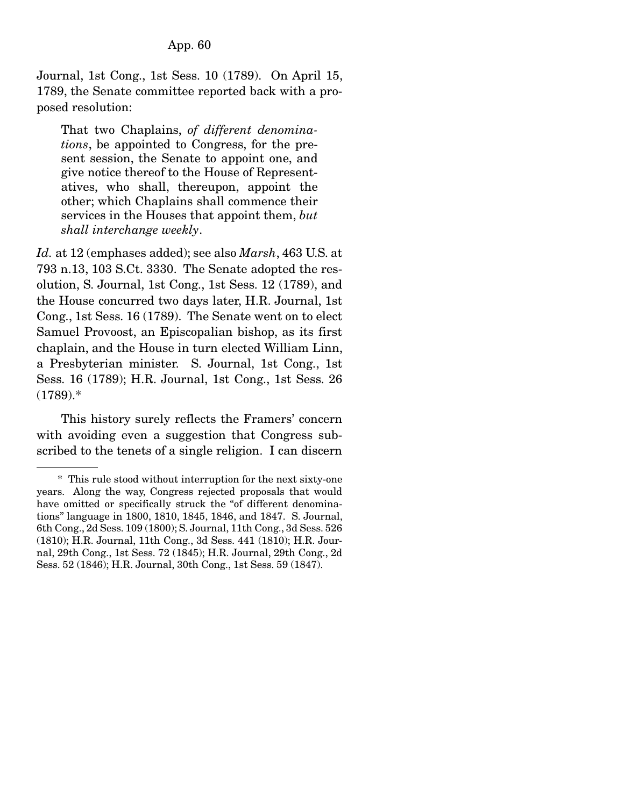### App. 60

Journal, 1st Cong., 1st Sess. 10 (1789). On April 15, 1789, the Senate committee reported back with a proposed resolution:

That two Chaplains, *of different denominations*, be appointed to Congress, for the present session, the Senate to appoint one, and give notice thereof to the House of Representatives, who shall, thereupon, appoint the other; which Chaplains shall commence their services in the Houses that appoint them, *but shall interchange weekly*.

*Id.* at 12 (emphases added); see also *Marsh*, 463 U.S. at 793 n.13, 103 S.Ct. 3330. The Senate adopted the resolution, S. Journal, 1st Cong., 1st Sess. 12 (1789), and the House concurred two days later, H.R. Journal, 1st Cong., 1st Sess. 16 (1789). The Senate went on to elect Samuel Provoost, an Episcopalian bishop, as its first chaplain, and the House in turn elected William Linn, a Presbyterian minister. S. Journal, 1st Cong., 1st Sess. 16 (1789); H.R. Journal, 1st Cong., 1st Sess. 26 (1789).\*

 This history surely reflects the Framers' concern with avoiding even a suggestion that Congress subscribed to the tenets of a single religion. I can discern

 <sup>\*</sup> This rule stood without interruption for the next sixty-one years. Along the way, Congress rejected proposals that would have omitted or specifically struck the "of different denominations" language in 1800, 1810, 1845, 1846, and 1847. S. Journal, 6th Cong., 2d Sess. 109 (1800); S. Journal, 11th Cong., 3d Sess. 526 (1810); H.R. Journal, 11th Cong., 3d Sess. 441 (1810); H.R. Journal, 29th Cong., 1st Sess. 72 (1845); H.R. Journal, 29th Cong., 2d Sess. 52 (1846); H.R. Journal, 30th Cong., 1st Sess. 59 (1847).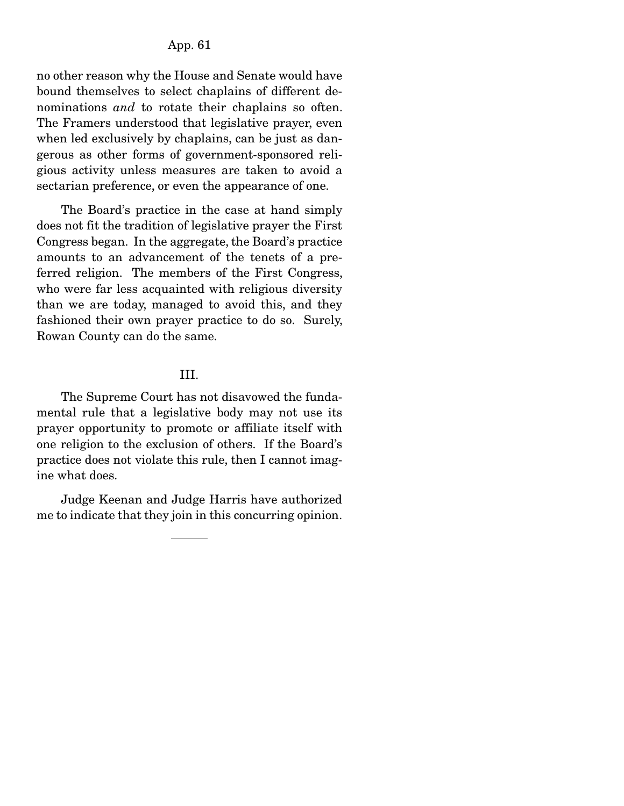### App. 61

no other reason why the House and Senate would have bound themselves to select chaplains of different denominations *and* to rotate their chaplains so often. The Framers understood that legislative prayer, even when led exclusively by chaplains, can be just as dangerous as other forms of government-sponsored religious activity unless measures are taken to avoid a sectarian preference, or even the appearance of one.

 The Board's practice in the case at hand simply does not fit the tradition of legislative prayer the First Congress began. In the aggregate, the Board's practice amounts to an advancement of the tenets of a preferred religion. The members of the First Congress, who were far less acquainted with religious diversity than we are today, managed to avoid this, and they fashioned their own prayer practice to do so. Surely, Rowan County can do the same.

#### III.

 The Supreme Court has not disavowed the fundamental rule that a legislative body may not use its prayer opportunity to promote or affiliate itself with one religion to the exclusion of others. If the Board's practice does not violate this rule, then I cannot imagine what does.

 Judge Keenan and Judge Harris have authorized me to indicate that they join in this concurring opinion.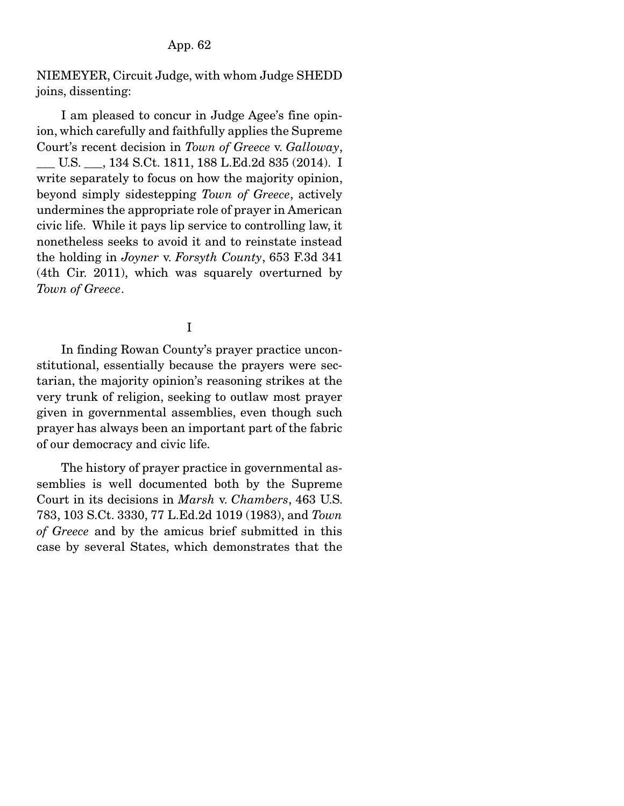NIEMEYER, Circuit Judge, with whom Judge SHEDD joins, dissenting:

 I am pleased to concur in Judge Agee's fine opinion, which carefully and faithfully applies the Supreme Court's recent decision in *Town of Greece* v. *Galloway*, \_\_\_ U.S. \_\_\_, 134 S.Ct. 1811, 188 L.Ed.2d 835 (2014). I write separately to focus on how the majority opinion, beyond simply sidestepping *Town of Greece*, actively undermines the appropriate role of prayer in American civic life. While it pays lip service to controlling law, it nonetheless seeks to avoid it and to reinstate instead the holding in *Joyner* v. *Forsyth County*, 653 F.3d 341 (4th Cir. 2011), which was squarely overturned by *Town of Greece*.

I

 In finding Rowan County's prayer practice unconstitutional, essentially because the prayers were sectarian, the majority opinion's reasoning strikes at the very trunk of religion, seeking to outlaw most prayer given in governmental assemblies, even though such prayer has always been an important part of the fabric of our democracy and civic life.

 The history of prayer practice in governmental assemblies is well documented both by the Supreme Court in its decisions in *Marsh* v. *Chambers*, 463 U.S. 783, 103 S.Ct. 3330, 77 L.Ed.2d 1019 (1983), and *Town of Greece* and by the amicus brief submitted in this case by several States, which demonstrates that the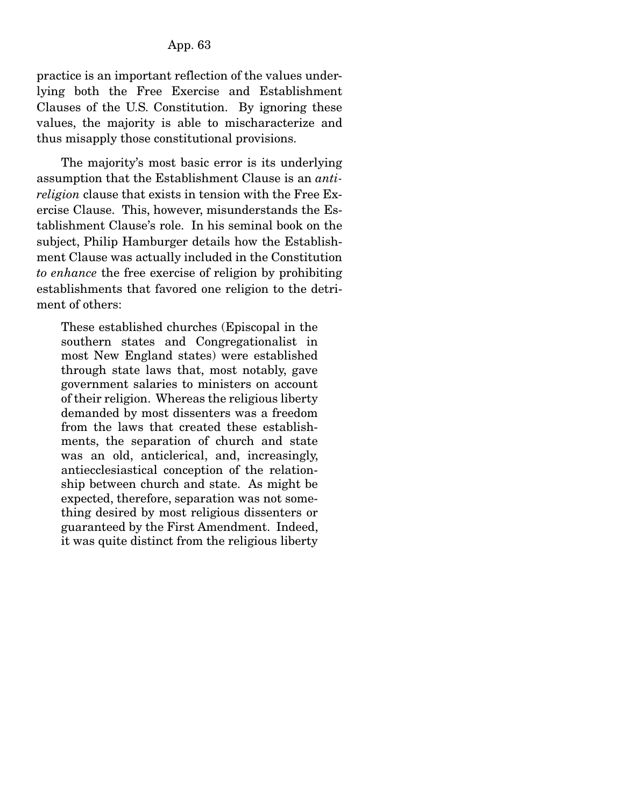practice is an important reflection of the values underlying both the Free Exercise and Establishment Clauses of the U.S. Constitution. By ignoring these values, the majority is able to mischaracterize and thus misapply those constitutional provisions.

 The majority's most basic error is its underlying assumption that the Establishment Clause is an *antireligion* clause that exists in tension with the Free Exercise Clause. This, however, misunderstands the Establishment Clause's role. In his seminal book on the subject, Philip Hamburger details how the Establishment Clause was actually included in the Constitution *to enhance* the free exercise of religion by prohibiting establishments that favored one religion to the detriment of others:

These established churches (Episcopal in the southern states and Congregationalist in most New England states) were established through state laws that, most notably, gave government salaries to ministers on account of their religion. Whereas the religious liberty demanded by most dissenters was a freedom from the laws that created these establishments, the separation of church and state was an old, anticlerical, and, increasingly, antiecclesiastical conception of the relationship between church and state. As might be expected, therefore, separation was not something desired by most religious dissenters or guaranteed by the First Amendment. Indeed, it was quite distinct from the religious liberty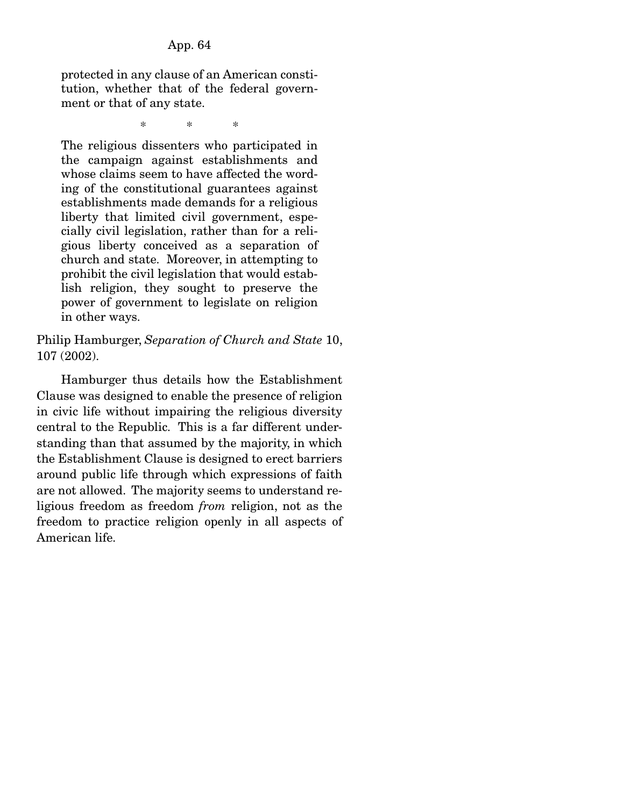protected in any clause of an American constitution, whether that of the federal government or that of any state.

\* \* \*

The religious dissenters who participated in the campaign against establishments and whose claims seem to have affected the wording of the constitutional guarantees against establishments made demands for a religious liberty that limited civil government, especially civil legislation, rather than for a religious liberty conceived as a separation of church and state. Moreover, in attempting to prohibit the civil legislation that would establish religion, they sought to preserve the power of government to legislate on religion in other ways.

Philip Hamburger, *Separation of Church and State* 10, 107 (2002).

 Hamburger thus details how the Establishment Clause was designed to enable the presence of religion in civic life without impairing the religious diversity central to the Republic. This is a far different understanding than that assumed by the majority, in which the Establishment Clause is designed to erect barriers around public life through which expressions of faith are not allowed. The majority seems to understand religious freedom as freedom *from* religion, not as the freedom to practice religion openly in all aspects of American life.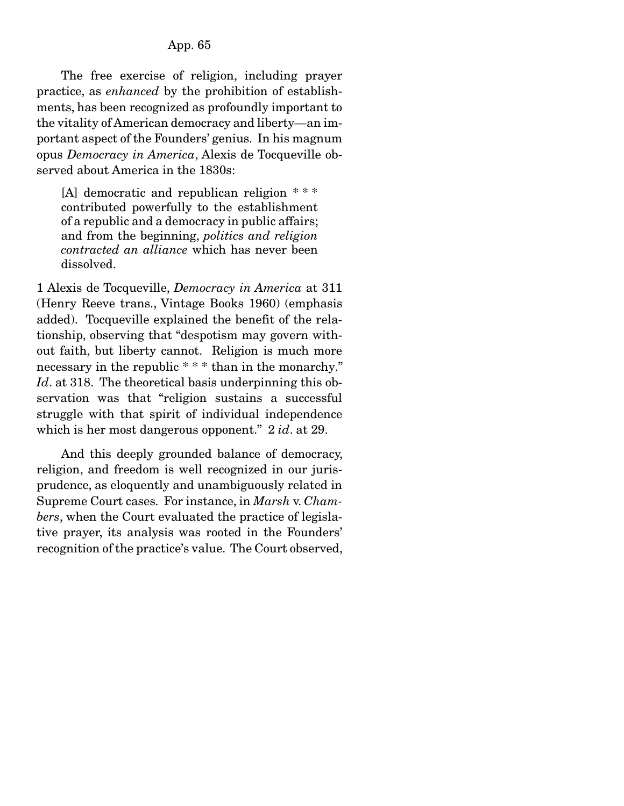# App. 65

 The free exercise of religion, including prayer practice, as *enhanced* by the prohibition of establishments, has been recognized as profoundly important to the vitality of American democracy and liberty—an important aspect of the Founders' genius. In his magnum opus *Democracy in America*, Alexis de Tocqueville observed about America in the 1830s:

[A] democratic and republican religion \* \* \* contributed powerfully to the establishment of a republic and a democracy in public affairs; and from the beginning, *politics and religion contracted an alliance* which has never been dissolved.

1 Alexis de Tocqueville, *Democracy in America* at 311 (Henry Reeve trans., Vintage Books 1960) (emphasis added). Tocqueville explained the benefit of the relationship, observing that "despotism may govern without faith, but liberty cannot. Religion is much more necessary in the republic \* \* \* than in the monarchy." *Id*. at 318. The theoretical basis underpinning this observation was that "religion sustains a successful struggle with that spirit of individual independence which is her most dangerous opponent." 2 *id*. at 29.

 And this deeply grounded balance of democracy, religion, and freedom is well recognized in our jurisprudence, as eloquently and unambiguously related in Supreme Court cases. For instance, in *Marsh* v. *Chambers*, when the Court evaluated the practice of legislative prayer, its analysis was rooted in the Founders' recognition of the practice's value. The Court observed,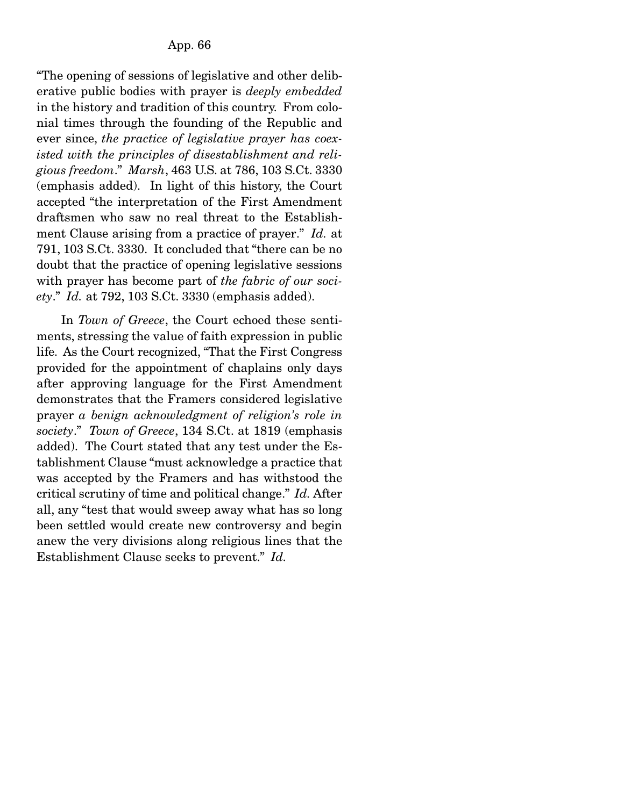"The opening of sessions of legislative and other deliberative public bodies with prayer is *deeply embedded* in the history and tradition of this country. From colonial times through the founding of the Republic and ever since, *the practice of legislative prayer has coexisted with the principles of disestablishment and religious freedom*." *Marsh*, 463 U.S. at 786, 103 S.Ct. 3330 (emphasis added). In light of this history, the Court accepted "the interpretation of the First Amendment draftsmen who saw no real threat to the Establishment Clause arising from a practice of prayer." *Id.* at 791, 103 S.Ct. 3330. It concluded that "there can be no doubt that the practice of opening legislative sessions with prayer has become part of *the fabric of our society*." *Id.* at 792, 103 S.Ct. 3330 (emphasis added).

 In *Town of Greece*, the Court echoed these sentiments, stressing the value of faith expression in public life. As the Court recognized, "That the First Congress provided for the appointment of chaplains only days after approving language for the First Amendment demonstrates that the Framers considered legislative prayer *a benign acknowledgment of religion's role in society*." *Town of Greece*, 134 S.Ct. at 1819 (emphasis added). The Court stated that any test under the Establishment Clause "must acknowledge a practice that was accepted by the Framers and has withstood the critical scrutiny of time and political change." *Id.* After all, any "test that would sweep away what has so long been settled would create new controversy and begin anew the very divisions along religious lines that the Establishment Clause seeks to prevent." *Id.*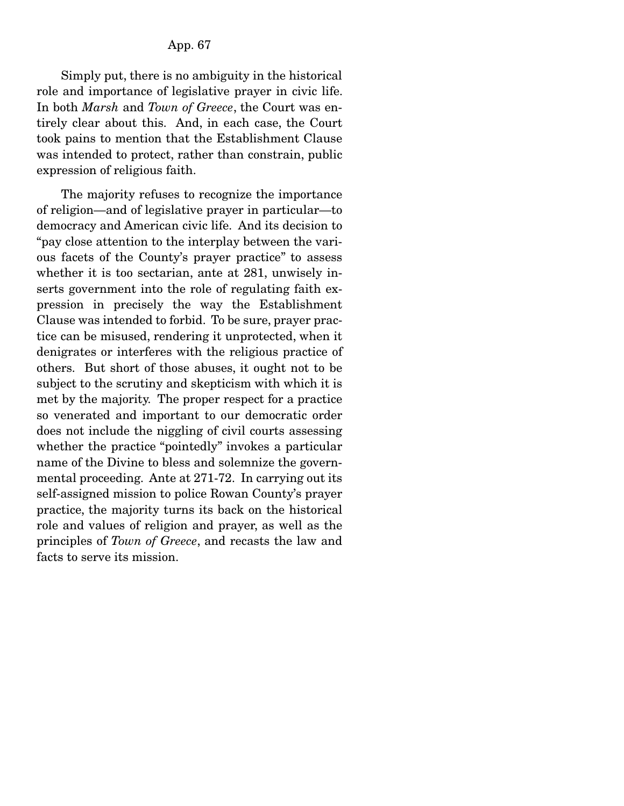Simply put, there is no ambiguity in the historical role and importance of legislative prayer in civic life. In both *Marsh* and *Town of Greece*, the Court was entirely clear about this. And, in each case, the Court took pains to mention that the Establishment Clause was intended to protect, rather than constrain, public expression of religious faith.

 The majority refuses to recognize the importance of religion—and of legislative prayer in particular—to democracy and American civic life. And its decision to "pay close attention to the interplay between the various facets of the County's prayer practice" to assess whether it is too sectarian, ante at 281, unwisely inserts government into the role of regulating faith expression in precisely the way the Establishment Clause was intended to forbid. To be sure, prayer practice can be misused, rendering it unprotected, when it denigrates or interferes with the religious practice of others. But short of those abuses, it ought not to be subject to the scrutiny and skepticism with which it is met by the majority. The proper respect for a practice so venerated and important to our democratic order does not include the niggling of civil courts assessing whether the practice "pointedly" invokes a particular name of the Divine to bless and solemnize the governmental proceeding. Ante at 271-72. In carrying out its self-assigned mission to police Rowan County's prayer practice, the majority turns its back on the historical role and values of religion and prayer, as well as the principles of *Town of Greece*, and recasts the law and facts to serve its mission.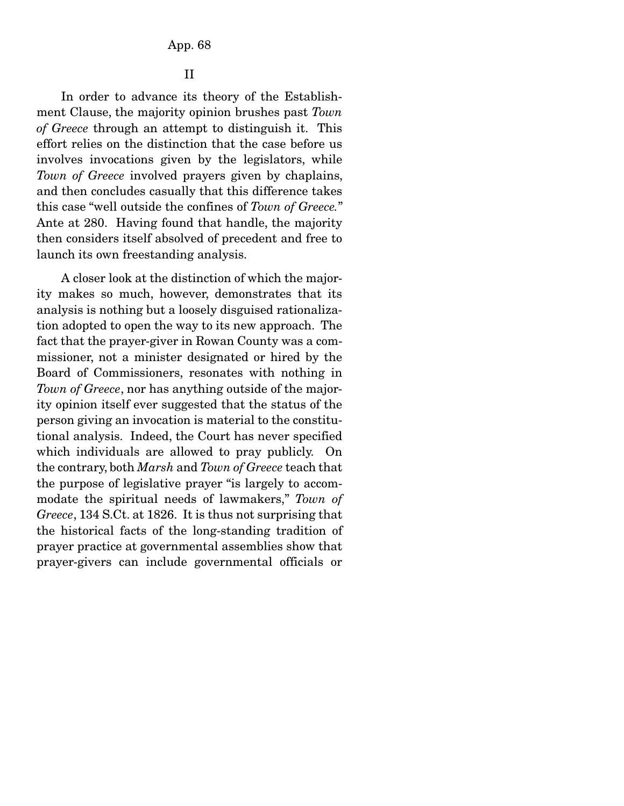II

 In order to advance its theory of the Establishment Clause, the majority opinion brushes past *Town of Greece* through an attempt to distinguish it. This effort relies on the distinction that the case before us involves invocations given by the legislators, while *Town of Greece* involved prayers given by chaplains, and then concludes casually that this difference takes this case "well outside the confines of *Town of Greece.*" Ante at 280. Having found that handle, the majority then considers itself absolved of precedent and free to launch its own freestanding analysis.

 A closer look at the distinction of which the majority makes so much, however, demonstrates that its analysis is nothing but a loosely disguised rationalization adopted to open the way to its new approach. The fact that the prayer-giver in Rowan County was a commissioner, not a minister designated or hired by the Board of Commissioners, resonates with nothing in *Town of Greece*, nor has anything outside of the majority opinion itself ever suggested that the status of the person giving an invocation is material to the constitutional analysis. Indeed, the Court has never specified which individuals are allowed to pray publicly. On the contrary, both *Marsh* and *Town of Greece* teach that the purpose of legislative prayer "is largely to accommodate the spiritual needs of lawmakers," *Town of Greece*, 134 S.Ct. at 1826. It is thus not surprising that the historical facts of the long-standing tradition of prayer practice at governmental assemblies show that prayer-givers can include governmental officials or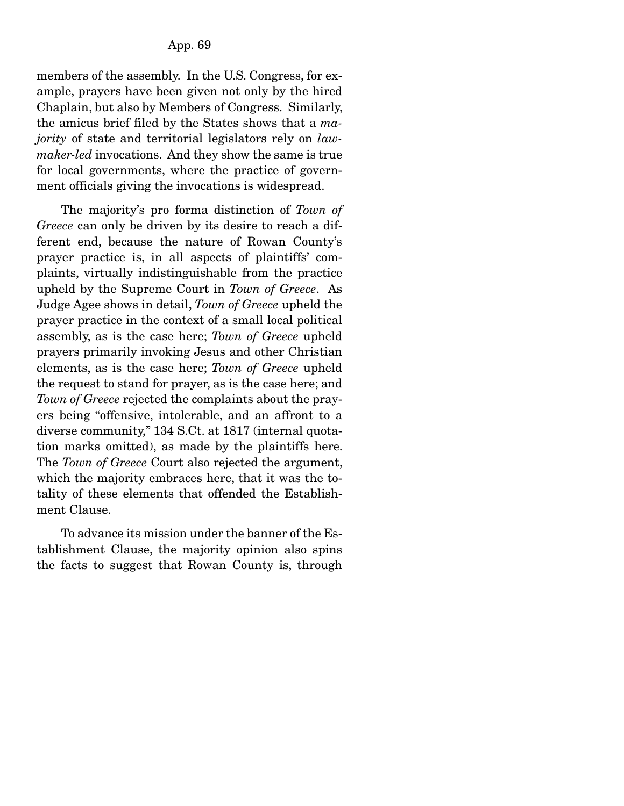members of the assembly. In the U.S. Congress, for example, prayers have been given not only by the hired Chaplain, but also by Members of Congress. Similarly, the amicus brief filed by the States shows that a *majority* of state and territorial legislators rely on *lawmaker-led* invocations. And they show the same is true for local governments, where the practice of government officials giving the invocations is widespread.

 The majority's pro forma distinction of *Town of Greece* can only be driven by its desire to reach a different end, because the nature of Rowan County's prayer practice is, in all aspects of plaintiffs' complaints, virtually indistinguishable from the practice upheld by the Supreme Court in *Town of Greece*. As Judge Agee shows in detail, *Town of Greece* upheld the prayer practice in the context of a small local political assembly, as is the case here; *Town of Greece* upheld prayers primarily invoking Jesus and other Christian elements, as is the case here; *Town of Greece* upheld the request to stand for prayer, as is the case here; and *Town of Greece* rejected the complaints about the prayers being "offensive, intolerable, and an affront to a diverse community," 134 S.Ct. at 1817 (internal quotation marks omitted), as made by the plaintiffs here. The *Town of Greece* Court also rejected the argument, which the majority embraces here, that it was the totality of these elements that offended the Establishment Clause.

 To advance its mission under the banner of the Establishment Clause, the majority opinion also spins the facts to suggest that Rowan County is, through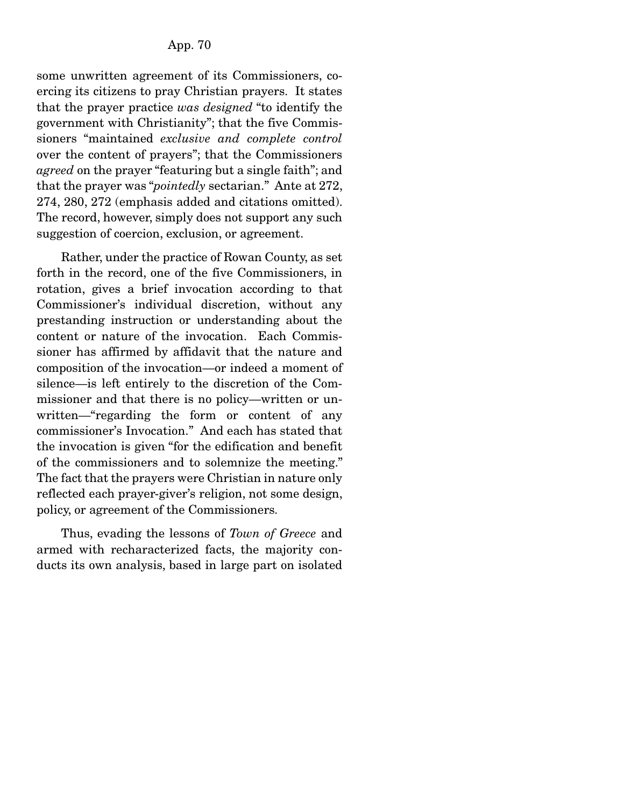some unwritten agreement of its Commissioners, coercing its citizens to pray Christian prayers. It states that the prayer practice *was designed* "to identify the government with Christianity"; that the five Commissioners "maintained *exclusive and complete control* over the content of prayers"; that the Commissioners *agreed* on the prayer "featuring but a single faith"; and that the prayer was "*pointedly* sectarian." Ante at 272, 274, 280, 272 (emphasis added and citations omitted). The record, however, simply does not support any such suggestion of coercion, exclusion, or agreement.

 Rather, under the practice of Rowan County, as set forth in the record, one of the five Commissioners, in rotation, gives a brief invocation according to that Commissioner's individual discretion, without any prestanding instruction or understanding about the content or nature of the invocation. Each Commissioner has affirmed by affidavit that the nature and composition of the invocation—or indeed a moment of silence—is left entirely to the discretion of the Commissioner and that there is no policy—written or unwritten—"regarding the form or content of any commissioner's Invocation." And each has stated that the invocation is given "for the edification and benefit of the commissioners and to solemnize the meeting." The fact that the prayers were Christian in nature only reflected each prayer-giver's religion, not some design, policy, or agreement of the Commissioners.

 Thus, evading the lessons of *Town of Greece* and armed with recharacterized facts, the majority conducts its own analysis, based in large part on isolated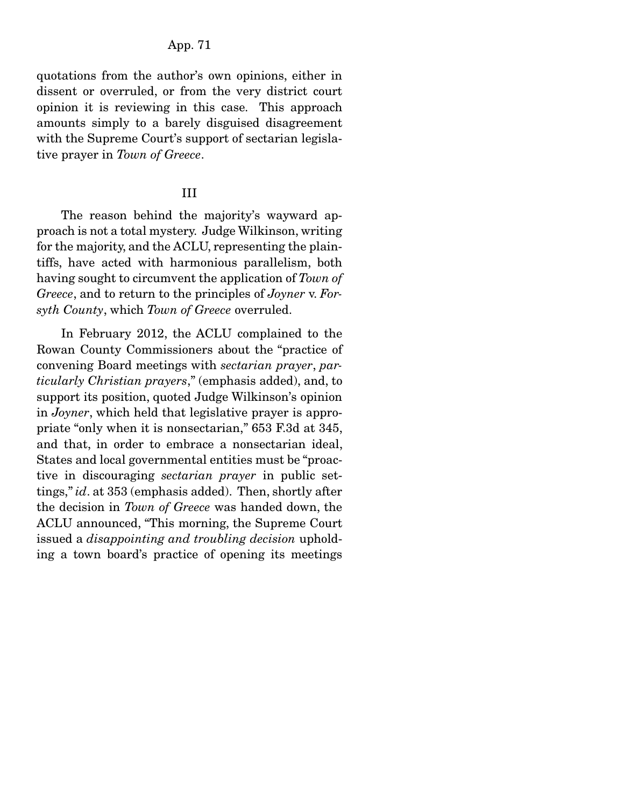## App. 71

quotations from the author's own opinions, either in dissent or overruled, or from the very district court opinion it is reviewing in this case. This approach amounts simply to a barely disguised disagreement with the Supreme Court's support of sectarian legislative prayer in *Town of Greece*.

#### III

 The reason behind the majority's wayward approach is not a total mystery. Judge Wilkinson, writing for the majority, and the ACLU, representing the plaintiffs, have acted with harmonious parallelism, both having sought to circumvent the application of *Town of Greece*, and to return to the principles of *Joyner* v. *Forsyth County*, which *Town of Greece* overruled.

 In February 2012, the ACLU complained to the Rowan County Commissioners about the "practice of convening Board meetings with *sectarian prayer*, *particularly Christian prayers*," (emphasis added), and, to support its position, quoted Judge Wilkinson's opinion in *Joyner*, which held that legislative prayer is appropriate "only when it is nonsectarian," 653 F.3d at 345, and that, in order to embrace a nonsectarian ideal, States and local governmental entities must be "proactive in discouraging *sectarian prayer* in public settings," *id*. at 353 (emphasis added). Then, shortly after the decision in *Town of Greece* was handed down, the ACLU announced, "This morning, the Supreme Court issued a *disappointing and troubling decision* upholding a town board's practice of opening its meetings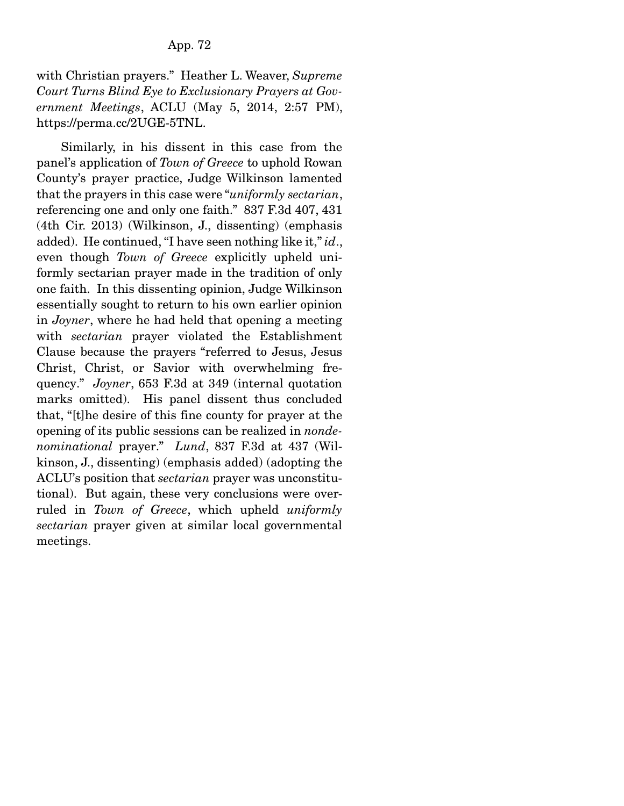with Christian prayers." Heather L. Weaver, *Supreme Court Turns Blind Eye to Exclusionary Prayers at Government Meetings*, ACLU (May 5, 2014, 2:57 PM), https://perma.cc/2UGE-5TNL.

 Similarly, in his dissent in this case from the panel's application of *Town of Greece* to uphold Rowan County's prayer practice, Judge Wilkinson lamented that the prayers in this case were "*uniformly sectarian*, referencing one and only one faith." 837 F.3d 407, 431 (4th Cir. 2013) (Wilkinson, J., dissenting) (emphasis added). He continued, "I have seen nothing like it," *id*., even though *Town of Greece* explicitly upheld uniformly sectarian prayer made in the tradition of only one faith. In this dissenting opinion, Judge Wilkinson essentially sought to return to his own earlier opinion in *Joyner*, where he had held that opening a meeting with *sectarian* prayer violated the Establishment Clause because the prayers "referred to Jesus, Jesus Christ, Christ, or Savior with overwhelming frequency." *Joyner*, 653 F.3d at 349 (internal quotation marks omitted). His panel dissent thus concluded that, "[t]he desire of this fine county for prayer at the opening of its public sessions can be realized in *nondenominational* prayer." *Lund*, 837 F.3d at 437 (Wilkinson, J., dissenting) (emphasis added) (adopting the ACLU's position that *sectarian* prayer was unconstitutional). But again, these very conclusions were overruled in *Town of Greece*, which upheld *uniformly sectarian* prayer given at similar local governmental meetings.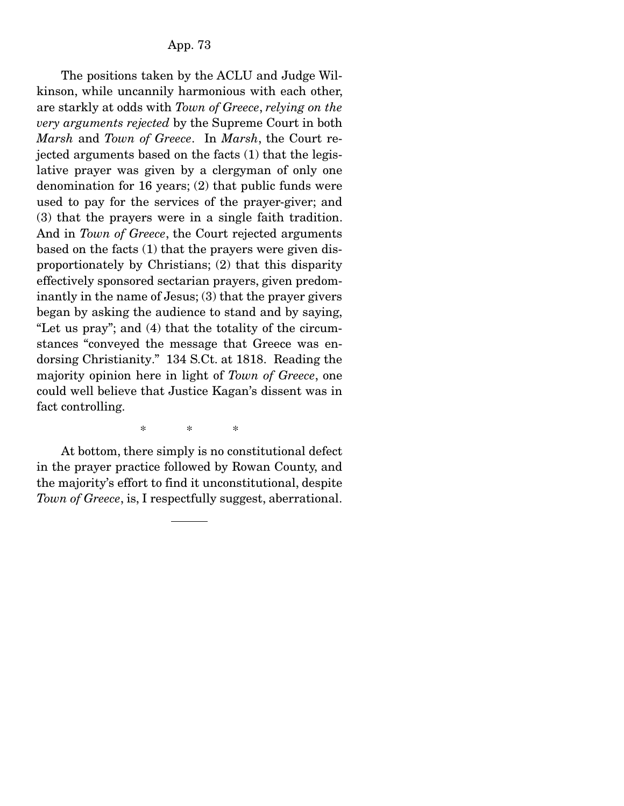The positions taken by the ACLU and Judge Wilkinson, while uncannily harmonious with each other, are starkly at odds with *Town of Greece*, *relying on the very arguments rejected* by the Supreme Court in both *Marsh* and *Town of Greece*. In *Marsh*, the Court rejected arguments based on the facts (1) that the legislative prayer was given by a clergyman of only one denomination for 16 years; (2) that public funds were used to pay for the services of the prayer-giver; and (3) that the prayers were in a single faith tradition. And in *Town of Greece*, the Court rejected arguments based on the facts (1) that the prayers were given disproportionately by Christians; (2) that this disparity effectively sponsored sectarian prayers, given predominantly in the name of Jesus; (3) that the prayer givers began by asking the audience to stand and by saying, "Let us pray"; and (4) that the totality of the circumstances "conveyed the message that Greece was endorsing Christianity." 134 S.Ct. at 1818. Reading the majority opinion here in light of *Town of Greece*, one could well believe that Justice Kagan's dissent was in fact controlling.

\* \* \*

 At bottom, there simply is no constitutional defect in the prayer practice followed by Rowan County, and the majority's effort to find it unconstitutional, despite *Town of Greece*, is, I respectfully suggest, aberrational.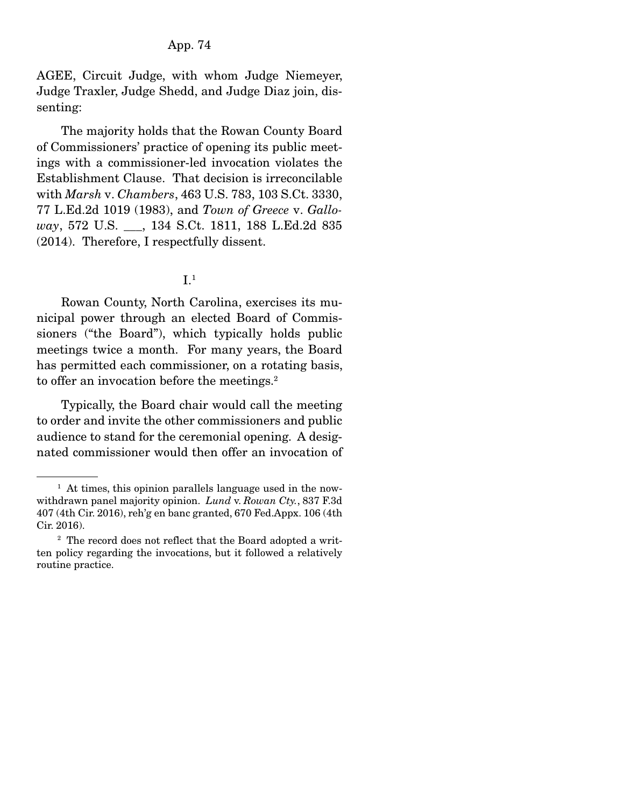### App. 74

AGEE, Circuit Judge, with whom Judge Niemeyer, Judge Traxler, Judge Shedd, and Judge Diaz join, dissenting:

 The majority holds that the Rowan County Board of Commissioners' practice of opening its public meetings with a commissioner-led invocation violates the Establishment Clause. That decision is irreconcilable with *Marsh* v. *Chambers*, 463 U.S. 783, 103 S.Ct. 3330, 77 L.Ed.2d 1019 (1983), and *Town of Greece* v. *Galloway*, 572 U.S. \_\_\_, 134 S.Ct. 1811, 188 L.Ed.2d 835 (2014). Therefore, I respectfully dissent.

# $I<sup>1</sup>$

 Rowan County, North Carolina, exercises its municipal power through an elected Board of Commissioners ("the Board"), which typically holds public meetings twice a month. For many years, the Board has permitted each commissioner, on a rotating basis, to offer an invocation before the meetings.<sup>2</sup>

 Typically, the Board chair would call the meeting to order and invite the other commissioners and public audience to stand for the ceremonial opening. A designated commissioner would then offer an invocation of

<sup>&</sup>lt;sup>1</sup> At times, this opinion parallels language used in the nowwithdrawn panel majority opinion. *Lund* v. *Rowan Cty.*, 837 F.3d 407 (4th Cir. 2016), reh'g en banc granted, 670 Fed.Appx. 106 (4th Cir. 2016).

<sup>&</sup>lt;sup>2</sup> The record does not reflect that the Board adopted a written policy regarding the invocations, but it followed a relatively routine practice.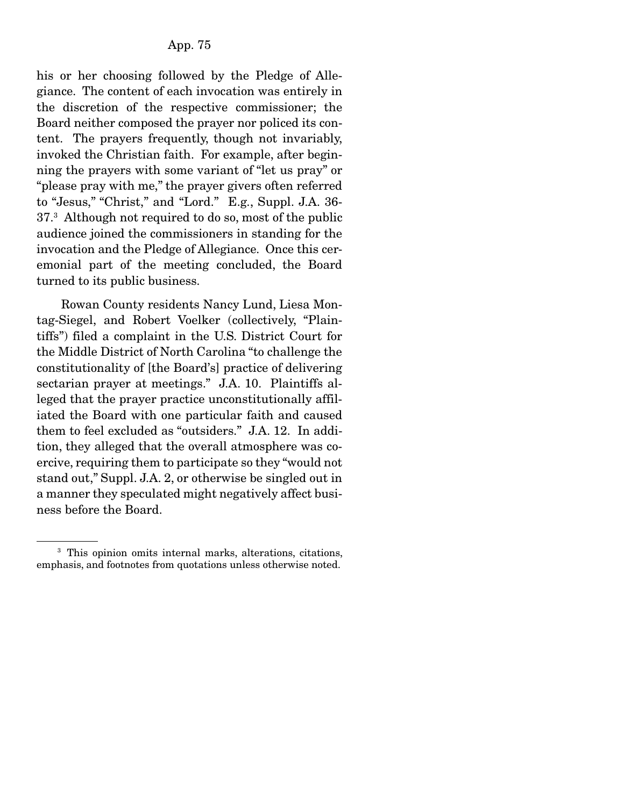his or her choosing followed by the Pledge of Allegiance. The content of each invocation was entirely in the discretion of the respective commissioner; the Board neither composed the prayer nor policed its content. The prayers frequently, though not invariably, invoked the Christian faith. For example, after beginning the prayers with some variant of "let us pray" or "please pray with me," the prayer givers often referred to "Jesus," "Christ," and "Lord." E.g., Suppl. J.A. 36- 37.3 Although not required to do so, most of the public audience joined the commissioners in standing for the invocation and the Pledge of Allegiance. Once this ceremonial part of the meeting concluded, the Board turned to its public business.

 Rowan County residents Nancy Lund, Liesa Montag-Siegel, and Robert Voelker (collectively, "Plaintiffs") filed a complaint in the U.S. District Court for the Middle District of North Carolina "to challenge the constitutionality of [the Board's] practice of delivering sectarian prayer at meetings." J.A. 10. Plaintiffs alleged that the prayer practice unconstitutionally affiliated the Board with one particular faith and caused them to feel excluded as "outsiders." J.A. 12. In addition, they alleged that the overall atmosphere was coercive, requiring them to participate so they "would not stand out," Suppl. J.A. 2, or otherwise be singled out in a manner they speculated might negatively affect business before the Board.

<sup>3</sup> This opinion omits internal marks, alterations, citations, emphasis, and footnotes from quotations unless otherwise noted.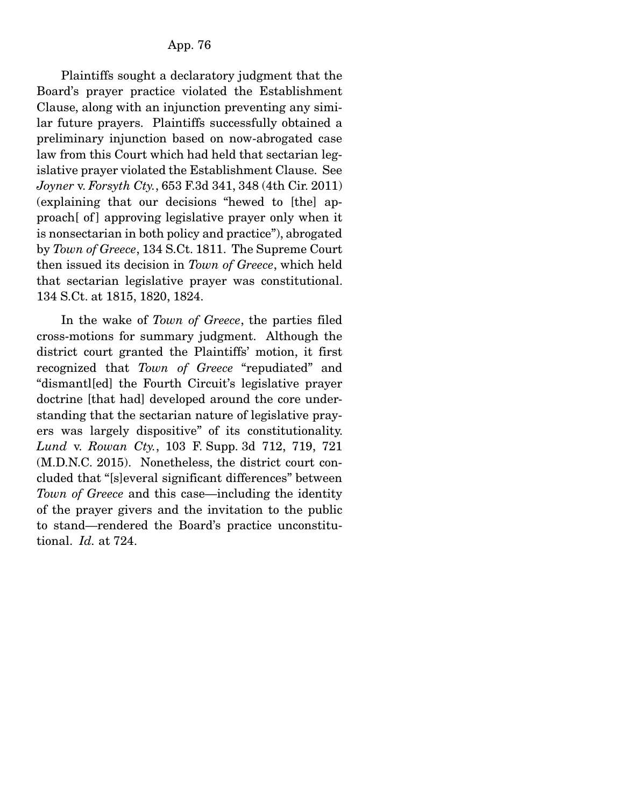Plaintiffs sought a declaratory judgment that the Board's prayer practice violated the Establishment Clause, along with an injunction preventing any similar future prayers. Plaintiffs successfully obtained a preliminary injunction based on now-abrogated case law from this Court which had held that sectarian legislative prayer violated the Establishment Clause. See *Joyner* v. *Forsyth Cty.*, 653 F.3d 341, 348 (4th Cir. 2011) (explaining that our decisions "hewed to [the] approach [of ] approving legislative prayer only when it is nonsectarian in both policy and practice"), abrogated by *Town of Greece*, 134 S.Ct. 1811. The Supreme Court then issued its decision in *Town of Greece*, which held that sectarian legislative prayer was constitutional. 134 S.Ct. at 1815, 1820, 1824.

 In the wake of *Town of Greece*, the parties filed cross-motions for summary judgment. Although the district court granted the Plaintiffs' motion, it first recognized that *Town of Greece* "repudiated" and "dismantl[ed] the Fourth Circuit's legislative prayer doctrine [that had] developed around the core understanding that the sectarian nature of legislative prayers was largely dispositive" of its constitutionality. *Lund* v. *Rowan Cty.*, 103 F. Supp. 3d 712, 719, 721 (M.D.N.C. 2015). Nonetheless, the district court concluded that "[s]everal significant differences" between *Town of Greece* and this case—including the identity of the prayer givers and the invitation to the public to stand—rendered the Board's practice unconstitutional. *Id.* at 724.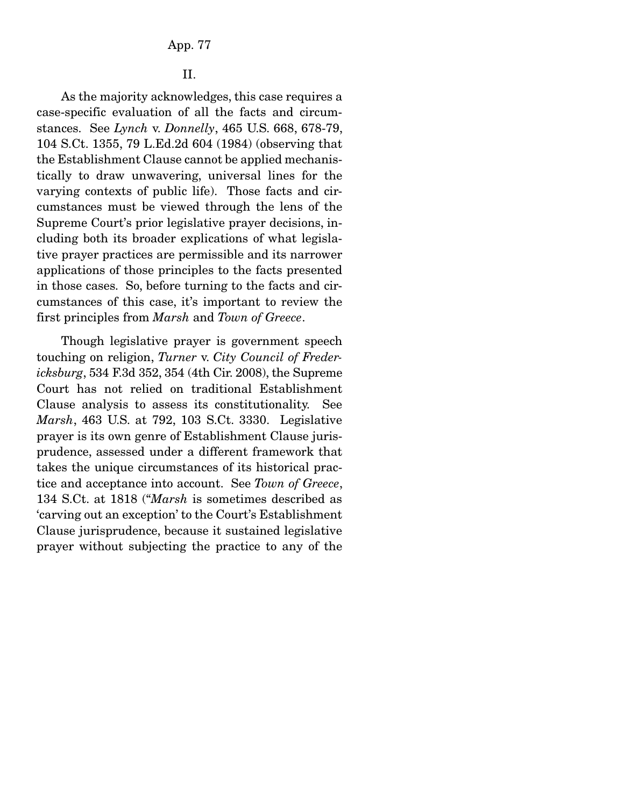#### App. 77

# II.

 As the majority acknowledges, this case requires a case-specific evaluation of all the facts and circumstances. See *Lynch* v. *Donnelly*, 465 U.S. 668, 678-79, 104 S.Ct. 1355, 79 L.Ed.2d 604 (1984) (observing that the Establishment Clause cannot be applied mechanistically to draw unwavering, universal lines for the varying contexts of public life). Those facts and circumstances must be viewed through the lens of the Supreme Court's prior legislative prayer decisions, including both its broader explications of what legislative prayer practices are permissible and its narrower applications of those principles to the facts presented in those cases. So, before turning to the facts and circumstances of this case, it's important to review the first principles from *Marsh* and *Town of Greece*.

 Though legislative prayer is government speech touching on religion, *Turner* v. *City Council of Fredericksburg*, 534 F.3d 352, 354 (4th Cir. 2008), the Supreme Court has not relied on traditional Establishment Clause analysis to assess its constitutionality. See *Marsh*, 463 U.S. at 792, 103 S.Ct. 3330. Legislative prayer is its own genre of Establishment Clause jurisprudence, assessed under a different framework that takes the unique circumstances of its historical practice and acceptance into account. See *Town of Greece*, 134 S.Ct. at 1818 ("*Marsh* is sometimes described as 'carving out an exception' to the Court's Establishment Clause jurisprudence, because it sustained legislative prayer without subjecting the practice to any of the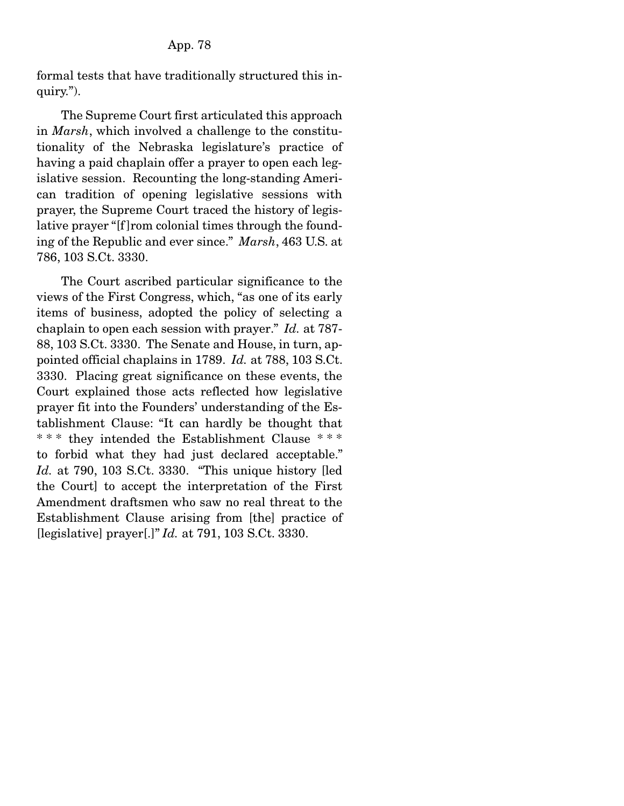formal tests that have traditionally structured this inquiry.").

 The Supreme Court first articulated this approach in *Marsh*, which involved a challenge to the constitutionality of the Nebraska legislature's practice of having a paid chaplain offer a prayer to open each legislative session. Recounting the long-standing American tradition of opening legislative sessions with prayer, the Supreme Court traced the history of legislative prayer "[f ]rom colonial times through the founding of the Republic and ever since." *Marsh*, 463 U.S. at 786, 103 S.Ct. 3330.

 The Court ascribed particular significance to the views of the First Congress, which, "as one of its early items of business, adopted the policy of selecting a chaplain to open each session with prayer." *Id.* at 787- 88, 103 S.Ct. 3330. The Senate and House, in turn, appointed official chaplains in 1789. *Id.* at 788, 103 S.Ct. 3330. Placing great significance on these events, the Court explained those acts reflected how legislative prayer fit into the Founders' understanding of the Establishment Clause: "It can hardly be thought that \*\*\* they intended the Establishment Clause \*\*\* to forbid what they had just declared acceptable." *Id.* at 790, 103 S.Ct. 3330. "This unique history [led the Court] to accept the interpretation of the First Amendment draftsmen who saw no real threat to the Establishment Clause arising from [the] practice of [legislative] prayer[.]" *Id.* at 791, 103 S.Ct. 3330.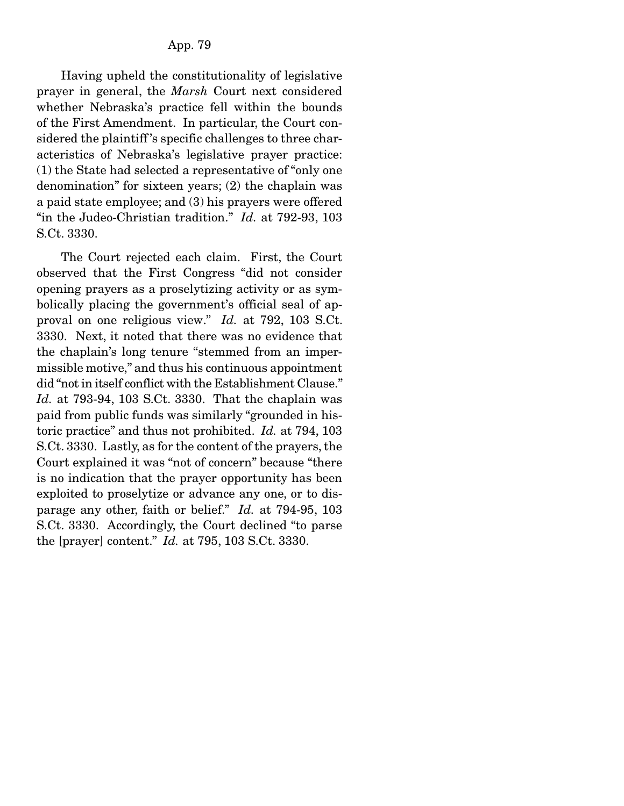Having upheld the constitutionality of legislative prayer in general, the *Marsh* Court next considered whether Nebraska's practice fell within the bounds of the First Amendment. In particular, the Court considered the plaintiff 's specific challenges to three characteristics of Nebraska's legislative prayer practice: (1) the State had selected a representative of "only one denomination" for sixteen years; (2) the chaplain was a paid state employee; and (3) his prayers were offered "in the Judeo-Christian tradition." *Id.* at 792-93, 103 S.Ct. 3330.

 The Court rejected each claim. First, the Court observed that the First Congress "did not consider opening prayers as a proselytizing activity or as symbolically placing the government's official seal of approval on one religious view." *Id.* at 792, 103 S.Ct. 3330. Next, it noted that there was no evidence that the chaplain's long tenure "stemmed from an impermissible motive," and thus his continuous appointment did "not in itself conflict with the Establishment Clause." *Id.* at 793-94, 103 S.Ct. 3330. That the chaplain was paid from public funds was similarly "grounded in historic practice" and thus not prohibited. *Id.* at 794, 103 S.Ct. 3330. Lastly, as for the content of the prayers, the Court explained it was "not of concern" because "there is no indication that the prayer opportunity has been exploited to proselytize or advance any one, or to disparage any other, faith or belief." *Id.* at 794-95, 103 S.Ct. 3330. Accordingly, the Court declined "to parse the [prayer] content." *Id.* at 795, 103 S.Ct. 3330.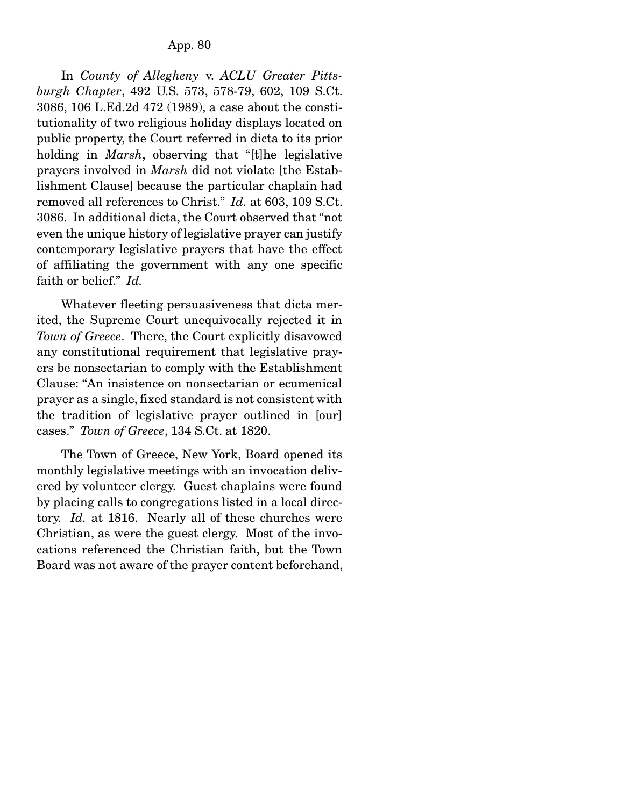In *County of Allegheny* v. *ACLU Greater Pittsburgh Chapter*, 492 U.S. 573, 578-79, 602, 109 S.Ct. 3086, 106 L.Ed.2d 472 (1989), a case about the constitutionality of two religious holiday displays located on public property, the Court referred in dicta to its prior holding in *Marsh*, observing that "[t]he legislative prayers involved in *Marsh* did not violate [the Establishment Clause] because the particular chaplain had removed all references to Christ." *Id.* at 603, 109 S.Ct. 3086. In additional dicta, the Court observed that "not even the unique history of legislative prayer can justify contemporary legislative prayers that have the effect of affiliating the government with any one specific faith or belief." *Id.*

 Whatever fleeting persuasiveness that dicta merited, the Supreme Court unequivocally rejected it in *Town of Greece*. There, the Court explicitly disavowed any constitutional requirement that legislative prayers be nonsectarian to comply with the Establishment Clause: "An insistence on nonsectarian or ecumenical prayer as a single, fixed standard is not consistent with the tradition of legislative prayer outlined in [our] cases." *Town of Greece*, 134 S.Ct. at 1820.

 The Town of Greece, New York, Board opened its monthly legislative meetings with an invocation delivered by volunteer clergy. Guest chaplains were found by placing calls to congregations listed in a local directory. *Id.* at 1816. Nearly all of these churches were Christian, as were the guest clergy. Most of the invocations referenced the Christian faith, but the Town Board was not aware of the prayer content beforehand,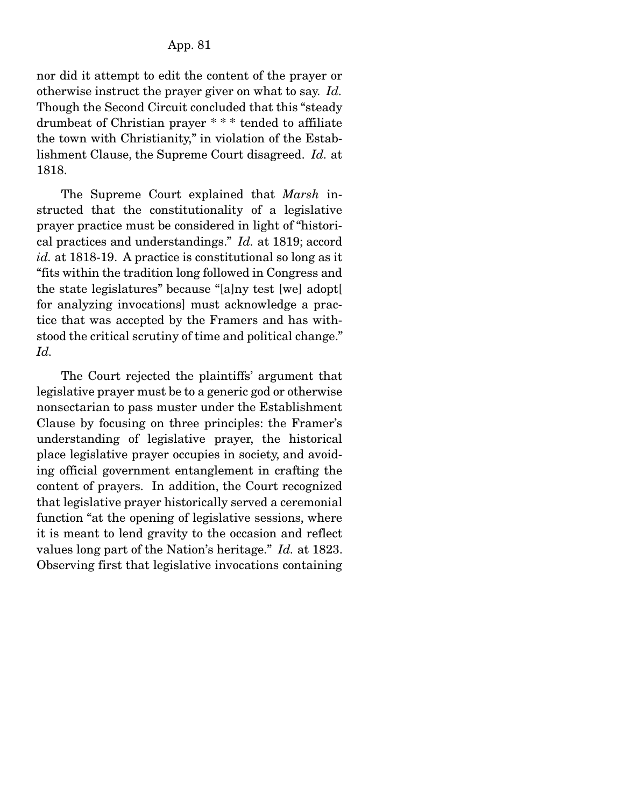nor did it attempt to edit the content of the prayer or otherwise instruct the prayer giver on what to say. *Id.* Though the Second Circuit concluded that this "steady drumbeat of Christian prayer \* \* \* tended to affiliate the town with Christianity," in violation of the Establishment Clause, the Supreme Court disagreed. *Id.* at 1818.

 The Supreme Court explained that *Marsh* instructed that the constitutionality of a legislative prayer practice must be considered in light of "historical practices and understandings." *Id.* at 1819; accord *id.* at 1818-19. A practice is constitutional so long as it "fits within the tradition long followed in Congress and the state legislatures" because "[a]ny test [we] adopt[ for analyzing invocations] must acknowledge a practice that was accepted by the Framers and has withstood the critical scrutiny of time and political change." *Id.*

 The Court rejected the plaintiffs' argument that legislative prayer must be to a generic god or otherwise nonsectarian to pass muster under the Establishment Clause by focusing on three principles: the Framer's understanding of legislative prayer, the historical place legislative prayer occupies in society, and avoiding official government entanglement in crafting the content of prayers. In addition, the Court recognized that legislative prayer historically served a ceremonial function "at the opening of legislative sessions, where it is meant to lend gravity to the occasion and reflect values long part of the Nation's heritage." *Id.* at 1823. Observing first that legislative invocations containing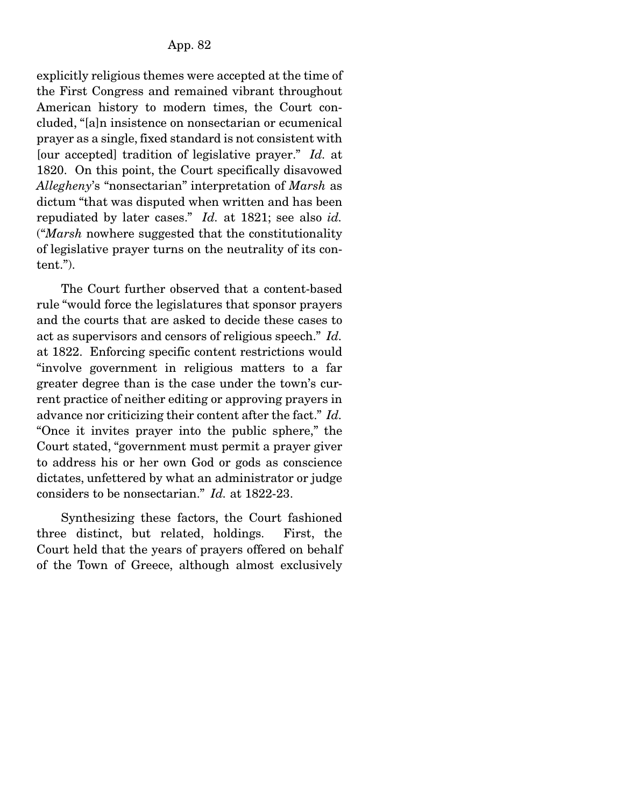explicitly religious themes were accepted at the time of the First Congress and remained vibrant throughout American history to modern times, the Court concluded, "[a]n insistence on nonsectarian or ecumenical prayer as a single, fixed standard is not consistent with [our accepted] tradition of legislative prayer." *Id.* at 1820. On this point, the Court specifically disavowed *Allegheny*'s "nonsectarian" interpretation of *Marsh* as dictum "that was disputed when written and has been repudiated by later cases." *Id.* at 1821; see also *id.* ("*Marsh* nowhere suggested that the constitutionality of legislative prayer turns on the neutrality of its content.").

 The Court further observed that a content-based rule "would force the legislatures that sponsor prayers and the courts that are asked to decide these cases to act as supervisors and censors of religious speech." *Id.* at 1822. Enforcing specific content restrictions would "involve government in religious matters to a far greater degree than is the case under the town's current practice of neither editing or approving prayers in advance nor criticizing their content after the fact." *Id.* "Once it invites prayer into the public sphere," the Court stated, "government must permit a prayer giver to address his or her own God or gods as conscience dictates, unfettered by what an administrator or judge considers to be nonsectarian." *Id.* at 1822-23.

 Synthesizing these factors, the Court fashioned three distinct, but related, holdings. First, the Court held that the years of prayers offered on behalf of the Town of Greece, although almost exclusively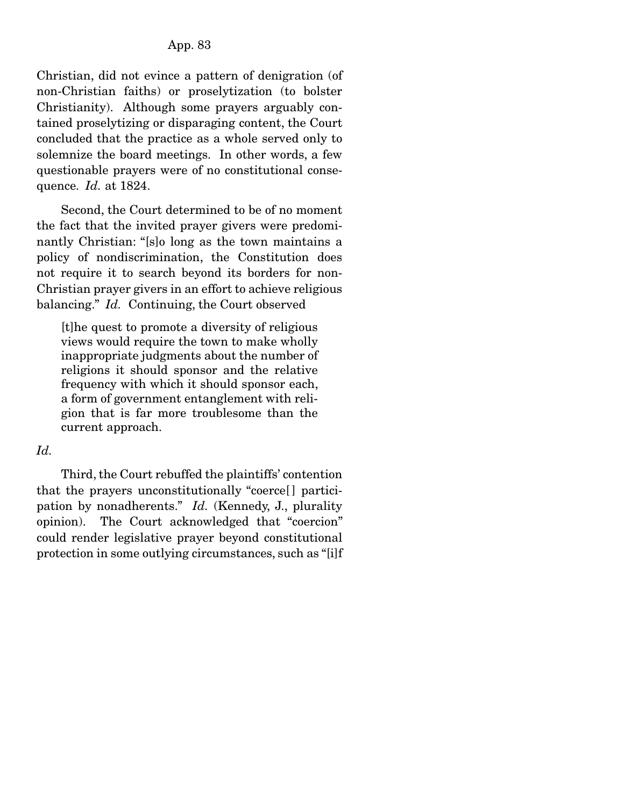Christian, did not evince a pattern of denigration (of non-Christian faiths) or proselytization (to bolster Christianity). Although some prayers arguably contained proselytizing or disparaging content, the Court concluded that the practice as a whole served only to solemnize the board meetings. In other words, a few questionable prayers were of no constitutional consequence. *Id.* at 1824.

 Second, the Court determined to be of no moment the fact that the invited prayer givers were predominantly Christian: "[s]o long as the town maintains a policy of nondiscrimination, the Constitution does not require it to search beyond its borders for non-Christian prayer givers in an effort to achieve religious balancing." *Id.* Continuing, the Court observed

[t]he quest to promote a diversity of religious views would require the town to make wholly inappropriate judgments about the number of religions it should sponsor and the relative frequency with which it should sponsor each, a form of government entanglement with religion that is far more troublesome than the current approach.

# *Id.*

 Third, the Court rebuffed the plaintiffs' contention that the prayers unconstitutionally "coerce[ ] participation by nonadherents." *Id.* (Kennedy, J., plurality opinion). The Court acknowledged that "coercion" could render legislative prayer beyond constitutional protection in some outlying circumstances, such as "[i]f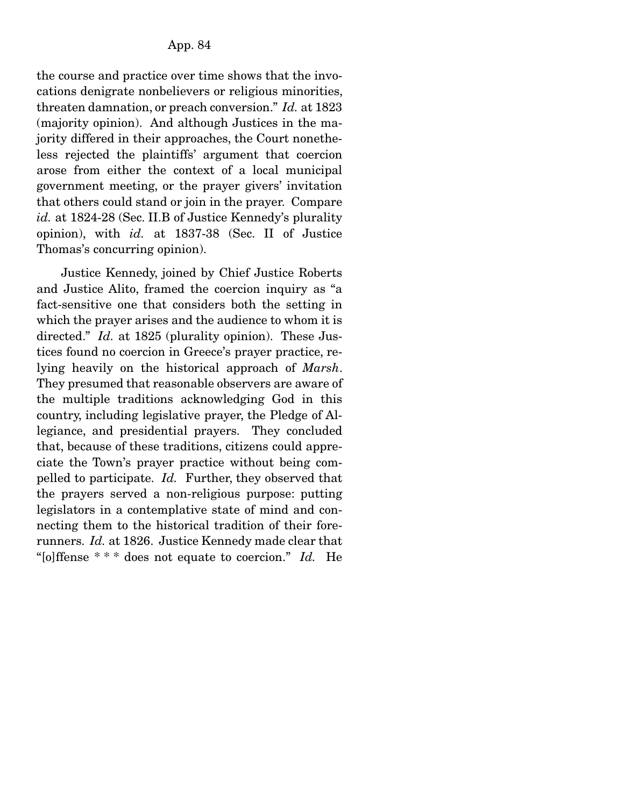the course and practice over time shows that the invocations denigrate nonbelievers or religious minorities, threaten damnation, or preach conversion." *Id.* at 1823 (majority opinion). And although Justices in the majority differed in their approaches, the Court nonetheless rejected the plaintiffs' argument that coercion arose from either the context of a local municipal government meeting, or the prayer givers' invitation that others could stand or join in the prayer. Compare *id.* at 1824-28 (Sec. II.B of Justice Kennedy's plurality opinion), with *id.* at 1837-38 (Sec. II of Justice Thomas's concurring opinion).

 Justice Kennedy, joined by Chief Justice Roberts and Justice Alito, framed the coercion inquiry as "a fact-sensitive one that considers both the setting in which the prayer arises and the audience to whom it is directed." *Id.* at 1825 (plurality opinion). These Justices found no coercion in Greece's prayer practice, relying heavily on the historical approach of *Marsh*. They presumed that reasonable observers are aware of the multiple traditions acknowledging God in this country, including legislative prayer, the Pledge of Allegiance, and presidential prayers. They concluded that, because of these traditions, citizens could appreciate the Town's prayer practice without being compelled to participate. *Id.* Further, they observed that the prayers served a non-religious purpose: putting legislators in a contemplative state of mind and connecting them to the historical tradition of their forerunners. *Id.* at 1826. Justice Kennedy made clear that "[o]ffense \* \* \* does not equate to coercion." *Id.* He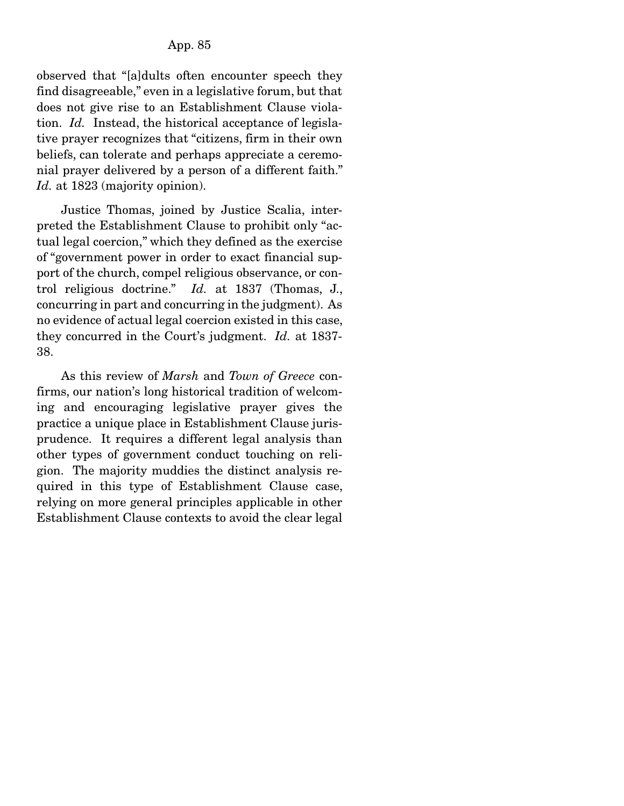observed that "[a]dults often encounter speech they find disagreeable," even in a legislative forum, but that does not give rise to an Establishment Clause violation. *Id.* Instead, the historical acceptance of legislative prayer recognizes that "citizens, firm in their own beliefs, can tolerate and perhaps appreciate a ceremonial prayer delivered by a person of a different faith." *Id.* at 1823 (majority opinion).

 Justice Thomas, joined by Justice Scalia, interpreted the Establishment Clause to prohibit only "actual legal coercion," which they defined as the exercise of "government power in order to exact financial support of the church, compel religious observance, or control religious doctrine." *Id.* at 1837 (Thomas, J., concurring in part and concurring in the judgment). As no evidence of actual legal coercion existed in this case, they concurred in the Court's judgment. *Id.* at 1837- 38.

 As this review of *Marsh* and *Town of Greece* confirms, our nation's long historical tradition of welcoming and encouraging legislative prayer gives the practice a unique place in Establishment Clause jurisprudence. It requires a different legal analysis than other types of government conduct touching on religion. The majority muddies the distinct analysis required in this type of Establishment Clause case, relying on more general principles applicable in other Establishment Clause contexts to avoid the clear legal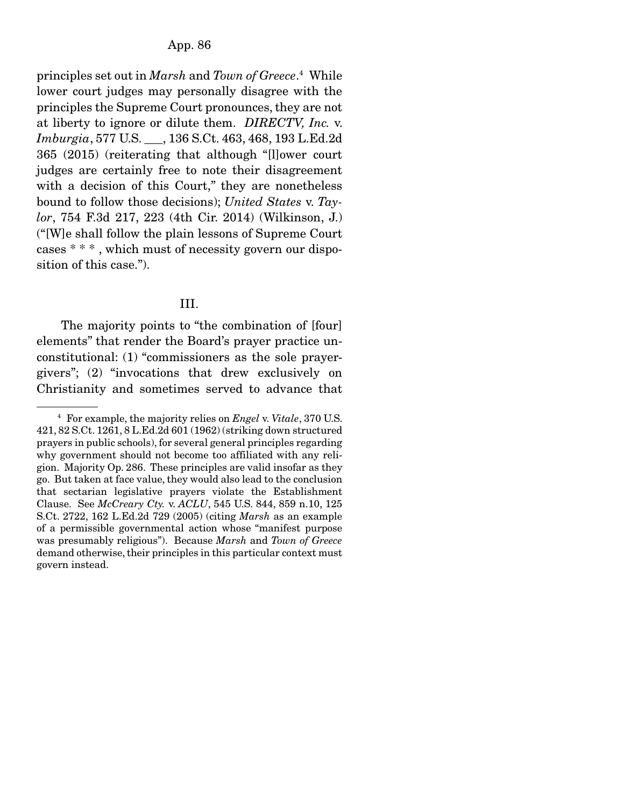principles set out in *Marsh* and *Town of Greece*. 4 While lower court judges may personally disagree with the principles the Supreme Court pronounces, they are not at liberty to ignore or dilute them. *DIRECTV, Inc.* v. *Imburgia*, 577 U.S. \_\_\_, 136 S.Ct. 463, 468, 193 L.Ed.2d 365 (2015) (reiterating that although "[l]ower court judges are certainly free to note their disagreement with a decision of this Court," they are nonetheless bound to follow those decisions); *United States* v. *Taylor*, 754 F.3d 217, 223 (4th Cir. 2014) (Wilkinson, J.) ("[W]e shall follow the plain lessons of Supreme Court cases \* \* \* , which must of necessity govern our disposition of this case.").

# III.

The majority points to "the combination of [four] elements" that render the Board's prayer practice unconstitutional: (1) "commissioners as the sole prayergivers"; (2) "invocations that drew exclusively on Christianity and sometimes served to advance that

<sup>4</sup> For example, the majority relies on *Engel* v. *Vitale*, 370 U.S. 421, 82 S.Ct. 1261, 8 L.Ed.2d 601 (1962) (striking down structured prayers in public schools), for several general principles regarding why government should not become too affiliated with any religion. Majority Op. 286. These principles are valid insofar as they go. But taken at face value, they would also lead to the conclusion that sectarian legislative prayers violate the Establishment Clause. See *McCreary Cty.* v. *ACLU*, 545 U.S. 844, 859 n.10, 125 S.Ct. 2722, 162 L.Ed.2d 729 (2005) (citing *Marsh* as an example of a permissible governmental action whose "manifest purpose was presumably religious"). Because *Marsh* and *Town of Greece* demand otherwise, their principles in this particular context must govern instead.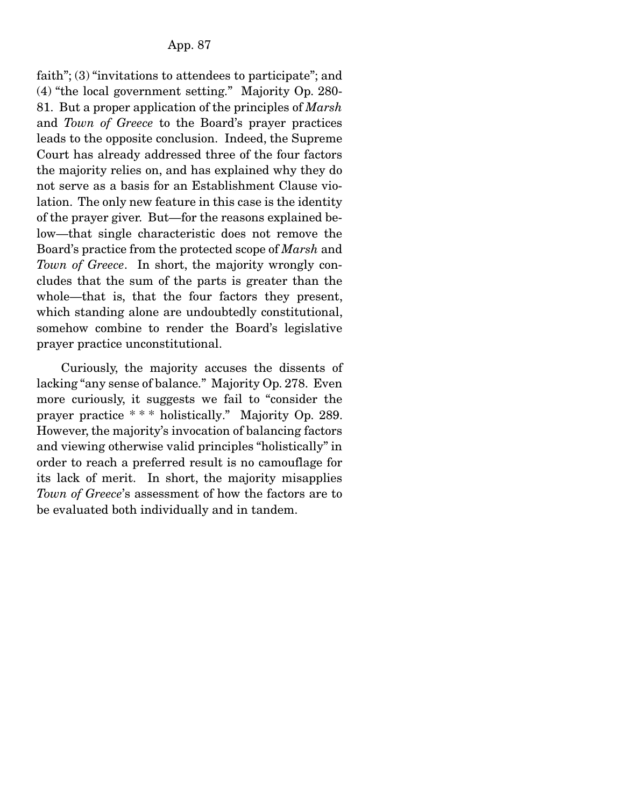faith"; (3) "invitations to attendees to participate"; and (4) "the local government setting." Majority Op. 280- 81. But a proper application of the principles of *Marsh* and *Town of Greece* to the Board's prayer practices leads to the opposite conclusion. Indeed, the Supreme Court has already addressed three of the four factors the majority relies on, and has explained why they do not serve as a basis for an Establishment Clause violation. The only new feature in this case is the identity of the prayer giver. But—for the reasons explained below—that single characteristic does not remove the Board's practice from the protected scope of *Marsh* and *Town of Greece*. In short, the majority wrongly concludes that the sum of the parts is greater than the whole—that is, that the four factors they present, which standing alone are undoubtedly constitutional, somehow combine to render the Board's legislative prayer practice unconstitutional.

 Curiously, the majority accuses the dissents of lacking "any sense of balance." Majority Op. 278. Even more curiously, it suggests we fail to "consider the prayer practice \* \* \* holistically." Majority Op. 289. However, the majority's invocation of balancing factors and viewing otherwise valid principles "holistically" in order to reach a preferred result is no camouflage for its lack of merit. In short, the majority misapplies *Town of Greece*'s assessment of how the factors are to be evaluated both individually and in tandem.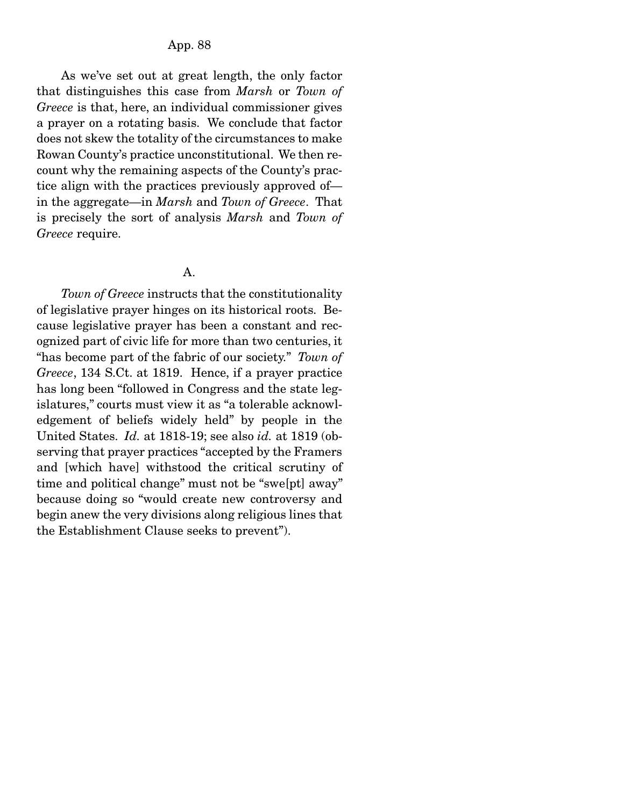As we've set out at great length, the only factor that distinguishes this case from *Marsh* or *Town of Greece* is that, here, an individual commissioner gives a prayer on a rotating basis. We conclude that factor does not skew the totality of the circumstances to make Rowan County's practice unconstitutional. We then recount why the remaining aspects of the County's practice align with the practices previously approved of in the aggregate—in *Marsh* and *Town of Greece*. That is precisely the sort of analysis *Marsh* and *Town of Greece* require.

A.

*Town of Greece* instructs that the constitutionality of legislative prayer hinges on its historical roots. Because legislative prayer has been a constant and recognized part of civic life for more than two centuries, it "has become part of the fabric of our society." *Town of Greece*, 134 S.Ct. at 1819. Hence, if a prayer practice has long been "followed in Congress and the state legislatures," courts must view it as "a tolerable acknowledgement of beliefs widely held" by people in the United States. *Id.* at 1818-19; see also *id.* at 1819 (observing that prayer practices "accepted by the Framers and [which have] withstood the critical scrutiny of time and political change" must not be "swe[pt] away" because doing so "would create new controversy and begin anew the very divisions along religious lines that the Establishment Clause seeks to prevent").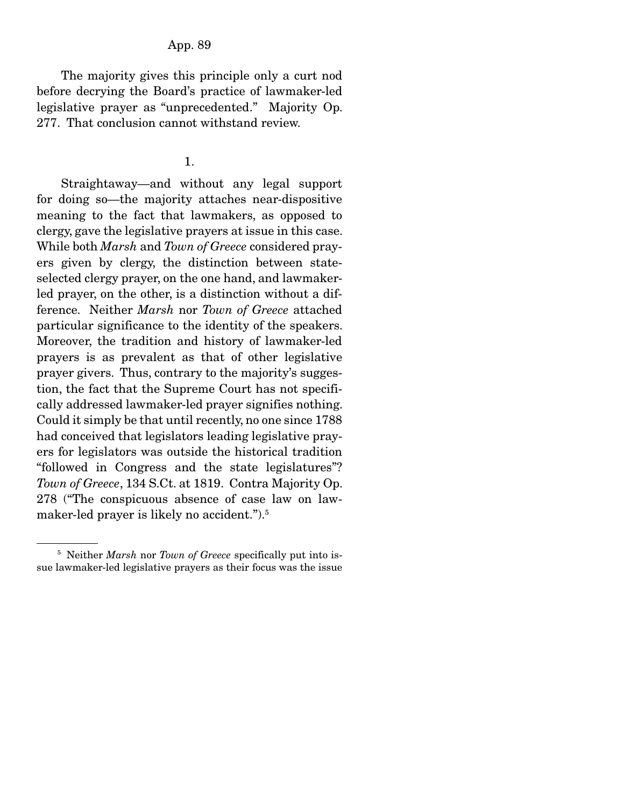### App. 89

 The majority gives this principle only a curt nod before decrying the Board's practice of lawmaker-led legislative prayer as "unprecedented." Majority Op. 277. That conclusion cannot withstand review.

#### 1.

 Straightaway—and without any legal support for doing so—the majority attaches near-dispositive meaning to the fact that lawmakers, as opposed to clergy, gave the legislative prayers at issue in this case. While both *Marsh* and *Town of Greece* considered prayers given by clergy, the distinction between stateselected clergy prayer, on the one hand, and lawmakerled prayer, on the other, is a distinction without a difference. Neither *Marsh* nor *Town of Greece* attached particular significance to the identity of the speakers. Moreover, the tradition and history of lawmaker-led prayers is as prevalent as that of other legislative prayer givers. Thus, contrary to the majority's suggestion, the fact that the Supreme Court has not specifically addressed lawmaker-led prayer signifies nothing. Could it simply be that until recently, no one since 1788 had conceived that legislators leading legislative prayers for legislators was outside the historical tradition "followed in Congress and the state legislatures"? *Town of Greece*, 134 S.Ct. at 1819. Contra Majority Op. 278 ("The conspicuous absence of case law on lawmaker-led prayer is likely no accident.").<sup>5</sup>

<sup>5</sup> Neither *Marsh* nor *Town of Greece* specifically put into issue lawmaker-led legislative prayers as their focus was the issue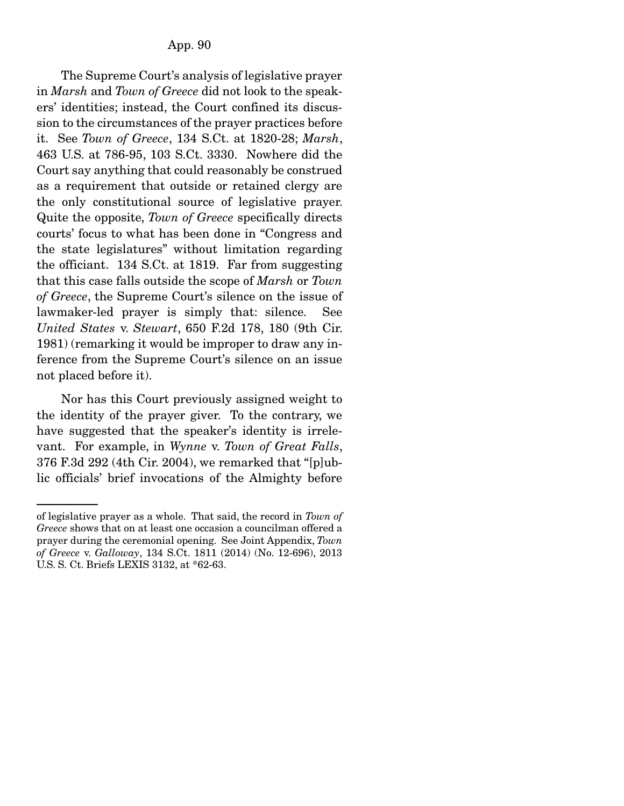The Supreme Court's analysis of legislative prayer in *Marsh* and *Town of Greece* did not look to the speakers' identities; instead, the Court confined its discussion to the circumstances of the prayer practices before it. See *Town of Greece*, 134 S.Ct. at 1820-28; *Marsh*, 463 U.S. at 786-95, 103 S.Ct. 3330. Nowhere did the Court say anything that could reasonably be construed as a requirement that outside or retained clergy are the only constitutional source of legislative prayer. Quite the opposite, *Town of Greece* specifically directs courts' focus to what has been done in "Congress and the state legislatures" without limitation regarding the officiant. 134 S.Ct. at 1819. Far from suggesting that this case falls outside the scope of *Marsh* or *Town of Greece*, the Supreme Court's silence on the issue of lawmaker-led prayer is simply that: silence. See *United States* v. *Stewart*, 650 F.2d 178, 180 (9th Cir. 1981) (remarking it would be improper to draw any inference from the Supreme Court's silence on an issue not placed before it).

 Nor has this Court previously assigned weight to the identity of the prayer giver. To the contrary, we have suggested that the speaker's identity is irrelevant. For example, in *Wynne* v. *Town of Great Falls*, 376 F.3d 292 (4th Cir. 2004), we remarked that "[p]ublic officials' brief invocations of the Almighty before

of legislative prayer as a whole. That said, the record in *Town of Greece* shows that on at least one occasion a councilman offered a prayer during the ceremonial opening. See Joint Appendix, *Town of Greece* v. *Galloway*, 134 S.Ct. 1811 (2014) (No. 12-696), 2013 U.S. S. Ct. Briefs LEXIS 3132, at \*62-63.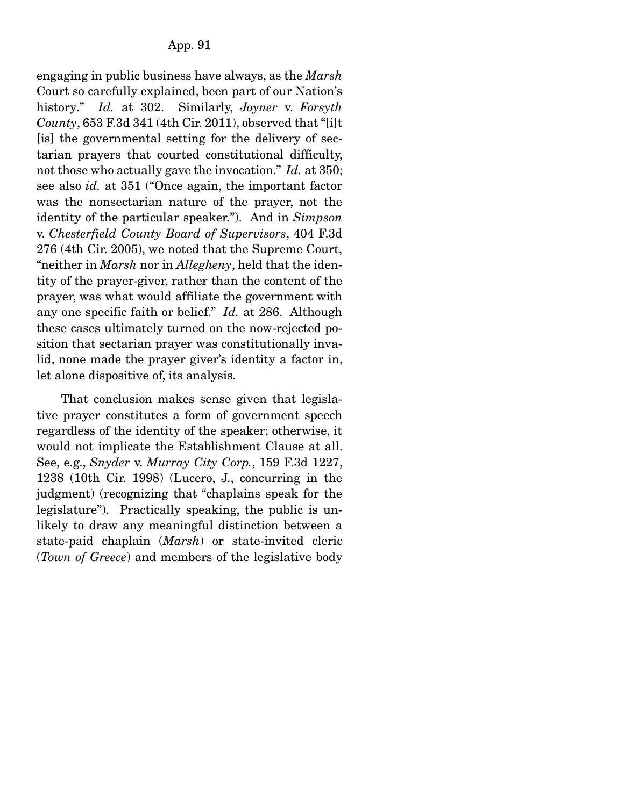engaging in public business have always, as the *Marsh* Court so carefully explained, been part of our Nation's history." *Id.* at 302. Similarly, *Joyner* v. *Forsyth County*, 653 F.3d 341 (4th Cir. 2011), observed that "[i]t [is] the governmental setting for the delivery of sectarian prayers that courted constitutional difficulty, not those who actually gave the invocation." *Id.* at 350; see also *id.* at 351 ("Once again, the important factor was the nonsectarian nature of the prayer, not the identity of the particular speaker."). And in *Simpson* v. *Chesterfield County Board of Supervisors*, 404 F.3d 276 (4th Cir. 2005), we noted that the Supreme Court, "neither in *Marsh* nor in *Allegheny*, held that the identity of the prayer-giver, rather than the content of the prayer, was what would affiliate the government with any one specific faith or belief." *Id.* at 286. Although these cases ultimately turned on the now-rejected position that sectarian prayer was constitutionally invalid, none made the prayer giver's identity a factor in, let alone dispositive of, its analysis.

 That conclusion makes sense given that legislative prayer constitutes a form of government speech regardless of the identity of the speaker; otherwise, it would not implicate the Establishment Clause at all. See, e.g., *Snyder* v. *Murray City Corp.*, 159 F.3d 1227, 1238 (10th Cir. 1998) (Lucero, J., concurring in the judgment) (recognizing that "chaplains speak for the legislature"). Practically speaking, the public is unlikely to draw any meaningful distinction between a state-paid chaplain (*Marsh*) or state-invited cleric (*Town of Greece*) and members of the legislative body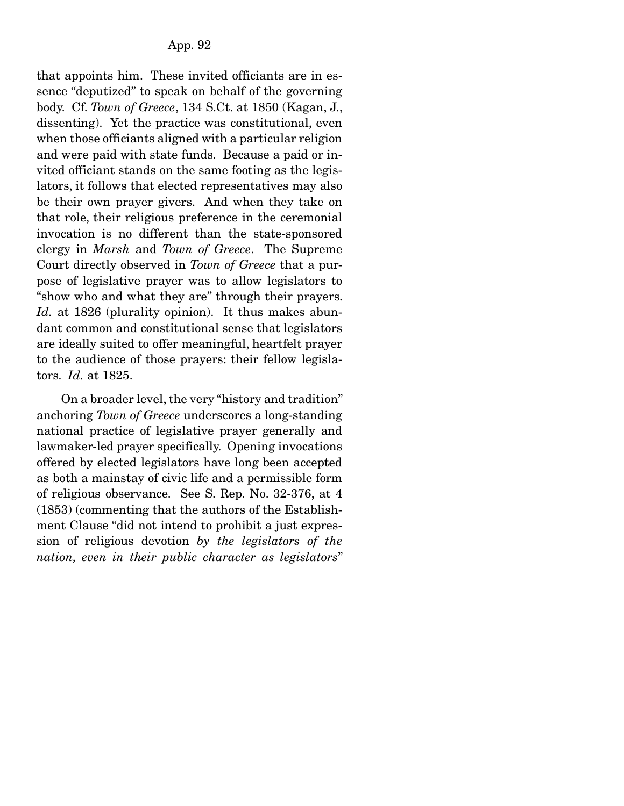that appoints him. These invited officiants are in essence "deputized" to speak on behalf of the governing body. Cf. *Town of Greece*, 134 S.Ct. at 1850 (Kagan, J., dissenting). Yet the practice was constitutional, even when those officiants aligned with a particular religion and were paid with state funds. Because a paid or invited officiant stands on the same footing as the legislators, it follows that elected representatives may also be their own prayer givers. And when they take on that role, their religious preference in the ceremonial invocation is no different than the state-sponsored clergy in *Marsh* and *Town of Greece*. The Supreme Court directly observed in *Town of Greece* that a purpose of legislative prayer was to allow legislators to "show who and what they are" through their prayers. *Id.* at 1826 (plurality opinion). It thus makes abundant common and constitutional sense that legislators are ideally suited to offer meaningful, heartfelt prayer to the audience of those prayers: their fellow legislators. *Id.* at 1825.

 On a broader level, the very "history and tradition" anchoring *Town of Greece* underscores a long-standing national practice of legislative prayer generally and lawmaker-led prayer specifically. Opening invocations offered by elected legislators have long been accepted as both a mainstay of civic life and a permissible form of religious observance. See S. Rep. No. 32-376, at 4 (1853) (commenting that the authors of the Establishment Clause "did not intend to prohibit a just expression of religious devotion *by the legislators of the nation, even in their public character as legislators*"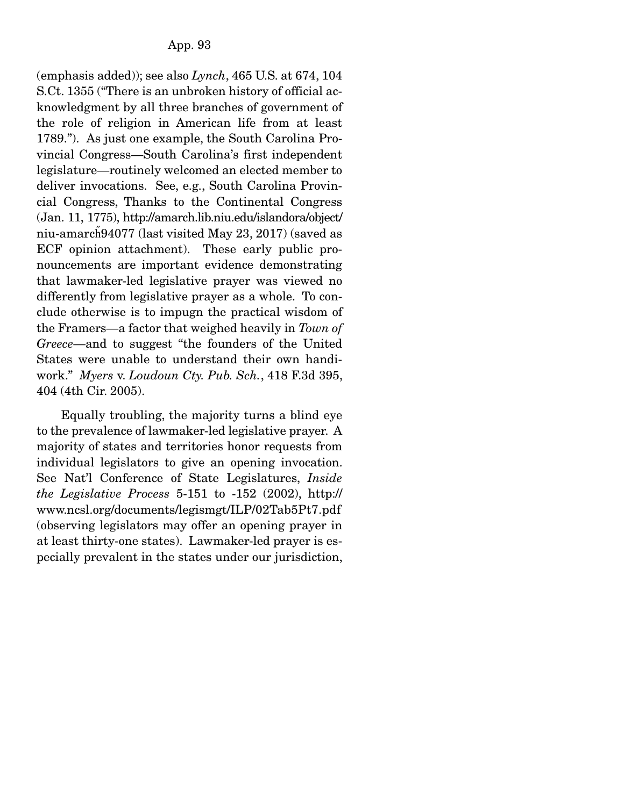(emphasis added)); see also *Lynch*, 465 U.S. at 674, 104 S.Ct. 1355 ("There is an unbroken history of official acknowledgment by all three branches of government of the role of religion in American life from at least 1789."). As just one example, the South Carolina Provincial Congress—South Carolina's first independent legislature—routinely welcomed an elected member to deliver invocations. See, e.g., South Carolina Provincial Congress, Thanks to the Continental Congress (Jan. 11, 1775), http://amarch.lib.niu.edu/islandora/object/ niu-amarch̋ 94077 (last visited May 23, 2017) (saved as ECF opinion attachment). These early public pronouncements are important evidence demonstrating that lawmaker-led legislative prayer was viewed no differently from legislative prayer as a whole. To conclude otherwise is to impugn the practical wisdom of the Framers—a factor that weighed heavily in *Town of Greece*—and to suggest "the founders of the United States were unable to understand their own handiwork." *Myers* v. *Loudoun Cty. Pub. Sch.*, 418 F.3d 395, 404 (4th Cir. 2005).

 Equally troubling, the majority turns a blind eye to the prevalence of lawmaker-led legislative prayer. A majority of states and territories honor requests from individual legislators to give an opening invocation. See Nat'l Conference of State Legislatures, *Inside the Legislative Process* 5-151 to -152 (2002), http:// www.ncsl.org/documents/legismgt/ILP/02Tab5Pt7.pdf (observing legislators may offer an opening prayer in at least thirty-one states). Lawmaker-led prayer is especially prevalent in the states under our jurisdiction,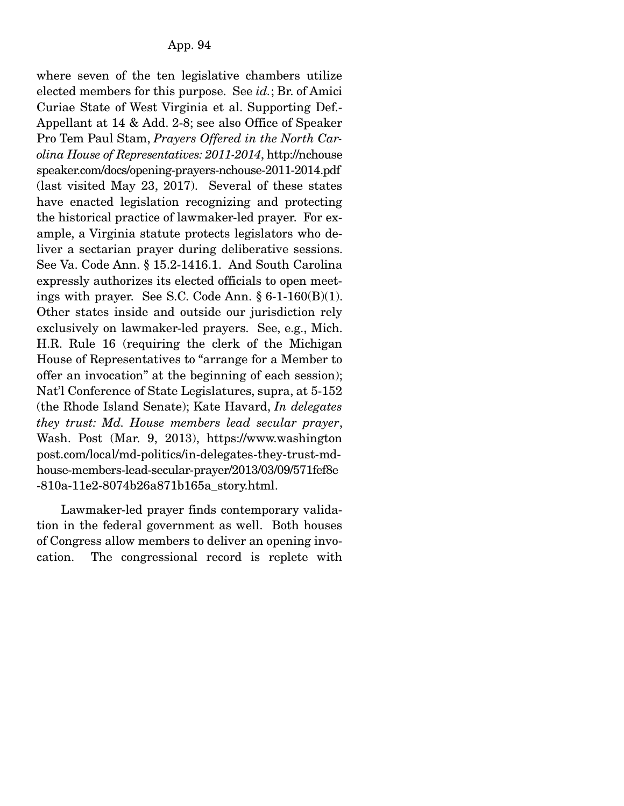where seven of the ten legislative chambers utilize elected members for this purpose. See *id.*; Br. of Amici Curiae State of West Virginia et al. Supporting Def.- Appellant at 14 & Add. 2-8; see also Office of Speaker Pro Tem Paul Stam, *Prayers Offered in the North Carolina House of Representatives: 2011-2014*, http://nchouse speaker.com/docs/opening-prayers-nchouse-2011-2014.pdf (last visited May 23, 2017). Several of these states have enacted legislation recognizing and protecting the historical practice of lawmaker-led prayer. For example, a Virginia statute protects legislators who deliver a sectarian prayer during deliberative sessions. See Va. Code Ann. § 15.2-1416.1. And South Carolina expressly authorizes its elected officials to open meetings with prayer. See S.C. Code Ann. § 6-1-160(B)(1). Other states inside and outside our jurisdiction rely exclusively on lawmaker-led prayers. See, e.g., Mich. H.R. Rule 16 (requiring the clerk of the Michigan House of Representatives to "arrange for a Member to offer an invocation" at the beginning of each session); Nat'l Conference of State Legislatures, supra, at 5-152 (the Rhode Island Senate); Kate Havard, *In delegates they trust: Md. House members lead secular prayer*, Wash. Post (Mar. 9, 2013), https://www.washington post.com/local/md-politics/in-delegates-they-trust-mdhouse-members-lead-secular-prayer/2013/03/09/571fef8e -810a-11e2-8074b26a871b165a\_story.html.

 Lawmaker-led prayer finds contemporary validation in the federal government as well. Both houses of Congress allow members to deliver an opening invocation. The congressional record is replete with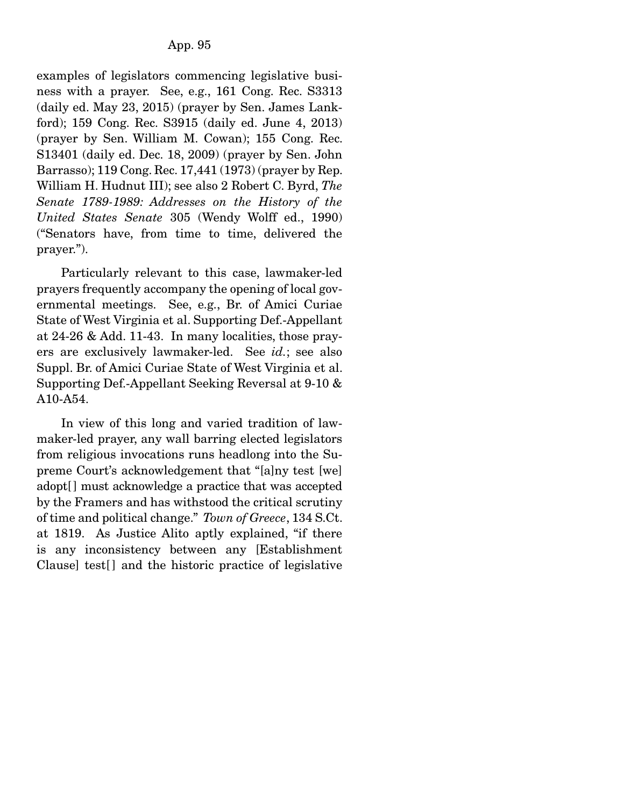examples of legislators commencing legislative business with a prayer. See, e.g., 161 Cong. Rec. S3313 (daily ed. May 23, 2015) (prayer by Sen. James Lankford); 159 Cong. Rec. S3915 (daily ed. June 4, 2013) (prayer by Sen. William M. Cowan); 155 Cong. Rec. S13401 (daily ed. Dec. 18, 2009) (prayer by Sen. John Barrasso); 119 Cong. Rec. 17,441 (1973) (prayer by Rep. William H. Hudnut III); see also 2 Robert C. Byrd, *The Senate 1789-1989: Addresses on the History of the United States Senate* 305 (Wendy Wolff ed., 1990) ("Senators have, from time to time, delivered the prayer.").

 Particularly relevant to this case, lawmaker-led prayers frequently accompany the opening of local governmental meetings. See, e.g., Br. of Amici Curiae State of West Virginia et al. Supporting Def.-Appellant at 24-26 & Add. 11-43. In many localities, those prayers are exclusively lawmaker-led. See *id.*; see also Suppl. Br. of Amici Curiae State of West Virginia et al. Supporting Def.-Appellant Seeking Reversal at 9-10 & A10-A54.

 In view of this long and varied tradition of lawmaker-led prayer, any wall barring elected legislators from religious invocations runs headlong into the Supreme Court's acknowledgement that "[a]ny test [we] adopt[] must acknowledge a practice that was accepted by the Framers and has withstood the critical scrutiny of time and political change." *Town of Greece*, 134 S.Ct. at 1819. As Justice Alito aptly explained, "if there is any inconsistency between any [Establishment Clause] test[ ] and the historic practice of legislative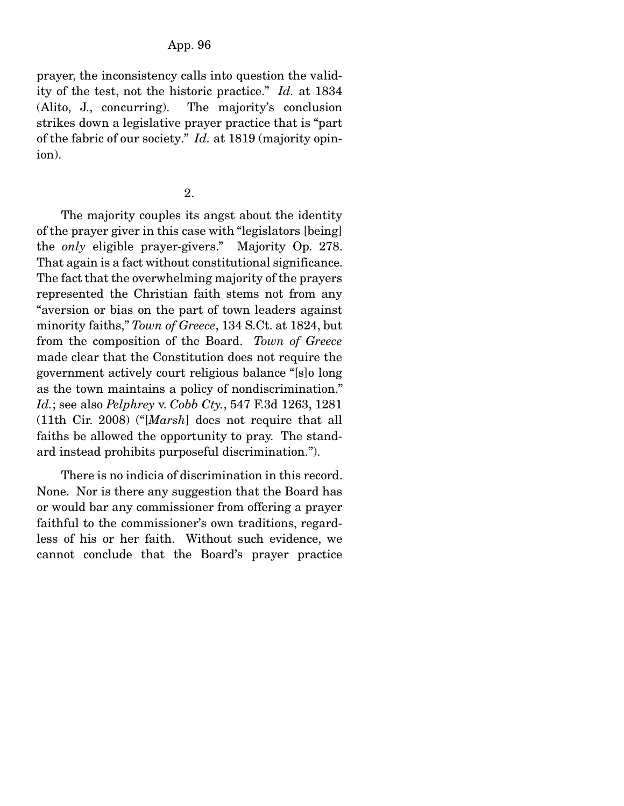prayer, the inconsistency calls into question the validity of the test, not the historic practice." *Id.* at 1834 (Alito, J., concurring). The majority's conclusion strikes down a legislative prayer practice that is "part of the fabric of our society." *Id.* at 1819 (majority opinion).

2.

 The majority couples its angst about the identity of the prayer giver in this case with "legislators [being] the *only* eligible prayer-givers." Majority Op. 278. That again is a fact without constitutional significance. The fact that the overwhelming majority of the prayers represented the Christian faith stems not from any "aversion or bias on the part of town leaders against minority faiths," *Town of Greece*, 134 S.Ct. at 1824, but from the composition of the Board. *Town of Greece* made clear that the Constitution does not require the government actively court religious balance "[s]o long as the town maintains a policy of nondiscrimination." *Id.*; see also *Pelphrey* v. *Cobb Cty.*, 547 F.3d 1263, 1281 (11th Cir. 2008) ("[*Marsh*] does not require that all faiths be allowed the opportunity to pray. The standard instead prohibits purposeful discrimination.").

 There is no indicia of discrimination in this record. None. Nor is there any suggestion that the Board has or would bar any commissioner from offering a prayer faithful to the commissioner's own traditions, regardless of his or her faith. Without such evidence, we cannot conclude that the Board's prayer practice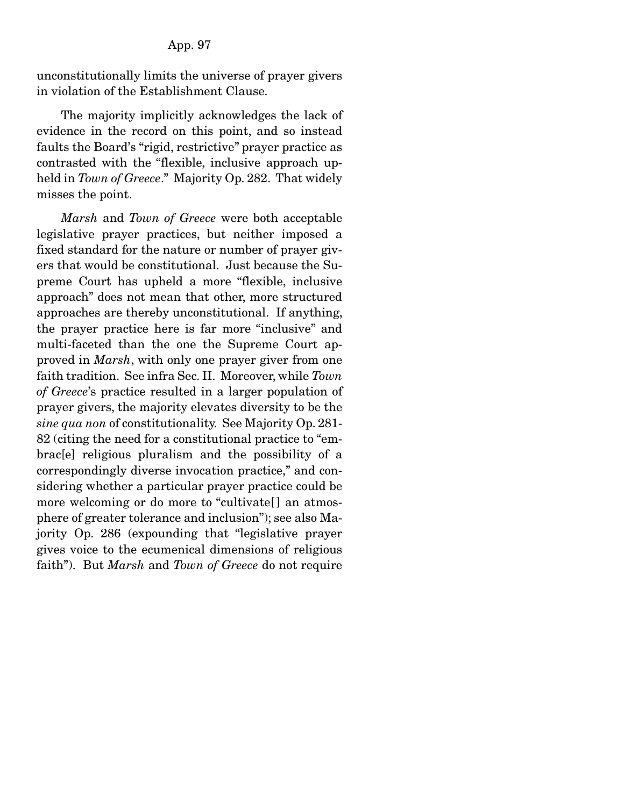### App. 97

unconstitutionally limits the universe of prayer givers in violation of the Establishment Clause.

 The majority implicitly acknowledges the lack of evidence in the record on this point, and so instead faults the Board's "rigid, restrictive" prayer practice as contrasted with the "flexible, inclusive approach upheld in *Town of Greece*." Majority Op. 282. That widely misses the point.

*Marsh* and *Town of Greece* were both acceptable legislative prayer practices, but neither imposed a fixed standard for the nature or number of prayer givers that would be constitutional. Just because the Supreme Court has upheld a more "flexible, inclusive approach" does not mean that other, more structured approaches are thereby unconstitutional. If anything, the prayer practice here is far more "inclusive" and multi-faceted than the one the Supreme Court approved in *Marsh*, with only one prayer giver from one faith tradition. See infra Sec. II. Moreover, while *Town of Greece*'s practice resulted in a larger population of prayer givers, the majority elevates diversity to be the *sine qua non* of constitutionality. See Majority Op. 281- 82 (citing the need for a constitutional practice to "embrac[e] religious pluralism and the possibility of a correspondingly diverse invocation practice," and considering whether a particular prayer practice could be more welcoming or do more to "cultivate<sup>[]</sup> an atmosphere of greater tolerance and inclusion"); see also Majority Op. 286 (expounding that "legislative prayer gives voice to the ecumenical dimensions of religious faith"). But *Marsh* and *Town of Greece* do not require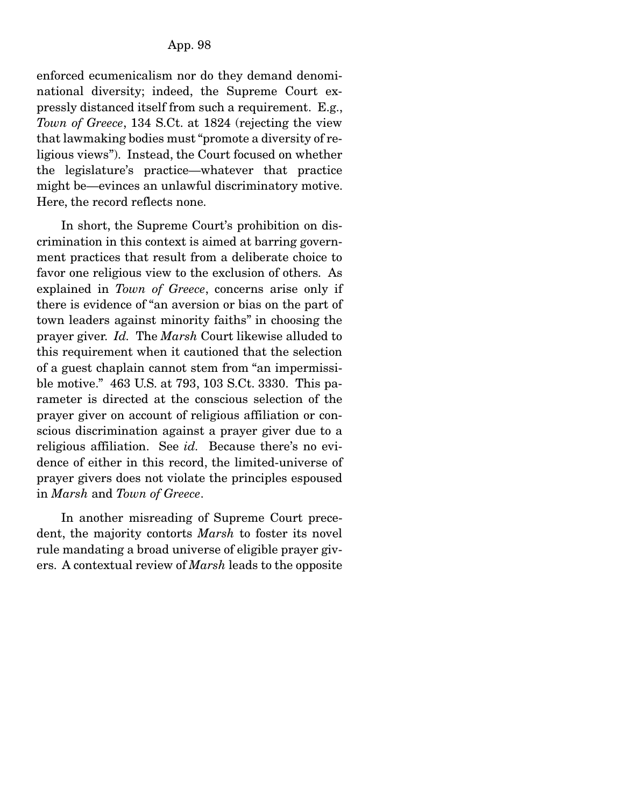enforced ecumenicalism nor do they demand denominational diversity; indeed, the Supreme Court expressly distanced itself from such a requirement. E.g., *Town of Greece*, 134 S.Ct. at 1824 (rejecting the view that lawmaking bodies must "promote a diversity of religious views"). Instead, the Court focused on whether the legislature's practice—whatever that practice might be—evinces an unlawful discriminatory motive. Here, the record reflects none.

 In short, the Supreme Court's prohibition on discrimination in this context is aimed at barring government practices that result from a deliberate choice to favor one religious view to the exclusion of others. As explained in *Town of Greece*, concerns arise only if there is evidence of "an aversion or bias on the part of town leaders against minority faiths" in choosing the prayer giver. *Id.* The *Marsh* Court likewise alluded to this requirement when it cautioned that the selection of a guest chaplain cannot stem from "an impermissible motive." 463 U.S. at 793, 103 S.Ct. 3330. This parameter is directed at the conscious selection of the prayer giver on account of religious affiliation or conscious discrimination against a prayer giver due to a religious affiliation. See *id.* Because there's no evidence of either in this record, the limited-universe of prayer givers does not violate the principles espoused in *Marsh* and *Town of Greece*.

 In another misreading of Supreme Court precedent, the majority contorts *Marsh* to foster its novel rule mandating a broad universe of eligible prayer givers. A contextual review of *Marsh* leads to the opposite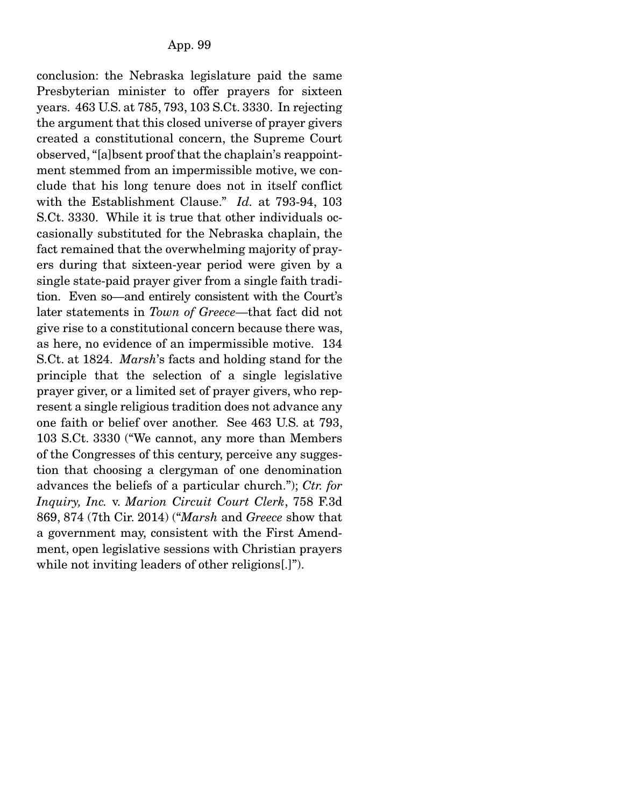conclusion: the Nebraska legislature paid the same Presbyterian minister to offer prayers for sixteen years. 463 U.S. at 785, 793, 103 S.Ct. 3330. In rejecting the argument that this closed universe of prayer givers created a constitutional concern, the Supreme Court observed, "[a]bsent proof that the chaplain's reappointment stemmed from an impermissible motive, we conclude that his long tenure does not in itself conflict with the Establishment Clause." *Id.* at 793-94, 103 S.Ct. 3330. While it is true that other individuals occasionally substituted for the Nebraska chaplain, the fact remained that the overwhelming majority of prayers during that sixteen-year period were given by a single state-paid prayer giver from a single faith tradition. Even so—and entirely consistent with the Court's later statements in *Town of Greece*—that fact did not give rise to a constitutional concern because there was, as here, no evidence of an impermissible motive. 134 S.Ct. at 1824. *Marsh*'s facts and holding stand for the principle that the selection of a single legislative prayer giver, or a limited set of prayer givers, who represent a single religious tradition does not advance any one faith or belief over another. See 463 U.S. at 793, 103 S.Ct. 3330 ("We cannot, any more than Members of the Congresses of this century, perceive any suggestion that choosing a clergyman of one denomination advances the beliefs of a particular church."); *Ctr. for Inquiry, Inc.* v. *Marion Circuit Court Clerk*, 758 F.3d 869, 874 (7th Cir. 2014) ("*Marsh* and *Greece* show that a government may, consistent with the First Amendment, open legislative sessions with Christian prayers while not inviting leaders of other religions[.]").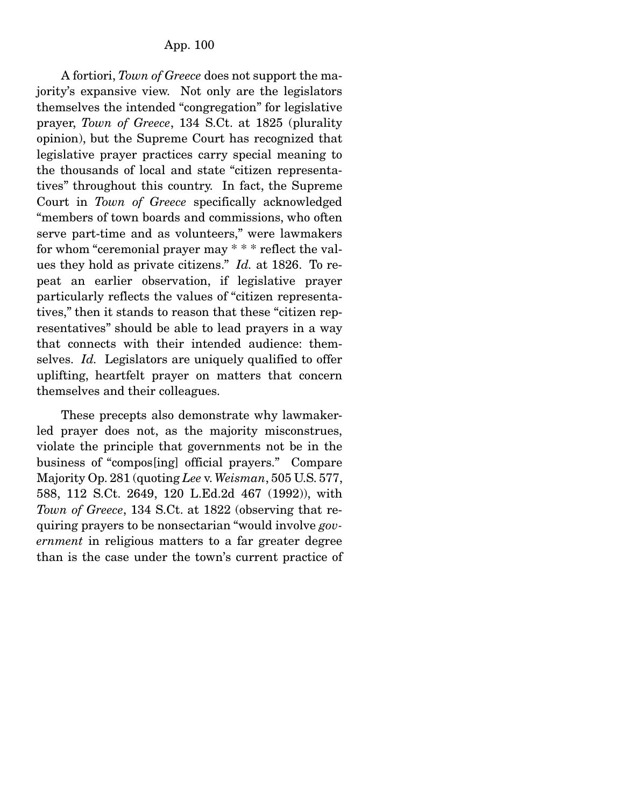A fortiori, *Town of Greece* does not support the majority's expansive view. Not only are the legislators themselves the intended "congregation" for legislative prayer, *Town of Greece*, 134 S.Ct. at 1825 (plurality opinion), but the Supreme Court has recognized that legislative prayer practices carry special meaning to the thousands of local and state "citizen representatives" throughout this country. In fact, the Supreme Court in *Town of Greece* specifically acknowledged "members of town boards and commissions, who often serve part-time and as volunteers," were lawmakers for whom "ceremonial prayer may \* \* \* reflect the values they hold as private citizens." *Id.* at 1826. To repeat an earlier observation, if legislative prayer particularly reflects the values of "citizen representatives," then it stands to reason that these "citizen representatives" should be able to lead prayers in a way that connects with their intended audience: themselves. *Id.* Legislators are uniquely qualified to offer uplifting, heartfelt prayer on matters that concern themselves and their colleagues.

 These precepts also demonstrate why lawmakerled prayer does not, as the majority misconstrues, violate the principle that governments not be in the business of "compos[ing] official prayers." Compare Majority Op. 281 (quoting *Lee* v. *Weisman*, 505 U.S. 577, 588, 112 S.Ct. 2649, 120 L.Ed.2d 467 (1992)), with *Town of Greece*, 134 S.Ct. at 1822 (observing that requiring prayers to be nonsectarian "would involve *government* in religious matters to a far greater degree than is the case under the town's current practice of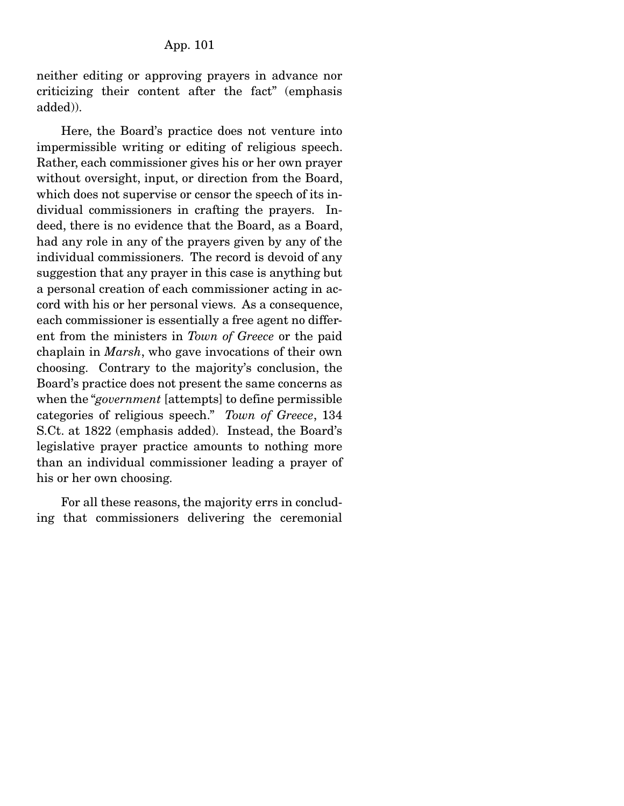neither editing or approving prayers in advance nor criticizing their content after the fact" (emphasis added)).

 Here, the Board's practice does not venture into impermissible writing or editing of religious speech. Rather, each commissioner gives his or her own prayer without oversight, input, or direction from the Board, which does not supervise or censor the speech of its individual commissioners in crafting the prayers. Indeed, there is no evidence that the Board, as a Board, had any role in any of the prayers given by any of the individual commissioners. The record is devoid of any suggestion that any prayer in this case is anything but a personal creation of each commissioner acting in accord with his or her personal views. As a consequence, each commissioner is essentially a free agent no different from the ministers in *Town of Greece* or the paid chaplain in *Marsh*, who gave invocations of their own choosing. Contrary to the majority's conclusion, the Board's practice does not present the same concerns as when the "*government* [attempts] to define permissible categories of religious speech." *Town of Greece*, 134 S.Ct. at 1822 (emphasis added). Instead, the Board's legislative prayer practice amounts to nothing more than an individual commissioner leading a prayer of his or her own choosing.

 For all these reasons, the majority errs in concluding that commissioners delivering the ceremonial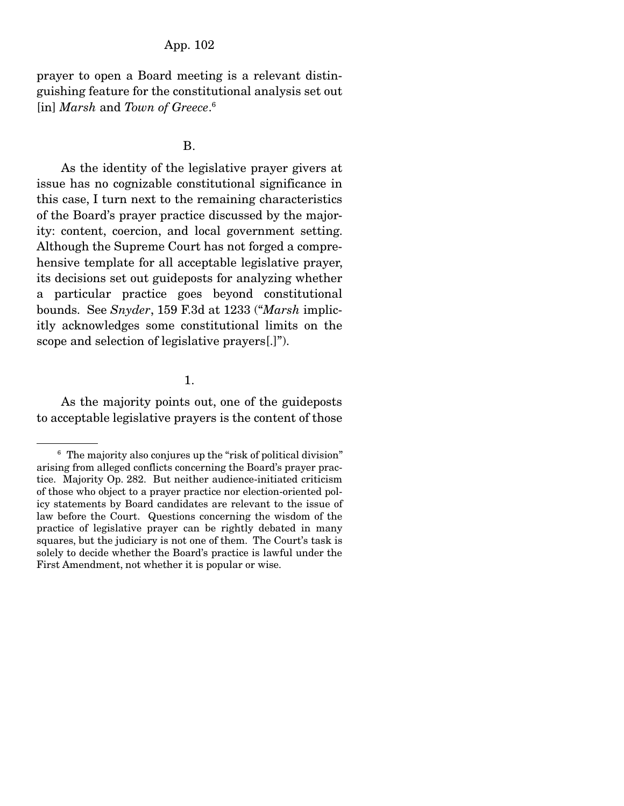prayer to open a Board meeting is a relevant distinguishing feature for the constitutional analysis set out [in] *Marsh* and *Town of Greece*. 6

#### B.

 As the identity of the legislative prayer givers at issue has no cognizable constitutional significance in this case, I turn next to the remaining characteristics of the Board's prayer practice discussed by the majority: content, coercion, and local government setting. Although the Supreme Court has not forged a comprehensive template for all acceptable legislative prayer, its decisions set out guideposts for analyzing whether a particular practice goes beyond constitutional bounds. See *Snyder*, 159 F.3d at 1233 ("*Marsh* implicitly acknowledges some constitutional limits on the scope and selection of legislative prayers[.]").

### 1.

 As the majority points out, one of the guideposts to acceptable legislative prayers is the content of those

<sup>&</sup>lt;sup>6</sup> The majority also conjures up the "risk of political division" arising from alleged conflicts concerning the Board's prayer practice. Majority Op. 282. But neither audience-initiated criticism of those who object to a prayer practice nor election-oriented policy statements by Board candidates are relevant to the issue of law before the Court. Questions concerning the wisdom of the practice of legislative prayer can be rightly debated in many squares, but the judiciary is not one of them. The Court's task is solely to decide whether the Board's practice is lawful under the First Amendment, not whether it is popular or wise.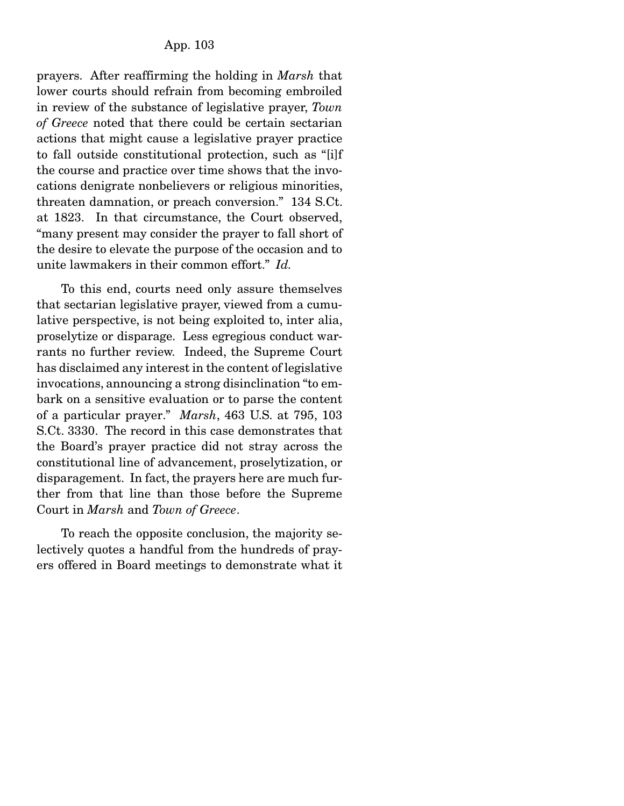prayers. After reaffirming the holding in *Marsh* that lower courts should refrain from becoming embroiled in review of the substance of legislative prayer, *Town of Greece* noted that there could be certain sectarian actions that might cause a legislative prayer practice to fall outside constitutional protection, such as "[i]f the course and practice over time shows that the invocations denigrate nonbelievers or religious minorities, threaten damnation, or preach conversion." 134 S.Ct. at 1823. In that circumstance, the Court observed, "many present may consider the prayer to fall short of the desire to elevate the purpose of the occasion and to unite lawmakers in their common effort." *Id.*

 To this end, courts need only assure themselves that sectarian legislative prayer, viewed from a cumulative perspective, is not being exploited to, inter alia, proselytize or disparage. Less egregious conduct warrants no further review. Indeed, the Supreme Court has disclaimed any interest in the content of legislative invocations, announcing a strong disinclination "to embark on a sensitive evaluation or to parse the content of a particular prayer." *Marsh*, 463 U.S. at 795, 103 S.Ct. 3330. The record in this case demonstrates that the Board's prayer practice did not stray across the constitutional line of advancement, proselytization, or disparagement. In fact, the prayers here are much further from that line than those before the Supreme Court in *Marsh* and *Town of Greece*.

 To reach the opposite conclusion, the majority selectively quotes a handful from the hundreds of prayers offered in Board meetings to demonstrate what it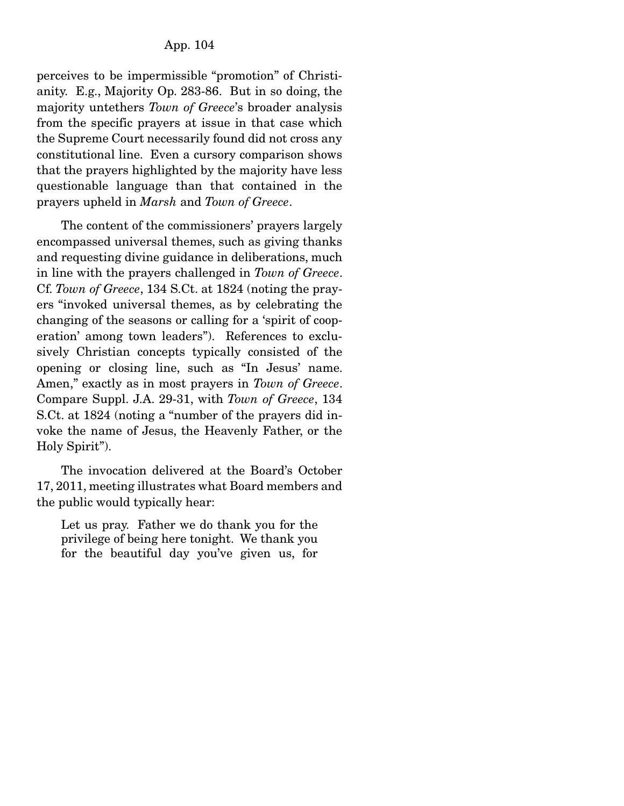perceives to be impermissible "promotion" of Christianity. E.g., Majority Op. 283-86. But in so doing, the majority untethers *Town of Greece*'s broader analysis from the specific prayers at issue in that case which the Supreme Court necessarily found did not cross any constitutional line. Even a cursory comparison shows that the prayers highlighted by the majority have less questionable language than that contained in the prayers upheld in *Marsh* and *Town of Greece*.

 The content of the commissioners' prayers largely encompassed universal themes, such as giving thanks and requesting divine guidance in deliberations, much in line with the prayers challenged in *Town of Greece*. Cf. *Town of Greece*, 134 S.Ct. at 1824 (noting the prayers "invoked universal themes, as by celebrating the changing of the seasons or calling for a 'spirit of cooperation' among town leaders"). References to exclusively Christian concepts typically consisted of the opening or closing line, such as "In Jesus' name. Amen," exactly as in most prayers in *Town of Greece*. Compare Suppl. J.A. 29-31, with *Town of Greece*, 134 S.Ct. at 1824 (noting a "number of the prayers did invoke the name of Jesus, the Heavenly Father, or the Holy Spirit").

 The invocation delivered at the Board's October 17, 2011, meeting illustrates what Board members and the public would typically hear:

Let us pray. Father we do thank you for the privilege of being here tonight. We thank you for the beautiful day you've given us, for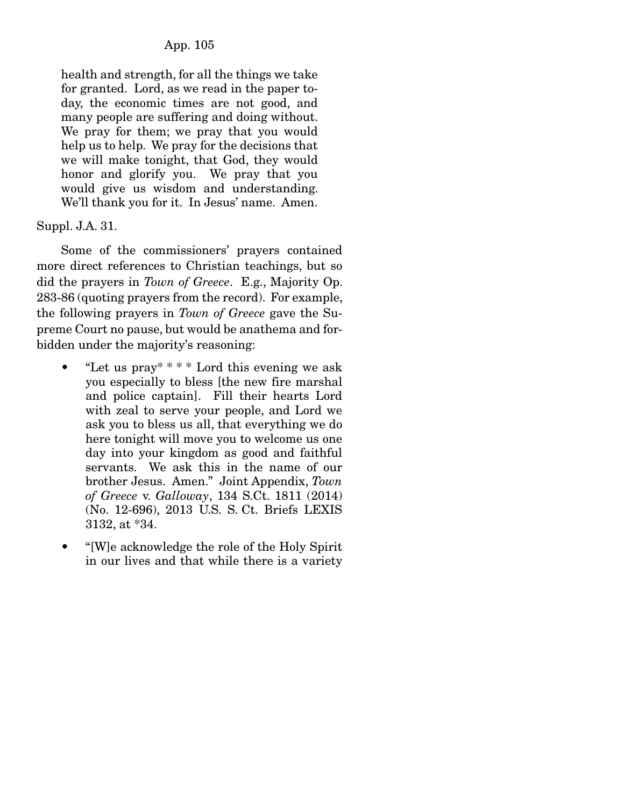health and strength, for all the things we take for granted. Lord, as we read in the paper today, the economic times are not good, and many people are suffering and doing without. We pray for them; we pray that you would help us to help. We pray for the decisions that we will make tonight, that God, they would honor and glorify you. We pray that you would give us wisdom and understanding. We'll thank you for it. In Jesus' name. Amen.

# Suppl. J.A. 31.

 Some of the commissioners' prayers contained more direct references to Christian teachings, but so did the prayers in *Town of Greece*. E.g., Majority Op. 283-86 (quoting prayers from the record). For example, the following prayers in *Town of Greece* gave the Supreme Court no pause, but would be anathema and forbidden under the majority's reasoning:

- "Let us  $\text{pray}^*$  \* \* \* Lord this evening we ask you especially to bless [the new fire marshal and police captain]. Fill their hearts Lord with zeal to serve your people, and Lord we ask you to bless us all, that everything we do here tonight will move you to welcome us one day into your kingdom as good and faithful servants. We ask this in the name of our brother Jesus. Amen." Joint Appendix, *Town of Greece* v. *Galloway*, 134 S.Ct. 1811 (2014) (No. 12-696), 2013 U.S. S. Ct. Briefs LEXIS 3132, at \*34.
- "[W]e acknowledge the role of the Holy Spirit in our lives and that while there is a variety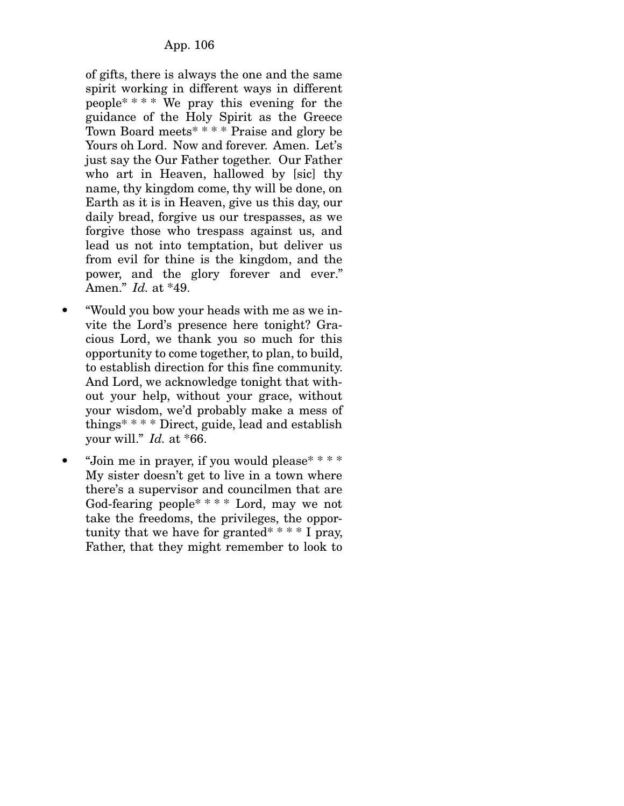of gifts, there is always the one and the same spirit working in different ways in different people\* \* \* \* We pray this evening for the guidance of the Holy Spirit as the Greece Town Board meets\* \* \* \* Praise and glory be Yours oh Lord. Now and forever. Amen. Let's just say the Our Father together. Our Father who art in Heaven, hallowed by [sic] thy name, thy kingdom come, thy will be done, on Earth as it is in Heaven, give us this day, our daily bread, forgive us our trespasses, as we forgive those who trespass against us, and lead us not into temptation, but deliver us from evil for thine is the kingdom, and the power, and the glory forever and ever." Amen." *Id.* at \*49.

- "Would you bow your heads with me as we invite the Lord's presence here tonight? Gracious Lord, we thank you so much for this opportunity to come together, to plan, to build, to establish direction for this fine community. And Lord, we acknowledge tonight that without your help, without your grace, without your wisdom, we'd probably make a mess of things\* \* \* \* Direct, guide, lead and establish your will." *Id.* at \*66.
- "Join me in prayer, if you would please\* \* \* \* My sister doesn't get to live in a town where there's a supervisor and councilmen that are God-fearing people\* \* \* \* Lord, may we not take the freedoms, the privileges, the opportunity that we have for granted\* \* \*  $\pm$  I pray, Father, that they might remember to look to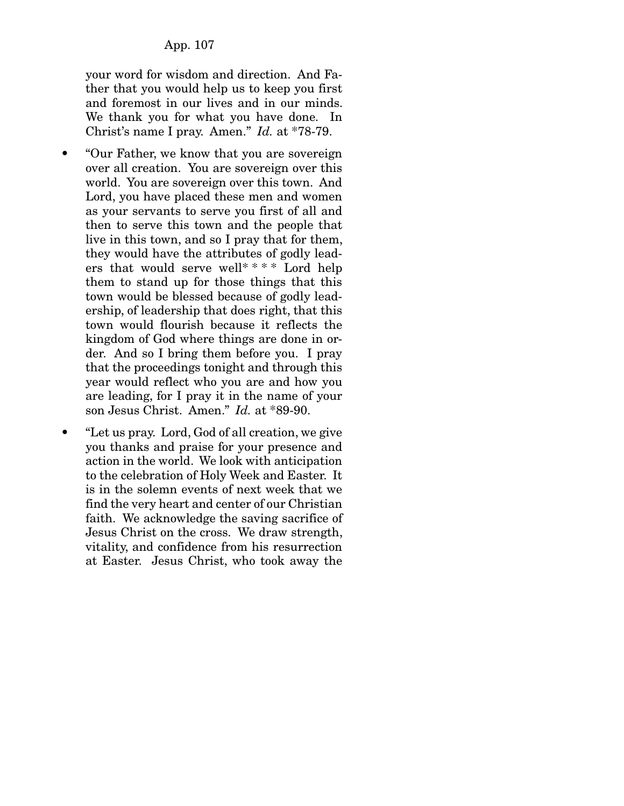your word for wisdom and direction. And Father that you would help us to keep you first and foremost in our lives and in our minds. We thank you for what you have done. In Christ's name I pray. Amen." *Id.* at \*78-79.

- "Our Father, we know that you are sovereign over all creation. You are sovereign over this world. You are sovereign over this town. And Lord, you have placed these men and women as your servants to serve you first of all and then to serve this town and the people that live in this town, and so I pray that for them, they would have the attributes of godly leaders that would serve well\* \* \* \* Lord help them to stand up for those things that this town would be blessed because of godly leadership, of leadership that does right, that this town would flourish because it reflects the kingdom of God where things are done in order. And so I bring them before you. I pray that the proceedings tonight and through this year would reflect who you are and how you are leading, for I pray it in the name of your son Jesus Christ. Amen." *Id.* at \*89-90.
- "Let us pray. Lord, God of all creation, we give you thanks and praise for your presence and action in the world. We look with anticipation to the celebration of Holy Week and Easter. It is in the solemn events of next week that we find the very heart and center of our Christian faith. We acknowledge the saving sacrifice of Jesus Christ on the cross. We draw strength, vitality, and confidence from his resurrection at Easter. Jesus Christ, who took away the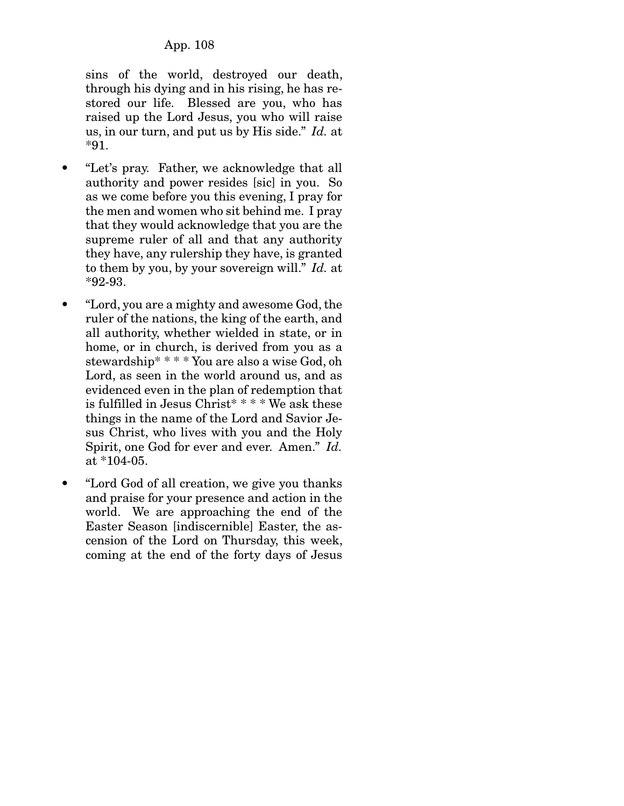sins of the world, destroyed our death, through his dying and in his rising, he has restored our life. Blessed are you, who has raised up the Lord Jesus, you who will raise us, in our turn, and put us by His side." *Id.* at \*91.

- "Let's pray. Father, we acknowledge that all authority and power resides [sic] in you. So as we come before you this evening, I pray for the men and women who sit behind me. I pray that they would acknowledge that you are the supreme ruler of all and that any authority they have, any rulership they have, is granted to them by you, by your sovereign will." *Id.* at \*92-93.
- "Lord, you are a mighty and awesome God, the ruler of the nations, the king of the earth, and all authority, whether wielded in state, or in home, or in church, is derived from you as a stewardship\* \* \* \* You are also a wise God, oh Lord, as seen in the world around us, and as evidenced even in the plan of redemption that is fulfilled in Jesus Christ\* \* \* \* We ask these things in the name of the Lord and Savior Jesus Christ, who lives with you and the Holy Spirit, one God for ever and ever. Amen." *Id.* at \*104-05.
- "Lord God of all creation, we give you thanks and praise for your presence and action in the world. We are approaching the end of the Easter Season [indiscernible] Easter, the ascension of the Lord on Thursday, this week, coming at the end of the forty days of Jesus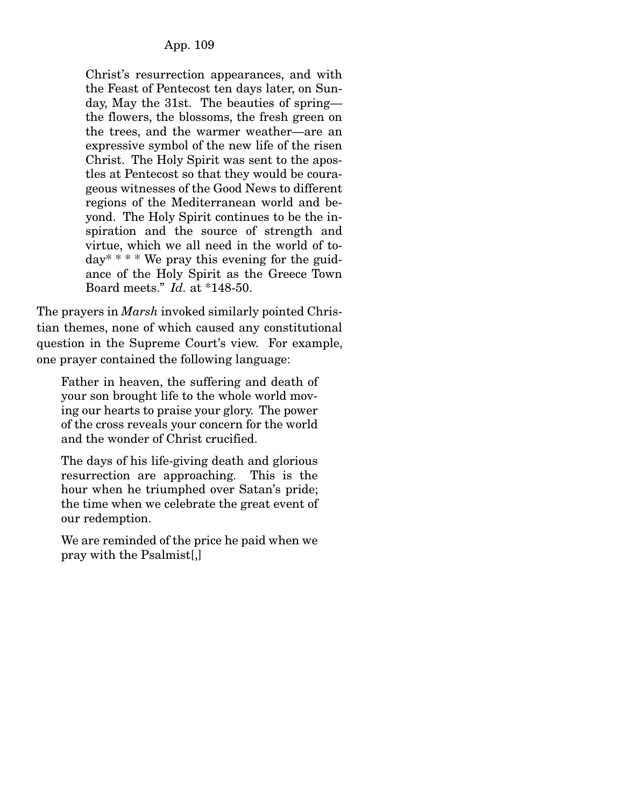Christ's resurrection appearances, and with the Feast of Pentecost ten days later, on Sunday, May the 31st. The beauties of spring the flowers, the blossoms, the fresh green on the trees, and the warmer weather—are an expressive symbol of the new life of the risen Christ. The Holy Spirit was sent to the apostles at Pentecost so that they would be courageous witnesses of the Good News to different regions of the Mediterranean world and beyond. The Holy Spirit continues to be the inspiration and the source of strength and virtue, which we all need in the world of to $day^*$  \* \* We pray this evening for the guidance of the Holy Spirit as the Greece Town Board meets." *Id.* at \*148-50.

The prayers in *Marsh* invoked similarly pointed Christian themes, none of which caused any constitutional question in the Supreme Court's view. For example, one prayer contained the following language:

Father in heaven, the suffering and death of your son brought life to the whole world moving our hearts to praise your glory. The power of the cross reveals your concern for the world and the wonder of Christ crucified.

The days of his life-giving death and glorious resurrection are approaching. This is the hour when he triumphed over Satan's pride; the time when we celebrate the great event of our redemption.

We are reminded of the price he paid when we pray with the Psalmist[,]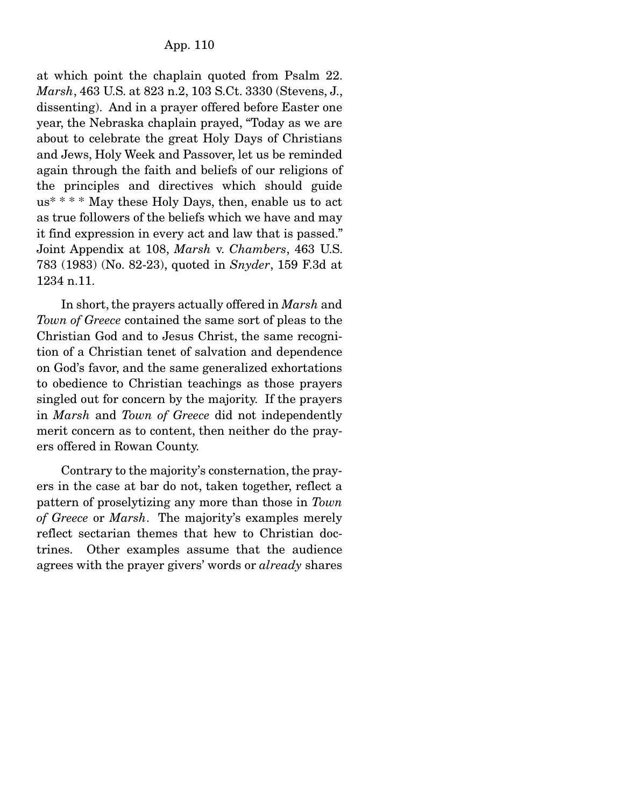at which point the chaplain quoted from Psalm 22. *Marsh*, 463 U.S. at 823 n.2, 103 S.Ct. 3330 (Stevens, J., dissenting). And in a prayer offered before Easter one year, the Nebraska chaplain prayed, "Today as we are about to celebrate the great Holy Days of Christians and Jews, Holy Week and Passover, let us be reminded again through the faith and beliefs of our religions of the principles and directives which should guide  $us^*$  \* \* \* May these Holy Days, then, enable us to act as true followers of the beliefs which we have and may it find expression in every act and law that is passed." Joint Appendix at 108, *Marsh* v. *Chambers*, 463 U.S. 783 (1983) (No. 82-23), quoted in *Snyder*, 159 F.3d at 1234 n.11.

 In short, the prayers actually offered in *Marsh* and *Town of Greece* contained the same sort of pleas to the Christian God and to Jesus Christ, the same recognition of a Christian tenet of salvation and dependence on God's favor, and the same generalized exhortations to obedience to Christian teachings as those prayers singled out for concern by the majority. If the prayers in *Marsh* and *Town of Greece* did not independently merit concern as to content, then neither do the prayers offered in Rowan County.

 Contrary to the majority's consternation, the prayers in the case at bar do not, taken together, reflect a pattern of proselytizing any more than those in *Town of Greece* or *Marsh*. The majority's examples merely reflect sectarian themes that hew to Christian doctrines. Other examples assume that the audience agrees with the prayer givers' words or *already* shares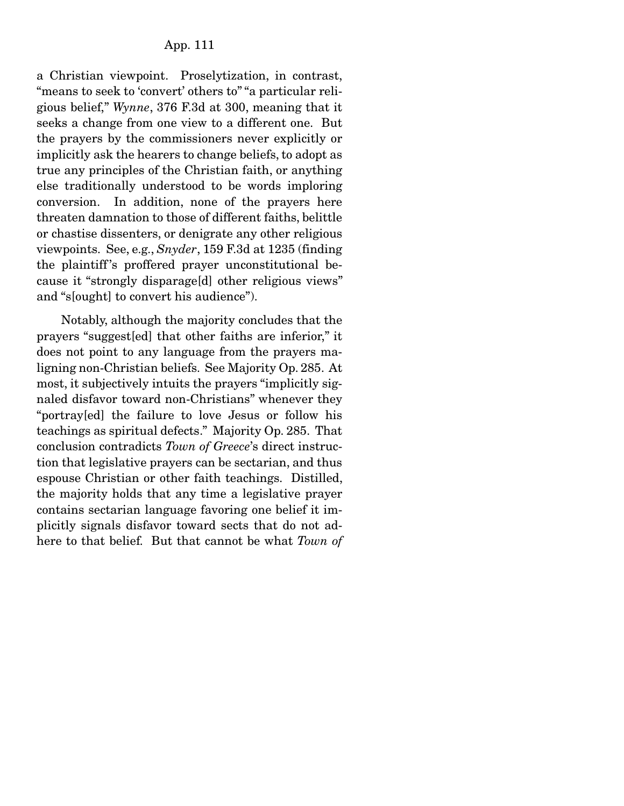a Christian viewpoint. Proselytization, in contrast, "means to seek to 'convert' others to" "a particular religious belief," *Wynne*, 376 F.3d at 300, meaning that it seeks a change from one view to a different one. But the prayers by the commissioners never explicitly or implicitly ask the hearers to change beliefs, to adopt as true any principles of the Christian faith, or anything else traditionally understood to be words imploring conversion. In addition, none of the prayers here threaten damnation to those of different faiths, belittle or chastise dissenters, or denigrate any other religious viewpoints. See, e.g., *Snyder*, 159 F.3d at 1235 (finding the plaintiff 's proffered prayer unconstitutional because it "strongly disparage[d] other religious views" and "s[ought] to convert his audience").

 Notably, although the majority concludes that the prayers "suggest[ed] that other faiths are inferior," it does not point to any language from the prayers maligning non-Christian beliefs. See Majority Op. 285. At most, it subjectively intuits the prayers "implicitly signaled disfavor toward non-Christians" whenever they "portray[ed] the failure to love Jesus or follow his teachings as spiritual defects." Majority Op. 285. That conclusion contradicts *Town of Greece*'s direct instruction that legislative prayers can be sectarian, and thus espouse Christian or other faith teachings. Distilled, the majority holds that any time a legislative prayer contains sectarian language favoring one belief it implicitly signals disfavor toward sects that do not adhere to that belief. But that cannot be what *Town of*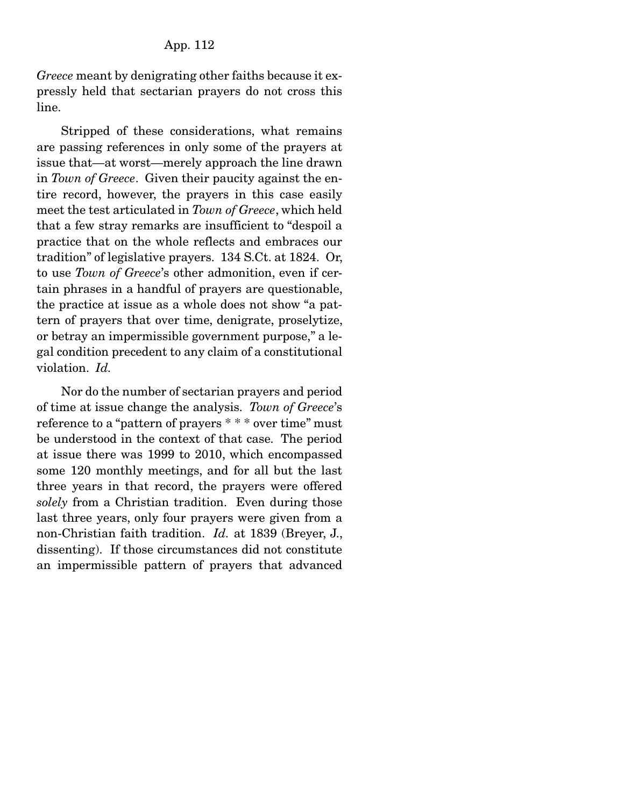*Greece* meant by denigrating other faiths because it expressly held that sectarian prayers do not cross this line.

 Stripped of these considerations, what remains are passing references in only some of the prayers at issue that—at worst—merely approach the line drawn in *Town of Greece*. Given their paucity against the entire record, however, the prayers in this case easily meet the test articulated in *Town of Greece*, which held that a few stray remarks are insufficient to "despoil a practice that on the whole reflects and embraces our tradition" of legislative prayers. 134 S.Ct. at 1824. Or, to use *Town of Greece*'s other admonition, even if certain phrases in a handful of prayers are questionable, the practice at issue as a whole does not show "a pattern of prayers that over time, denigrate, proselytize, or betray an impermissible government purpose," a legal condition precedent to any claim of a constitutional violation. *Id.*

 Nor do the number of sectarian prayers and period of time at issue change the analysis. *Town of Greece*'s reference to a "pattern of prayers \* \* \* over time" must be understood in the context of that case. The period at issue there was 1999 to 2010, which encompassed some 120 monthly meetings, and for all but the last three years in that record, the prayers were offered *solely* from a Christian tradition. Even during those last three years, only four prayers were given from a non-Christian faith tradition. *Id.* at 1839 (Breyer, J., dissenting). If those circumstances did not constitute an impermissible pattern of prayers that advanced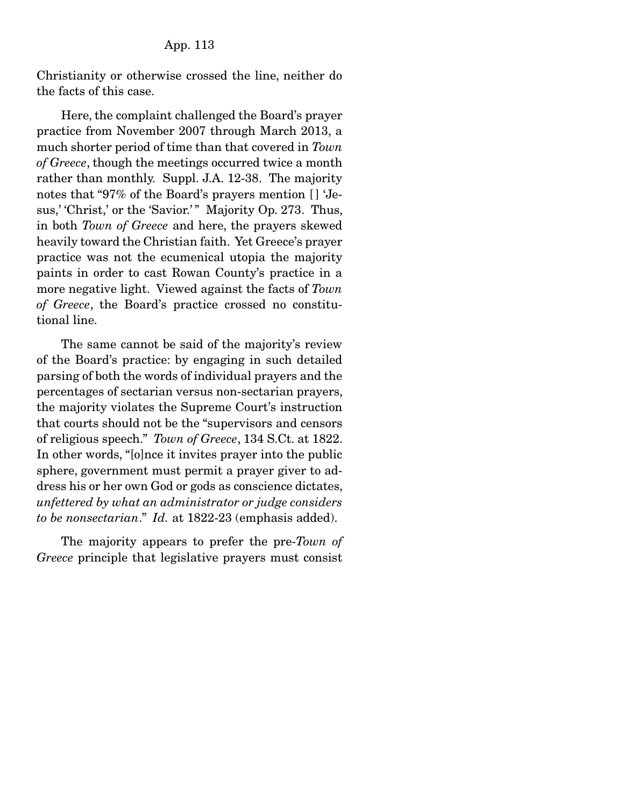Christianity or otherwise crossed the line, neither do the facts of this case.

 Here, the complaint challenged the Board's prayer practice from November 2007 through March 2013, a much shorter period of time than that covered in *Town of Greece*, though the meetings occurred twice a month rather than monthly. Suppl. J.A. 12-38. The majority notes that "97% of the Board's prayers mention [] 'Jesus,' 'Christ,' or the 'Savior.'" Majority Op. 273. Thus, in both *Town of Greece* and here, the prayers skewed heavily toward the Christian faith. Yet Greece's prayer practice was not the ecumenical utopia the majority paints in order to cast Rowan County's practice in a more negative light. Viewed against the facts of *Town of Greece*, the Board's practice crossed no constitutional line.

 The same cannot be said of the majority's review of the Board's practice: by engaging in such detailed parsing of both the words of individual prayers and the percentages of sectarian versus non-sectarian prayers, the majority violates the Supreme Court's instruction that courts should not be the "supervisors and censors of religious speech." *Town of Greece*, 134 S.Ct. at 1822. In other words, "[o]nce it invites prayer into the public sphere, government must permit a prayer giver to address his or her own God or gods as conscience dictates, *unfettered by what an administrator or judge considers to be nonsectarian*." *Id.* at 1822-23 (emphasis added).

 The majority appears to prefer the pre-*Town of Greece* principle that legislative prayers must consist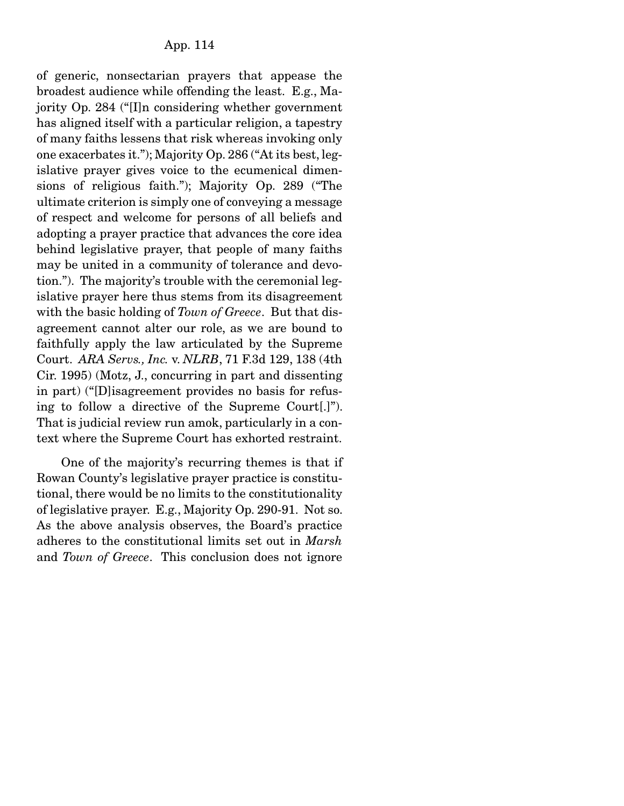of generic, nonsectarian prayers that appease the broadest audience while offending the least. E.g., Majority Op. 284 ("[I]n considering whether government has aligned itself with a particular religion, a tapestry of many faiths lessens that risk whereas invoking only one exacerbates it."); Majority Op. 286 ("At its best, legislative prayer gives voice to the ecumenical dimensions of religious faith."); Majority Op. 289 ("The ultimate criterion is simply one of conveying a message of respect and welcome for persons of all beliefs and adopting a prayer practice that advances the core idea behind legislative prayer, that people of many faiths may be united in a community of tolerance and devotion."). The majority's trouble with the ceremonial legislative prayer here thus stems from its disagreement with the basic holding of *Town of Greece*. But that disagreement cannot alter our role, as we are bound to faithfully apply the law articulated by the Supreme Court. *ARA Servs., Inc.* v. *NLRB*, 71 F.3d 129, 138 (4th Cir. 1995) (Motz, J., concurring in part and dissenting in part) ("[D]isagreement provides no basis for refusing to follow a directive of the Supreme Court[.]"). That is judicial review run amok, particularly in a context where the Supreme Court has exhorted restraint.

 One of the majority's recurring themes is that if Rowan County's legislative prayer practice is constitutional, there would be no limits to the constitutionality of legislative prayer. E.g., Majority Op. 290-91. Not so. As the above analysis observes, the Board's practice adheres to the constitutional limits set out in *Marsh* and *Town of Greece*. This conclusion does not ignore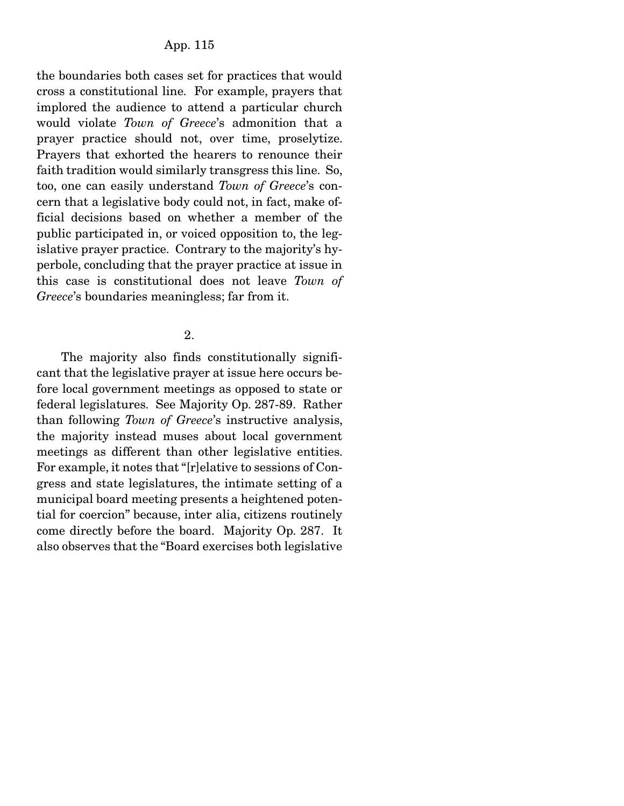the boundaries both cases set for practices that would cross a constitutional line. For example, prayers that implored the audience to attend a particular church would violate *Town of Greece*'s admonition that a prayer practice should not, over time, proselytize. Prayers that exhorted the hearers to renounce their faith tradition would similarly transgress this line. So, too, one can easily understand *Town of Greece*'s concern that a legislative body could not, in fact, make official decisions based on whether a member of the public participated in, or voiced opposition to, the legislative prayer practice. Contrary to the majority's hyperbole, concluding that the prayer practice at issue in this case is constitutional does not leave *Town of Greece*'s boundaries meaningless; far from it.

### 2.

 The majority also finds constitutionally significant that the legislative prayer at issue here occurs before local government meetings as opposed to state or federal legislatures. See Majority Op. 287-89. Rather than following *Town of Greece*'s instructive analysis, the majority instead muses about local government meetings as different than other legislative entities. For example, it notes that "[r]elative to sessions of Congress and state legislatures, the intimate setting of a municipal board meeting presents a heightened potential for coercion" because, inter alia, citizens routinely come directly before the board. Majority Op. 287. It also observes that the "Board exercises both legislative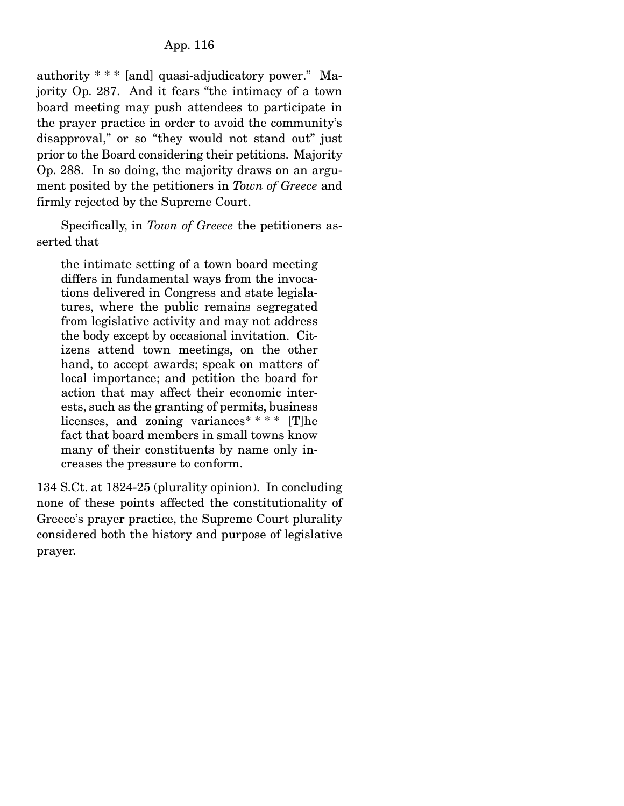authority \* \* \* [and] quasi-adjudicatory power." Majority Op. 287. And it fears "the intimacy of a town board meeting may push attendees to participate in the prayer practice in order to avoid the community's disapproval," or so "they would not stand out" just prior to the Board considering their petitions. Majority Op. 288. In so doing, the majority draws on an argument posited by the petitioners in *Town of Greece* and firmly rejected by the Supreme Court.

 Specifically, in *Town of Greece* the petitioners asserted that

the intimate setting of a town board meeting differs in fundamental ways from the invocations delivered in Congress and state legislatures, where the public remains segregated from legislative activity and may not address the body except by occasional invitation. Citizens attend town meetings, on the other hand, to accept awards; speak on matters of local importance; and petition the board for action that may affect their economic interests, such as the granting of permits, business licenses, and zoning variances\* \* \* \* [T]he fact that board members in small towns know many of their constituents by name only increases the pressure to conform.

134 S.Ct. at 1824-25 (plurality opinion). In concluding none of these points affected the constitutionality of Greece's prayer practice, the Supreme Court plurality considered both the history and purpose of legislative prayer.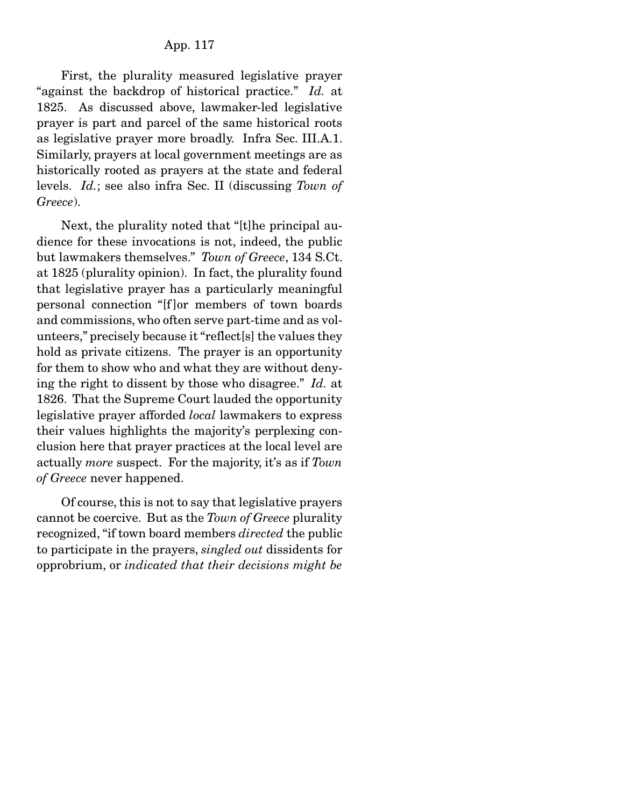First, the plurality measured legislative prayer "against the backdrop of historical practice." *Id.* at 1825. As discussed above, lawmaker-led legislative prayer is part and parcel of the same historical roots as legislative prayer more broadly. Infra Sec. III.A.1. Similarly, prayers at local government meetings are as historically rooted as prayers at the state and federal levels. *Id.*; see also infra Sec. II (discussing *Town of Greece*).

 Next, the plurality noted that "[t]he principal audience for these invocations is not, indeed, the public but lawmakers themselves." *Town of Greece*, 134 S.Ct. at 1825 (plurality opinion). In fact, the plurality found that legislative prayer has a particularly meaningful personal connection "[f ]or members of town boards and commissions, who often serve part-time and as volunteers," precisely because it "reflect[s] the values they hold as private citizens. The prayer is an opportunity for them to show who and what they are without denying the right to dissent by those who disagree." *Id.* at 1826. That the Supreme Court lauded the opportunity legislative prayer afforded *local* lawmakers to express their values highlights the majority's perplexing conclusion here that prayer practices at the local level are actually *more* suspect. For the majority, it's as if *Town of Greece* never happened.

 Of course, this is not to say that legislative prayers cannot be coercive. But as the *Town of Greece* plurality recognized, "if town board members *directed* the public to participate in the prayers, *singled out* dissidents for opprobrium, or *indicated that their decisions might be*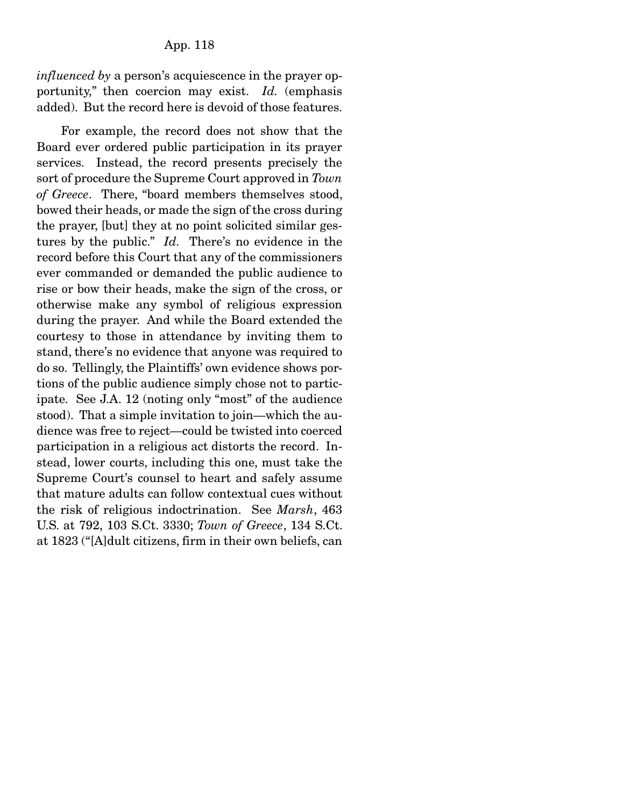*influenced by* a person's acquiescence in the prayer opportunity," then coercion may exist. *Id.* (emphasis added). But the record here is devoid of those features.

 For example, the record does not show that the Board ever ordered public participation in its prayer services. Instead, the record presents precisely the sort of procedure the Supreme Court approved in *Town of Greece*. There, "board members themselves stood, bowed their heads, or made the sign of the cross during the prayer, [but] they at no point solicited similar gestures by the public." *Id.* There's no evidence in the record before this Court that any of the commissioners ever commanded or demanded the public audience to rise or bow their heads, make the sign of the cross, or otherwise make any symbol of religious expression during the prayer. And while the Board extended the courtesy to those in attendance by inviting them to stand, there's no evidence that anyone was required to do so. Tellingly, the Plaintiffs' own evidence shows portions of the public audience simply chose not to participate. See J.A. 12 (noting only "most" of the audience stood). That a simple invitation to join—which the audience was free to reject—could be twisted into coerced participation in a religious act distorts the record. Instead, lower courts, including this one, must take the Supreme Court's counsel to heart and safely assume that mature adults can follow contextual cues without the risk of religious indoctrination. See *Marsh*, 463 U.S. at 792, 103 S.Ct. 3330; *Town of Greece*, 134 S.Ct. at 1823 ("[A]dult citizens, firm in their own beliefs, can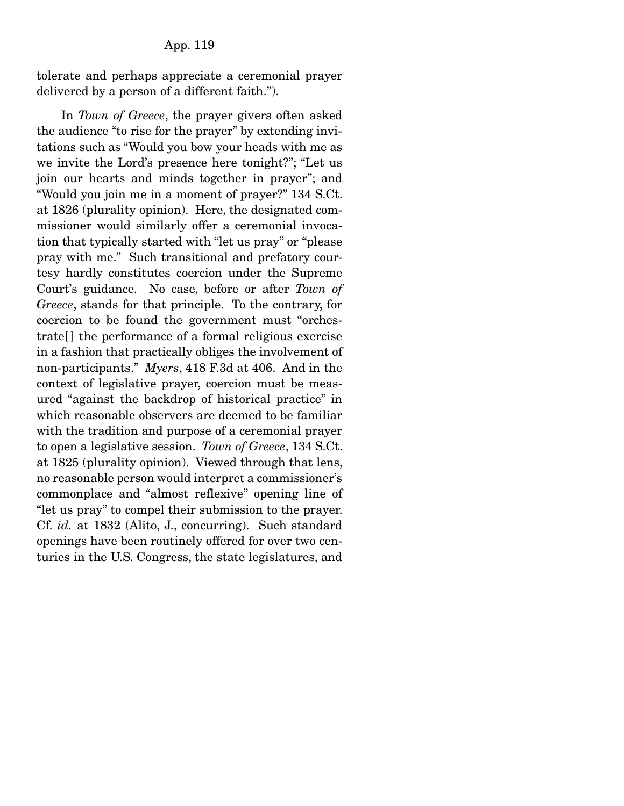tolerate and perhaps appreciate a ceremonial prayer delivered by a person of a different faith.").

 In *Town of Greece*, the prayer givers often asked the audience "to rise for the prayer" by extending invitations such as "Would you bow your heads with me as we invite the Lord's presence here tonight?"; "Let us join our hearts and minds together in prayer"; and "Would you join me in a moment of prayer?" 134 S.Ct. at 1826 (plurality opinion). Here, the designated commissioner would similarly offer a ceremonial invocation that typically started with "let us pray" or "please pray with me." Such transitional and prefatory courtesy hardly constitutes coercion under the Supreme Court's guidance. No case, before or after *Town of Greece*, stands for that principle. To the contrary, for coercion to be found the government must "orchestrate[ ] the performance of a formal religious exercise in a fashion that practically obliges the involvement of non-participants." *Myers*, 418 F.3d at 406. And in the context of legislative prayer, coercion must be measured "against the backdrop of historical practice" in which reasonable observers are deemed to be familiar with the tradition and purpose of a ceremonial prayer to open a legislative session. *Town of Greece*, 134 S.Ct. at 1825 (plurality opinion). Viewed through that lens, no reasonable person would interpret a commissioner's commonplace and "almost reflexive" opening line of "let us pray" to compel their submission to the prayer. Cf. *id.* at 1832 (Alito, J., concurring). Such standard openings have been routinely offered for over two centuries in the U.S. Congress, the state legislatures, and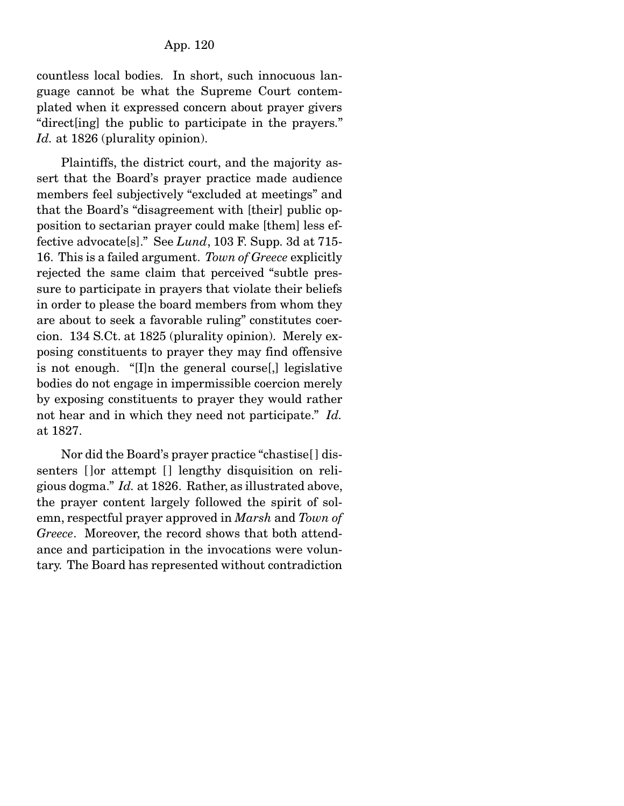countless local bodies. In short, such innocuous language cannot be what the Supreme Court contemplated when it expressed concern about prayer givers "direct[ing] the public to participate in the prayers." *Id.* at 1826 (plurality opinion).

 Plaintiffs, the district court, and the majority assert that the Board's prayer practice made audience members feel subjectively "excluded at meetings" and that the Board's "disagreement with [their] public opposition to sectarian prayer could make [them] less effective advocate[s]." See *Lund*, 103 F. Supp. 3d at 715- 16. This is a failed argument. *Town of Greece* explicitly rejected the same claim that perceived "subtle pressure to participate in prayers that violate their beliefs in order to please the board members from whom they are about to seek a favorable ruling" constitutes coercion. 134 S.Ct. at 1825 (plurality opinion). Merely exposing constituents to prayer they may find offensive is not enough. "[I]n the general course[,] legislative bodies do not engage in impermissible coercion merely by exposing constituents to prayer they would rather not hear and in which they need not participate." *Id.* at 1827.

 Nor did the Board's prayer practice "chastise[ ] dissenters [ ]or attempt [ ] lengthy disquisition on religious dogma." *Id.* at 1826. Rather, as illustrated above, the prayer content largely followed the spirit of solemn, respectful prayer approved in *Marsh* and *Town of Greece*. Moreover, the record shows that both attendance and participation in the invocations were voluntary. The Board has represented without contradiction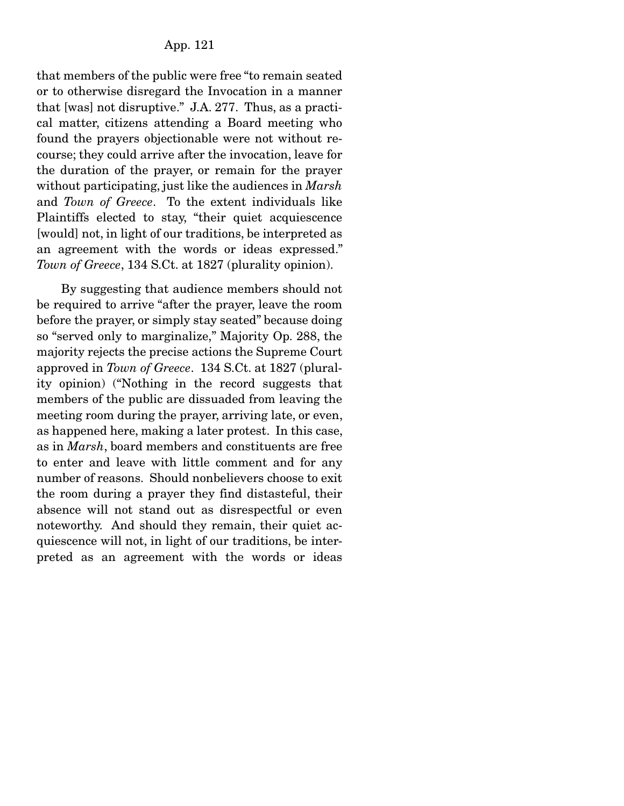that members of the public were free "to remain seated or to otherwise disregard the Invocation in a manner that [was] not disruptive." J.A. 277. Thus, as a practical matter, citizens attending a Board meeting who found the prayers objectionable were not without recourse; they could arrive after the invocation, leave for the duration of the prayer, or remain for the prayer without participating, just like the audiences in *Marsh* and *Town of Greece*. To the extent individuals like Plaintiffs elected to stay, "their quiet acquiescence [would] not, in light of our traditions, be interpreted as an agreement with the words or ideas expressed." *Town of Greece*, 134 S.Ct. at 1827 (plurality opinion).

 By suggesting that audience members should not be required to arrive "after the prayer, leave the room before the prayer, or simply stay seated" because doing so "served only to marginalize," Majority Op. 288, the majority rejects the precise actions the Supreme Court approved in *Town of Greece*. 134 S.Ct. at 1827 (plurality opinion) ("Nothing in the record suggests that members of the public are dissuaded from leaving the meeting room during the prayer, arriving late, or even, as happened here, making a later protest. In this case, as in *Marsh*, board members and constituents are free to enter and leave with little comment and for any number of reasons. Should nonbelievers choose to exit the room during a prayer they find distasteful, their absence will not stand out as disrespectful or even noteworthy. And should they remain, their quiet acquiescence will not, in light of our traditions, be interpreted as an agreement with the words or ideas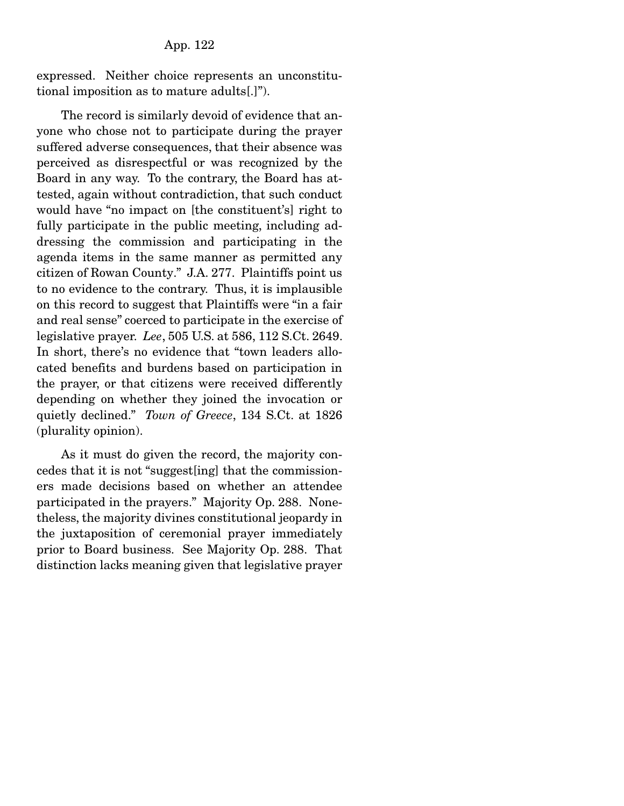expressed. Neither choice represents an unconstitutional imposition as to mature adults[.]").

 The record is similarly devoid of evidence that anyone who chose not to participate during the prayer suffered adverse consequences, that their absence was perceived as disrespectful or was recognized by the Board in any way. To the contrary, the Board has attested, again without contradiction, that such conduct would have "no impact on [the constituent's] right to fully participate in the public meeting, including addressing the commission and participating in the agenda items in the same manner as permitted any citizen of Rowan County." J.A. 277. Plaintiffs point us to no evidence to the contrary. Thus, it is implausible on this record to suggest that Plaintiffs were "in a fair and real sense" coerced to participate in the exercise of legislative prayer. *Lee*, 505 U.S. at 586, 112 S.Ct. 2649. In short, there's no evidence that "town leaders allocated benefits and burdens based on participation in the prayer, or that citizens were received differently depending on whether they joined the invocation or quietly declined." *Town of Greece*, 134 S.Ct. at 1826 (plurality opinion).

 As it must do given the record, the majority concedes that it is not "suggest[ing] that the commissioners made decisions based on whether an attendee participated in the prayers." Majority Op. 288. Nonetheless, the majority divines constitutional jeopardy in the juxtaposition of ceremonial prayer immediately prior to Board business. See Majority Op. 288. That distinction lacks meaning given that legislative prayer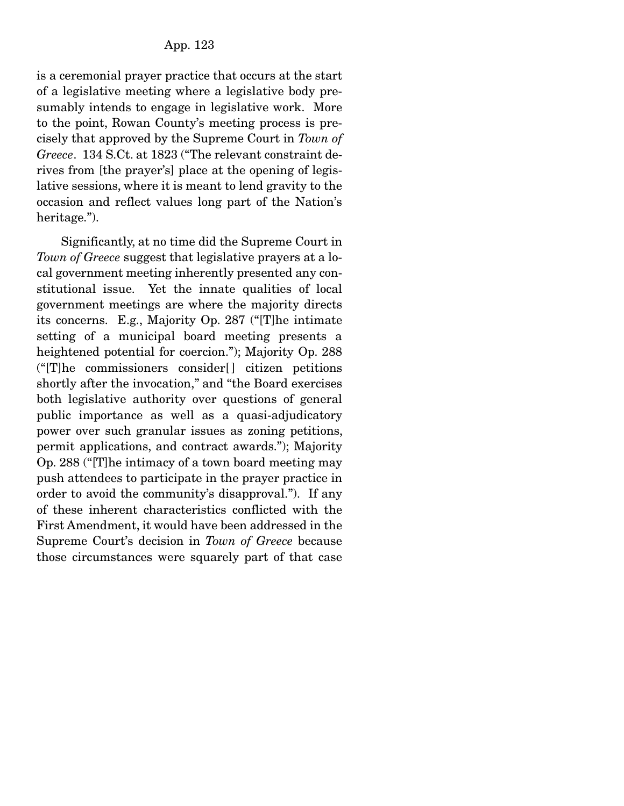is a ceremonial prayer practice that occurs at the start of a legislative meeting where a legislative body presumably intends to engage in legislative work. More to the point, Rowan County's meeting process is precisely that approved by the Supreme Court in *Town of Greece*. 134 S.Ct. at 1823 ("The relevant constraint derives from [the prayer's] place at the opening of legislative sessions, where it is meant to lend gravity to the occasion and reflect values long part of the Nation's heritage.").

 Significantly, at no time did the Supreme Court in *Town of Greece* suggest that legislative prayers at a local government meeting inherently presented any constitutional issue. Yet the innate qualities of local government meetings are where the majority directs its concerns. E.g., Majority Op. 287 ("[T]he intimate setting of a municipal board meeting presents a heightened potential for coercion."); Majority Op. 288  $("T]$ he commissioners consider $[]$  citizen petitions shortly after the invocation," and "the Board exercises both legislative authority over questions of general public importance as well as a quasi-adjudicatory power over such granular issues as zoning petitions, permit applications, and contract awards."); Majority Op. 288 ("[T]he intimacy of a town board meeting may push attendees to participate in the prayer practice in order to avoid the community's disapproval."). If any of these inherent characteristics conflicted with the First Amendment, it would have been addressed in the Supreme Court's decision in *Town of Greece* because those circumstances were squarely part of that case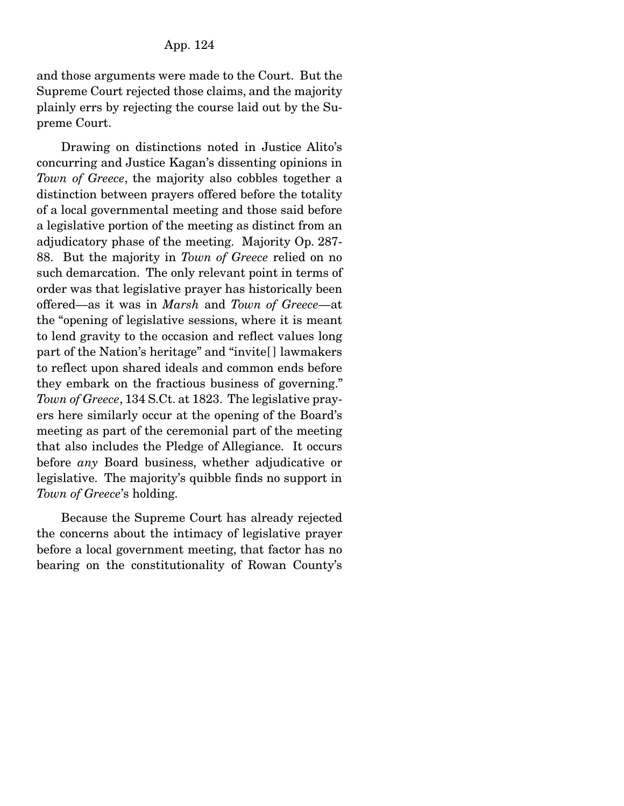and those arguments were made to the Court. But the Supreme Court rejected those claims, and the majority plainly errs by rejecting the course laid out by the Supreme Court.

 Drawing on distinctions noted in Justice Alito's concurring and Justice Kagan's dissenting opinions in *Town of Greece*, the majority also cobbles together a distinction between prayers offered before the totality of a local governmental meeting and those said before a legislative portion of the meeting as distinct from an adjudicatory phase of the meeting. Majority Op. 287- 88. But the majority in *Town of Greece* relied on no such demarcation. The only relevant point in terms of order was that legislative prayer has historically been offered—as it was in *Marsh* and *Town of Greece*—at the "opening of legislative sessions, where it is meant to lend gravity to the occasion and reflect values long part of the Nation's heritage" and "invite[ ] lawmakers to reflect upon shared ideals and common ends before they embark on the fractious business of governing." *Town of Greece*, 134 S.Ct. at 1823. The legislative prayers here similarly occur at the opening of the Board's meeting as part of the ceremonial part of the meeting that also includes the Pledge of Allegiance. It occurs before *any* Board business, whether adjudicative or legislative. The majority's quibble finds no support in *Town of Greece*'s holding.

 Because the Supreme Court has already rejected the concerns about the intimacy of legislative prayer before a local government meeting, that factor has no bearing on the constitutionality of Rowan County's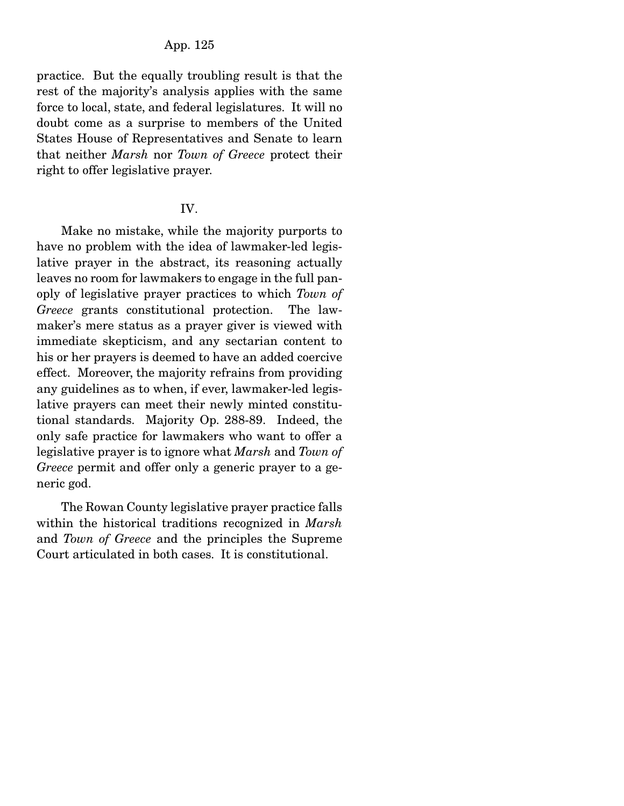practice. But the equally troubling result is that the rest of the majority's analysis applies with the same force to local, state, and federal legislatures. It will no doubt come as a surprise to members of the United States House of Representatives and Senate to learn that neither *Marsh* nor *Town of Greece* protect their right to offer legislative prayer.

#### IV.

 Make no mistake, while the majority purports to have no problem with the idea of lawmaker-led legislative prayer in the abstract, its reasoning actually leaves no room for lawmakers to engage in the full panoply of legislative prayer practices to which *Town of Greece* grants constitutional protection. The lawmaker's mere status as a prayer giver is viewed with immediate skepticism, and any sectarian content to his or her prayers is deemed to have an added coercive effect. Moreover, the majority refrains from providing any guidelines as to when, if ever, lawmaker-led legislative prayers can meet their newly minted constitutional standards. Majority Op. 288-89. Indeed, the only safe practice for lawmakers who want to offer a legislative prayer is to ignore what *Marsh* and *Town of Greece* permit and offer only a generic prayer to a generic god.

 The Rowan County legislative prayer practice falls within the historical traditions recognized in *Marsh* and *Town of Greece* and the principles the Supreme Court articulated in both cases. It is constitutional.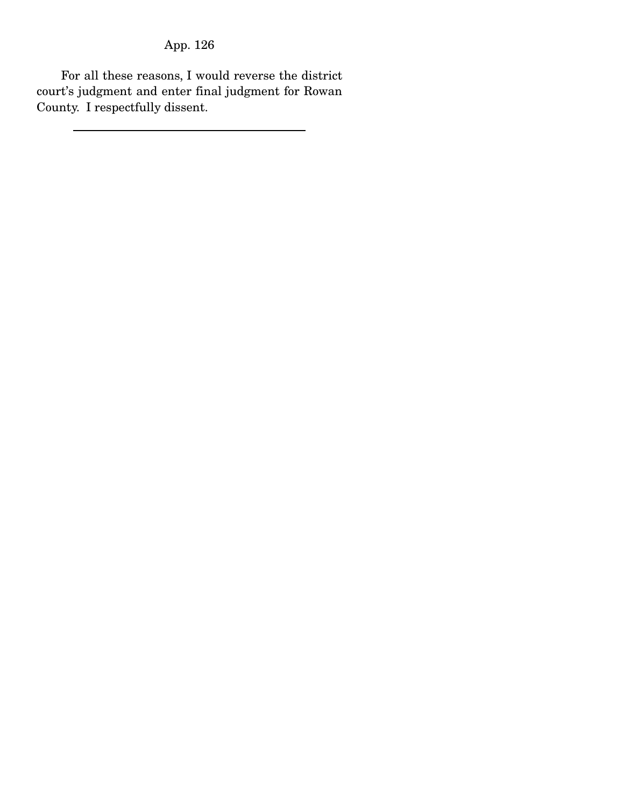For all these reasons, I would reverse the district court's judgment and enter final judgment for Rowan County. I respectfully dissent.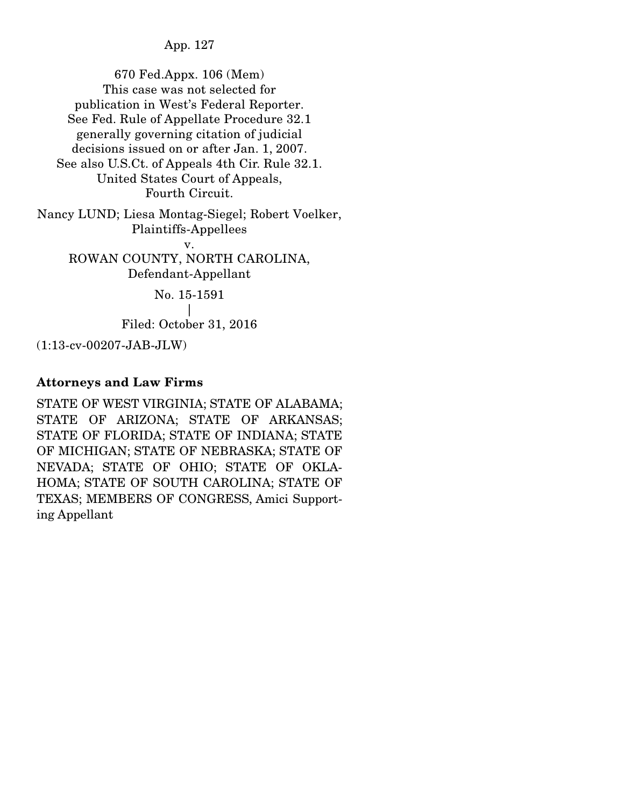670 Fed.Appx. 106 (Mem) This case was not selected for publication in West's Federal Reporter. See Fed. Rule of Appellate Procedure 32.1 generally governing citation of judicial decisions issued on or after Jan. 1, 2007. See also U.S.Ct. of Appeals 4th Cir. Rule 32.1. United States Court of Appeals, Fourth Circuit. Nancy LUND; Liesa Montag-Siegel; Robert Voelker, Plaintiffs-Appellees v. ROWAN COUNTY, NORTH CAROLINA, Defendant-Appellant

> No. 15-1591 | Filed: October 31, 2016

(1:13-cv-00207-JAB-JLW)

## Attorneys and Law Firms

STATE OF WEST VIRGINIA; STATE OF ALABAMA; STATE OF ARIZONA; STATE OF ARKANSAS; STATE OF FLORIDA; STATE OF INDIANA; STATE OF MICHIGAN; STATE OF NEBRASKA; STATE OF NEVADA; STATE OF OHIO; STATE OF OKLA-HOMA; STATE OF SOUTH CAROLINA; STATE OF TEXAS; MEMBERS OF CONGRESS, Amici Supporting Appellant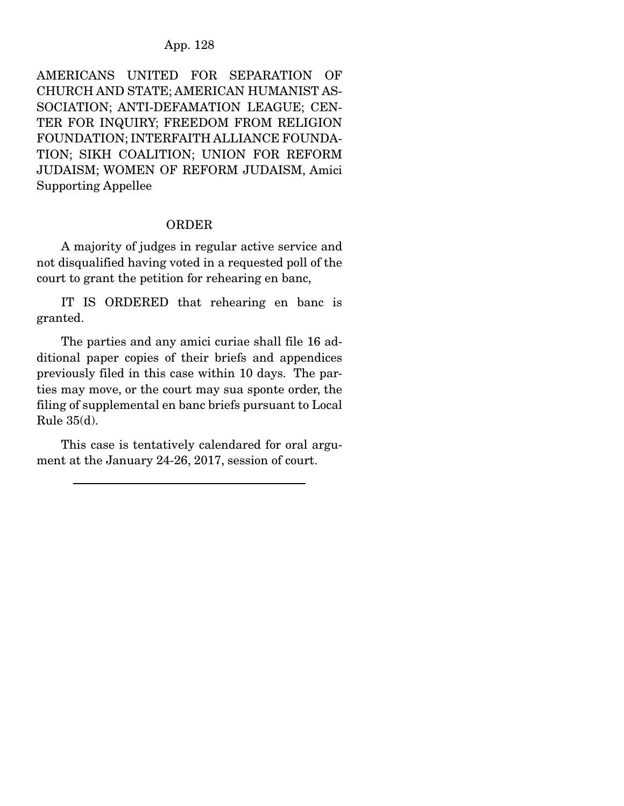AMERICANS UNITED FOR SEPARATION OF CHURCH AND STATE; AMERICAN HUMANIST AS-SOCIATION; ANTI-DEFAMATION LEAGUE; CEN-TER FOR INQUIRY; FREEDOM FROM RELIGION FOUNDATION; INTERFAITH ALLIANCE FOUNDA-TION; SIKH COALITION; UNION FOR REFORM JUDAISM; WOMEN OF REFORM JUDAISM, Amici Supporting Appellee

#### ORDER

 A majority of judges in regular active service and not disqualified having voted in a requested poll of the court to grant the petition for rehearing en banc,

 IT IS ORDERED that rehearing en banc is granted.

 The parties and any amici curiae shall file 16 additional paper copies of their briefs and appendices previously filed in this case within 10 days. The parties may move, or the court may sua sponte order, the filing of supplemental en banc briefs pursuant to Local Rule 35(d).

 This case is tentatively calendared for oral argument at the January 24-26, 2017, session of court.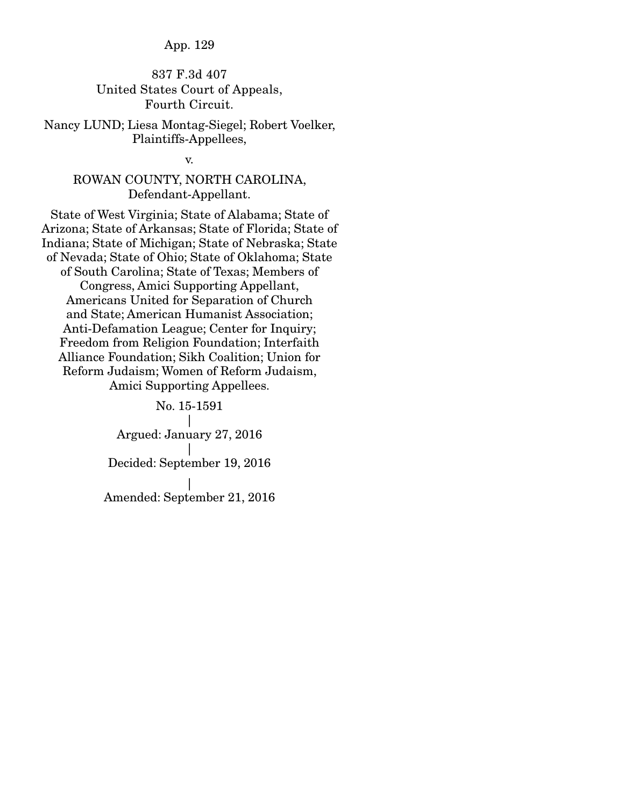### 837 F.3d 407 United States Court of Appeals, Fourth Circuit.

Nancy LUND; Liesa Montag-Siegel; Robert Voelker, Plaintiffs-Appellees,

v.

## ROWAN COUNTY, NORTH CAROLINA, Defendant-Appellant.

State of West Virginia; State of Alabama; State of Arizona; State of Arkansas; State of Florida; State of Indiana; State of Michigan; State of Nebraska; State of Nevada; State of Ohio; State of Oklahoma; State of South Carolina; State of Texas; Members of Congress, Amici Supporting Appellant, Americans United for Separation of Church and State; American Humanist Association; Anti-Defamation League; Center for Inquiry; Freedom from Religion Foundation; Interfaith Alliance Foundation; Sikh Coalition; Union for Reform Judaism; Women of Reform Judaism, Amici Supporting Appellees.

> No. 15-1591 | Argued: January 27, 2016 | Decided: September 19, 2016 | Amended: September 21, 2016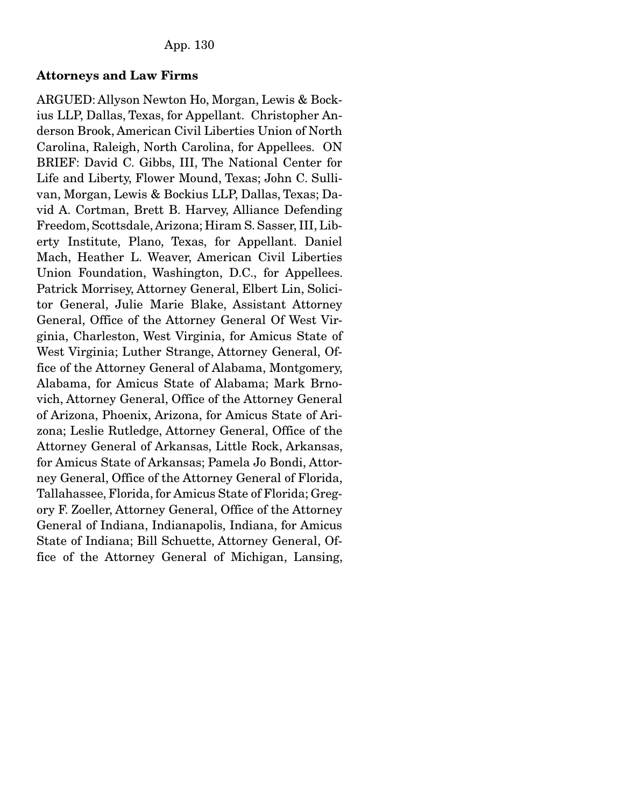### Attorneys and Law Firms

ARGUED: Allyson Newton Ho, Morgan, Lewis & Bockius LLP, Dallas, Texas, for Appellant. Christopher Anderson Brook, American Civil Liberties Union of North Carolina, Raleigh, North Carolina, for Appellees. ON BRIEF: David C. Gibbs, III, The National Center for Life and Liberty, Flower Mound, Texas; John C. Sullivan, Morgan, Lewis & Bockius LLP, Dallas, Texas; David A. Cortman, Brett B. Harvey, Alliance Defending Freedom, Scottsdale, Arizona; Hiram S. Sasser, III, Liberty Institute, Plano, Texas, for Appellant. Daniel Mach, Heather L. Weaver, American Civil Liberties Union Foundation, Washington, D.C., for Appellees. Patrick Morrisey, Attorney General, Elbert Lin, Solicitor General, Julie Marie Blake, Assistant Attorney General, Office of the Attorney General Of West Virginia, Charleston, West Virginia, for Amicus State of West Virginia; Luther Strange, Attorney General, Office of the Attorney General of Alabama, Montgomery, Alabama, for Amicus State of Alabama; Mark Brnovich, Attorney General, Office of the Attorney General of Arizona, Phoenix, Arizona, for Amicus State of Arizona; Leslie Rutledge, Attorney General, Office of the Attorney General of Arkansas, Little Rock, Arkansas, for Amicus State of Arkansas; Pamela Jo Bondi, Attorney General, Office of the Attorney General of Florida, Tallahassee, Florida, for Amicus State of Florida; Gregory F. Zoeller, Attorney General, Office of the Attorney General of Indiana, Indianapolis, Indiana, for Amicus State of Indiana; Bill Schuette, Attorney General, Office of the Attorney General of Michigan, Lansing,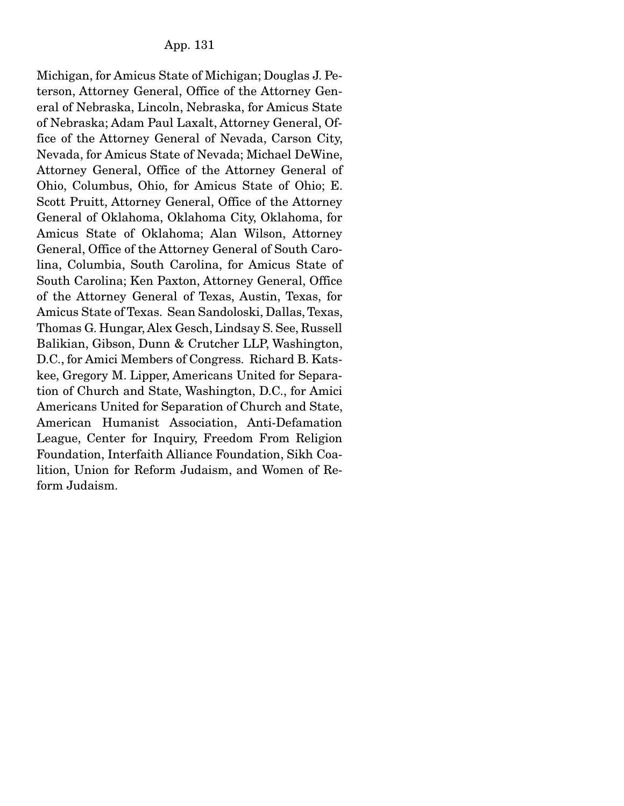Michigan, for Amicus State of Michigan; Douglas J. Peterson, Attorney General, Office of the Attorney General of Nebraska, Lincoln, Nebraska, for Amicus State of Nebraska; Adam Paul Laxalt, Attorney General, Office of the Attorney General of Nevada, Carson City, Nevada, for Amicus State of Nevada; Michael DeWine, Attorney General, Office of the Attorney General of Ohio, Columbus, Ohio, for Amicus State of Ohio; E. Scott Pruitt, Attorney General, Office of the Attorney General of Oklahoma, Oklahoma City, Oklahoma, for Amicus State of Oklahoma; Alan Wilson, Attorney General, Office of the Attorney General of South Carolina, Columbia, South Carolina, for Amicus State of South Carolina; Ken Paxton, Attorney General, Office of the Attorney General of Texas, Austin, Texas, for Amicus State of Texas. Sean Sandoloski, Dallas, Texas, Thomas G. Hungar, Alex Gesch, Lindsay S. See, Russell Balikian, Gibson, Dunn & Crutcher LLP, Washington, D.C., for Amici Members of Congress. Richard B. Katskee, Gregory M. Lipper, Americans United for Separation of Church and State, Washington, D.C., for Amici Americans United for Separation of Church and State, American Humanist Association, Anti-Defamation League, Center for Inquiry, Freedom From Religion Foundation, Interfaith Alliance Foundation, Sikh Coalition, Union for Reform Judaism, and Women of Reform Judaism.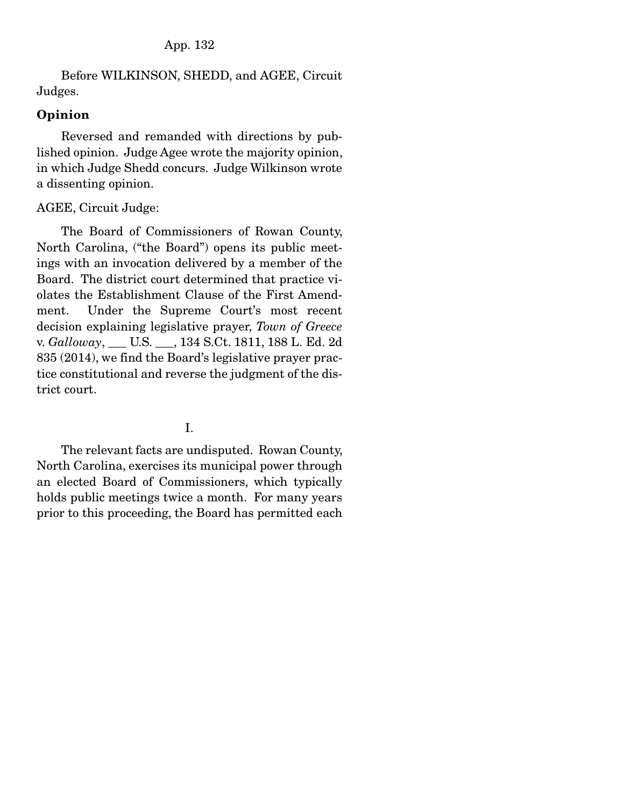Before WILKINSON, SHEDD, and AGEE, Circuit Judges.

## Opinion

 Reversed and remanded with directions by published opinion. Judge Agee wrote the majority opinion, in which Judge Shedd concurs. Judge Wilkinson wrote a dissenting opinion.

# AGEE, Circuit Judge:

 The Board of Commissioners of Rowan County, North Carolina, ("the Board") opens its public meetings with an invocation delivered by a member of the Board. The district court determined that practice violates the Establishment Clause of the First Amendment. Under the Supreme Court's most recent decision explaining legislative prayer, *Town of Greece*  v. *Galloway*, \_\_\_ U.S. \_\_\_, 134 S.Ct. 1811, 188 L. Ed. 2d 835 (2014), we find the Board's legislative prayer practice constitutional and reverse the judgment of the district court.

# I.

 The relevant facts are undisputed. Rowan County, North Carolina, exercises its municipal power through an elected Board of Commissioners, which typically holds public meetings twice a month. For many years prior to this proceeding, the Board has permitted each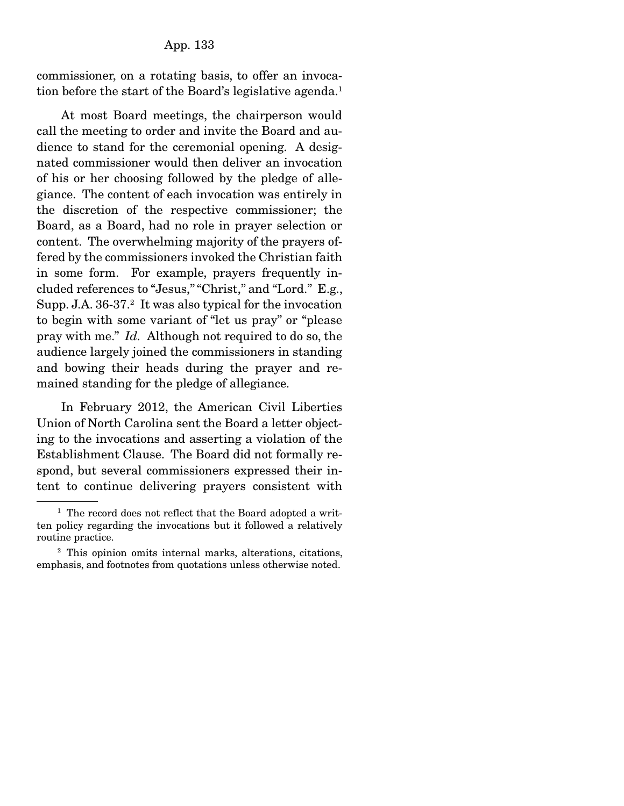commissioner, on a rotating basis, to offer an invocation before the start of the Board's legislative agenda.<sup>1</sup>

 At most Board meetings, the chairperson would call the meeting to order and invite the Board and audience to stand for the ceremonial opening. A designated commissioner would then deliver an invocation of his or her choosing followed by the pledge of allegiance. The content of each invocation was entirely in the discretion of the respective commissioner; the Board, as a Board, had no role in prayer selection or content. The overwhelming majority of the prayers offered by the commissioners invoked the Christian faith in some form. For example, prayers frequently included references to "Jesus," "Christ," and "Lord." E.g., Supp. J.A. 36-37.<sup>2</sup> It was also typical for the invocation to begin with some variant of "let us pray" or "please pray with me." *Id.* Although not required to do so, the audience largely joined the commissioners in standing and bowing their heads during the prayer and remained standing for the pledge of allegiance.

 In February 2012, the American Civil Liberties Union of North Carolina sent the Board a letter objecting to the invocations and asserting a violation of the Establishment Clause. The Board did not formally respond, but several commissioners expressed their intent to continue delivering prayers consistent with

<sup>&</sup>lt;sup>1</sup> The record does not reflect that the Board adopted a written policy regarding the invocations but it followed a relatively routine practice.

<sup>2</sup> This opinion omits internal marks, alterations, citations, emphasis, and footnotes from quotations unless otherwise noted.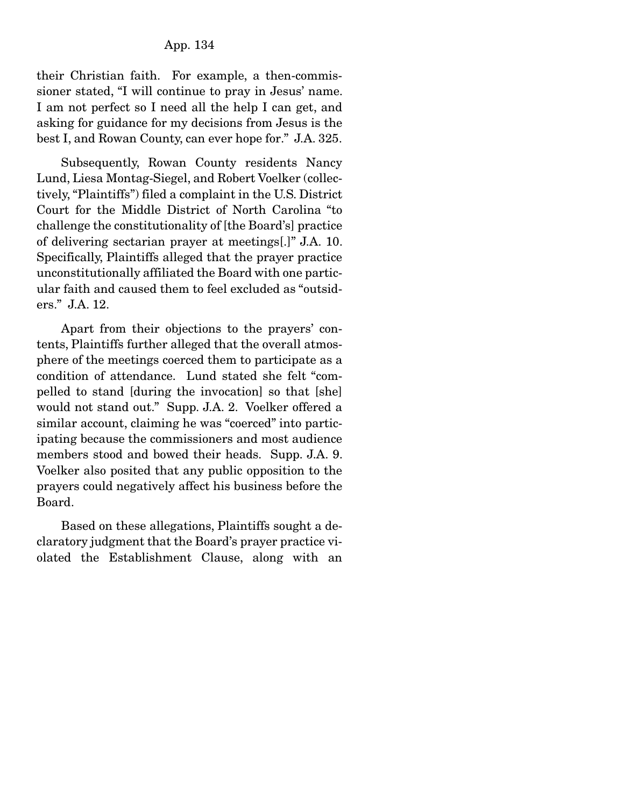their Christian faith. For example, a then-commissioner stated, "I will continue to pray in Jesus' name. I am not perfect so I need all the help I can get, and asking for guidance for my decisions from Jesus is the best I, and Rowan County, can ever hope for." J.A. 325.

 Subsequently, Rowan County residents Nancy Lund, Liesa Montag-Siegel, and Robert Voelker (collectively, "Plaintiffs") filed a complaint in the U.S. District Court for the Middle District of North Carolina "to challenge the constitutionality of [the Board's] practice of delivering sectarian prayer at meetings[.]" J.A. 10. Specifically, Plaintiffs alleged that the prayer practice unconstitutionally affiliated the Board with one particular faith and caused them to feel excluded as "outsiders." J.A. 12.

 Apart from their objections to the prayers' contents, Plaintiffs further alleged that the overall atmosphere of the meetings coerced them to participate as a condition of attendance. Lund stated she felt "compelled to stand [during the invocation] so that [she] would not stand out." Supp. J.A. 2. Voelker offered a similar account, claiming he was "coerced" into participating because the commissioners and most audience members stood and bowed their heads. Supp. J.A. 9. Voelker also posited that any public opposition to the prayers could negatively affect his business before the Board.

 Based on these allegations, Plaintiffs sought a declaratory judgment that the Board's prayer practice violated the Establishment Clause, along with an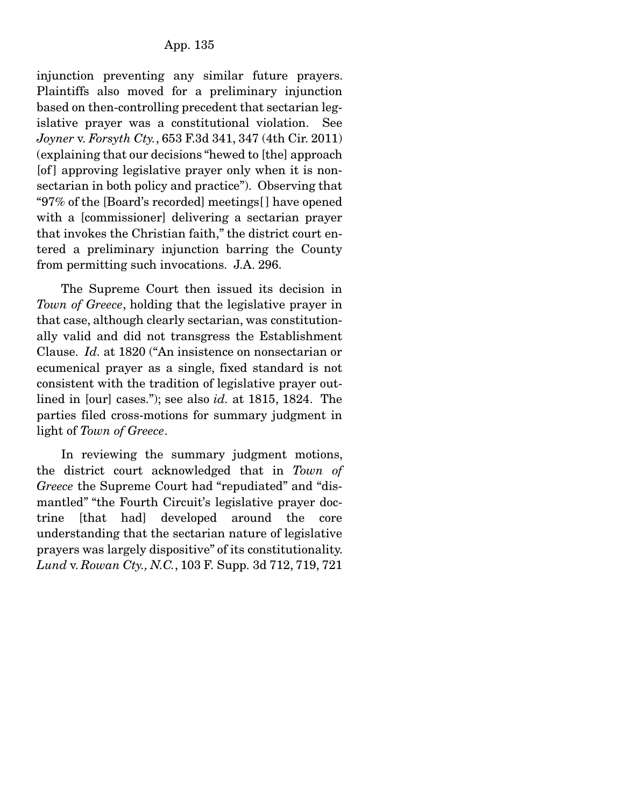injunction preventing any similar future prayers. Plaintiffs also moved for a preliminary injunction based on then-controlling precedent that sectarian legislative prayer was a constitutional violation. See *Joyner* v. *Forsyth Cty.*, 653 F.3d 341, 347 (4th Cir. 2011) (explaining that our decisions "hewed to [the] approach [of ] approving legislative prayer only when it is nonsectarian in both policy and practice"). Observing that "97% of the [Board's recorded] meetings[ ] have opened with a [commissioner] delivering a sectarian prayer that invokes the Christian faith," the district court entered a preliminary injunction barring the County from permitting such invocations. J.A. 296.

 The Supreme Court then issued its decision in *Town of Greece*, holding that the legislative prayer in that case, although clearly sectarian, was constitutionally valid and did not transgress the Establishment Clause. *Id.* at 1820 ("An insistence on nonsectarian or ecumenical prayer as a single, fixed standard is not consistent with the tradition of legislative prayer outlined in [our] cases."); see also *id.* at 1815, 1824. The parties filed cross-motions for summary judgment in light of *Town of Greece*.

 In reviewing the summary judgment motions, the district court acknowledged that in *Town of Greece* the Supreme Court had "repudiated" and "dismantled" "the Fourth Circuit's legislative prayer doctrine [that had] developed around the core understanding that the sectarian nature of legislative prayers was largely dispositive" of its constitutionality. *Lund* v. *Rowan Cty., N.C.*, 103 F. Supp. 3d 712, 719, 721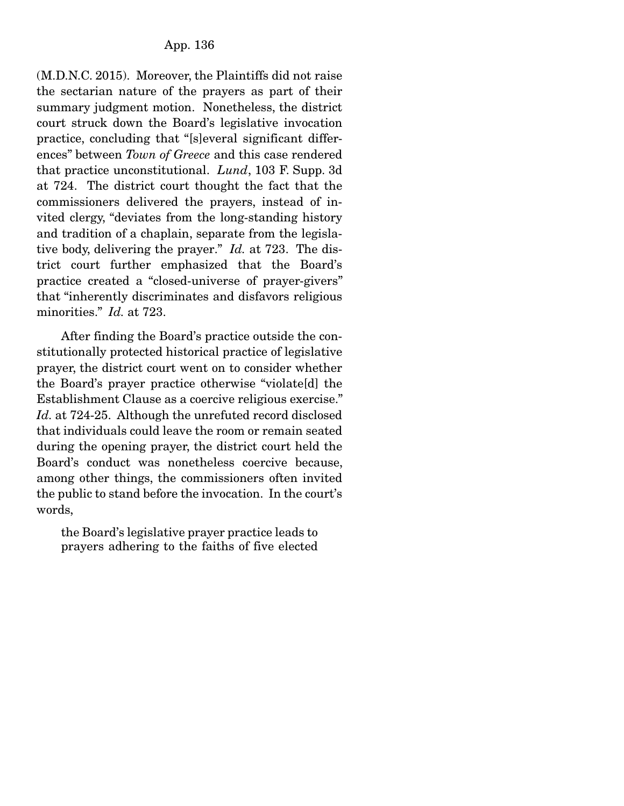(M.D.N.C. 2015). Moreover, the Plaintiffs did not raise the sectarian nature of the prayers as part of their summary judgment motion. Nonetheless, the district court struck down the Board's legislative invocation practice, concluding that "[s]everal significant differences" between *Town of Greece* and this case rendered that practice unconstitutional. *Lund*, 103 F. Supp. 3d at 724. The district court thought the fact that the commissioners delivered the prayers, instead of invited clergy, "deviates from the long-standing history and tradition of a chaplain, separate from the legislative body, delivering the prayer." *Id.* at 723. The district court further emphasized that the Board's practice created a "closed-universe of prayer-givers" that "inherently discriminates and disfavors religious minorities." *Id.* at 723.

 After finding the Board's practice outside the constitutionally protected historical practice of legislative prayer, the district court went on to consider whether the Board's prayer practice otherwise "violate[d] the Establishment Clause as a coercive religious exercise." *Id.* at 724-25. Although the unrefuted record disclosed that individuals could leave the room or remain seated during the opening prayer, the district court held the Board's conduct was nonetheless coercive because, among other things, the commissioners often invited the public to stand before the invocation. In the court's words,

the Board's legislative prayer practice leads to prayers adhering to the faiths of five elected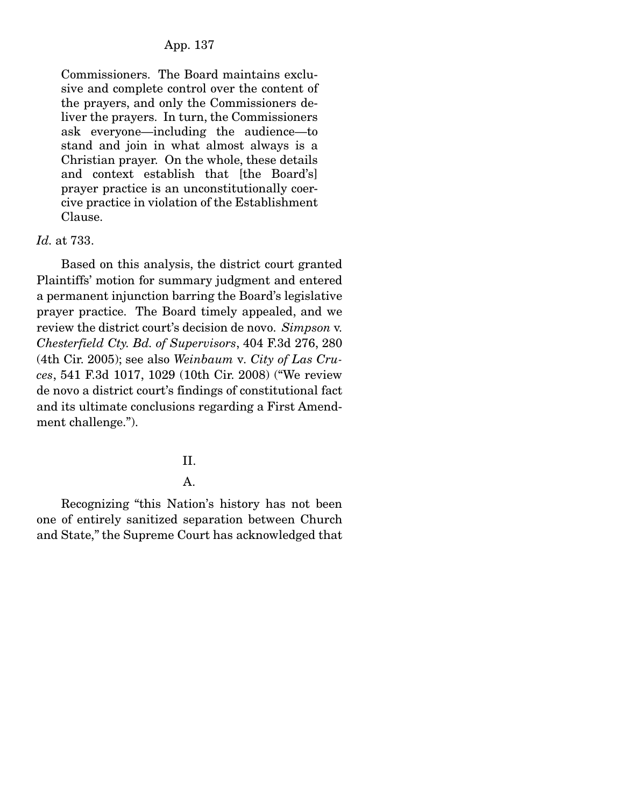## App. 137

Commissioners. The Board maintains exclusive and complete control over the content of the prayers, and only the Commissioners deliver the prayers. In turn, the Commissioners ask everyone—including the audience—to stand and join in what almost always is a Christian prayer. On the whole, these details and context establish that [the Board's] prayer practice is an unconstitutionally coercive practice in violation of the Establishment Clause.

# *Id.* at 733.

 Based on this analysis, the district court granted Plaintiffs' motion for summary judgment and entered a permanent injunction barring the Board's legislative prayer practice. The Board timely appealed, and we review the district court's decision de novo. *Simpson* v. *Chesterfield Cty. Bd. of Supervisors*, 404 F.3d 276, 280 (4th Cir. 2005); see also *Weinbaum* v*. City of Las Cruces*, 541 F.3d 1017, 1029 (10th Cir. 2008) ("We review de novo a district court's findings of constitutional fact and its ultimate conclusions regarding a First Amendment challenge.").

### II.

## A.

 Recognizing "this Nation's history has not been one of entirely sanitized separation between Church and State," the Supreme Court has acknowledged that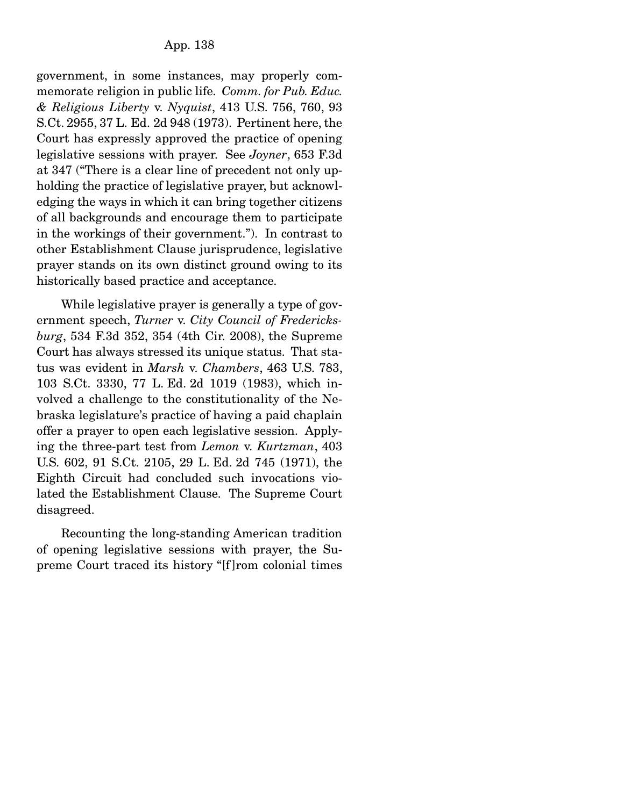government, in some instances, may properly commemorate religion in public life. *Comm. for Pub. Educ. & Religious Liberty* v. *Nyquist*, 413 U.S. 756, 760, 93 S.Ct. 2955, 37 L. Ed. 2d 948 (1973). Pertinent here, the Court has expressly approved the practice of opening legislative sessions with prayer. See *Joyner*, 653 F.3d at 347 ("There is a clear line of precedent not only upholding the practice of legislative prayer, but acknowledging the ways in which it can bring together citizens of all backgrounds and encourage them to participate in the workings of their government."). In contrast to other Establishment Clause jurisprudence, legislative prayer stands on its own distinct ground owing to its historically based practice and acceptance.

 While legislative prayer is generally a type of government speech, *Turner* v. *City Council of Fredericksburg*, 534 F.3d 352, 354 (4th Cir. 2008), the Supreme Court has always stressed its unique status. That status was evident in *Marsh* v. *Chambers*, 463 U.S. 783, 103 S.Ct. 3330, 77 L. Ed. 2d 1019 (1983), which involved a challenge to the constitutionality of the Nebraska legislature's practice of having a paid chaplain offer a prayer to open each legislative session. Applying the three-part test from *Lemon* v. *Kurtzman*, 403 U.S. 602, 91 S.Ct. 2105, 29 L. Ed. 2d 745 (1971), the Eighth Circuit had concluded such invocations violated the Establishment Clause. The Supreme Court disagreed.

 Recounting the long-standing American tradition of opening legislative sessions with prayer, the Supreme Court traced its history "[f ]rom colonial times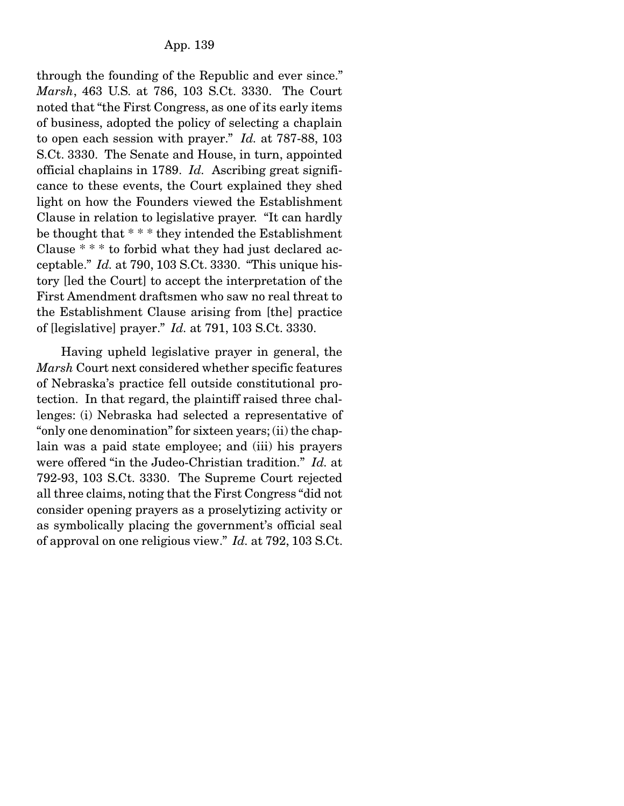through the founding of the Republic and ever since." *Marsh*, 463 U.S. at 786, 103 S.Ct. 3330. The Court noted that "the First Congress, as one of its early items of business, adopted the policy of selecting a chaplain to open each session with prayer." *Id.* at 787-88, 103 S.Ct. 3330. The Senate and House, in turn, appointed official chaplains in 1789. *Id.* Ascribing great significance to these events, the Court explained they shed light on how the Founders viewed the Establishment Clause in relation to legislative prayer. "It can hardly be thought that \* \* \* they intended the Establishment Clause \* \* \* to forbid what they had just declared acceptable." *Id.* at 790, 103 S.Ct. 3330. "This unique history [led the Court] to accept the interpretation of the First Amendment draftsmen who saw no real threat to the Establishment Clause arising from [the] practice of [legislative] prayer." *Id.* at 791, 103 S.Ct. 3330.

 Having upheld legislative prayer in general, the *Marsh* Court next considered whether specific features of Nebraska's practice fell outside constitutional protection. In that regard, the plaintiff raised three challenges: (i) Nebraska had selected a representative of "only one denomination" for sixteen years; (ii) the chaplain was a paid state employee; and (iii) his prayers were offered "in the Judeo-Christian tradition." *Id.* at 792-93, 103 S.Ct. 3330. The Supreme Court rejected all three claims, noting that the First Congress "did not consider opening prayers as a proselytizing activity or as symbolically placing the government's official seal of approval on one religious view." *Id.* at 792, 103 S.Ct.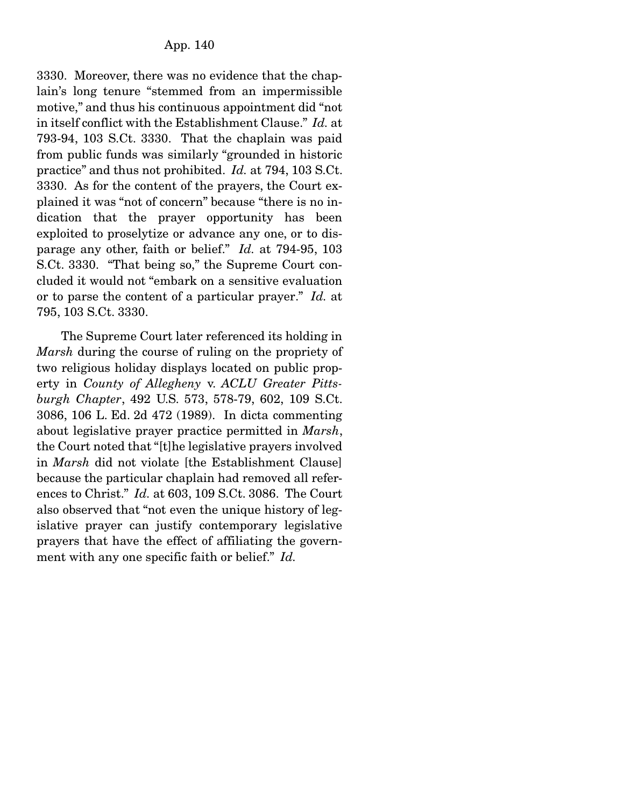3330. Moreover, there was no evidence that the chaplain's long tenure "stemmed from an impermissible motive," and thus his continuous appointment did "not in itself conflict with the Establishment Clause." *Id.* at 793-94, 103 S.Ct. 3330. That the chaplain was paid from public funds was similarly "grounded in historic practice" and thus not prohibited. *Id.* at 794, 103 S.Ct. 3330. As for the content of the prayers, the Court explained it was "not of concern" because "there is no indication that the prayer opportunity has been exploited to proselytize or advance any one, or to disparage any other, faith or belief." *Id.* at 794-95, 103 S.Ct. 3330. "That being so," the Supreme Court concluded it would not "embark on a sensitive evaluation or to parse the content of a particular prayer." *Id.* at 795, 103 S.Ct. 3330.

 The Supreme Court later referenced its holding in *Marsh* during the course of ruling on the propriety of two religious holiday displays located on public property in *County of Allegheny* v. *ACLU Greater Pittsburgh Chapter*, 492 U.S. 573, 578-79, 602, 109 S.Ct. 3086, 106 L. Ed. 2d 472 (1989). In dicta commenting about legislative prayer practice permitted in *Marsh*, the Court noted that "[t]he legislative prayers involved in *Marsh* did not violate [the Establishment Clause] because the particular chaplain had removed all references to Christ." *Id.* at 603, 109 S.Ct. 3086. The Court also observed that "not even the unique history of legislative prayer can justify contemporary legislative prayers that have the effect of affiliating the government with any one specific faith or belief." *Id.*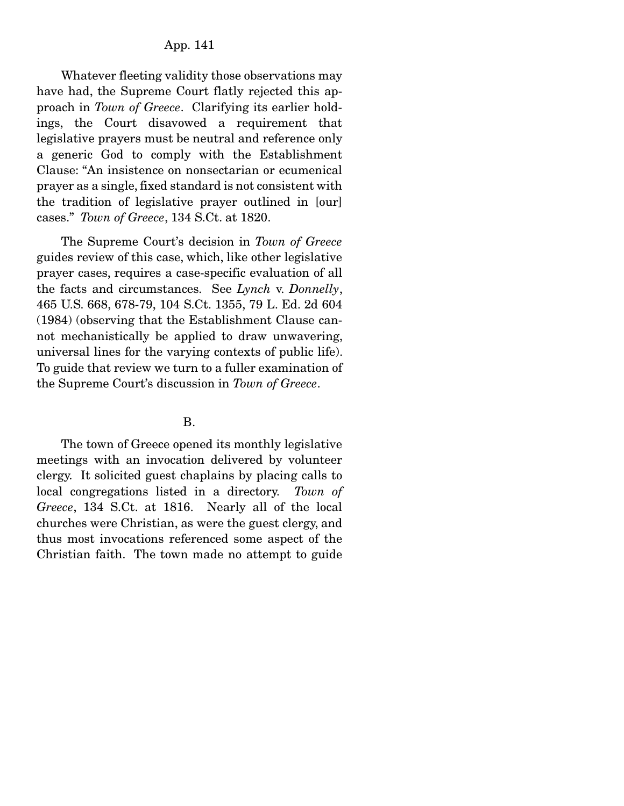## App. 141

 Whatever fleeting validity those observations may have had, the Supreme Court flatly rejected this approach in *Town of Greece*. Clarifying its earlier holdings, the Court disavowed a requirement that legislative prayers must be neutral and reference only a generic God to comply with the Establishment Clause: "An insistence on nonsectarian or ecumenical prayer as a single, fixed standard is not consistent with the tradition of legislative prayer outlined in [our] cases." *Town of Greece*, 134 S.Ct. at 1820.

 The Supreme Court's decision in *Town of Greece* guides review of this case, which, like other legislative prayer cases, requires a case-specific evaluation of all the facts and circumstances. See *Lynch* v. *Donnelly*, 465 U.S. 668, 678-79, 104 S.Ct. 1355, 79 L. Ed. 2d 604 (1984) (observing that the Establishment Clause cannot mechanistically be applied to draw unwavering, universal lines for the varying contexts of public life). To guide that review we turn to a fuller examination of the Supreme Court's discussion in *Town of Greece*.

#### B.

 The town of Greece opened its monthly legislative meetings with an invocation delivered by volunteer clergy. It solicited guest chaplains by placing calls to local congregations listed in a directory. *Town of Greece*, 134 S.Ct. at 1816. Nearly all of the local churches were Christian, as were the guest clergy, and thus most invocations referenced some aspect of the Christian faith. The town made no attempt to guide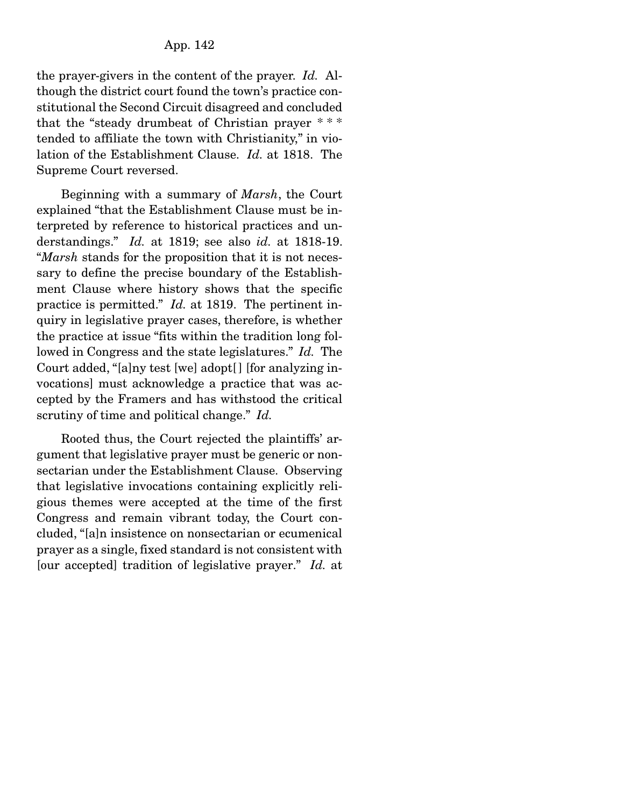the prayer-givers in the content of the prayer. *Id.* Although the district court found the town's practice constitutional the Second Circuit disagreed and concluded that the "steady drumbeat of Christian prayer \* \* \* tended to affiliate the town with Christianity," in violation of the Establishment Clause. *Id.* at 1818. The Supreme Court reversed.

 Beginning with a summary of *Marsh*, the Court explained "that the Establishment Clause must be interpreted by reference to historical practices and understandings." *Id.* at 1819; see also *id.* at 1818-19. "*Marsh* stands for the proposition that it is not necessary to define the precise boundary of the Establishment Clause where history shows that the specific practice is permitted." *Id.* at 1819. The pertinent inquiry in legislative prayer cases, therefore, is whether the practice at issue "fits within the tradition long followed in Congress and the state legislatures." *Id.* The Court added, "[a]ny test [we] adopt[ ] [for analyzing invocations] must acknowledge a practice that was accepted by the Framers and has withstood the critical scrutiny of time and political change." *Id.*

 Rooted thus, the Court rejected the plaintiffs' argument that legislative prayer must be generic or nonsectarian under the Establishment Clause. Observing that legislative invocations containing explicitly religious themes were accepted at the time of the first Congress and remain vibrant today, the Court concluded, "[a]n insistence on nonsectarian or ecumenical prayer as a single, fixed standard is not consistent with [our accepted] tradition of legislative prayer." *Id.* at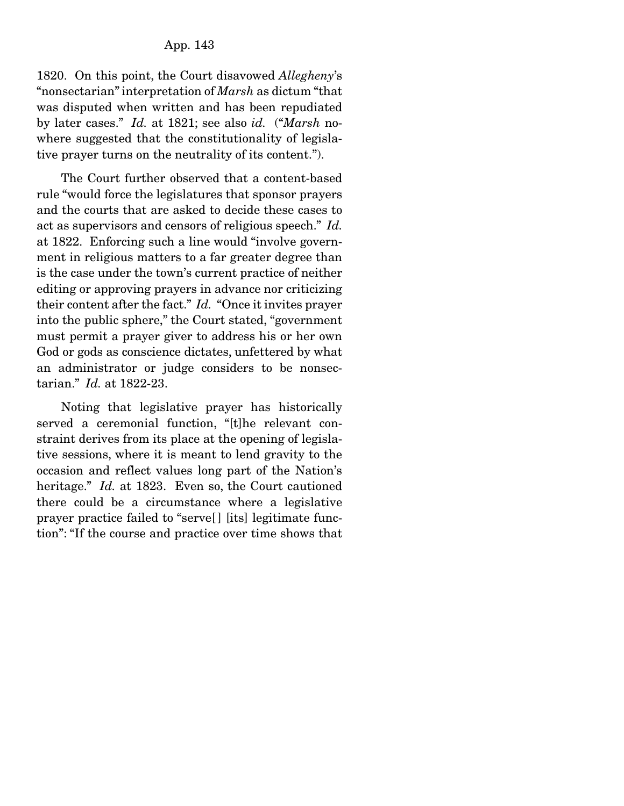1820. On this point, the Court disavowed *Allegheny*'s "nonsectarian" interpretation of *Marsh* as dictum "that was disputed when written and has been repudiated by later cases." *Id.* at 1821; see also *id.* ("*Marsh* nowhere suggested that the constitutionality of legislative prayer turns on the neutrality of its content.").

 The Court further observed that a content-based rule "would force the legislatures that sponsor prayers and the courts that are asked to decide these cases to act as supervisors and censors of religious speech." *Id.*  at 1822. Enforcing such a line would "involve government in religious matters to a far greater degree than is the case under the town's current practice of neither editing or approving prayers in advance nor criticizing their content after the fact." *Id.* "Once it invites prayer into the public sphere," the Court stated, "government must permit a prayer giver to address his or her own God or gods as conscience dictates, unfettered by what an administrator or judge considers to be nonsectarian." *Id.* at 1822-23.

 Noting that legislative prayer has historically served a ceremonial function, "[t]he relevant constraint derives from its place at the opening of legislative sessions, where it is meant to lend gravity to the occasion and reflect values long part of the Nation's heritage." *Id.* at 1823. Even so, the Court cautioned there could be a circumstance where a legislative prayer practice failed to "serve[] [its] legitimate function": "If the course and practice over time shows that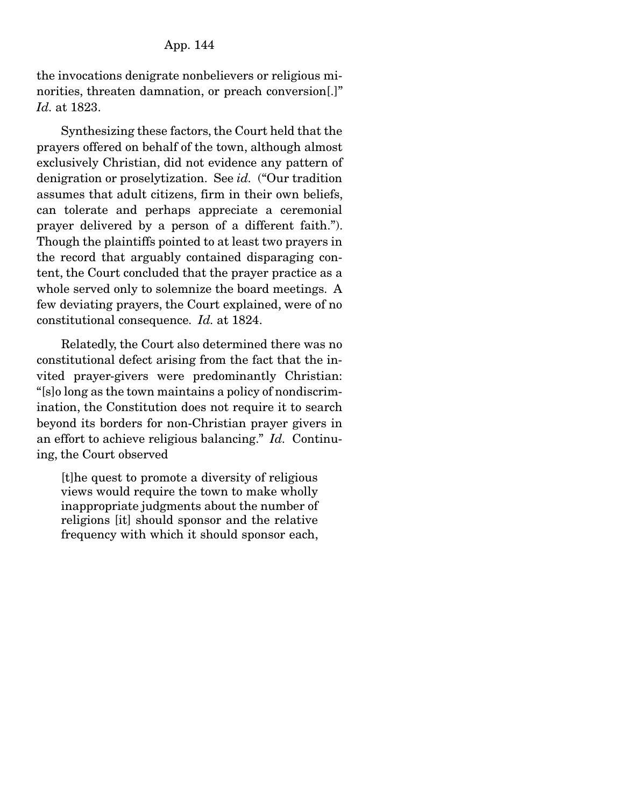the invocations denigrate nonbelievers or religious minorities, threaten damnation, or preach conversion.]" *Id.* at 1823.

 Synthesizing these factors, the Court held that the prayers offered on behalf of the town, although almost exclusively Christian, did not evidence any pattern of denigration or proselytization. See *id.* ("Our tradition assumes that adult citizens, firm in their own beliefs, can tolerate and perhaps appreciate a ceremonial prayer delivered by a person of a different faith."). Though the plaintiffs pointed to at least two prayers in the record that arguably contained disparaging content, the Court concluded that the prayer practice as a whole served only to solemnize the board meetings. A few deviating prayers, the Court explained, were of no constitutional consequence. *Id.* at 1824.

 Relatedly, the Court also determined there was no constitutional defect arising from the fact that the invited prayer-givers were predominantly Christian: "[s]o long as the town maintains a policy of nondiscrimination, the Constitution does not require it to search beyond its borders for non-Christian prayer givers in an effort to achieve religious balancing." *Id.* Continuing, the Court observed

[t]he quest to promote a diversity of religious views would require the town to make wholly inappropriate judgments about the number of religions [it] should sponsor and the relative frequency with which it should sponsor each,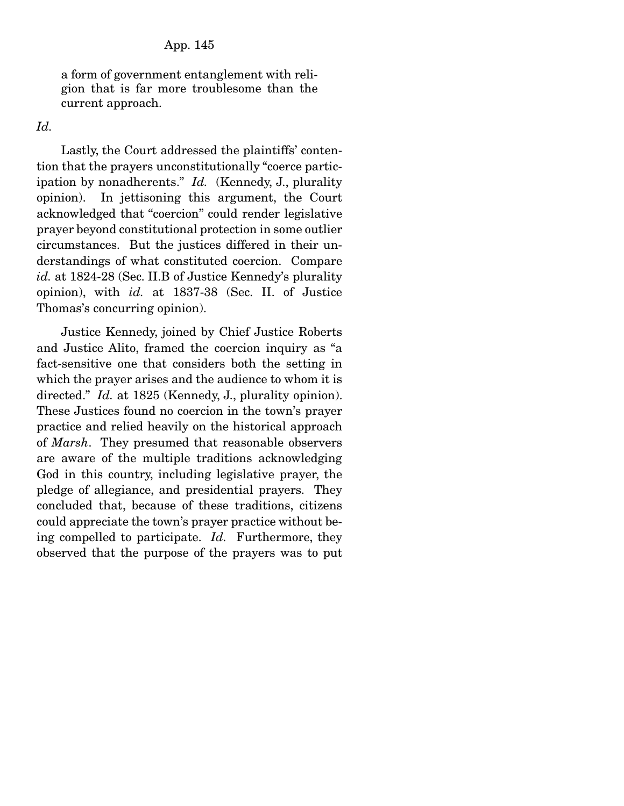a form of government entanglement with religion that is far more troublesome than the current approach.

*Id.*

 Lastly, the Court addressed the plaintiffs' contention that the prayers unconstitutionally "coerce participation by nonadherents." *Id.* (Kennedy, J., plurality opinion). In jettisoning this argument, the Court acknowledged that "coercion" could render legislative prayer beyond constitutional protection in some outlier circumstances. But the justices differed in their understandings of what constituted coercion. Compare *id.* at 1824-28 (Sec. II.B of Justice Kennedy's plurality opinion), with *id.* at 1837-38 (Sec. II. of Justice Thomas's concurring opinion).

 Justice Kennedy, joined by Chief Justice Roberts and Justice Alito, framed the coercion inquiry as "a fact-sensitive one that considers both the setting in which the prayer arises and the audience to whom it is directed." *Id.* at 1825 (Kennedy, J., plurality opinion). These Justices found no coercion in the town's prayer practice and relied heavily on the historical approach of *Marsh*. They presumed that reasonable observers are aware of the multiple traditions acknowledging God in this country, including legislative prayer, the pledge of allegiance, and presidential prayers. They concluded that, because of these traditions, citizens could appreciate the town's prayer practice without being compelled to participate. *Id.* Furthermore, they observed that the purpose of the prayers was to put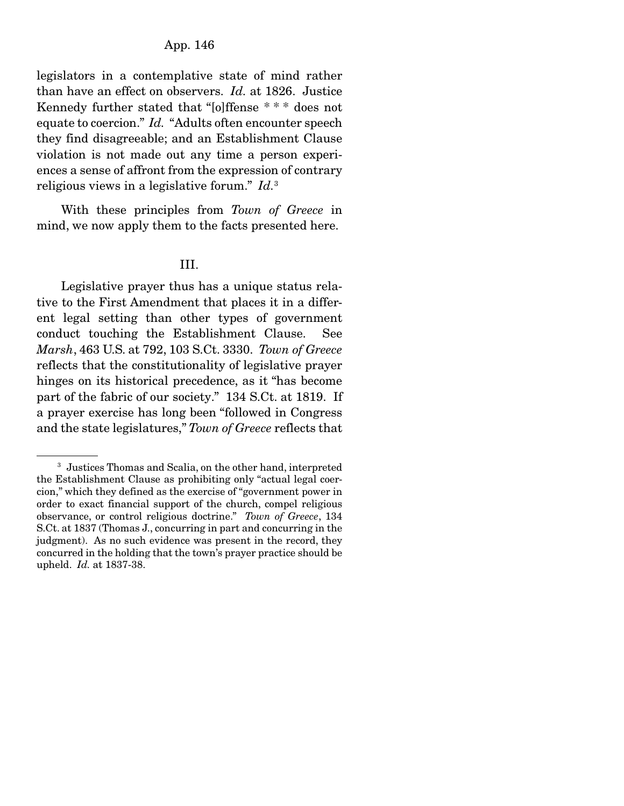## App. 146

legislators in a contemplative state of mind rather than have an effect on observers. *Id.* at 1826. Justice Kennedy further stated that "[o]ffense \* \* \* does not equate to coercion." *Id.* "Adults often encounter speech they find disagreeable; and an Establishment Clause violation is not made out any time a person experiences a sense of affront from the expression of contrary religious views in a legislative forum." *Id.*<sup>3</sup>

 With these principles from *Town of Greece* in mind, we now apply them to the facts presented here.

#### III.

 Legislative prayer thus has a unique status relative to the First Amendment that places it in a different legal setting than other types of government conduct touching the Establishment Clause. See *Marsh*, 463 U.S. at 792, 103 S.Ct. 3330. *Town of Greece* reflects that the constitutionality of legislative prayer hinges on its historical precedence, as it "has become part of the fabric of our society." 134 S.Ct. at 1819. If a prayer exercise has long been "followed in Congress and the state legislatures," *Town of Greece* reflects that

<sup>3</sup> Justices Thomas and Scalia, on the other hand, interpreted the Establishment Clause as prohibiting only "actual legal coercion," which they defined as the exercise of "government power in order to exact financial support of the church, compel religious observance, or control religious doctrine." *Town of Greece*, 134 S.Ct. at 1837 (Thomas J., concurring in part and concurring in the judgment). As no such evidence was present in the record, they concurred in the holding that the town's prayer practice should be upheld. *Id.* at 1837-38.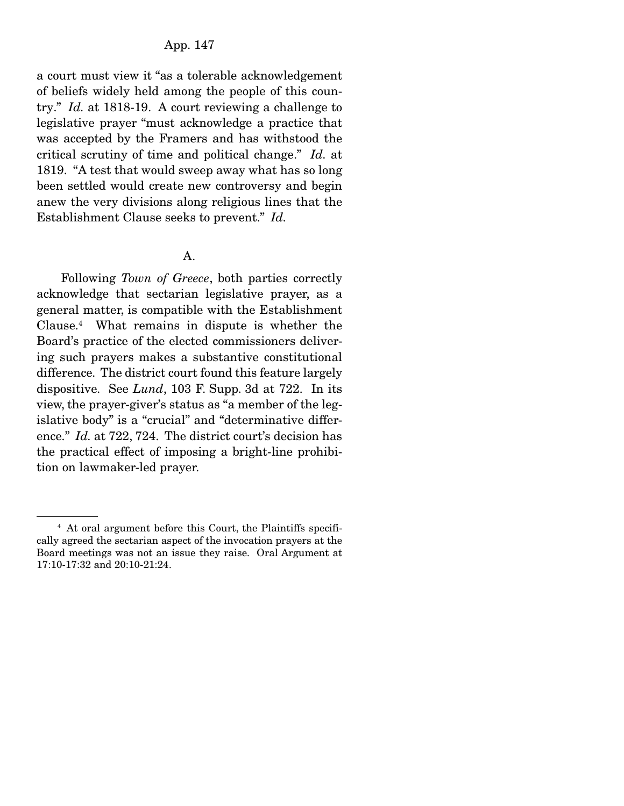# App. 147

a court must view it "as a tolerable acknowledgement of beliefs widely held among the people of this country." *Id.* at 1818-19. A court reviewing a challenge to legislative prayer "must acknowledge a practice that was accepted by the Framers and has withstood the critical scrutiny of time and political change." *Id.* at 1819. "A test that would sweep away what has so long been settled would create new controversy and begin anew the very divisions along religious lines that the Establishment Clause seeks to prevent." *Id.*

#### A.

 Following *Town of Greece*, both parties correctly acknowledge that sectarian legislative prayer, as a general matter, is compatible with the Establishment Clause.4 What remains in dispute is whether the Board's practice of the elected commissioners delivering such prayers makes a substantive constitutional difference. The district court found this feature largely dispositive. See *Lund*, 103 F. Supp. 3d at 722. In its view, the prayer-giver's status as "a member of the legislative body" is a "crucial" and "determinative difference." *Id.* at 722, 724. The district court's decision has the practical effect of imposing a bright-line prohibition on lawmaker-led prayer.

<sup>4</sup> At oral argument before this Court, the Plaintiffs specifically agreed the sectarian aspect of the invocation prayers at the Board meetings was not an issue they raise. Oral Argument at 17:10-17:32 and 20:10-21:24.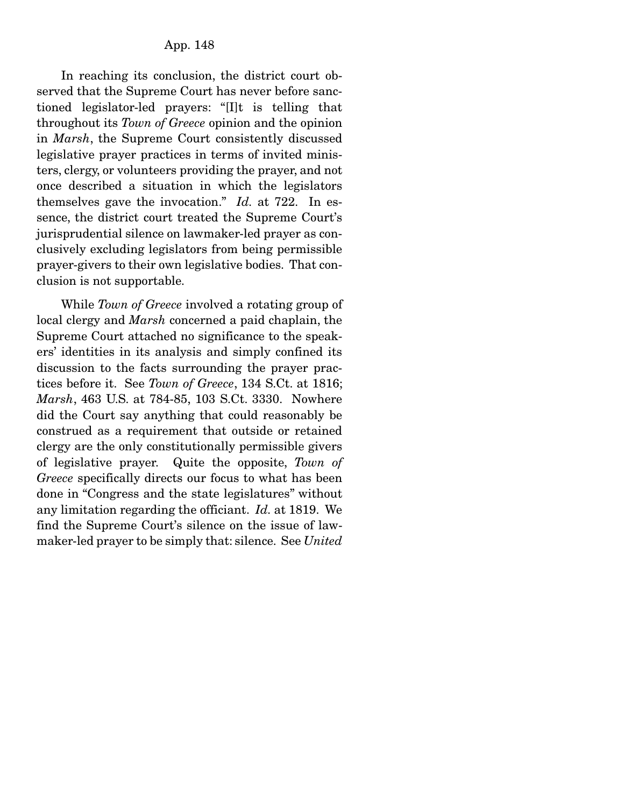In reaching its conclusion, the district court observed that the Supreme Court has never before sanctioned legislator-led prayers: "[I]t is telling that throughout its *Town of Greece* opinion and the opinion in *Marsh*, the Supreme Court consistently discussed legislative prayer practices in terms of invited ministers, clergy, or volunteers providing the prayer, and not once described a situation in which the legislators themselves gave the invocation." *Id.* at 722. In essence, the district court treated the Supreme Court's jurisprudential silence on lawmaker-led prayer as conclusively excluding legislators from being permissible prayer-givers to their own legislative bodies. That conclusion is not supportable.

 While *Town of Greece* involved a rotating group of local clergy and *Marsh* concerned a paid chaplain, the Supreme Court attached no significance to the speakers' identities in its analysis and simply confined its discussion to the facts surrounding the prayer practices before it. See *Town of Greece*, 134 S.Ct. at 1816; *Marsh*, 463 U.S. at 784-85, 103 S.Ct. 3330. Nowhere did the Court say anything that could reasonably be construed as a requirement that outside or retained clergy are the only constitutionally permissible givers of legislative prayer. Quite the opposite, *Town of Greece* specifically directs our focus to what has been done in "Congress and the state legislatures" without any limitation regarding the officiant. *Id.* at 1819. We find the Supreme Court's silence on the issue of lawmaker-led prayer to be simply that: silence. See *United*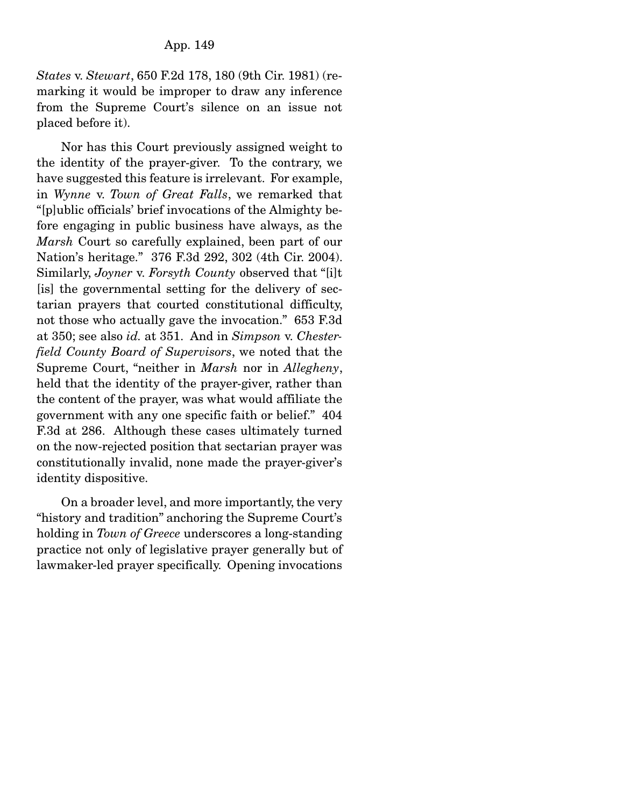*States* v. *Stewart*, 650 F.2d 178, 180 (9th Cir. 1981) (remarking it would be improper to draw any inference from the Supreme Court's silence on an issue not placed before it).

 Nor has this Court previously assigned weight to the identity of the prayer-giver. To the contrary, we have suggested this feature is irrelevant. For example, in *Wynne* v. *Town of Great Falls*, we remarked that "[p]ublic officials' brief invocations of the Almighty before engaging in public business have always, as the *Marsh* Court so carefully explained, been part of our Nation's heritage." 376 F.3d 292, 302 (4th Cir. 2004). Similarly, *Joyner* v. *Forsyth County* observed that "[i]t [is] the governmental setting for the delivery of sectarian prayers that courted constitutional difficulty, not those who actually gave the invocation." 653 F.3d at 350; see also *id.* at 351. And in *Simpson* v. *Chesterfield County Board of Supervisors*, we noted that the Supreme Court, "neither in *Marsh* nor in *Allegheny*, held that the identity of the prayer-giver, rather than the content of the prayer, was what would affiliate the government with any one specific faith or belief." 404 F.3d at 286. Although these cases ultimately turned on the now-rejected position that sectarian prayer was constitutionally invalid, none made the prayer-giver's identity dispositive.

 On a broader level, and more importantly, the very "history and tradition" anchoring the Supreme Court's holding in *Town of Greece* underscores a long-standing practice not only of legislative prayer generally but of lawmaker-led prayer specifically. Opening invocations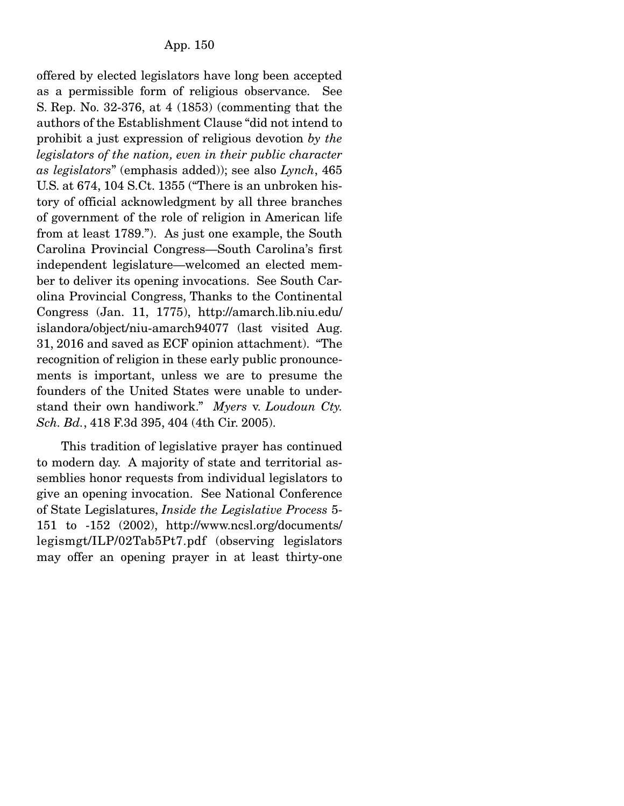offered by elected legislators have long been accepted as a permissible form of religious observance. See S. Rep. No. 32-376, at 4 (1853) (commenting that the authors of the Establishment Clause "did not intend to prohibit a just expression of religious devotion *by the legislators of the nation, even in their public character as legislators*" (emphasis added)); see also *Lynch*, 465 U.S. at 674, 104 S.Ct. 1355 ("There is an unbroken history of official acknowledgment by all three branches of government of the role of religion in American life from at least 1789."). As just one example, the South Carolina Provincial Congress—South Carolina's first independent legislature—welcomed an elected member to deliver its opening invocations. See South Carolina Provincial Congress, Thanks to the Continental Congress (Jan. 11, 1775), http://amarch.lib.niu.edu/ islandora/object/niu-amarch94077 (last visited Aug. 31, 2016 and saved as ECF opinion attachment). "The recognition of religion in these early public pronouncements is important, unless we are to presume the founders of the United States were unable to understand their own handiwork." *Myers* v. *Loudoun Cty. Sch. Bd.*, 418 F.3d 395, 404 (4th Cir. 2005).

 This tradition of legislative prayer has continued to modern day. A majority of state and territorial assemblies honor requests from individual legislators to give an opening invocation. See National Conference of State Legislatures, *Inside the Legislative Process* 5- 151 to -152 (2002), http://www.ncsl.org/documents/ legismgt/ILP/02Tab5Pt7.pdf (observing legislators may offer an opening prayer in at least thirty-one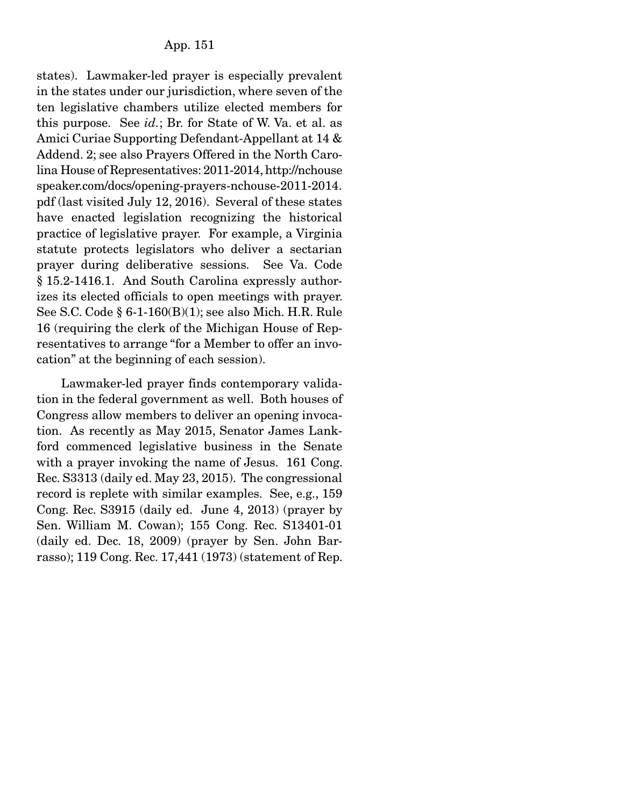states). Lawmaker-led prayer is especially prevalent in the states under our jurisdiction, where seven of the ten legislative chambers utilize elected members for this purpose. See *id.*; Br. for State of W. Va. et al. as Amici Curiae Supporting Defendant-Appellant at 14 & Addend. 2; see also Prayers Offered in the North Carolina House of Representatives: 2011-2014, http://nchouse speaker.com/docs/opening-prayers-nchouse-2011-2014. pdf (last visited July 12, 2016). Several of these states have enacted legislation recognizing the historical practice of legislative prayer. For example, a Virginia statute protects legislators who deliver a sectarian prayer during deliberative sessions. See Va. Code § 15.2-1416.1. And South Carolina expressly authorizes its elected officials to open meetings with prayer. See S.C. Code § 6-1-160(B)(1); see also Mich. H.R. Rule 16 (requiring the clerk of the Michigan House of Representatives to arrange "for a Member to offer an invocation" at the beginning of each session).

 Lawmaker-led prayer finds contemporary validation in the federal government as well. Both houses of Congress allow members to deliver an opening invocation. As recently as May 2015, Senator James Lankford commenced legislative business in the Senate with a prayer invoking the name of Jesus. 161 Cong. Rec. S3313 (daily ed. May 23, 2015). The congressional record is replete with similar examples. See, e.g., 159 Cong. Rec. S3915 (daily ed. June 4, 2013) (prayer by Sen. William M. Cowan); 155 Cong. Rec. S13401-01 (daily ed. Dec. 18, 2009) (prayer by Sen. John Barrasso); 119 Cong. Rec. 17,441 (1973) (statement of Rep.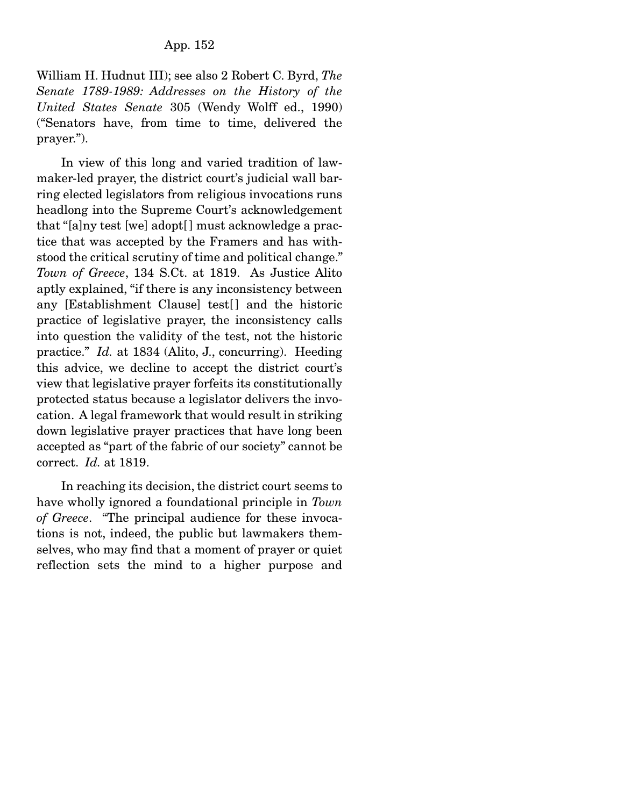William H. Hudnut III); see also 2 Robert C. Byrd, *The Senate 1789-1989: Addresses on the History of the United States Senate* 305 (Wendy Wolff ed., 1990) ("Senators have, from time to time, delivered the prayer.").

 In view of this long and varied tradition of lawmaker-led prayer, the district court's judicial wall barring elected legislators from religious invocations runs headlong into the Supreme Court's acknowledgement that "[a]ny test [we] adopt[ ] must acknowledge a practice that was accepted by the Framers and has withstood the critical scrutiny of time and political change." *Town of Greece*, 134 S.Ct. at 1819. As Justice Alito aptly explained, "if there is any inconsistency between any [Establishment Clause] test[] and the historic practice of legislative prayer, the inconsistency calls into question the validity of the test, not the historic practice." *Id.* at 1834 (Alito, J., concurring). Heeding this advice, we decline to accept the district court's view that legislative prayer forfeits its constitutionally protected status because a legislator delivers the invocation. A legal framework that would result in striking down legislative prayer practices that have long been accepted as "part of the fabric of our society" cannot be correct. *Id.* at 1819.

 In reaching its decision, the district court seems to have wholly ignored a foundational principle in *Town of Greece*. "The principal audience for these invocations is not, indeed, the public but lawmakers themselves, who may find that a moment of prayer or quiet reflection sets the mind to a higher purpose and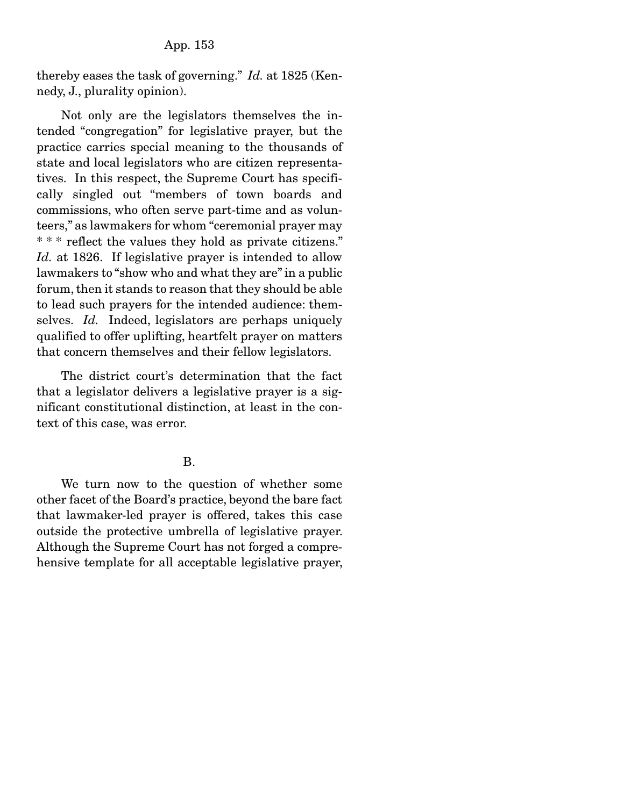App. 153

thereby eases the task of governing." *Id.* at 1825 (Kennedy, J., plurality opinion).

 Not only are the legislators themselves the intended "congregation" for legislative prayer, but the practice carries special meaning to the thousands of state and local legislators who are citizen representatives. In this respect, the Supreme Court has specifically singled out "members of town boards and commissions, who often serve part-time and as volunteers," as lawmakers for whom "ceremonial prayer may \* \* \* reflect the values they hold as private citizens." *Id.* at 1826. If legislative prayer is intended to allow lawmakers to "show who and what they are" in a public forum, then it stands to reason that they should be able to lead such prayers for the intended audience: themselves. *Id.* Indeed, legislators are perhaps uniquely qualified to offer uplifting, heartfelt prayer on matters that concern themselves and their fellow legislators.

 The district court's determination that the fact that a legislator delivers a legislative prayer is a significant constitutional distinction, at least in the context of this case, was error.

### B.

 We turn now to the question of whether some other facet of the Board's practice, beyond the bare fact that lawmaker-led prayer is offered, takes this case outside the protective umbrella of legislative prayer. Although the Supreme Court has not forged a comprehensive template for all acceptable legislative prayer,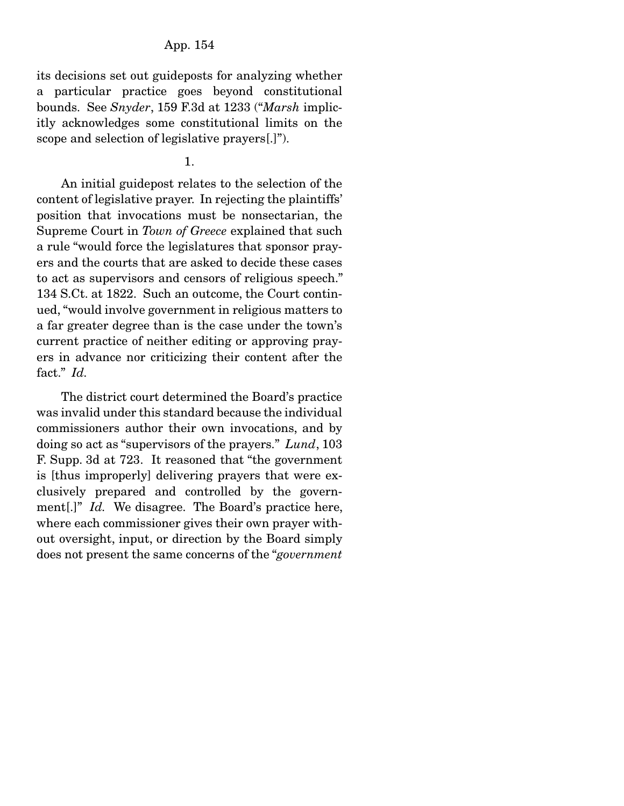## App. 154

its decisions set out guideposts for analyzing whether a particular practice goes beyond constitutional bounds. See *Snyder*, 159 F.3d at 1233 ("*Marsh* implicitly acknowledges some constitutional limits on the scope and selection of legislative prayers[.]").

### 1.

 An initial guidepost relates to the selection of the content of legislative prayer. In rejecting the plaintiffs' position that invocations must be nonsectarian, the Supreme Court in *Town of Greece* explained that such a rule "would force the legislatures that sponsor prayers and the courts that are asked to decide these cases to act as supervisors and censors of religious speech." 134 S.Ct. at 1822. Such an outcome, the Court continued, "would involve government in religious matters to a far greater degree than is the case under the town's current practice of neither editing or approving prayers in advance nor criticizing their content after the fact." *Id.*

 The district court determined the Board's practice was invalid under this standard because the individual commissioners author their own invocations, and by doing so act as "supervisors of the prayers." *Lund*, 103 F. Supp. 3d at 723. It reasoned that "the government is [thus improperly] delivering prayers that were exclusively prepared and controlled by the government<sup>[1]</sup>" *Id.* We disagree. The Board's practice here, where each commissioner gives their own prayer without oversight, input, or direction by the Board simply does not present the same concerns of the "*government*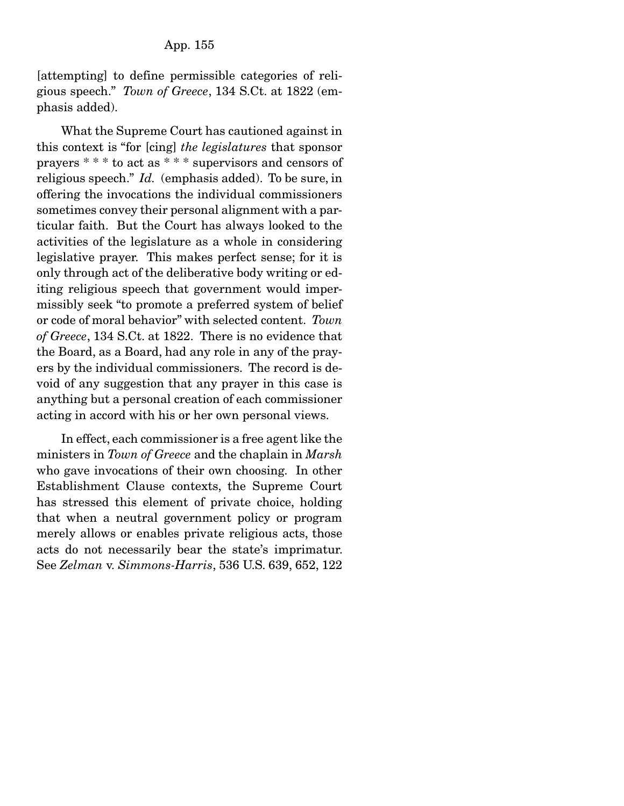[attempting] to define permissible categories of religious speech." *Town of Greece*, 134 S.Ct. at 1822 (emphasis added).

 What the Supreme Court has cautioned against in this context is "for [cing] *the legislatures* that sponsor prayers \* \* \* to act as \* \* \* supervisors and censors of religious speech." *Id.* (emphasis added). To be sure, in offering the invocations the individual commissioners sometimes convey their personal alignment with a particular faith. But the Court has always looked to the activities of the legislature as a whole in considering legislative prayer. This makes perfect sense; for it is only through act of the deliberative body writing or editing religious speech that government would impermissibly seek "to promote a preferred system of belief or code of moral behavior" with selected content. *Town of Greece*, 134 S.Ct. at 1822. There is no evidence that the Board, as a Board, had any role in any of the prayers by the individual commissioners. The record is devoid of any suggestion that any prayer in this case is anything but a personal creation of each commissioner acting in accord with his or her own personal views.

 In effect, each commissioner is a free agent like the ministers in *Town of Greece* and the chaplain in *Marsh* who gave invocations of their own choosing. In other Establishment Clause contexts, the Supreme Court has stressed this element of private choice, holding that when a neutral government policy or program merely allows or enables private religious acts, those acts do not necessarily bear the state's imprimatur. See *Zelman* v. *Simmons-Harris*, 536 U.S. 639, 652, 122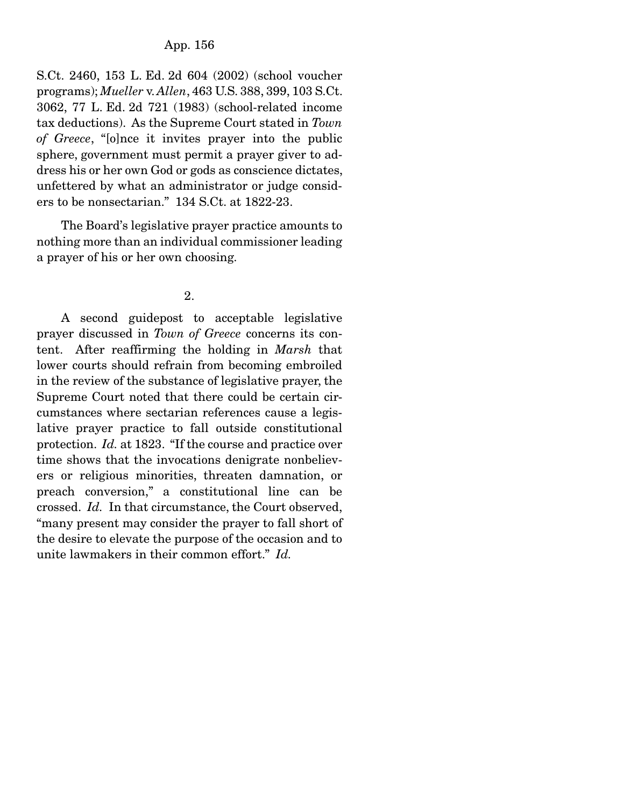S.Ct. 2460, 153 L. Ed. 2d 604 (2002) (school voucher programs); *Mueller* v. *Allen*, 463 U.S. 388, 399, 103 S.Ct. 3062, 77 L. Ed. 2d 721 (1983) (school-related income tax deductions). As the Supreme Court stated in *Town of Greece*, "[o]nce it invites prayer into the public sphere, government must permit a prayer giver to address his or her own God or gods as conscience dictates, unfettered by what an administrator or judge considers to be nonsectarian." 134 S.Ct. at 1822-23.

 The Board's legislative prayer practice amounts to nothing more than an individual commissioner leading a prayer of his or her own choosing.

# 2.

 A second guidepost to acceptable legislative prayer discussed in *Town of Greece* concerns its content. After reaffirming the holding in *Marsh* that lower courts should refrain from becoming embroiled in the review of the substance of legislative prayer, the Supreme Court noted that there could be certain circumstances where sectarian references cause a legislative prayer practice to fall outside constitutional protection. *Id.* at 1823. "If the course and practice over time shows that the invocations denigrate nonbelievers or religious minorities, threaten damnation, or preach conversion," a constitutional line can be crossed. *Id.* In that circumstance, the Court observed, "many present may consider the prayer to fall short of the desire to elevate the purpose of the occasion and to unite lawmakers in their common effort." *Id.*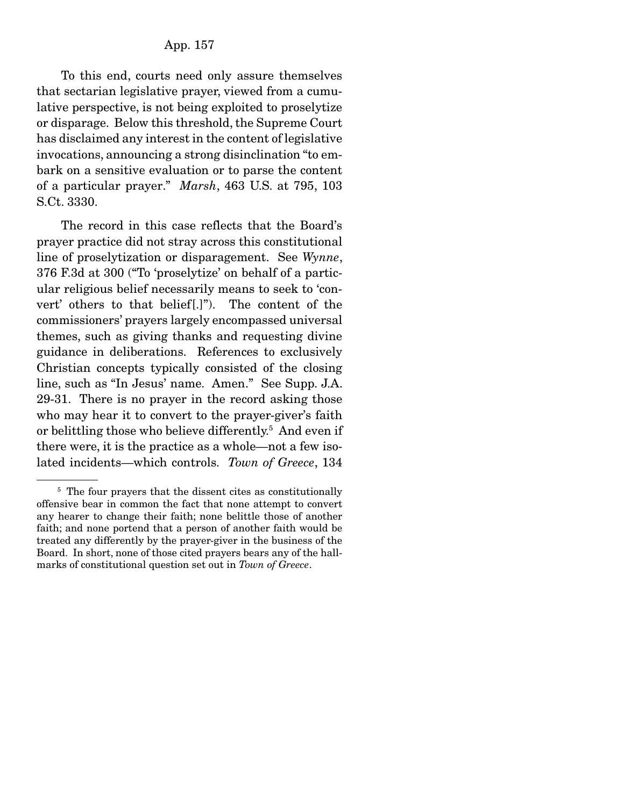To this end, courts need only assure themselves that sectarian legislative prayer, viewed from a cumulative perspective, is not being exploited to proselytize or disparage. Below this threshold, the Supreme Court has disclaimed any interest in the content of legislative invocations, announcing a strong disinclination "to embark on a sensitive evaluation or to parse the content of a particular prayer." *Marsh*, 463 U.S. at 795, 103 S.Ct. 3330.

 The record in this case reflects that the Board's prayer practice did not stray across this constitutional line of proselytization or disparagement. See *Wynne*, 376 F.3d at 300 ("To 'proselytize' on behalf of a particular religious belief necessarily means to seek to 'convert' others to that belief[.]"). The content of the commissioners' prayers largely encompassed universal themes, such as giving thanks and requesting divine guidance in deliberations. References to exclusively Christian concepts typically consisted of the closing line, such as "In Jesus' name. Amen." See Supp. J.A. 29-31. There is no prayer in the record asking those who may hear it to convert to the prayer-giver's faith or belittling those who believe differently.<sup>5</sup> And even if there were, it is the practice as a whole—not a few isolated incidents—which controls. *Town of Greece*, 134

<sup>&</sup>lt;sup>5</sup> The four prayers that the dissent cites as constitutionally offensive bear in common the fact that none attempt to convert any hearer to change their faith; none belittle those of another faith; and none portend that a person of another faith would be treated any differently by the prayer-giver in the business of the Board. In short, none of those cited prayers bears any of the hallmarks of constitutional question set out in *Town of Greece*.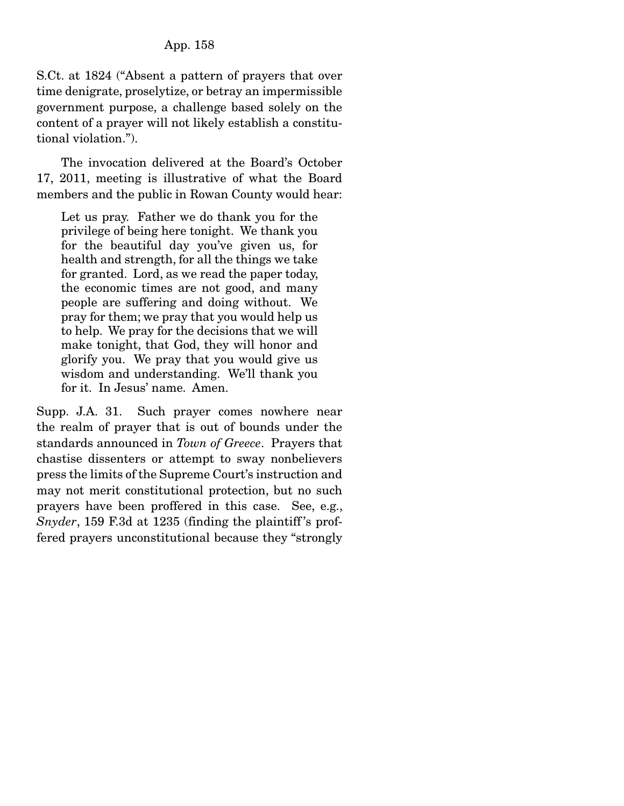S.Ct. at 1824 ("Absent a pattern of prayers that over time denigrate, proselytize, or betray an impermissible government purpose, a challenge based solely on the content of a prayer will not likely establish a constitutional violation.").

 The invocation delivered at the Board's October 17, 2011, meeting is illustrative of what the Board members and the public in Rowan County would hear:

Let us pray. Father we do thank you for the privilege of being here tonight. We thank you for the beautiful day you've given us, for health and strength, for all the things we take for granted. Lord, as we read the paper today, the economic times are not good, and many people are suffering and doing without. We pray for them; we pray that you would help us to help. We pray for the decisions that we will make tonight, that God, they will honor and glorify you. We pray that you would give us wisdom and understanding. We'll thank you for it. In Jesus' name. Amen.

Supp. J.A. 31. Such prayer comes nowhere near the realm of prayer that is out of bounds under the standards announced in *Town of Greece*. Prayers that chastise dissenters or attempt to sway nonbelievers press the limits of the Supreme Court's instruction and may not merit constitutional protection, but no such prayers have been proffered in this case. See, e.g., *Snyder*, 159 F.3d at 1235 (finding the plaintiff's proffered prayers unconstitutional because they "strongly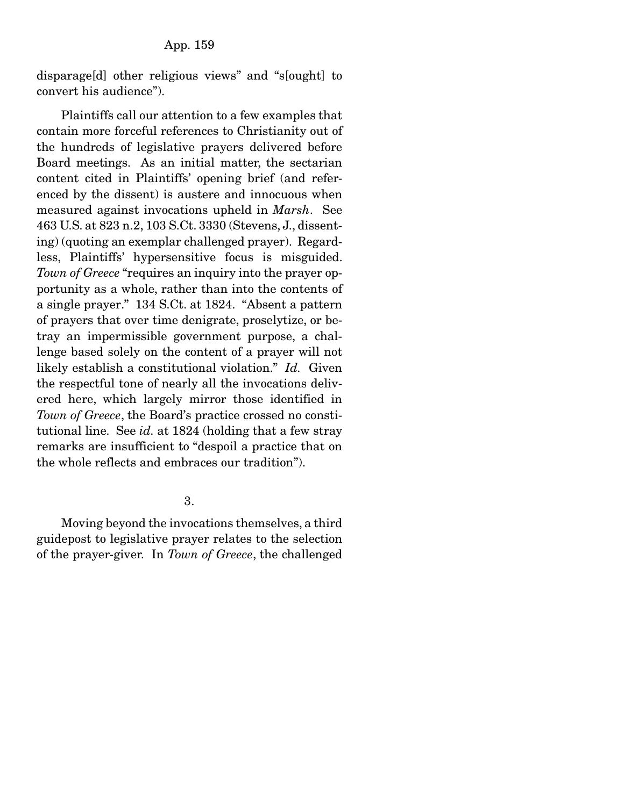disparage[d] other religious views" and "s[ought] to convert his audience").

 Plaintiffs call our attention to a few examples that contain more forceful references to Christianity out of the hundreds of legislative prayers delivered before Board meetings. As an initial matter, the sectarian content cited in Plaintiffs' opening brief (and referenced by the dissent) is austere and innocuous when measured against invocations upheld in *Marsh*. See 463 U.S. at 823 n.2, 103 S.Ct. 3330 (Stevens, J., dissenting) (quoting an exemplar challenged prayer). Regardless, Plaintiffs' hypersensitive focus is misguided. *Town of Greece* "requires an inquiry into the prayer opportunity as a whole, rather than into the contents of a single prayer." 134 S.Ct. at 1824. "Absent a pattern of prayers that over time denigrate, proselytize, or betray an impermissible government purpose, a challenge based solely on the content of a prayer will not likely establish a constitutional violation." *Id.* Given the respectful tone of nearly all the invocations delivered here, which largely mirror those identified in *Town of Greece*, the Board's practice crossed no constitutional line. See *id.* at 1824 (holding that a few stray remarks are insufficient to "despoil a practice that on the whole reflects and embraces our tradition").

3.

 Moving beyond the invocations themselves, a third guidepost to legislative prayer relates to the selection of the prayer-giver. In *Town of Greece*, the challenged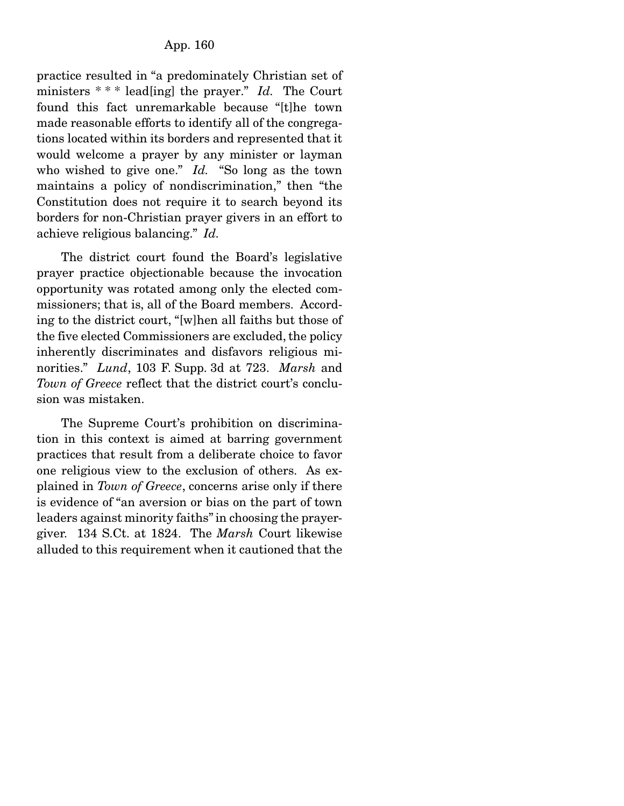practice resulted in "a predominately Christian set of ministers \* \* \* lead[ing] the prayer." *Id.* The Court found this fact unremarkable because "[t]he town made reasonable efforts to identify all of the congregations located within its borders and represented that it would welcome a prayer by any minister or layman who wished to give one." *Id.* "So long as the town maintains a policy of nondiscrimination," then "the Constitution does not require it to search beyond its borders for non-Christian prayer givers in an effort to achieve religious balancing." *Id.*

 The district court found the Board's legislative prayer practice objectionable because the invocation opportunity was rotated among only the elected commissioners; that is, all of the Board members. According to the district court, "[w]hen all faiths but those of the five elected Commissioners are excluded, the policy inherently discriminates and disfavors religious minorities." *Lund*, 103 F. Supp. 3d at 723. *Marsh* and *Town of Greece* reflect that the district court's conclusion was mistaken.

 The Supreme Court's prohibition on discrimination in this context is aimed at barring government practices that result from a deliberate choice to favor one religious view to the exclusion of others. As explained in *Town of Greece*, concerns arise only if there is evidence of "an aversion or bias on the part of town leaders against minority faiths" in choosing the prayergiver. 134 S.Ct. at 1824. The *Marsh* Court likewise alluded to this requirement when it cautioned that the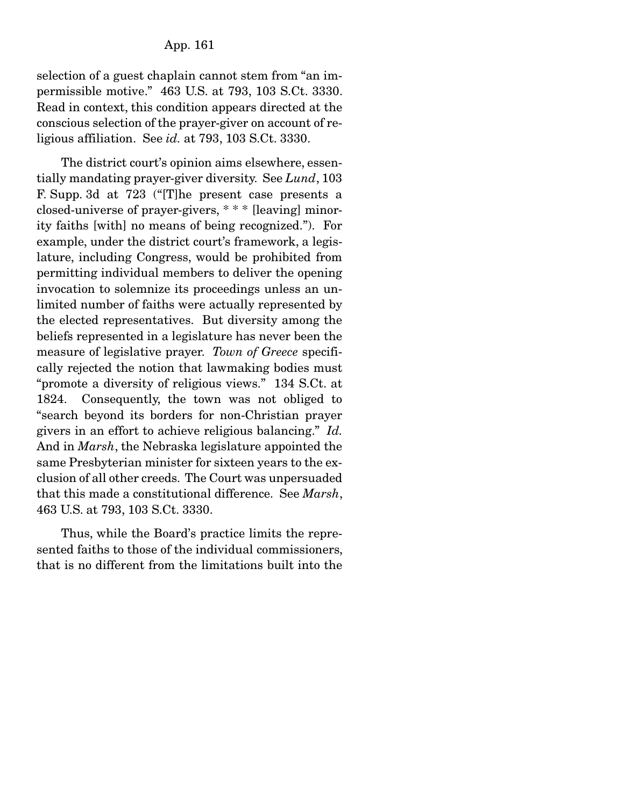selection of a guest chaplain cannot stem from "an impermissible motive." 463 U.S. at 793, 103 S.Ct. 3330. Read in context, this condition appears directed at the conscious selection of the prayer-giver on account of religious affiliation. See *id.* at 793, 103 S.Ct. 3330.

 The district court's opinion aims elsewhere, essentially mandating prayer-giver diversity. See *Lund*, 103 F. Supp. 3d at 723 ("[T]he present case presents a closed-universe of prayer-givers, \* \* \* [leaving] minority faiths [with] no means of being recognized."). For example, under the district court's framework, a legislature, including Congress, would be prohibited from permitting individual members to deliver the opening invocation to solemnize its proceedings unless an unlimited number of faiths were actually represented by the elected representatives. But diversity among the beliefs represented in a legislature has never been the measure of legislative prayer. *Town of Greece* specifically rejected the notion that lawmaking bodies must "promote a diversity of religious views." 134 S.Ct. at 1824. Consequently, the town was not obliged to "search beyond its borders for non-Christian prayer givers in an effort to achieve religious balancing." *Id.*  And in *Marsh*, the Nebraska legislature appointed the same Presbyterian minister for sixteen years to the exclusion of all other creeds. The Court was unpersuaded that this made a constitutional difference. See *Marsh*, 463 U.S. at 793, 103 S.Ct. 3330.

 Thus, while the Board's practice limits the represented faiths to those of the individual commissioners, that is no different from the limitations built into the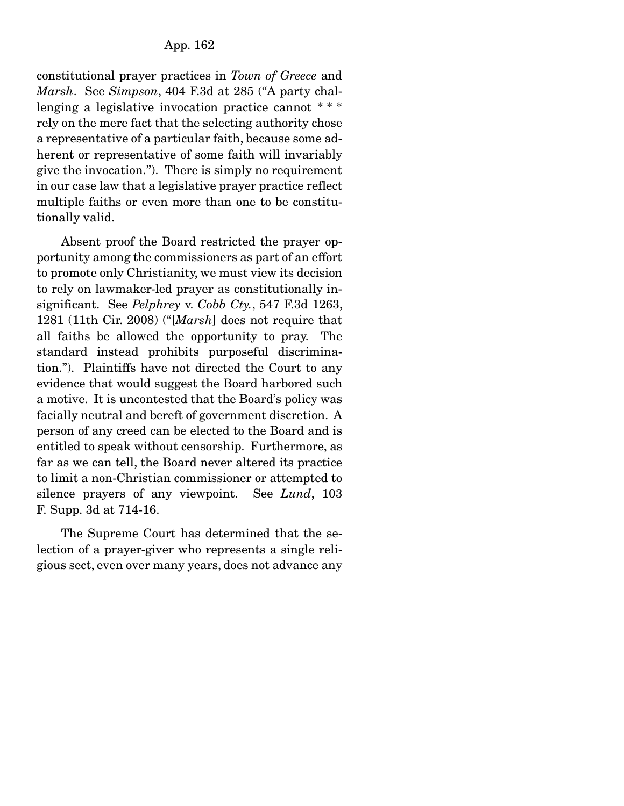constitutional prayer practices in *Town of Greece* and *Marsh*. See *Simpson*, 404 F.3d at 285 ("A party challenging a legislative invocation practice cannot \*\*\* rely on the mere fact that the selecting authority chose a representative of a particular faith, because some adherent or representative of some faith will invariably give the invocation."). There is simply no requirement in our case law that a legislative prayer practice reflect multiple faiths or even more than one to be constitutionally valid.

 Absent proof the Board restricted the prayer opportunity among the commissioners as part of an effort to promote only Christianity, we must view its decision to rely on lawmaker-led prayer as constitutionally insignificant. See *Pelphrey* v. *Cobb Cty.*, 547 F.3d 1263, 1281 (11th Cir. 2008) ("[*Marsh*] does not require that all faiths be allowed the opportunity to pray. The standard instead prohibits purposeful discrimination."). Plaintiffs have not directed the Court to any evidence that would suggest the Board harbored such a motive. It is uncontested that the Board's policy was facially neutral and bereft of government discretion. A person of any creed can be elected to the Board and is entitled to speak without censorship. Furthermore, as far as we can tell, the Board never altered its practice to limit a non-Christian commissioner or attempted to silence prayers of any viewpoint. See *Lund*, 103 F. Supp. 3d at 714-16.

 The Supreme Court has determined that the selection of a prayer-giver who represents a single religious sect, even over many years, does not advance any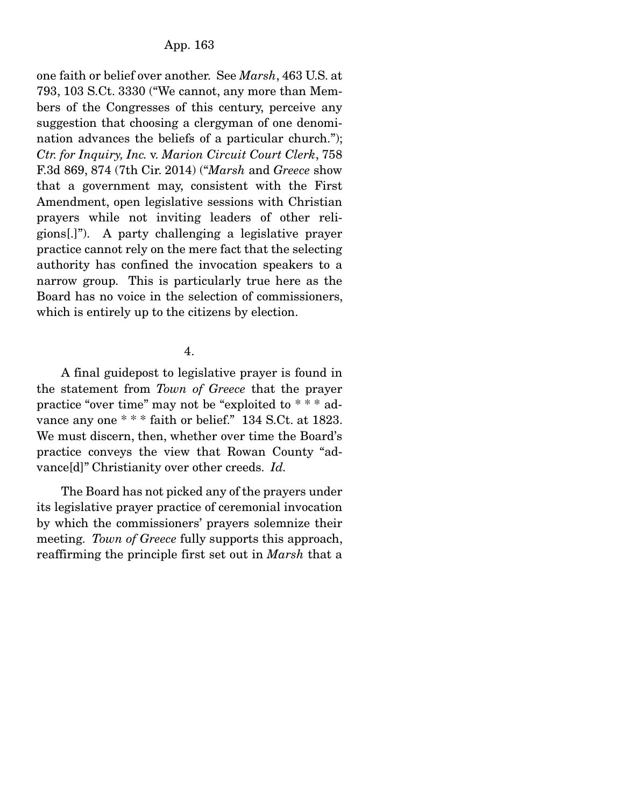one faith or belief over another. See *Marsh*, 463 U.S. at 793, 103 S.Ct. 3330 ("We cannot, any more than Members of the Congresses of this century, perceive any suggestion that choosing a clergyman of one denomination advances the beliefs of a particular church."); *Ctr. for Inquiry, Inc.* v. *Marion Circuit Court Clerk*, 758 F.3d 869, 874 (7th Cir. 2014) ("*Marsh* and *Greece* show that a government may, consistent with the First Amendment, open legislative sessions with Christian prayers while not inviting leaders of other religions[.]"). A party challenging a legislative prayer practice cannot rely on the mere fact that the selecting authority has confined the invocation speakers to a narrow group. This is particularly true here as the Board has no voice in the selection of commissioners, which is entirely up to the citizens by election.

# 4.

 A final guidepost to legislative prayer is found in the statement from *Town of Greece* that the prayer practice "over time" may not be "exploited to \* \* \* advance any one \*\*\* faith or belief." 134 S.Ct. at 1823. We must discern, then, whether over time the Board's practice conveys the view that Rowan County "advance[d]" Christianity over other creeds. *Id.*

 The Board has not picked any of the prayers under its legislative prayer practice of ceremonial invocation by which the commissioners' prayers solemnize their meeting. *Town of Greece* fully supports this approach, reaffirming the principle first set out in *Marsh* that a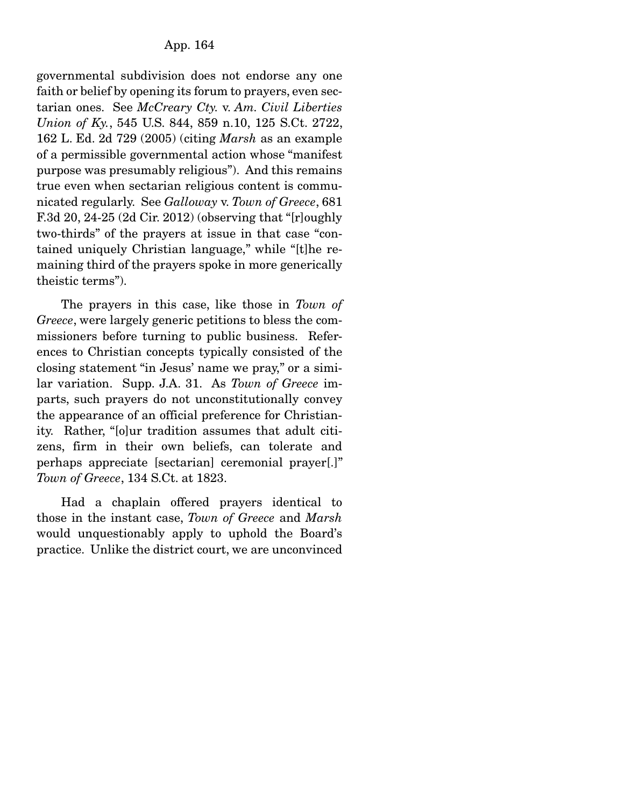governmental subdivision does not endorse any one faith or belief by opening its forum to prayers, even sectarian ones. See *McCreary Cty.* v. *Am. Civil Liberties Union of Ky.*, 545 U.S. 844, 859 n.10, 125 S.Ct. 2722, 162 L. Ed. 2d 729 (2005) (citing *Marsh* as an example of a permissible governmental action whose "manifest purpose was presumably religious"). And this remains true even when sectarian religious content is communicated regularly. See *Galloway* v. *Town of Greece*, 681 F.3d 20, 24-25 (2d Cir. 2012) (observing that "[r]oughly two-thirds" of the prayers at issue in that case "contained uniquely Christian language," while "[t]he remaining third of the prayers spoke in more generically theistic terms").

 The prayers in this case, like those in *Town of Greece*, were largely generic petitions to bless the commissioners before turning to public business. References to Christian concepts typically consisted of the closing statement "in Jesus' name we pray," or a similar variation. Supp. J.A. 31. As *Town of Greece* imparts, such prayers do not unconstitutionally convey the appearance of an official preference for Christianity. Rather, "[o]ur tradition assumes that adult citizens, firm in their own beliefs, can tolerate and perhaps appreciate [sectarian] ceremonial prayer[.]" *Town of Greece*, 134 S.Ct. at 1823.

 Had a chaplain offered prayers identical to those in the instant case, *Town of Greece* and *Marsh* would unquestionably apply to uphold the Board's practice. Unlike the district court, we are unconvinced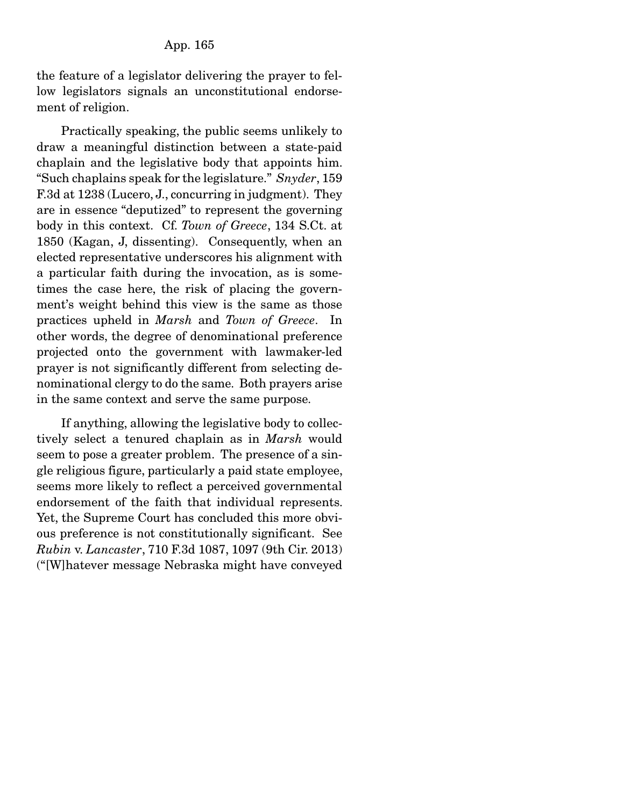the feature of a legislator delivering the prayer to fellow legislators signals an unconstitutional endorsement of religion.

 Practically speaking, the public seems unlikely to draw a meaningful distinction between a state-paid chaplain and the legislative body that appoints him. "Such chaplains speak for the legislature." *Snyder*, 159 F.3d at 1238 (Lucero, J., concurring in judgment). They are in essence "deputized" to represent the governing body in this context. Cf. *Town of Greece*, 134 S.Ct. at 1850 (Kagan, J, dissenting). Consequently, when an elected representative underscores his alignment with a particular faith during the invocation, as is sometimes the case here, the risk of placing the government's weight behind this view is the same as those practices upheld in *Marsh* and *Town of Greece*. In other words, the degree of denominational preference projected onto the government with lawmaker-led prayer is not significantly different from selecting denominational clergy to do the same. Both prayers arise in the same context and serve the same purpose.

 If anything, allowing the legislative body to collectively select a tenured chaplain as in *Marsh* would seem to pose a greater problem. The presence of a single religious figure, particularly a paid state employee, seems more likely to reflect a perceived governmental endorsement of the faith that individual represents. Yet, the Supreme Court has concluded this more obvious preference is not constitutionally significant. See *Rubin* v. *Lancaster*, 710 F.3d 1087, 1097 (9th Cir. 2013) ("[W]hatever message Nebraska might have conveyed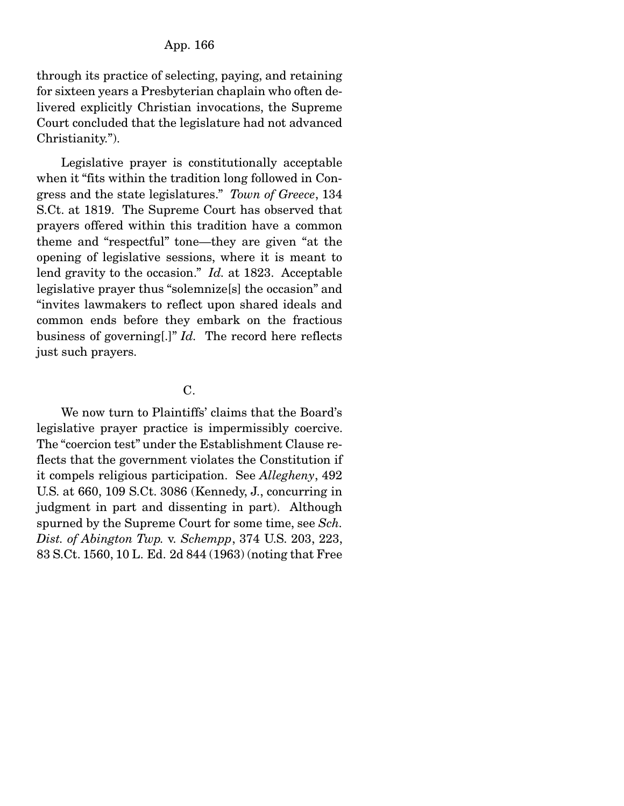through its practice of selecting, paying, and retaining for sixteen years a Presbyterian chaplain who often delivered explicitly Christian invocations, the Supreme Court concluded that the legislature had not advanced Christianity.").

 Legislative prayer is constitutionally acceptable when it "fits within the tradition long followed in Congress and the state legislatures." *Town of Greece*, 134 S.Ct. at 1819. The Supreme Court has observed that prayers offered within this tradition have a common theme and "respectful" tone—they are given "at the opening of legislative sessions, where it is meant to lend gravity to the occasion." *Id.* at 1823. Acceptable legislative prayer thus "solemnize[s] the occasion" and "invites lawmakers to reflect upon shared ideals and common ends before they embark on the fractious business of governing[.]" *Id.* The record here reflects just such prayers.

# C.

 We now turn to Plaintiffs' claims that the Board's legislative prayer practice is impermissibly coercive. The "coercion test" under the Establishment Clause reflects that the government violates the Constitution if it compels religious participation. See *Allegheny*, 492 U.S. at 660, 109 S.Ct. 3086 (Kennedy, J., concurring in judgment in part and dissenting in part). Although spurned by the Supreme Court for some time, see *Sch. Dist. of Abington Twp.* v. *Schempp*, 374 U.S. 203, 223, 83 S.Ct. 1560, 10 L. Ed. 2d 844 (1963) (noting that Free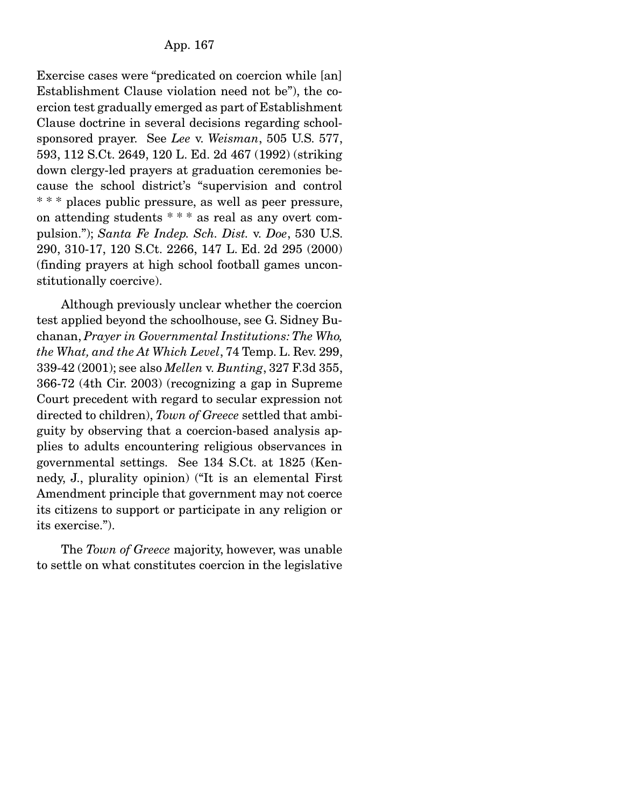Exercise cases were "predicated on coercion while [an] Establishment Clause violation need not be"), the coercion test gradually emerged as part of Establishment Clause doctrine in several decisions regarding schoolsponsored prayer. See *Lee* v. *Weisman*, 505 U.S. 577, 593, 112 S.Ct. 2649, 120 L. Ed. 2d 467 (1992) (striking down clergy-led prayers at graduation ceremonies because the school district's "supervision and control \* \* \* places public pressure, as well as peer pressure, on attending students \* \* \* as real as any overt compulsion."); *Santa Fe Indep. Sch. Dist.* v. *Doe*, 530 U.S. 290, 310-17, 120 S.Ct. 2266, 147 L. Ed. 2d 295 (2000) (finding prayers at high school football games unconstitutionally coercive).

 Although previously unclear whether the coercion test applied beyond the schoolhouse, see G. Sidney Buchanan, *Prayer in Governmental Institutions: The Who, the What, and the At Which Level*, 74 Temp. L. Rev. 299, 339-42 (2001); see also *Mellen* v. *Bunting*, 327 F.3d 355, 366-72 (4th Cir. 2003) (recognizing a gap in Supreme Court precedent with regard to secular expression not directed to children), *Town of Greece* settled that ambiguity by observing that a coercion-based analysis applies to adults encountering religious observances in governmental settings. See 134 S.Ct. at 1825 (Kennedy, J., plurality opinion) ("It is an elemental First Amendment principle that government may not coerce its citizens to support or participate in any religion or its exercise.").

 The *Town of Greece* majority, however, was unable to settle on what constitutes coercion in the legislative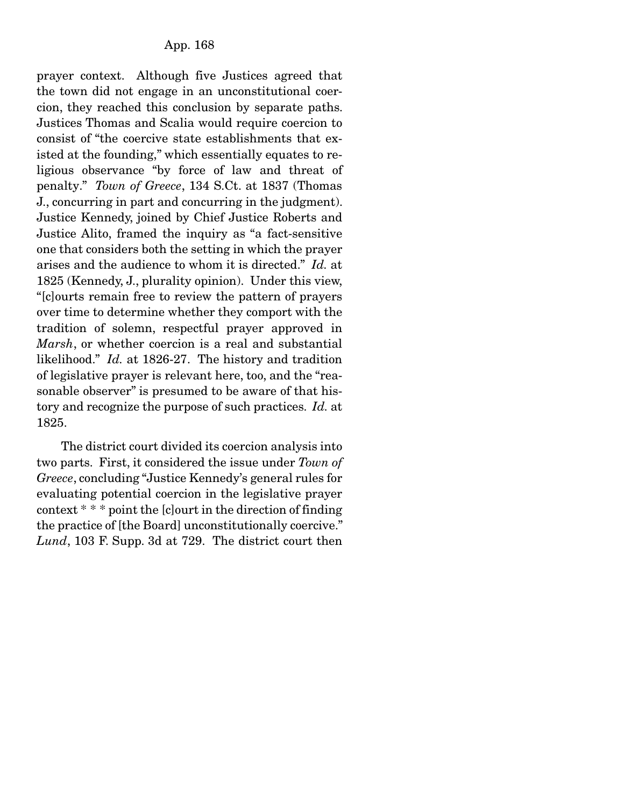prayer context. Although five Justices agreed that the town did not engage in an unconstitutional coercion, they reached this conclusion by separate paths. Justices Thomas and Scalia would require coercion to consist of "the coercive state establishments that existed at the founding," which essentially equates to religious observance "by force of law and threat of penalty." *Town of Greece*, 134 S.Ct. at 1837 (Thomas J., concurring in part and concurring in the judgment). Justice Kennedy, joined by Chief Justice Roberts and Justice Alito, framed the inquiry as "a fact-sensitive one that considers both the setting in which the prayer arises and the audience to whom it is directed." *Id.* at 1825 (Kennedy, J., plurality opinion). Under this view, "[c]ourts remain free to review the pattern of prayers over time to determine whether they comport with the tradition of solemn, respectful prayer approved in *Marsh*, or whether coercion is a real and substantial likelihood." *Id.* at 1826-27. The history and tradition of legislative prayer is relevant here, too, and the "reasonable observer" is presumed to be aware of that history and recognize the purpose of such practices. *Id.* at 1825.

 The district court divided its coercion analysis into two parts. First, it considered the issue under *Town of Greece*, concluding "Justice Kennedy's general rules for evaluating potential coercion in the legislative prayer context \* \* \* point the [c]ourt in the direction of finding the practice of [the Board] unconstitutionally coercive." *Lund*, 103 F. Supp. 3d at 729. The district court then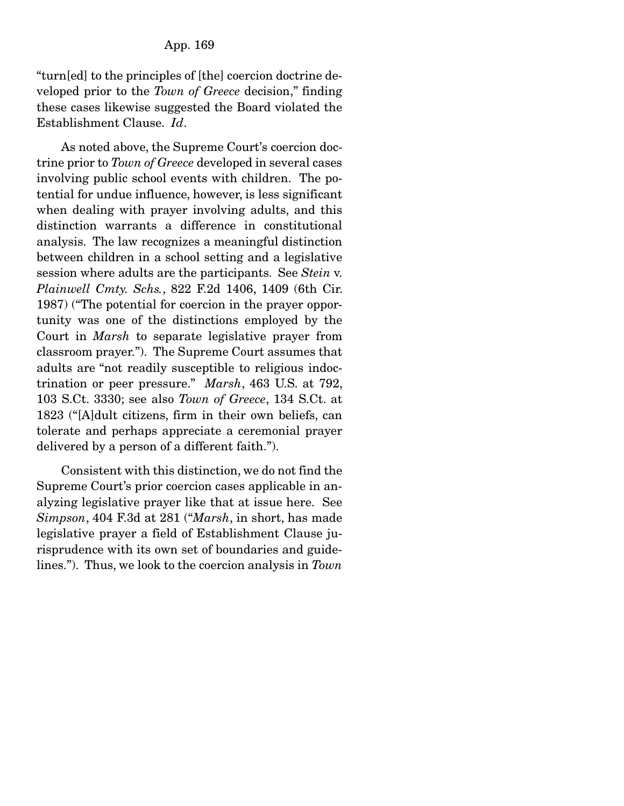"turn[ed] to the principles of [the] coercion doctrine developed prior to the *Town of Greece* decision," finding these cases likewise suggested the Board violated the Establishment Clause. *Id*.

 As noted above, the Supreme Court's coercion doctrine prior to *Town of Greece* developed in several cases involving public school events with children. The potential for undue influence, however, is less significant when dealing with prayer involving adults, and this distinction warrants a difference in constitutional analysis. The law recognizes a meaningful distinction between children in a school setting and a legislative session where adults are the participants. See *Stein* v. *Plainwell Cmty. Schs.*, 822 F.2d 1406, 1409 (6th Cir. 1987) ("The potential for coercion in the prayer opportunity was one of the distinctions employed by the Court in *Marsh* to separate legislative prayer from classroom prayer."). The Supreme Court assumes that adults are "not readily susceptible to religious indoctrination or peer pressure." *Marsh*, 463 U.S. at 792, 103 S.Ct. 3330; see also *Town of Greece*, 134 S.Ct. at 1823 ("[A]dult citizens, firm in their own beliefs, can tolerate and perhaps appreciate a ceremonial prayer delivered by a person of a different faith.").

 Consistent with this distinction, we do not find the Supreme Court's prior coercion cases applicable in analyzing legislative prayer like that at issue here. See *Simpson*, 404 F.3d at 281 ("*Marsh*, in short, has made legislative prayer a field of Establishment Clause jurisprudence with its own set of boundaries and guidelines."). Thus, we look to the coercion analysis in *Town*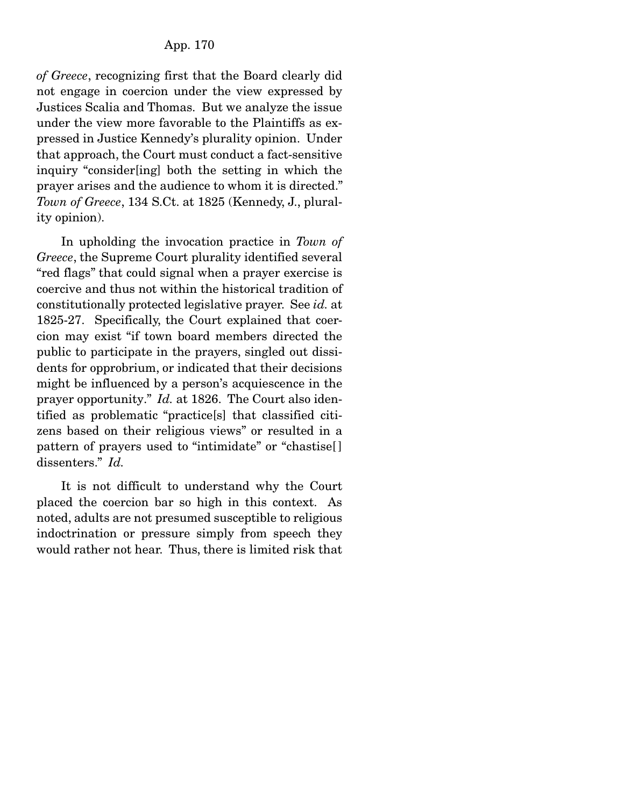*of Greece*, recognizing first that the Board clearly did not engage in coercion under the view expressed by Justices Scalia and Thomas. But we analyze the issue under the view more favorable to the Plaintiffs as expressed in Justice Kennedy's plurality opinion. Under that approach, the Court must conduct a fact-sensitive inquiry "consider[ing] both the setting in which the prayer arises and the audience to whom it is directed." *Town of Greece*, 134 S.Ct. at 1825 (Kennedy, J., plurality opinion).

 In upholding the invocation practice in *Town of Greece*, the Supreme Court plurality identified several "red flags" that could signal when a prayer exercise is coercive and thus not within the historical tradition of constitutionally protected legislative prayer. See *id.* at 1825-27. Specifically, the Court explained that coercion may exist "if town board members directed the public to participate in the prayers, singled out dissidents for opprobrium, or indicated that their decisions might be influenced by a person's acquiescence in the prayer opportunity." *Id.* at 1826. The Court also identified as problematic "practice[s] that classified citizens based on their religious views" or resulted in a pattern of prayers used to "intimidate" or "chastise[ ] dissenters." *Id.*

 It is not difficult to understand why the Court placed the coercion bar so high in this context. As noted, adults are not presumed susceptible to religious indoctrination or pressure simply from speech they would rather not hear. Thus, there is limited risk that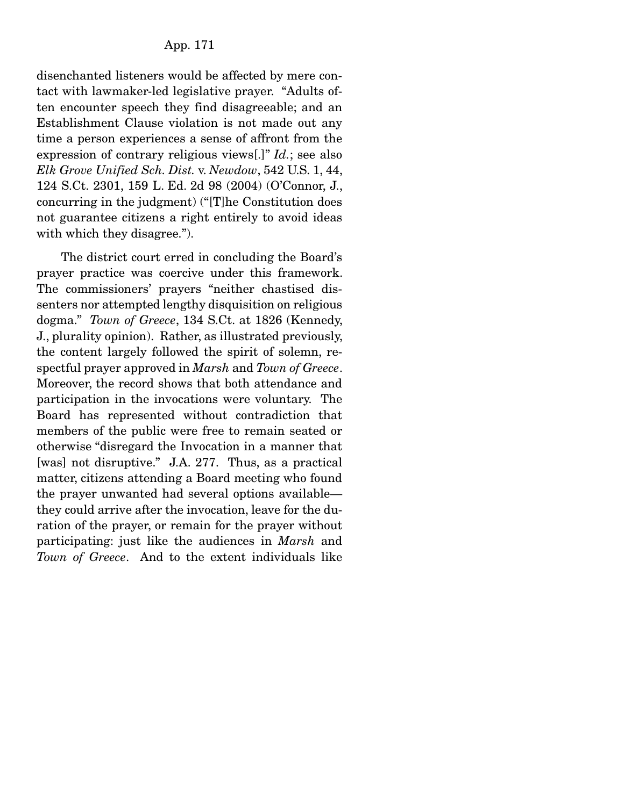disenchanted listeners would be affected by mere contact with lawmaker-led legislative prayer. "Adults often encounter speech they find disagreeable; and an Establishment Clause violation is not made out any time a person experiences a sense of affront from the expression of contrary religious views[.]" *Id.*; see also *Elk Grove Unified Sch. Dist.* v. *Newdow*, 542 U.S. 1, 44, 124 S.Ct. 2301, 159 L. Ed. 2d 98 (2004) (O'Connor, J., concurring in the judgment) ("[T]he Constitution does not guarantee citizens a right entirely to avoid ideas with which they disagree.").

 The district court erred in concluding the Board's prayer practice was coercive under this framework. The commissioners' prayers "neither chastised dissenters nor attempted lengthy disquisition on religious dogma." *Town of Greece*, 134 S.Ct. at 1826 (Kennedy, J., plurality opinion). Rather, as illustrated previously, the content largely followed the spirit of solemn, respectful prayer approved in *Marsh* and *Town of Greece*. Moreover, the record shows that both attendance and participation in the invocations were voluntary. The Board has represented without contradiction that members of the public were free to remain seated or otherwise "disregard the Invocation in a manner that [was] not disruptive." J.A. 277. Thus, as a practical matter, citizens attending a Board meeting who found the prayer unwanted had several options available they could arrive after the invocation, leave for the duration of the prayer, or remain for the prayer without participating: just like the audiences in *Marsh* and *Town of Greece*. And to the extent individuals like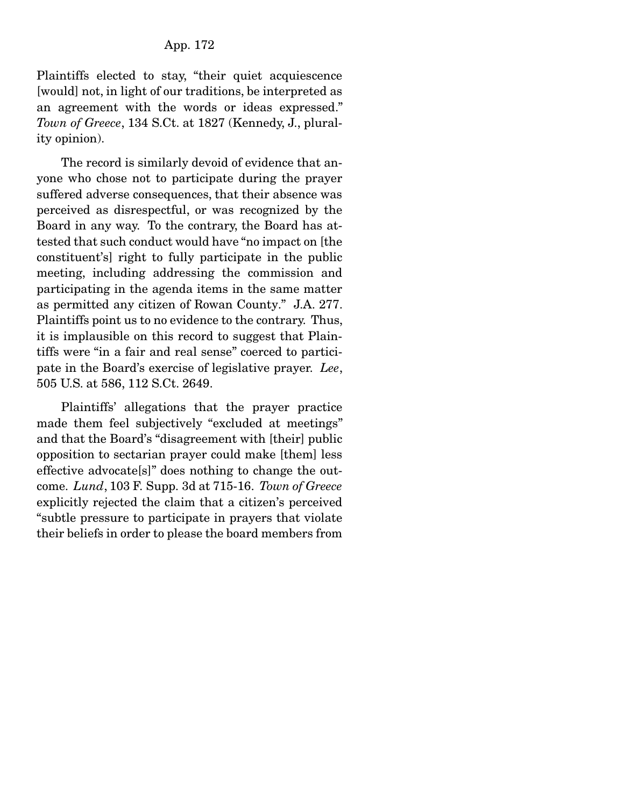Plaintiffs elected to stay, "their quiet acquiescence [would] not, in light of our traditions, be interpreted as an agreement with the words or ideas expressed." *Town of Greece*, 134 S.Ct. at 1827 (Kennedy, J., plurality opinion).

 The record is similarly devoid of evidence that anyone who chose not to participate during the prayer suffered adverse consequences, that their absence was perceived as disrespectful, or was recognized by the Board in any way. To the contrary, the Board has attested that such conduct would have "no impact on [the constituent's] right to fully participate in the public meeting, including addressing the commission and participating in the agenda items in the same matter as permitted any citizen of Rowan County." J.A. 277. Plaintiffs point us to no evidence to the contrary. Thus, it is implausible on this record to suggest that Plaintiffs were "in a fair and real sense" coerced to participate in the Board's exercise of legislative prayer. *Lee*, 505 U.S. at 586, 112 S.Ct. 2649.

 Plaintiffs' allegations that the prayer practice made them feel subjectively "excluded at meetings" and that the Board's "disagreement with [their] public opposition to sectarian prayer could make [them] less effective advocate[s]" does nothing to change the outcome. *Lund*, 103 F. Supp. 3d at 715-16. *Town of Greece* explicitly rejected the claim that a citizen's perceived "subtle pressure to participate in prayers that violate their beliefs in order to please the board members from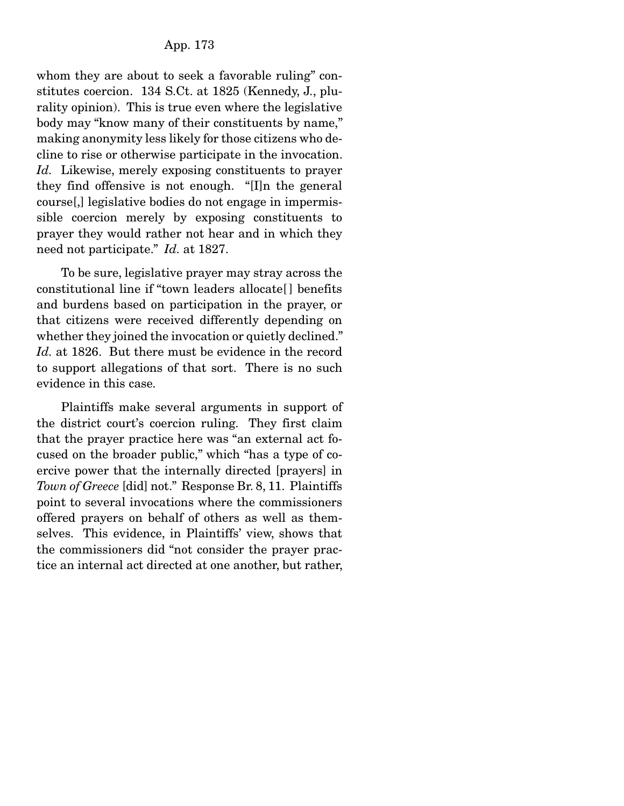whom they are about to seek a favorable ruling" constitutes coercion. 134 S.Ct. at 1825 (Kennedy, J., plurality opinion). This is true even where the legislative body may "know many of their constituents by name," making anonymity less likely for those citizens who decline to rise or otherwise participate in the invocation. *Id.* Likewise, merely exposing constituents to prayer they find offensive is not enough. "[I]n the general course[,] legislative bodies do not engage in impermissible coercion merely by exposing constituents to prayer they would rather not hear and in which they need not participate." *Id.* at 1827.

 To be sure, legislative prayer may stray across the constitutional line if "town leaders allocate[ ] benefits and burdens based on participation in the prayer, or that citizens were received differently depending on whether they joined the invocation or quietly declined." *Id.* at 1826. But there must be evidence in the record to support allegations of that sort. There is no such evidence in this case.

 Plaintiffs make several arguments in support of the district court's coercion ruling. They first claim that the prayer practice here was "an external act focused on the broader public," which "has a type of coercive power that the internally directed [prayers] in *Town of Greece* [did] not." Response Br. 8, 11. Plaintiffs point to several invocations where the commissioners offered prayers on behalf of others as well as themselves. This evidence, in Plaintiffs' view, shows that the commissioners did "not consider the prayer practice an internal act directed at one another, but rather,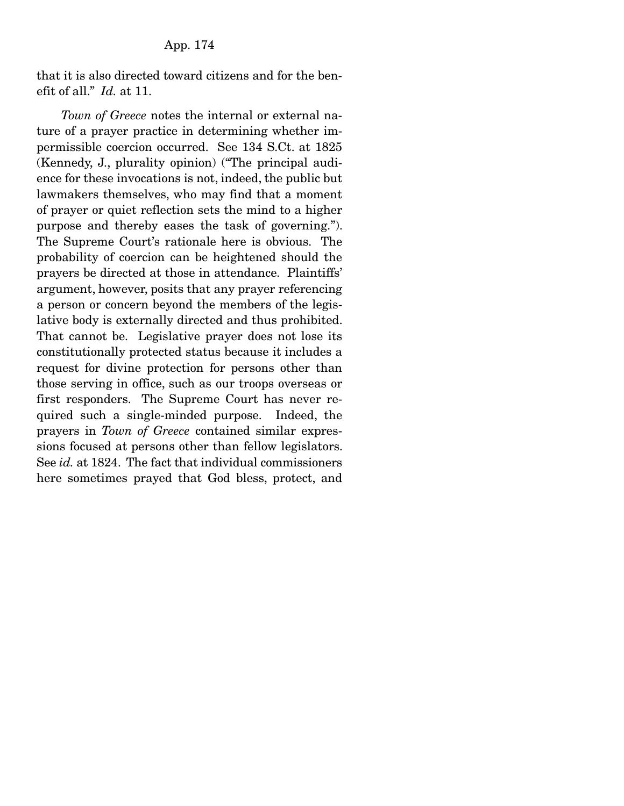that it is also directed toward citizens and for the benefit of all." *Id.* at 11.

*Town of Greece* notes the internal or external nature of a prayer practice in determining whether impermissible coercion occurred. See 134 S.Ct. at 1825 (Kennedy, J., plurality opinion) ("The principal audience for these invocations is not, indeed, the public but lawmakers themselves, who may find that a moment of prayer or quiet reflection sets the mind to a higher purpose and thereby eases the task of governing."). The Supreme Court's rationale here is obvious. The probability of coercion can be heightened should the prayers be directed at those in attendance. Plaintiffs' argument, however, posits that any prayer referencing a person or concern beyond the members of the legislative body is externally directed and thus prohibited. That cannot be. Legislative prayer does not lose its constitutionally protected status because it includes a request for divine protection for persons other than those serving in office, such as our troops overseas or first responders. The Supreme Court has never required such a single-minded purpose. Indeed, the prayers in *Town of Greece* contained similar expressions focused at persons other than fellow legislators. See *id.* at 1824. The fact that individual commissioners here sometimes prayed that God bless, protect, and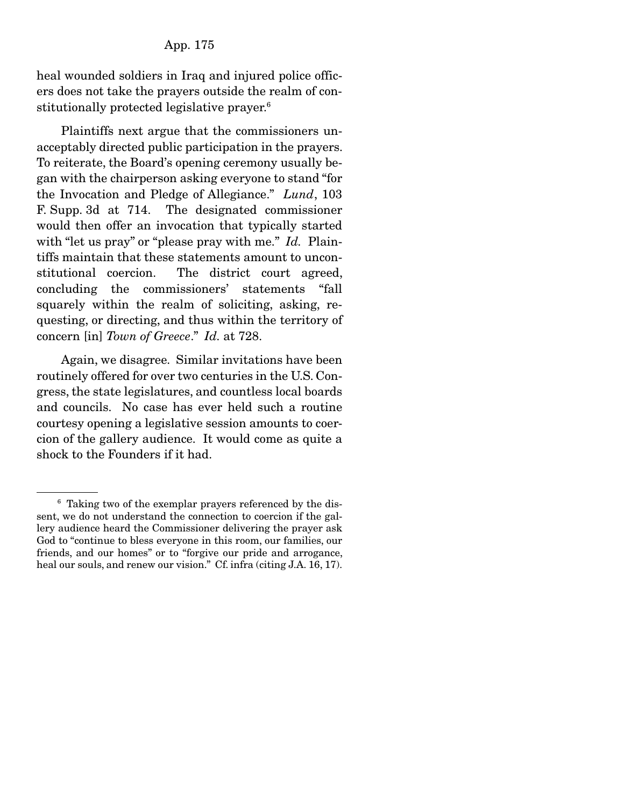heal wounded soldiers in Iraq and injured police officers does not take the prayers outside the realm of constitutionally protected legislative prayer.6

 Plaintiffs next argue that the commissioners unacceptably directed public participation in the prayers. To reiterate, the Board's opening ceremony usually began with the chairperson asking everyone to stand "for the Invocation and Pledge of Allegiance." *Lund*, 103 F. Supp. 3d at 714. The designated commissioner would then offer an invocation that typically started with "let us pray" or "please pray with me." *Id.* Plaintiffs maintain that these statements amount to unconstitutional coercion. The district court agreed, concluding the commissioners' statements "fall squarely within the realm of soliciting, asking, requesting, or directing, and thus within the territory of concern [in] *Town of Greece*." *Id.* at 728.

 Again, we disagree. Similar invitations have been routinely offered for over two centuries in the U.S. Congress, the state legislatures, and countless local boards and councils. No case has ever held such a routine courtesy opening a legislative session amounts to coercion of the gallery audience. It would come as quite a shock to the Founders if it had.

<sup>&</sup>lt;sup>6</sup> Taking two of the exemplar prayers referenced by the dissent, we do not understand the connection to coercion if the gallery audience heard the Commissioner delivering the prayer ask God to "continue to bless everyone in this room, our families, our friends, and our homes" or to "forgive our pride and arrogance, heal our souls, and renew our vision." Cf. infra (citing J.A. 16, 17).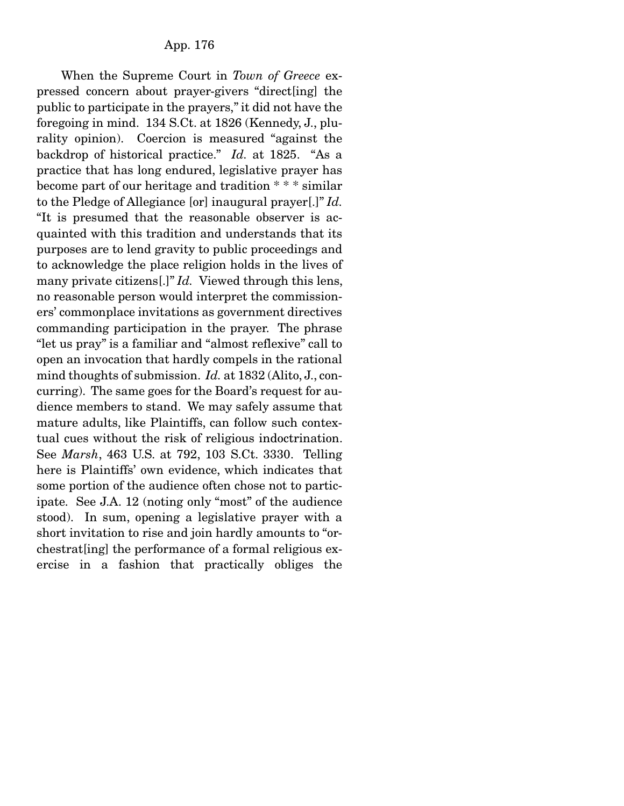When the Supreme Court in *Town of Greece* expressed concern about prayer-givers "direct[ing] the public to participate in the prayers," it did not have the foregoing in mind. 134 S.Ct. at 1826 (Kennedy, J., plurality opinion). Coercion is measured "against the backdrop of historical practice." *Id.* at 1825. "As a practice that has long endured, legislative prayer has become part of our heritage and tradition \* \* \* similar to the Pledge of Allegiance [or] inaugural prayer[.]" *Id.*  "It is presumed that the reasonable observer is acquainted with this tradition and understands that its purposes are to lend gravity to public proceedings and to acknowledge the place religion holds in the lives of many private citizens[.]" *Id.* Viewed through this lens, no reasonable person would interpret the commissioners' commonplace invitations as government directives commanding participation in the prayer. The phrase "let us pray" is a familiar and "almost reflexive" call to open an invocation that hardly compels in the rational mind thoughts of submission. *Id.* at 1832 (Alito, J., concurring). The same goes for the Board's request for audience members to stand. We may safely assume that mature adults, like Plaintiffs, can follow such contextual cues without the risk of religious indoctrination. See *Marsh*, 463 U.S. at 792, 103 S.Ct. 3330. Telling here is Plaintiffs' own evidence, which indicates that some portion of the audience often chose not to participate. See J.A. 12 (noting only "most" of the audience stood). In sum, opening a legislative prayer with a short invitation to rise and join hardly amounts to "orchestrat[ing] the performance of a formal religious exercise in a fashion that practically obliges the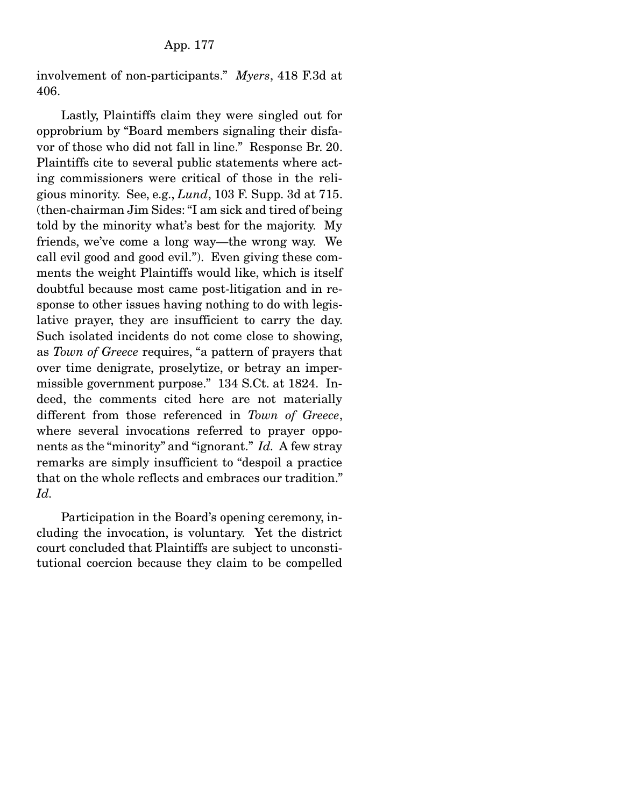involvement of non-participants." *Myers*, 418 F.3d at 406.

 Lastly, Plaintiffs claim they were singled out for opprobrium by "Board members signaling their disfavor of those who did not fall in line." Response Br. 20. Plaintiffs cite to several public statements where acting commissioners were critical of those in the religious minority. See, e.g., *Lund*, 103 F. Supp. 3d at 715. (then-chairman Jim Sides: "I am sick and tired of being told by the minority what's best for the majority. My friends, we've come a long way—the wrong way. We call evil good and good evil."). Even giving these comments the weight Plaintiffs would like, which is itself doubtful because most came post-litigation and in response to other issues having nothing to do with legislative prayer, they are insufficient to carry the day. Such isolated incidents do not come close to showing, as *Town of Greece* requires, "a pattern of prayers that over time denigrate, proselytize, or betray an impermissible government purpose." 134 S.Ct. at 1824. Indeed, the comments cited here are not materially different from those referenced in *Town of Greece*, where several invocations referred to prayer opponents as the "minority" and "ignorant." *Id.* A few stray remarks are simply insufficient to "despoil a practice that on the whole reflects and embraces our tradition." *Id.*

 Participation in the Board's opening ceremony, including the invocation, is voluntary. Yet the district court concluded that Plaintiffs are subject to unconstitutional coercion because they claim to be compelled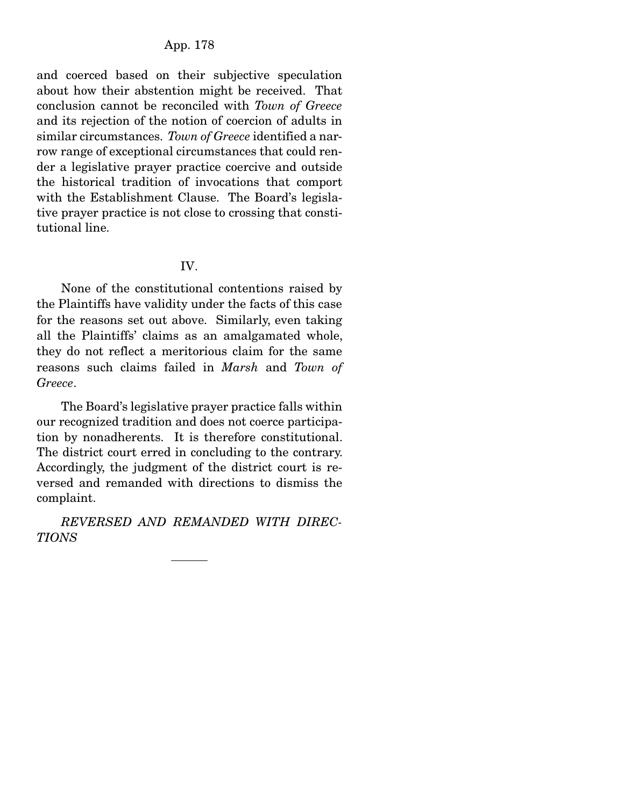## App. 178

and coerced based on their subjective speculation about how their abstention might be received. That conclusion cannot be reconciled with *Town of Greece* and its rejection of the notion of coercion of adults in similar circumstances. *Town of Greece* identified a narrow range of exceptional circumstances that could render a legislative prayer practice coercive and outside the historical tradition of invocations that comport with the Establishment Clause. The Board's legislative prayer practice is not close to crossing that constitutional line.

#### IV.

 None of the constitutional contentions raised by the Plaintiffs have validity under the facts of this case for the reasons set out above. Similarly, even taking all the Plaintiffs' claims as an amalgamated whole, they do not reflect a meritorious claim for the same reasons such claims failed in *Marsh* and *Town of Greece*.

 The Board's legislative prayer practice falls within our recognized tradition and does not coerce participation by nonadherents. It is therefore constitutional. The district court erred in concluding to the contrary. Accordingly, the judgment of the district court is reversed and remanded with directions to dismiss the complaint.

*REVERSED AND REMANDED WITH DIREC-TIONS*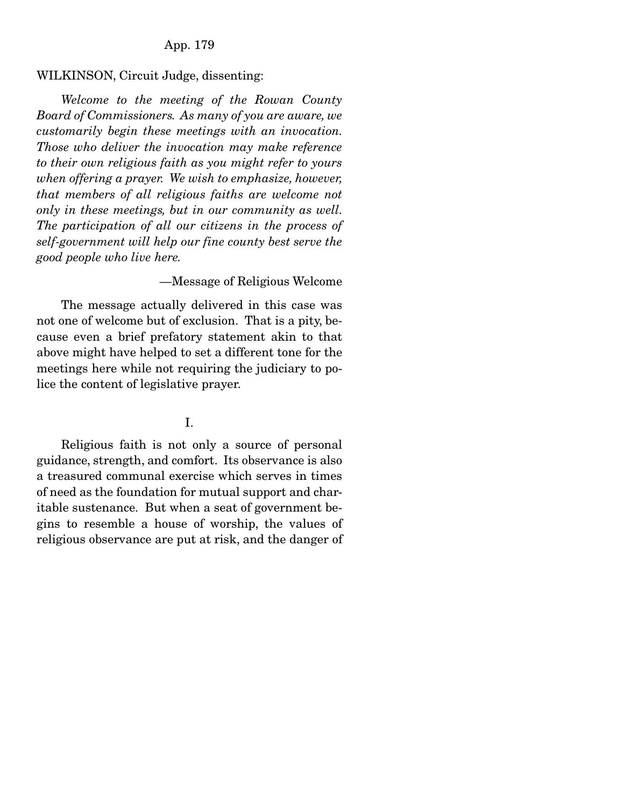### App. 179

#### WILKINSON, Circuit Judge, dissenting:

*Welcome to the meeting of the Rowan County Board of Commissioners. As many of you are aware, we customarily begin these meetings with an invocation. Those who deliver the invocation may make reference to their own religious faith as you might refer to yours when offering a prayer. We wish to emphasize, however, that members of all religious faiths are welcome not only in these meetings, but in our community as well. The participation of all our citizens in the process of self-government will help our fine county best serve the good people who live here.*

## —Message of Religious Welcome

 The message actually delivered in this case was not one of welcome but of exclusion. That is a pity, because even a brief prefatory statement akin to that above might have helped to set a different tone for the meetings here while not requiring the judiciary to police the content of legislative prayer.

# I.

 Religious faith is not only a source of personal guidance, strength, and comfort. Its observance is also a treasured communal exercise which serves in times of need as the foundation for mutual support and charitable sustenance. But when a seat of government begins to resemble a house of worship, the values of religious observance are put at risk, and the danger of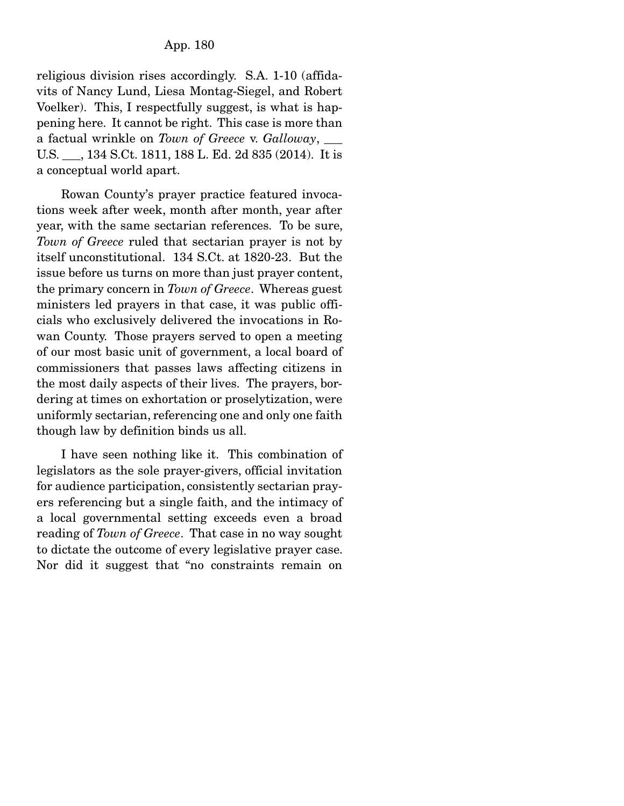religious division rises accordingly. S.A. 1-10 (affidavits of Nancy Lund, Liesa Montag-Siegel, and Robert Voelker). This, I respectfully suggest, is what is happening here. It cannot be right. This case is more than a factual wrinkle on *Town of Greece* v. *Galloway*, \_\_\_ U.S. \_\_\_, 134 S.Ct. 1811, 188 L. Ed. 2d 835 (2014). It is a conceptual world apart.

 Rowan County's prayer practice featured invocations week after week, month after month, year after year, with the same sectarian references. To be sure, *Town of Greece* ruled that sectarian prayer is not by itself unconstitutional. 134 S.Ct. at 1820-23. But the issue before us turns on more than just prayer content, the primary concern in *Town of Greece*. Whereas guest ministers led prayers in that case, it was public officials who exclusively delivered the invocations in Rowan County. Those prayers served to open a meeting of our most basic unit of government, a local board of commissioners that passes laws affecting citizens in the most daily aspects of their lives. The prayers, bordering at times on exhortation or proselytization, were uniformly sectarian, referencing one and only one faith though law by definition binds us all.

 I have seen nothing like it. This combination of legislators as the sole prayer-givers, official invitation for audience participation, consistently sectarian prayers referencing but a single faith, and the intimacy of a local governmental setting exceeds even a broad reading of *Town of Greece*. That case in no way sought to dictate the outcome of every legislative prayer case. Nor did it suggest that "no constraints remain on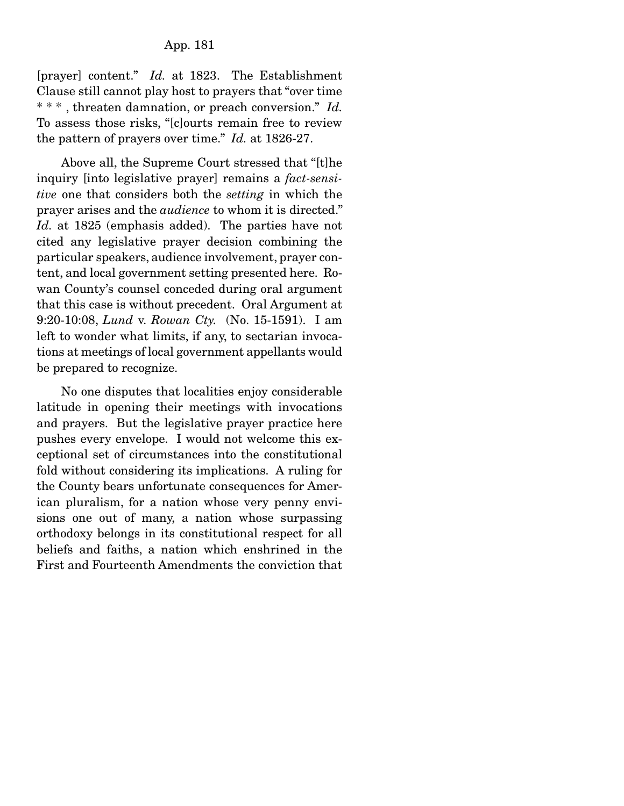[prayer] content." *Id.* at 1823. The Establishment Clause still cannot play host to prayers that "over time \* \* \* , threaten damnation, or preach conversion." *Id.*  To assess those risks, "[c]ourts remain free to review the pattern of prayers over time." *Id.* at 1826-27.

 Above all, the Supreme Court stressed that "[t]he inquiry [into legislative prayer] remains a *fact-sensitive* one that considers both the *setting* in which the prayer arises and the *audience* to whom it is directed." *Id.* at 1825 (emphasis added). The parties have not cited any legislative prayer decision combining the particular speakers, audience involvement, prayer content, and local government setting presented here. Rowan County's counsel conceded during oral argument that this case is without precedent. Oral Argument at 9:20-10:08, *Lund* v. *Rowan Cty.* (No. 15-1591). I am left to wonder what limits, if any, to sectarian invocations at meetings of local government appellants would be prepared to recognize.

 No one disputes that localities enjoy considerable latitude in opening their meetings with invocations and prayers. But the legislative prayer practice here pushes every envelope. I would not welcome this exceptional set of circumstances into the constitutional fold without considering its implications. A ruling for the County bears unfortunate consequences for American pluralism, for a nation whose very penny envisions one out of many, a nation whose surpassing orthodoxy belongs in its constitutional respect for all beliefs and faiths, a nation which enshrined in the First and Fourteenth Amendments the conviction that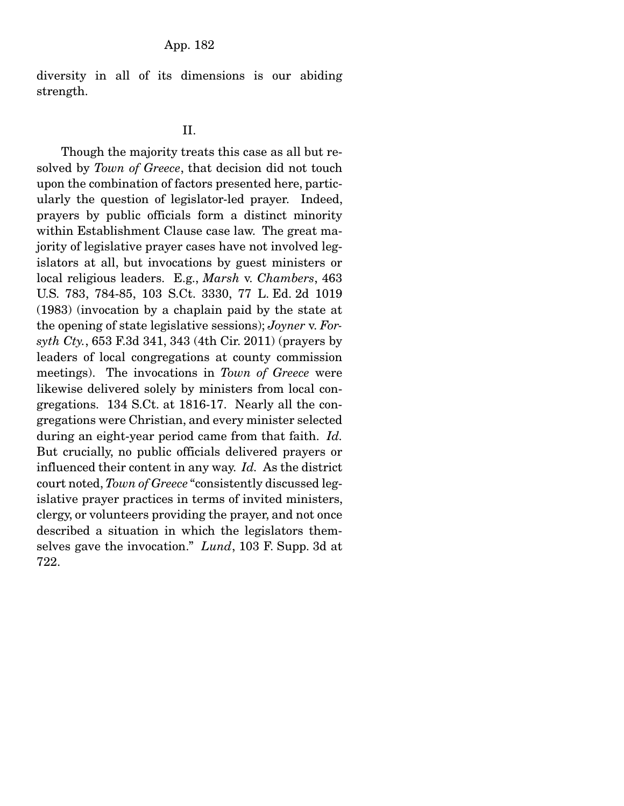diversity in all of its dimensions is our abiding strength.

### II.

 Though the majority treats this case as all but resolved by *Town of Greece*, that decision did not touch upon the combination of factors presented here, particularly the question of legislator-led prayer. Indeed, prayers by public officials form a distinct minority within Establishment Clause case law. The great majority of legislative prayer cases have not involved legislators at all, but invocations by guest ministers or local religious leaders. E.g., *Marsh* v. *Chambers*, 463 U.S. 783, 784-85, 103 S.Ct. 3330, 77 L. Ed. 2d 1019 (1983) (invocation by a chaplain paid by the state at the opening of state legislative sessions); *Joyner* v. *Forsyth Cty.*, 653 F.3d 341, 343 (4th Cir. 2011) (prayers by leaders of local congregations at county commission meetings). The invocations in *Town of Greece* were likewise delivered solely by ministers from local congregations. 134 S.Ct. at 1816-17. Nearly all the congregations were Christian, and every minister selected during an eight-year period came from that faith. *Id.*  But crucially, no public officials delivered prayers or influenced their content in any way. *Id.* As the district court noted, *Town of Greece* "consistently discussed legislative prayer practices in terms of invited ministers, clergy, or volunteers providing the prayer, and not once described a situation in which the legislators themselves gave the invocation." *Lund*, 103 F. Supp. 3d at 722.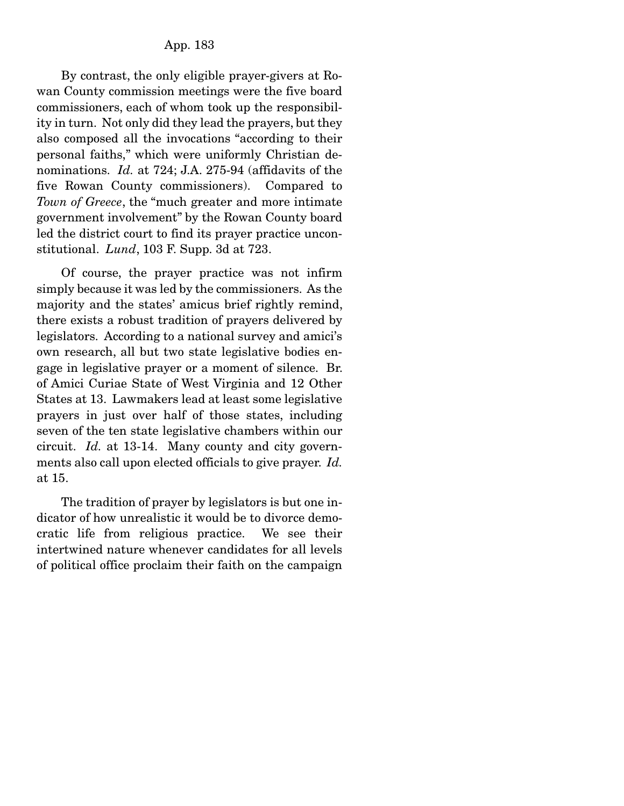By contrast, the only eligible prayer-givers at Rowan County commission meetings were the five board commissioners, each of whom took up the responsibility in turn. Not only did they lead the prayers, but they also composed all the invocations "according to their personal faiths," which were uniformly Christian denominations. *Id.* at 724; J.A. 275-94 (affidavits of the five Rowan County commissioners). Compared to *Town of Greece*, the "much greater and more intimate government involvement" by the Rowan County board led the district court to find its prayer practice unconstitutional. *Lund*, 103 F. Supp. 3d at 723.

 Of course, the prayer practice was not infirm simply because it was led by the commissioners. As the majority and the states' amicus brief rightly remind, there exists a robust tradition of prayers delivered by legislators. According to a national survey and amici's own research, all but two state legislative bodies engage in legislative prayer or a moment of silence. Br. of Amici Curiae State of West Virginia and 12 Other States at 13. Lawmakers lead at least some legislative prayers in just over half of those states, including seven of the ten state legislative chambers within our circuit. *Id.* at 13-14. Many county and city governments also call upon elected officials to give prayer. *Id.*  at 15.

 The tradition of prayer by legislators is but one indicator of how unrealistic it would be to divorce democratic life from religious practice. We see their intertwined nature whenever candidates for all levels of political office proclaim their faith on the campaign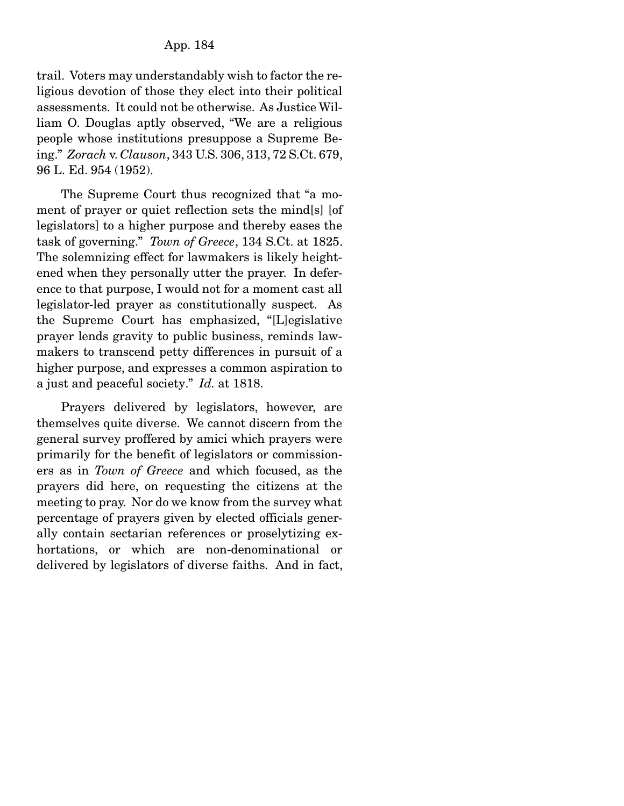trail. Voters may understandably wish to factor the religious devotion of those they elect into their political assessments. It could not be otherwise. As Justice William O. Douglas aptly observed, "We are a religious people whose institutions presuppose a Supreme Being." *Zorach* v. *Clauson*, 343 U.S. 306, 313, 72 S.Ct. 679, 96 L. Ed. 954 (1952).

 The Supreme Court thus recognized that "a moment of prayer or quiet reflection sets the mind[s] [of legislators] to a higher purpose and thereby eases the task of governing." *Town of Greece*, 134 S.Ct. at 1825. The solemnizing effect for lawmakers is likely heightened when they personally utter the prayer. In deference to that purpose, I would not for a moment cast all legislator-led prayer as constitutionally suspect. As the Supreme Court has emphasized, "[L]egislative prayer lends gravity to public business, reminds lawmakers to transcend petty differences in pursuit of a higher purpose, and expresses a common aspiration to a just and peaceful society." *Id.* at 1818.

 Prayers delivered by legislators, however, are themselves quite diverse. We cannot discern from the general survey proffered by amici which prayers were primarily for the benefit of legislators or commissioners as in *Town of Greece* and which focused, as the prayers did here, on requesting the citizens at the meeting to pray. Nor do we know from the survey what percentage of prayers given by elected officials generally contain sectarian references or proselytizing exhortations, or which are non-denominational or delivered by legislators of diverse faiths. And in fact,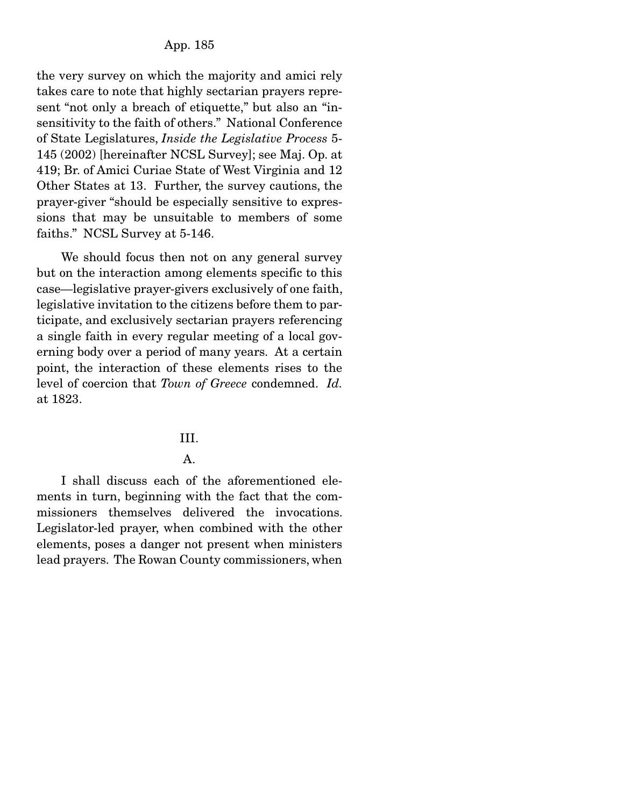the very survey on which the majority and amici rely takes care to note that highly sectarian prayers represent "not only a breach of etiquette," but also an "insensitivity to the faith of others." National Conference of State Legislatures, *Inside the Legislative Process* 5- 145 (2002) [hereinafter NCSL Survey]; see Maj. Op. at 419; Br. of Amici Curiae State of West Virginia and 12 Other States at 13. Further, the survey cautions, the prayer-giver "should be especially sensitive to expressions that may be unsuitable to members of some faiths." NCSL Survey at 5-146.

 We should focus then not on any general survey but on the interaction among elements specific to this case—legislative prayer-givers exclusively of one faith, legislative invitation to the citizens before them to participate, and exclusively sectarian prayers referencing a single faith in every regular meeting of a local governing body over a period of many years. At a certain point, the interaction of these elements rises to the level of coercion that *Town of Greece* condemned. *Id.*  at 1823.

#### III.

## A.

 I shall discuss each of the aforementioned elements in turn, beginning with the fact that the commissioners themselves delivered the invocations. Legislator-led prayer, when combined with the other elements, poses a danger not present when ministers lead prayers. The Rowan County commissioners, when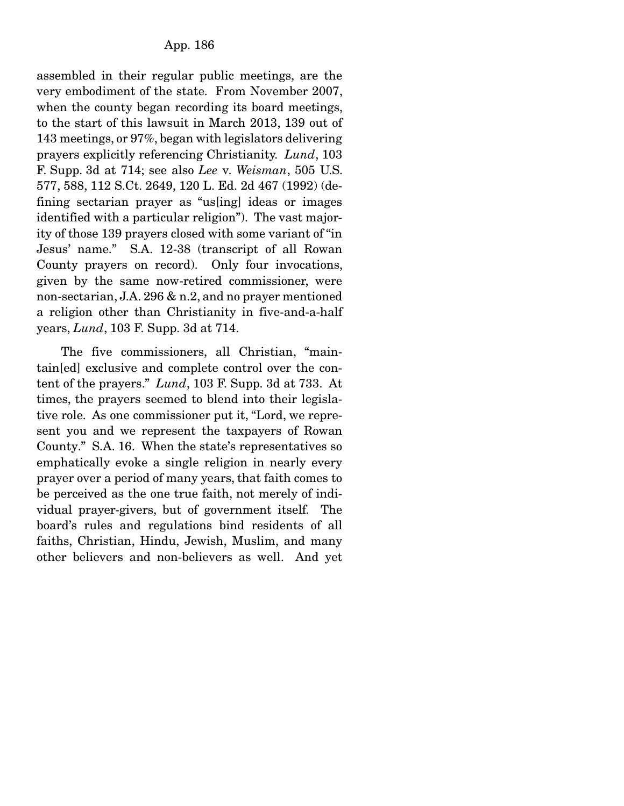assembled in their regular public meetings, are the very embodiment of the state. From November 2007, when the county began recording its board meetings, to the start of this lawsuit in March 2013, 139 out of 143 meetings, or 97%, began with legislators delivering prayers explicitly referencing Christianity. *Lund*, 103 F. Supp. 3d at 714; see also *Lee* v*. Weisman*, 505 U.S. 577, 588, 112 S.Ct. 2649, 120 L. Ed. 2d 467 (1992) (defining sectarian prayer as "us[ing] ideas or images identified with a particular religion"). The vast majority of those 139 prayers closed with some variant of "in Jesus' name." S.A. 12-38 (transcript of all Rowan County prayers on record). Only four invocations, given by the same now-retired commissioner, were non-sectarian, J.A. 296 & n.2, and no prayer mentioned a religion other than Christianity in five-and-a-half years, *Lund*, 103 F. Supp. 3d at 714.

 The five commissioners, all Christian, "maintain[ed] exclusive and complete control over the content of the prayers." *Lund*, 103 F. Supp. 3d at 733. At times, the prayers seemed to blend into their legislative role. As one commissioner put it, "Lord, we represent you and we represent the taxpayers of Rowan County." S.A. 16. When the state's representatives so emphatically evoke a single religion in nearly every prayer over a period of many years, that faith comes to be perceived as the one true faith, not merely of individual prayer-givers, but of government itself. The board's rules and regulations bind residents of all faiths, Christian, Hindu, Jewish, Muslim, and many other believers and non-believers as well. And yet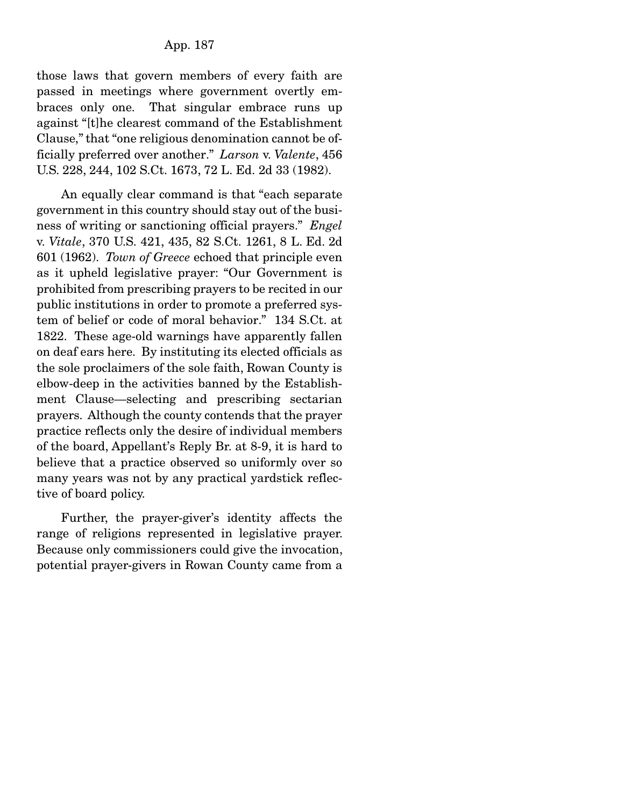those laws that govern members of every faith are passed in meetings where government overtly embraces only one. That singular embrace runs up against "[t]he clearest command of the Establishment Clause," that "one religious denomination cannot be officially preferred over another." *Larson* v. *Valente*, 456 U.S. 228, 244, 102 S.Ct. 1673, 72 L. Ed. 2d 33 (1982).

 An equally clear command is that "each separate government in this country should stay out of the business of writing or sanctioning official prayers." *Engel*  v. *Vitale*, 370 U.S. 421, 435, 82 S.Ct. 1261, 8 L. Ed. 2d 601 (1962). *Town of Greece* echoed that principle even as it upheld legislative prayer: "Our Government is prohibited from prescribing prayers to be recited in our public institutions in order to promote a preferred system of belief or code of moral behavior." 134 S.Ct. at 1822. These age-old warnings have apparently fallen on deaf ears here. By instituting its elected officials as the sole proclaimers of the sole faith, Rowan County is elbow-deep in the activities banned by the Establishment Clause—selecting and prescribing sectarian prayers. Although the county contends that the prayer practice reflects only the desire of individual members of the board, Appellant's Reply Br. at 8-9, it is hard to believe that a practice observed so uniformly over so many years was not by any practical yardstick reflective of board policy.

 Further, the prayer-giver's identity affects the range of religions represented in legislative prayer. Because only commissioners could give the invocation, potential prayer-givers in Rowan County came from a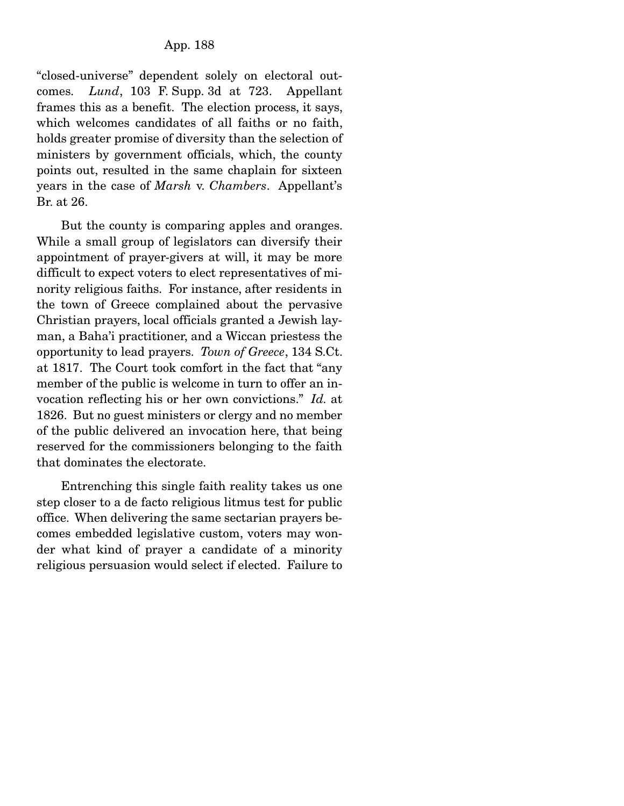"closed-universe" dependent solely on electoral outcomes. *Lund*, 103 F. Supp. 3d at 723. Appellant frames this as a benefit. The election process, it says, which welcomes candidates of all faiths or no faith, holds greater promise of diversity than the selection of ministers by government officials, which, the county points out, resulted in the same chaplain for sixteen years in the case of *Marsh* v. *Chambers*. Appellant's Br. at 26.

 But the county is comparing apples and oranges. While a small group of legislators can diversify their appointment of prayer-givers at will, it may be more difficult to expect voters to elect representatives of minority religious faiths. For instance, after residents in the town of Greece complained about the pervasive Christian prayers, local officials granted a Jewish layman, a Baha'i practitioner, and a Wiccan priestess the opportunity to lead prayers. *Town of Greece*, 134 S.Ct. at 1817. The Court took comfort in the fact that "any member of the public is welcome in turn to offer an invocation reflecting his or her own convictions." *Id.* at 1826. But no guest ministers or clergy and no member of the public delivered an invocation here, that being reserved for the commissioners belonging to the faith that dominates the electorate.

 Entrenching this single faith reality takes us one step closer to a de facto religious litmus test for public office. When delivering the same sectarian prayers becomes embedded legislative custom, voters may wonder what kind of prayer a candidate of a minority religious persuasion would select if elected. Failure to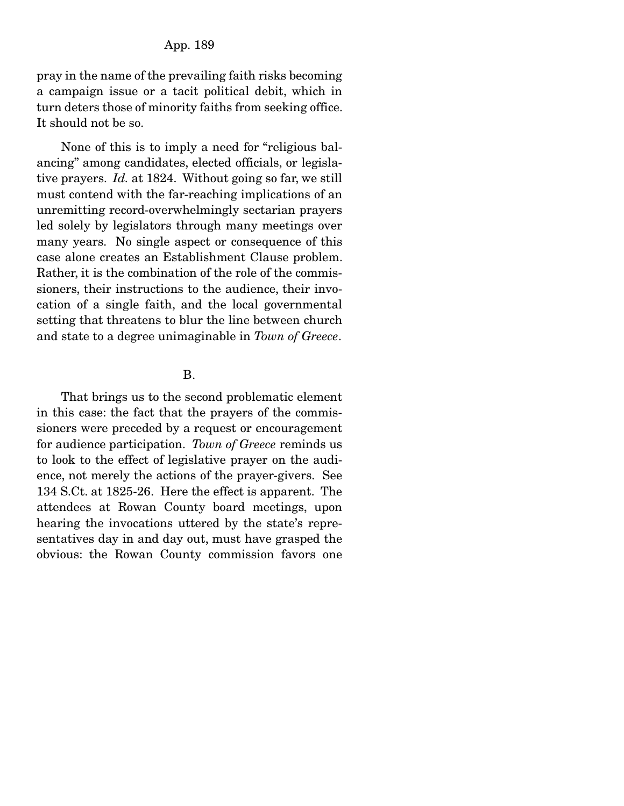pray in the name of the prevailing faith risks becoming a campaign issue or a tacit political debit, which in turn deters those of minority faiths from seeking office. It should not be so.

 None of this is to imply a need for "religious balancing" among candidates, elected officials, or legislative prayers. *Id.* at 1824. Without going so far, we still must contend with the far-reaching implications of an unremitting record-overwhelmingly sectarian prayers led solely by legislators through many meetings over many years. No single aspect or consequence of this case alone creates an Establishment Clause problem. Rather, it is the combination of the role of the commissioners, their instructions to the audience, their invocation of a single faith, and the local governmental setting that threatens to blur the line between church and state to a degree unimaginable in *Town of Greece*.

### B.

 That brings us to the second problematic element in this case: the fact that the prayers of the commissioners were preceded by a request or encouragement for audience participation. *Town of Greece* reminds us to look to the effect of legislative prayer on the audience, not merely the actions of the prayer-givers. See 134 S.Ct. at 1825-26. Here the effect is apparent. The attendees at Rowan County board meetings, upon hearing the invocations uttered by the state's representatives day in and day out, must have grasped the obvious: the Rowan County commission favors one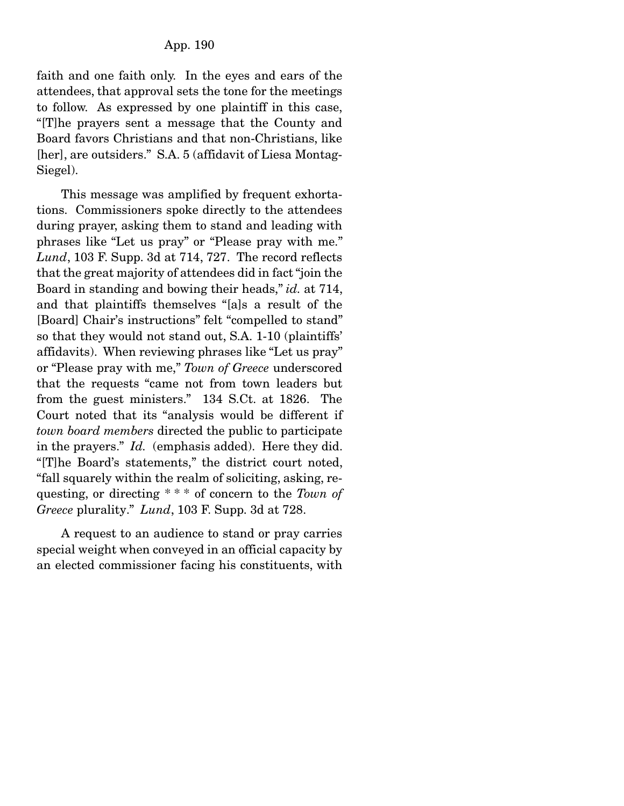faith and one faith only. In the eyes and ears of the attendees, that approval sets the tone for the meetings to follow. As expressed by one plaintiff in this case, "[T]he prayers sent a message that the County and Board favors Christians and that non-Christians, like [her], are outsiders." S.A. 5 (affidavit of Liesa Montag-Siegel).

 This message was amplified by frequent exhortations. Commissioners spoke directly to the attendees during prayer, asking them to stand and leading with phrases like "Let us pray" or "Please pray with me." *Lund*, 103 F. Supp. 3d at 714, 727. The record reflects that the great majority of attendees did in fact "join the Board in standing and bowing their heads," *id.* at 714, and that plaintiffs themselves "[a]s a result of the [Board] Chair's instructions" felt "compelled to stand" so that they would not stand out, S.A. 1-10 (plaintiffs' affidavits). When reviewing phrases like "Let us pray" or "Please pray with me," *Town of Greece* underscored that the requests "came not from town leaders but from the guest ministers." 134 S.Ct. at 1826. The Court noted that its "analysis would be different if *town board members* directed the public to participate in the prayers." *Id.* (emphasis added). Here they did. "[T]he Board's statements," the district court noted, "fall squarely within the realm of soliciting, asking, requesting, or directing \* \* \* of concern to the *Town of Greece* plurality." *Lund*, 103 F. Supp. 3d at 728.

 A request to an audience to stand or pray carries special weight when conveyed in an official capacity by an elected commissioner facing his constituents, with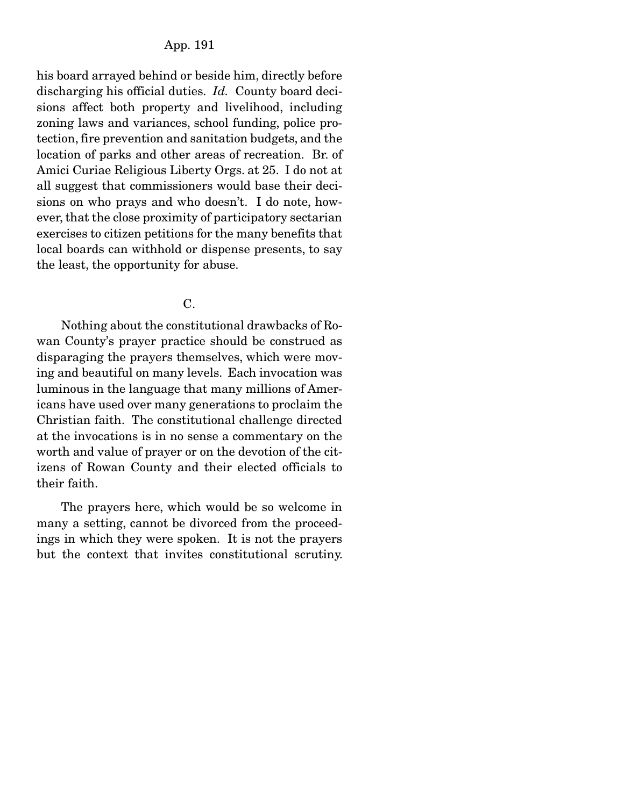his board arrayed behind or beside him, directly before discharging his official duties. *Id.* County board decisions affect both property and livelihood, including zoning laws and variances, school funding, police protection, fire prevention and sanitation budgets, and the location of parks and other areas of recreation. Br. of Amici Curiae Religious Liberty Orgs. at 25. I do not at all suggest that commissioners would base their decisions on who prays and who doesn't. I do note, however, that the close proximity of participatory sectarian exercises to citizen petitions for the many benefits that local boards can withhold or dispense presents, to say the least, the opportunity for abuse.

C.

 Nothing about the constitutional drawbacks of Rowan County's prayer practice should be construed as disparaging the prayers themselves, which were moving and beautiful on many levels. Each invocation was luminous in the language that many millions of Americans have used over many generations to proclaim the Christian faith. The constitutional challenge directed at the invocations is in no sense a commentary on the worth and value of prayer or on the devotion of the citizens of Rowan County and their elected officials to their faith.

 The prayers here, which would be so welcome in many a setting, cannot be divorced from the proceedings in which they were spoken. It is not the prayers but the context that invites constitutional scrutiny.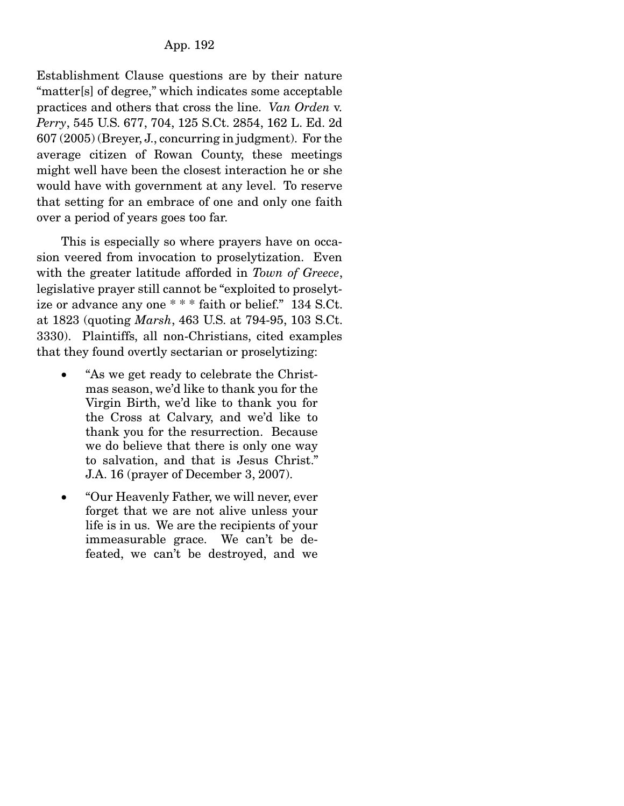Establishment Clause questions are by their nature "matter[s] of degree," which indicates some acceptable practices and others that cross the line. *Van Orden* v. *Perry*, 545 U.S. 677, 704, 125 S.Ct. 2854, 162 L. Ed. 2d 607 (2005) (Breyer, J., concurring in judgment). For the average citizen of Rowan County, these meetings might well have been the closest interaction he or she would have with government at any level. To reserve that setting for an embrace of one and only one faith over a period of years goes too far.

 This is especially so where prayers have on occasion veered from invocation to proselytization. Even with the greater latitude afforded in *Town of Greece*, legislative prayer still cannot be "exploited to proselytize or advance any one \* \* \* faith or belief." 134 S.Ct. at 1823 (quoting *Marsh*, 463 U.S. at 794-95, 103 S.Ct. 3330). Plaintiffs, all non-Christians, cited examples that they found overtly sectarian or proselytizing:

- "As we get ready to celebrate the Christmas season, we'd like to thank you for the Virgin Birth, we'd like to thank you for the Cross at Calvary, and we'd like to thank you for the resurrection. Because we do believe that there is only one way to salvation, and that is Jesus Christ." J.A. 16 (prayer of December 3, 2007).
- "Our Heavenly Father, we will never, ever forget that we are not alive unless your life is in us. We are the recipients of your immeasurable grace. We can't be defeated, we can't be destroyed, and we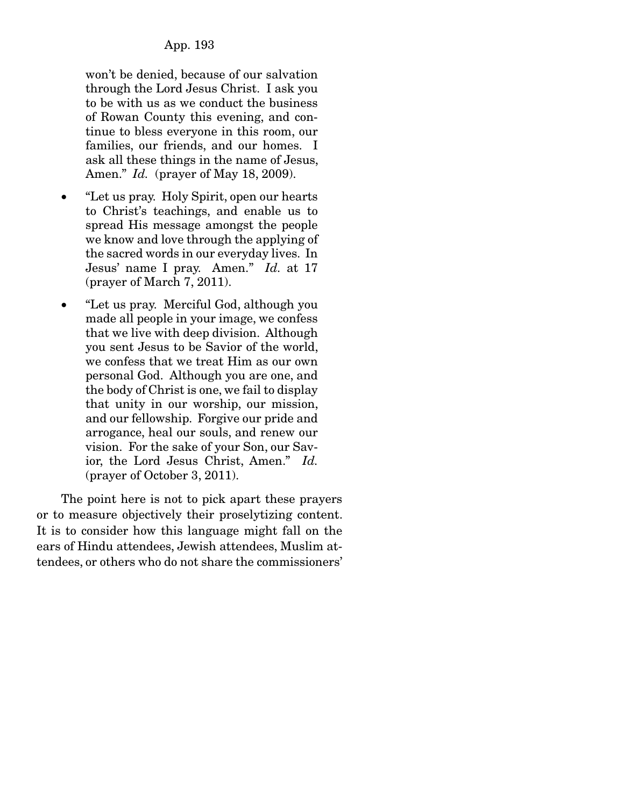won't be denied, because of our salvation through the Lord Jesus Christ. I ask you to be with us as we conduct the business of Rowan County this evening, and continue to bless everyone in this room, our families, our friends, and our homes. I ask all these things in the name of Jesus, Amen." *Id.* (prayer of May 18, 2009).

- "Let us pray. Holy Spirit, open our hearts to Christ's teachings, and enable us to spread His message amongst the people we know and love through the applying of the sacred words in our everyday lives. In Jesus' name I pray. Amen." *Id.* at 17 (prayer of March 7, 2011).
- "Let us pray. Merciful God, although you made all people in your image, we confess that we live with deep division. Although you sent Jesus to be Savior of the world, we confess that we treat Him as our own personal God. Although you are one, and the body of Christ is one, we fail to display that unity in our worship, our mission, and our fellowship. Forgive our pride and arrogance, heal our souls, and renew our vision. For the sake of your Son, our Savior, the Lord Jesus Christ, Amen." *Id.*  (prayer of October 3, 2011).

 The point here is not to pick apart these prayers or to measure objectively their proselytizing content. It is to consider how this language might fall on the ears of Hindu attendees, Jewish attendees, Muslim attendees, or others who do not share the commissioners'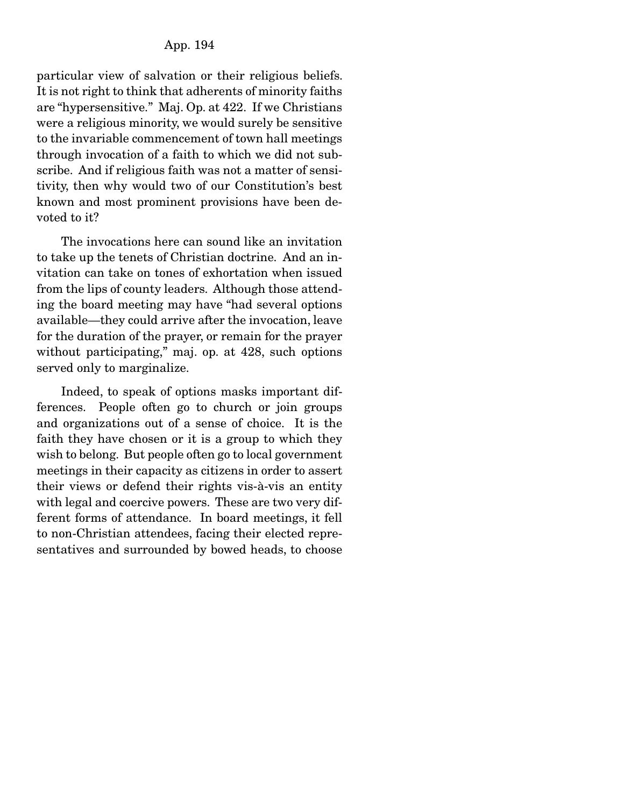particular view of salvation or their religious beliefs. It is not right to think that adherents of minority faiths are "hypersensitive." Maj. Op. at 422. If we Christians were a religious minority, we would surely be sensitive to the invariable commencement of town hall meetings through invocation of a faith to which we did not subscribe. And if religious faith was not a matter of sensitivity, then why would two of our Constitution's best known and most prominent provisions have been devoted to it?

 The invocations here can sound like an invitation to take up the tenets of Christian doctrine. And an invitation can take on tones of exhortation when issued from the lips of county leaders. Although those attending the board meeting may have "had several options available—they could arrive after the invocation, leave for the duration of the prayer, or remain for the prayer without participating," maj. op. at 428, such options served only to marginalize.

 Indeed, to speak of options masks important differences. People often go to church or join groups and organizations out of a sense of choice. It is the faith they have chosen or it is a group to which they wish to belong. But people often go to local government meetings in their capacity as citizens in order to assert their views or defend their rights vis-à-vis an entity with legal and coercive powers. These are two very different forms of attendance. In board meetings, it fell to non-Christian attendees, facing their elected representatives and surrounded by bowed heads, to choose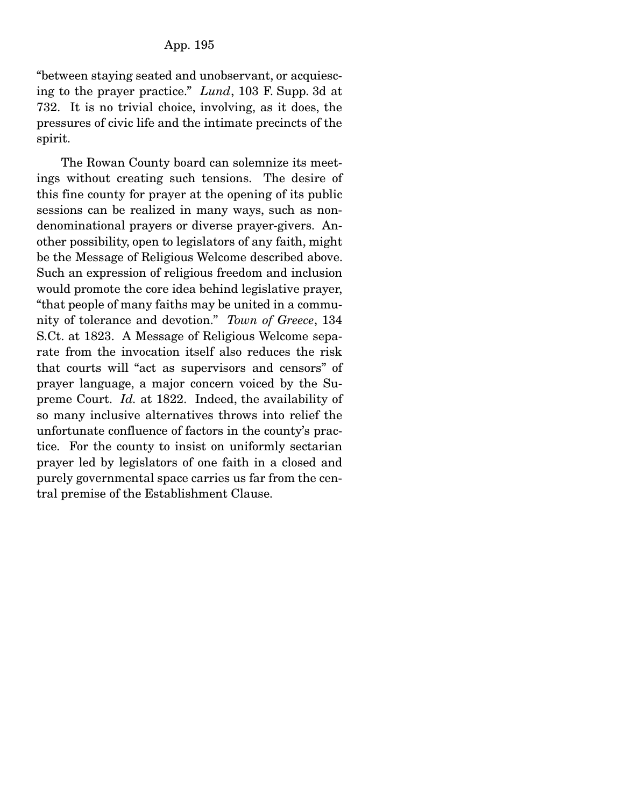"between staying seated and unobservant, or acquiescing to the prayer practice." *Lund*, 103 F. Supp. 3d at 732. It is no trivial choice, involving, as it does, the pressures of civic life and the intimate precincts of the spirit.

 The Rowan County board can solemnize its meetings without creating such tensions. The desire of this fine county for prayer at the opening of its public sessions can be realized in many ways, such as nondenominational prayers or diverse prayer-givers. Another possibility, open to legislators of any faith, might be the Message of Religious Welcome described above. Such an expression of religious freedom and inclusion would promote the core idea behind legislative prayer, "that people of many faiths may be united in a community of tolerance and devotion." *Town of Greece*, 134 S.Ct. at 1823. A Message of Religious Welcome separate from the invocation itself also reduces the risk that courts will "act as supervisors and censors" of prayer language, a major concern voiced by the Supreme Court. *Id.* at 1822. Indeed, the availability of so many inclusive alternatives throws into relief the unfortunate confluence of factors in the county's practice. For the county to insist on uniformly sectarian prayer led by legislators of one faith in a closed and purely governmental space carries us far from the central premise of the Establishment Clause.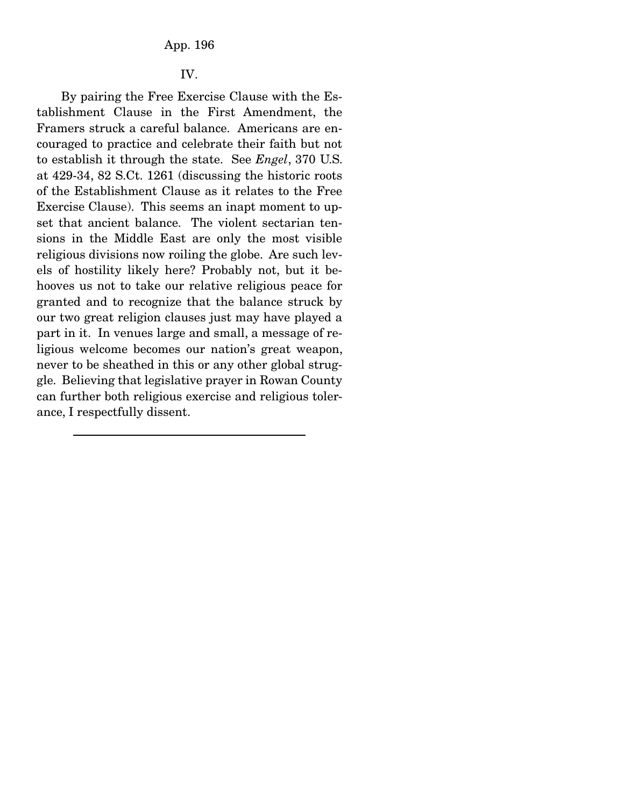### IV.

 By pairing the Free Exercise Clause with the Establishment Clause in the First Amendment, the Framers struck a careful balance. Americans are encouraged to practice and celebrate their faith but not to establish it through the state. See *Engel*, 370 U.S. at 429-34, 82 S.Ct. 1261 (discussing the historic roots of the Establishment Clause as it relates to the Free Exercise Clause). This seems an inapt moment to upset that ancient balance. The violent sectarian tensions in the Middle East are only the most visible religious divisions now roiling the globe. Are such levels of hostility likely here? Probably not, but it behooves us not to take our relative religious peace for granted and to recognize that the balance struck by our two great religion clauses just may have played a part in it. In venues large and small, a message of religious welcome becomes our nation's great weapon, never to be sheathed in this or any other global struggle. Believing that legislative prayer in Rowan County can further both religious exercise and religious tolerance, I respectfully dissent.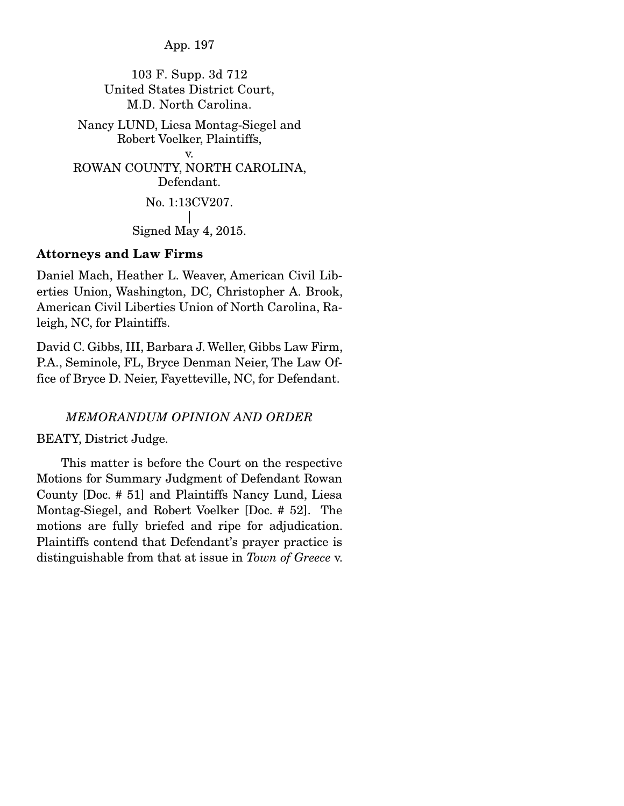App. 197

103 F. Supp. 3d 712 United States District Court, M.D. North Carolina.

Nancy LUND, Liesa Montag-Siegel and Robert Voelker, Plaintiffs, v. ROWAN COUNTY, NORTH CAROLINA, Defendant. No. 1:13CV207.

> | Signed May 4, 2015.

## Attorneys and Law Firms

Daniel Mach, Heather L. Weaver, American Civil Liberties Union, Washington, DC, Christopher A. Brook, American Civil Liberties Union of North Carolina, Raleigh, NC, for Plaintiffs.

David C. Gibbs, III, Barbara J. Weller, Gibbs Law Firm, P.A., Seminole, FL, Bryce Denman Neier, The Law Office of Bryce D. Neier, Fayetteville, NC, for Defendant.

# *MEMORANDUM OPINION AND ORDER*

BEATY, District Judge.

 This matter is before the Court on the respective Motions for Summary Judgment of Defendant Rowan County [Doc. # 51] and Plaintiffs Nancy Lund, Liesa Montag-Siegel, and Robert Voelker [Doc. # 52]. The motions are fully briefed and ripe for adjudication. Plaintiffs contend that Defendant's prayer practice is distinguishable from that at issue in *Town of Greece* v.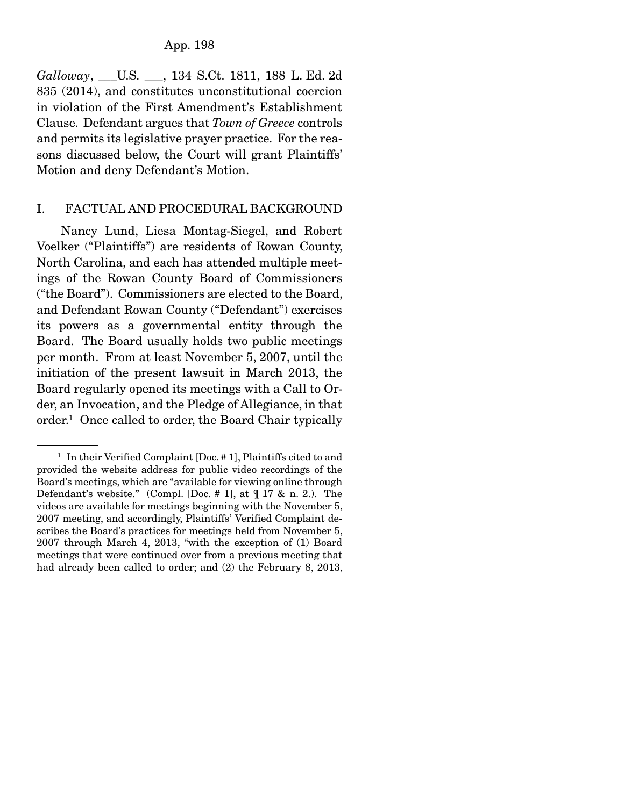*Galloway*, \_\_\_U.S. \_\_\_, 134 S.Ct. 1811, 188 L. Ed. 2d 835 (2014), and constitutes unconstitutional coercion in violation of the First Amendment's Establishment Clause. Defendant argues that *Town of Greece* controls and permits its legislative prayer practice. For the reasons discussed below, the Court will grant Plaintiffs' Motion and deny Defendant's Motion.

# I. FACTUAL AND PROCEDURAL BACKGROUND

 Nancy Lund, Liesa Montag-Siegel, and Robert Voelker ("Plaintiffs") are residents of Rowan County, North Carolina, and each has attended multiple meetings of the Rowan County Board of Commissioners ("the Board"). Commissioners are elected to the Board, and Defendant Rowan County ("Defendant") exercises its powers as a governmental entity through the Board. The Board usually holds two public meetings per month. From at least November 5, 2007, until the initiation of the present lawsuit in March 2013, the Board regularly opened its meetings with a Call to Order, an Invocation, and the Pledge of Allegiance, in that order.1 Once called to order, the Board Chair typically

<sup>&</sup>lt;sup>1</sup> In their Verified Complaint [Doc. # 1], Plaintiffs cited to and provided the website address for public video recordings of the Board's meetings, which are "available for viewing online through Defendant's website." (Compl. [Doc. # 1], at ¶ 17 & n. 2.). The videos are available for meetings beginning with the November 5, 2007 meeting, and accordingly, Plaintiffs' Verified Complaint describes the Board's practices for meetings held from November 5, 2007 through March 4, 2013, "with the exception of (1) Board meetings that were continued over from a previous meeting that had already been called to order; and (2) the February 8, 2013,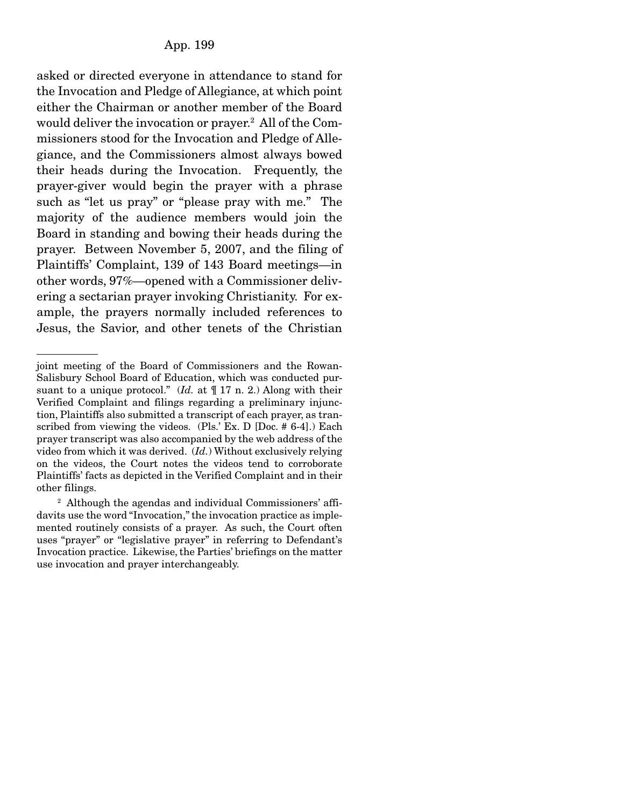asked or directed everyone in attendance to stand for the Invocation and Pledge of Allegiance, at which point either the Chairman or another member of the Board would deliver the invocation or prayer.2 All of the Commissioners stood for the Invocation and Pledge of Allegiance, and the Commissioners almost always bowed their heads during the Invocation. Frequently, the prayer-giver would begin the prayer with a phrase such as "let us pray" or "please pray with me." The majority of the audience members would join the Board in standing and bowing their heads during the prayer. Between November 5, 2007, and the filing of Plaintiffs' Complaint, 139 of 143 Board meetings—in other words, 97%—opened with a Commissioner delivering a sectarian prayer invoking Christianity. For example, the prayers normally included references to Jesus, the Savior, and other tenets of the Christian

joint meeting of the Board of Commissioners and the Rowan-Salisbury School Board of Education, which was conducted pursuant to a unique protocol." (*Id.* at ¶ 17 n. 2.) Along with their Verified Complaint and filings regarding a preliminary injunction, Plaintiffs also submitted a transcript of each prayer, as transcribed from viewing the videos. (Pls.' Ex. D [Doc. # 6-4].) Each prayer transcript was also accompanied by the web address of the video from which it was derived. (*Id.*) Without exclusively relying on the videos, the Court notes the videos tend to corroborate Plaintiffs' facts as depicted in the Verified Complaint and in their other filings.

<sup>&</sup>lt;sup>2</sup> Although the agendas and individual Commissioners' affidavits use the word "Invocation," the invocation practice as implemented routinely consists of a prayer. As such, the Court often uses "prayer" or "legislative prayer" in referring to Defendant's Invocation practice. Likewise, the Parties' briefings on the matter use invocation and prayer interchangeably.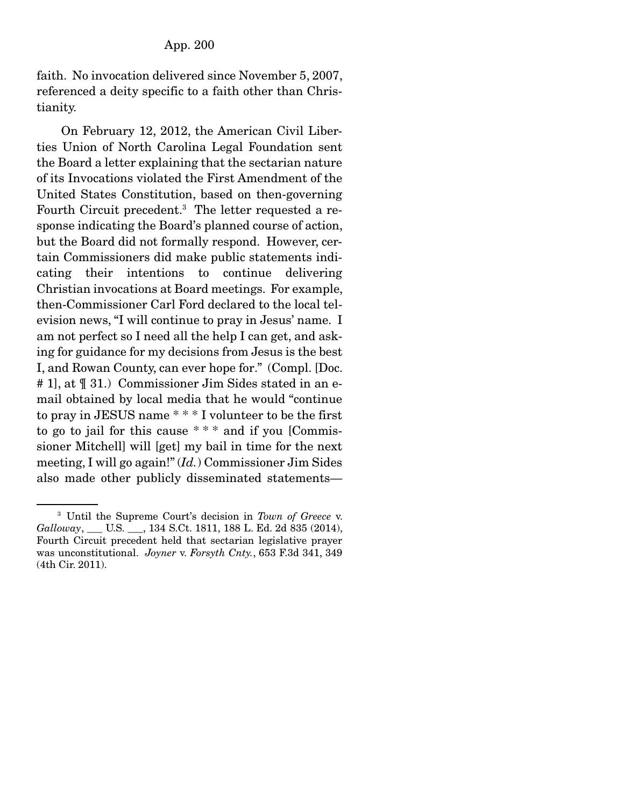faith. No invocation delivered since November 5, 2007, referenced a deity specific to a faith other than Christianity.

 On February 12, 2012, the American Civil Liberties Union of North Carolina Legal Foundation sent the Board a letter explaining that the sectarian nature of its Invocations violated the First Amendment of the United States Constitution, based on then-governing Fourth Circuit precedent.3 The letter requested a response indicating the Board's planned course of action, but the Board did not formally respond. However, certain Commissioners did make public statements indicating their intentions to continue delivering Christian invocations at Board meetings. For example, then-Commissioner Carl Ford declared to the local television news, "I will continue to pray in Jesus' name. I am not perfect so I need all the help I can get, and asking for guidance for my decisions from Jesus is the best I, and Rowan County, can ever hope for." (Compl. [Doc. # 1], at ¶ 31.) Commissioner Jim Sides stated in an email obtained by local media that he would "continue to pray in JESUS name \* \* \* I volunteer to be the first to go to jail for this cause  $***$  and if you [Commissioner Mitchell] will [get] my bail in time for the next meeting, I will go again!" (*Id.*) Commissioner Jim Sides also made other publicly disseminated statements—

<sup>3</sup> Until the Supreme Court's decision in *Town of Greece* v. *Galloway*, \_\_\_ U.S. \_\_\_, 134 S.Ct. 1811, 188 L. Ed. 2d 835 (2014), Fourth Circuit precedent held that sectarian legislative prayer was unconstitutional. *Joyner* v. *Forsyth Cnty.*, 653 F.3d 341, 349 (4th Cir. 2011).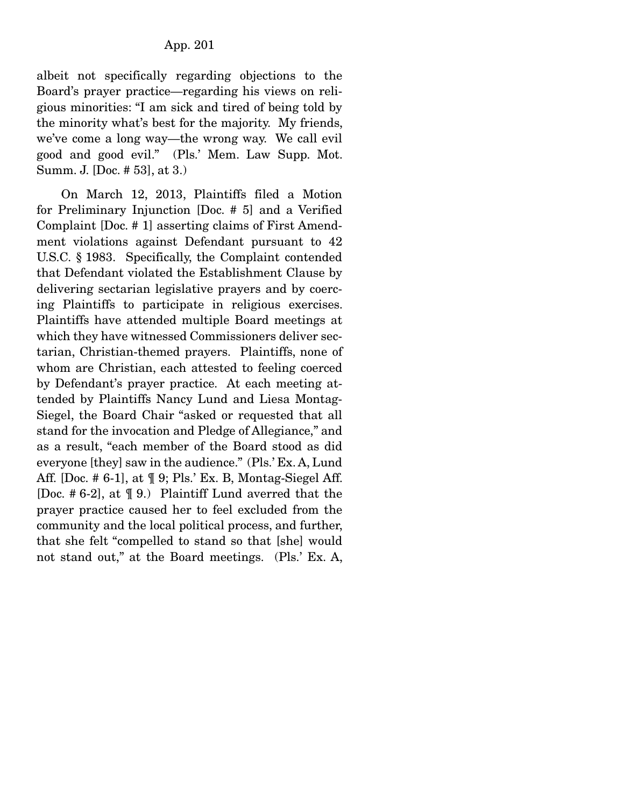albeit not specifically regarding objections to the Board's prayer practice—regarding his views on religious minorities: "I am sick and tired of being told by the minority what's best for the majority. My friends, we've come a long way—the wrong way. We call evil good and good evil." (Pls.' Mem. Law Supp. Mot. Summ. J. [Doc. # 53], at 3.)

 On March 12, 2013, Plaintiffs filed a Motion for Preliminary Injunction [Doc. # 5] and a Verified Complaint [Doc. # 1] asserting claims of First Amendment violations against Defendant pursuant to 42 U.S.C. § 1983. Specifically, the Complaint contended that Defendant violated the Establishment Clause by delivering sectarian legislative prayers and by coercing Plaintiffs to participate in religious exercises. Plaintiffs have attended multiple Board meetings at which they have witnessed Commissioners deliver sectarian, Christian-themed prayers. Plaintiffs, none of whom are Christian, each attested to feeling coerced by Defendant's prayer practice. At each meeting attended by Plaintiffs Nancy Lund and Liesa Montag-Siegel, the Board Chair "asked or requested that all stand for the invocation and Pledge of Allegiance," and as a result, "each member of the Board stood as did everyone [they] saw in the audience." (Pls.' Ex. A, Lund Aff. [Doc. # 6-1], at ¶ 9; Pls.' Ex. B, Montag-Siegel Aff. [Doc. # 6-2], at ¶ 9.) Plaintiff Lund averred that the prayer practice caused her to feel excluded from the community and the local political process, and further, that she felt "compelled to stand so that [she] would not stand out," at the Board meetings. (Pls.' Ex. A,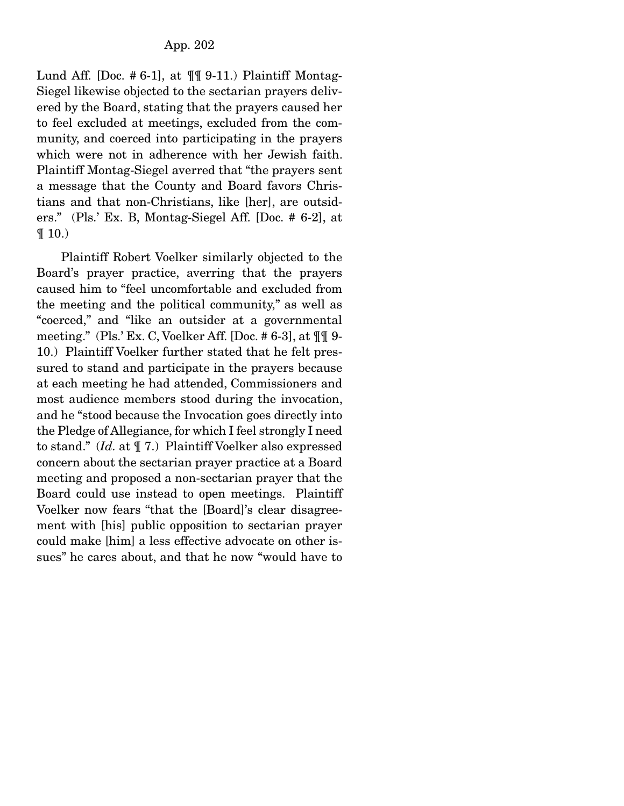Lund Aff. [Doc. #6-1], at  $\P\P\P$  9-11.) Plaintiff Montag-Siegel likewise objected to the sectarian prayers delivered by the Board, stating that the prayers caused her to feel excluded at meetings, excluded from the community, and coerced into participating in the prayers which were not in adherence with her Jewish faith. Plaintiff Montag-Siegel averred that "the prayers sent a message that the County and Board favors Christians and that non-Christians, like [her], are outsiders." (Pls.' Ex. B, Montag-Siegel Aff. [Doc. # 6-2], at  $\P(10.)$ 

 Plaintiff Robert Voelker similarly objected to the Board's prayer practice, averring that the prayers caused him to "feel uncomfortable and excluded from the meeting and the political community," as well as "coerced," and "like an outsider at a governmental meeting." (Pls.' Ex. C, Voelker Aff. [Doc. # 6-3], at ¶¶ 9- 10.) Plaintiff Voelker further stated that he felt pressured to stand and participate in the prayers because at each meeting he had attended, Commissioners and most audience members stood during the invocation, and he "stood because the Invocation goes directly into the Pledge of Allegiance, for which I feel strongly I need to stand." (*Id.* at ¶ 7.) Plaintiff Voelker also expressed concern about the sectarian prayer practice at a Board meeting and proposed a non-sectarian prayer that the Board could use instead to open meetings. Plaintiff Voelker now fears "that the [Board]'s clear disagreement with [his] public opposition to sectarian prayer could make [him] a less effective advocate on other issues" he cares about, and that he now "would have to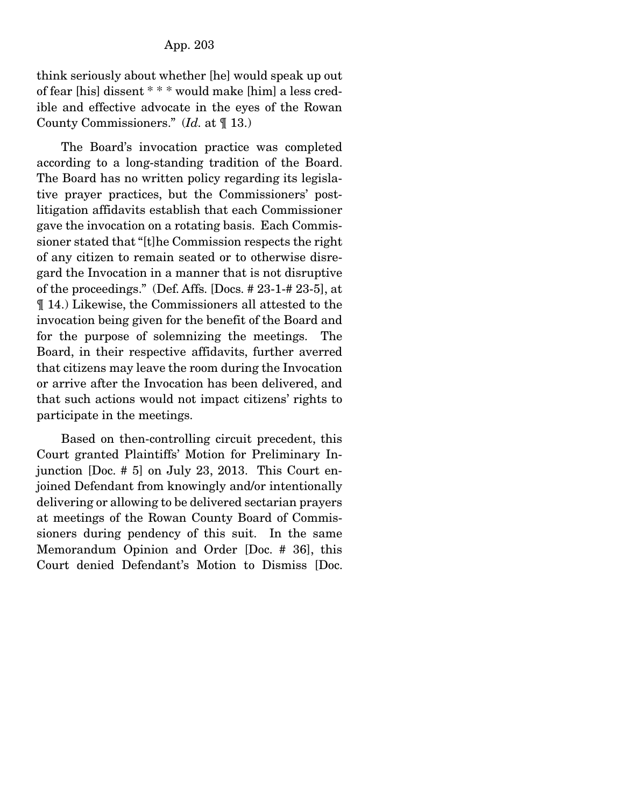think seriously about whether [he] would speak up out of fear [his] dissent \* \* \* would make [him] a less credible and effective advocate in the eyes of the Rowan County Commissioners." (*Id.* at ¶ 13.)

 The Board's invocation practice was completed according to a long-standing tradition of the Board. The Board has no written policy regarding its legislative prayer practices, but the Commissioners' postlitigation affidavits establish that each Commissioner gave the invocation on a rotating basis. Each Commissioner stated that "[t]he Commission respects the right of any citizen to remain seated or to otherwise disregard the Invocation in a manner that is not disruptive of the proceedings." (Def. Affs. [Docs. # 23-1-# 23-5], at ¶ 14.) Likewise, the Commissioners all attested to the invocation being given for the benefit of the Board and for the purpose of solemnizing the meetings. The Board, in their respective affidavits, further averred that citizens may leave the room during the Invocation or arrive after the Invocation has been delivered, and that such actions would not impact citizens' rights to participate in the meetings.

 Based on then-controlling circuit precedent, this Court granted Plaintiffs' Motion for Preliminary Injunction [Doc. # 5] on July 23, 2013. This Court enjoined Defendant from knowingly and/or intentionally delivering or allowing to be delivered sectarian prayers at meetings of the Rowan County Board of Commissioners during pendency of this suit. In the same Memorandum Opinion and Order [Doc. # 36], this Court denied Defendant's Motion to Dismiss [Doc.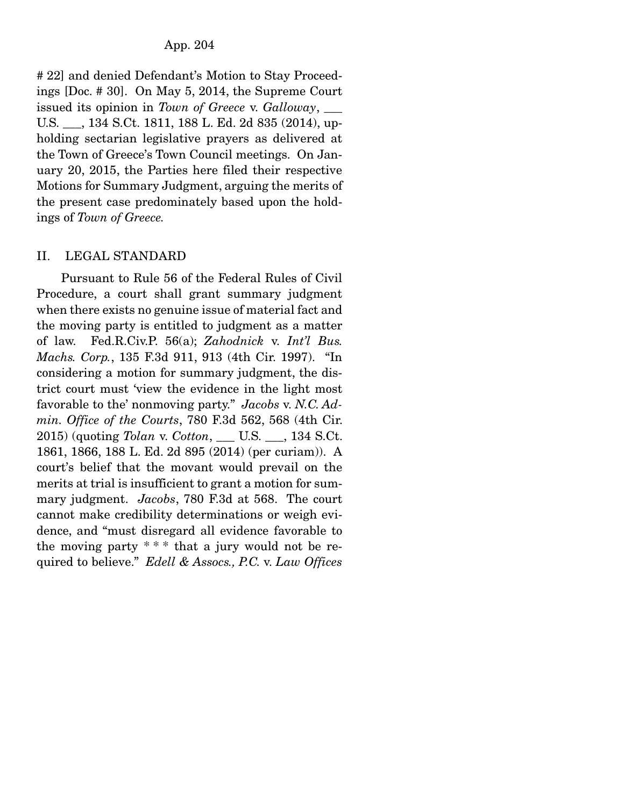# 22] and denied Defendant's Motion to Stay Proceedings [Doc. # 30]. On May 5, 2014, the Supreme Court issued its opinion in *Town of Greece* v. *Galloway*, \_\_\_ U.S. \_\_\_, 134 S.Ct. 1811, 188 L. Ed. 2d 835 (2014), upholding sectarian legislative prayers as delivered at the Town of Greece's Town Council meetings. On January 20, 2015, the Parties here filed their respective Motions for Summary Judgment, arguing the merits of the present case predominately based upon the holdings of *Town of Greece.*

# II. LEGAL STANDARD

 Pursuant to Rule 56 of the Federal Rules of Civil Procedure, a court shall grant summary judgment when there exists no genuine issue of material fact and the moving party is entitled to judgment as a matter of law. Fed.R.Civ.P. 56(a); *Zahodnick* v. *Int'l Bus. Machs. Corp.*, 135 F.3d 911, 913 (4th Cir. 1997). "In considering a motion for summary judgment, the district court must 'view the evidence in the light most favorable to the' nonmoving party." *Jacobs* v. *N.C. Admin. Office of the Courts*, 780 F.3d 562, 568 (4th Cir. 2015) (quoting *Tolan* v. *Cotton*, \_\_\_ U.S. \_\_\_, 134 S.Ct. 1861, 1866, 188 L. Ed. 2d 895 (2014) (per curiam)). A court's belief that the movant would prevail on the merits at trial is insufficient to grant a motion for summary judgment. *Jacobs*, 780 F.3d at 568. The court cannot make credibility determinations or weigh evidence, and "must disregard all evidence favorable to the moving party  $**$  that a jury would not be required to believe." *Edell & Assocs., P.C.* v. *Law Offices*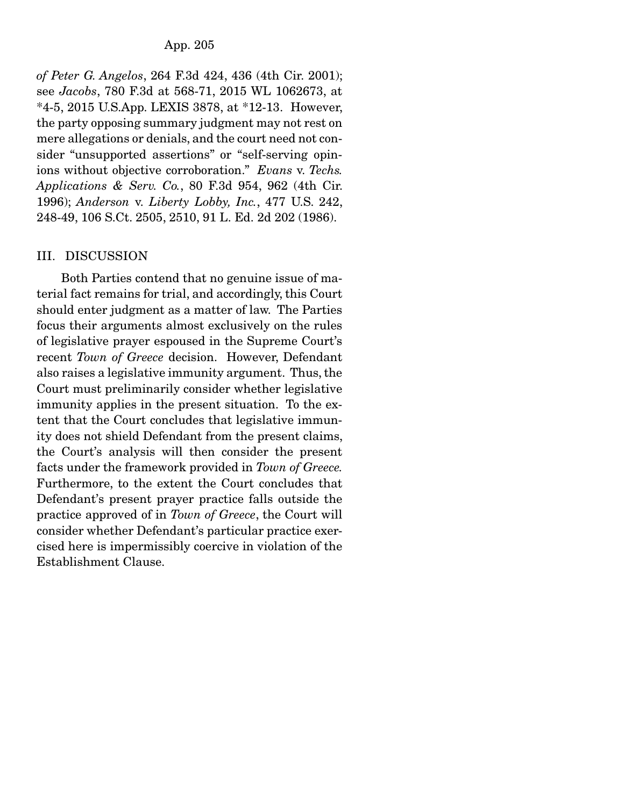## App. 205

*of Peter G. Angelos*, 264 F.3d 424, 436 (4th Cir. 2001); see *Jacobs*, 780 F.3d at 568-71, 2015 WL 1062673, at \*4-5, 2015 U.S.App. LEXIS 3878, at \*12-13. However, the party opposing summary judgment may not rest on mere allegations or denials, and the court need not consider "unsupported assertions" or "self-serving opinions without objective corroboration." *Evans* v. *Techs. Applications & Serv. Co.*, 80 F.3d 954, 962 (4th Cir. 1996); *Anderson* v. *Liberty Lobby, Inc.*, 477 U.S. 242, 248-49, 106 S.Ct. 2505, 2510, 91 L. Ed. 2d 202 (1986).

## III. DISCUSSION

 Both Parties contend that no genuine issue of material fact remains for trial, and accordingly, this Court should enter judgment as a matter of law. The Parties focus their arguments almost exclusively on the rules of legislative prayer espoused in the Supreme Court's recent *Town of Greece* decision. However, Defendant also raises a legislative immunity argument. Thus, the Court must preliminarily consider whether legislative immunity applies in the present situation. To the extent that the Court concludes that legislative immunity does not shield Defendant from the present claims, the Court's analysis will then consider the present facts under the framework provided in *Town of Greece.*  Furthermore, to the extent the Court concludes that Defendant's present prayer practice falls outside the practice approved of in *Town of Greece*, the Court will consider whether Defendant's particular practice exercised here is impermissibly coercive in violation of the Establishment Clause.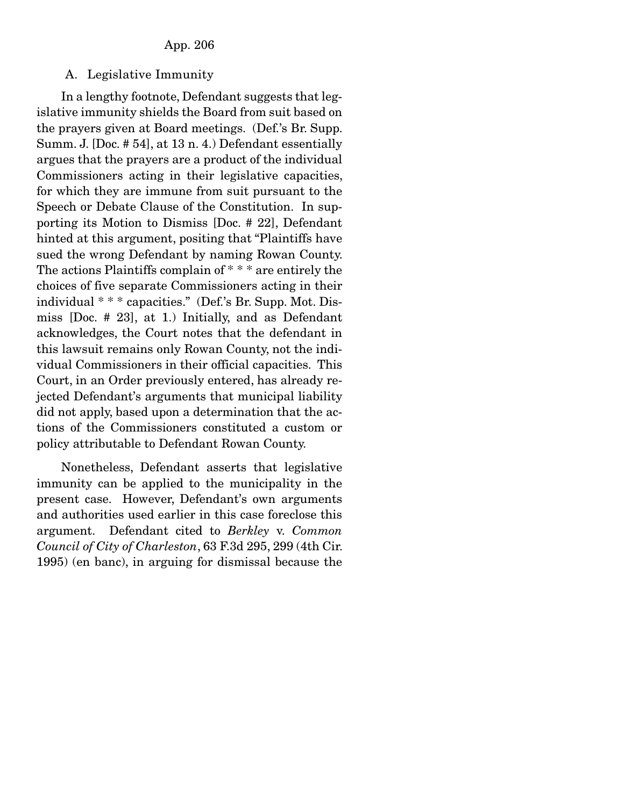# A. Legislative Immunity

 In a lengthy footnote, Defendant suggests that legislative immunity shields the Board from suit based on the prayers given at Board meetings. (Def.'s Br. Supp. Summ. J. [Doc. # 54], at 13 n. 4.) Defendant essentially argues that the prayers are a product of the individual Commissioners acting in their legislative capacities, for which they are immune from suit pursuant to the Speech or Debate Clause of the Constitution. In supporting its Motion to Dismiss [Doc. # 22], Defendant hinted at this argument, positing that "Plaintiffs have sued the wrong Defendant by naming Rowan County. The actions Plaintiffs complain of \* \* \* are entirely the choices of five separate Commissioners acting in their individual \* \* \* capacities." (Def.'s Br. Supp. Mot. Dismiss [Doc. # 23], at 1.) Initially, and as Defendant acknowledges, the Court notes that the defendant in this lawsuit remains only Rowan County, not the individual Commissioners in their official capacities. This Court, in an Order previously entered, has already rejected Defendant's arguments that municipal liability did not apply, based upon a determination that the actions of the Commissioners constituted a custom or policy attributable to Defendant Rowan County.

 Nonetheless, Defendant asserts that legislative immunity can be applied to the municipality in the present case. However, Defendant's own arguments and authorities used earlier in this case foreclose this argument. Defendant cited to *Berkley* v. *Common Council of City of Charleston*, 63 F.3d 295, 299 (4th Cir. 1995) (en banc), in arguing for dismissal because the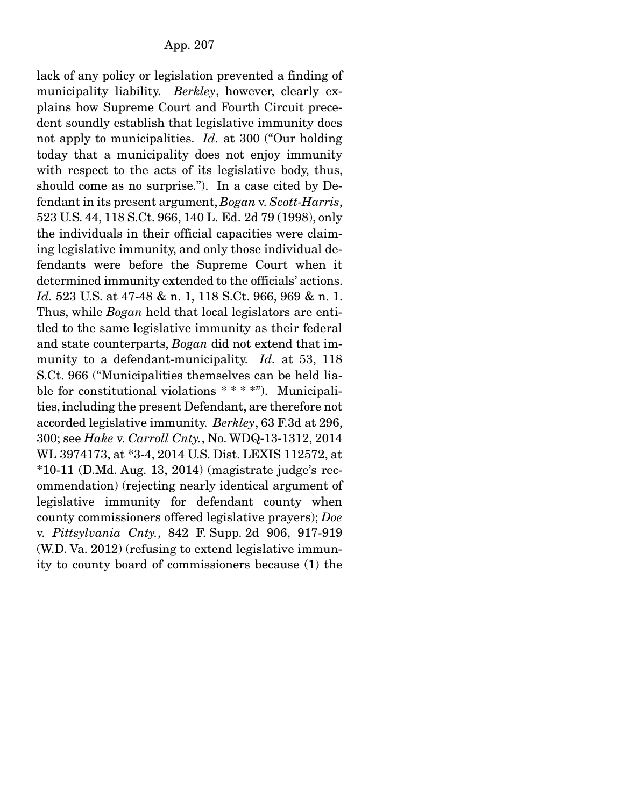lack of any policy or legislation prevented a finding of municipality liability. *Berkley*, however, clearly explains how Supreme Court and Fourth Circuit precedent soundly establish that legislative immunity does not apply to municipalities. *Id.* at 300 ("Our holding today that a municipality does not enjoy immunity with respect to the acts of its legislative body, thus, should come as no surprise."). In a case cited by Defendant in its present argument, *Bogan* v. *Scott-Harris*, 523 U.S. 44, 118 S.Ct. 966, 140 L. Ed. 2d 79 (1998), only the individuals in their official capacities were claiming legislative immunity, and only those individual defendants were before the Supreme Court when it determined immunity extended to the officials' actions. *Id.* 523 U.S. at 47-48 & n. 1, 118 S.Ct. 966, 969 & n. 1. Thus, while *Bogan* held that local legislators are entitled to the same legislative immunity as their federal and state counterparts, *Bogan* did not extend that immunity to a defendant-municipality. *Id.* at 53, 118 S.Ct. 966 ("Municipalities themselves can be held liable for constitutional violations \* \* \* \*"). Municipalities, including the present Defendant, are therefore not accorded legislative immunity. *Berkley*, 63 F.3d at 296, 300; see *Hake* v. *Carroll Cnty.*, No. WDQ-13-1312, 2014 WL 3974173, at \*3-4, 2014 U.S. Dist. LEXIS 112572, at  $*10-11$  (D.Md. Aug. 13, 2014) (magistrate judge's recommendation) (rejecting nearly identical argument of legislative immunity for defendant county when county commissioners offered legislative prayers); *Doe*  v. *Pittsylvania Cnty.*, 842 F. Supp. 2d 906, 917-919 (W.D. Va. 2012) (refusing to extend legislative immunity to county board of commissioners because (1) the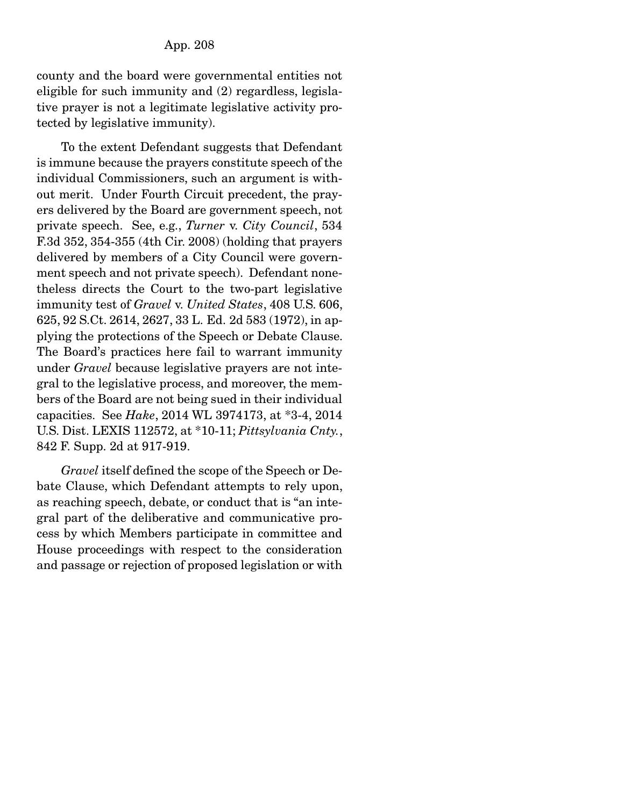county and the board were governmental entities not eligible for such immunity and (2) regardless, legislative prayer is not a legitimate legislative activity protected by legislative immunity).

 To the extent Defendant suggests that Defendant is immune because the prayers constitute speech of the individual Commissioners, such an argument is without merit. Under Fourth Circuit precedent, the prayers delivered by the Board are government speech, not private speech. See, e.g., *Turner* v. *City Council*, 534 F.3d 352, 354-355 (4th Cir. 2008) (holding that prayers delivered by members of a City Council were government speech and not private speech). Defendant nonetheless directs the Court to the two-part legislative immunity test of *Gravel* v. *United States*, 408 U.S. 606, 625, 92 S.Ct. 2614, 2627, 33 L. Ed. 2d 583 (1972), in applying the protections of the Speech or Debate Clause. The Board's practices here fail to warrant immunity under *Gravel* because legislative prayers are not integral to the legislative process, and moreover, the members of the Board are not being sued in their individual capacities. See *Hake*, 2014 WL 3974173, at \*3-4, 2014 U.S. Dist. LEXIS 112572, at \*10-11; *Pittsylvania Cnty.*, 842 F. Supp. 2d at 917-919.

*Gravel* itself defined the scope of the Speech or Debate Clause, which Defendant attempts to rely upon, as reaching speech, debate, or conduct that is "an integral part of the deliberative and communicative process by which Members participate in committee and House proceedings with respect to the consideration and passage or rejection of proposed legislation or with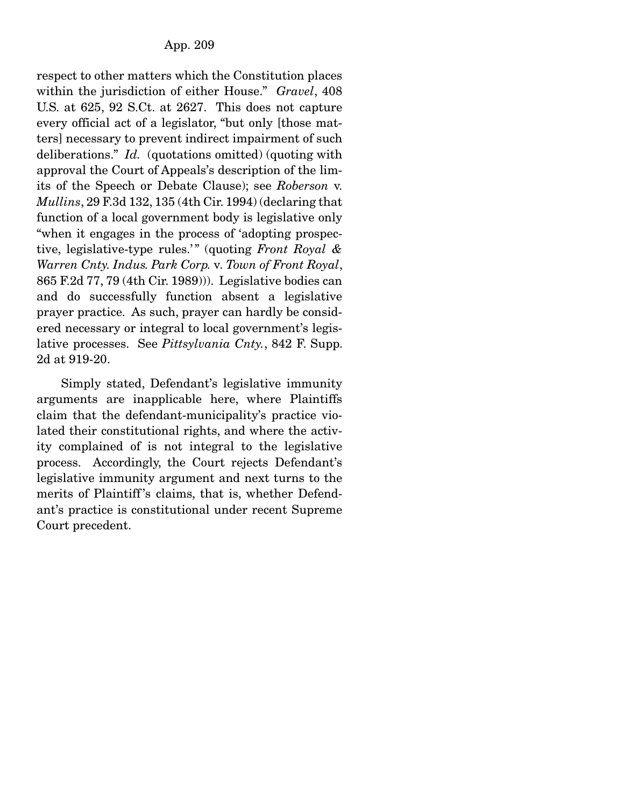respect to other matters which the Constitution places within the jurisdiction of either House." *Gravel*, 408 U.S. at 625, 92 S.Ct. at 2627. This does not capture every official act of a legislator, "but only [those matters] necessary to prevent indirect impairment of such deliberations." *Id.* (quotations omitted) (quoting with approval the Court of Appeals's description of the limits of the Speech or Debate Clause); see *Roberson* v. *Mullins*, 29 F.3d 132, 135 (4th Cir. 1994) (declaring that function of a local government body is legislative only "when it engages in the process of 'adopting prospective, legislative-type rules.'" (quoting *Front Royal & Warren Cnty. Indus. Park Corp.* v*. Town of Front Royal*, 865 F.2d 77, 79 (4th Cir. 1989))). Legislative bodies can and do successfully function absent a legislative prayer practice. As such, prayer can hardly be considered necessary or integral to local government's legislative processes. See *Pittsylvania Cnty.*, 842 F. Supp. 2d at 919-20.

 Simply stated, Defendant's legislative immunity arguments are inapplicable here, where Plaintiffs claim that the defendant-municipality's practice violated their constitutional rights, and where the activity complained of is not integral to the legislative process. Accordingly, the Court rejects Defendant's legislative immunity argument and next turns to the merits of Plaintiff's claims, that is, whether Defendant's practice is constitutional under recent Supreme Court precedent.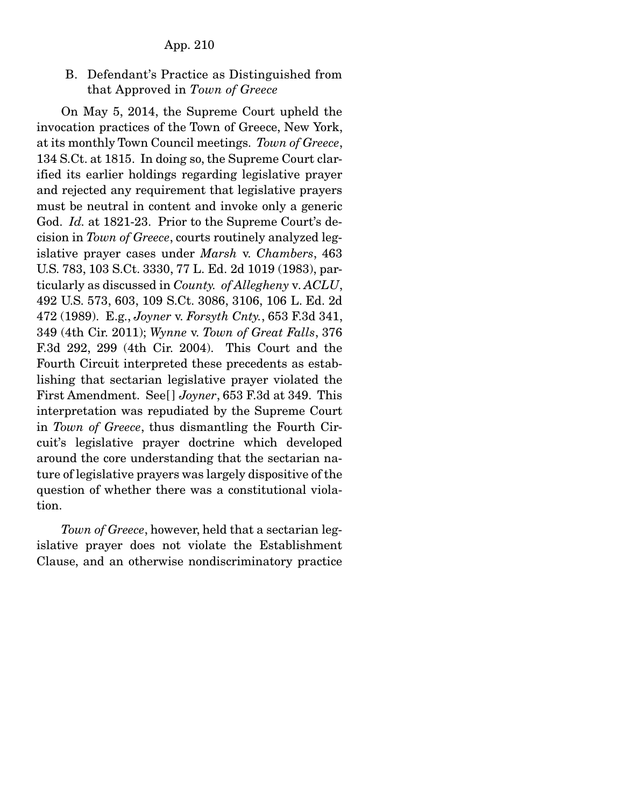B. Defendant's Practice as Distinguished from that Approved in *Town of Greece*

 On May 5, 2014, the Supreme Court upheld the invocation practices of the Town of Greece, New York, at its monthly Town Council meetings. *Town of Greece*, 134 S.Ct. at 1815. In doing so, the Supreme Court clarified its earlier holdings regarding legislative prayer and rejected any requirement that legislative prayers must be neutral in content and invoke only a generic God. *Id.* at 1821-23. Prior to the Supreme Court's decision in *Town of Greece*, courts routinely analyzed legislative prayer cases under *Marsh* v. *Chambers*, 463 U.S. 783, 103 S.Ct. 3330, 77 L. Ed. 2d 1019 (1983), particularly as discussed in *County. of Allegheny* v*. ACLU*, 492 U.S. 573, 603, 109 S.Ct. 3086, 3106, 106 L. Ed. 2d 472 (1989). E.g., *Joyner* v. *Forsyth Cnty.*, 653 F.3d 341, 349 (4th Cir. 2011); *Wynne* v. *Town of Great Falls*, 376 F.3d 292, 299 (4th Cir. 2004). This Court and the Fourth Circuit interpreted these precedents as establishing that sectarian legislative prayer violated the First Amendment. See[ ] *Joyner*, 653 F.3d at 349. This interpretation was repudiated by the Supreme Court in *Town of Greece*, thus dismantling the Fourth Circuit's legislative prayer doctrine which developed around the core understanding that the sectarian nature of legislative prayers was largely dispositive of the question of whether there was a constitutional violation.

*Town of Greece*, however, held that a sectarian legislative prayer does not violate the Establishment Clause, and an otherwise nondiscriminatory practice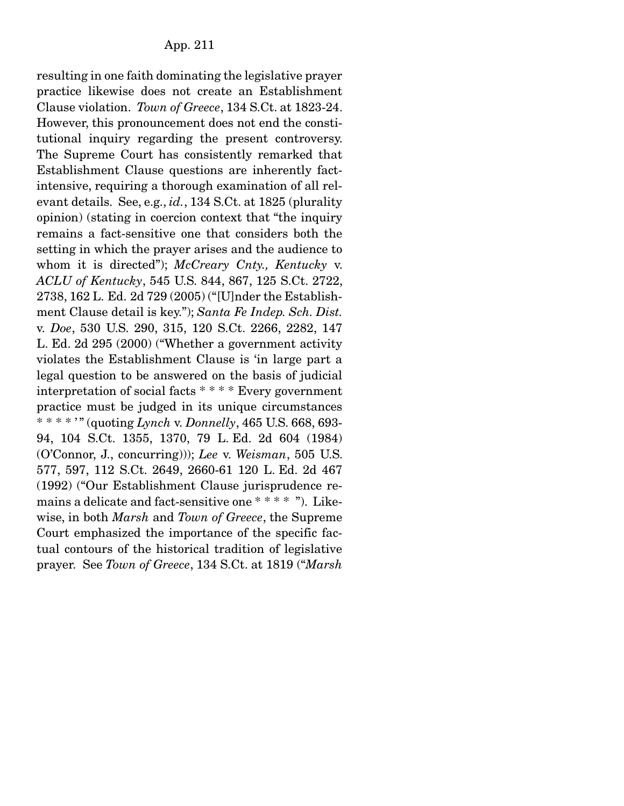resulting in one faith dominating the legislative prayer practice likewise does not create an Establishment Clause violation. *Town of Greece*, 134 S.Ct. at 1823-24. However, this pronouncement does not end the constitutional inquiry regarding the present controversy. The Supreme Court has consistently remarked that Establishment Clause questions are inherently factintensive, requiring a thorough examination of all relevant details. See, e.g., *id.*, 134 S.Ct. at 1825 (plurality opinion) (stating in coercion context that "the inquiry remains a fact-sensitive one that considers both the setting in which the prayer arises and the audience to whom it is directed"); *McCreary Cnty., Kentucky* v. *ACLU of Kentucky*, 545 U.S. 844, 867, 125 S.Ct. 2722, 2738, 162 L. Ed. 2d 729 (2005) ("[U]nder the Establishment Clause detail is key."); *Santa Fe Indep. Sch. Dist.*  v. *Doe*, 530 U.S. 290, 315, 120 S.Ct. 2266, 2282, 147 L. Ed. 2d 295 (2000) ("Whether a government activity violates the Establishment Clause is 'in large part a legal question to be answered on the basis of judicial interpretation of social facts \* \* \* \* Every government practice must be judged in its unique circumstances \* \* \* \* ' " (quoting *Lynch* v. *Donnelly*, 465 U.S. 668, 693- 94, 104 S.Ct. 1355, 1370, 79 L. Ed. 2d 604 (1984) (O'Connor, J., concurring))); *Lee* v. *Weisman*, 505 U.S. 577, 597, 112 S.Ct. 2649, 2660-61 120 L. Ed. 2d 467 (1992) ("Our Establishment Clause jurisprudence remains a delicate and fact-sensitive one \* \* \* \* "). Likewise, in both *Marsh* and *Town of Greece*, the Supreme Court emphasized the importance of the specific factual contours of the historical tradition of legislative prayer. See *Town of Greece*, 134 S.Ct. at 1819 ("*Marsh*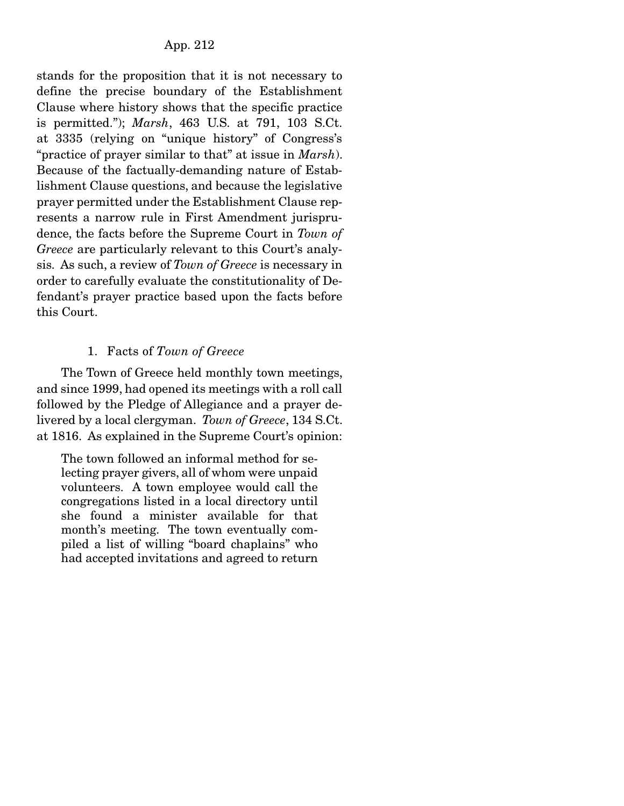stands for the proposition that it is not necessary to define the precise boundary of the Establishment Clause where history shows that the specific practice is permitted."); *Marsh*, 463 U.S. at 791, 103 S.Ct. at 3335 (relying on "unique history" of Congress's "practice of prayer similar to that" at issue in *Marsh*). Because of the factually-demanding nature of Establishment Clause questions, and because the legislative prayer permitted under the Establishment Clause represents a narrow rule in First Amendment jurisprudence, the facts before the Supreme Court in *Town of Greece* are particularly relevant to this Court's analysis. As such, a review of *Town of Greece* is necessary in order to carefully evaluate the constitutionality of Defendant's prayer practice based upon the facts before this Court.

# 1. Facts of *Town of Greece*

 The Town of Greece held monthly town meetings, and since 1999, had opened its meetings with a roll call followed by the Pledge of Allegiance and a prayer delivered by a local clergyman. *Town of Greece*, 134 S.Ct. at 1816. As explained in the Supreme Court's opinion:

The town followed an informal method for selecting prayer givers, all of whom were unpaid volunteers. A town employee would call the congregations listed in a local directory until she found a minister available for that month's meeting. The town eventually compiled a list of willing "board chaplains" who had accepted invitations and agreed to return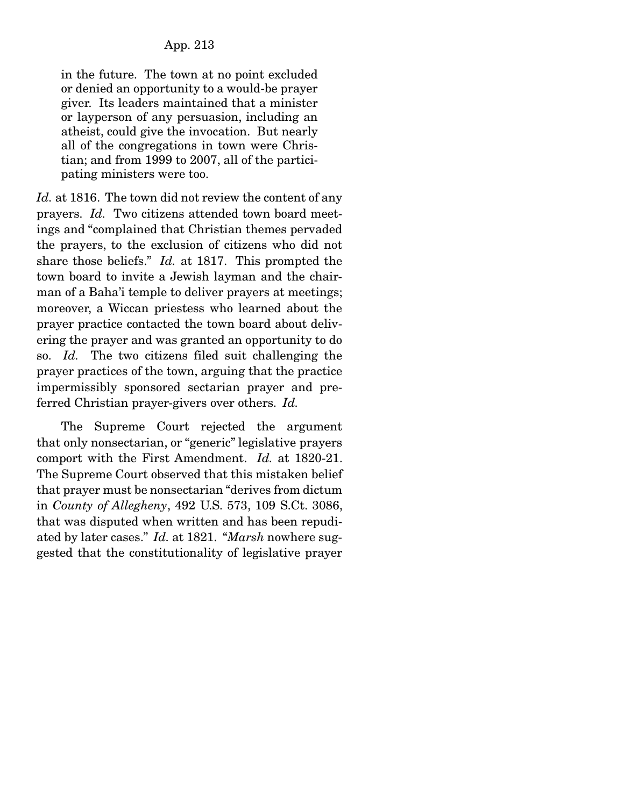in the future. The town at no point excluded or denied an opportunity to a would-be prayer giver. Its leaders maintained that a minister or layperson of any persuasion, including an atheist, could give the invocation. But nearly all of the congregations in town were Christian; and from 1999 to 2007, all of the participating ministers were too.

*Id.* at 1816. The town did not review the content of any prayers. *Id.* Two citizens attended town board meetings and "complained that Christian themes pervaded the prayers, to the exclusion of citizens who did not share those beliefs." *Id.* at 1817. This prompted the town board to invite a Jewish layman and the chairman of a Baha'i temple to deliver prayers at meetings; moreover, a Wiccan priestess who learned about the prayer practice contacted the town board about delivering the prayer and was granted an opportunity to do so. *Id.* The two citizens filed suit challenging the prayer practices of the town, arguing that the practice impermissibly sponsored sectarian prayer and preferred Christian prayer-givers over others. *Id.*

 The Supreme Court rejected the argument that only nonsectarian, or "generic" legislative prayers comport with the First Amendment. *Id.* at 1820-21. The Supreme Court observed that this mistaken belief that prayer must be nonsectarian "derives from dictum in *County of Allegheny*, 492 U.S. 573, 109 S.Ct. 3086, that was disputed when written and has been repudiated by later cases." *Id.* at 1821. "*Marsh* nowhere suggested that the constitutionality of legislative prayer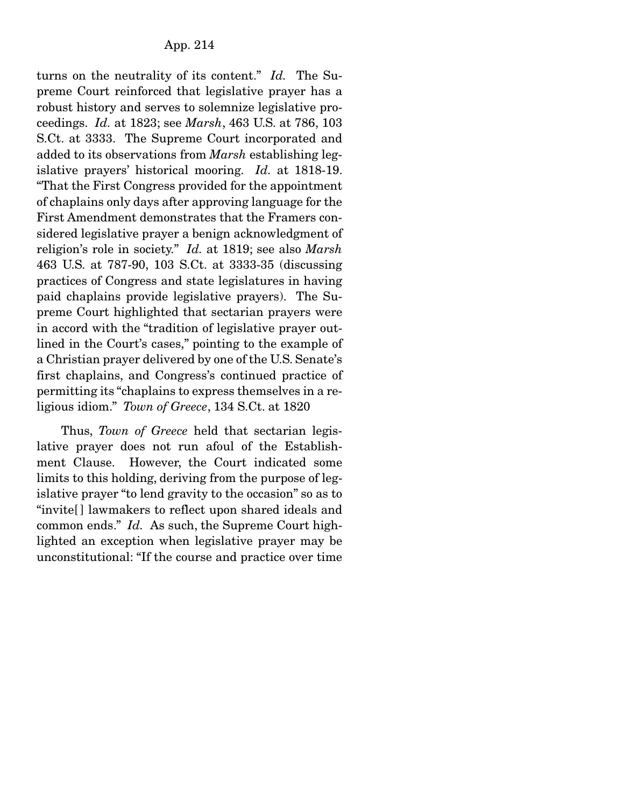turns on the neutrality of its content." *Id.* The Supreme Court reinforced that legislative prayer has a robust history and serves to solemnize legislative proceedings. *Id.* at 1823; see *Marsh*, 463 U.S. at 786, 103 S.Ct. at 3333. The Supreme Court incorporated and added to its observations from *Marsh* establishing legislative prayers' historical mooring. *Id.* at 1818-19. "That the First Congress provided for the appointment of chaplains only days after approving language for the First Amendment demonstrates that the Framers considered legislative prayer a benign acknowledgment of religion's role in society." *Id.* at 1819; see also *Marsh* 463 U.S. at 787-90, 103 S.Ct. at 3333-35 (discussing practices of Congress and state legislatures in having paid chaplains provide legislative prayers). The Supreme Court highlighted that sectarian prayers were in accord with the "tradition of legislative prayer outlined in the Court's cases," pointing to the example of a Christian prayer delivered by one of the U.S. Senate's first chaplains, and Congress's continued practice of permitting its "chaplains to express themselves in a religious idiom." *Town of Greece*, 134 S.Ct. at 1820

 Thus, *Town of Greece* held that sectarian legislative prayer does not run afoul of the Establishment Clause. However, the Court indicated some limits to this holding, deriving from the purpose of legislative prayer "to lend gravity to the occasion" so as to "invite[ ] lawmakers to reflect upon shared ideals and common ends." *Id.* As such, the Supreme Court highlighted an exception when legislative prayer may be unconstitutional: "If the course and practice over time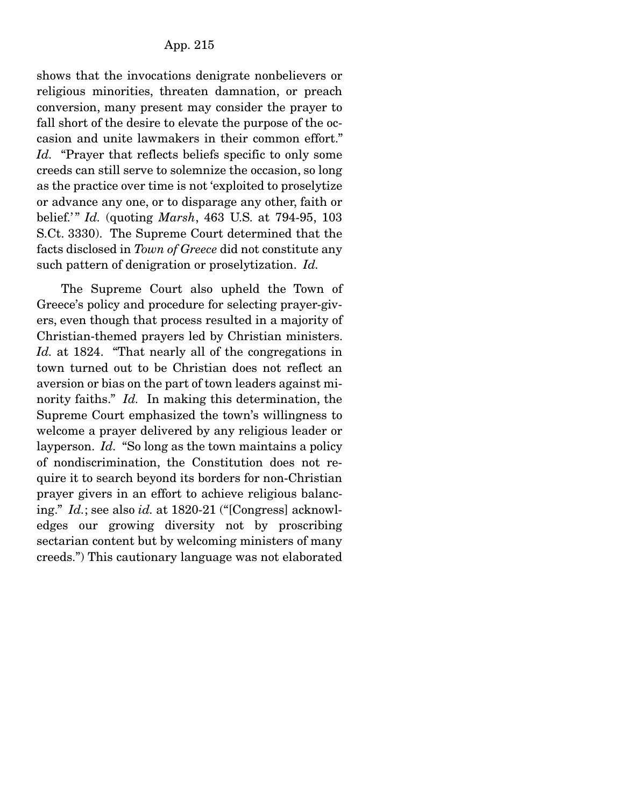shows that the invocations denigrate nonbelievers or religious minorities, threaten damnation, or preach conversion, many present may consider the prayer to fall short of the desire to elevate the purpose of the occasion and unite lawmakers in their common effort." *Id.* "Prayer that reflects beliefs specific to only some creeds can still serve to solemnize the occasion, so long as the practice over time is not 'exploited to proselytize or advance any one, or to disparage any other, faith or belief.' " *Id.* (quoting *Marsh*, 463 U.S. at 794-95, 103 S.Ct. 3330). The Supreme Court determined that the facts disclosed in *Town of Greece* did not constitute any such pattern of denigration or proselytization. *Id.*

 The Supreme Court also upheld the Town of Greece's policy and procedure for selecting prayer-givers, even though that process resulted in a majority of Christian-themed prayers led by Christian ministers. Id. at 1824. "That nearly all of the congregations in town turned out to be Christian does not reflect an aversion or bias on the part of town leaders against minority faiths." *Id.* In making this determination, the Supreme Court emphasized the town's willingness to welcome a prayer delivered by any religious leader or layperson. *Id.* "So long as the town maintains a policy of nondiscrimination, the Constitution does not require it to search beyond its borders for non-Christian prayer givers in an effort to achieve religious balancing." *Id.*; see also *id.* at 1820-21 ("[Congress] acknowledges our growing diversity not by proscribing sectarian content but by welcoming ministers of many creeds.") This cautionary language was not elaborated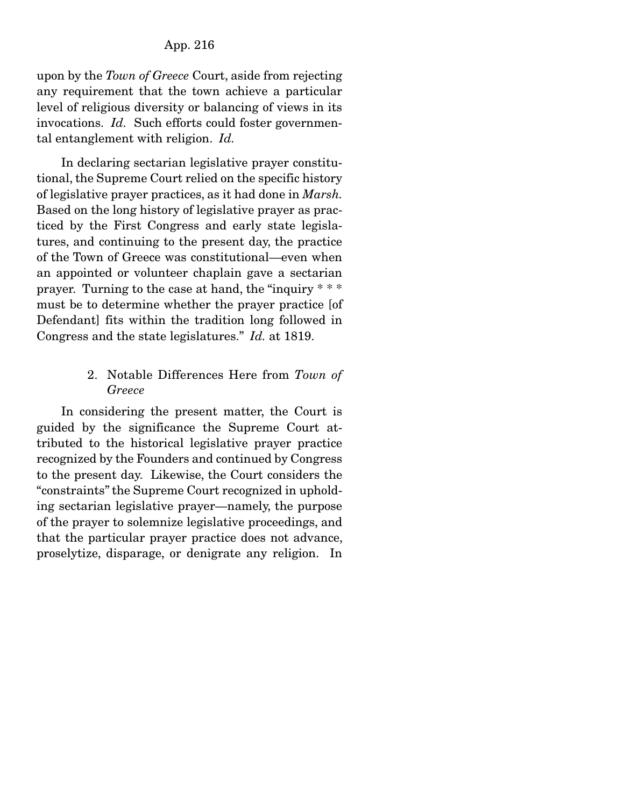### App. 216

upon by the *Town of Greece* Court, aside from rejecting any requirement that the town achieve a particular level of religious diversity or balancing of views in its invocations. *Id.* Such efforts could foster governmental entanglement with religion. *Id.*

 In declaring sectarian legislative prayer constitutional, the Supreme Court relied on the specific history of legislative prayer practices, as it had done in *Marsh.*  Based on the long history of legislative prayer as practiced by the First Congress and early state legislatures, and continuing to the present day, the practice of the Town of Greece was constitutional—even when an appointed or volunteer chaplain gave a sectarian prayer. Turning to the case at hand, the "inquiry \* \* \* must be to determine whether the prayer practice [of Defendant] fits within the tradition long followed in Congress and the state legislatures." *Id.* at 1819.

### 2. Notable Differences Here from *Town of Greece*

 In considering the present matter, the Court is guided by the significance the Supreme Court attributed to the historical legislative prayer practice recognized by the Founders and continued by Congress to the present day. Likewise, the Court considers the "constraints" the Supreme Court recognized in upholding sectarian legislative prayer—namely, the purpose of the prayer to solemnize legislative proceedings, and that the particular prayer practice does not advance, proselytize, disparage, or denigrate any religion. In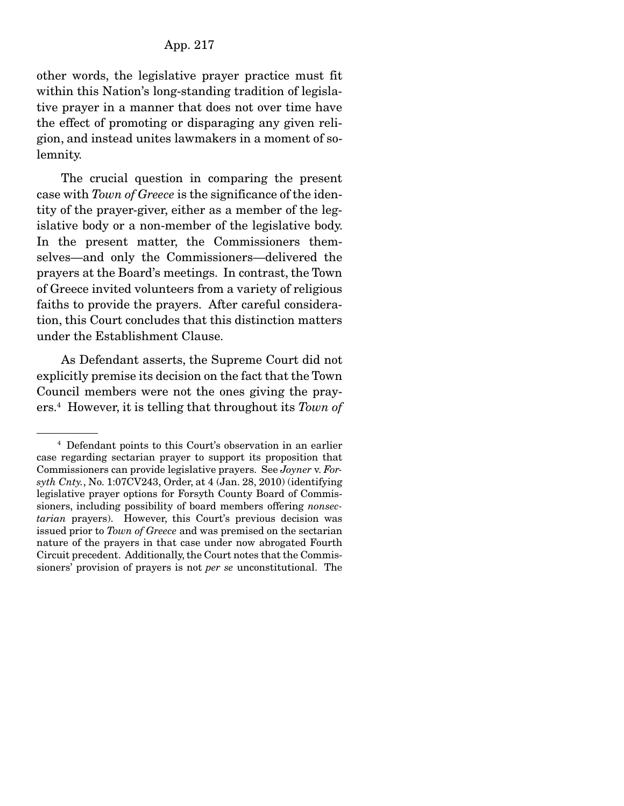other words, the legislative prayer practice must fit within this Nation's long-standing tradition of legislative prayer in a manner that does not over time have the effect of promoting or disparaging any given religion, and instead unites lawmakers in a moment of solemnity.

 The crucial question in comparing the present case with *Town of Greece* is the significance of the identity of the prayer-giver, either as a member of the legislative body or a non-member of the legislative body. In the present matter, the Commissioners themselves—and only the Commissioners—delivered the prayers at the Board's meetings. In contrast, the Town of Greece invited volunteers from a variety of religious faiths to provide the prayers. After careful consideration, this Court concludes that this distinction matters under the Establishment Clause.

 As Defendant asserts, the Supreme Court did not explicitly premise its decision on the fact that the Town Council members were not the ones giving the prayers.4 However, it is telling that throughout its *Town of* 

<sup>4</sup> Defendant points to this Court's observation in an earlier case regarding sectarian prayer to support its proposition that Commissioners can provide legislative prayers. See *Joyner* v. *Forsyth Cnty.*, No. 1:07CV243, Order, at 4 (Jan. 28, 2010) (identifying legislative prayer options for Forsyth County Board of Commissioners, including possibility of board members offering *nonsectarian* prayers). However, this Court's previous decision was issued prior to *Town of Greece* and was premised on the sectarian nature of the prayers in that case under now abrogated Fourth Circuit precedent. Additionally, the Court notes that the Commissioners' provision of prayers is not *per se* unconstitutional. The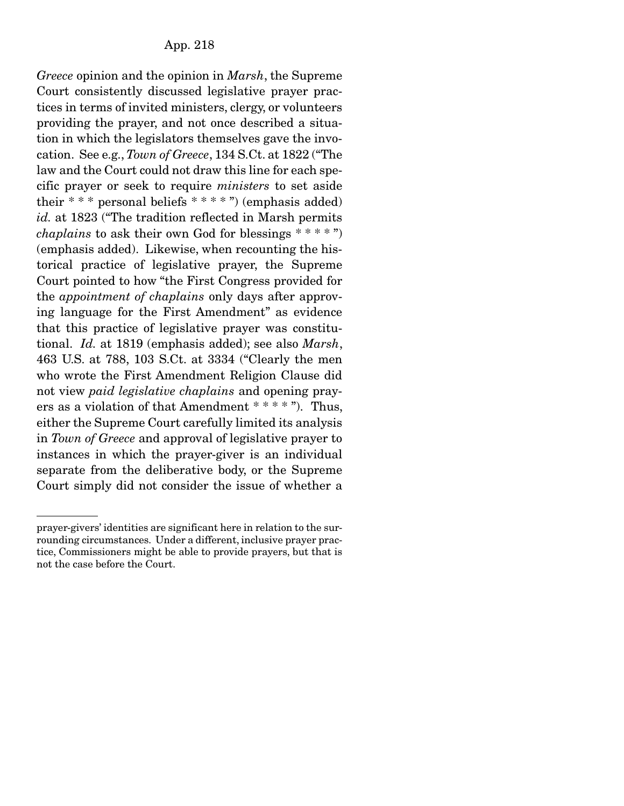*Greece* opinion and the opinion in *Marsh*, the Supreme Court consistently discussed legislative prayer practices in terms of invited ministers, clergy, or volunteers providing the prayer, and not once described a situation in which the legislators themselves gave the invocation. See e.g., *Town of Greece*, 134 S.Ct. at 1822 ("The law and the Court could not draw this line for each specific prayer or seek to require *ministers* to set aside their  $***$  personal beliefs  $***$ ") (emphasis added) *id.* at 1823 ("The tradition reflected in Marsh permits *chaplains* to ask their own God for blessings \* \* \* \* ") (emphasis added). Likewise, when recounting the historical practice of legislative prayer, the Supreme Court pointed to how "the First Congress provided for the *appointment of chaplains* only days after approving language for the First Amendment" as evidence that this practice of legislative prayer was constitutional. *Id.* at 1819 (emphasis added); see also *Marsh*, 463 U.S. at 788, 103 S.Ct. at 3334 ("Clearly the men who wrote the First Amendment Religion Clause did not view *paid legislative chaplains* and opening prayers as a violation of that Amendment \* \* \* \* "). Thus, either the Supreme Court carefully limited its analysis in *Town of Greece* and approval of legislative prayer to instances in which the prayer-giver is an individual separate from the deliberative body, or the Supreme Court simply did not consider the issue of whether a

prayer-givers' identities are significant here in relation to the surrounding circumstances. Under a different, inclusive prayer practice, Commissioners might be able to provide prayers, but that is not the case before the Court.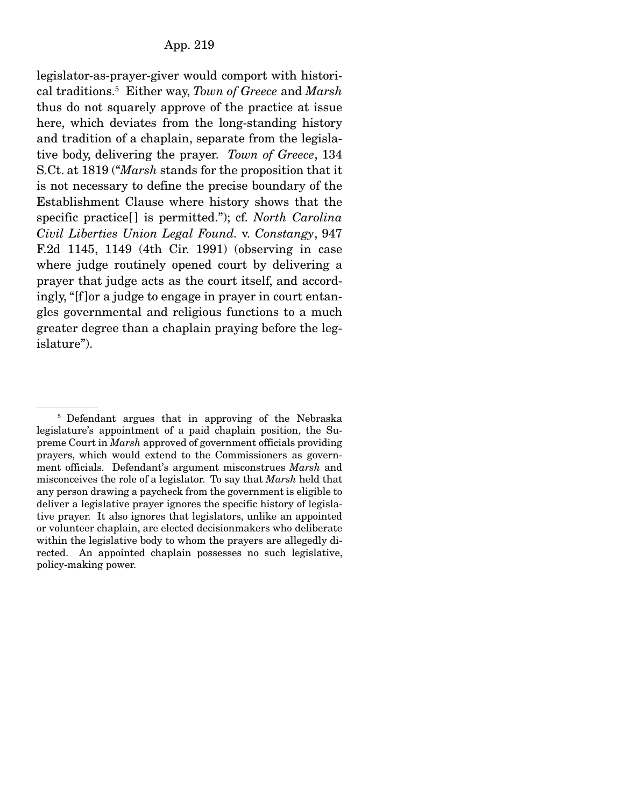legislator-as-prayer-giver would comport with historical traditions.5 Either way, *Town of Greece* and *Marsh* thus do not squarely approve of the practice at issue here, which deviates from the long-standing history and tradition of a chaplain, separate from the legislative body, delivering the prayer. *Town of Greece*, 134 S.Ct. at 1819 ("*Marsh* stands for the proposition that it is not necessary to define the precise boundary of the Establishment Clause where history shows that the specific practice<sup>[]</sup> is permitted."); cf. *North Carolina Civil Liberties Union Legal Found.* v. *Constangy*, 947 F.2d 1145, 1149 (4th Cir. 1991) (observing in case where judge routinely opened court by delivering a prayer that judge acts as the court itself, and accordingly, "[f ]or a judge to engage in prayer in court entangles governmental and religious functions to a much greater degree than a chaplain praying before the legislature").

<sup>&</sup>lt;sup>5</sup> Defendant argues that in approving of the Nebraska legislature's appointment of a paid chaplain position, the Supreme Court in *Marsh* approved of government officials providing prayers, which would extend to the Commissioners as government officials. Defendant's argument misconstrues *Marsh* and misconceives the role of a legislator. To say that *Marsh* held that any person drawing a paycheck from the government is eligible to deliver a legislative prayer ignores the specific history of legislative prayer. It also ignores that legislators, unlike an appointed or volunteer chaplain, are elected decisionmakers who deliberate within the legislative body to whom the prayers are allegedly directed. An appointed chaplain possesses no such legislative, policy-making power.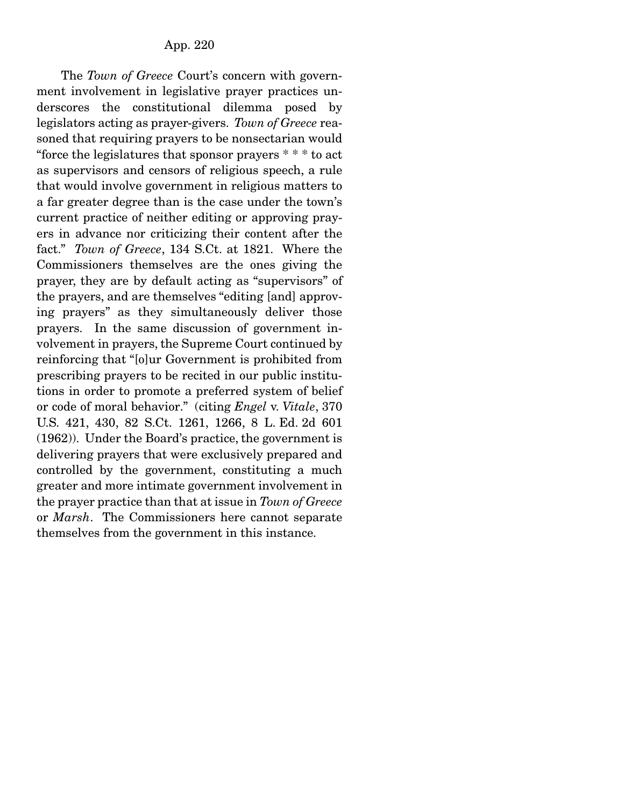The *Town of Greece* Court's concern with government involvement in legislative prayer practices underscores the constitutional dilemma posed by legislators acting as prayer-givers. *Town of Greece* reasoned that requiring prayers to be nonsectarian would "force the legislatures that sponsor prayers \* \* \* to act as supervisors and censors of religious speech, a rule that would involve government in religious matters to a far greater degree than is the case under the town's current practice of neither editing or approving prayers in advance nor criticizing their content after the fact." *Town of Greece*, 134 S.Ct. at 1821. Where the Commissioners themselves are the ones giving the prayer, they are by default acting as "supervisors" of the prayers, and are themselves "editing [and] approving prayers" as they simultaneously deliver those prayers. In the same discussion of government involvement in prayers, the Supreme Court continued by reinforcing that "[o]ur Government is prohibited from prescribing prayers to be recited in our public institutions in order to promote a preferred system of belief or code of moral behavior." (citing *Engel* v. *Vitale*, 370 U.S. 421, 430, 82 S.Ct. 1261, 1266, 8 L. Ed. 2d 601 (1962)). Under the Board's practice, the government is delivering prayers that were exclusively prepared and controlled by the government, constituting a much greater and more intimate government involvement in the prayer practice than that at issue in *Town of Greece* or *Marsh*. The Commissioners here cannot separate themselves from the government in this instance.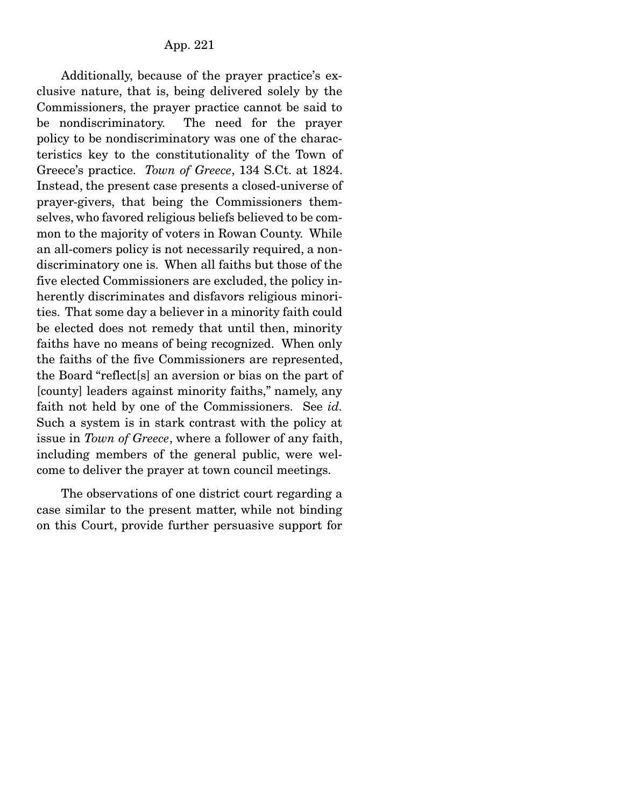Additionally, because of the prayer practice's exclusive nature, that is, being delivered solely by the Commissioners, the prayer practice cannot be said to be nondiscriminatory. The need for the prayer policy to be nondiscriminatory was one of the characteristics key to the constitutionality of the Town of Greece's practice. *Town of Greece*, 134 S.Ct. at 1824. Instead, the present case presents a closed-universe of prayer-givers, that being the Commissioners themselves, who favored religious beliefs believed to be common to the majority of voters in Rowan County. While an all-comers policy is not necessarily required, a nondiscriminatory one is. When all faiths but those of the five elected Commissioners are excluded, the policy inherently discriminates and disfavors religious minorities. That some day a believer in a minority faith could be elected does not remedy that until then, minority faiths have no means of being recognized. When only the faiths of the five Commissioners are represented, the Board "reflect[s] an aversion or bias on the part of [county] leaders against minority faiths," namely, any faith not held by one of the Commissioners. See *id.*  Such a system is in stark contrast with the policy at issue in *Town of Greece*, where a follower of any faith, including members of the general public, were welcome to deliver the prayer at town council meetings.

 The observations of one district court regarding a case similar to the present matter, while not binding on this Court, provide further persuasive support for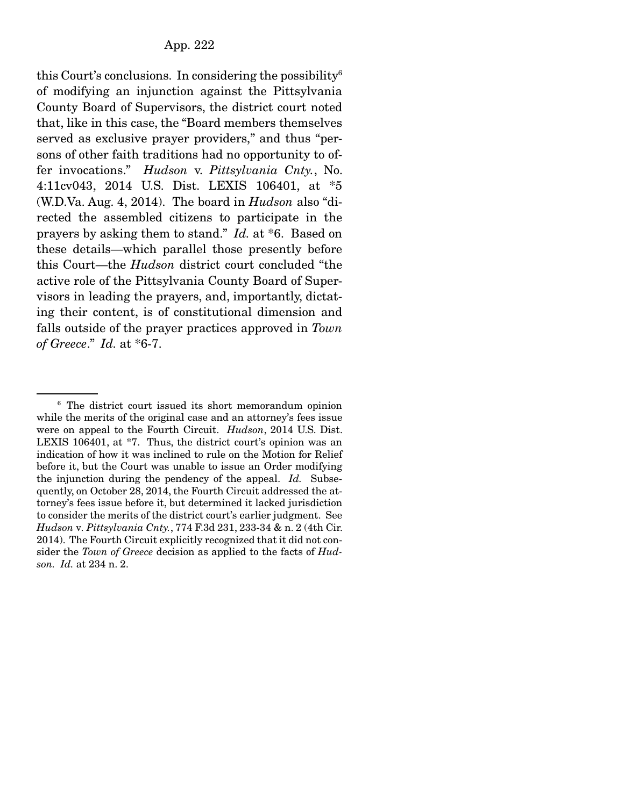this Court's conclusions. In considering the possibility $6$ of modifying an injunction against the Pittsylvania County Board of Supervisors, the district court noted that, like in this case, the "Board members themselves served as exclusive prayer providers," and thus "persons of other faith traditions had no opportunity to offer invocations." *Hudson* v. *Pittsylvania Cnty.*, No. 4:11cv043, 2014 U.S. Dist. LEXIS 106401, at \*5 (W.D.Va. Aug. 4, 2014). The board in *Hudson* also "directed the assembled citizens to participate in the prayers by asking them to stand." *Id.* at \*6. Based on these details—which parallel those presently before this Court—the *Hudson* district court concluded "the active role of the Pittsylvania County Board of Supervisors in leading the prayers, and, importantly, dictating their content, is of constitutional dimension and falls outside of the prayer practices approved in *Town of Greece*." *Id.* at \*6-7.

<sup>6</sup> The district court issued its short memorandum opinion while the merits of the original case and an attorney's fees issue were on appeal to the Fourth Circuit. *Hudson*, 2014 U.S. Dist. LEXIS 106401, at \*7. Thus, the district court's opinion was an indication of how it was inclined to rule on the Motion for Relief before it, but the Court was unable to issue an Order modifying the injunction during the pendency of the appeal. *Id.* Subsequently, on October 28, 2014, the Fourth Circuit addressed the attorney's fees issue before it, but determined it lacked jurisdiction to consider the merits of the district court's earlier judgment. See *Hudson* v*. Pittsylvania Cnty.*, 774 F.3d 231, 233-34 & n. 2 (4th Cir. 2014). The Fourth Circuit explicitly recognized that it did not consider the *Town of Greece* decision as applied to the facts of *Hudson. Id.* at 234 n. 2.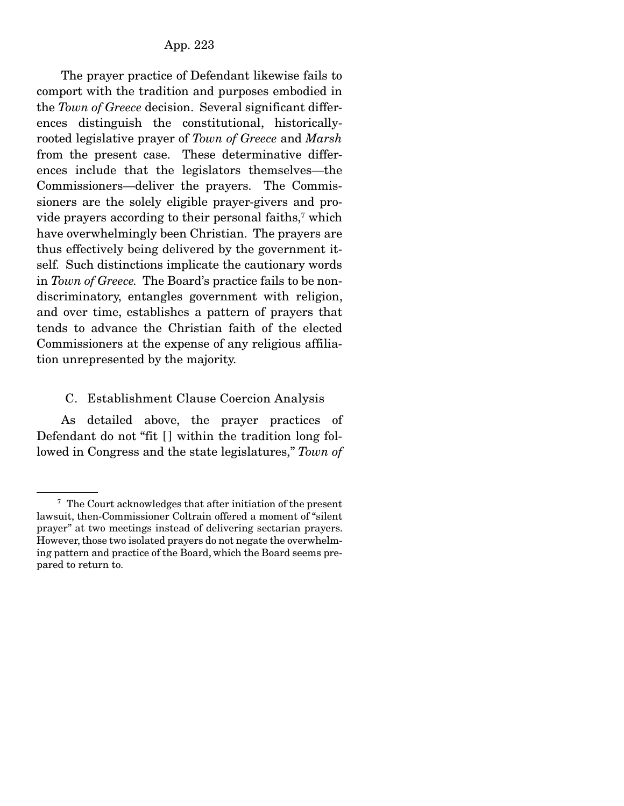The prayer practice of Defendant likewise fails to comport with the tradition and purposes embodied in the *Town of Greece* decision. Several significant differences distinguish the constitutional, historicallyrooted legislative prayer of *Town of Greece* and *Marsh* from the present case. These determinative differences include that the legislators themselves—the Commissioners—deliver the prayers. The Commissioners are the solely eligible prayer-givers and provide prayers according to their personal faiths,<sup>7</sup> which have overwhelmingly been Christian. The prayers are thus effectively being delivered by the government itself. Such distinctions implicate the cautionary words in *Town of Greece.* The Board's practice fails to be nondiscriminatory, entangles government with religion, and over time, establishes a pattern of prayers that tends to advance the Christian faith of the elected Commissioners at the expense of any religious affiliation unrepresented by the majority.

#### C. Establishment Clause Coercion Analysis

 As detailed above, the prayer practices of Defendant do not "fit [] within the tradition long followed in Congress and the state legislatures," *Town of* 

<sup>7</sup> The Court acknowledges that after initiation of the present lawsuit, then-Commissioner Coltrain offered a moment of "silent prayer" at two meetings instead of delivering sectarian prayers. However, those two isolated prayers do not negate the overwhelming pattern and practice of the Board, which the Board seems prepared to return to.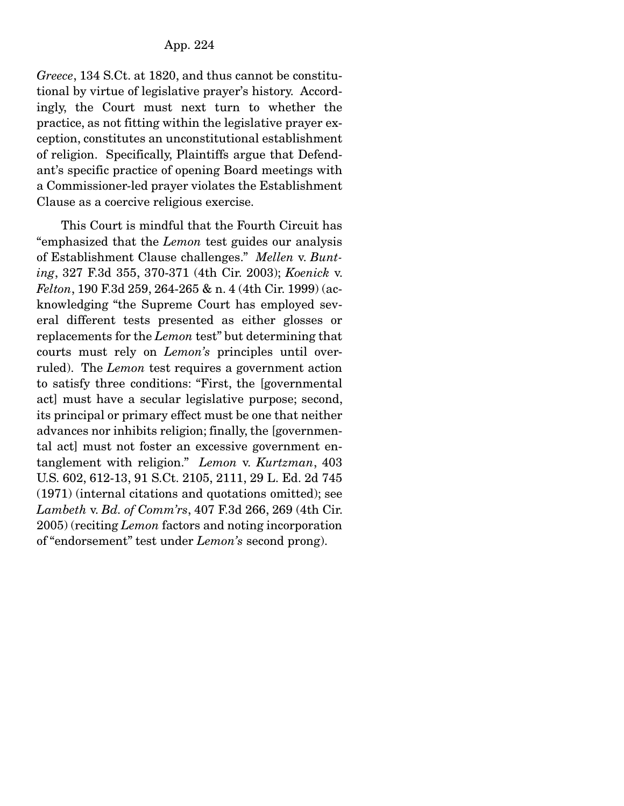*Greece*, 134 S.Ct. at 1820, and thus cannot be constitutional by virtue of legislative prayer's history. Accordingly, the Court must next turn to whether the practice, as not fitting within the legislative prayer exception, constitutes an unconstitutional establishment of religion. Specifically, Plaintiffs argue that Defendant's specific practice of opening Board meetings with a Commissioner-led prayer violates the Establishment Clause as a coercive religious exercise.

 This Court is mindful that the Fourth Circuit has "emphasized that the *Lemon* test guides our analysis of Establishment Clause challenges." *Mellen* v. *Bunting*, 327 F.3d 355, 370-371 (4th Cir. 2003); *Koenick* v. *Felton*, 190 F.3d 259, 264-265 & n. 4 (4th Cir. 1999) (acknowledging "the Supreme Court has employed several different tests presented as either glosses or replacements for the *Lemon* test" but determining that courts must rely on *Lemon's* principles until overruled). The *Lemon* test requires a government action to satisfy three conditions: "First, the [governmental act] must have a secular legislative purpose; second, its principal or primary effect must be one that neither advances nor inhibits religion; finally, the [governmental act] must not foster an excessive government entanglement with religion." *Lemon* v. *Kurtzman*, 403 U.S. 602, 612-13, 91 S.Ct. 2105, 2111, 29 L. Ed. 2d 745 (1971) (internal citations and quotations omitted); see *Lambeth* v. *Bd. of Comm'rs*, 407 F.3d 266, 269 (4th Cir. 2005) (reciting *Lemon* factors and noting incorporation of "endorsement" test under *Lemon's* second prong).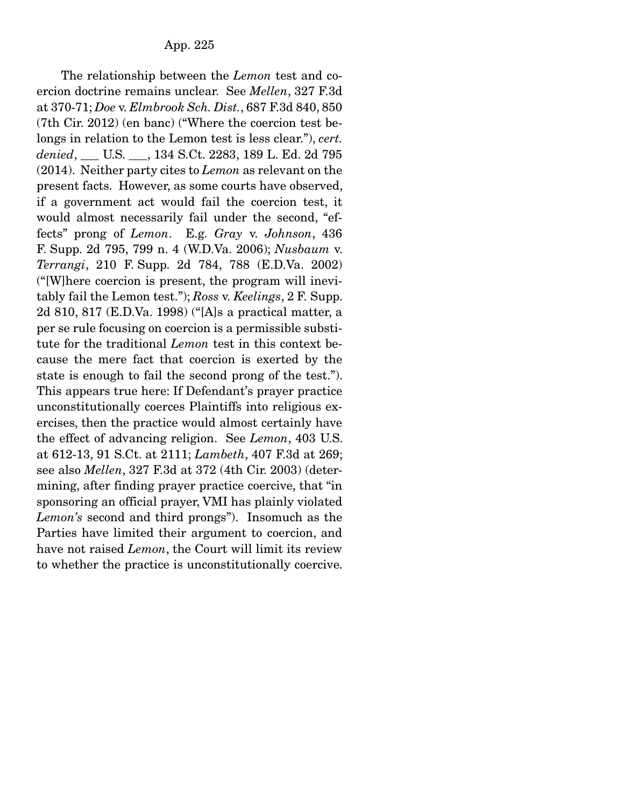The relationship between the *Lemon* test and coercion doctrine remains unclear. See *Mellen*, 327 F.3d at 370-71; *Doe* v. *Elmbrook Sch. Dist.*, 687 F.3d 840, 850 (7th Cir. 2012) (en banc) ("Where the coercion test belongs in relation to the Lemon test is less clear."), *cert. denied*, \_\_\_ U.S. \_\_\_, 134 S.Ct. 2283, 189 L. Ed. 2d 795 (2014). Neither party cites to *Lemon* as relevant on the present facts. However, as some courts have observed, if a government act would fail the coercion test, it would almost necessarily fail under the second, "effects" prong of *Lemon*. E.g. *Gray* v. *Johnson*, 436 F. Supp. 2d 795, 799 n. 4 (W.D.Va. 2006); *Nusbaum* v. *Terrangi*, 210 F. Supp. 2d 784, 788 (E.D.Va. 2002) ("[W]here coercion is present, the program will inevitably fail the Lemon test."); *Ross* v. *Keelings*, 2 F. Supp. 2d 810, 817 (E.D.Va. 1998) ("[A]s a practical matter, a per se rule focusing on coercion is a permissible substitute for the traditional *Lemon* test in this context because the mere fact that coercion is exerted by the state is enough to fail the second prong of the test."). This appears true here: If Defendant's prayer practice unconstitutionally coerces Plaintiffs into religious exercises, then the practice would almost certainly have the effect of advancing religion. See *Lemon*, 403 U.S. at 612-13, 91 S.Ct. at 2111; *Lambeth*, 407 F.3d at 269; see also *Mellen*, 327 F.3d at 372 (4th Cir. 2003) (determining, after finding prayer practice coercive, that "in sponsoring an official prayer, VMI has plainly violated *Lemon's* second and third prongs"). Insomuch as the Parties have limited their argument to coercion, and have not raised *Lemon*, the Court will limit its review to whether the practice is unconstitutionally coercive.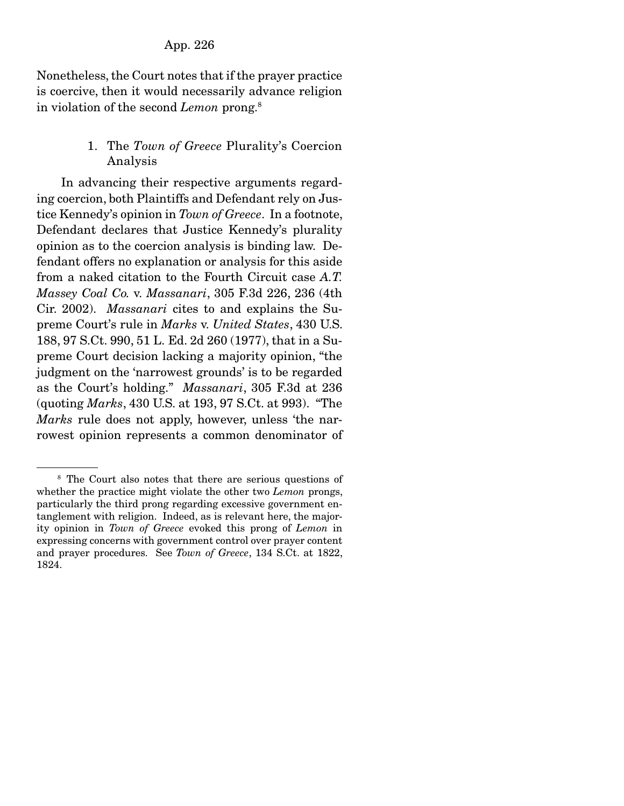Nonetheless, the Court notes that if the prayer practice is coercive, then it would necessarily advance religion in violation of the second *Lemon* prong.8

# 1. The *Town of Greece* Plurality's Coercion Analysis

 In advancing their respective arguments regarding coercion, both Plaintiffs and Defendant rely on Justice Kennedy's opinion in *Town of Greece*. In a footnote, Defendant declares that Justice Kennedy's plurality opinion as to the coercion analysis is binding law. Defendant offers no explanation or analysis for this aside from a naked citation to the Fourth Circuit case *A.T. Massey Coal Co.* v. *Massanari*, 305 F.3d 226, 236 (4th Cir. 2002). *Massanari* cites to and explains the Supreme Court's rule in *Marks* v. *United States*, 430 U.S. 188, 97 S.Ct. 990, 51 L. Ed. 2d 260 (1977), that in a Supreme Court decision lacking a majority opinion, "the judgment on the 'narrowest grounds' is to be regarded as the Court's holding." *Massanari*, 305 F.3d at 236 (quoting *Marks*, 430 U.S. at 193, 97 S.Ct. at 993). "The *Marks* rule does not apply, however, unless 'the narrowest opinion represents a common denominator of

<sup>&</sup>lt;sup>8</sup> The Court also notes that there are serious questions of whether the practice might violate the other two *Lemon* prongs, particularly the third prong regarding excessive government entanglement with religion. Indeed, as is relevant here, the majority opinion in *Town of Greece* evoked this prong of *Lemon* in expressing concerns with government control over prayer content and prayer procedures. See *Town of Greece*, 134 S.Ct. at 1822, 1824.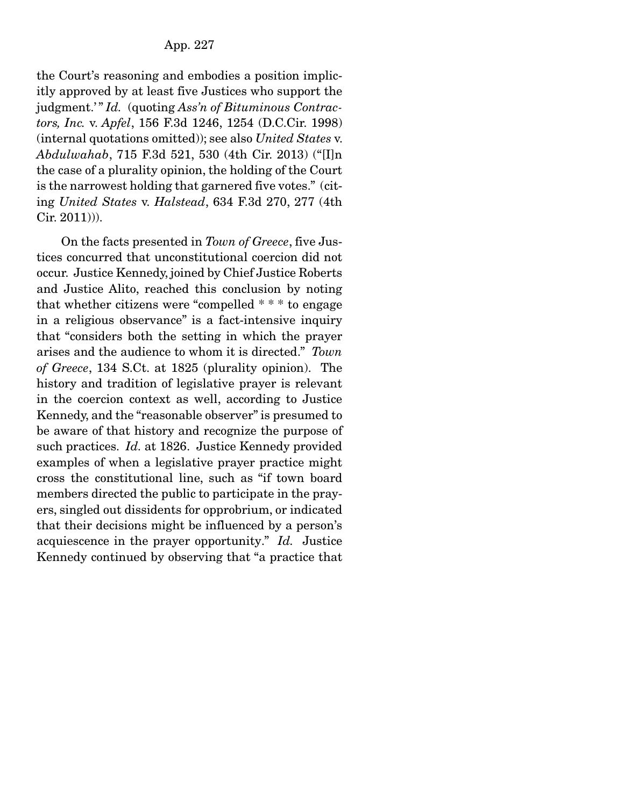the Court's reasoning and embodies a position implicitly approved by at least five Justices who support the judgment.'" *Id.* (quoting *Ass'n of Bituminous Contractors, Inc.* v. *Apfel*, 156 F.3d 1246, 1254 (D.C.Cir. 1998) (internal quotations omitted)); see also *United States* v. *Abdulwahab*, 715 F.3d 521, 530 (4th Cir. 2013) ("[I]n the case of a plurality opinion, the holding of the Court is the narrowest holding that garnered five votes." (citing *United States* v. *Halstead*, 634 F.3d 270, 277 (4th Cir. 2011))).

 On the facts presented in *Town of Greece*, five Justices concurred that unconstitutional coercion did not occur. Justice Kennedy, joined by Chief Justice Roberts and Justice Alito, reached this conclusion by noting that whether citizens were "compelled \* \* \* to engage in a religious observance" is a fact-intensive inquiry that "considers both the setting in which the prayer arises and the audience to whom it is directed." *Town of Greece*, 134 S.Ct. at 1825 (plurality opinion). The history and tradition of legislative prayer is relevant in the coercion context as well, according to Justice Kennedy, and the "reasonable observer" is presumed to be aware of that history and recognize the purpose of such practices. *Id.* at 1826. Justice Kennedy provided examples of when a legislative prayer practice might cross the constitutional line, such as "if town board members directed the public to participate in the prayers, singled out dissidents for opprobrium, or indicated that their decisions might be influenced by a person's acquiescence in the prayer opportunity." *Id.* Justice Kennedy continued by observing that "a practice that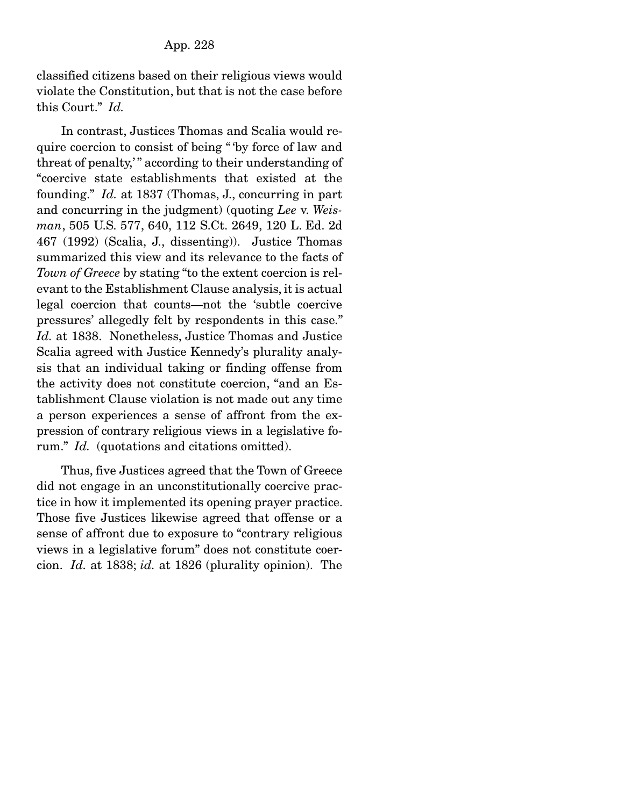classified citizens based on their religious views would violate the Constitution, but that is not the case before this Court." *Id.*

 In contrast, Justices Thomas and Scalia would require coercion to consist of being " 'by force of law and threat of penalty," according to their understanding of "coercive state establishments that existed at the founding." *Id.* at 1837 (Thomas, J., concurring in part and concurring in the judgment) (quoting *Lee* v. *Weisman*, 505 U.S. 577, 640, 112 S.Ct. 2649, 120 L. Ed. 2d 467 (1992) (Scalia, J., dissenting)). Justice Thomas summarized this view and its relevance to the facts of *Town of Greece* by stating "to the extent coercion is relevant to the Establishment Clause analysis, it is actual legal coercion that counts—not the 'subtle coercive pressures' allegedly felt by respondents in this case." *Id.* at 1838. Nonetheless, Justice Thomas and Justice Scalia agreed with Justice Kennedy's plurality analysis that an individual taking or finding offense from the activity does not constitute coercion, "and an Establishment Clause violation is not made out any time a person experiences a sense of affront from the expression of contrary religious views in a legislative forum." *Id.* (quotations and citations omitted).

 Thus, five Justices agreed that the Town of Greece did not engage in an unconstitutionally coercive practice in how it implemented its opening prayer practice. Those five Justices likewise agreed that offense or a sense of affront due to exposure to "contrary religious views in a legislative forum" does not constitute coercion. *Id.* at 1838; *id.* at 1826 (plurality opinion). The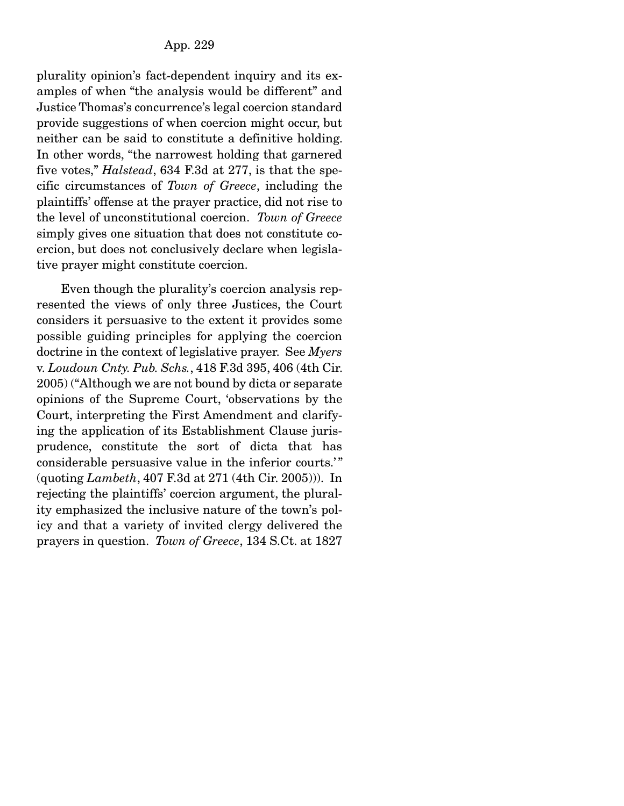plurality opinion's fact-dependent inquiry and its examples of when "the analysis would be different" and Justice Thomas's concurrence's legal coercion standard provide suggestions of when coercion might occur, but neither can be said to constitute a definitive holding. In other words, "the narrowest holding that garnered five votes," *Halstead*, 634 F.3d at 277, is that the specific circumstances of *Town of Greece*, including the plaintiffs' offense at the prayer practice, did not rise to the level of unconstitutional coercion. *Town of Greece* simply gives one situation that does not constitute coercion, but does not conclusively declare when legislative prayer might constitute coercion.

 Even though the plurality's coercion analysis represented the views of only three Justices, the Court considers it persuasive to the extent it provides some possible guiding principles for applying the coercion doctrine in the context of legislative prayer. See *Myers*  v. *Loudoun Cnty. Pub. Schs.*, 418 F.3d 395, 406 (4th Cir. 2005) ("Although we are not bound by dicta or separate opinions of the Supreme Court, 'observations by the Court, interpreting the First Amendment and clarifying the application of its Establishment Clause jurisprudence, constitute the sort of dicta that has considerable persuasive value in the inferior courts.'" (quoting *Lambeth*, 407 F.3d at 271 (4th Cir. 2005))). In rejecting the plaintiffs' coercion argument, the plurality emphasized the inclusive nature of the town's policy and that a variety of invited clergy delivered the prayers in question. *Town of Greece*, 134 S.Ct. at 1827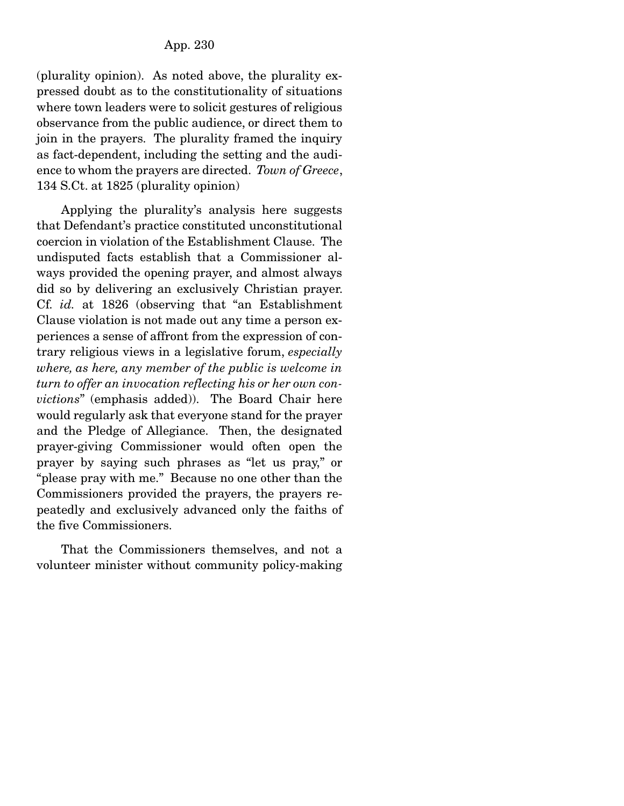(plurality opinion). As noted above, the plurality expressed doubt as to the constitutionality of situations where town leaders were to solicit gestures of religious observance from the public audience, or direct them to join in the prayers. The plurality framed the inquiry as fact-dependent, including the setting and the audience to whom the prayers are directed. *Town of Greece*, 134 S.Ct. at 1825 (plurality opinion)

 Applying the plurality's analysis here suggests that Defendant's practice constituted unconstitutional coercion in violation of the Establishment Clause. The undisputed facts establish that a Commissioner always provided the opening prayer, and almost always did so by delivering an exclusively Christian prayer. Cf. *id.* at 1826 (observing that "an Establishment Clause violation is not made out any time a person experiences a sense of affront from the expression of contrary religious views in a legislative forum, *especially where, as here, any member of the public is welcome in turn to offer an invocation reflecting his or her own convictions*" (emphasis added)). The Board Chair here would regularly ask that everyone stand for the prayer and the Pledge of Allegiance. Then, the designated prayer-giving Commissioner would often open the prayer by saying such phrases as "let us pray," or "please pray with me." Because no one other than the Commissioners provided the prayers, the prayers repeatedly and exclusively advanced only the faiths of the five Commissioners.

 That the Commissioners themselves, and not a volunteer minister without community policy-making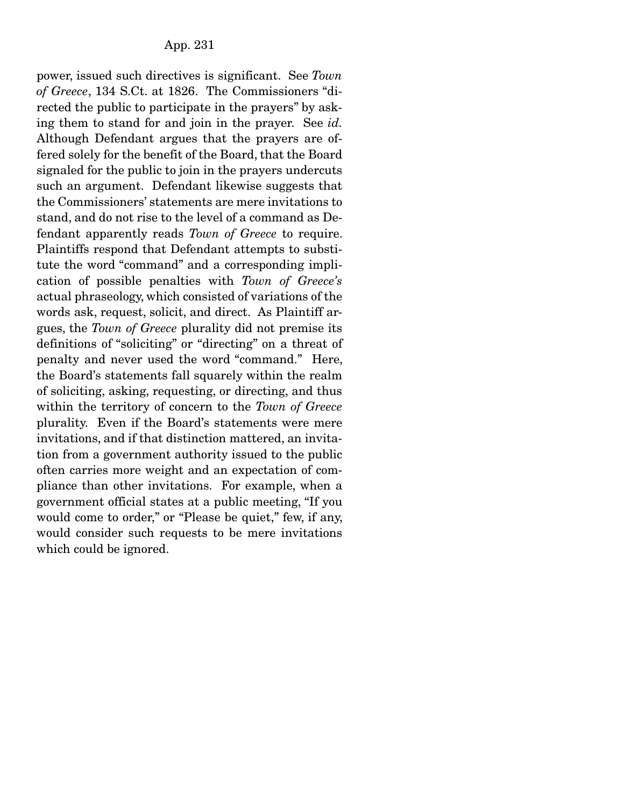power, issued such directives is significant. See *Town of Greece*, 134 S.Ct. at 1826. The Commissioners "directed the public to participate in the prayers" by asking them to stand for and join in the prayer. See *id.*  Although Defendant argues that the prayers are offered solely for the benefit of the Board, that the Board signaled for the public to join in the prayers undercuts such an argument. Defendant likewise suggests that the Commissioners' statements are mere invitations to stand, and do not rise to the level of a command as Defendant apparently reads *Town of Greece* to require. Plaintiffs respond that Defendant attempts to substitute the word "command" and a corresponding implication of possible penalties with *Town of Greece's* actual phraseology, which consisted of variations of the words ask, request, solicit, and direct. As Plaintiff argues, the *Town of Greece* plurality did not premise its definitions of "soliciting" or "directing" on a threat of penalty and never used the word "command." Here, the Board's statements fall squarely within the realm of soliciting, asking, requesting, or directing, and thus within the territory of concern to the *Town of Greece* plurality. Even if the Board's statements were mere invitations, and if that distinction mattered, an invitation from a government authority issued to the public often carries more weight and an expectation of compliance than other invitations. For example, when a government official states at a public meeting, "If you would come to order," or "Please be quiet," few, if any, would consider such requests to be mere invitations which could be ignored.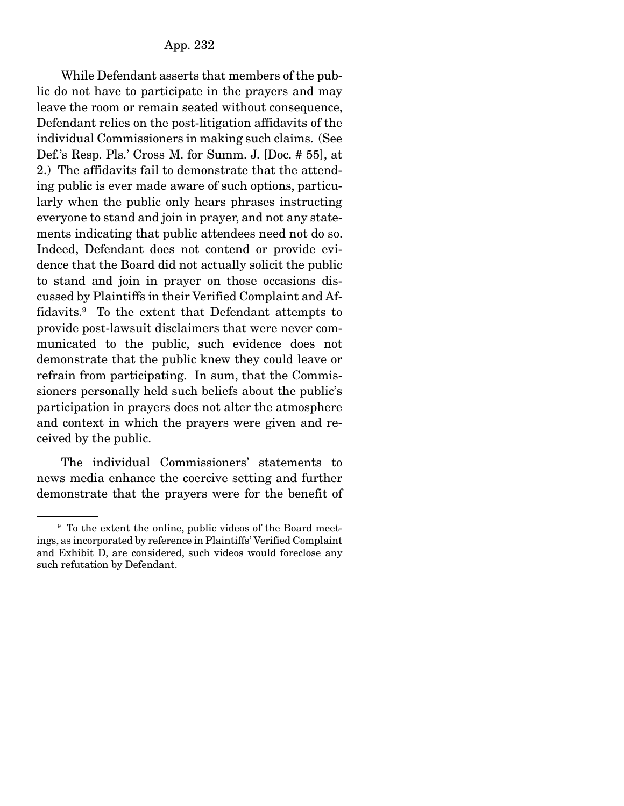While Defendant asserts that members of the public do not have to participate in the prayers and may leave the room or remain seated without consequence, Defendant relies on the post-litigation affidavits of the individual Commissioners in making such claims. (See Def.'s Resp. Pls.' Cross M. for Summ. J. [Doc. # 55], at 2.) The affidavits fail to demonstrate that the attending public is ever made aware of such options, particularly when the public only hears phrases instructing everyone to stand and join in prayer, and not any statements indicating that public attendees need not do so. Indeed, Defendant does not contend or provide evidence that the Board did not actually solicit the public to stand and join in prayer on those occasions discussed by Plaintiffs in their Verified Complaint and Affidavits.9 To the extent that Defendant attempts to provide post-lawsuit disclaimers that were never communicated to the public, such evidence does not demonstrate that the public knew they could leave or refrain from participating. In sum, that the Commissioners personally held such beliefs about the public's participation in prayers does not alter the atmosphere and context in which the prayers were given and received by the public.

 The individual Commissioners' statements to news media enhance the coercive setting and further demonstrate that the prayers were for the benefit of

<sup>&</sup>lt;sup>9</sup> To the extent the online, public videos of the Board meetings, as incorporated by reference in Plaintiffs' Verified Complaint and Exhibit D, are considered, such videos would foreclose any such refutation by Defendant.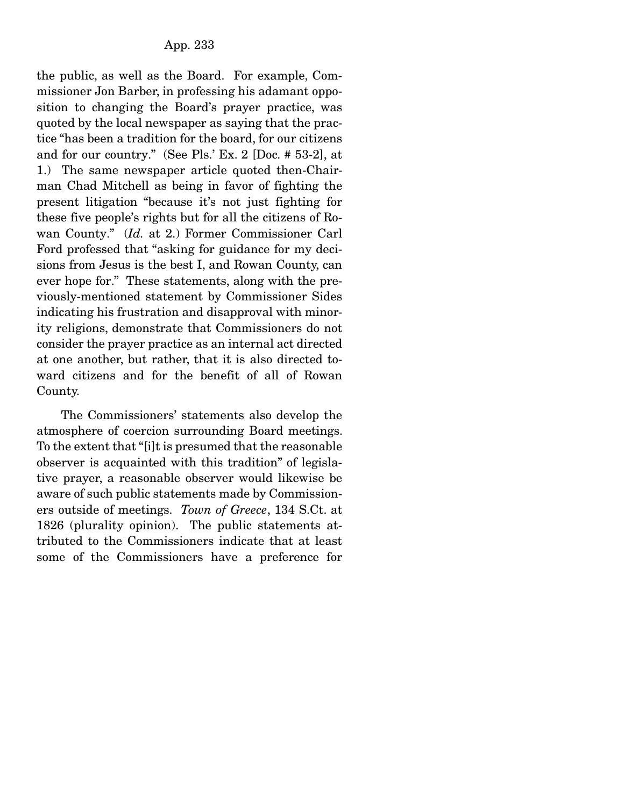the public, as well as the Board. For example, Commissioner Jon Barber, in professing his adamant opposition to changing the Board's prayer practice, was quoted by the local newspaper as saying that the practice "has been a tradition for the board, for our citizens and for our country." (See Pls.' Ex. 2 [Doc. # 53-2], at 1.) The same newspaper article quoted then-Chairman Chad Mitchell as being in favor of fighting the present litigation "because it's not just fighting for these five people's rights but for all the citizens of Rowan County." (*Id.* at 2.) Former Commissioner Carl Ford professed that "asking for guidance for my decisions from Jesus is the best I, and Rowan County, can ever hope for." These statements, along with the previously-mentioned statement by Commissioner Sides indicating his frustration and disapproval with minority religions, demonstrate that Commissioners do not consider the prayer practice as an internal act directed at one another, but rather, that it is also directed toward citizens and for the benefit of all of Rowan County.

 The Commissioners' statements also develop the atmosphere of coercion surrounding Board meetings. To the extent that "[i]t is presumed that the reasonable observer is acquainted with this tradition" of legislative prayer, a reasonable observer would likewise be aware of such public statements made by Commissioners outside of meetings. *Town of Greece*, 134 S.Ct. at 1826 (plurality opinion). The public statements attributed to the Commissioners indicate that at least some of the Commissioners have a preference for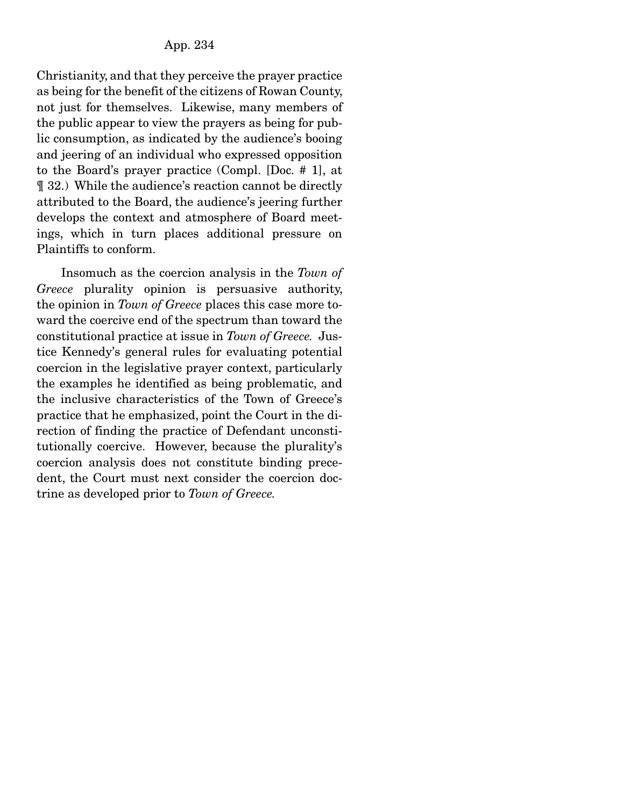Christianity, and that they perceive the prayer practice as being for the benefit of the citizens of Rowan County, not just for themselves. Likewise, many members of the public appear to view the prayers as being for public consumption, as indicated by the audience's booing and jeering of an individual who expressed opposition to the Board's prayer practice (Compl. [Doc. # 1], at ¶ 32.) While the audience's reaction cannot be directly attributed to the Board, the audience's jeering further develops the context and atmosphere of Board meetings, which in turn places additional pressure on Plaintiffs to conform.

 Insomuch as the coercion analysis in the *Town of Greece* plurality opinion is persuasive authority, the opinion in *Town of Greece* places this case more toward the coercive end of the spectrum than toward the constitutional practice at issue in *Town of Greece.* Justice Kennedy's general rules for evaluating potential coercion in the legislative prayer context, particularly the examples he identified as being problematic, and the inclusive characteristics of the Town of Greece's practice that he emphasized, point the Court in the direction of finding the practice of Defendant unconstitutionally coercive. However, because the plurality's coercion analysis does not constitute binding precedent, the Court must next consider the coercion doctrine as developed prior to *Town of Greece.*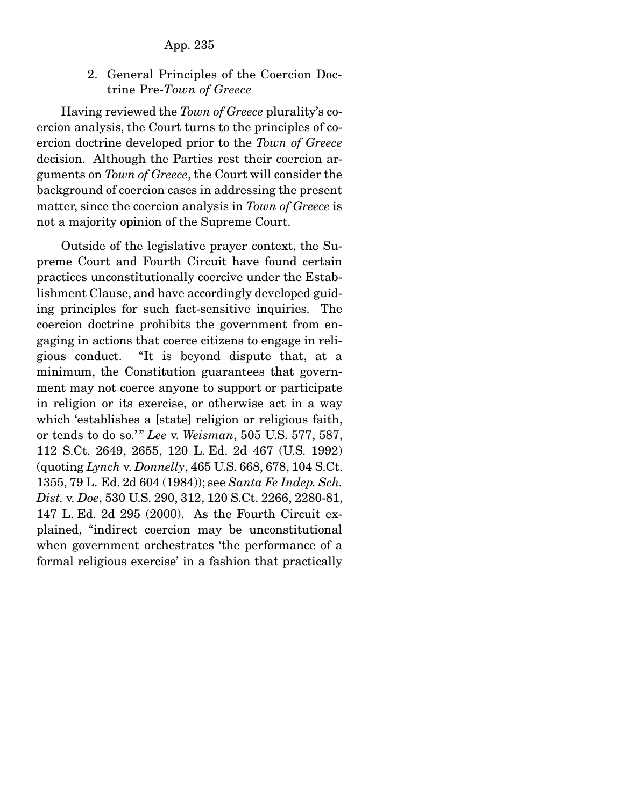2. General Principles of the Coercion Doctrine Pre-*Town of Greece*

 Having reviewed the *Town of Greece* plurality's coercion analysis, the Court turns to the principles of coercion doctrine developed prior to the *Town of Greece* decision. Although the Parties rest their coercion arguments on *Town of Greece*, the Court will consider the background of coercion cases in addressing the present matter, since the coercion analysis in *Town of Greece* is not a majority opinion of the Supreme Court.

 Outside of the legislative prayer context, the Supreme Court and Fourth Circuit have found certain practices unconstitutionally coercive under the Establishment Clause, and have accordingly developed guiding principles for such fact-sensitive inquiries. The coercion doctrine prohibits the government from engaging in actions that coerce citizens to engage in religious conduct. "It is beyond dispute that, at a minimum, the Constitution guarantees that government may not coerce anyone to support or participate in religion or its exercise, or otherwise act in a way which 'establishes a [state] religion or religious faith, or tends to do so.' " *Lee* v. *Weisman*, 505 U.S. 577, 587, 112 S.Ct. 2649, 2655, 120 L. Ed. 2d 467 (U.S. 1992) (quoting *Lynch* v. *Donnelly*, 465 U.S. 668, 678, 104 S.Ct. 1355, 79 L. Ed. 2d 604 (1984)); see *Santa Fe Indep. Sch. Dist.* v. *Doe*, 530 U.S. 290, 312, 120 S.Ct. 2266, 2280-81, 147 L. Ed. 2d 295 (2000). As the Fourth Circuit explained, "indirect coercion may be unconstitutional when government orchestrates 'the performance of a formal religious exercise' in a fashion that practically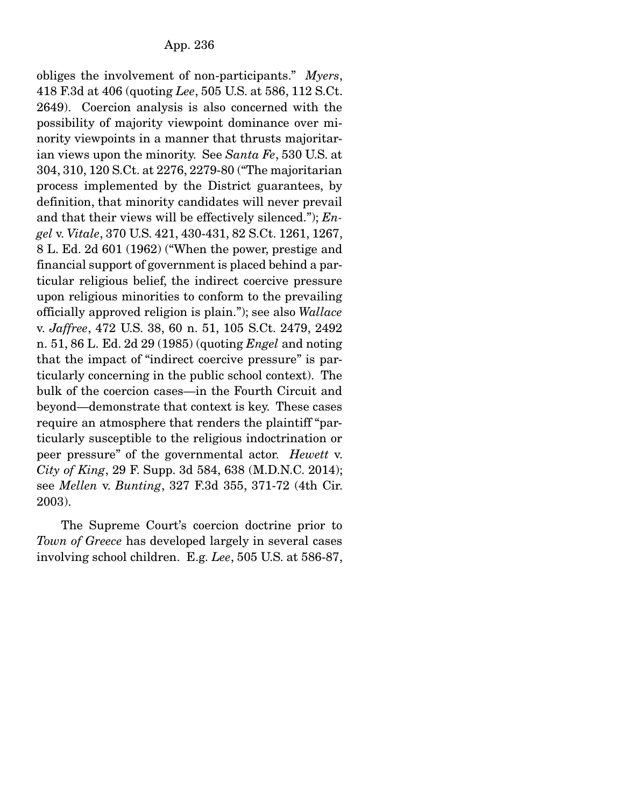obliges the involvement of non-participants." *Myers*, 418 F.3d at 406 (quoting *Lee*, 505 U.S. at 586, 112 S.Ct. 2649). Coercion analysis is also concerned with the possibility of majority viewpoint dominance over minority viewpoints in a manner that thrusts majoritarian views upon the minority. See *Santa Fe*, 530 U.S. at 304, 310, 120 S.Ct. at 2276, 2279-80 ("The majoritarian process implemented by the District guarantees, by definition, that minority candidates will never prevail and that their views will be effectively silenced."); *Engel* v. *Vitale*, 370 U.S. 421, 430-431, 82 S.Ct. 1261, 1267, 8 L. Ed. 2d 601 (1962) ("When the power, prestige and financial support of government is placed behind a particular religious belief, the indirect coercive pressure upon religious minorities to conform to the prevailing officially approved religion is plain."); see also *Wallace*  v. *Jaffree*, 472 U.S. 38, 60 n. 51, 105 S.Ct. 2479, 2492 n. 51, 86 L. Ed. 2d 29 (1985) (quoting *Engel* and noting that the impact of "indirect coercive pressure" is particularly concerning in the public school context). The bulk of the coercion cases—in the Fourth Circuit and beyond—demonstrate that context is key. These cases require an atmosphere that renders the plaintiff "particularly susceptible to the religious indoctrination or peer pressure" of the governmental actor. *Hewett* v. *City of King*, 29 F. Supp. 3d 584, 638 (M.D.N.C. 2014); see *Mellen* v. *Bunting*, 327 F.3d 355, 371-72 (4th Cir. 2003).

 The Supreme Court's coercion doctrine prior to *Town of Greece* has developed largely in several cases involving school children. E.g. *Lee*, 505 U.S. at 586-87,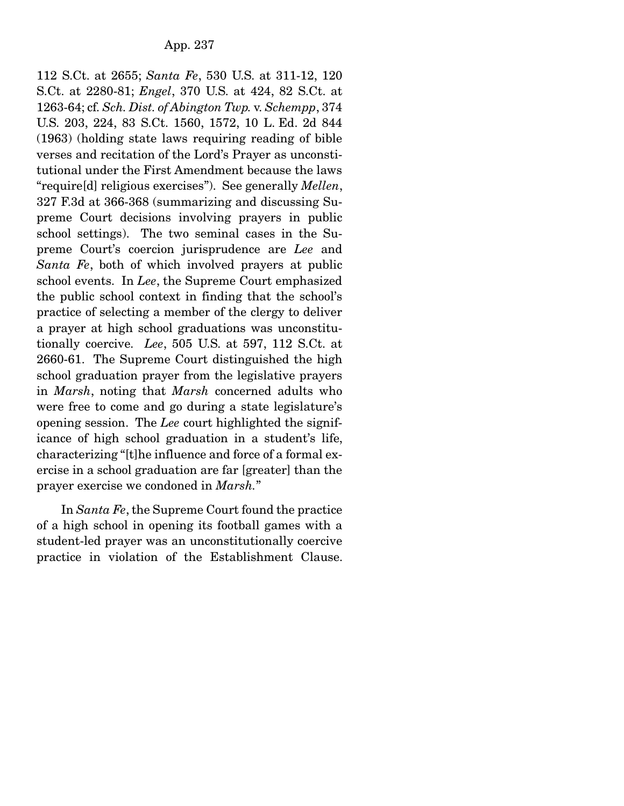112 S.Ct. at 2655; *Santa Fe*, 530 U.S. at 311-12, 120 S.Ct. at 2280-81; *Engel*, 370 U.S. at 424, 82 S.Ct. at 1263-64; cf. *Sch. Dist. of Abington Twp.* v. *Schempp*, 374 U.S. 203, 224, 83 S.Ct. 1560, 1572, 10 L. Ed. 2d 844 (1963) (holding state laws requiring reading of bible verses and recitation of the Lord's Prayer as unconstitutional under the First Amendment because the laws "require[d] religious exercises"). See generally *Mellen*, 327 F.3d at 366-368 (summarizing and discussing Supreme Court decisions involving prayers in public school settings). The two seminal cases in the Supreme Court's coercion jurisprudence are *Lee* and *Santa Fe*, both of which involved prayers at public school events. In *Lee*, the Supreme Court emphasized the public school context in finding that the school's practice of selecting a member of the clergy to deliver a prayer at high school graduations was unconstitutionally coercive. *Lee*, 505 U.S. at 597, 112 S.Ct. at 2660-61. The Supreme Court distinguished the high school graduation prayer from the legislative prayers in *Marsh*, noting that *Marsh* concerned adults who were free to come and go during a state legislature's opening session. The *Lee* court highlighted the significance of high school graduation in a student's life, characterizing "[t]he influence and force of a formal exercise in a school graduation are far [greater] than the prayer exercise we condoned in *Marsh.*"

 In *Santa Fe*, the Supreme Court found the practice of a high school in opening its football games with a student-led prayer was an unconstitutionally coercive practice in violation of the Establishment Clause.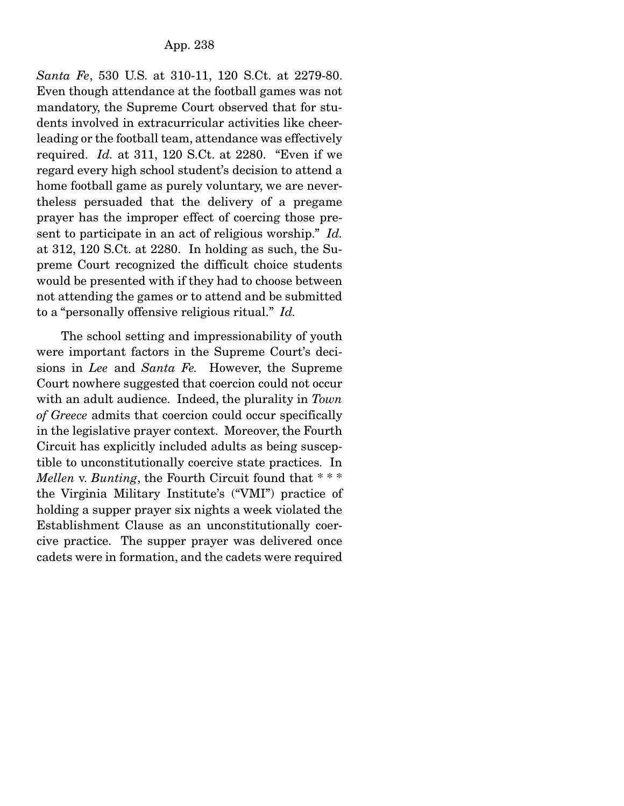*Santa Fe*, 530 U.S. at 310-11, 120 S.Ct. at 2279-80. Even though attendance at the football games was not mandatory, the Supreme Court observed that for students involved in extracurricular activities like cheerleading or the football team, attendance was effectively required. *Id.* at 311, 120 S.Ct. at 2280. "Even if we regard every high school student's decision to attend a home football game as purely voluntary, we are nevertheless persuaded that the delivery of a pregame prayer has the improper effect of coercing those present to participate in an act of religious worship." *Id.*  at 312, 120 S.Ct. at 2280. In holding as such, the Supreme Court recognized the difficult choice students would be presented with if they had to choose between not attending the games or to attend and be submitted to a "personally offensive religious ritual." *Id.*

 The school setting and impressionability of youth were important factors in the Supreme Court's decisions in *Lee* and *Santa Fe.* However, the Supreme Court nowhere suggested that coercion could not occur with an adult audience. Indeed, the plurality in *Town of Greece* admits that coercion could occur specifically in the legislative prayer context. Moreover, the Fourth Circuit has explicitly included adults as being susceptible to unconstitutionally coercive state practices. In *Mellen* v. *Bunting*, the Fourth Circuit found that \* \* \* the Virginia Military Institute's ("VMI") practice of holding a supper prayer six nights a week violated the Establishment Clause as an unconstitutionally coercive practice. The supper prayer was delivered once cadets were in formation, and the cadets were required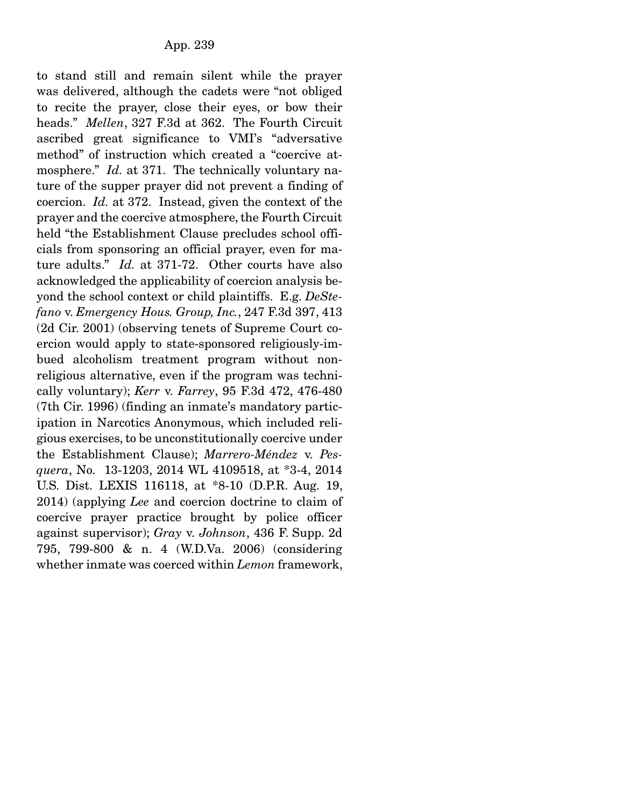to stand still and remain silent while the prayer was delivered, although the cadets were "not obliged to recite the prayer, close their eyes, or bow their heads." *Mellen*, 327 F.3d at 362. The Fourth Circuit ascribed great significance to VMI's "adversative method" of instruction which created a "coercive atmosphere." *Id.* at 371. The technically voluntary nature of the supper prayer did not prevent a finding of coercion. *Id.* at 372. Instead, given the context of the prayer and the coercive atmosphere, the Fourth Circuit held "the Establishment Clause precludes school officials from sponsoring an official prayer, even for mature adults." *Id.* at 371-72. Other courts have also acknowledged the applicability of coercion analysis beyond the school context or child plaintiffs. E.g. *DeStefano* v. *Emergency Hous. Group, Inc.*, 247 F.3d 397, 413 (2d Cir. 2001) (observing tenets of Supreme Court coercion would apply to state-sponsored religiously-imbued alcoholism treatment program without nonreligious alternative, even if the program was technically voluntary); *Kerr* v. *Farrey*, 95 F.3d 472, 476-480 (7th Cir. 1996) (finding an inmate's mandatory participation in Narcotics Anonymous, which included religious exercises, to be unconstitutionally coercive under the Establishment Clause); *Marrero-Méndez* v. *Pesquera*, No. 13-1203, 2014 WL 4109518, at \*3-4, 2014 U.S. Dist. LEXIS 116118, at \*8-10 (D.P.R. Aug. 19, 2014) (applying *Lee* and coercion doctrine to claim of coercive prayer practice brought by police officer against supervisor); *Gray* v. *Johnson*, 436 F. Supp. 2d 795, 799-800 & n. 4 (W.D.Va. 2006) (considering whether inmate was coerced within *Lemon* framework,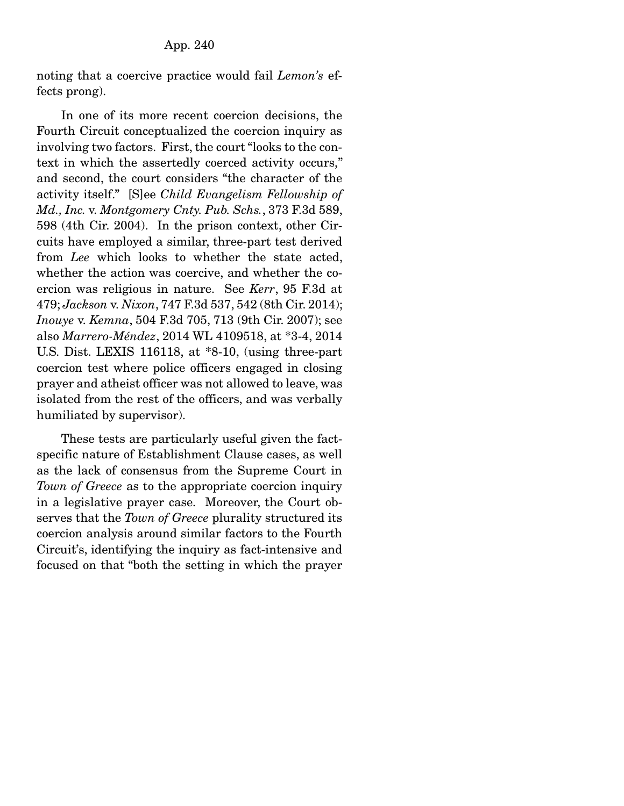noting that a coercive practice would fail *Lemon's* effects prong).

 In one of its more recent coercion decisions, the Fourth Circuit conceptualized the coercion inquiry as involving two factors. First, the court "looks to the context in which the assertedly coerced activity occurs," and second, the court considers "the character of the activity itself." [S]ee *Child Evangelism Fellowship of Md., Inc.* v. *Montgomery Cnty. Pub. Schs.*, 373 F.3d 589, 598 (4th Cir. 2004). In the prison context, other Circuits have employed a similar, three-part test derived from *Lee* which looks to whether the state acted, whether the action was coercive, and whether the coercion was religious in nature. See *Kerr*, 95 F.3d at 479; *Jackson* v. *Nixon*, 747 F.3d 537, 542 (8th Cir. 2014); *Inouye* v. *Kemna*, 504 F.3d 705, 713 (9th Cir. 2007); see also *Marrero-Méndez*, 2014 WL 4109518, at \*3-4, 2014 U.S. Dist. LEXIS 116118, at \*8-10, (using three-part coercion test where police officers engaged in closing prayer and atheist officer was not allowed to leave, was isolated from the rest of the officers, and was verbally humiliated by supervisor).

 These tests are particularly useful given the factspecific nature of Establishment Clause cases, as well as the lack of consensus from the Supreme Court in *Town of Greece* as to the appropriate coercion inquiry in a legislative prayer case. Moreover, the Court observes that the *Town of Greece* plurality structured its coercion analysis around similar factors to the Fourth Circuit's, identifying the inquiry as fact-intensive and focused on that "both the setting in which the prayer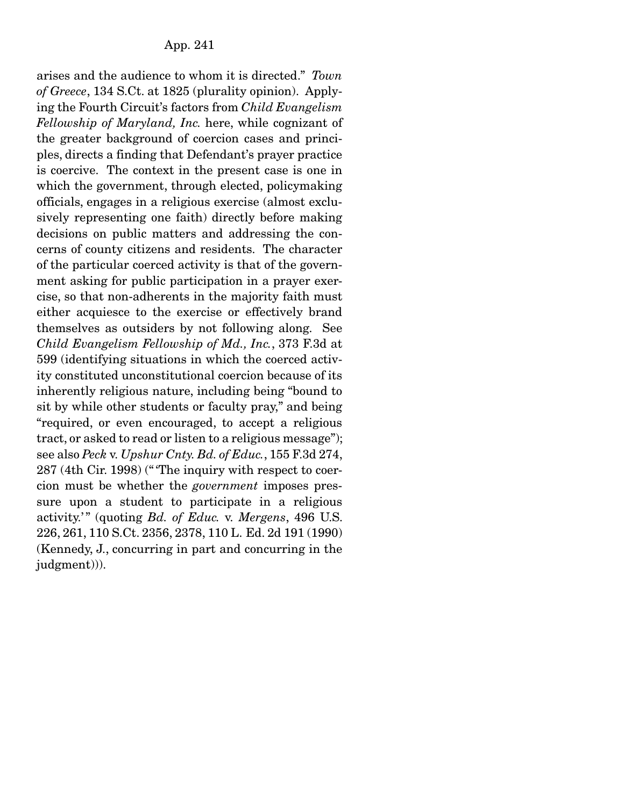arises and the audience to whom it is directed." *Town of Greece*, 134 S.Ct. at 1825 (plurality opinion). Applying the Fourth Circuit's factors from *Child Evangelism Fellowship of Maryland, Inc.* here, while cognizant of the greater background of coercion cases and principles, directs a finding that Defendant's prayer practice is coercive. The context in the present case is one in which the government, through elected, policymaking officials, engages in a religious exercise (almost exclusively representing one faith) directly before making decisions on public matters and addressing the concerns of county citizens and residents. The character of the particular coerced activity is that of the government asking for public participation in a prayer exercise, so that non-adherents in the majority faith must either acquiesce to the exercise or effectively brand themselves as outsiders by not following along. See *Child Evangelism Fellowship of Md., Inc.*, 373 F.3d at 599 (identifying situations in which the coerced activity constituted unconstitutional coercion because of its inherently religious nature, including being "bound to sit by while other students or faculty pray," and being "required, or even encouraged, to accept a religious tract, or asked to read or listen to a religious message"); see also *Peck* v. *Upshur Cnty. Bd. of Educ.*, 155 F.3d 274, 287 (4th Cir. 1998) (" 'The inquiry with respect to coercion must be whether the *government* imposes pressure upon a student to participate in a religious activity.' " (quoting *Bd. of Educ.* v. *Mergens*, 496 U.S. 226, 261, 110 S.Ct. 2356, 2378, 110 L. Ed. 2d 191 (1990) (Kennedy, J., concurring in part and concurring in the judgment))).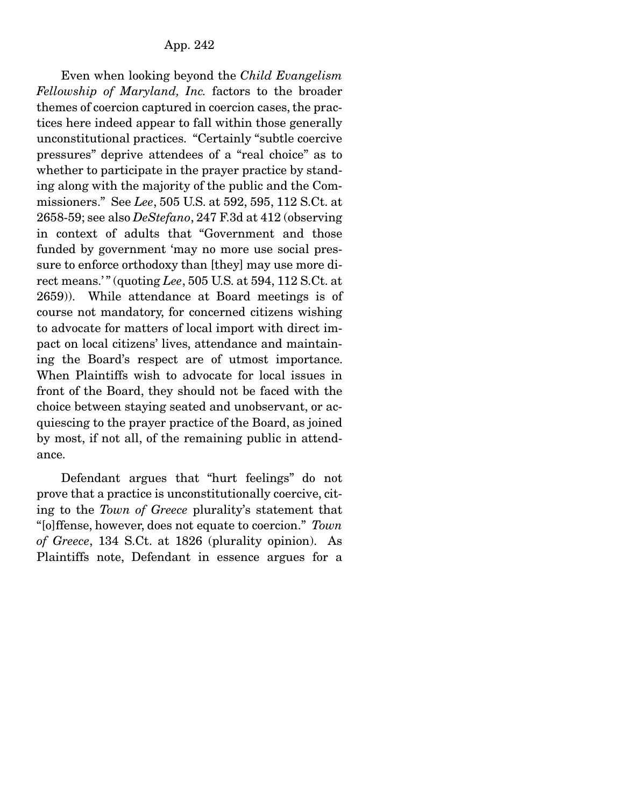Even when looking beyond the *Child Evangelism Fellowship of Maryland, Inc.* factors to the broader themes of coercion captured in coercion cases, the practices here indeed appear to fall within those generally unconstitutional practices. "Certainly "subtle coercive pressures" deprive attendees of a "real choice" as to whether to participate in the prayer practice by standing along with the majority of the public and the Commissioners." See *Lee*, 505 U.S. at 592, 595, 112 S.Ct. at 2658-59; see also *DeStefano*, 247 F.3d at 412 (observing in context of adults that "Government and those funded by government 'may no more use social pressure to enforce orthodoxy than [they] may use more direct means.' " (quoting *Lee*, 505 U.S. at 594, 112 S.Ct. at 2659)). While attendance at Board meetings is of course not mandatory, for concerned citizens wishing to advocate for matters of local import with direct impact on local citizens' lives, attendance and maintaining the Board's respect are of utmost importance. When Plaintiffs wish to advocate for local issues in front of the Board, they should not be faced with the choice between staying seated and unobservant, or acquiescing to the prayer practice of the Board, as joined by most, if not all, of the remaining public in attendance.

 Defendant argues that "hurt feelings" do not prove that a practice is unconstitutionally coercive, citing to the *Town of Greece* plurality's statement that "[o]ffense, however, does not equate to coercion." *Town of Greece*, 134 S.Ct. at 1826 (plurality opinion). As Plaintiffs note, Defendant in essence argues for a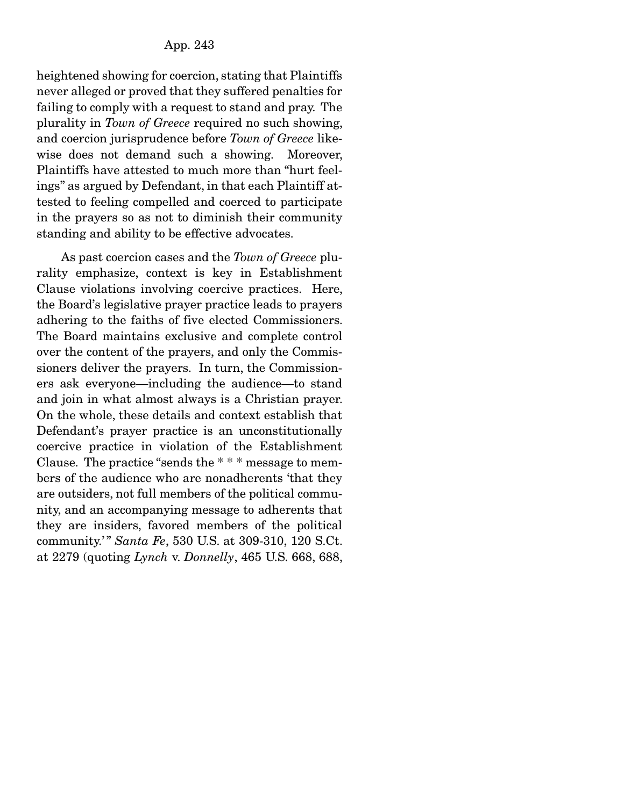heightened showing for coercion, stating that Plaintiffs never alleged or proved that they suffered penalties for failing to comply with a request to stand and pray. The plurality in *Town of Greece* required no such showing, and coercion jurisprudence before *Town of Greece* likewise does not demand such a showing. Moreover, Plaintiffs have attested to much more than "hurt feelings" as argued by Defendant, in that each Plaintiff attested to feeling compelled and coerced to participate in the prayers so as not to diminish their community standing and ability to be effective advocates.

 As past coercion cases and the *Town of Greece* plurality emphasize, context is key in Establishment Clause violations involving coercive practices. Here, the Board's legislative prayer practice leads to prayers adhering to the faiths of five elected Commissioners. The Board maintains exclusive and complete control over the content of the prayers, and only the Commissioners deliver the prayers. In turn, the Commissioners ask everyone—including the audience—to stand and join in what almost always is a Christian prayer. On the whole, these details and context establish that Defendant's prayer practice is an unconstitutionally coercive practice in violation of the Establishment Clause. The practice "sends the \* \* \* message to members of the audience who are nonadherents 'that they are outsiders, not full members of the political community, and an accompanying message to adherents that they are insiders, favored members of the political community.' " *Santa Fe*, 530 U.S. at 309-310, 120 S.Ct. at 2279 (quoting *Lynch* v. *Donnelly*, 465 U.S. 668, 688,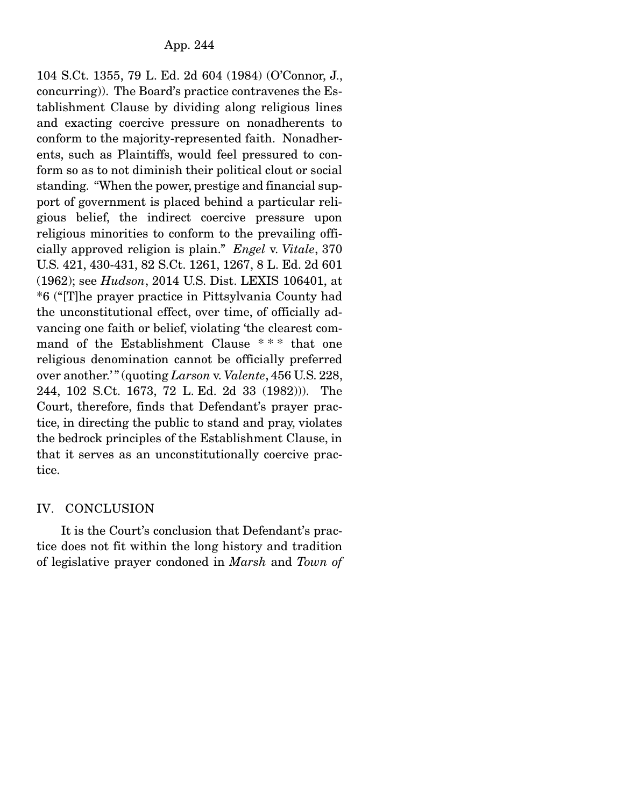104 S.Ct. 1355, 79 L. Ed. 2d 604 (1984) (O'Connor, J., concurring)). The Board's practice contravenes the Establishment Clause by dividing along religious lines and exacting coercive pressure on nonadherents to conform to the majority-represented faith. Nonadherents, such as Plaintiffs, would feel pressured to conform so as to not diminish their political clout or social standing. "When the power, prestige and financial support of government is placed behind a particular religious belief, the indirect coercive pressure upon religious minorities to conform to the prevailing officially approved religion is plain." *Engel* v. *Vitale*, 370 U.S. 421, 430-431, 82 S.Ct. 1261, 1267, 8 L. Ed. 2d 601 (1962); see *Hudson*, 2014 U.S. Dist. LEXIS 106401, at \*6 ("[T]he prayer practice in Pittsylvania County had the unconstitutional effect, over time, of officially advancing one faith or belief, violating 'the clearest command of the Establishment Clause \* \* \* that one religious denomination cannot be officially preferred over another.' " (quoting *Larson* v. *Valente*, 456 U.S. 228, 244, 102 S.Ct. 1673, 72 L. Ed. 2d 33 (1982))). The Court, therefore, finds that Defendant's prayer practice, in directing the public to stand and pray, violates the bedrock principles of the Establishment Clause, in that it serves as an unconstitutionally coercive practice.

#### IV. CONCLUSION

 It is the Court's conclusion that Defendant's practice does not fit within the long history and tradition of legislative prayer condoned in *Marsh* and *Town of*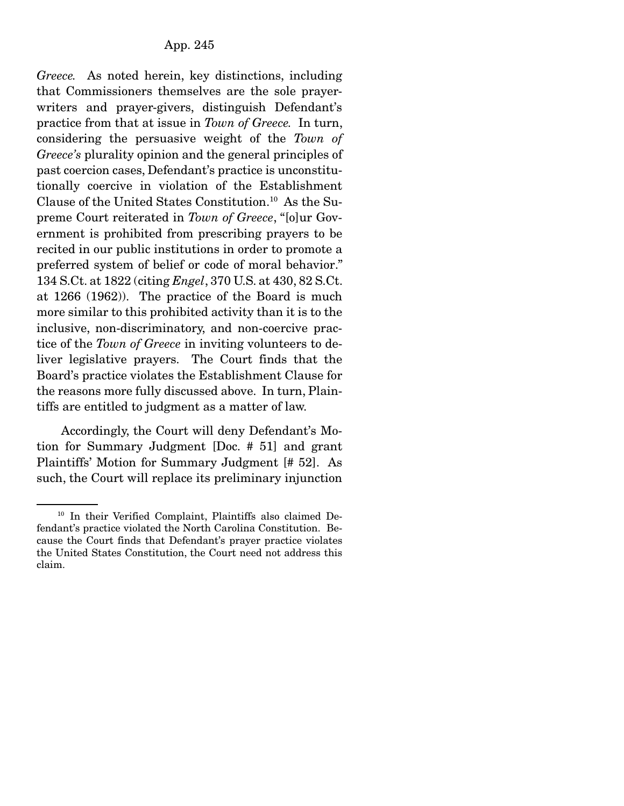*Greece.* As noted herein, key distinctions, including that Commissioners themselves are the sole prayerwriters and prayer-givers, distinguish Defendant's practice from that at issue in *Town of Greece.* In turn, considering the persuasive weight of the *Town of Greece's* plurality opinion and the general principles of past coercion cases, Defendant's practice is unconstitutionally coercive in violation of the Establishment Clause of the United States Constitution.10 As the Supreme Court reiterated in *Town of Greece*, "[o]ur Government is prohibited from prescribing prayers to be recited in our public institutions in order to promote a preferred system of belief or code of moral behavior." 134 S.Ct. at 1822 (citing *Engel*, 370 U.S. at 430, 82 S.Ct. at 1266 (1962)). The practice of the Board is much more similar to this prohibited activity than it is to the inclusive, non-discriminatory, and non-coercive practice of the *Town of Greece* in inviting volunteers to deliver legislative prayers. The Court finds that the Board's practice violates the Establishment Clause for the reasons more fully discussed above. In turn, Plaintiffs are entitled to judgment as a matter of law.

 Accordingly, the Court will deny Defendant's Motion for Summary Judgment [Doc. # 51] and grant Plaintiffs' Motion for Summary Judgment [# 52]. As such, the Court will replace its preliminary injunction

<sup>10</sup> In their Verified Complaint, Plaintiffs also claimed Defendant's practice violated the North Carolina Constitution. Because the Court finds that Defendant's prayer practice violates the United States Constitution, the Court need not address this claim.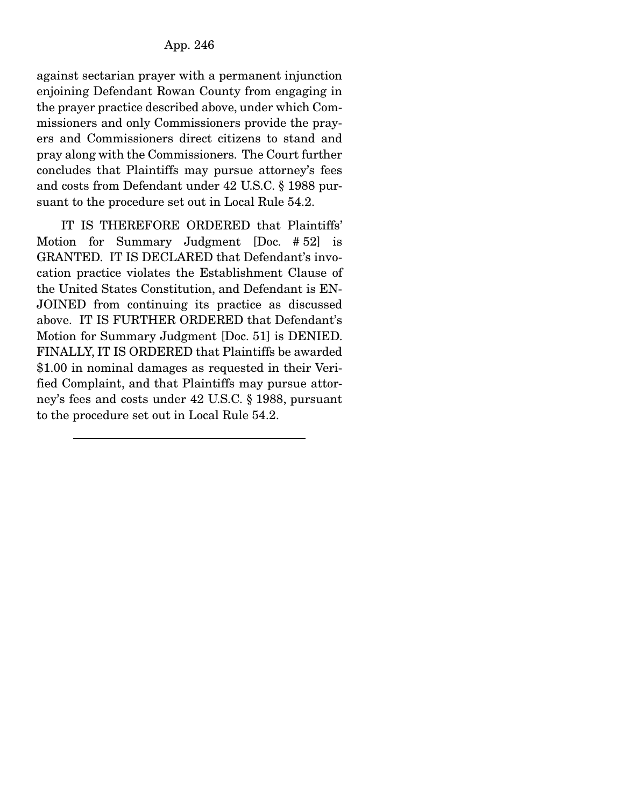against sectarian prayer with a permanent injunction enjoining Defendant Rowan County from engaging in the prayer practice described above, under which Commissioners and only Commissioners provide the prayers and Commissioners direct citizens to stand and pray along with the Commissioners. The Court further concludes that Plaintiffs may pursue attorney's fees and costs from Defendant under 42 U.S.C. § 1988 pursuant to the procedure set out in Local Rule 54.2.

 IT IS THEREFORE ORDERED that Plaintiffs' Motion for Summary Judgment [Doc. # 52] is GRANTED. IT IS DECLARED that Defendant's invocation practice violates the Establishment Clause of the United States Constitution, and Defendant is EN-JOINED from continuing its practice as discussed above. IT IS FURTHER ORDERED that Defendant's Motion for Summary Judgment [Doc. 51] is DENIED. FINALLY, IT IS ORDERED that Plaintiffs be awarded \$1.00 in nominal damages as requested in their Verified Complaint, and that Plaintiffs may pursue attorney's fees and costs under 42 U.S.C. § 1988, pursuant to the procedure set out in Local Rule 54.2.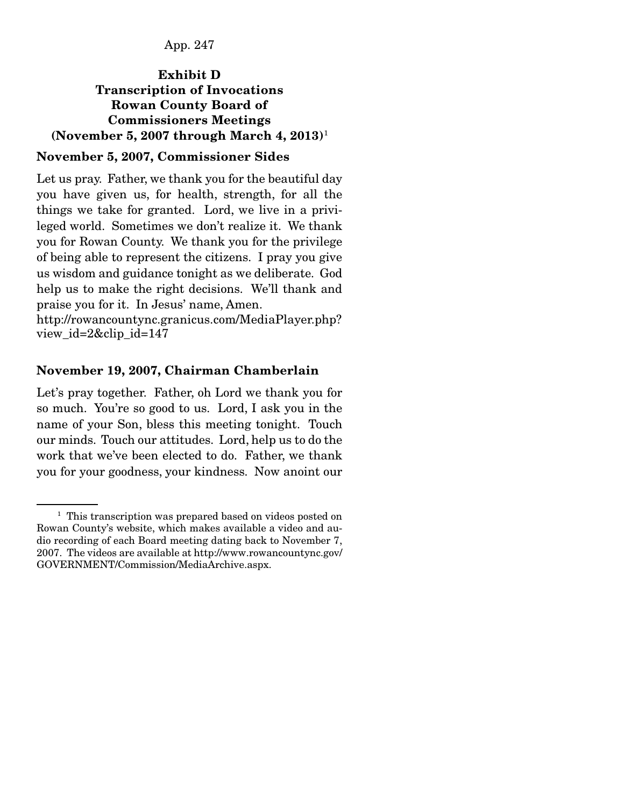App. 247

#### Exhibit D Transcription of Invocations Rowan County Board of Commissioners Meetings (November 5, 2007 through March 4,  $2013$ )<sup>1</sup>

#### November 5, 2007, Commissioner Sides

Let us pray. Father, we thank you for the beautiful day you have given us, for health, strength, for all the things we take for granted. Lord, we live in a privileged world. Sometimes we don't realize it. We thank you for Rowan County. We thank you for the privilege of being able to represent the citizens. I pray you give us wisdom and guidance tonight as we deliberate. God help us to make the right decisions. We'll thank and praise you for it. In Jesus' name, Amen.

http://rowancountync.granicus.com/MediaPlayer.php? view\_id=2&clip\_id=147

#### November 19, 2007, Chairman Chamberlain

Let's pray together. Father, oh Lord we thank you for so much. You're so good to us. Lord, I ask you in the name of your Son, bless this meeting tonight. Touch our minds. Touch our attitudes. Lord, help us to do the work that we've been elected to do. Father, we thank you for your goodness, your kindness. Now anoint our

<sup>&</sup>lt;sup>1</sup> This transcription was prepared based on videos posted on Rowan County's website, which makes available a video and audio recording of each Board meeting dating back to November 7, 2007. The videos are available at http://www.rowancountync.gov/ GOVERNMENT/Commission/MediaArchive.aspx.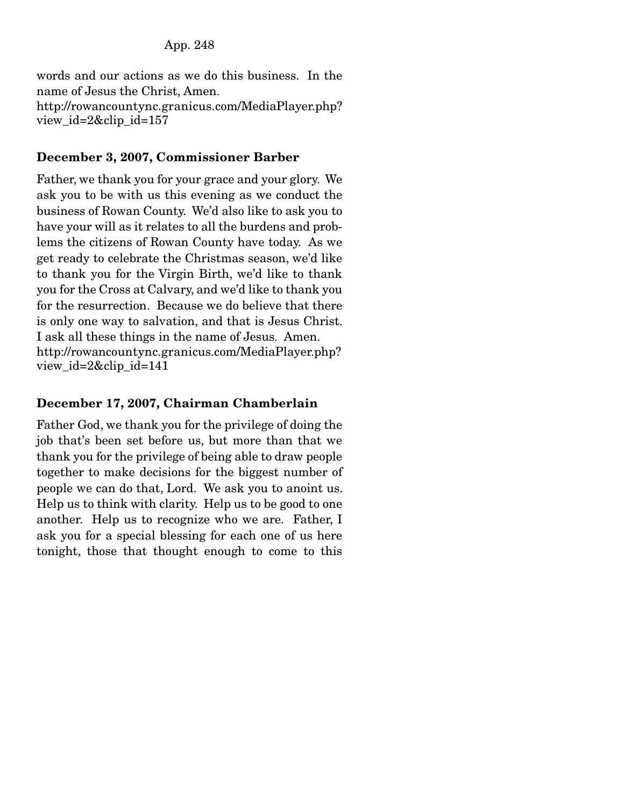words and our actions as we do this business. In the name of Jesus the Christ, Amen. http://rowancountync.granicus.com/MediaPlayer.php? view id= $2\&$ clip id=157

#### December 3, 2007, Commissioner Barber

Father, we thank you for your grace and your glory. We ask you to be with us this evening as we conduct the business of Rowan County. We'd also like to ask you to have your will as it relates to all the burdens and problems the citizens of Rowan County have today. As we get ready to celebrate the Christmas season, we'd like to thank you for the Virgin Birth, we'd like to thank you for the Cross at Calvary, and we'd like to thank you for the resurrection. Because we do believe that there is only one way to salvation, and that is Jesus Christ. I ask all these things in the name of Jesus. Amen. http://rowancountync.granicus.com/MediaPlayer.php? view\_id=2&clip\_id=141

#### December 17, 2007, Chairman Chamberlain

Father God, we thank you for the privilege of doing the job that's been set before us, but more than that we thank you for the privilege of being able to draw people together to make decisions for the biggest number of people we can do that, Lord. We ask you to anoint us. Help us to think with clarity. Help us to be good to one another. Help us to recognize who we are. Father, I ask you for a special blessing for each one of us here tonight, those that thought enough to come to this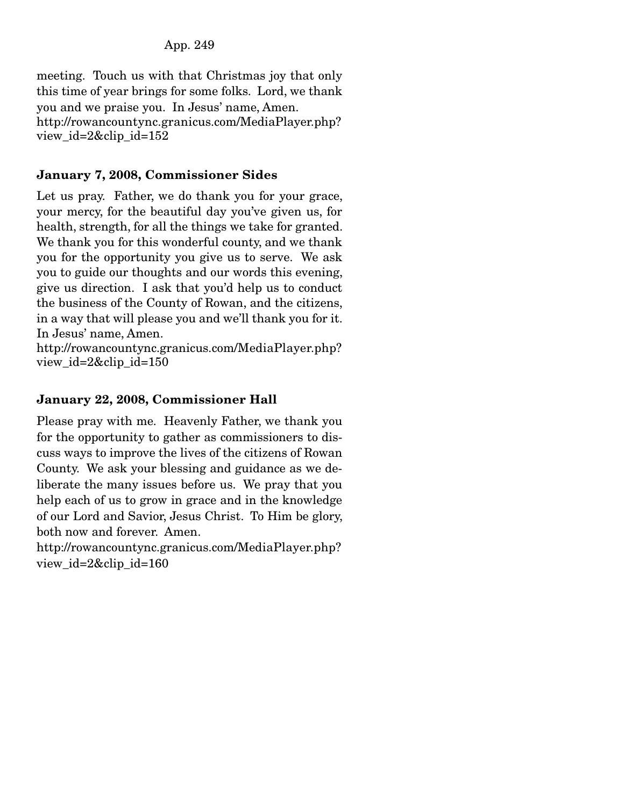meeting. Touch us with that Christmas joy that only this time of year brings for some folks. Lord, we thank you and we praise you. In Jesus' name, Amen. http://rowancountync.granicus.com/MediaPlayer.php? view\_id=2&clip\_id=152

### January 7, 2008, Commissioner Sides

Let us pray. Father, we do thank you for your grace, your mercy, for the beautiful day you've given us, for health, strength, for all the things we take for granted. We thank you for this wonderful county, and we thank you for the opportunity you give us to serve. We ask you to guide our thoughts and our words this evening, give us direction. I ask that you'd help us to conduct the business of the County of Rowan, and the citizens, in a way that will please you and we'll thank you for it. In Jesus' name, Amen.

http://rowancountync.granicus.com/MediaPlayer.php? view\_id=2&clip\_id=150

### January 22, 2008, Commissioner Hall

Please pray with me. Heavenly Father, we thank you for the opportunity to gather as commissioners to discuss ways to improve the lives of the citizens of Rowan County. We ask your blessing and guidance as we deliberate the many issues before us. We pray that you help each of us to grow in grace and in the knowledge of our Lord and Savior, Jesus Christ. To Him be glory, both now and forever. Amen.

http://rowancountync.granicus.com/MediaPlayer.php? view\_id=2&clip\_id=160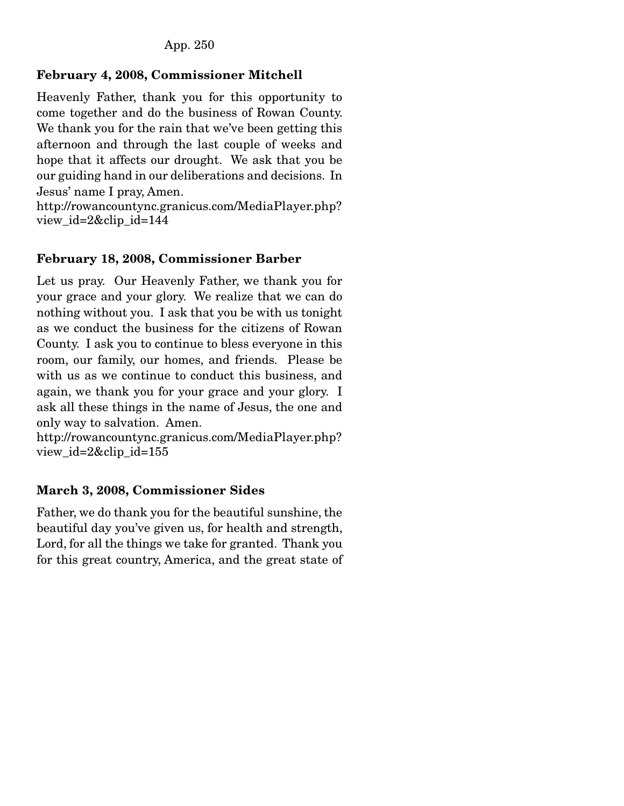# February 4, 2008, Commissioner Mitchell

Heavenly Father, thank you for this opportunity to come together and do the business of Rowan County. We thank you for the rain that we've been getting this afternoon and through the last couple of weeks and hope that it affects our drought. We ask that you be our guiding hand in our deliberations and decisions. In Jesus' name I pray, Amen.

http://rowancountync.granicus.com/MediaPlayer.php? view\_id=2&clip\_id=144

### February 18, 2008, Commissioner Barber

Let us pray. Our Heavenly Father, we thank you for your grace and your glory. We realize that we can do nothing without you. I ask that you be with us tonight as we conduct the business for the citizens of Rowan County. I ask you to continue to bless everyone in this room, our family, our homes, and friends. Please be with us as we continue to conduct this business, and again, we thank you for your grace and your glory. I ask all these things in the name of Jesus, the one and only way to salvation. Amen.

http://rowancountync.granicus.com/MediaPlayer.php? view\_id=2&clip\_id=155

### March 3, 2008, Commissioner Sides

Father, we do thank you for the beautiful sunshine, the beautiful day you've given us, for health and strength, Lord, for all the things we take for granted. Thank you for this great country, America, and the great state of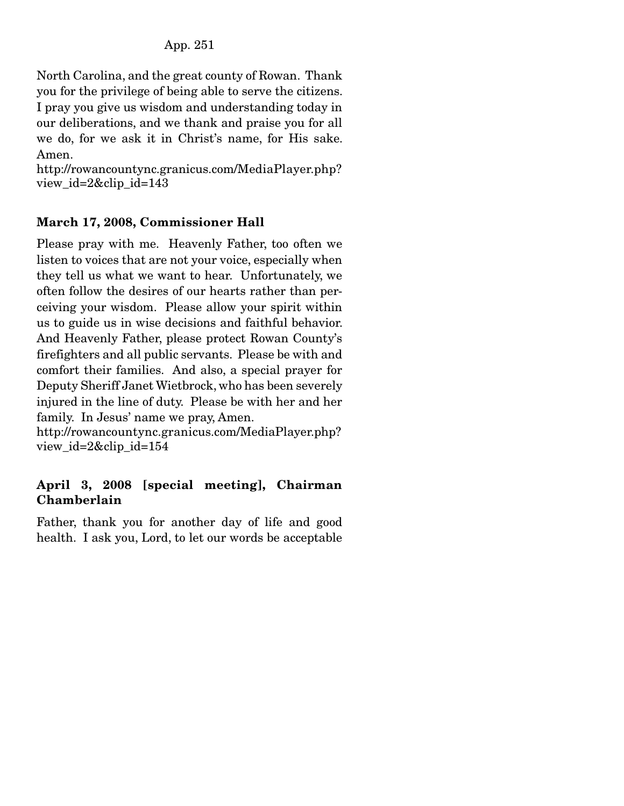North Carolina, and the great county of Rowan. Thank you for the privilege of being able to serve the citizens. I pray you give us wisdom and understanding today in our deliberations, and we thank and praise you for all we do, for we ask it in Christ's name, for His sake. Amen.

http://rowancountync.granicus.com/MediaPlayer.php? view\_id=2&clip\_id=143

# March 17, 2008, Commissioner Hall

Please pray with me. Heavenly Father, too often we listen to voices that are not your voice, especially when they tell us what we want to hear. Unfortunately, we often follow the desires of our hearts rather than perceiving your wisdom. Please allow your spirit within us to guide us in wise decisions and faithful behavior. And Heavenly Father, please protect Rowan County's firefighters and all public servants. Please be with and comfort their families. And also, a special prayer for Deputy Sheriff Janet Wietbrock, who has been severely injured in the line of duty. Please be with her and her family. In Jesus' name we pray, Amen.

http://rowancountync.granicus.com/MediaPlayer.php? view\_id=2&clip\_id=154

### April 3, 2008 [special meeting], Chairman Chamberlain

Father, thank you for another day of life and good health. I ask you, Lord, to let our words be acceptable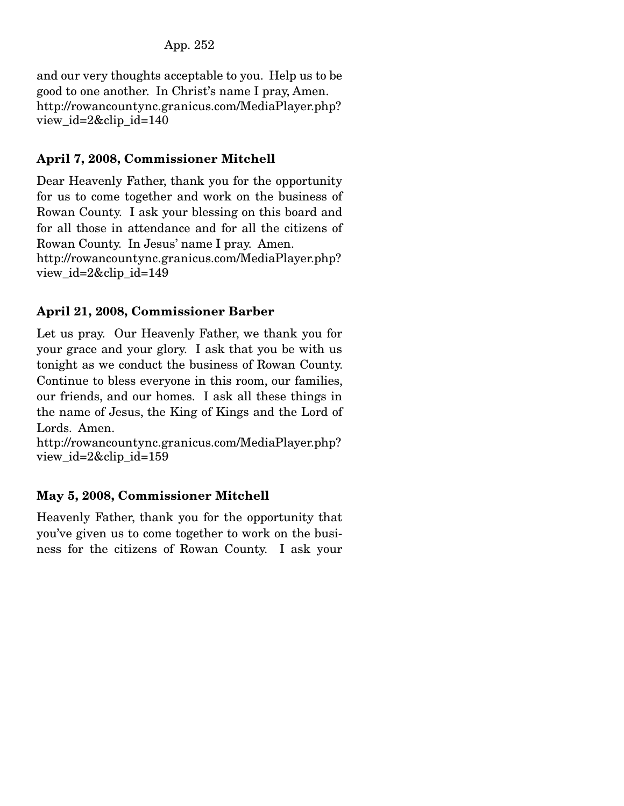and our very thoughts acceptable to you. Help us to be good to one another. In Christ's name I pray, Amen. http://rowancountync.granicus.com/MediaPlayer.php? view\_id=2&clip\_id=140

## April 7, 2008, Commissioner Mitchell

Dear Heavenly Father, thank you for the opportunity for us to come together and work on the business of Rowan County. I ask your blessing on this board and for all those in attendance and for all the citizens of Rowan County. In Jesus' name I pray. Amen. http://rowancountync.granicus.com/MediaPlayer.php? view\_id=2&clip\_id=149

### April 21, 2008, Commissioner Barber

Let us pray. Our Heavenly Father, we thank you for your grace and your glory. I ask that you be with us tonight as we conduct the business of Rowan County. Continue to bless everyone in this room, our families, our friends, and our homes. I ask all these things in the name of Jesus, the King of Kings and the Lord of Lords. Amen.

http://rowancountync.granicus.com/MediaPlayer.php? view\_id=2&clip\_id=159

# May 5, 2008, Commissioner Mitchell

Heavenly Father, thank you for the opportunity that you've given us to come together to work on the business for the citizens of Rowan County. I ask your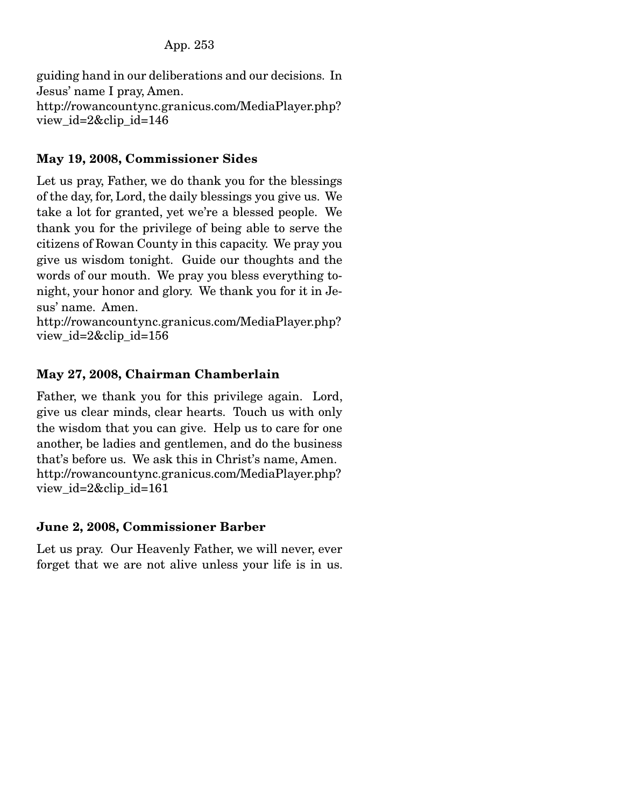guiding hand in our deliberations and our decisions. In Jesus' name I pray, Amen. http://rowancountync.granicus.com/MediaPlayer.php? view\_id=2&clip\_id=146

### May 19, 2008, Commissioner Sides

Let us pray, Father, we do thank you for the blessings of the day, for, Lord, the daily blessings you give us. We take a lot for granted, yet we're a blessed people. We thank you for the privilege of being able to serve the citizens of Rowan County in this capacity. We pray you give us wisdom tonight. Guide our thoughts and the words of our mouth. We pray you bless everything tonight, your honor and glory. We thank you for it in Jesus' name. Amen.

http://rowancountync.granicus.com/MediaPlayer.php? view\_id=2&clip\_id=156

### May 27, 2008, Chairman Chamberlain

Father, we thank you for this privilege again. Lord, give us clear minds, clear hearts. Touch us with only the wisdom that you can give. Help us to care for one another, be ladies and gentlemen, and do the business that's before us. We ask this in Christ's name, Amen. http://rowancountync.granicus.com/MediaPlayer.php? view\_id=2&clip\_id=161

#### June 2, 2008, Commissioner Barber

Let us pray. Our Heavenly Father, we will never, ever forget that we are not alive unless your life is in us.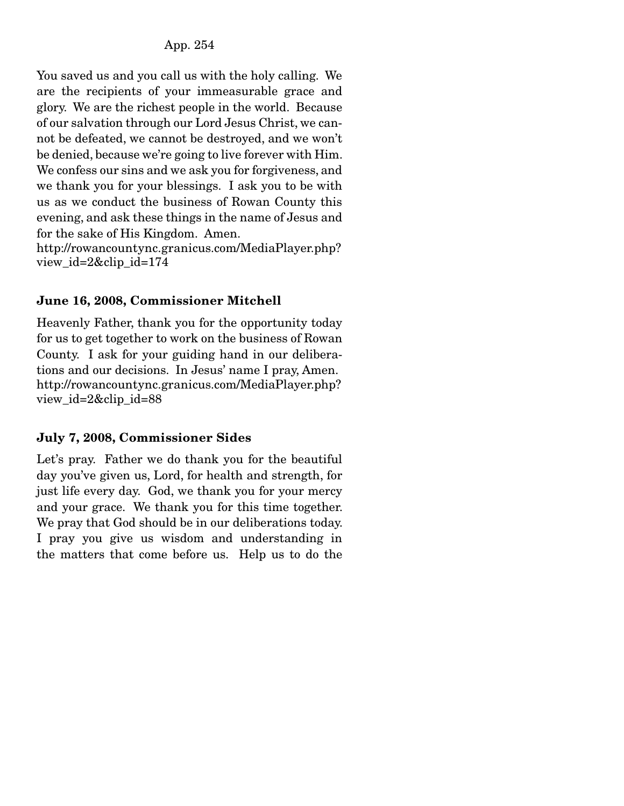You saved us and you call us with the holy calling. We are the recipients of your immeasurable grace and glory. We are the richest people in the world. Because of our salvation through our Lord Jesus Christ, we cannot be defeated, we cannot be destroyed, and we won't be denied, because we're going to live forever with Him. We confess our sins and we ask you for forgiveness, and we thank you for your blessings. I ask you to be with us as we conduct the business of Rowan County this evening, and ask these things in the name of Jesus and for the sake of His Kingdom. Amen.

http://rowancountync.granicus.com/MediaPlayer.php? view\_id=2&clip\_id=174

### June 16, 2008, Commissioner Mitchell

Heavenly Father, thank you for the opportunity today for us to get together to work on the business of Rowan County. I ask for your guiding hand in our deliberations and our decisions. In Jesus' name I pray, Amen. http://rowancountync.granicus.com/MediaPlayer.php? view\_id=2&clip\_id=88

#### July 7, 2008, Commissioner Sides

Let's pray. Father we do thank you for the beautiful day you've given us, Lord, for health and strength, for just life every day. God, we thank you for your mercy and your grace. We thank you for this time together. We pray that God should be in our deliberations today. I pray you give us wisdom and understanding in the matters that come before us. Help us to do the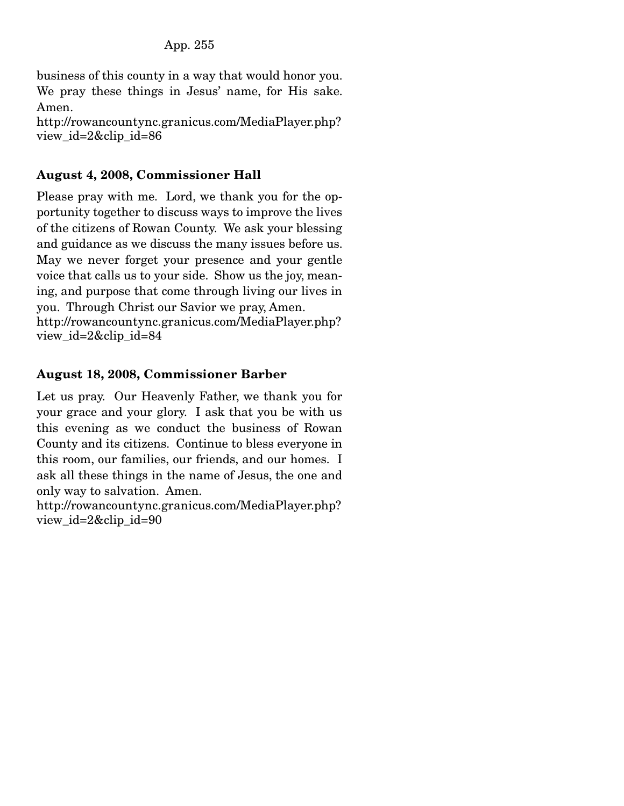business of this county in a way that would honor you. We pray these things in Jesus' name, for His sake. Amen.

http://rowancountync.granicus.com/MediaPlayer.php? view\_id=2&clip\_id=86

#### August 4, 2008, Commissioner Hall

Please pray with me. Lord, we thank you for the opportunity together to discuss ways to improve the lives of the citizens of Rowan County. We ask your blessing and guidance as we discuss the many issues before us. May we never forget your presence and your gentle voice that calls us to your side. Show us the joy, meaning, and purpose that come through living our lives in you. Through Christ our Savior we pray, Amen. http://rowancountync.granicus.com/MediaPlayer.php? view\_id=2&clip\_id=84

#### August 18, 2008, Commissioner Barber

Let us pray. Our Heavenly Father, we thank you for your grace and your glory. I ask that you be with us this evening as we conduct the business of Rowan County and its citizens. Continue to bless everyone in this room, our families, our friends, and our homes. I ask all these things in the name of Jesus, the one and only way to salvation. Amen.

http://rowancountync.granicus.com/MediaPlayer.php? view\_id=2&clip\_id=90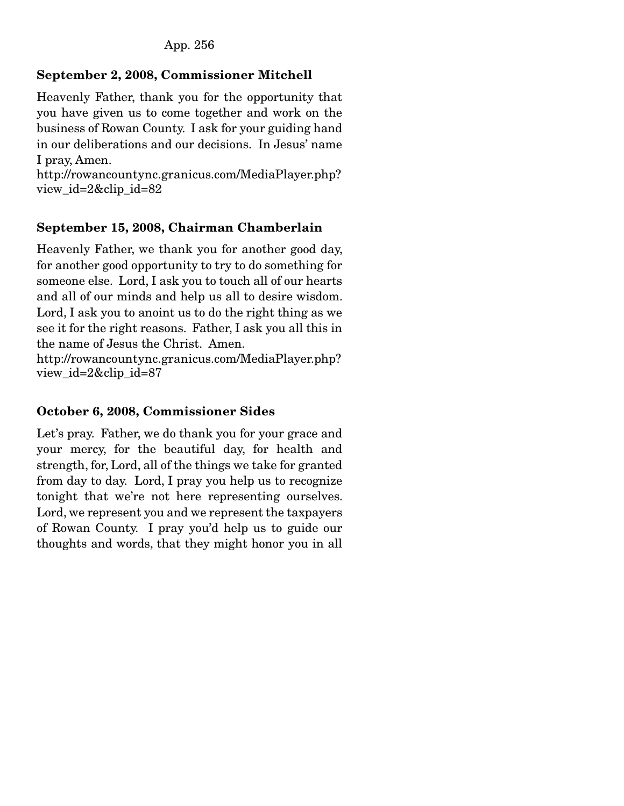# September 2, 2008, Commissioner Mitchell

Heavenly Father, thank you for the opportunity that you have given us to come together and work on the business of Rowan County. I ask for your guiding hand in our deliberations and our decisions. In Jesus' name I pray, Amen.

http://rowancountync.granicus.com/MediaPlayer.php? view\_id=2&clip\_id=82

### September 15, 2008, Chairman Chamberlain

Heavenly Father, we thank you for another good day, for another good opportunity to try to do something for someone else. Lord, I ask you to touch all of our hearts and all of our minds and help us all to desire wisdom. Lord, I ask you to anoint us to do the right thing as we see it for the right reasons. Father, I ask you all this in the name of Jesus the Christ. Amen.

http://rowancountync.granicus.com/MediaPlayer.php? view\_id=2&clip\_id=87

### October 6, 2008, Commissioner Sides

Let's pray. Father, we do thank you for your grace and your mercy, for the beautiful day, for health and strength, for, Lord, all of the things we take for granted from day to day. Lord, I pray you help us to recognize tonight that we're not here representing ourselves. Lord, we represent you and we represent the taxpayers of Rowan County. I pray you'd help us to guide our thoughts and words, that they might honor you in all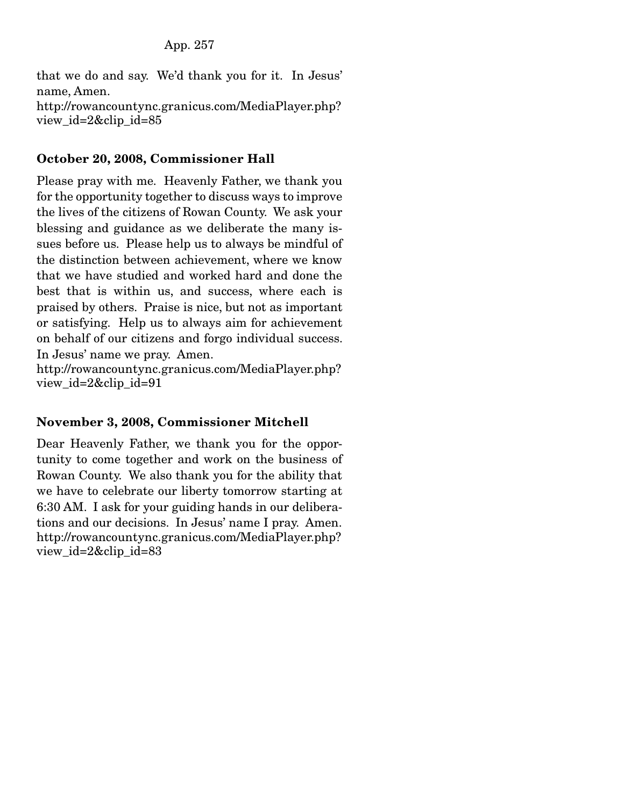that we do and say. We'd thank you for it. In Jesus' name, Amen. http://rowancountync.granicus.com/MediaPlayer.php? view id=2&clip id=85

#### October 20, 2008, Commissioner Hall

Please pray with me. Heavenly Father, we thank you for the opportunity together to discuss ways to improve the lives of the citizens of Rowan County. We ask your blessing and guidance as we deliberate the many issues before us. Please help us to always be mindful of the distinction between achievement, where we know that we have studied and worked hard and done the best that is within us, and success, where each is praised by others. Praise is nice, but not as important or satisfying. Help us to always aim for achievement on behalf of our citizens and forgo individual success. In Jesus' name we pray. Amen.

http://rowancountync.granicus.com/MediaPlayer.php? view\_id=2&clip\_id=91

#### November 3, 2008, Commissioner Mitchell

Dear Heavenly Father, we thank you for the opportunity to come together and work on the business of Rowan County. We also thank you for the ability that we have to celebrate our liberty tomorrow starting at 6:30 AM. I ask for your guiding hands in our deliberations and our decisions. In Jesus' name I pray. Amen. http://rowancountync.granicus.com/MediaPlayer.php? view\_id=2&clip\_id=83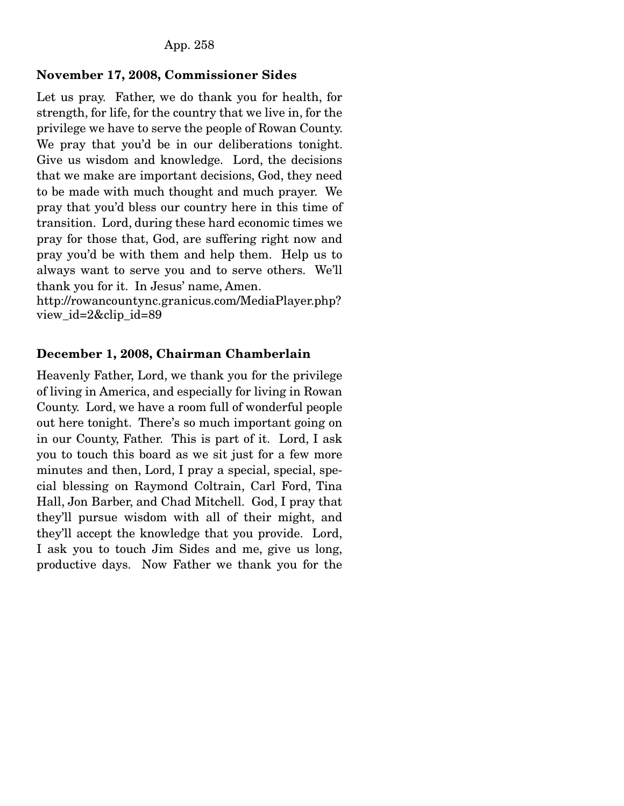#### November 17, 2008, Commissioner Sides

Let us pray. Father, we do thank you for health, for strength, for life, for the country that we live in, for the privilege we have to serve the people of Rowan County. We pray that you'd be in our deliberations tonight. Give us wisdom and knowledge. Lord, the decisions that we make are important decisions, God, they need to be made with much thought and much prayer. We pray that you'd bless our country here in this time of transition. Lord, during these hard economic times we pray for those that, God, are suffering right now and pray you'd be with them and help them. Help us to always want to serve you and to serve others. We'll thank you for it. In Jesus' name, Amen.

http://rowancountync.granicus.com/MediaPlayer.php? view\_id=2&clip\_id=89

#### December 1, 2008, Chairman Chamberlain

Heavenly Father, Lord, we thank you for the privilege of living in America, and especially for living in Rowan County. Lord, we have a room full of wonderful people out here tonight. There's so much important going on in our County, Father. This is part of it. Lord, I ask you to touch this board as we sit just for a few more minutes and then, Lord, I pray a special, special, special blessing on Raymond Coltrain, Carl Ford, Tina Hall, Jon Barber, and Chad Mitchell. God, I pray that they'll pursue wisdom with all of their might, and they'll accept the knowledge that you provide. Lord, I ask you to touch Jim Sides and me, give us long, productive days. Now Father we thank you for the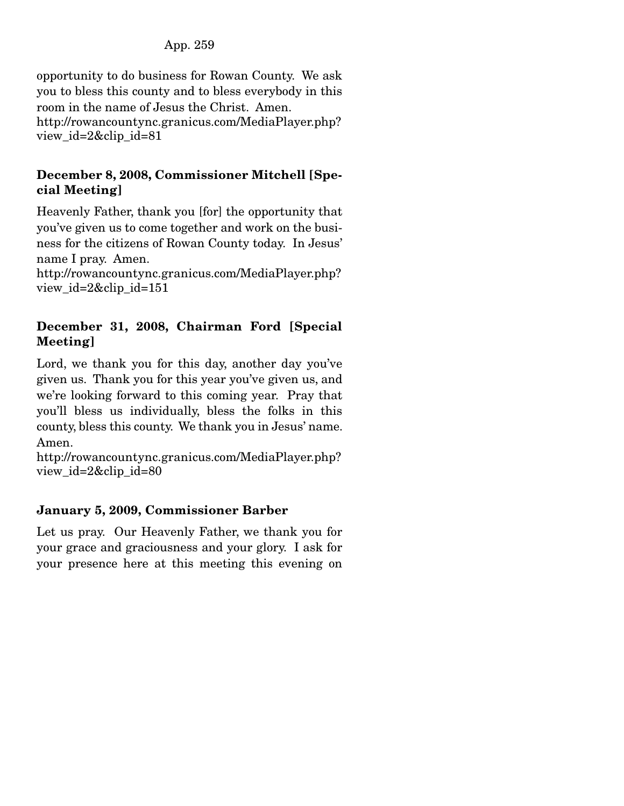### App. 259

opportunity to do business for Rowan County. We ask you to bless this county and to bless everybody in this room in the name of Jesus the Christ. Amen. http://rowancountync.granicus.com/MediaPlayer.php? view\_id=2&clip\_id=81

#### December 8, 2008, Commissioner Mitchell [Special Meeting]

Heavenly Father, thank you [for] the opportunity that you've given us to come together and work on the business for the citizens of Rowan County today. In Jesus' name I pray. Amen.

http://rowancountync.granicus.com/MediaPlayer.php? view\_id=2&clip\_id=151

### December 31, 2008, Chairman Ford [Special Meeting]

Lord, we thank you for this day, another day you've given us. Thank you for this year you've given us, and we're looking forward to this coming year. Pray that you'll bless us individually, bless the folks in this county, bless this county. We thank you in Jesus' name. Amen.

http://rowancountync.granicus.com/MediaPlayer.php? view\_id=2&clip\_id=80

### January 5, 2009, Commissioner Barber

Let us pray. Our Heavenly Father, we thank you for your grace and graciousness and your glory. I ask for your presence here at this meeting this evening on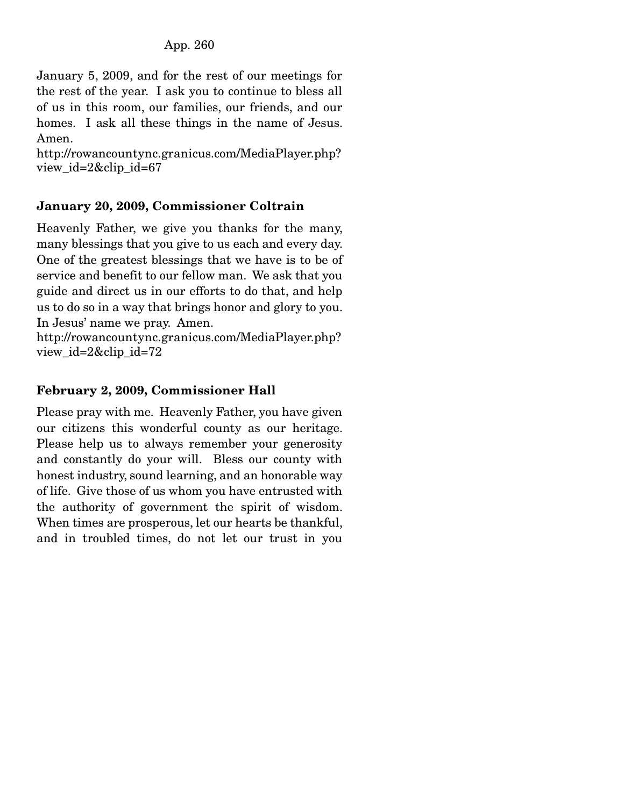January 5, 2009, and for the rest of our meetings for the rest of the year. I ask you to continue to bless all of us in this room, our families, our friends, and our homes. I ask all these things in the name of Jesus. Amen.

http://rowancountync.granicus.com/MediaPlayer.php? view\_id=2&clip\_id=67

### January 20, 2009, Commissioner Coltrain

Heavenly Father, we give you thanks for the many, many blessings that you give to us each and every day. One of the greatest blessings that we have is to be of service and benefit to our fellow man. We ask that you guide and direct us in our efforts to do that, and help us to do so in a way that brings honor and glory to you. In Jesus' name we pray. Amen.

http://rowancountync.granicus.com/MediaPlayer.php? view\_id=2&clip\_id=72

### February 2, 2009, Commissioner Hall

Please pray with me. Heavenly Father, you have given our citizens this wonderful county as our heritage. Please help us to always remember your generosity and constantly do your will. Bless our county with honest industry, sound learning, and an honorable way of life. Give those of us whom you have entrusted with the authority of government the spirit of wisdom. When times are prosperous, let our hearts be thankful, and in troubled times, do not let our trust in you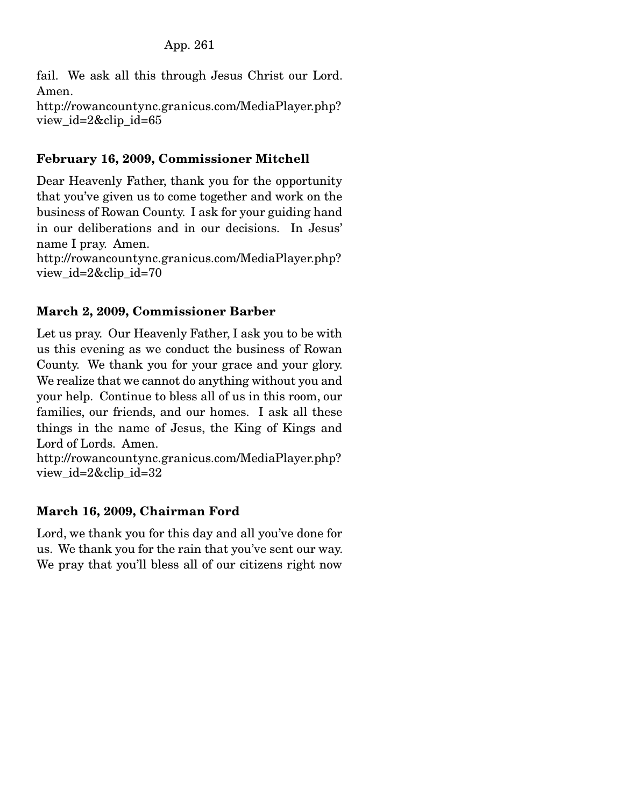fail. We ask all this through Jesus Christ our Lord. Amen.

http://rowancountync.granicus.com/MediaPlayer.php? view id= $2\&$ clip id=65

## February 16, 2009, Commissioner Mitchell

Dear Heavenly Father, thank you for the opportunity that you've given us to come together and work on the business of Rowan County. I ask for your guiding hand in our deliberations and in our decisions. In Jesus' name I pray. Amen.

http://rowancountync.granicus.com/MediaPlayer.php? view\_id=2&clip\_id=70

### March 2, 2009, Commissioner Barber

Let us pray. Our Heavenly Father, I ask you to be with us this evening as we conduct the business of Rowan County. We thank you for your grace and your glory. We realize that we cannot do anything without you and your help. Continue to bless all of us in this room, our families, our friends, and our homes. I ask all these things in the name of Jesus, the King of Kings and Lord of Lords. Amen.

http://rowancountync.granicus.com/MediaPlayer.php? view\_id=2&clip\_id=32

# March 16, 2009, Chairman Ford

Lord, we thank you for this day and all you've done for us. We thank you for the rain that you've sent our way. We pray that you'll bless all of our citizens right now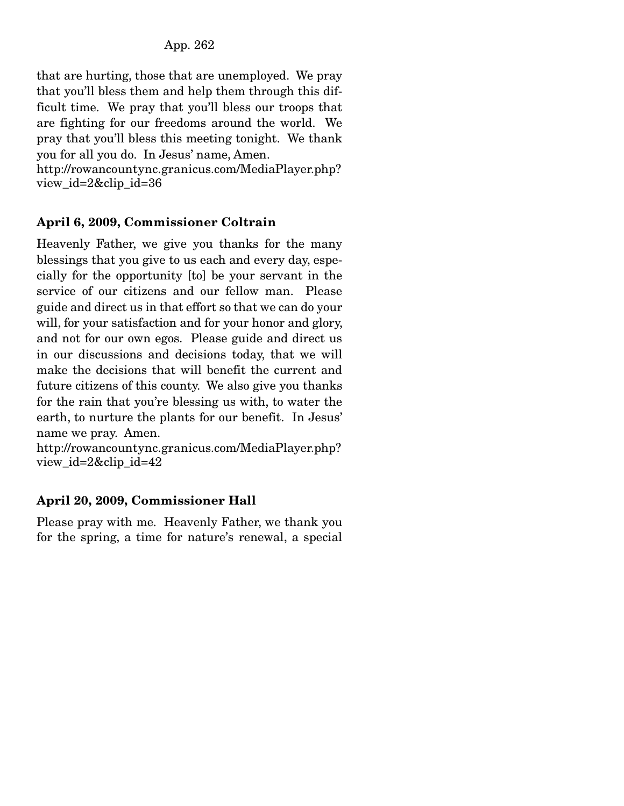that are hurting, those that are unemployed. We pray that you'll bless them and help them through this difficult time. We pray that you'll bless our troops that are fighting for our freedoms around the world. We pray that you'll bless this meeting tonight. We thank you for all you do. In Jesus' name, Amen.

http://rowancountync.granicus.com/MediaPlayer.php? view\_id=2&clip\_id=36

# April 6, 2009, Commissioner Coltrain

Heavenly Father, we give you thanks for the many blessings that you give to us each and every day, especially for the opportunity [to] be your servant in the service of our citizens and our fellow man. Please guide and direct us in that effort so that we can do your will, for your satisfaction and for your honor and glory, and not for our own egos. Please guide and direct us in our discussions and decisions today, that we will make the decisions that will benefit the current and future citizens of this county. We also give you thanks for the rain that you're blessing us with, to water the earth, to nurture the plants for our benefit. In Jesus' name we pray. Amen.

http://rowancountync.granicus.com/MediaPlayer.php? view\_id=2&clip\_id=42

# April 20, 2009, Commissioner Hall

Please pray with me. Heavenly Father, we thank you for the spring, a time for nature's renewal, a special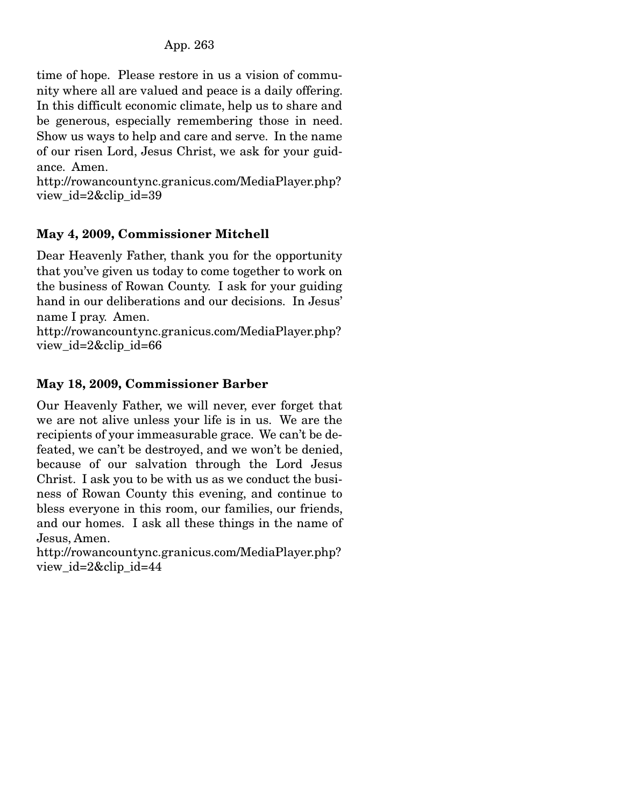time of hope. Please restore in us a vision of community where all are valued and peace is a daily offering. In this difficult economic climate, help us to share and be generous, especially remembering those in need. Show us ways to help and care and serve. In the name of our risen Lord, Jesus Christ, we ask for your guidance. Amen.

http://rowancountync.granicus.com/MediaPlayer.php? view\_id=2&clip\_id=39

# May 4, 2009, Commissioner Mitchell

Dear Heavenly Father, thank you for the opportunity that you've given us today to come together to work on the business of Rowan County. I ask for your guiding hand in our deliberations and our decisions. In Jesus' name I pray. Amen.

http://rowancountync.granicus.com/MediaPlayer.php? view\_id=2&clip\_id=66

### May 18, 2009, Commissioner Barber

Our Heavenly Father, we will never, ever forget that we are not alive unless your life is in us. We are the recipients of your immeasurable grace. We can't be defeated, we can't be destroyed, and we won't be denied, because of our salvation through the Lord Jesus Christ. I ask you to be with us as we conduct the business of Rowan County this evening, and continue to bless everyone in this room, our families, our friends, and our homes. I ask all these things in the name of Jesus, Amen.

http://rowancountync.granicus.com/MediaPlayer.php? view\_id=2&clip\_id=44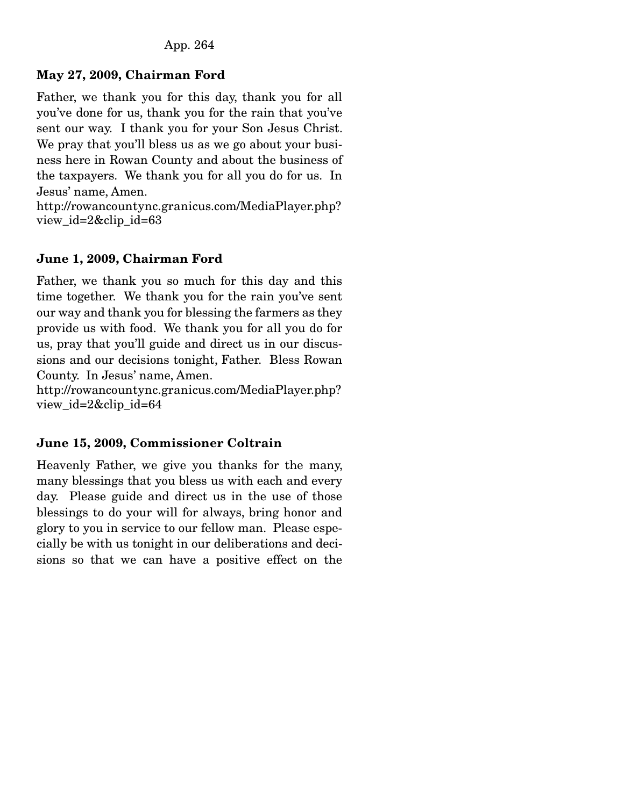### May 27, 2009, Chairman Ford

Father, we thank you for this day, thank you for all you've done for us, thank you for the rain that you've sent our way. I thank you for your Son Jesus Christ. We pray that you'll bless us as we go about your business here in Rowan County and about the business of the taxpayers. We thank you for all you do for us. In Jesus' name, Amen.

http://rowancountync.granicus.com/MediaPlayer.php? view\_id=2&clip\_id=63

### June 1, 2009, Chairman Ford

Father, we thank you so much for this day and this time together. We thank you for the rain you've sent our way and thank you for blessing the farmers as they provide us with food. We thank you for all you do for us, pray that you'll guide and direct us in our discussions and our decisions tonight, Father. Bless Rowan County. In Jesus' name, Amen.

http://rowancountync.granicus.com/MediaPlayer.php? view\_id=2&clip\_id=64

### June 15, 2009, Commissioner Coltrain

Heavenly Father, we give you thanks for the many, many blessings that you bless us with each and every day. Please guide and direct us in the use of those blessings to do your will for always, bring honor and glory to you in service to our fellow man. Please especially be with us tonight in our deliberations and decisions so that we can have a positive effect on the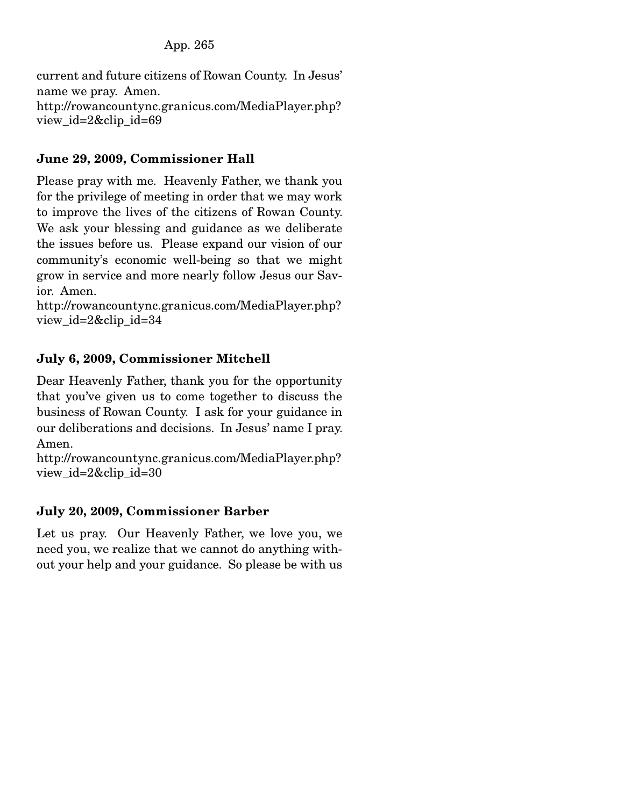current and future citizens of Rowan County. In Jesus' name we pray. Amen. http://rowancountync.granicus.com/MediaPlayer.php? view\_id=2&clip\_id=69

# June 29, 2009, Commissioner Hall

Please pray with me. Heavenly Father, we thank you for the privilege of meeting in order that we may work to improve the lives of the citizens of Rowan County. We ask your blessing and guidance as we deliberate the issues before us. Please expand our vision of our community's economic well-being so that we might grow in service and more nearly follow Jesus our Savior. Amen.

http://rowancountync.granicus.com/MediaPlayer.php? view\_id=2&clip\_id=34

### July 6, 2009, Commissioner Mitchell

Dear Heavenly Father, thank you for the opportunity that you've given us to come together to discuss the business of Rowan County. I ask for your guidance in our deliberations and decisions. In Jesus' name I pray. Amen.

```
http://rowancountync.granicus.com/MediaPlayer.php? 
view_id=2&clip_id=30
```
### July 20, 2009, Commissioner Barber

Let us pray. Our Heavenly Father, we love you, we need you, we realize that we cannot do anything without your help and your guidance. So please be with us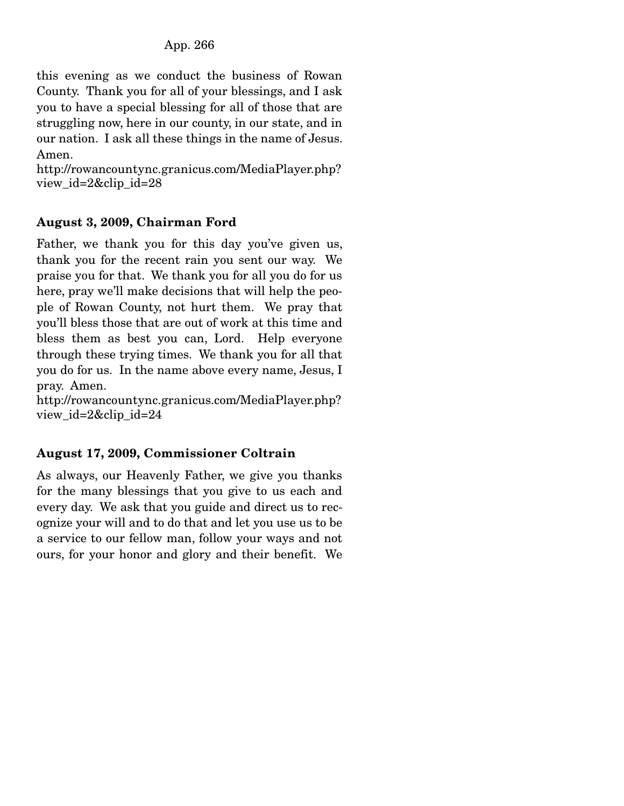this evening as we conduct the business of Rowan County. Thank you for all of your blessings, and I ask you to have a special blessing for all of those that are struggling now, here in our county, in our state, and in our nation. I ask all these things in the name of Jesus. Amen.

http://rowancountync.granicus.com/MediaPlayer.php? view\_id=2&clip\_id=28

### August 3, 2009, Chairman Ford

Father, we thank you for this day you've given us, thank you for the recent rain you sent our way. We praise you for that. We thank you for all you do for us here, pray we'll make decisions that will help the people of Rowan County, not hurt them. We pray that you'll bless those that are out of work at this time and bless them as best you can, Lord. Help everyone through these trying times. We thank you for all that you do for us. In the name above every name, Jesus, I pray. Amen.

http://rowancountync.granicus.com/MediaPlayer.php? view\_id=2&clip\_id=24

# August 17, 2009, Commissioner Coltrain

As always, our Heavenly Father, we give you thanks for the many blessings that you give to us each and every day. We ask that you guide and direct us to recognize your will and to do that and let you use us to be a service to our fellow man, follow your ways and not ours, for your honor and glory and their benefit. We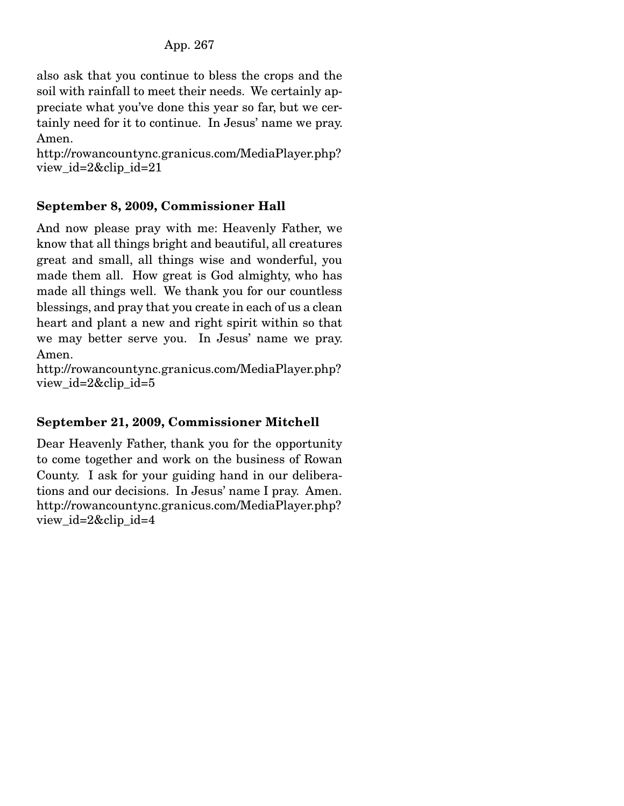also ask that you continue to bless the crops and the soil with rainfall to meet their needs. We certainly appreciate what you've done this year so far, but we certainly need for it to continue. In Jesus' name we pray. Amen.

http://rowancountync.granicus.com/MediaPlayer.php? view\_id=2&clip\_id=21

### September 8, 2009, Commissioner Hall

And now please pray with me: Heavenly Father, we know that all things bright and beautiful, all creatures great and small, all things wise and wonderful, you made them all. How great is God almighty, who has made all things well. We thank you for our countless blessings, and pray that you create in each of us a clean heart and plant a new and right spirit within so that we may better serve you. In Jesus' name we pray. Amen.

http://rowancountync.granicus.com/MediaPlayer.php? view\_id=2&clip\_id=5

# September 21, 2009, Commissioner Mitchell

Dear Heavenly Father, thank you for the opportunity to come together and work on the business of Rowan County. I ask for your guiding hand in our deliberations and our decisions. In Jesus' name I pray. Amen. http://rowancountync.granicus.com/MediaPlayer.php? view\_id=2&clip\_id=4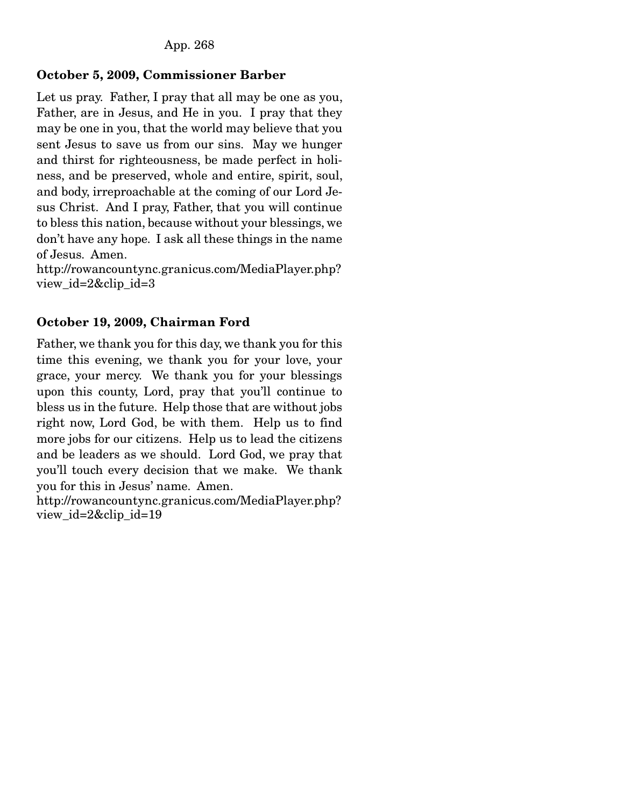### October 5, 2009, Commissioner Barber

Let us pray. Father, I pray that all may be one as you, Father, are in Jesus, and He in you. I pray that they may be one in you, that the world may believe that you sent Jesus to save us from our sins. May we hunger and thirst for righteousness, be made perfect in holiness, and be preserved, whole and entire, spirit, soul, and body, irreproachable at the coming of our Lord Jesus Christ. And I pray, Father, that you will continue to bless this nation, because without your blessings, we don't have any hope. I ask all these things in the name of Jesus. Amen.

http://rowancountync.granicus.com/MediaPlayer.php? view\_id=2&clip\_id=3

### October 19, 2009, Chairman Ford

Father, we thank you for this day, we thank you for this time this evening, we thank you for your love, your grace, your mercy. We thank you for your blessings upon this county, Lord, pray that you'll continue to bless us in the future. Help those that are without jobs right now, Lord God, be with them. Help us to find more jobs for our citizens. Help us to lead the citizens and be leaders as we should. Lord God, we pray that you'll touch every decision that we make. We thank you for this in Jesus' name. Amen.

http://rowancountync.granicus.com/MediaPlayer.php? view id=2&clip id=19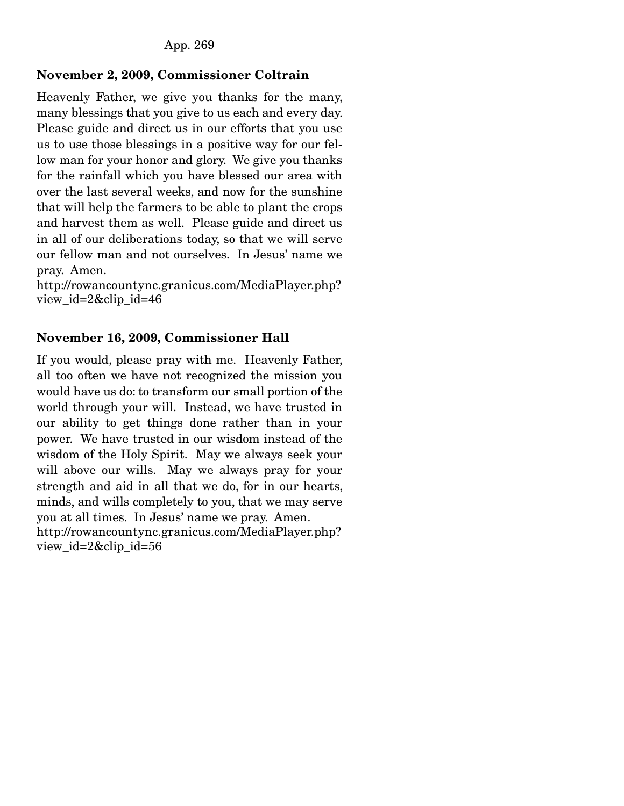### November 2, 2009, Commissioner Coltrain

Heavenly Father, we give you thanks for the many, many blessings that you give to us each and every day. Please guide and direct us in our efforts that you use us to use those blessings in a positive way for our fellow man for your honor and glory. We give you thanks for the rainfall which you have blessed our area with over the last several weeks, and now for the sunshine that will help the farmers to be able to plant the crops and harvest them as well. Please guide and direct us in all of our deliberations today, so that we will serve our fellow man and not ourselves. In Jesus' name we pray. Amen.

http://rowancountync.granicus.com/MediaPlayer.php? view\_id=2&clip\_id=46

### November 16, 2009, Commissioner Hall

If you would, please pray with me. Heavenly Father, all too often we have not recognized the mission you would have us do: to transform our small portion of the world through your will. Instead, we have trusted in our ability to get things done rather than in your power. We have trusted in our wisdom instead of the wisdom of the Holy Spirit. May we always seek your will above our wills. May we always pray for your strength and aid in all that we do, for in our hearts, minds, and wills completely to you, that we may serve you at all times. In Jesus' name we pray. Amen. http://rowancountync.granicus.com/MediaPlayer.php?

view\_id=2&clip\_id=56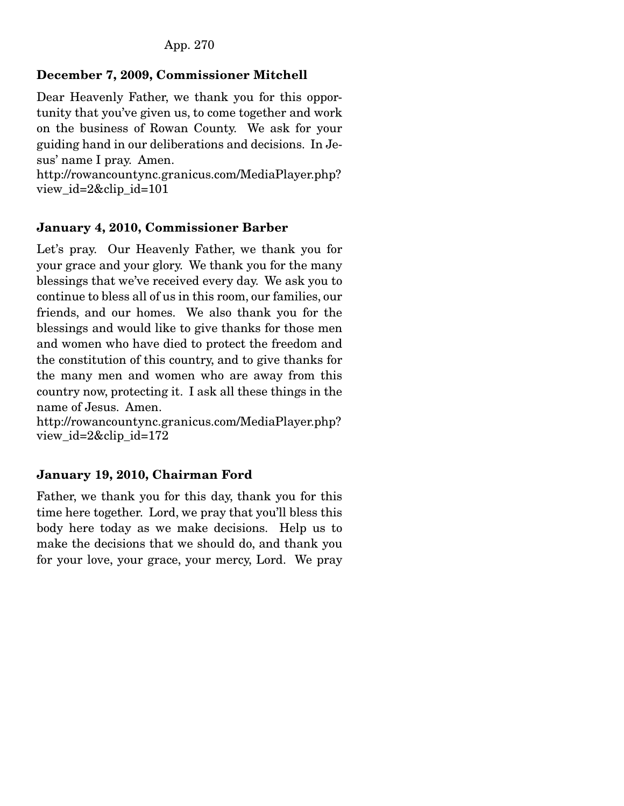# December 7, 2009, Commissioner Mitchell

Dear Heavenly Father, we thank you for this opportunity that you've given us, to come together and work on the business of Rowan County. We ask for your guiding hand in our deliberations and decisions. In Jesus' name I pray. Amen.

http://rowancountync.granicus.com/MediaPlayer.php? view\_id=2&clip\_id=101

### January 4, 2010, Commissioner Barber

Let's pray. Our Heavenly Father, we thank you for your grace and your glory. We thank you for the many blessings that we've received every day. We ask you to continue to bless all of us in this room, our families, our friends, and our homes. We also thank you for the blessings and would like to give thanks for those men and women who have died to protect the freedom and the constitution of this country, and to give thanks for the many men and women who are away from this country now, protecting it. I ask all these things in the name of Jesus. Amen.

http://rowancountync.granicus.com/MediaPlayer.php? view\_id=2&clip\_id=172

### January 19, 2010, Chairman Ford

Father, we thank you for this day, thank you for this time here together. Lord, we pray that you'll bless this body here today as we make decisions. Help us to make the decisions that we should do, and thank you for your love, your grace, your mercy, Lord. We pray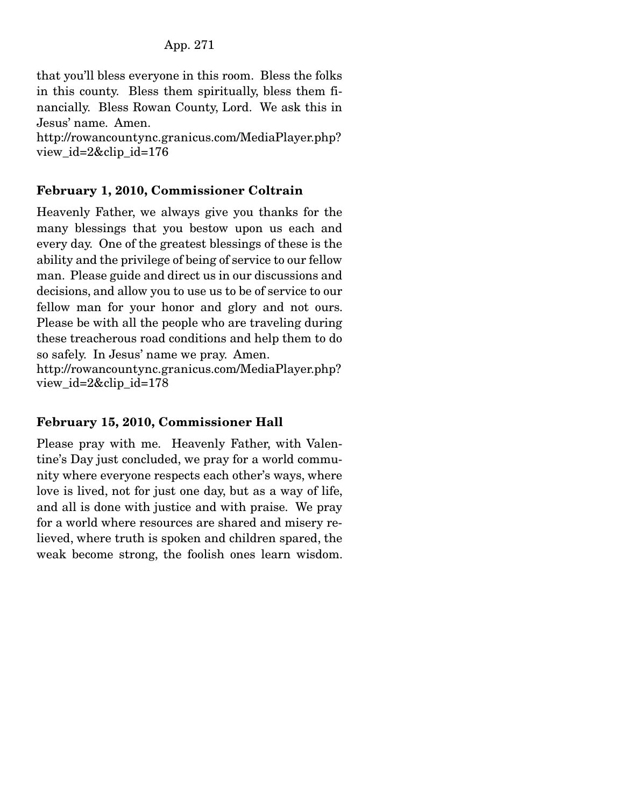that you'll bless everyone in this room. Bless the folks in this county. Bless them spiritually, bless them financially. Bless Rowan County, Lord. We ask this in Jesus' name. Amen. http://rowancountync.granicus.com/MediaPlayer.php?

view\_id=2&clip\_id=176

### February 1, 2010, Commissioner Coltrain

Heavenly Father, we always give you thanks for the many blessings that you bestow upon us each and every day. One of the greatest blessings of these is the ability and the privilege of being of service to our fellow man. Please guide and direct us in our discussions and decisions, and allow you to use us to be of service to our fellow man for your honor and glory and not ours. Please be with all the people who are traveling during these treacherous road conditions and help them to do so safely. In Jesus' name we pray. Amen. http://rowancountync.granicus.com/MediaPlayer.php?

view\_id=2&clip\_id=178

### February 15, 2010, Commissioner Hall

Please pray with me. Heavenly Father, with Valentine's Day just concluded, we pray for a world community where everyone respects each other's ways, where love is lived, not for just one day, but as a way of life, and all is done with justice and with praise. We pray for a world where resources are shared and misery relieved, where truth is spoken and children spared, the weak become strong, the foolish ones learn wisdom.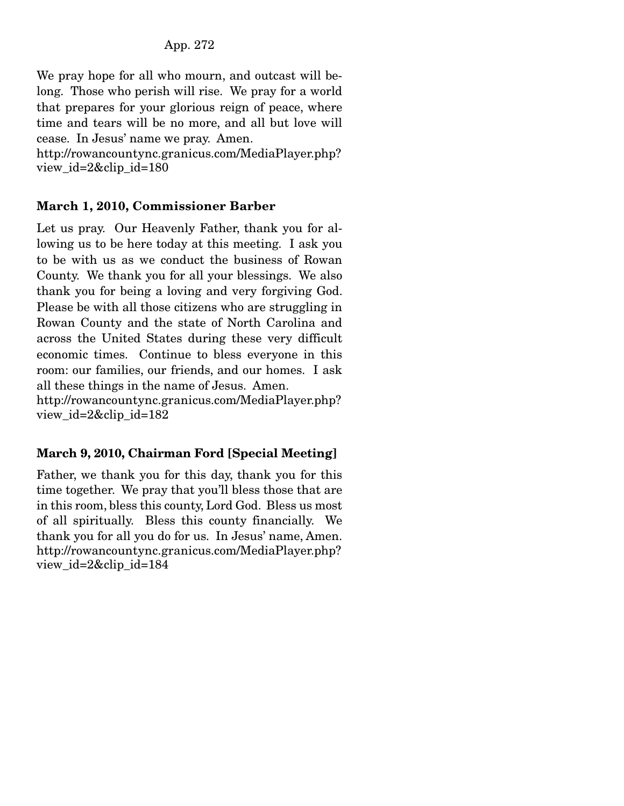We pray hope for all who mourn, and outcast will belong. Those who perish will rise. We pray for a world that prepares for your glorious reign of peace, where time and tears will be no more, and all but love will cease. In Jesus' name we pray. Amen.

http://rowancountync.granicus.com/MediaPlayer.php? view\_id=2&clip\_id=180

### March 1, 2010, Commissioner Barber

Let us pray. Our Heavenly Father, thank you for allowing us to be here today at this meeting. I ask you to be with us as we conduct the business of Rowan County. We thank you for all your blessings. We also thank you for being a loving and very forgiving God. Please be with all those citizens who are struggling in Rowan County and the state of North Carolina and across the United States during these very difficult economic times. Continue to bless everyone in this room: our families, our friends, and our homes. I ask all these things in the name of Jesus. Amen.

http://rowancountync.granicus.com/MediaPlayer.php? view\_id=2&clip\_id=182

# March 9, 2010, Chairman Ford [Special Meeting]

Father, we thank you for this day, thank you for this time together. We pray that you'll bless those that are in this room, bless this county, Lord God. Bless us most of all spiritually. Bless this county financially. We thank you for all you do for us. In Jesus' name, Amen. http://rowancountync.granicus.com/MediaPlayer.php? view\_id=2&clip\_id=184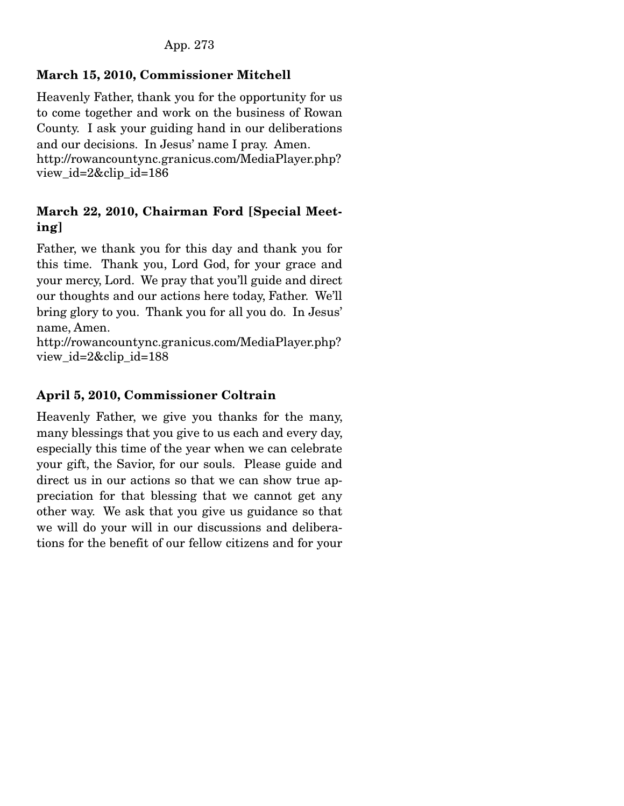# March 15, 2010, Commissioner Mitchell

Heavenly Father, thank you for the opportunity for us to come together and work on the business of Rowan County. I ask your guiding hand in our deliberations and our decisions. In Jesus' name I pray. Amen. http://rowancountync.granicus.com/MediaPlayer.php? view\_id=2&clip\_id=186

## March 22, 2010, Chairman Ford [Special Meeting]

Father, we thank you for this day and thank you for this time. Thank you, Lord God, for your grace and your mercy, Lord. We pray that you'll guide and direct our thoughts and our actions here today, Father. We'll bring glory to you. Thank you for all you do. In Jesus' name, Amen.

http://rowancountync.granicus.com/MediaPlayer.php? view\_id=2&clip\_id=188

# April 5, 2010, Commissioner Coltrain

Heavenly Father, we give you thanks for the many, many blessings that you give to us each and every day, especially this time of the year when we can celebrate your gift, the Savior, for our souls. Please guide and direct us in our actions so that we can show true appreciation for that blessing that we cannot get any other way. We ask that you give us guidance so that we will do your will in our discussions and deliberations for the benefit of our fellow citizens and for your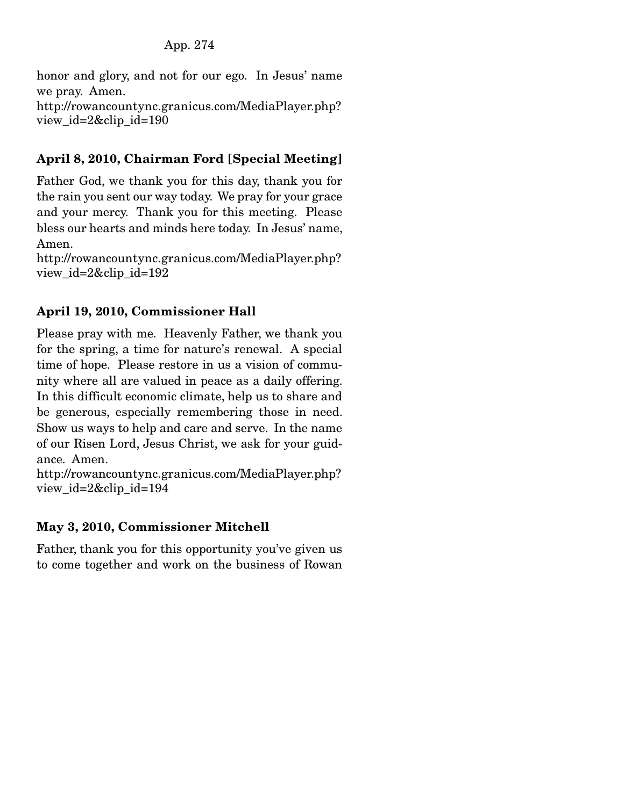honor and glory, and not for our ego. In Jesus' name we pray. Amen. http://rowancountync.granicus.com/MediaPlayer.php? view  $id=2\&$ clip  $id=190$ 

# April 8, 2010, Chairman Ford [Special Meeting]

Father God, we thank you for this day, thank you for the rain you sent our way today. We pray for your grace and your mercy. Thank you for this meeting. Please bless our hearts and minds here today. In Jesus' name, Amen.

http://rowancountync.granicus.com/MediaPlayer.php? view\_id=2&clip\_id=192

### April 19, 2010, Commissioner Hall

Please pray with me. Heavenly Father, we thank you for the spring, a time for nature's renewal. A special time of hope. Please restore in us a vision of community where all are valued in peace as a daily offering. In this difficult economic climate, help us to share and be generous, especially remembering those in need. Show us ways to help and care and serve. In the name of our Risen Lord, Jesus Christ, we ask for your guidance. Amen.

http://rowancountync.granicus.com/MediaPlayer.php? view id=2&clip id=194

### May 3, 2010, Commissioner Mitchell

Father, thank you for this opportunity you've given us to come together and work on the business of Rowan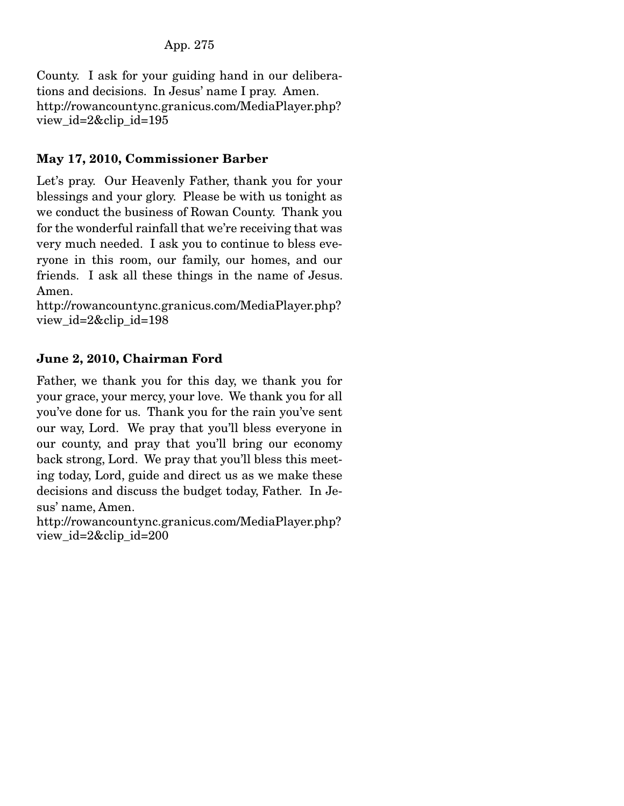County. I ask for your guiding hand in our deliberations and decisions. In Jesus' name I pray. Amen. http://rowancountync.granicus.com/MediaPlayer.php? view id= $2\&$ clip id=195

### May 17, 2010, Commissioner Barber

Let's pray. Our Heavenly Father, thank you for your blessings and your glory. Please be with us tonight as we conduct the business of Rowan County. Thank you for the wonderful rainfall that we're receiving that was very much needed. I ask you to continue to bless everyone in this room, our family, our homes, and our friends. I ask all these things in the name of Jesus. Amen.

http://rowancountync.granicus.com/MediaPlayer.php? view\_id=2&clip\_id=198

### June 2, 2010, Chairman Ford

Father, we thank you for this day, we thank you for your grace, your mercy, your love. We thank you for all you've done for us. Thank you for the rain you've sent our way, Lord. We pray that you'll bless everyone in our county, and pray that you'll bring our economy back strong, Lord. We pray that you'll bless this meeting today, Lord, guide and direct us as we make these decisions and discuss the budget today, Father. In Jesus' name, Amen.

http://rowancountync.granicus.com/MediaPlayer.php? view\_id=2&clip\_id=200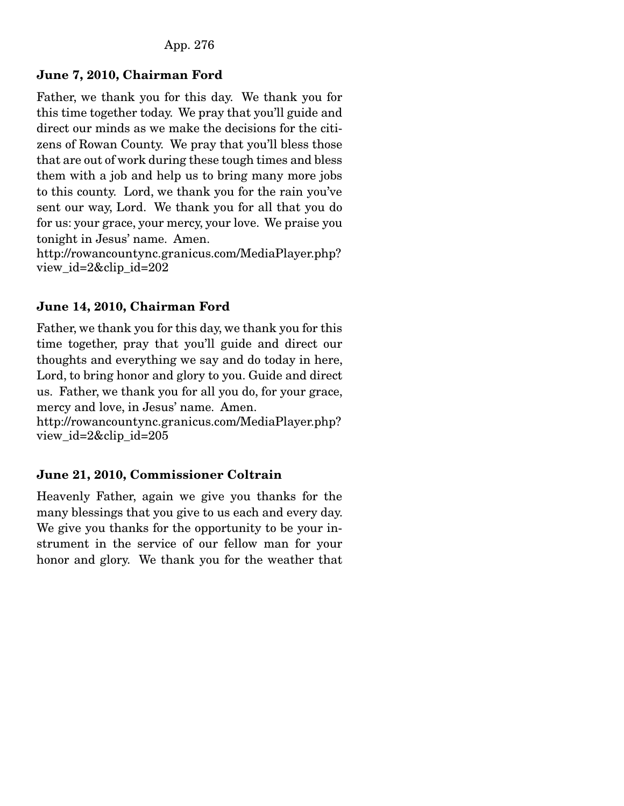#### June 7, 2010, Chairman Ford

Father, we thank you for this day. We thank you for this time together today. We pray that you'll guide and direct our minds as we make the decisions for the citizens of Rowan County. We pray that you'll bless those that are out of work during these tough times and bless them with a job and help us to bring many more jobs to this county. Lord, we thank you for the rain you've sent our way, Lord. We thank you for all that you do for us: your grace, your mercy, your love. We praise you tonight in Jesus' name. Amen.

http://rowancountync.granicus.com/MediaPlayer.php? view\_id=2&clip\_id=202

#### June 14, 2010, Chairman Ford

Father, we thank you for this day, we thank you for this time together, pray that you'll guide and direct our thoughts and everything we say and do today in here, Lord, to bring honor and glory to you. Guide and direct us. Father, we thank you for all you do, for your grace, mercy and love, in Jesus' name. Amen.

http://rowancountync.granicus.com/MediaPlayer.php? view\_id=2&clip\_id=205

### June 21, 2010, Commissioner Coltrain

Heavenly Father, again we give you thanks for the many blessings that you give to us each and every day. We give you thanks for the opportunity to be your instrument in the service of our fellow man for your honor and glory. We thank you for the weather that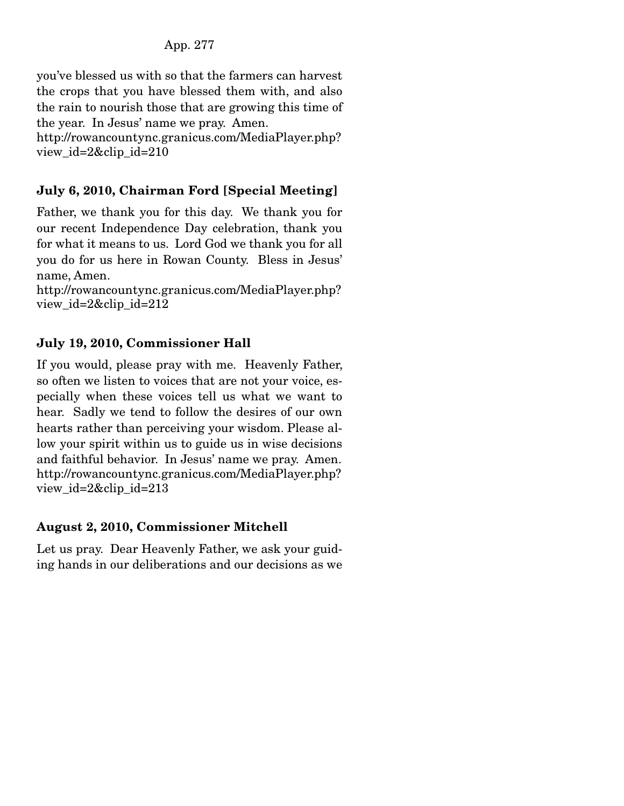#### App. 277

you've blessed us with so that the farmers can harvest the crops that you have blessed them with, and also the rain to nourish those that are growing this time of the year. In Jesus' name we pray. Amen. http://rowancountync.granicus.com/MediaPlayer.php?

view\_id=2&clip\_id=210

#### July 6, 2010, Chairman Ford [Special Meeting]

Father, we thank you for this day. We thank you for our recent Independence Day celebration, thank you for what it means to us. Lord God we thank you for all you do for us here in Rowan County. Bless in Jesus' name, Amen.

http://rowancountync.granicus.com/MediaPlayer.php? view\_id=2&clip\_id=212

#### July 19, 2010, Commissioner Hall

If you would, please pray with me. Heavenly Father, so often we listen to voices that are not your voice, especially when these voices tell us what we want to hear. Sadly we tend to follow the desires of our own hearts rather than perceiving your wisdom. Please allow your spirit within us to guide us in wise decisions and faithful behavior. In Jesus' name we pray. Amen. http://rowancountync.granicus.com/MediaPlayer.php? view  $id=2\&$ clip  $id=213$ 

#### August 2, 2010, Commissioner Mitchell

Let us pray. Dear Heavenly Father, we ask your guiding hands in our deliberations and our decisions as we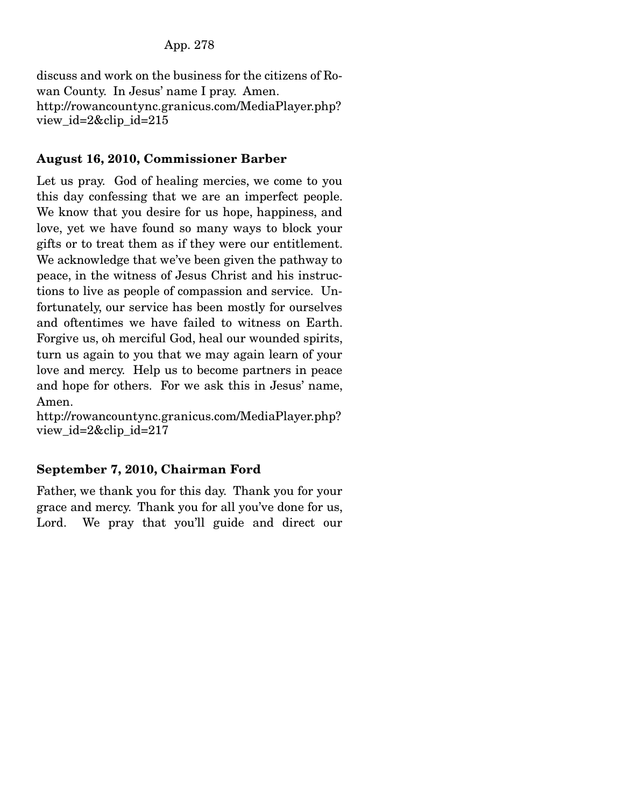discuss and work on the business for the citizens of Rowan County. In Jesus' name I pray. Amen. http://rowancountync.granicus.com/MediaPlayer.php? view\_id=2&clip\_id=215

### August 16, 2010, Commissioner Barber

Let us pray. God of healing mercies, we come to you this day confessing that we are an imperfect people. We know that you desire for us hope, happiness, and love, yet we have found so many ways to block your gifts or to treat them as if they were our entitlement. We acknowledge that we've been given the pathway to peace, in the witness of Jesus Christ and his instructions to live as people of compassion and service. Unfortunately, our service has been mostly for ourselves and oftentimes we have failed to witness on Earth. Forgive us, oh merciful God, heal our wounded spirits, turn us again to you that we may again learn of your love and mercy. Help us to become partners in peace and hope for others. For we ask this in Jesus' name, Amen.

http://rowancountync.granicus.com/MediaPlayer.php? view\_id=2&clip\_id=217

# September 7, 2010, Chairman Ford

Father, we thank you for this day. Thank you for your grace and mercy. Thank you for all you've done for us, Lord. We pray that you'll guide and direct our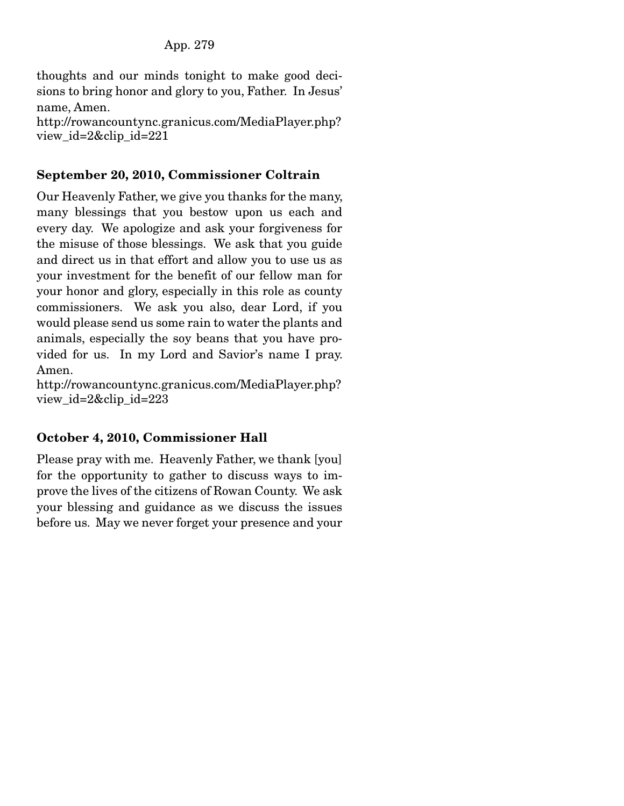thoughts and our minds tonight to make good decisions to bring honor and glory to you, Father. In Jesus' name, Amen.

http://rowancountync.granicus.com/MediaPlayer.php? view\_id=2&clip\_id=221

### September 20, 2010, Commissioner Coltrain

Our Heavenly Father, we give you thanks for the many, many blessings that you bestow upon us each and every day. We apologize and ask your forgiveness for the misuse of those blessings. We ask that you guide and direct us in that effort and allow you to use us as your investment for the benefit of our fellow man for your honor and glory, especially in this role as county commissioners. We ask you also, dear Lord, if you would please send us some rain to water the plants and animals, especially the soy beans that you have provided for us. In my Lord and Savior's name I pray. Amen.

http://rowancountync.granicus.com/MediaPlayer.php? view\_id=2&clip\_id=223

# October 4, 2010, Commissioner Hall

Please pray with me. Heavenly Father, we thank [you] for the opportunity to gather to discuss ways to improve the lives of the citizens of Rowan County. We ask your blessing and guidance as we discuss the issues before us. May we never forget your presence and your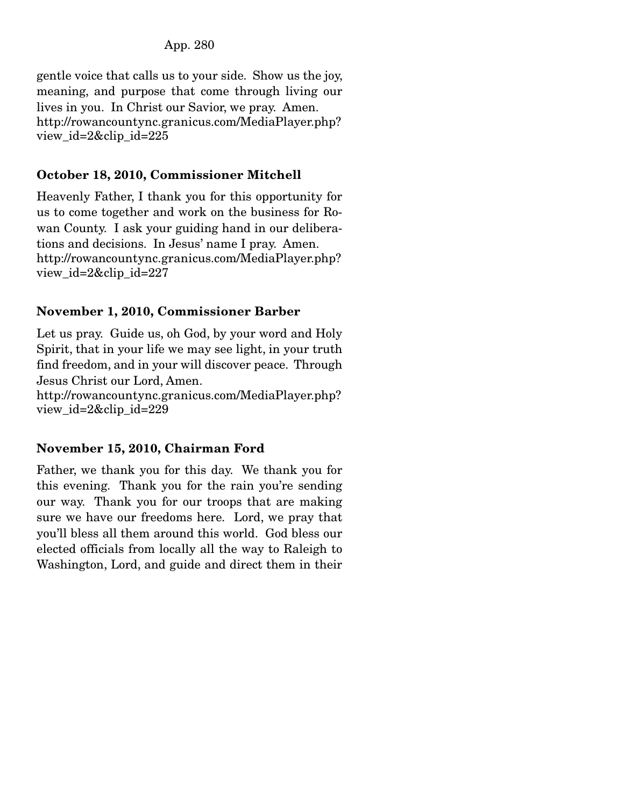### App. 280

gentle voice that calls us to your side. Show us the joy, meaning, and purpose that come through living our lives in you. In Christ our Savior, we pray. Amen. http://rowancountync.granicus.com/MediaPlayer.php? view\_id=2&clip\_id=225

### October 18, 2010, Commissioner Mitchell

Heavenly Father, I thank you for this opportunity for us to come together and work on the business for Rowan County. I ask your guiding hand in our deliberations and decisions. In Jesus' name I pray. Amen. http://rowancountync.granicus.com/MediaPlayer.php? view\_id=2&clip\_id=227

### November 1, 2010, Commissioner Barber

Let us pray. Guide us, oh God, by your word and Holy Spirit, that in your life we may see light, in your truth find freedom, and in your will discover peace. Through Jesus Christ our Lord, Amen.

http://rowancountync.granicus.com/MediaPlayer.php? view\_id=2&clip\_id=229

## November 15, 2010, Chairman Ford

Father, we thank you for this day. We thank you for this evening. Thank you for the rain you're sending our way. Thank you for our troops that are making sure we have our freedoms here. Lord, we pray that you'll bless all them around this world. God bless our elected officials from locally all the way to Raleigh to Washington, Lord, and guide and direct them in their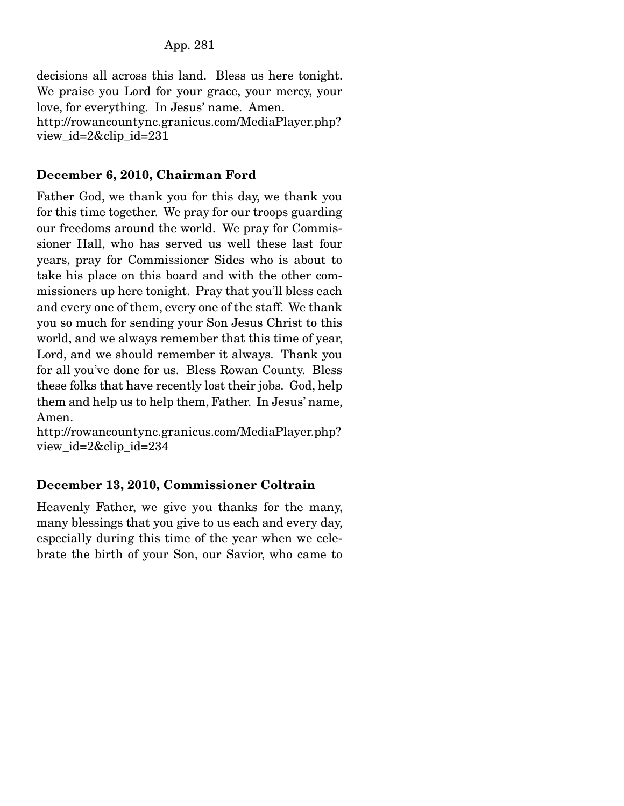decisions all across this land. Bless us here tonight. We praise you Lord for your grace, your mercy, your love, for everything. In Jesus' name. Amen. http://rowancountync.granicus.com/MediaPlayer.php? view\_id=2&clip\_id=231

### December 6, 2010, Chairman Ford

Father God, we thank you for this day, we thank you for this time together. We pray for our troops guarding our freedoms around the world. We pray for Commissioner Hall, who has served us well these last four years, pray for Commissioner Sides who is about to take his place on this board and with the other commissioners up here tonight. Pray that you'll bless each and every one of them, every one of the staff. We thank you so much for sending your Son Jesus Christ to this world, and we always remember that this time of year, Lord, and we should remember it always. Thank you for all you've done for us. Bless Rowan County. Bless these folks that have recently lost their jobs. God, help them and help us to help them, Father. In Jesus' name, Amen.

http://rowancountync.granicus.com/MediaPlayer.php? view\_id=2&clip\_id=234

## December 13, 2010, Commissioner Coltrain

Heavenly Father, we give you thanks for the many, many blessings that you give to us each and every day, especially during this time of the year when we celebrate the birth of your Son, our Savior, who came to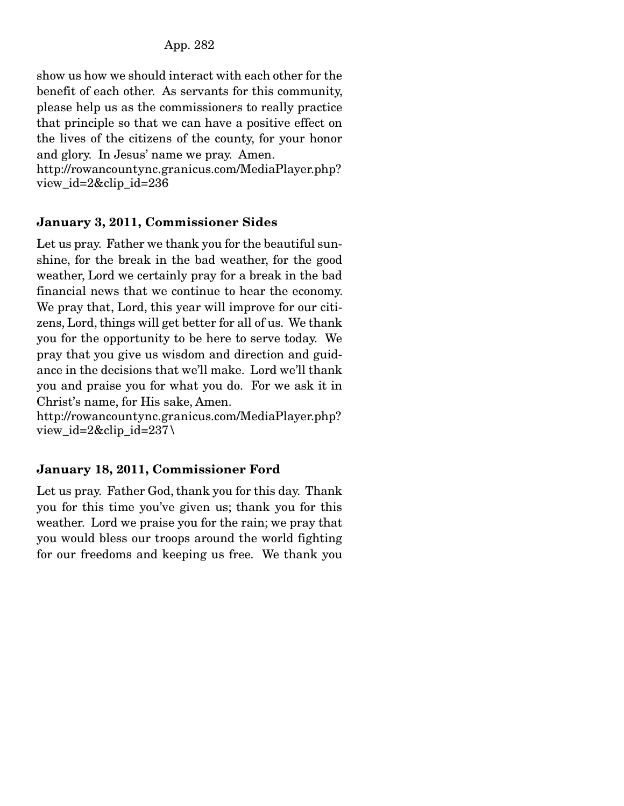show us how we should interact with each other for the benefit of each other. As servants for this community, please help us as the commissioners to really practice that principle so that we can have a positive effect on the lives of the citizens of the county, for your honor and glory. In Jesus' name we pray. Amen.

http://rowancountync.granicus.com/MediaPlayer.php? view\_id=2&clip\_id=236

## January 3, 2011, Commissioner Sides

Let us pray. Father we thank you for the beautiful sunshine, for the break in the bad weather, for the good weather, Lord we certainly pray for a break in the bad financial news that we continue to hear the economy. We pray that, Lord, this year will improve for our citizens, Lord, things will get better for all of us. We thank you for the opportunity to be here to serve today. We pray that you give us wisdom and direction and guidance in the decisions that we'll make. Lord we'll thank you and praise you for what you do. For we ask it in Christ's name, for His sake, Amen.

http://rowancountync.granicus.com/MediaPlayer.php? view\_id=2&clip\_id=237\

# January 18, 2011, Commissioner Ford

Let us pray. Father God, thank you for this day. Thank you for this time you've given us; thank you for this weather. Lord we praise you for the rain; we pray that you would bless our troops around the world fighting for our freedoms and keeping us free. We thank you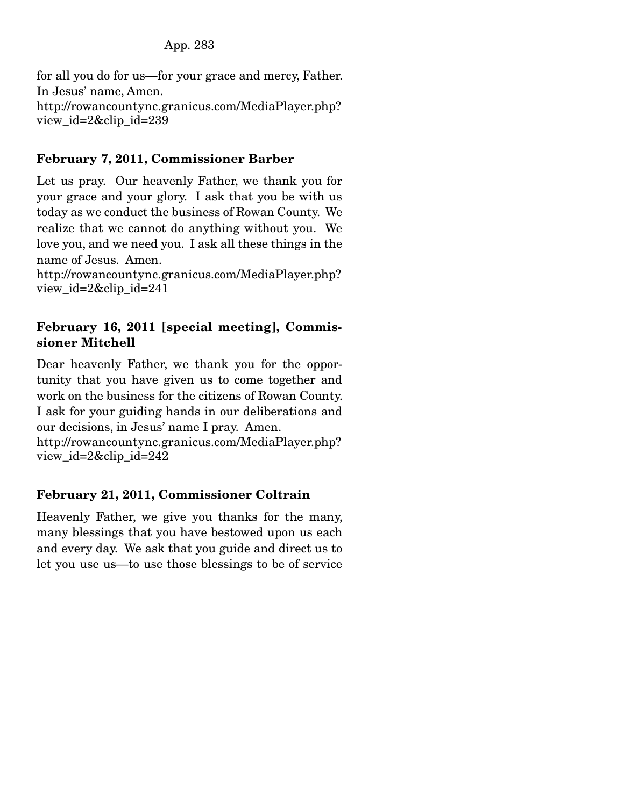for all you do for us—for your grace and mercy, Father. In Jesus' name, Amen. http://rowancountync.granicus.com/MediaPlayer.php? view\_id=2&clip\_id=239

### February 7, 2011, Commissioner Barber

Let us pray. Our heavenly Father, we thank you for your grace and your glory. I ask that you be with us today as we conduct the business of Rowan County. We realize that we cannot do anything without you. We love you, and we need you. I ask all these things in the name of Jesus. Amen.

http://rowancountync.granicus.com/MediaPlayer.php? view\_id=2&clip\_id=241

### February 16, 2011 [special meeting], Commissioner Mitchell

Dear heavenly Father, we thank you for the opportunity that you have given us to come together and work on the business for the citizens of Rowan County. I ask for your guiding hands in our deliberations and our decisions, in Jesus' name I pray. Amen.

http://rowancountync.granicus.com/MediaPlayer.php? view\_id=2&clip\_id=242

## February 21, 2011, Commissioner Coltrain

Heavenly Father, we give you thanks for the many, many blessings that you have bestowed upon us each and every day. We ask that you guide and direct us to let you use us—to use those blessings to be of service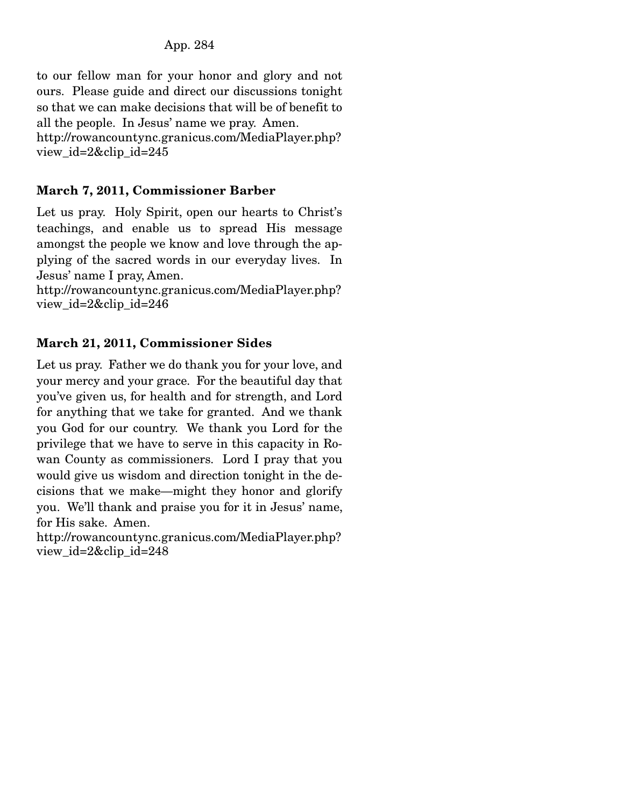to our fellow man for your honor and glory and not ours. Please guide and direct our discussions tonight so that we can make decisions that will be of benefit to all the people. In Jesus' name we pray. Amen. http://rowancountync.granicus.com/MediaPlayer.php? view\_id=2&clip\_id=245

# March 7, 2011, Commissioner Barber

Let us pray. Holy Spirit, open our hearts to Christ's teachings, and enable us to spread His message amongst the people we know and love through the applying of the sacred words in our everyday lives. In Jesus' name I pray, Amen.

http://rowancountync.granicus.com/MediaPlayer.php? view\_id=2&clip\_id=246

## March 21, 2011, Commissioner Sides

Let us pray. Father we do thank you for your love, and your mercy and your grace. For the beautiful day that you've given us, for health and for strength, and Lord for anything that we take for granted. And we thank you God for our country. We thank you Lord for the privilege that we have to serve in this capacity in Rowan County as commissioners. Lord I pray that you would give us wisdom and direction tonight in the decisions that we make—might they honor and glorify you. We'll thank and praise you for it in Jesus' name, for His sake. Amen.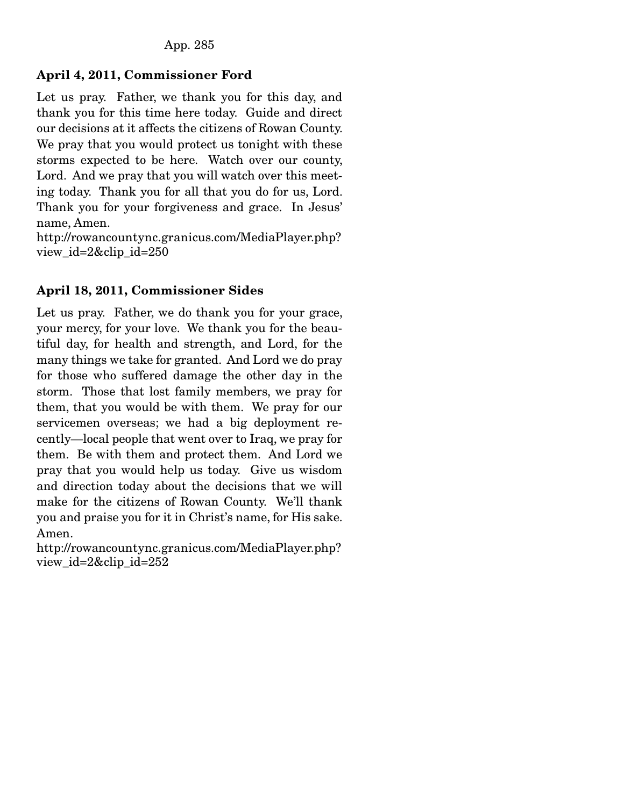## April 4, 2011, Commissioner Ford

Let us pray. Father, we thank you for this day, and thank you for this time here today. Guide and direct our decisions at it affects the citizens of Rowan County. We pray that you would protect us tonight with these storms expected to be here. Watch over our county, Lord. And we pray that you will watch over this meeting today. Thank you for all that you do for us, Lord. Thank you for your forgiveness and grace. In Jesus' name, Amen.

http://rowancountync.granicus.com/MediaPlayer.php? view\_id=2&clip\_id=250

## April 18, 2011, Commissioner Sides

Let us pray. Father, we do thank you for your grace, your mercy, for your love. We thank you for the beautiful day, for health and strength, and Lord, for the many things we take for granted. And Lord we do pray for those who suffered damage the other day in the storm. Those that lost family members, we pray for them, that you would be with them. We pray for our servicemen overseas; we had a big deployment recently—local people that went over to Iraq, we pray for them. Be with them and protect them. And Lord we pray that you would help us today. Give us wisdom and direction today about the decisions that we will make for the citizens of Rowan County. We'll thank you and praise you for it in Christ's name, for His sake. Amen.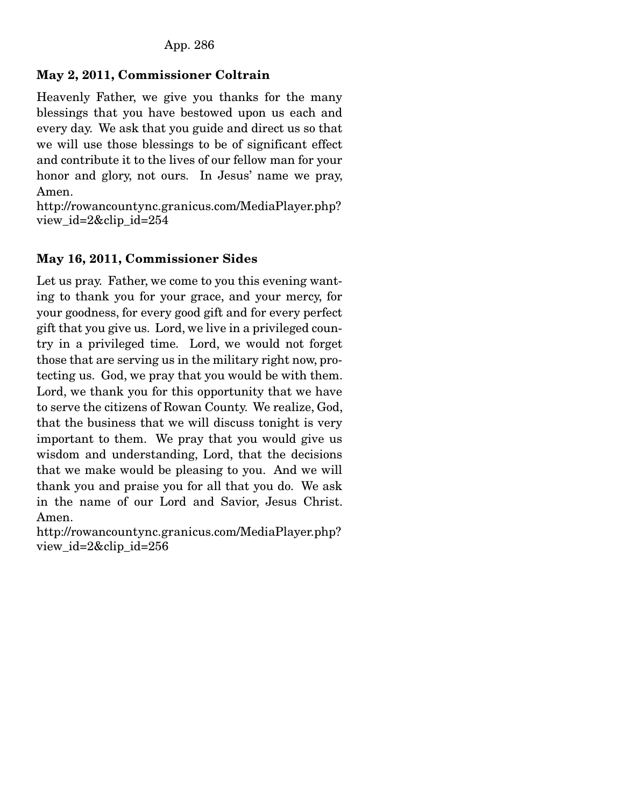## May 2, 2011, Commissioner Coltrain

Heavenly Father, we give you thanks for the many blessings that you have bestowed upon us each and every day. We ask that you guide and direct us so that we will use those blessings to be of significant effect and contribute it to the lives of our fellow man for your honor and glory, not ours. In Jesus' name we pray, Amen.

http://rowancountync.granicus.com/MediaPlayer.php? view\_id=2&clip\_id=254

## May 16, 2011, Commissioner Sides

Let us pray. Father, we come to you this evening wanting to thank you for your grace, and your mercy, for your goodness, for every good gift and for every perfect gift that you give us. Lord, we live in a privileged country in a privileged time. Lord, we would not forget those that are serving us in the military right now, protecting us. God, we pray that you would be with them. Lord, we thank you for this opportunity that we have to serve the citizens of Rowan County. We realize, God, that the business that we will discuss tonight is very important to them. We pray that you would give us wisdom and understanding, Lord, that the decisions that we make would be pleasing to you. And we will thank you and praise you for all that you do. We ask in the name of our Lord and Savior, Jesus Christ. Amen.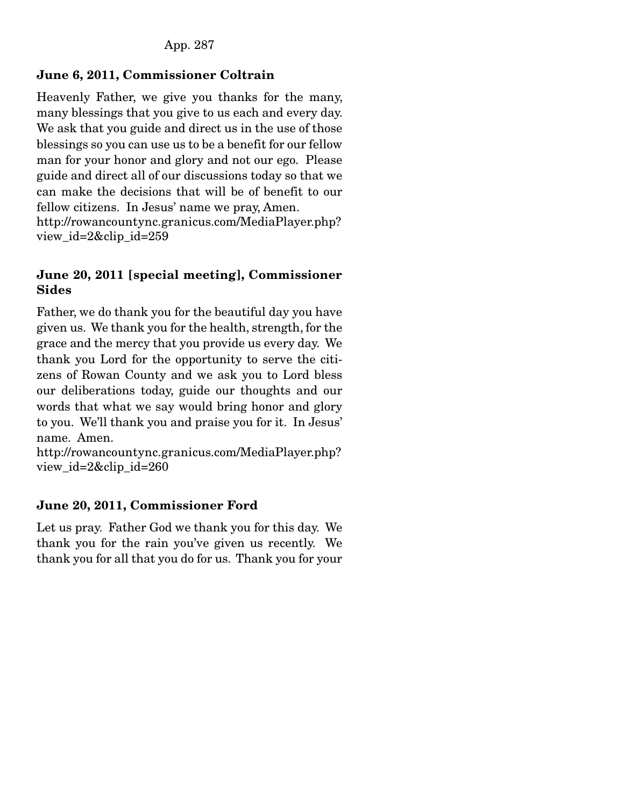## June 6, 2011, Commissioner Coltrain

Heavenly Father, we give you thanks for the many, many blessings that you give to us each and every day. We ask that you guide and direct us in the use of those blessings so you can use us to be a benefit for our fellow man for your honor and glory and not our ego. Please guide and direct all of our discussions today so that we can make the decisions that will be of benefit to our fellow citizens. In Jesus' name we pray, Amen. http://rowancountync.granicus.com/MediaPlayer.php? view\_id=2&clip\_id=259

### June 20, 2011 [special meeting], Commissioner Sides

Father, we do thank you for the beautiful day you have given us. We thank you for the health, strength, for the grace and the mercy that you provide us every day. We thank you Lord for the opportunity to serve the citizens of Rowan County and we ask you to Lord bless our deliberations today, guide our thoughts and our words that what we say would bring honor and glory to you. We'll thank you and praise you for it. In Jesus' name. Amen.

http://rowancountync.granicus.com/MediaPlayer.php? view\_id=2&clip\_id=260

## June 20, 2011, Commissioner Ford

Let us pray. Father God we thank you for this day. We thank you for the rain you've given us recently. We thank you for all that you do for us. Thank you for your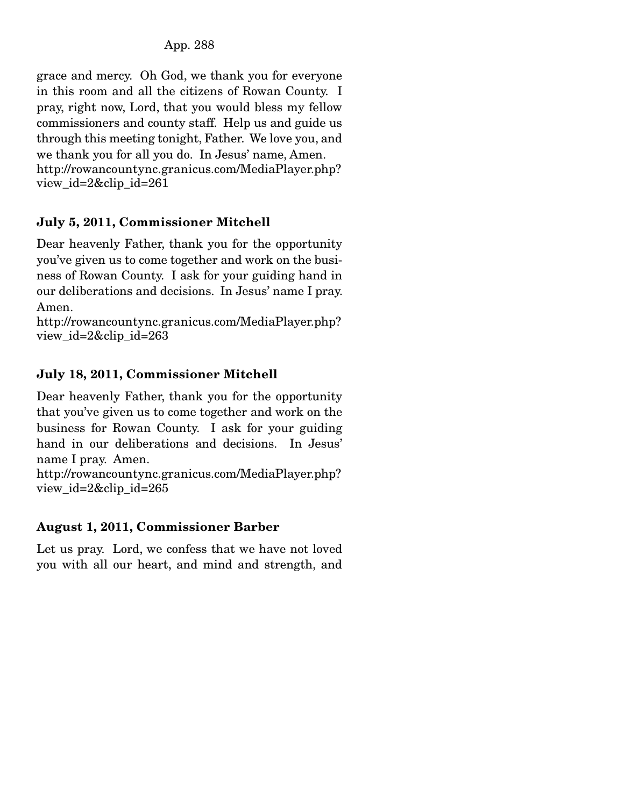grace and mercy. Oh God, we thank you for everyone in this room and all the citizens of Rowan County. I pray, right now, Lord, that you would bless my fellow commissioners and county staff. Help us and guide us through this meeting tonight, Father. We love you, and we thank you for all you do. In Jesus' name, Amen. http://rowancountync.granicus.com/MediaPlayer.php? view\_id=2&clip\_id=261

# July 5, 2011, Commissioner Mitchell

Dear heavenly Father, thank you for the opportunity you've given us to come together and work on the business of Rowan County. I ask for your guiding hand in our deliberations and decisions. In Jesus' name I pray. Amen.

http://rowancountync.granicus.com/MediaPlayer.php? view\_id=2&clip\_id=263

# July 18, 2011, Commissioner Mitchell

Dear heavenly Father, thank you for the opportunity that you've given us to come together and work on the business for Rowan County. I ask for your guiding hand in our deliberations and decisions. In Jesus' name I pray. Amen.

http://rowancountync.granicus.com/MediaPlayer.php? view  $id=2\&$ clip  $id=265$ 

# August 1, 2011, Commissioner Barber

Let us pray. Lord, we confess that we have not loved you with all our heart, and mind and strength, and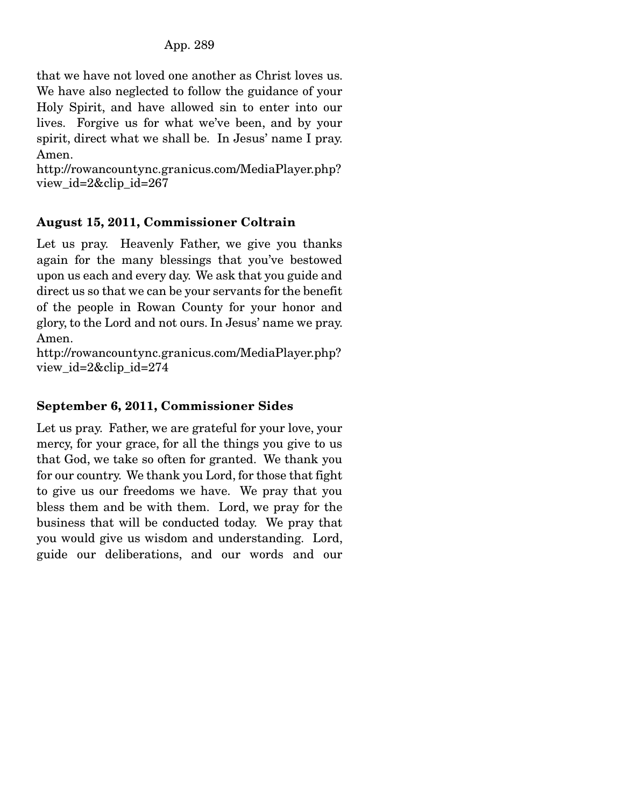that we have not loved one another as Christ loves us. We have also neglected to follow the guidance of your Holy Spirit, and have allowed sin to enter into our lives. Forgive us for what we've been, and by your spirit, direct what we shall be. In Jesus' name I pray. Amen.

http://rowancountync.granicus.com/MediaPlayer.php? view\_id=2&clip\_id=267

## August 15, 2011, Commissioner Coltrain

Let us pray. Heavenly Father, we give you thanks again for the many blessings that you've bestowed upon us each and every day. We ask that you guide and direct us so that we can be your servants for the benefit of the people in Rowan County for your honor and glory, to the Lord and not ours. In Jesus' name we pray. Amen.

http://rowancountync.granicus.com/MediaPlayer.php? view\_id=2&clip\_id=274

## September 6, 2011, Commissioner Sides

Let us pray. Father, we are grateful for your love, your mercy, for your grace, for all the things you give to us that God, we take so often for granted. We thank you for our country. We thank you Lord, for those that fight to give us our freedoms we have. We pray that you bless them and be with them. Lord, we pray for the business that will be conducted today. We pray that you would give us wisdom and understanding. Lord, guide our deliberations, and our words and our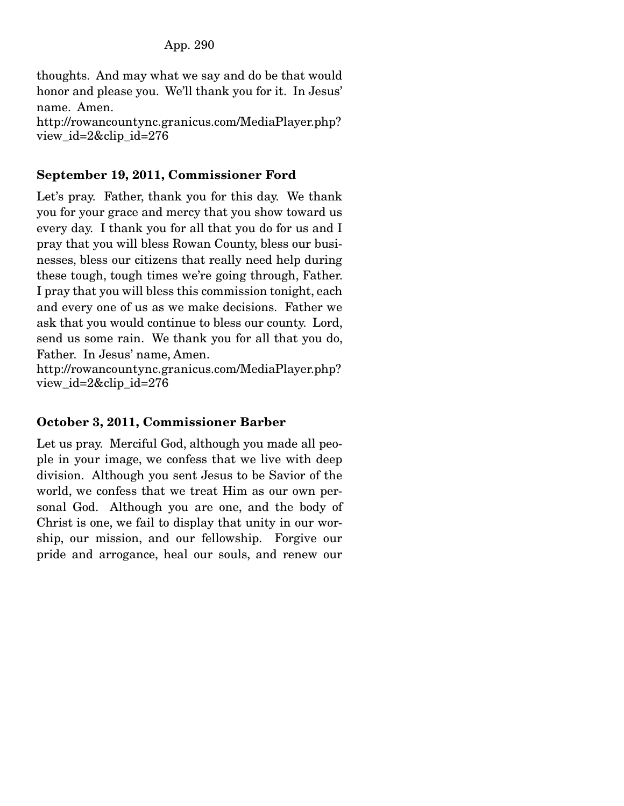thoughts. And may what we say and do be that would honor and please you. We'll thank you for it. In Jesus' name. Amen. http://rowancountync.granicus.com/MediaPlayer.php? view\_id=2&clip\_id=276

## September 19, 2011, Commissioner Ford

Let's pray. Father, thank you for this day. We thank you for your grace and mercy that you show toward us every day. I thank you for all that you do for us and I pray that you will bless Rowan County, bless our businesses, bless our citizens that really need help during these tough, tough times we're going through, Father. I pray that you will bless this commission tonight, each and every one of us as we make decisions. Father we ask that you would continue to bless our county. Lord, send us some rain. We thank you for all that you do, Father. In Jesus' name, Amen.

http://rowancountync.granicus.com/MediaPlayer.php? view\_id=2&clip\_id=276

## October 3, 2011, Commissioner Barber

Let us pray. Merciful God, although you made all people in your image, we confess that we live with deep division. Although you sent Jesus to be Savior of the world, we confess that we treat Him as our own personal God. Although you are one, and the body of Christ is one, we fail to display that unity in our worship, our mission, and our fellowship. Forgive our pride and arrogance, heal our souls, and renew our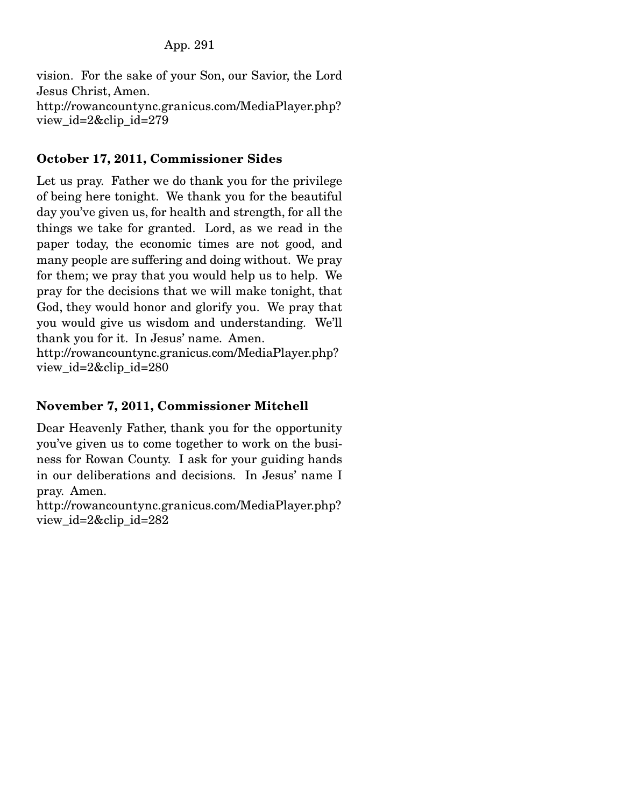vision. For the sake of your Son, our Savior, the Lord Jesus Christ, Amen. http://rowancountync.granicus.com/MediaPlayer.php? view\_id=2&clip\_id=279

## October 17, 2011, Commissioner Sides

Let us pray. Father we do thank you for the privilege of being here tonight. We thank you for the beautiful day you've given us, for health and strength, for all the things we take for granted. Lord, as we read in the paper today, the economic times are not good, and many people are suffering and doing without. We pray for them; we pray that you would help us to help. We pray for the decisions that we will make tonight, that God, they would honor and glorify you. We pray that you would give us wisdom and understanding. We'll thank you for it. In Jesus' name. Amen.

http://rowancountync.granicus.com/MediaPlayer.php? view\_id=2&clip\_id=280

### November 7, 2011, Commissioner Mitchell

Dear Heavenly Father, thank you for the opportunity you've given us to come together to work on the business for Rowan County. I ask for your guiding hands in our deliberations and decisions. In Jesus' name I pray. Amen.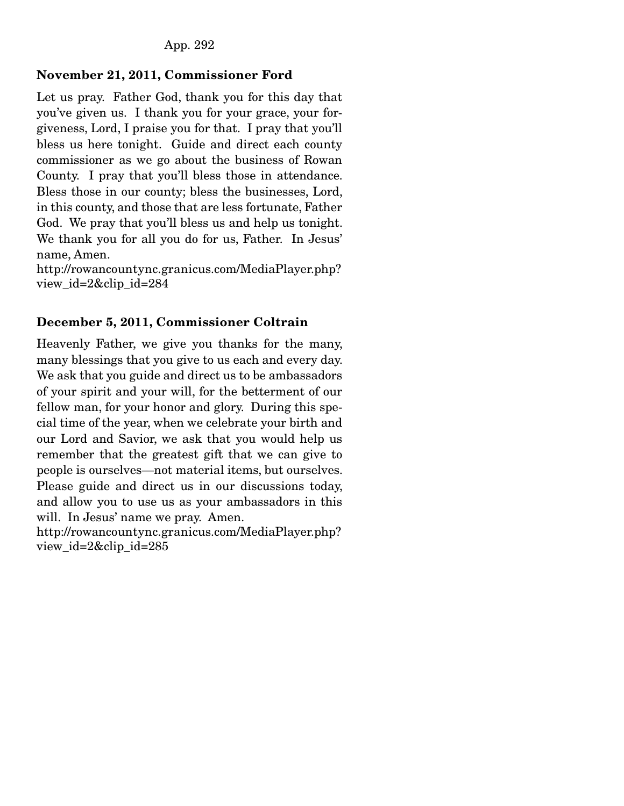### November 21, 2011, Commissioner Ford

Let us pray. Father God, thank you for this day that you've given us. I thank you for your grace, your forgiveness, Lord, I praise you for that. I pray that you'll bless us here tonight. Guide and direct each county commissioner as we go about the business of Rowan County. I pray that you'll bless those in attendance. Bless those in our county; bless the businesses, Lord, in this county, and those that are less fortunate, Father God. We pray that you'll bless us and help us tonight. We thank you for all you do for us, Father. In Jesus' name, Amen.

http://rowancountync.granicus.com/MediaPlayer.php? view\_id=2&clip\_id=284

### December 5, 2011, Commissioner Coltrain

Heavenly Father, we give you thanks for the many, many blessings that you give to us each and every day. We ask that you guide and direct us to be ambassadors of your spirit and your will, for the betterment of our fellow man, for your honor and glory. During this special time of the year, when we celebrate your birth and our Lord and Savior, we ask that you would help us remember that the greatest gift that we can give to people is ourselves—not material items, but ourselves. Please guide and direct us in our discussions today, and allow you to use us as your ambassadors in this will. In Jesus' name we pray. Amen.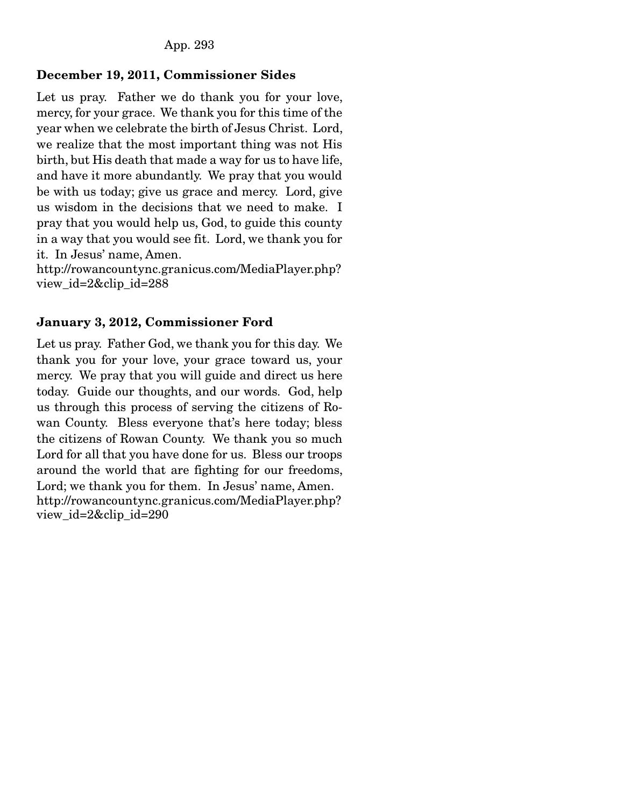### December 19, 2011, Commissioner Sides

Let us pray. Father we do thank you for your love, mercy, for your grace. We thank you for this time of the year when we celebrate the birth of Jesus Christ. Lord, we realize that the most important thing was not His birth, but His death that made a way for us to have life, and have it more abundantly. We pray that you would be with us today; give us grace and mercy. Lord, give us wisdom in the decisions that we need to make. I pray that you would help us, God, to guide this county in a way that you would see fit. Lord, we thank you for it. In Jesus' name, Amen.

http://rowancountync.granicus.com/MediaPlayer.php? view\_id=2&clip\_id=288

### January 3, 2012, Commissioner Ford

Let us pray. Father God, we thank you for this day. We thank you for your love, your grace toward us, your mercy. We pray that you will guide and direct us here today. Guide our thoughts, and our words. God, help us through this process of serving the citizens of Rowan County. Bless everyone that's here today; bless the citizens of Rowan County. We thank you so much Lord for all that you have done for us. Bless our troops around the world that are fighting for our freedoms, Lord; we thank you for them. In Jesus' name, Amen. http://rowancountync.granicus.com/MediaPlayer.php? view\_id=2&clip\_id=290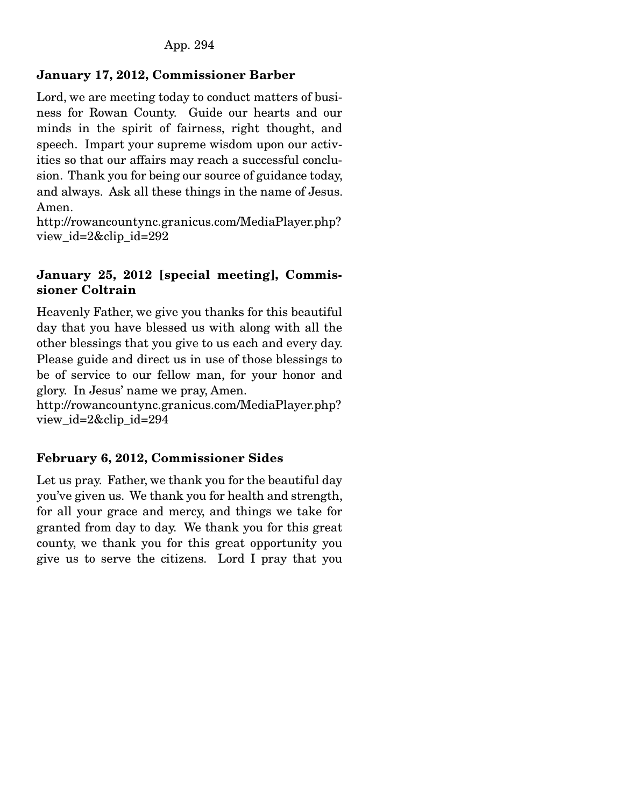## January 17, 2012, Commissioner Barber

Lord, we are meeting today to conduct matters of business for Rowan County. Guide our hearts and our minds in the spirit of fairness, right thought, and speech. Impart your supreme wisdom upon our activities so that our affairs may reach a successful conclusion. Thank you for being our source of guidance today, and always. Ask all these things in the name of Jesus. Amen.

http://rowancountync.granicus.com/MediaPlayer.php? view\_id=2&clip\_id=292

### January 25, 2012 [special meeting], Commissioner Coltrain

Heavenly Father, we give you thanks for this beautiful day that you have blessed us with along with all the other blessings that you give to us each and every day. Please guide and direct us in use of those blessings to be of service to our fellow man, for your honor and glory. In Jesus' name we pray, Amen.

http://rowancountync.granicus.com/MediaPlayer.php? view\_id=2&clip\_id=294

## February 6, 2012, Commissioner Sides

Let us pray. Father, we thank you for the beautiful day you've given us. We thank you for health and strength, for all your grace and mercy, and things we take for granted from day to day. We thank you for this great county, we thank you for this great opportunity you give us to serve the citizens. Lord I pray that you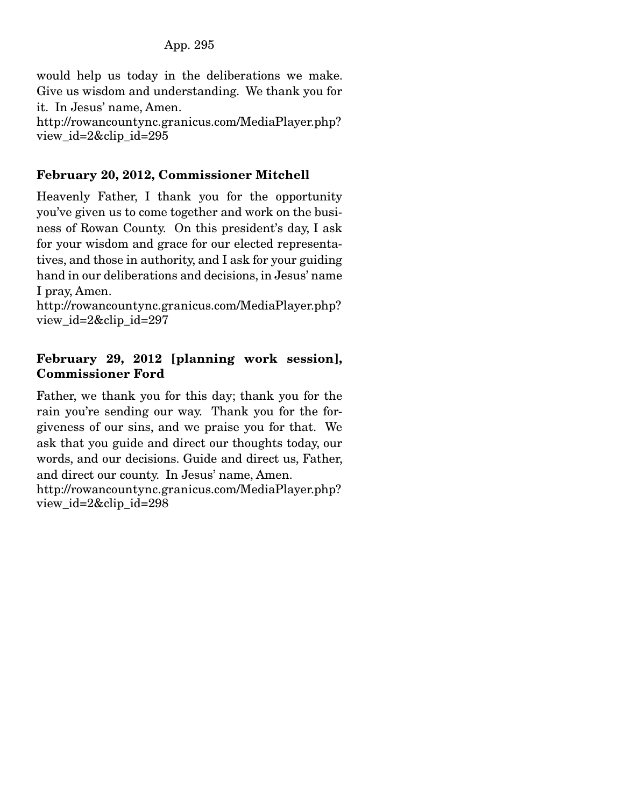App. 295

would help us today in the deliberations we make. Give us wisdom and understanding. We thank you for it. In Jesus' name, Amen. http://rowancountync.granicus.com/MediaPlayer.php?

#### view\_id=2&clip\_id=295

### February 20, 2012, Commissioner Mitchell

Heavenly Father, I thank you for the opportunity you've given us to come together and work on the business of Rowan County. On this president's day, I ask for your wisdom and grace for our elected representatives, and those in authority, and I ask for your guiding hand in our deliberations and decisions, in Jesus' name I pray, Amen.

http://rowancountync.granicus.com/MediaPlayer.php? view\_id=2&clip\_id=297

### February 29, 2012 [planning work session], Commissioner Ford

Father, we thank you for this day; thank you for the rain you're sending our way. Thank you for the forgiveness of our sins, and we praise you for that. We ask that you guide and direct our thoughts today, our words, and our decisions. Guide and direct us, Father, and direct our county. In Jesus' name, Amen. http://rowancountync.granicus.com/MediaPlayer.php? view\_id=2&clip\_id=298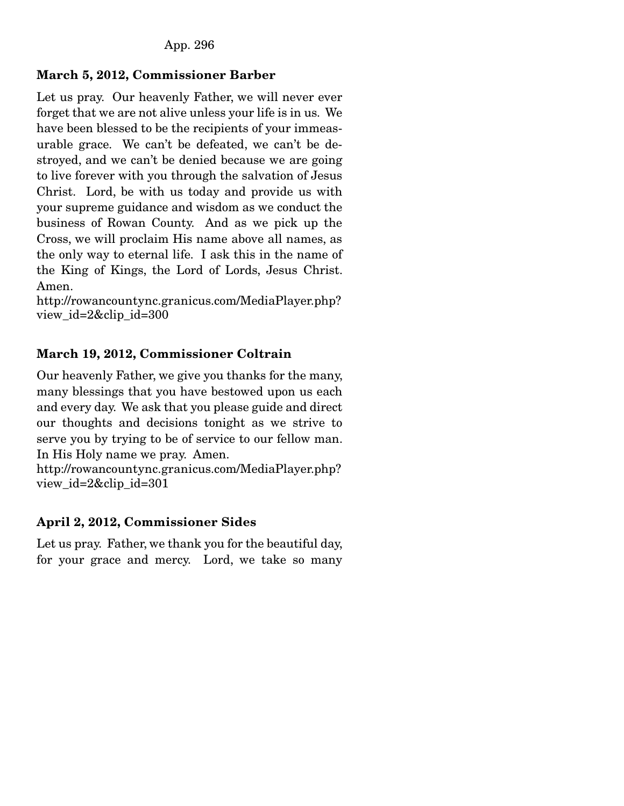# March 5, 2012, Commissioner Barber

Let us pray. Our heavenly Father, we will never ever forget that we are not alive unless your life is in us. We have been blessed to be the recipients of your immeasurable grace. We can't be defeated, we can't be destroyed, and we can't be denied because we are going to live forever with you through the salvation of Jesus Christ. Lord, be with us today and provide us with your supreme guidance and wisdom as we conduct the business of Rowan County. And as we pick up the Cross, we will proclaim His name above all names, as the only way to eternal life. I ask this in the name of the King of Kings, the Lord of Lords, Jesus Christ. Amen.

http://rowancountync.granicus.com/MediaPlayer.php? view\_id=2&clip\_id=300

# March 19, 2012, Commissioner Coltrain

Our heavenly Father, we give you thanks for the many, many blessings that you have bestowed upon us each and every day. We ask that you please guide and direct our thoughts and decisions tonight as we strive to serve you by trying to be of service to our fellow man. In His Holy name we pray. Amen.

http://rowancountync.granicus.com/MediaPlayer.php? view\_id=2&clip\_id=301

# April 2, 2012, Commissioner Sides

Let us pray. Father, we thank you for the beautiful day, for your grace and mercy. Lord, we take so many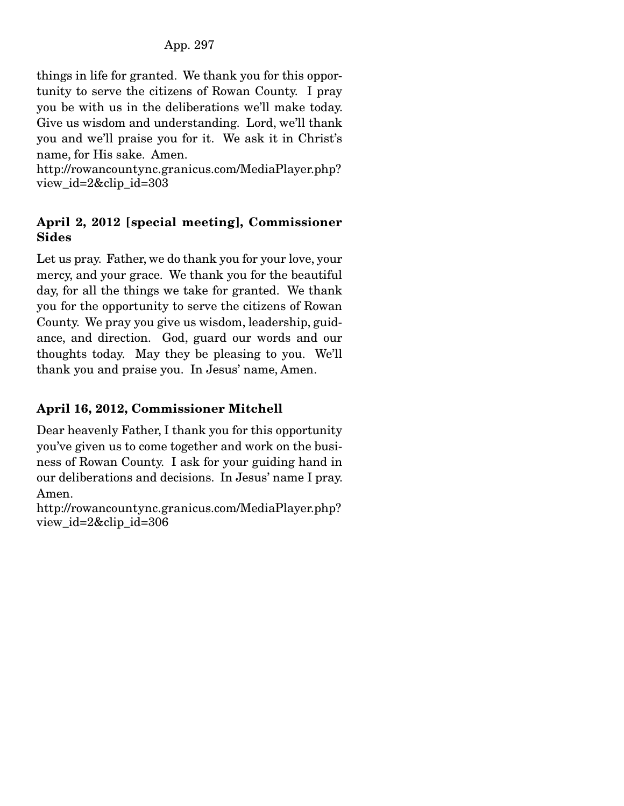things in life for granted. We thank you for this opportunity to serve the citizens of Rowan County. I pray you be with us in the deliberations we'll make today. Give us wisdom and understanding. Lord, we'll thank you and we'll praise you for it. We ask it in Christ's name, for His sake. Amen.

http://rowancountync.granicus.com/MediaPlayer.php? view\_id=2&clip\_id=303

## April 2, 2012 [special meeting], Commissioner Sides

Let us pray. Father, we do thank you for your love, your mercy, and your grace. We thank you for the beautiful day, for all the things we take for granted. We thank you for the opportunity to serve the citizens of Rowan County. We pray you give us wisdom, leadership, guidance, and direction. God, guard our words and our thoughts today. May they be pleasing to you. We'll thank you and praise you. In Jesus' name, Amen.

# April 16, 2012, Commissioner Mitchell

Dear heavenly Father, I thank you for this opportunity you've given us to come together and work on the business of Rowan County. I ask for your guiding hand in our deliberations and decisions. In Jesus' name I pray. Amen.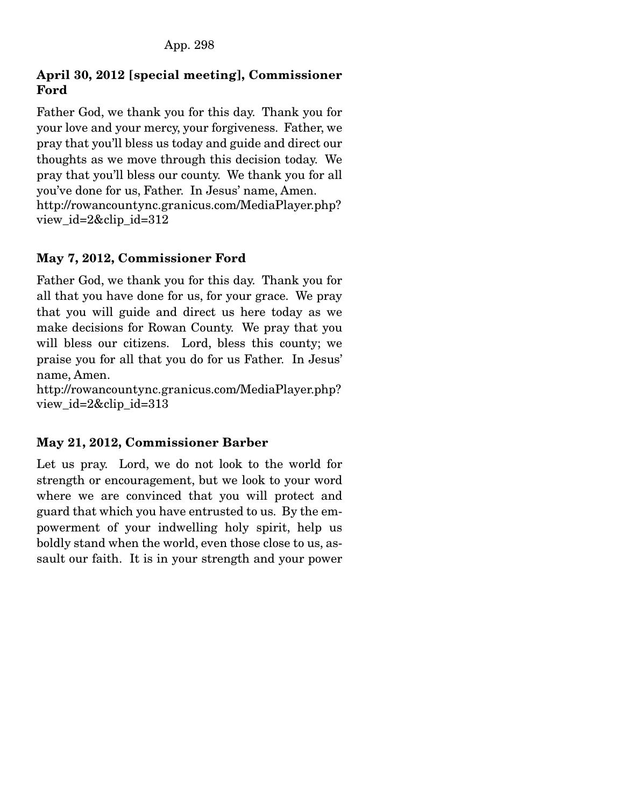# April 30, 2012 [special meeting], Commissioner Ford

Father God, we thank you for this day. Thank you for your love and your mercy, your forgiveness. Father, we pray that you'll bless us today and guide and direct our thoughts as we move through this decision today. We pray that you'll bless our county. We thank you for all you've done for us, Father. In Jesus' name, Amen. http://rowancountync.granicus.com/MediaPlayer.php? view  $id=2\&$ clip  $id=312$ 

## May 7, 2012, Commissioner Ford

Father God, we thank you for this day. Thank you for all that you have done for us, for your grace. We pray that you will guide and direct us here today as we make decisions for Rowan County. We pray that you will bless our citizens. Lord, bless this county; we praise you for all that you do for us Father. In Jesus' name, Amen.

http://rowancountync.granicus.com/MediaPlayer.php? view\_id=2&clip\_id=313

## May 21, 2012, Commissioner Barber

Let us pray. Lord, we do not look to the world for strength or encouragement, but we look to your word where we are convinced that you will protect and guard that which you have entrusted to us. By the empowerment of your indwelling holy spirit, help us boldly stand when the world, even those close to us, assault our faith. It is in your strength and your power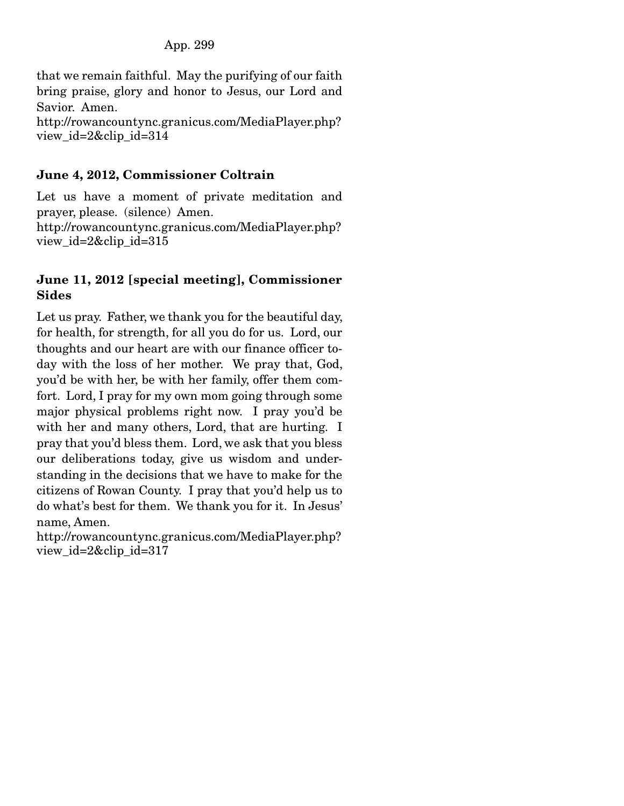that we remain faithful. May the purifying of our faith bring praise, glory and honor to Jesus, our Lord and Savior. Amen. http://rowancountync.granicus.com/MediaPlayer.php? view\_id=2&clip\_id=314

## June 4, 2012, Commissioner Coltrain

Let us have a moment of private meditation and prayer, please. (silence) Amen. http://rowancountync.granicus.com/MediaPlayer.php? view id=2&clip id=315

### June 11, 2012 [special meeting], Commissioner Sides

Let us pray. Father, we thank you for the beautiful day, for health, for strength, for all you do for us. Lord, our thoughts and our heart are with our finance officer today with the loss of her mother. We pray that, God, you'd be with her, be with her family, offer them comfort. Lord, I pray for my own mom going through some major physical problems right now. I pray you'd be with her and many others, Lord, that are hurting. I pray that you'd bless them. Lord, we ask that you bless our deliberations today, give us wisdom and understanding in the decisions that we have to make for the citizens of Rowan County. I pray that you'd help us to do what's best for them. We thank you for it. In Jesus' name, Amen.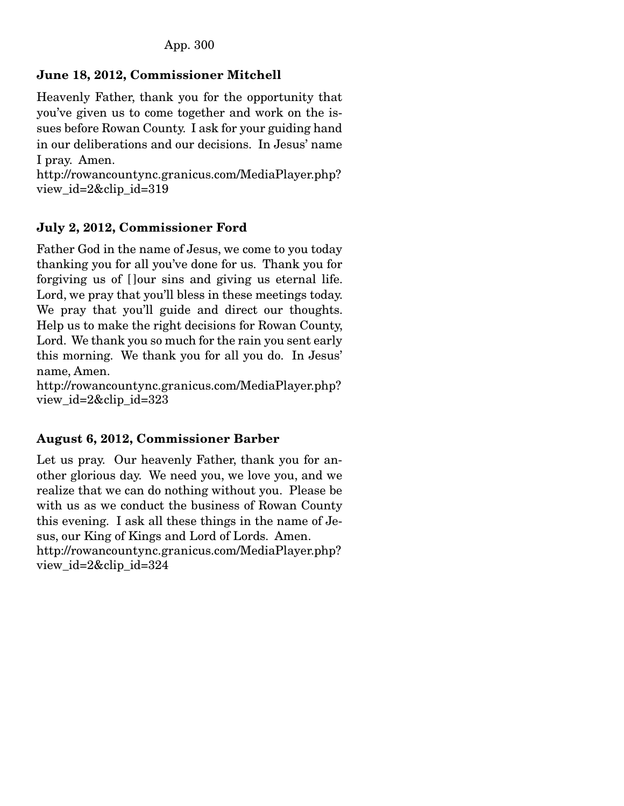# June 18, 2012, Commissioner Mitchell

Heavenly Father, thank you for the opportunity that you've given us to come together and work on the issues before Rowan County. I ask for your guiding hand in our deliberations and our decisions. In Jesus' name I pray. Amen.

http://rowancountync.granicus.com/MediaPlayer.php? view\_id=2&clip\_id=319

# July 2, 2012, Commissioner Ford

Father God in the name of Jesus, we come to you today thanking you for all you've done for us. Thank you for forgiving us of [ ]our sins and giving us eternal life. Lord, we pray that you'll bless in these meetings today. We pray that you'll guide and direct our thoughts. Help us to make the right decisions for Rowan County, Lord. We thank you so much for the rain you sent early this morning. We thank you for all you do. In Jesus' name, Amen.

http://rowancountync.granicus.com/MediaPlayer.php? view\_id=2&clip\_id=323

# August 6, 2012, Commissioner Barber

Let us pray. Our heavenly Father, thank you for another glorious day. We need you, we love you, and we realize that we can do nothing without you. Please be with us as we conduct the business of Rowan County this evening. I ask all these things in the name of Jesus, our King of Kings and Lord of Lords. Amen. http://rowancountync.granicus.com/MediaPlayer.php? view\_id=2&clip\_id=324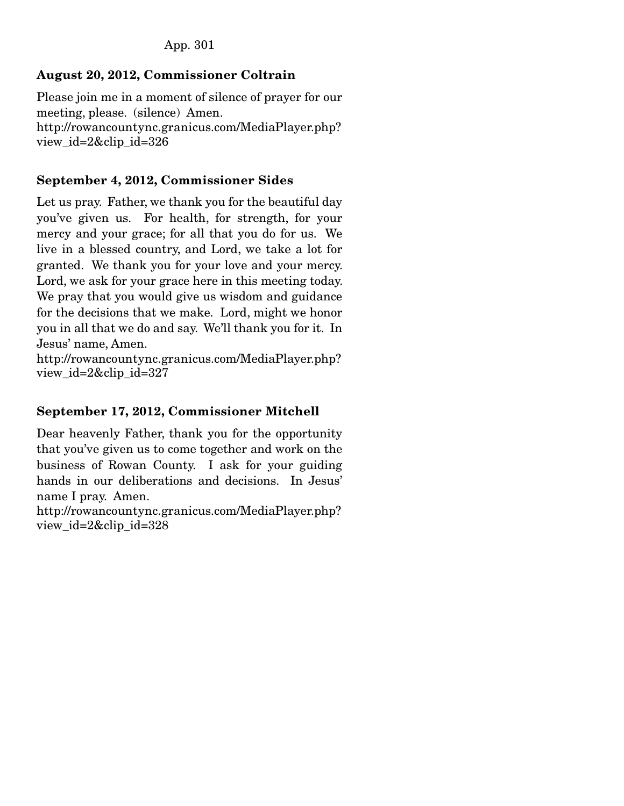### App. 301

## August 20, 2012, Commissioner Coltrain

Please join me in a moment of silence of prayer for our meeting, please. (silence) Amen. http://rowancountync.granicus.com/MediaPlayer.php? view\_id=2&clip\_id=326

### September 4, 2012, Commissioner Sides

Let us pray. Father, we thank you for the beautiful day you've given us. For health, for strength, for your mercy and your grace; for all that you do for us. We live in a blessed country, and Lord, we take a lot for granted. We thank you for your love and your mercy. Lord, we ask for your grace here in this meeting today. We pray that you would give us wisdom and guidance for the decisions that we make. Lord, might we honor you in all that we do and say. We'll thank you for it. In Jesus' name, Amen.

http://rowancountync.granicus.com/MediaPlayer.php? view\_id=2&clip\_id=327

### September 17, 2012, Commissioner Mitchell

Dear heavenly Father, thank you for the opportunity that you've given us to come together and work on the business of Rowan County. I ask for your guiding hands in our deliberations and decisions. In Jesus' name I pray. Amen.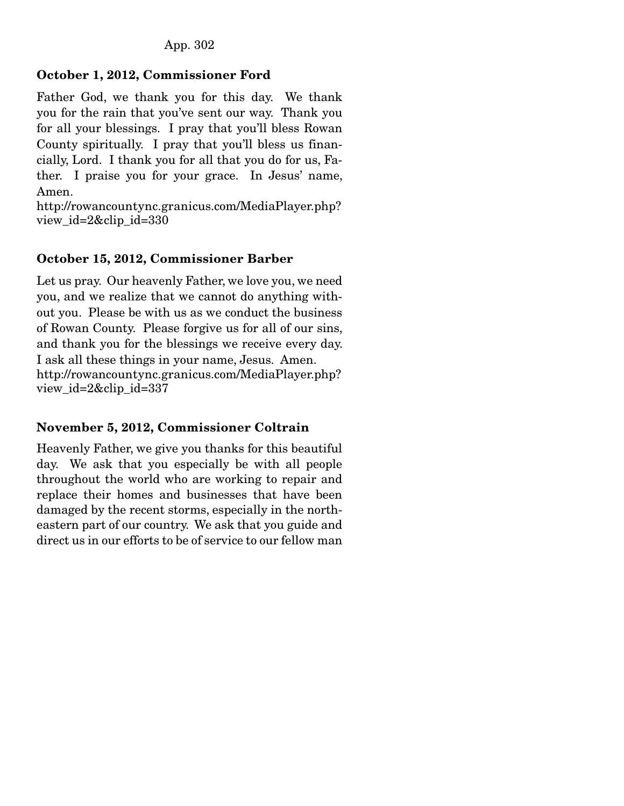# October 1, 2012, Commissioner Ford

Father God, we thank you for this day. We thank you for the rain that you've sent our way. Thank you for all your blessings. I pray that you'll bless Rowan County spiritually. I pray that you'll bless us financially, Lord. I thank you for all that you do for us, Father. I praise you for your grace. In Jesus' name, Amen.

http://rowancountync.granicus.com/MediaPlayer.php? view\_id=2&clip\_id=330

## October 15, 2012, Commissioner Barber

Let us pray. Our heavenly Father, we love you, we need you, and we realize that we cannot do anything without you. Please be with us as we conduct the business of Rowan County. Please forgive us for all of our sins, and thank you for the blessings we receive every day. I ask all these things in your name, Jesus. Amen. http://rowancountync.granicus.com/MediaPlayer.php? view\_id=2&clip\_id=337

## November 5, 2012, Commissioner Coltrain

Heavenly Father, we give you thanks for this beautiful day. We ask that you especially be with all people throughout the world who are working to repair and replace their homes and businesses that have been damaged by the recent storms, especially in the northeastern part of our country. We ask that you guide and direct us in our efforts to be of service to our fellow man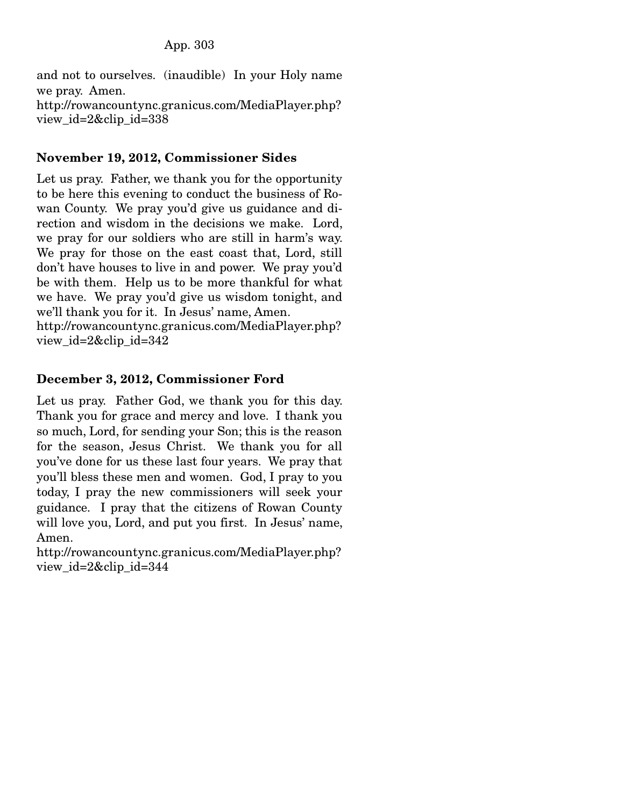and not to ourselves. (inaudible) In your Holy name we pray. Amen. http://rowancountync.granicus.com/MediaPlayer.php? view\_id=2&clip\_id=338

### November 19, 2012, Commissioner Sides

Let us pray. Father, we thank you for the opportunity to be here this evening to conduct the business of Rowan County. We pray you'd give us guidance and direction and wisdom in the decisions we make. Lord, we pray for our soldiers who are still in harm's way. We pray for those on the east coast that, Lord, still don't have houses to live in and power. We pray you'd be with them. Help us to be more thankful for what we have. We pray you'd give us wisdom tonight, and we'll thank you for it. In Jesus' name, Amen.

http://rowancountync.granicus.com/MediaPlayer.php? view\_id=2&clip\_id=342

### December 3, 2012, Commissioner Ford

Let us pray. Father God, we thank you for this day. Thank you for grace and mercy and love. I thank you so much, Lord, for sending your Son; this is the reason for the season, Jesus Christ. We thank you for all you've done for us these last four years. We pray that you'll bless these men and women. God, I pray to you today, I pray the new commissioners will seek your guidance. I pray that the citizens of Rowan County will love you, Lord, and put you first. In Jesus' name, Amen.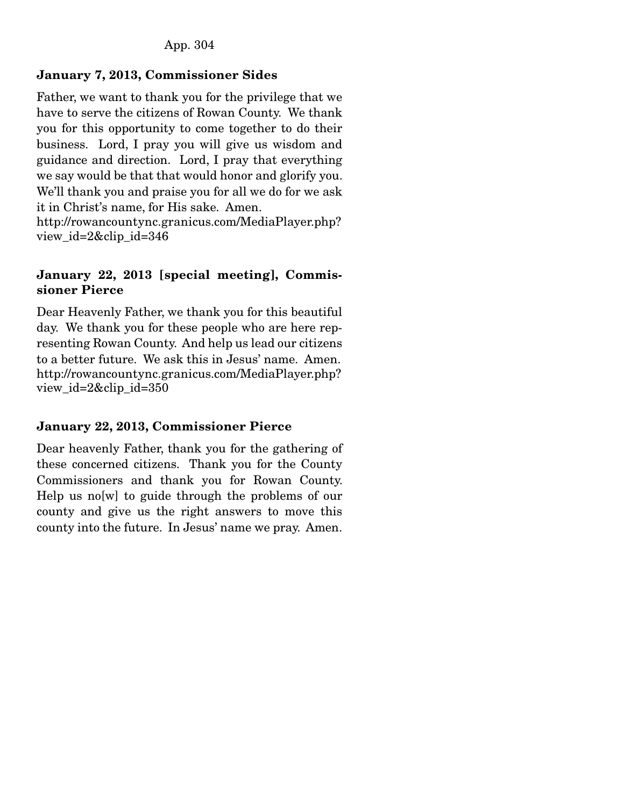## January 7, 2013, Commissioner Sides

Father, we want to thank you for the privilege that we have to serve the citizens of Rowan County. We thank you for this opportunity to come together to do their business. Lord, I pray you will give us wisdom and guidance and direction. Lord, I pray that everything we say would be that that would honor and glorify you. We'll thank you and praise you for all we do for we ask it in Christ's name, for His sake. Amen. http://rowancountync.granicus.com/MediaPlayer.php?

view\_id=2&clip\_id=346

### January 22, 2013 [special meeting], Commissioner Pierce

Dear Heavenly Father, we thank you for this beautiful day. We thank you for these people who are here representing Rowan County. And help us lead our citizens to a better future. We ask this in Jesus' name. Amen. http://rowancountync.granicus.com/MediaPlayer.php? view\_id=2&clip\_id=350

## January 22, 2013, Commissioner Pierce

Dear heavenly Father, thank you for the gathering of these concerned citizens. Thank you for the County Commissioners and thank you for Rowan County. Help us no[w] to guide through the problems of our county and give us the right answers to move this county into the future. In Jesus' name we pray. Amen.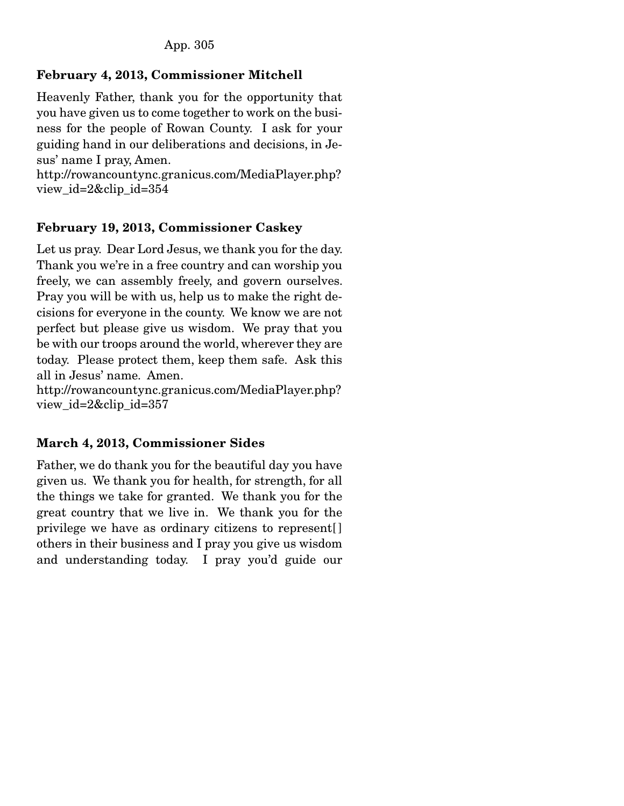# February 4, 2013, Commissioner Mitchell

Heavenly Father, thank you for the opportunity that you have given us to come together to work on the business for the people of Rowan County. I ask for your guiding hand in our deliberations and decisions, in Jesus' name I pray, Amen.

http://rowancountync.granicus.com/MediaPlayer.php? view\_id=2&clip\_id=354

# February 19, 2013, Commissioner Caskey

Let us pray. Dear Lord Jesus, we thank you for the day. Thank you we're in a free country and can worship you freely, we can assembly freely, and govern ourselves. Pray you will be with us, help us to make the right decisions for everyone in the county. We know we are not perfect but please give us wisdom. We pray that you be with our troops around the world, wherever they are today. Please protect them, keep them safe. Ask this all in Jesus' name. Amen.

http://rowancountync.granicus.com/MediaPlayer.php? view\_id=2&clip\_id=357

# March 4, 2013, Commissioner Sides

Father, we do thank you for the beautiful day you have given us. We thank you for health, for strength, for all the things we take for granted. We thank you for the great country that we live in. We thank you for the privilege we have as ordinary citizens to represent[ ] others in their business and I pray you give us wisdom and understanding today. I pray you'd guide our